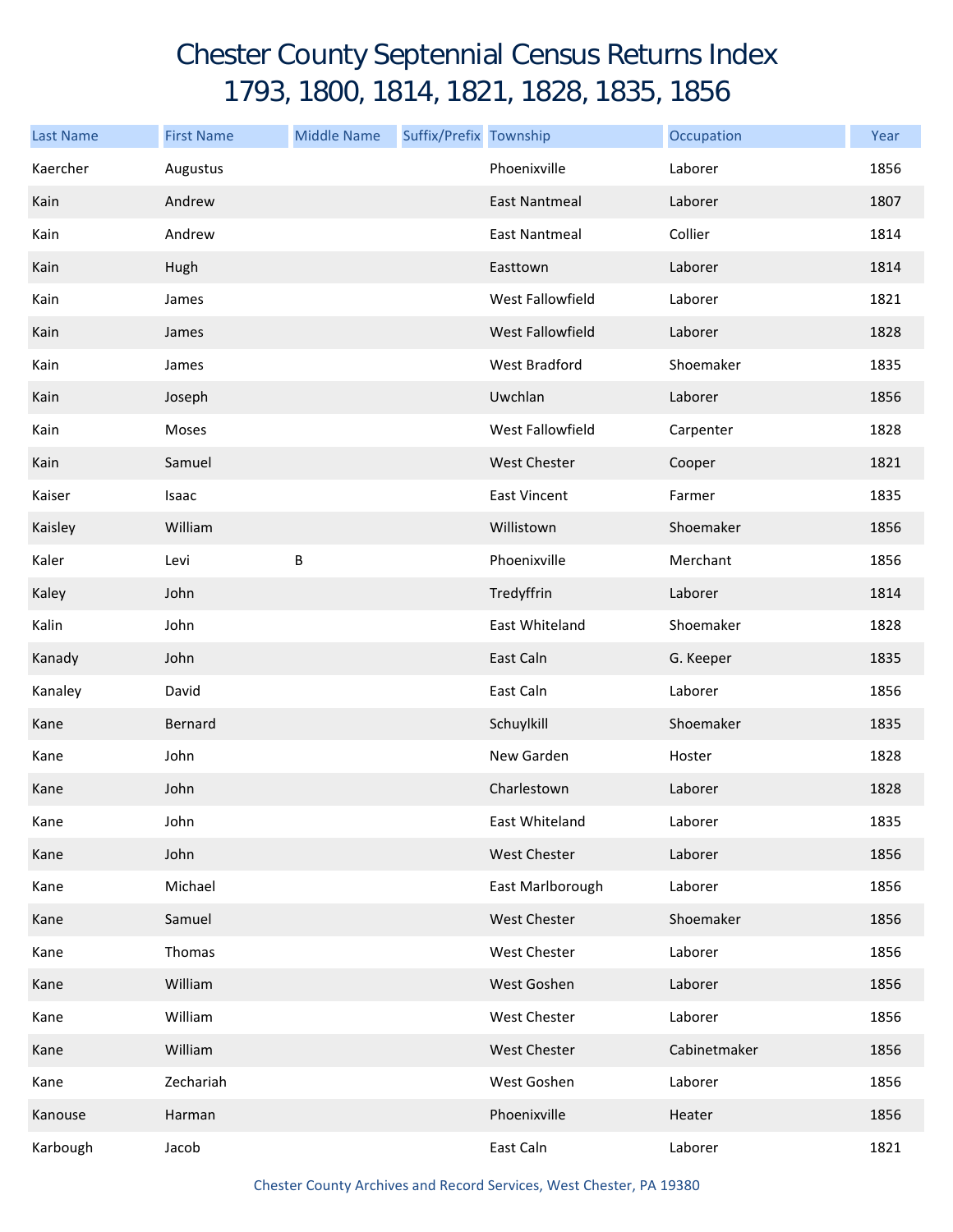## Chester County Septennial Census Returns Index 1793, 1800, 1814, 1821, 1828, 1835, 1856

| <b>Last Name</b> | <b>First Name</b> | <b>Middle Name</b> | Suffix/Prefix Township |                      | Occupation   | Year |
|------------------|-------------------|--------------------|------------------------|----------------------|--------------|------|
| Kaercher         | Augustus          |                    |                        | Phoenixville         | Laborer      | 1856 |
| Kain             | Andrew            |                    |                        | East Nantmeal        | Laborer      | 1807 |
| Kain             | Andrew            |                    |                        | <b>East Nantmeal</b> | Collier      | 1814 |
| Kain             | Hugh              |                    |                        | Easttown             | Laborer      | 1814 |
| Kain             | James             |                    |                        | West Fallowfield     | Laborer      | 1821 |
| Kain             | James             |                    |                        | West Fallowfield     | Laborer      | 1828 |
| Kain             | James             |                    |                        | West Bradford        | Shoemaker    | 1835 |
| Kain             | Joseph            |                    |                        | Uwchlan              | Laborer      | 1856 |
| Kain             | Moses             |                    |                        | West Fallowfield     | Carpenter    | 1828 |
| Kain             | Samuel            |                    |                        | <b>West Chester</b>  | Cooper       | 1821 |
| Kaiser           | Isaac             |                    |                        | <b>East Vincent</b>  | Farmer       | 1835 |
| Kaisley          | William           |                    |                        | Willistown           | Shoemaker    | 1856 |
| Kaler            | Levi              | $\sf B$            |                        | Phoenixville         | Merchant     | 1856 |
| Kaley            | John              |                    |                        | Tredyffrin           | Laborer      | 1814 |
| Kalin            | John              |                    |                        | East Whiteland       | Shoemaker    | 1828 |
| Kanady           | John              |                    |                        | East Caln            | G. Keeper    | 1835 |
| Kanaley          | David             |                    |                        | East Caln            | Laborer      | 1856 |
| Kane             | Bernard           |                    |                        | Schuylkill           | Shoemaker    | 1835 |
| Kane             | John              |                    |                        | New Garden           | Hoster       | 1828 |
| Kane             | John              |                    |                        | Charlestown          | Laborer      | 1828 |
| Kane             | John              |                    |                        | East Whiteland       | Laborer      | 1835 |
| Kane             | John              |                    |                        | West Chester         | Laborer      | 1856 |
| Kane             | Michael           |                    |                        | East Marlborough     | Laborer      | 1856 |
| Kane             | Samuel            |                    |                        | <b>West Chester</b>  | Shoemaker    | 1856 |
| Kane             | Thomas            |                    |                        | West Chester         | Laborer      | 1856 |
| Kane             | William           |                    |                        | West Goshen          | Laborer      | 1856 |
| Kane             | William           |                    |                        | West Chester         | Laborer      | 1856 |
| Kane             | William           |                    |                        | West Chester         | Cabinetmaker | 1856 |
| Kane             | Zechariah         |                    |                        | West Goshen          | Laborer      | 1856 |
| Kanouse          | Harman            |                    |                        | Phoenixville         | Heater       | 1856 |
| Karbough         | Jacob             |                    |                        | East Caln            | Laborer      | 1821 |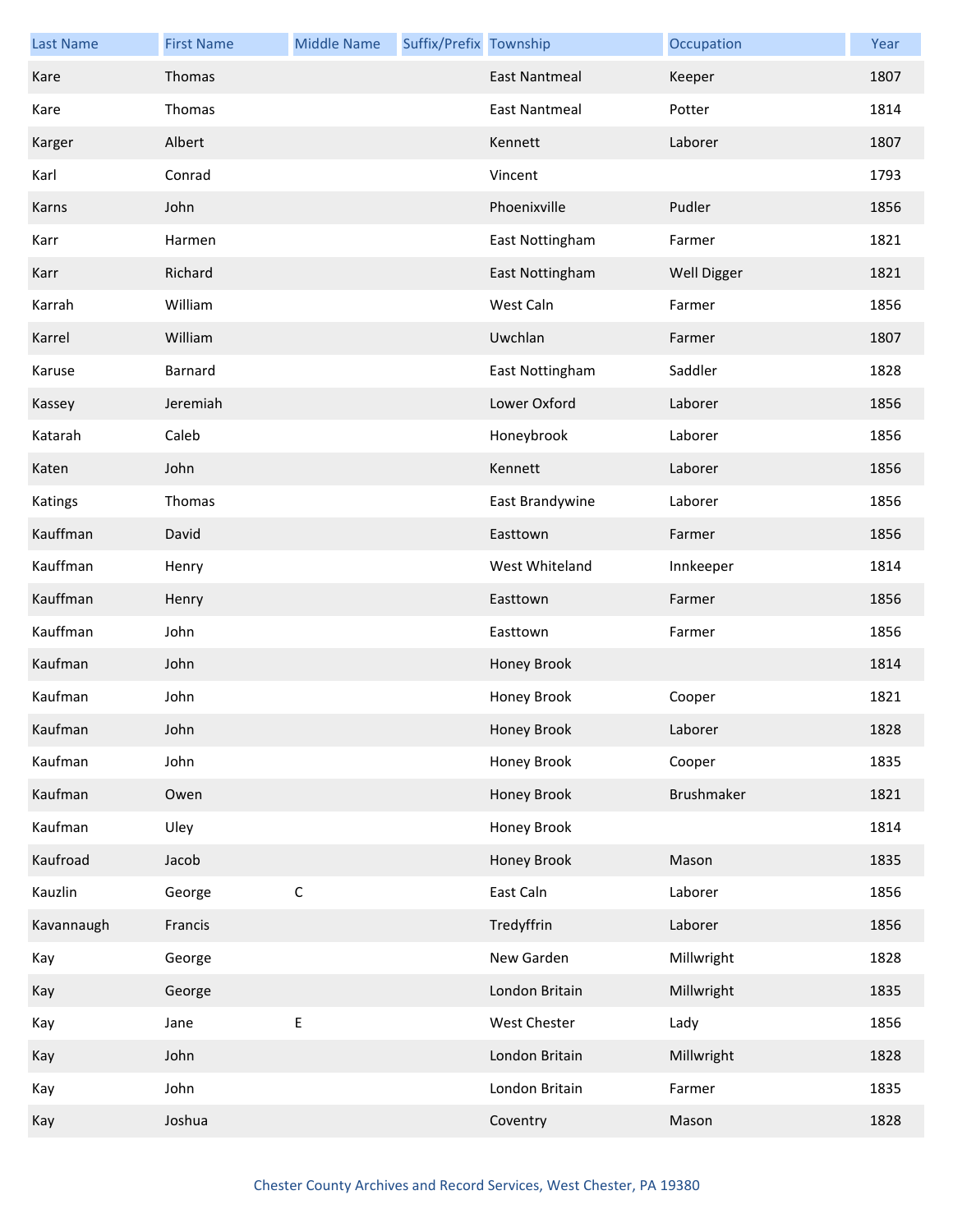| <b>Last Name</b> | <b>First Name</b> | <b>Middle Name</b> | Suffix/Prefix Township |                      | Occupation  | Year |
|------------------|-------------------|--------------------|------------------------|----------------------|-------------|------|
| Kare             | Thomas            |                    |                        | <b>East Nantmeal</b> | Keeper      | 1807 |
| Kare             | Thomas            |                    |                        | East Nantmeal        | Potter      | 1814 |
| Karger           | Albert            |                    |                        | Kennett              | Laborer     | 1807 |
| Karl             | Conrad            |                    |                        | Vincent              |             | 1793 |
| Karns            | John              |                    |                        | Phoenixville         | Pudler      | 1856 |
| Karr             | Harmen            |                    |                        | East Nottingham      | Farmer      | 1821 |
| Karr             | Richard           |                    |                        | East Nottingham      | Well Digger | 1821 |
| Karrah           | William           |                    |                        | West Caln            | Farmer      | 1856 |
| Karrel           | William           |                    |                        | Uwchlan              | Farmer      | 1807 |
| Karuse           | <b>Barnard</b>    |                    |                        | East Nottingham      | Saddler     | 1828 |
| Kassey           | Jeremiah          |                    |                        | Lower Oxford         | Laborer     | 1856 |
| Katarah          | Caleb             |                    |                        | Honeybrook           | Laborer     | 1856 |
| Katen            | John              |                    |                        | Kennett              | Laborer     | 1856 |
| Katings          | Thomas            |                    |                        | East Brandywine      | Laborer     | 1856 |
| Kauffman         | David             |                    |                        | Easttown             | Farmer      | 1856 |
| Kauffman         | Henry             |                    |                        | West Whiteland       | Innkeeper   | 1814 |
| Kauffman         | Henry             |                    |                        | Easttown             | Farmer      | 1856 |
| Kauffman         | John              |                    |                        | Easttown             | Farmer      | 1856 |
| Kaufman          | John              |                    |                        | Honey Brook          |             | 1814 |
| Kaufman          | John              |                    |                        | Honey Brook          | Cooper      | 1821 |
| Kaufman          | John              |                    |                        | Honey Brook          | Laborer     | 1828 |
| Kaufman          | John              |                    |                        | Honey Brook          | Cooper      | 1835 |
| Kaufman          | Owen              |                    |                        | <b>Honey Brook</b>   | Brushmaker  | 1821 |
| Kaufman          | Uley              |                    |                        | Honey Brook          |             | 1814 |
| Kaufroad         | Jacob             |                    |                        | Honey Brook          | Mason       | 1835 |
| Kauzlin          | George            | $\mathsf C$        |                        | East Caln            | Laborer     | 1856 |
| Kavannaugh       | Francis           |                    |                        | Tredyffrin           | Laborer     | 1856 |
| Kay              | George            |                    |                        | New Garden           | Millwright  | 1828 |
| Kay              | George            |                    |                        | London Britain       | Millwright  | 1835 |
| Kay              | Jane              | $\sf E$            |                        | West Chester         | Lady        | 1856 |
| Kay              | John              |                    |                        | London Britain       | Millwright  | 1828 |
| Kay              | John              |                    |                        | London Britain       | Farmer      | 1835 |
| Kay              | Joshua            |                    |                        | Coventry             | Mason       | 1828 |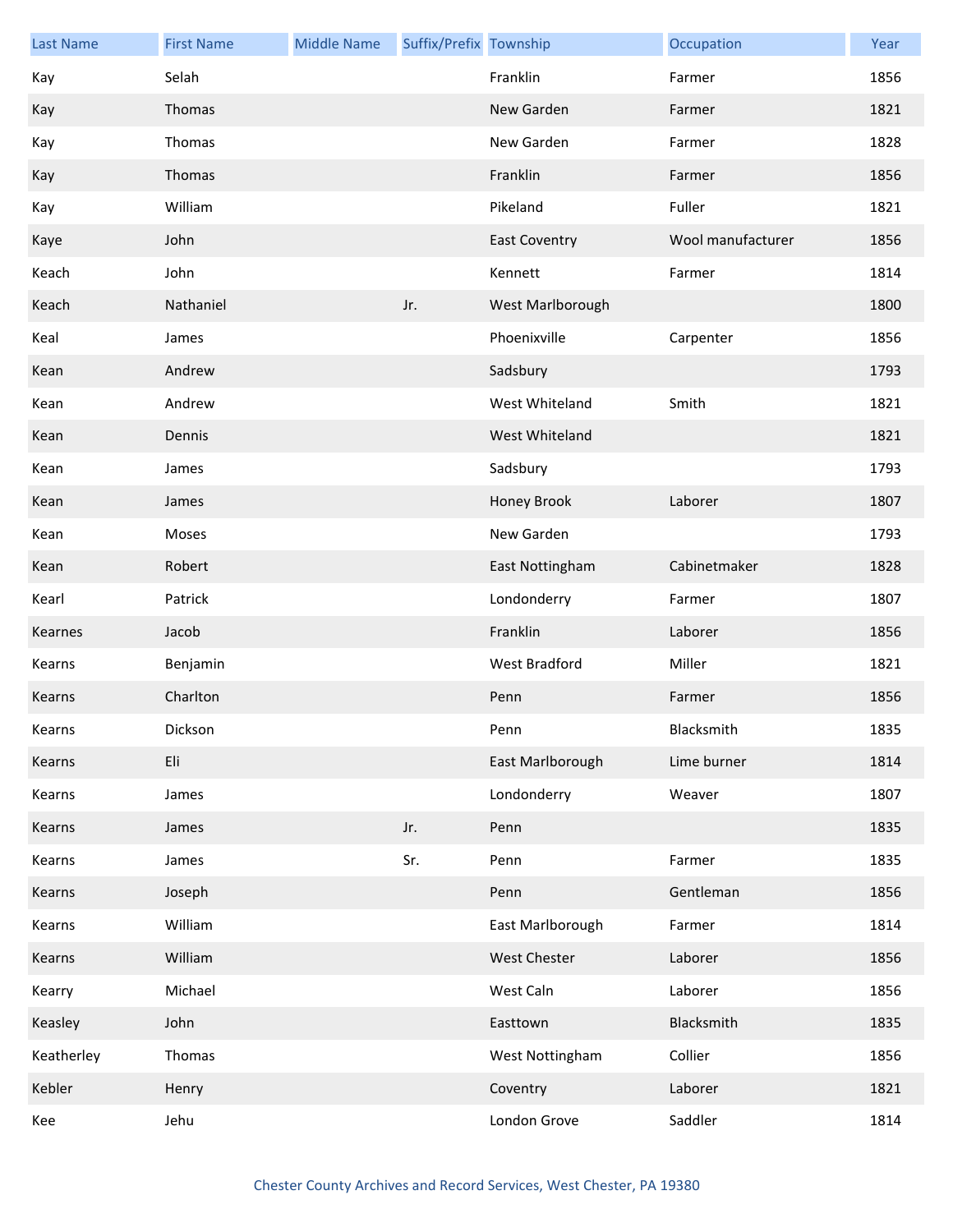| <b>Last Name</b> | <b>First Name</b> | <b>Middle Name</b> | Suffix/Prefix Township |                      | Occupation        | Year |
|------------------|-------------------|--------------------|------------------------|----------------------|-------------------|------|
| Kay              | Selah             |                    |                        | Franklin             | Farmer            | 1856 |
| Kay              | Thomas            |                    |                        | New Garden           | Farmer            | 1821 |
| Kay              | Thomas            |                    |                        | New Garden           | Farmer            | 1828 |
| Kay              | Thomas            |                    |                        | Franklin             | Farmer            | 1856 |
| Kay              | William           |                    |                        | Pikeland             | Fuller            | 1821 |
| Kaye             | John              |                    |                        | <b>East Coventry</b> | Wool manufacturer | 1856 |
| Keach            | John              |                    |                        | Kennett              | Farmer            | 1814 |
| Keach            | Nathaniel         |                    | Jr.                    | West Marlborough     |                   | 1800 |
| Keal             | James             |                    |                        | Phoenixville         | Carpenter         | 1856 |
| Kean             | Andrew            |                    |                        | Sadsbury             |                   | 1793 |
| Kean             | Andrew            |                    |                        | West Whiteland       | Smith             | 1821 |
| Kean             | Dennis            |                    |                        | West Whiteland       |                   | 1821 |
| Kean             | James             |                    |                        | Sadsbury             |                   | 1793 |
| Kean             | James             |                    |                        | Honey Brook          | Laborer           | 1807 |
| Kean             | Moses             |                    |                        | New Garden           |                   | 1793 |
| Kean             | Robert            |                    |                        | East Nottingham      | Cabinetmaker      | 1828 |
| Kearl            | Patrick           |                    |                        | Londonderry          | Farmer            | 1807 |
| Kearnes          | Jacob             |                    |                        | Franklin             | Laborer           | 1856 |
| Kearns           | Benjamin          |                    |                        | West Bradford        | Miller            | 1821 |
| Kearns           | Charlton          |                    |                        | Penn                 | Farmer            | 1856 |
| Kearns           | Dickson           |                    |                        | Penn                 | Blacksmith        | 1835 |
| Kearns           | Eli               |                    |                        | East Marlborough     | Lime burner       | 1814 |
| Kearns           | James             |                    |                        | Londonderry          | Weaver            | 1807 |
| Kearns           | James             |                    | Jr.                    | Penn                 |                   | 1835 |
| Kearns           | James             |                    | Sr.                    | Penn                 | Farmer            | 1835 |
| Kearns           | Joseph            |                    |                        | Penn                 | Gentleman         | 1856 |
| Kearns           | William           |                    |                        | East Marlborough     | Farmer            | 1814 |
| Kearns           | William           |                    |                        | West Chester         | Laborer           | 1856 |
| Kearry           | Michael           |                    |                        | West Caln            | Laborer           | 1856 |
| Keasley          | John              |                    |                        | Easttown             | Blacksmith        | 1835 |
| Keatherley       | Thomas            |                    |                        | West Nottingham      | Collier           | 1856 |
| Kebler           | Henry             |                    |                        | Coventry             | Laborer           | 1821 |
| Kee              | Jehu              |                    |                        | London Grove         | Saddler           | 1814 |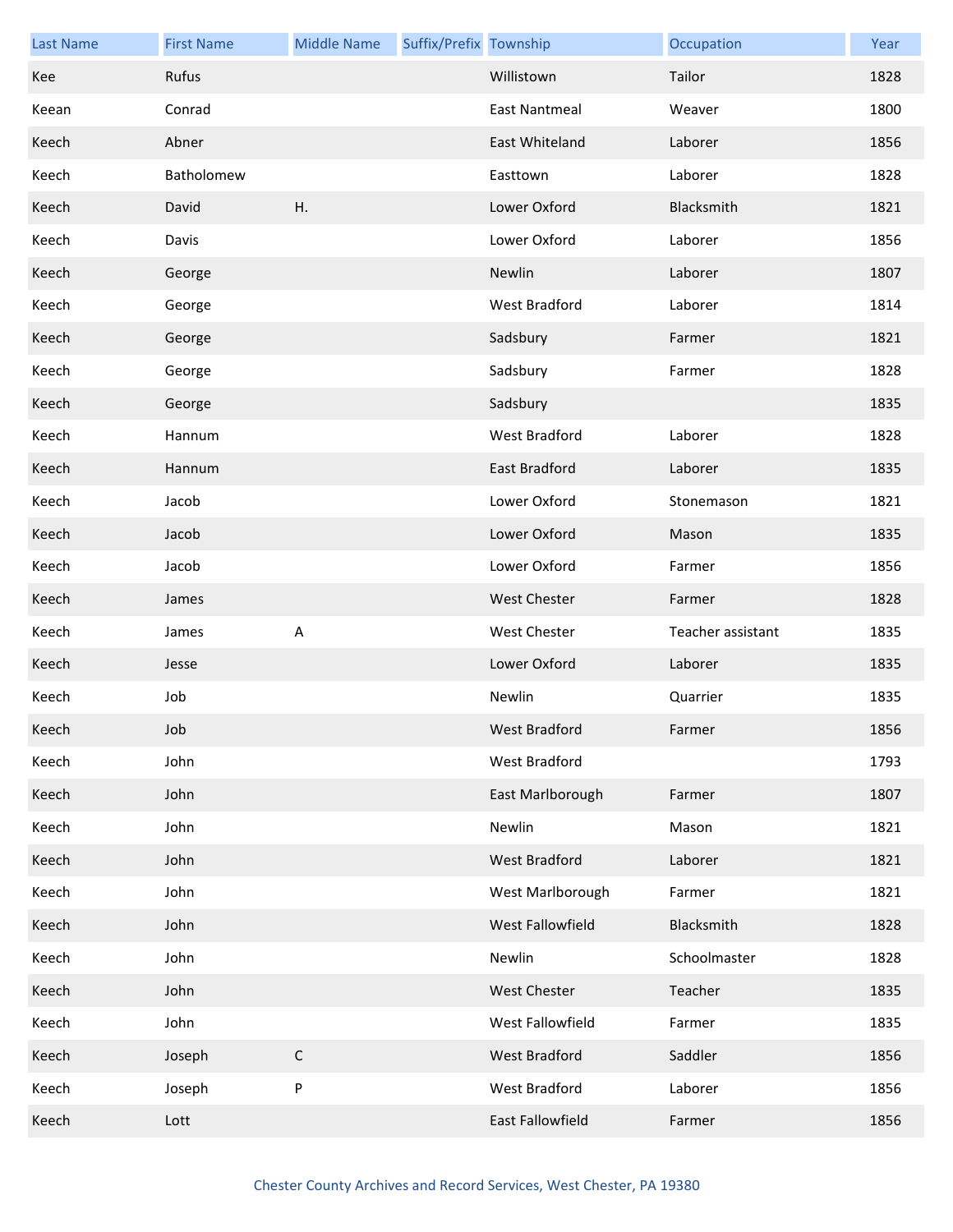| <b>Last Name</b> | <b>First Name</b> | <b>Middle Name</b> | Suffix/Prefix Township |                     | Occupation        | Year |
|------------------|-------------------|--------------------|------------------------|---------------------|-------------------|------|
| Kee              | Rufus             |                    |                        | Willistown          | Tailor            | 1828 |
| Keean            | Conrad            |                    |                        | East Nantmeal       | Weaver            | 1800 |
| Keech            | Abner             |                    |                        | East Whiteland      | Laborer           | 1856 |
| Keech            | Batholomew        |                    |                        | Easttown            | Laborer           | 1828 |
| Keech            | David             | Η.                 |                        | Lower Oxford        | Blacksmith        | 1821 |
| Keech            | Davis             |                    |                        | Lower Oxford        | Laborer           | 1856 |
| Keech            | George            |                    |                        | Newlin              | Laborer           | 1807 |
| Keech            | George            |                    |                        | West Bradford       | Laborer           | 1814 |
| Keech            | George            |                    |                        | Sadsbury            | Farmer            | 1821 |
| Keech            | George            |                    |                        | Sadsbury            | Farmer            | 1828 |
| Keech            | George            |                    |                        | Sadsbury            |                   | 1835 |
| Keech            | Hannum            |                    |                        | West Bradford       | Laborer           | 1828 |
| Keech            | Hannum            |                    |                        | East Bradford       | Laborer           | 1835 |
| Keech            | Jacob             |                    |                        | Lower Oxford        | Stonemason        | 1821 |
| Keech            | Jacob             |                    |                        | Lower Oxford        | Mason             | 1835 |
| Keech            | Jacob             |                    |                        | Lower Oxford        | Farmer            | 1856 |
| Keech            | James             |                    |                        | <b>West Chester</b> | Farmer            | 1828 |
| Keech            | James             | A                  |                        | <b>West Chester</b> | Teacher assistant | 1835 |
| Keech            | Jesse             |                    |                        | Lower Oxford        | Laborer           | 1835 |
| Keech            | Job               |                    |                        | Newlin              | Quarrier          | 1835 |
| Keech            | Job               |                    |                        | West Bradford       | Farmer            | 1856 |
| Keech            | John              |                    |                        | West Bradford       |                   | 1793 |
| Keech            | John              |                    |                        | East Marlborough    | Farmer            | 1807 |
| Keech            | John              |                    |                        | Newlin              | Mason             | 1821 |
| Keech            | John              |                    |                        | West Bradford       | Laborer           | 1821 |
| Keech            | John              |                    |                        | West Marlborough    | Farmer            | 1821 |
| Keech            | John              |                    |                        | West Fallowfield    | Blacksmith        | 1828 |
| Keech            | John              |                    |                        | Newlin              | Schoolmaster      | 1828 |
| Keech            | John              |                    |                        | <b>West Chester</b> | Teacher           | 1835 |
| Keech            | John              |                    |                        | West Fallowfield    | Farmer            | 1835 |
| Keech            | Joseph            | $\mathsf C$        |                        | West Bradford       | Saddler           | 1856 |
| Keech            | Joseph            | P                  |                        | West Bradford       | Laborer           | 1856 |
| Keech            | Lott              |                    |                        | East Fallowfield    | Farmer            | 1856 |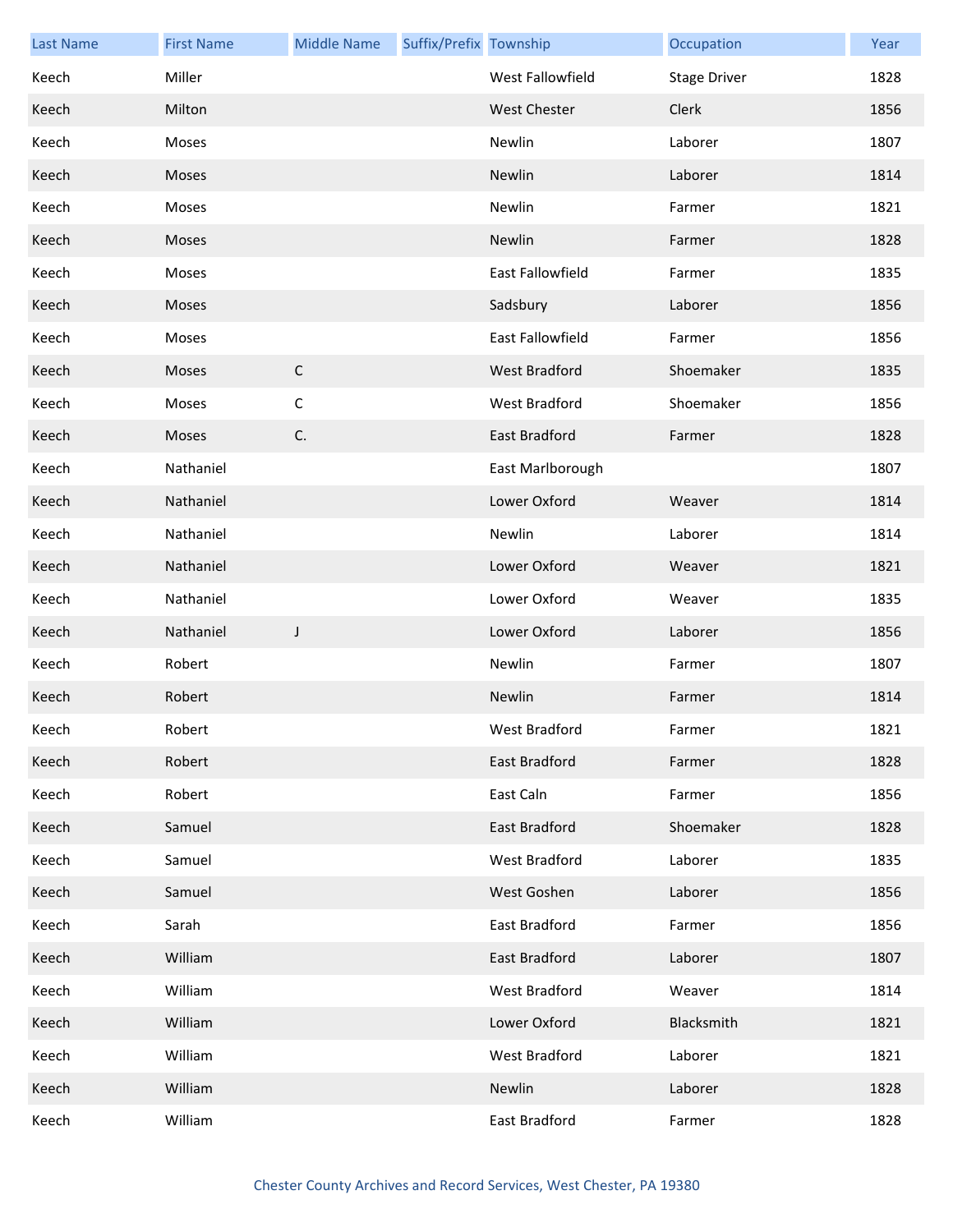| <b>Last Name</b> | <b>First Name</b> | <b>Middle Name</b> | Suffix/Prefix Township |                         | Occupation          | Year |
|------------------|-------------------|--------------------|------------------------|-------------------------|---------------------|------|
| Keech            | Miller            |                    |                        | West Fallowfield        | <b>Stage Driver</b> | 1828 |
| Keech            | Milton            |                    |                        | <b>West Chester</b>     | Clerk               | 1856 |
| Keech            | Moses             |                    |                        | Newlin                  | Laborer             | 1807 |
| Keech            | Moses             |                    |                        | Newlin                  | Laborer             | 1814 |
| Keech            | Moses             |                    |                        | Newlin                  | Farmer              | 1821 |
| Keech            | Moses             |                    |                        | Newlin                  | Farmer              | 1828 |
| Keech            | Moses             |                    |                        | <b>East Fallowfield</b> | Farmer              | 1835 |
| Keech            | Moses             |                    |                        | Sadsbury                | Laborer             | 1856 |
| Keech            | Moses             |                    |                        | <b>East Fallowfield</b> | Farmer              | 1856 |
| Keech            | Moses             | $\mathsf{C}$       |                        | <b>West Bradford</b>    | Shoemaker           | 1835 |
| Keech            | Moses             | $\mathsf C$        |                        | West Bradford           | Shoemaker           | 1856 |
| Keech            | Moses             | C.                 |                        | East Bradford           | Farmer              | 1828 |
| Keech            | Nathaniel         |                    |                        | East Marlborough        |                     | 1807 |
| Keech            | Nathaniel         |                    |                        | Lower Oxford            | Weaver              | 1814 |
| Keech            | Nathaniel         |                    |                        | Newlin                  | Laborer             | 1814 |
| Keech            | Nathaniel         |                    |                        | Lower Oxford            | Weaver              | 1821 |
| Keech            | Nathaniel         |                    |                        | Lower Oxford            | Weaver              | 1835 |
| Keech            | Nathaniel         | J                  |                        | Lower Oxford            | Laborer             | 1856 |
| Keech            | Robert            |                    |                        | Newlin                  | Farmer              | 1807 |
| Keech            | Robert            |                    |                        | Newlin                  | Farmer              | 1814 |
| Keech            | Robert            |                    |                        | West Bradford           | Farmer              | 1821 |
| Keech            | Robert            |                    |                        | <b>East Bradford</b>    | Farmer              | 1828 |
| Keech            | Robert            |                    |                        | East Caln               | Farmer              | 1856 |
| Keech            | Samuel            |                    |                        | East Bradford           | Shoemaker           | 1828 |
| Keech            | Samuel            |                    |                        | West Bradford           | Laborer             | 1835 |
| Keech            | Samuel            |                    |                        | West Goshen             | Laborer             | 1856 |
| Keech            | Sarah             |                    |                        | East Bradford           | Farmer              | 1856 |
| Keech            | William           |                    |                        | East Bradford           | Laborer             | 1807 |
| Keech            | William           |                    |                        | West Bradford           | Weaver              | 1814 |
| Keech            | William           |                    |                        | Lower Oxford            | Blacksmith          | 1821 |
| Keech            | William           |                    |                        | West Bradford           | Laborer             | 1821 |
| Keech            | William           |                    |                        | Newlin                  | Laborer             | 1828 |
| Keech            | William           |                    |                        | East Bradford           | Farmer              | 1828 |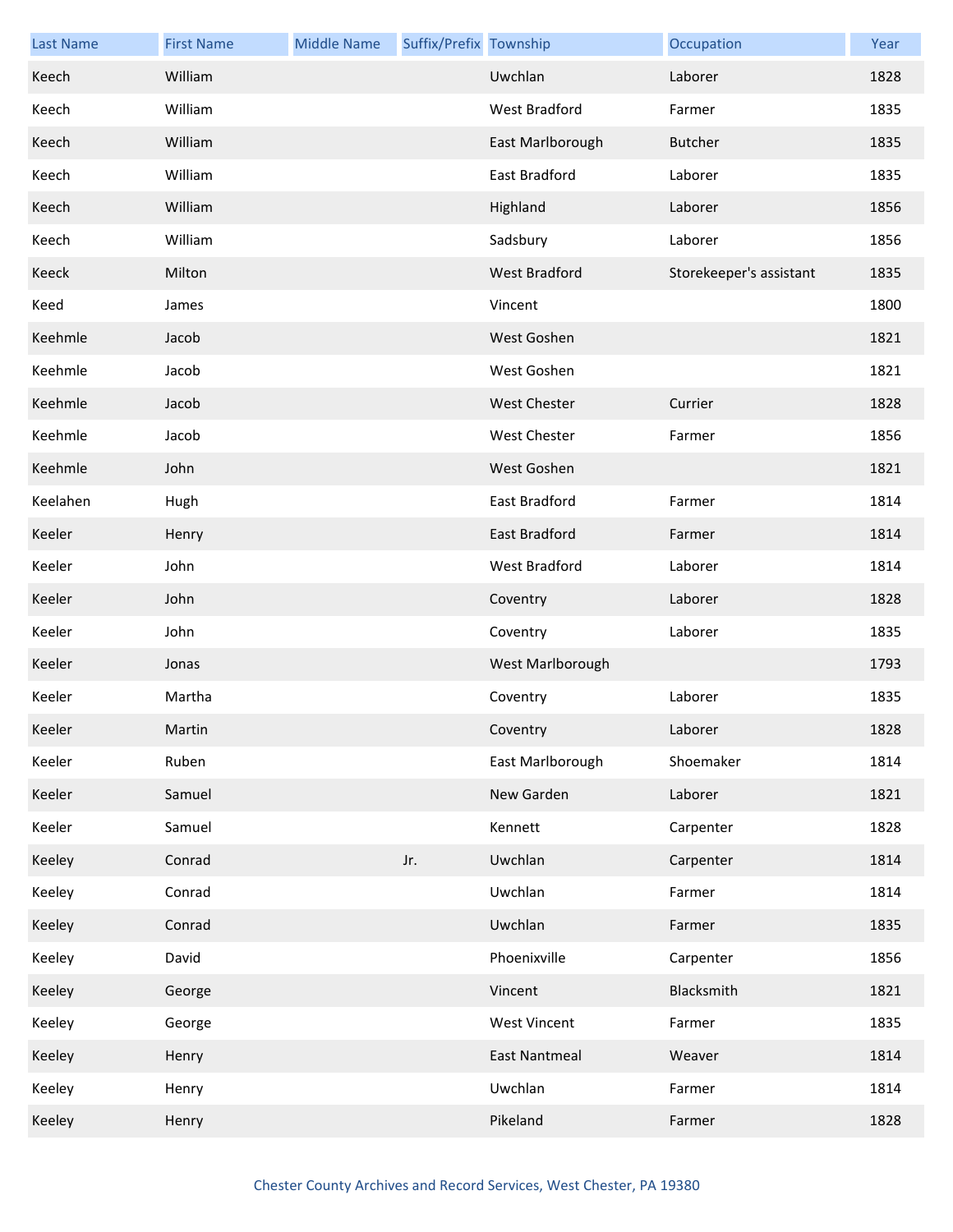| <b>Last Name</b> | <b>First Name</b> | <b>Middle Name</b> | Suffix/Prefix Township |                      | Occupation              | Year |
|------------------|-------------------|--------------------|------------------------|----------------------|-------------------------|------|
| Keech            | William           |                    |                        | Uwchlan              | Laborer                 | 1828 |
| Keech            | William           |                    |                        | West Bradford        | Farmer                  | 1835 |
| Keech            | William           |                    |                        | East Marlborough     | <b>Butcher</b>          | 1835 |
| Keech            | William           |                    |                        | East Bradford        | Laborer                 | 1835 |
| Keech            | William           |                    |                        | Highland             | Laborer                 | 1856 |
| Keech            | William           |                    |                        | Sadsbury             | Laborer                 | 1856 |
| Keeck            | Milton            |                    |                        | West Bradford        | Storekeeper's assistant | 1835 |
| Keed             | James             |                    |                        | Vincent              |                         | 1800 |
| Keehmle          | Jacob             |                    |                        | West Goshen          |                         | 1821 |
| Keehmle          | Jacob             |                    |                        | West Goshen          |                         | 1821 |
| Keehmle          | Jacob             |                    |                        | <b>West Chester</b>  | Currier                 | 1828 |
| Keehmle          | Jacob             |                    |                        | <b>West Chester</b>  | Farmer                  | 1856 |
| Keehmle          | John              |                    |                        | West Goshen          |                         | 1821 |
| Keelahen         | Hugh              |                    |                        | East Bradford        | Farmer                  | 1814 |
| Keeler           | Henry             |                    |                        | East Bradford        | Farmer                  | 1814 |
| Keeler           | John              |                    |                        | West Bradford        | Laborer                 | 1814 |
| Keeler           | John              |                    |                        | Coventry             | Laborer                 | 1828 |
| Keeler           | John              |                    |                        | Coventry             | Laborer                 | 1835 |
| Keeler           | Jonas             |                    |                        | West Marlborough     |                         | 1793 |
| Keeler           | Martha            |                    |                        | Coventry             | Laborer                 | 1835 |
| Keeler           | Martin            |                    |                        | Coventry             | Laborer                 | 1828 |
| Keeler           | Ruben             |                    |                        | East Marlborough     | Shoemaker               | 1814 |
| Keeler           | Samuel            |                    |                        | New Garden           | Laborer                 | 1821 |
| Keeler           | Samuel            |                    |                        | Kennett              | Carpenter               | 1828 |
| Keeley           | Conrad            |                    | Jr.                    | Uwchlan              | Carpenter               | 1814 |
| Keeley           | Conrad            |                    |                        | Uwchlan              | Farmer                  | 1814 |
| Keeley           | Conrad            |                    |                        | Uwchlan              | Farmer                  | 1835 |
| Keeley           | David             |                    |                        | Phoenixville         | Carpenter               | 1856 |
| Keeley           | George            |                    |                        | Vincent              | Blacksmith              | 1821 |
| Keeley           | George            |                    |                        | <b>West Vincent</b>  | Farmer                  | 1835 |
| Keeley           | Henry             |                    |                        | <b>East Nantmeal</b> | Weaver                  | 1814 |
| Keeley           | Henry             |                    |                        | Uwchlan              | Farmer                  | 1814 |
| Keeley           | Henry             |                    |                        | Pikeland             | Farmer                  | 1828 |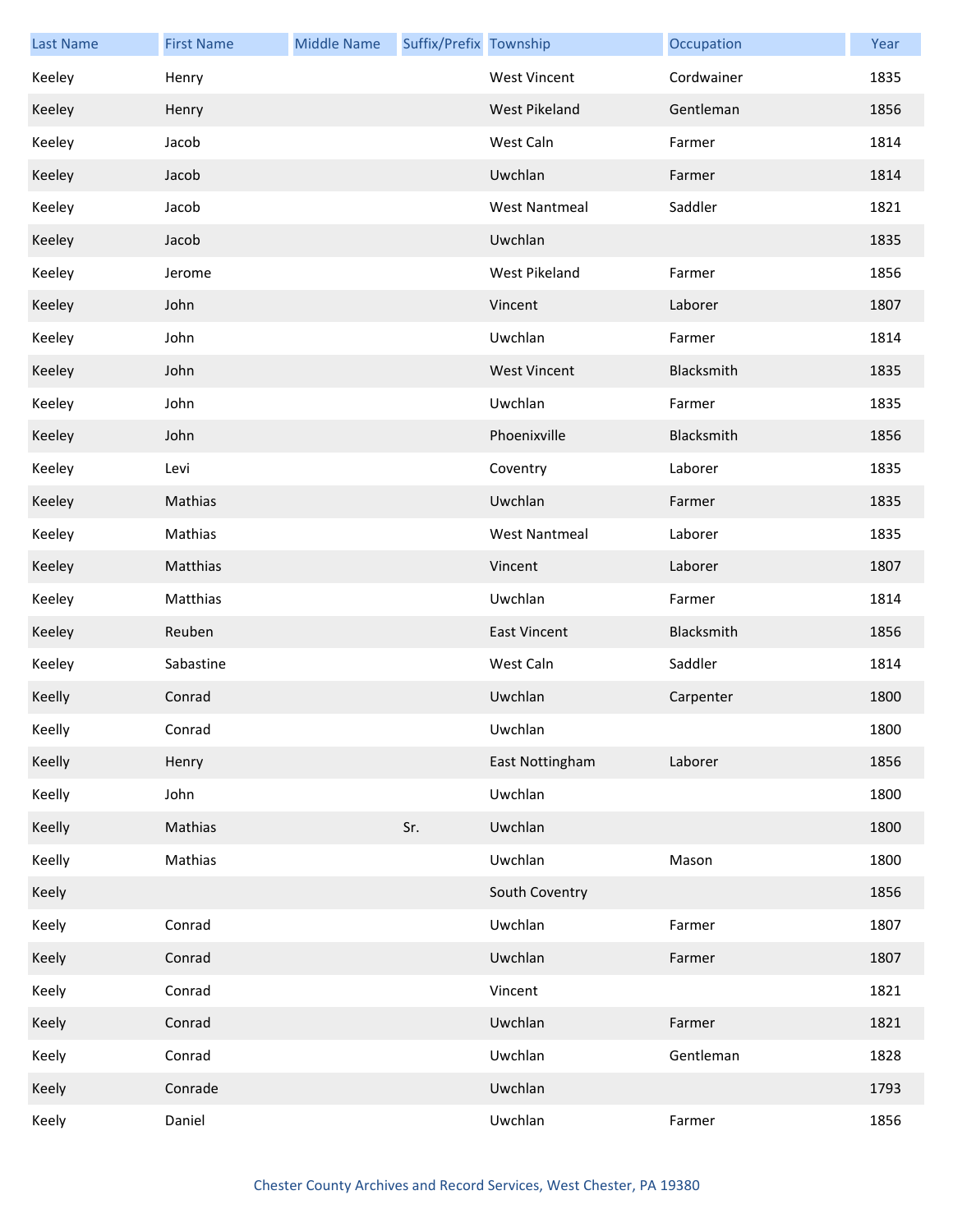| <b>Last Name</b> | <b>First Name</b> | <b>Middle Name</b> | Suffix/Prefix Township |                      | Occupation | Year |
|------------------|-------------------|--------------------|------------------------|----------------------|------------|------|
| Keeley           | Henry             |                    |                        | <b>West Vincent</b>  | Cordwainer | 1835 |
| Keeley           | Henry             |                    |                        | West Pikeland        | Gentleman  | 1856 |
| Keeley           | Jacob             |                    |                        | West Caln            | Farmer     | 1814 |
| Keeley           | Jacob             |                    |                        | Uwchlan              | Farmer     | 1814 |
| Keeley           | Jacob             |                    |                        | <b>West Nantmeal</b> | Saddler    | 1821 |
| Keeley           | Jacob             |                    |                        | Uwchlan              |            | 1835 |
| Keeley           | Jerome            |                    |                        | West Pikeland        | Farmer     | 1856 |
| Keeley           | John              |                    |                        | Vincent              | Laborer    | 1807 |
| Keeley           | John              |                    |                        | Uwchlan              | Farmer     | 1814 |
| Keeley           | John              |                    |                        | <b>West Vincent</b>  | Blacksmith | 1835 |
| Keeley           | John              |                    |                        | Uwchlan              | Farmer     | 1835 |
| Keeley           | John              |                    |                        | Phoenixville         | Blacksmith | 1856 |
| Keeley           | Levi              |                    |                        | Coventry             | Laborer    | 1835 |
| Keeley           | Mathias           |                    |                        | Uwchlan              | Farmer     | 1835 |
| Keeley           | Mathias           |                    |                        | <b>West Nantmeal</b> | Laborer    | 1835 |
| Keeley           | Matthias          |                    |                        | Vincent              | Laborer    | 1807 |
| Keeley           | Matthias          |                    |                        | Uwchlan              | Farmer     | 1814 |
| Keeley           | Reuben            |                    |                        | <b>East Vincent</b>  | Blacksmith | 1856 |
| Keeley           | Sabastine         |                    |                        | West Caln            | Saddler    | 1814 |
| Keelly           | Conrad            |                    |                        | Uwchlan              | Carpenter  | 1800 |
| Keelly           | Conrad            |                    |                        | Uwchlan              |            | 1800 |
| Keelly           | Henry             |                    |                        | East Nottingham      | Laborer    | 1856 |
| Keelly           | John              |                    |                        | Uwchlan              |            | 1800 |
| Keelly           | Mathias           |                    | Sr.                    | Uwchlan              |            | 1800 |
| Keelly           | Mathias           |                    |                        | Uwchlan              | Mason      | 1800 |
| Keely            |                   |                    |                        | South Coventry       |            | 1856 |
| Keely            | Conrad            |                    |                        | Uwchlan              | Farmer     | 1807 |
| Keely            | Conrad            |                    |                        | Uwchlan              | Farmer     | 1807 |
| Keely            | Conrad            |                    |                        | Vincent              |            | 1821 |
| Keely            | Conrad            |                    |                        | Uwchlan              | Farmer     | 1821 |
| Keely            | Conrad            |                    |                        | Uwchlan              | Gentleman  | 1828 |
| Keely            | Conrade           |                    |                        | Uwchlan              |            | 1793 |
| Keely            | Daniel            |                    |                        | Uwchlan              | Farmer     | 1856 |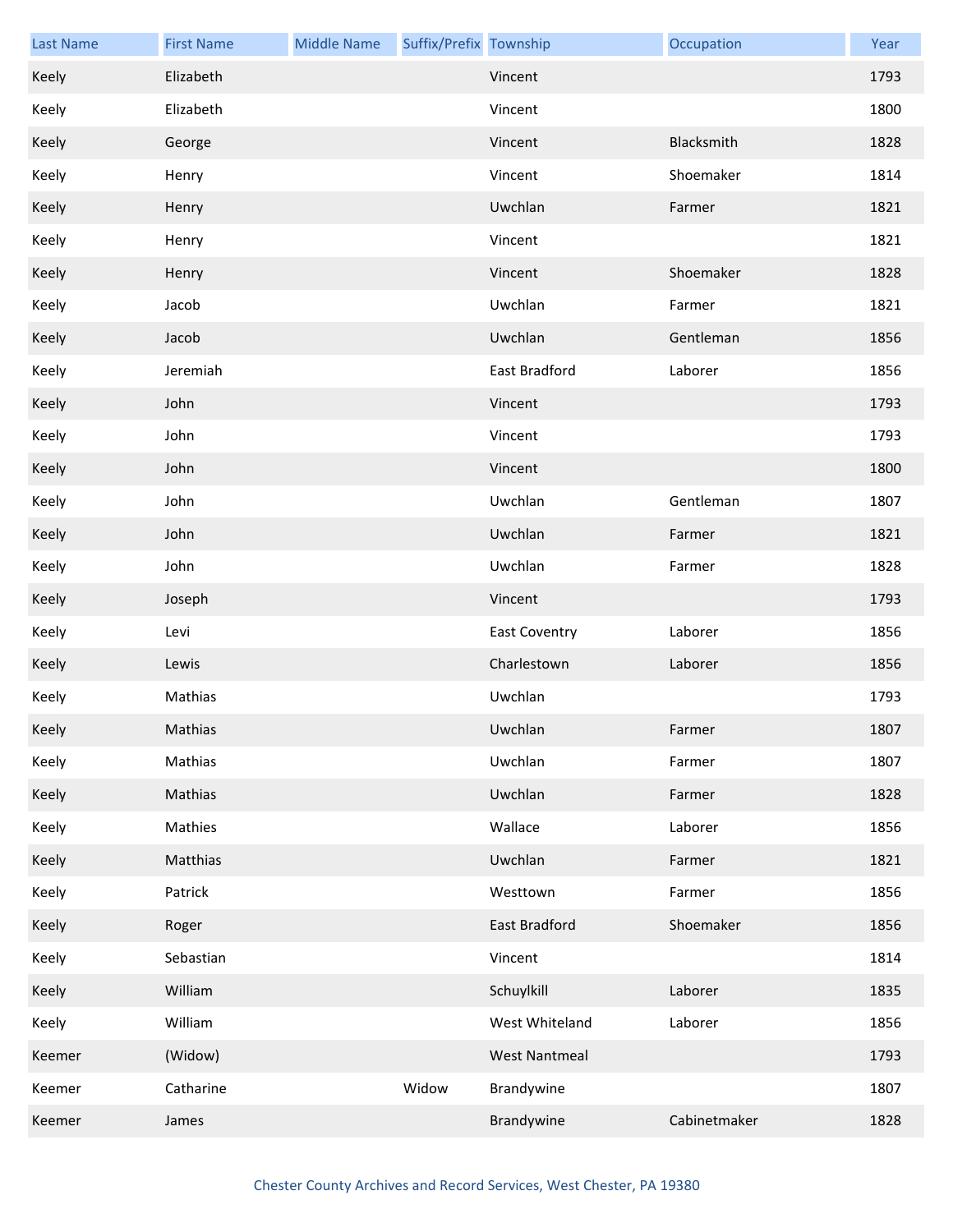| <b>Last Name</b> | <b>First Name</b> | <b>Middle Name</b> | Suffix/Prefix Township |                      | Occupation   | Year |
|------------------|-------------------|--------------------|------------------------|----------------------|--------------|------|
| Keely            | Elizabeth         |                    |                        | Vincent              |              | 1793 |
| Keely            | Elizabeth         |                    |                        | Vincent              |              | 1800 |
| Keely            | George            |                    |                        | Vincent              | Blacksmith   | 1828 |
| Keely            | Henry             |                    |                        | Vincent              | Shoemaker    | 1814 |
| Keely            | Henry             |                    |                        | Uwchlan              | Farmer       | 1821 |
| Keely            | Henry             |                    |                        | Vincent              |              | 1821 |
| Keely            | Henry             |                    |                        | Vincent              | Shoemaker    | 1828 |
| Keely            | Jacob             |                    |                        | Uwchlan              | Farmer       | 1821 |
| Keely            | Jacob             |                    |                        | Uwchlan              | Gentleman    | 1856 |
| Keely            | Jeremiah          |                    |                        | East Bradford        | Laborer      | 1856 |
| Keely            | John              |                    |                        | Vincent              |              | 1793 |
| Keely            | John              |                    |                        | Vincent              |              | 1793 |
| Keely            | John              |                    |                        | Vincent              |              | 1800 |
| Keely            | John              |                    |                        | Uwchlan              | Gentleman    | 1807 |
| Keely            | John              |                    |                        | Uwchlan              | Farmer       | 1821 |
| Keely            | John              |                    |                        | Uwchlan              | Farmer       | 1828 |
| Keely            | Joseph            |                    |                        | Vincent              |              | 1793 |
| Keely            | Levi              |                    |                        | <b>East Coventry</b> | Laborer      | 1856 |
| Keely            | Lewis             |                    |                        | Charlestown          | Laborer      | 1856 |
| Keely            | Mathias           |                    |                        | Uwchlan              |              | 1793 |
| Keely            | Mathias           |                    |                        | Uwchlan              | Farmer       | 1807 |
| Keely            | Mathias           |                    |                        | Uwchlan              | Farmer       | 1807 |
| Keely            | Mathias           |                    |                        | Uwchlan              | Farmer       | 1828 |
| Keely            | Mathies           |                    |                        | Wallace              | Laborer      | 1856 |
| Keely            | Matthias          |                    |                        | Uwchlan              | Farmer       | 1821 |
| Keely            | Patrick           |                    |                        | Westtown             | Farmer       | 1856 |
| Keely            | Roger             |                    |                        | East Bradford        | Shoemaker    | 1856 |
| Keely            | Sebastian         |                    |                        | Vincent              |              | 1814 |
| Keely            | William           |                    |                        | Schuylkill           | Laborer      | 1835 |
| Keely            | William           |                    |                        | West Whiteland       | Laborer      | 1856 |
| Keemer           | (Widow)           |                    |                        | <b>West Nantmeal</b> |              | 1793 |
| Keemer           | Catharine         |                    | Widow                  | Brandywine           |              | 1807 |
| Keemer           | James             |                    |                        | Brandywine           | Cabinetmaker | 1828 |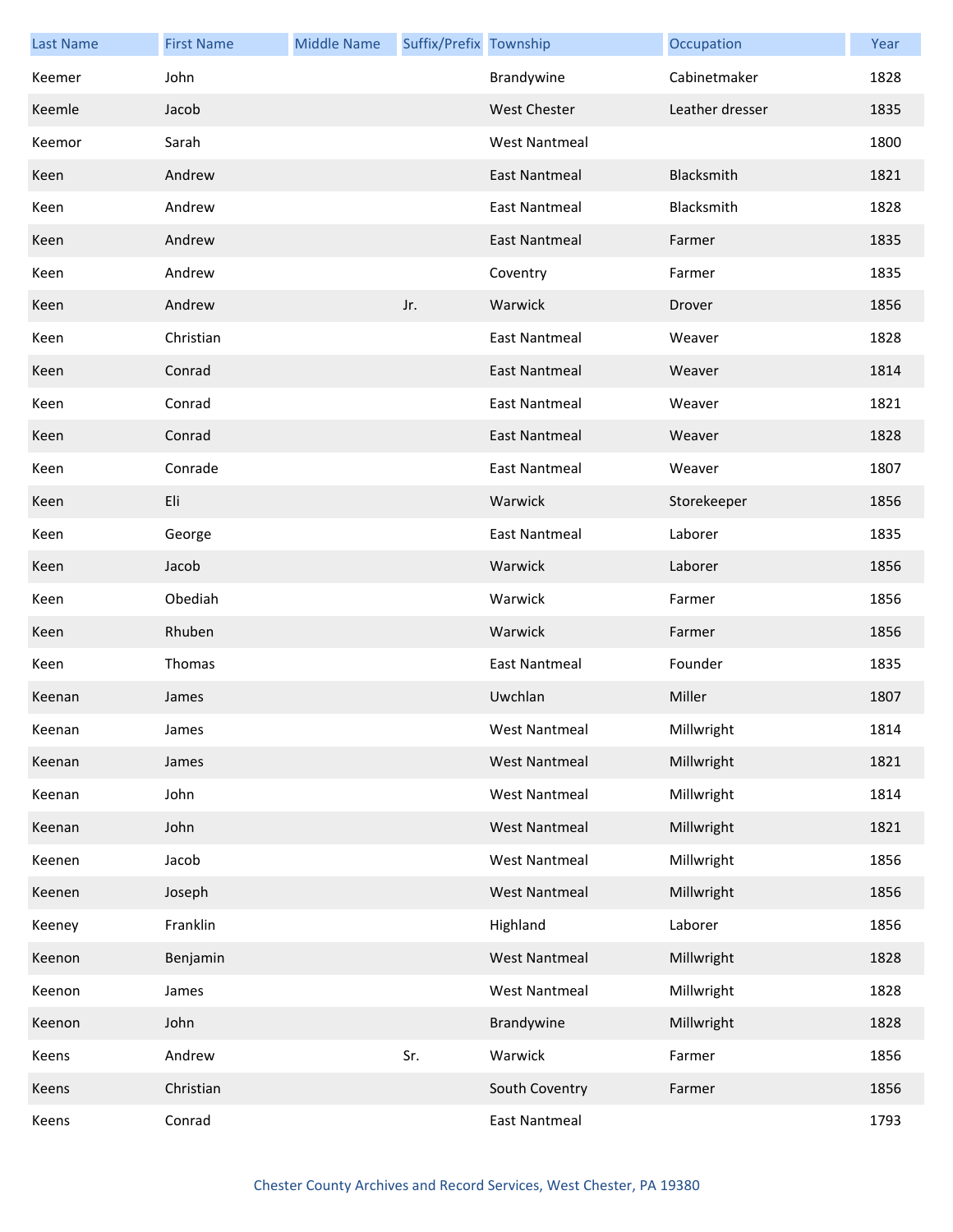| <b>Last Name</b> | <b>First Name</b> | <b>Middle Name</b> | Suffix/Prefix Township |                      | Occupation      | Year |
|------------------|-------------------|--------------------|------------------------|----------------------|-----------------|------|
| Keemer           | John              |                    |                        | Brandywine           | Cabinetmaker    | 1828 |
| Keemle           | Jacob             |                    |                        | <b>West Chester</b>  | Leather dresser | 1835 |
| Keemor           | Sarah             |                    |                        | West Nantmeal        |                 | 1800 |
| Keen             | Andrew            |                    |                        | <b>East Nantmeal</b> | Blacksmith      | 1821 |
| Keen             | Andrew            |                    |                        | <b>East Nantmeal</b> | Blacksmith      | 1828 |
| Keen             | Andrew            |                    |                        | <b>East Nantmeal</b> | Farmer          | 1835 |
| Keen             | Andrew            |                    |                        | Coventry             | Farmer          | 1835 |
| Keen             | Andrew            |                    | Jr.                    | Warwick              | Drover          | 1856 |
| Keen             | Christian         |                    |                        | <b>East Nantmeal</b> | Weaver          | 1828 |
| Keen             | Conrad            |                    |                        | East Nantmeal        | Weaver          | 1814 |
| Keen             | Conrad            |                    |                        | <b>East Nantmeal</b> | Weaver          | 1821 |
| Keen             | Conrad            |                    |                        | East Nantmeal        | Weaver          | 1828 |
| Keen             | Conrade           |                    |                        | East Nantmeal        | Weaver          | 1807 |
| Keen             | Eli               |                    |                        | Warwick              | Storekeeper     | 1856 |
| Keen             | George            |                    |                        | <b>East Nantmeal</b> | Laborer         | 1835 |
| Keen             | Jacob             |                    |                        | Warwick              | Laborer         | 1856 |
| Keen             | Obediah           |                    |                        | Warwick              | Farmer          | 1856 |
| Keen             | Rhuben            |                    |                        | Warwick              | Farmer          | 1856 |
| Keen             | Thomas            |                    |                        | <b>East Nantmeal</b> | Founder         | 1835 |
| Keenan           | James             |                    |                        | Uwchlan              | Miller          | 1807 |
| Keenan           | James             |                    |                        | West Nantmeal        | Millwright      | 1814 |
| Keenan           | James             |                    |                        | <b>West Nantmeal</b> | Millwright      | 1821 |
| Keenan           | John              |                    |                        | <b>West Nantmeal</b> | Millwright      | 1814 |
| Keenan           | John              |                    |                        | <b>West Nantmeal</b> | Millwright      | 1821 |
| Keenen           | Jacob             |                    |                        | <b>West Nantmeal</b> | Millwright      | 1856 |
| Keenen           | Joseph            |                    |                        | <b>West Nantmeal</b> | Millwright      | 1856 |
| Keeney           | Franklin          |                    |                        | Highland             | Laborer         | 1856 |
| Keenon           | Benjamin          |                    |                        | <b>West Nantmeal</b> | Millwright      | 1828 |
| Keenon           | James             |                    |                        | West Nantmeal        | Millwright      | 1828 |
| Keenon           | John              |                    |                        | Brandywine           | Millwright      | 1828 |
| Keens            | Andrew            |                    | Sr.                    | Warwick              | Farmer          | 1856 |
| Keens            | Christian         |                    |                        | South Coventry       | Farmer          | 1856 |
| Keens            | Conrad            |                    |                        | <b>East Nantmeal</b> |                 | 1793 |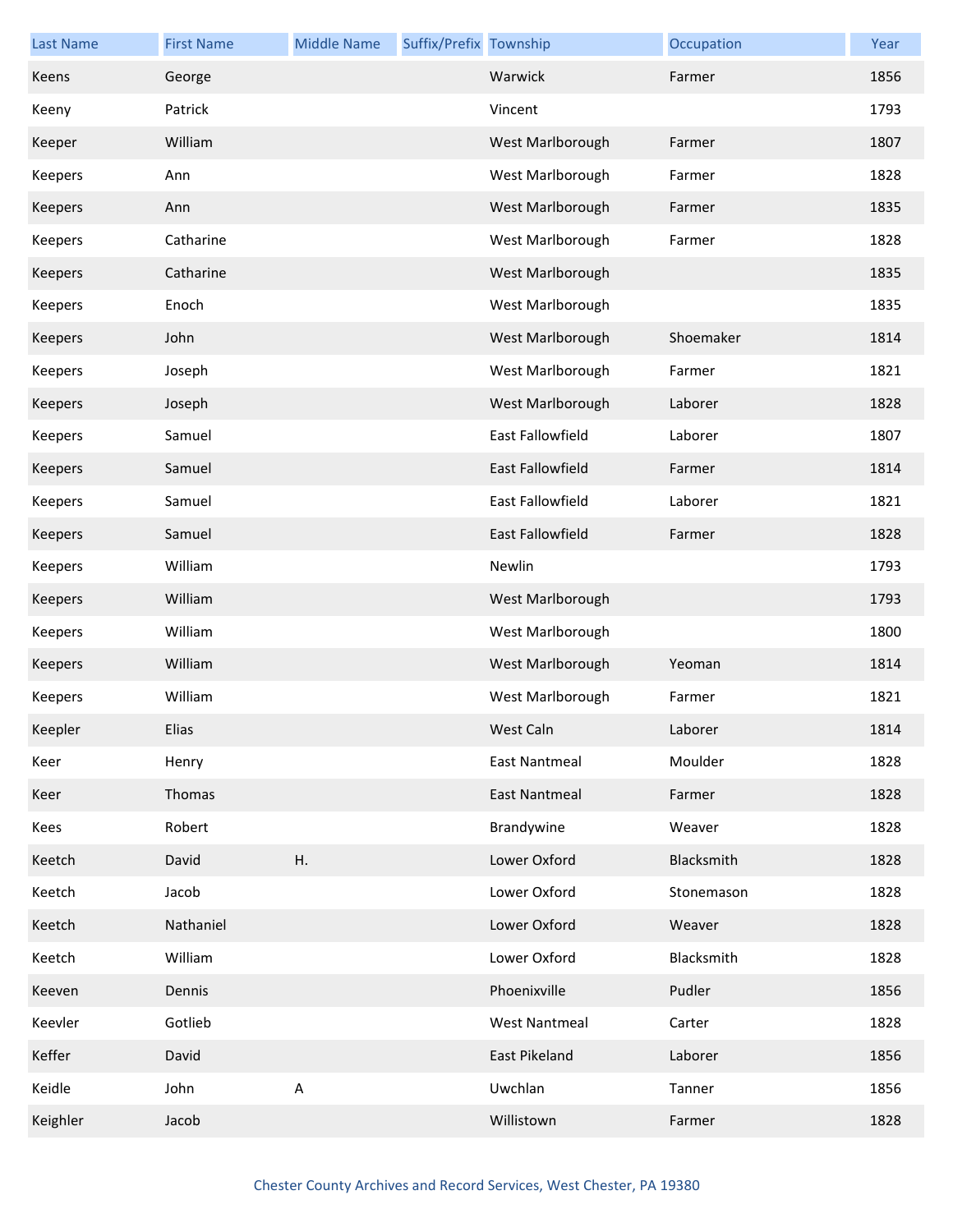| <b>Last Name</b> | <b>First Name</b> | <b>Middle Name</b> | Suffix/Prefix Township |                         | Occupation | Year |
|------------------|-------------------|--------------------|------------------------|-------------------------|------------|------|
| Keens            | George            |                    |                        | Warwick                 | Farmer     | 1856 |
| Keeny            | Patrick           |                    |                        | Vincent                 |            | 1793 |
| Keeper           | William           |                    |                        | West Marlborough        | Farmer     | 1807 |
| Keepers          | Ann               |                    |                        | West Marlborough        | Farmer     | 1828 |
| Keepers          | Ann               |                    |                        | West Marlborough        | Farmer     | 1835 |
| Keepers          | Catharine         |                    |                        | West Marlborough        | Farmer     | 1828 |
| Keepers          | Catharine         |                    |                        | West Marlborough        |            | 1835 |
| Keepers          | Enoch             |                    |                        | West Marlborough        |            | 1835 |
| Keepers          | John              |                    |                        | West Marlborough        | Shoemaker  | 1814 |
| Keepers          | Joseph            |                    |                        | West Marlborough        | Farmer     | 1821 |
| Keepers          | Joseph            |                    |                        | West Marlborough        | Laborer    | 1828 |
| Keepers          | Samuel            |                    |                        | East Fallowfield        | Laborer    | 1807 |
| Keepers          | Samuel            |                    |                        | East Fallowfield        | Farmer     | 1814 |
| Keepers          | Samuel            |                    |                        | East Fallowfield        | Laborer    | 1821 |
| Keepers          | Samuel            |                    |                        | <b>East Fallowfield</b> | Farmer     | 1828 |
| Keepers          | William           |                    |                        | Newlin                  |            | 1793 |
| Keepers          | William           |                    |                        | West Marlborough        |            | 1793 |
| Keepers          | William           |                    |                        | West Marlborough        |            | 1800 |
| Keepers          | William           |                    |                        | West Marlborough        | Yeoman     | 1814 |
| Keepers          | William           |                    |                        | West Marlborough        | Farmer     | 1821 |
| Keepler          | Elias             |                    |                        | West Caln               | Laborer    | 1814 |
| Keer             | Henry             |                    |                        | <b>East Nantmeal</b>    | Moulder    | 1828 |
| Keer             | Thomas            |                    |                        | <b>East Nantmeal</b>    | Farmer     | 1828 |
| Kees             | Robert            |                    |                        | Brandywine              | Weaver     | 1828 |
| Keetch           | David             | Η.                 |                        | Lower Oxford            | Blacksmith | 1828 |
| Keetch           | Jacob             |                    |                        | Lower Oxford            | Stonemason | 1828 |
| Keetch           | Nathaniel         |                    |                        | Lower Oxford            | Weaver     | 1828 |
| Keetch           | William           |                    |                        | Lower Oxford            | Blacksmith | 1828 |
| Keeven           | Dennis            |                    |                        | Phoenixville            | Pudler     | 1856 |
| Keevler          | Gotlieb           |                    |                        | <b>West Nantmeal</b>    | Carter     | 1828 |
| Keffer           | David             |                    |                        | East Pikeland           | Laborer    | 1856 |
| Keidle           | John              | $\mathsf A$        |                        | Uwchlan                 | Tanner     | 1856 |
| Keighler         | Jacob             |                    |                        | Willistown              | Farmer     | 1828 |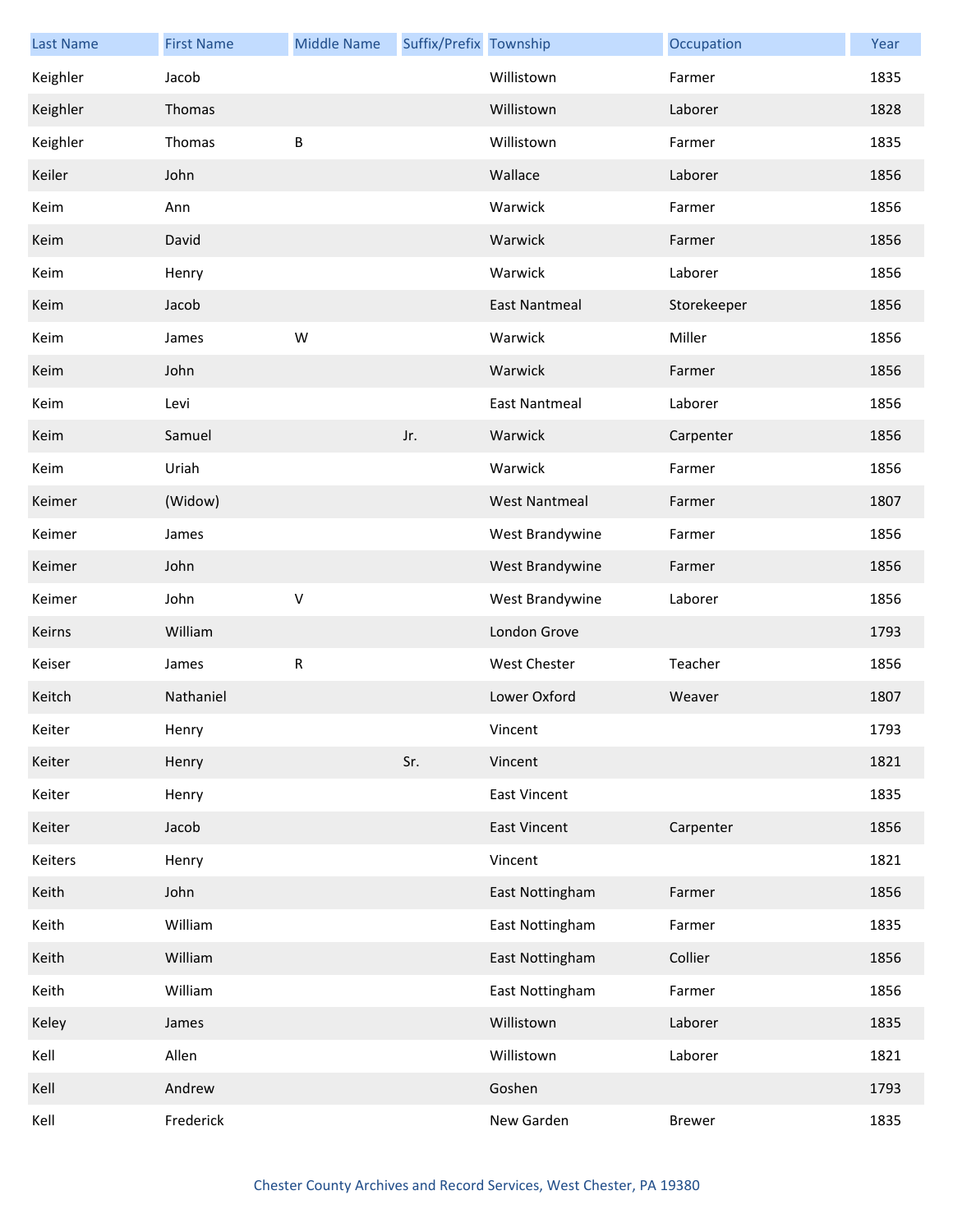| <b>Last Name</b> | <b>First Name</b> | <b>Middle Name</b> | Suffix/Prefix Township |                      | Occupation    | Year |
|------------------|-------------------|--------------------|------------------------|----------------------|---------------|------|
| Keighler         | Jacob             |                    |                        | Willistown           | Farmer        | 1835 |
| Keighler         | Thomas            |                    |                        | Willistown           | Laborer       | 1828 |
| Keighler         | Thomas            | B                  |                        | Willistown           | Farmer        | 1835 |
| Keiler           | John              |                    |                        | Wallace              | Laborer       | 1856 |
| Keim             | Ann               |                    |                        | Warwick              | Farmer        | 1856 |
| Keim             | David             |                    |                        | Warwick              | Farmer        | 1856 |
| Keim             | Henry             |                    |                        | Warwick              | Laborer       | 1856 |
| Keim             | Jacob             |                    |                        | <b>East Nantmeal</b> | Storekeeper   | 1856 |
| Keim             | James             | W                  |                        | Warwick              | Miller        | 1856 |
| Keim             | John              |                    |                        | Warwick              | Farmer        | 1856 |
| Keim             | Levi              |                    |                        | <b>East Nantmeal</b> | Laborer       | 1856 |
| Keim             | Samuel            |                    | Jr.                    | Warwick              | Carpenter     | 1856 |
| Keim             | Uriah             |                    |                        | Warwick              | Farmer        | 1856 |
| Keimer           | (Widow)           |                    |                        | <b>West Nantmeal</b> | Farmer        | 1807 |
| Keimer           | James             |                    |                        | West Brandywine      | Farmer        | 1856 |
| Keimer           | John              |                    |                        | West Brandywine      | Farmer        | 1856 |
| Keimer           | John              | $\sf V$            |                        | West Brandywine      | Laborer       | 1856 |
| Keirns           | William           |                    |                        | London Grove         |               | 1793 |
| Keiser           | James             | ${\sf R}$          |                        | <b>West Chester</b>  | Teacher       | 1856 |
| Keitch           | Nathaniel         |                    |                        | Lower Oxford         | Weaver        | 1807 |
| Keiter           | Henry             |                    |                        | Vincent              |               | 1793 |
| Keiter           | Henry             |                    | Sr.                    | Vincent              |               | 1821 |
| Keiter           | Henry             |                    |                        | East Vincent         |               | 1835 |
| Keiter           | Jacob             |                    |                        | <b>East Vincent</b>  | Carpenter     | 1856 |
| Keiters          | Henry             |                    |                        | Vincent              |               | 1821 |
| Keith            | John              |                    |                        | East Nottingham      | Farmer        | 1856 |
| Keith            | William           |                    |                        | East Nottingham      | Farmer        | 1835 |
| Keith            | William           |                    |                        | East Nottingham      | Collier       | 1856 |
| Keith            | William           |                    |                        | East Nottingham      | Farmer        | 1856 |
| Keley            | James             |                    |                        | Willistown           | Laborer       | 1835 |
| Kell             | Allen             |                    |                        | Willistown           | Laborer       | 1821 |
| Kell             | Andrew            |                    |                        | Goshen               |               | 1793 |
| Kell             | Frederick         |                    |                        | New Garden           | <b>Brewer</b> | 1835 |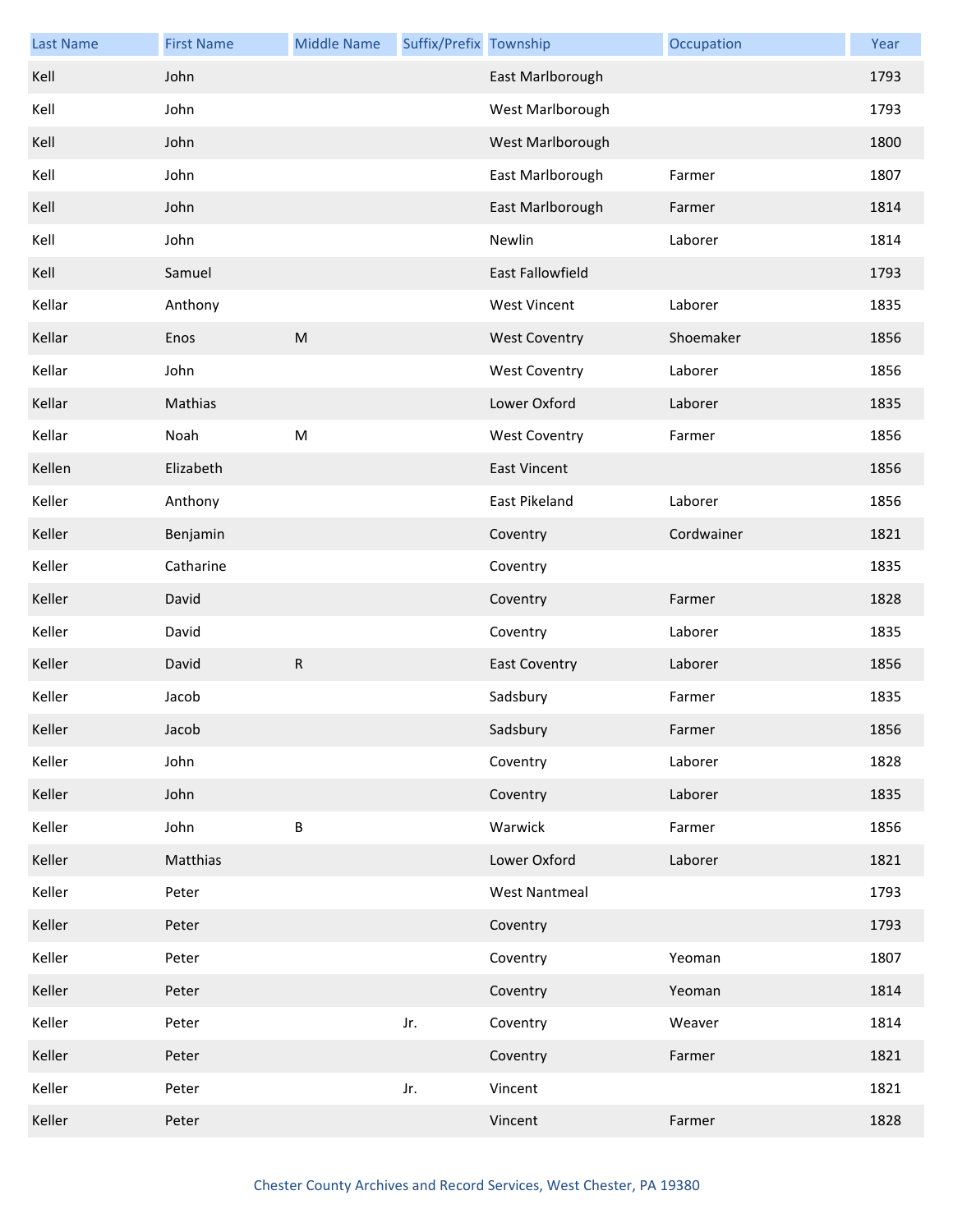| <b>Last Name</b> | <b>First Name</b> | <b>Middle Name</b> | Suffix/Prefix Township |                      | Occupation | Year |
|------------------|-------------------|--------------------|------------------------|----------------------|------------|------|
| Kell             | John              |                    |                        | East Marlborough     |            | 1793 |
| Kell             | John              |                    |                        | West Marlborough     |            | 1793 |
| Kell             | John              |                    |                        | West Marlborough     |            | 1800 |
| Kell             | John              |                    |                        | East Marlborough     | Farmer     | 1807 |
| Kell             | John              |                    |                        | East Marlborough     | Farmer     | 1814 |
| Kell             | John              |                    |                        | Newlin               | Laborer    | 1814 |
| Kell             | Samuel            |                    |                        | East Fallowfield     |            | 1793 |
| Kellar           | Anthony           |                    |                        | <b>West Vincent</b>  | Laborer    | 1835 |
| Kellar           | Enos              | ${\sf M}$          |                        | <b>West Coventry</b> | Shoemaker  | 1856 |
| Kellar           | John              |                    |                        | <b>West Coventry</b> | Laborer    | 1856 |
| Kellar           | Mathias           |                    |                        | Lower Oxford         | Laborer    | 1835 |
| Kellar           | Noah              | ${\sf M}$          |                        | <b>West Coventry</b> | Farmer     | 1856 |
| Kellen           | Elizabeth         |                    |                        | <b>East Vincent</b>  |            | 1856 |
| Keller           | Anthony           |                    |                        | East Pikeland        | Laborer    | 1856 |
| Keller           | Benjamin          |                    |                        | Coventry             | Cordwainer | 1821 |
| Keller           | Catharine         |                    |                        | Coventry             |            | 1835 |
| Keller           | David             |                    |                        | Coventry             | Farmer     | 1828 |
| Keller           | David             |                    |                        | Coventry             | Laborer    | 1835 |
| Keller           | David             | R                  |                        | <b>East Coventry</b> | Laborer    | 1856 |
| Keller           | Jacob             |                    |                        | Sadsbury             | Farmer     | 1835 |
| Keller           | Jacob             |                    |                        | Sadsbury             | Farmer     | 1856 |
| Keller           | John              |                    |                        | Coventry             | Laborer    | 1828 |
| Keller           | John              |                    |                        | Coventry             | Laborer    | 1835 |
| Keller           | John              | $\sf B$            |                        | Warwick              | Farmer     | 1856 |
| Keller           | Matthias          |                    |                        | Lower Oxford         | Laborer    | 1821 |
| Keller           | Peter             |                    |                        | <b>West Nantmeal</b> |            | 1793 |
| Keller           | Peter             |                    |                        | Coventry             |            | 1793 |
| Keller           | Peter             |                    |                        | Coventry             | Yeoman     | 1807 |
| Keller           | Peter             |                    |                        | Coventry             | Yeoman     | 1814 |
| Keller           | Peter             |                    | Jr.                    | Coventry             | Weaver     | 1814 |
| Keller           | Peter             |                    |                        | Coventry             | Farmer     | 1821 |
| Keller           | Peter             |                    | Jr.                    | Vincent              |            | 1821 |
| Keller           | Peter             |                    |                        | Vincent              | Farmer     | 1828 |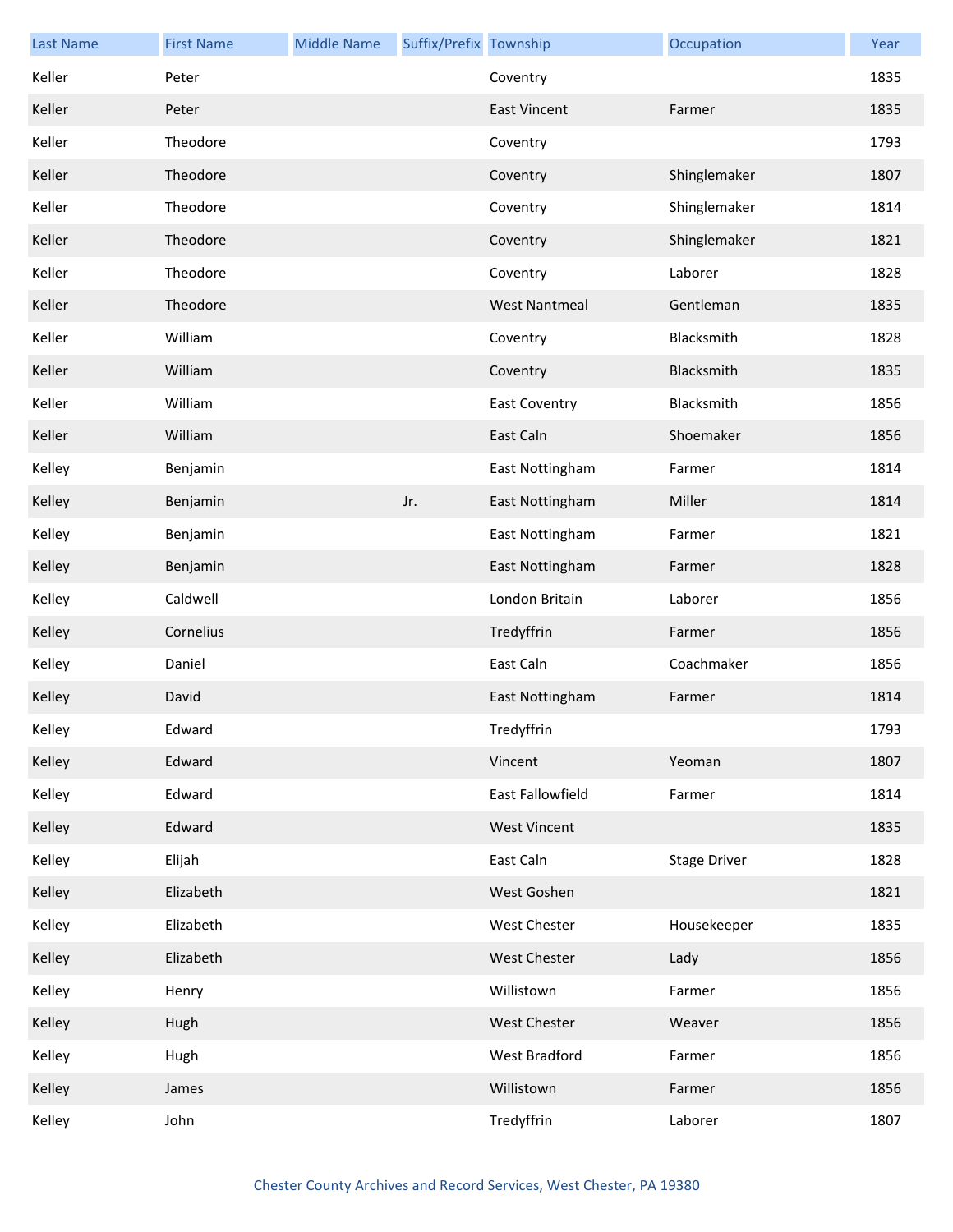| <b>Last Name</b> | <b>First Name</b> | <b>Middle Name</b> | Suffix/Prefix Township |                      | Occupation          | Year |
|------------------|-------------------|--------------------|------------------------|----------------------|---------------------|------|
| Keller           | Peter             |                    |                        | Coventry             |                     | 1835 |
| Keller           | Peter             |                    |                        | <b>East Vincent</b>  | Farmer              | 1835 |
| Keller           | Theodore          |                    |                        | Coventry             |                     | 1793 |
| Keller           | Theodore          |                    |                        | Coventry             | Shinglemaker        | 1807 |
| Keller           | Theodore          |                    |                        | Coventry             | Shinglemaker        | 1814 |
| Keller           | Theodore          |                    |                        | Coventry             | Shinglemaker        | 1821 |
| Keller           | Theodore          |                    |                        | Coventry             | Laborer             | 1828 |
| Keller           | Theodore          |                    |                        | <b>West Nantmeal</b> | Gentleman           | 1835 |
| Keller           | William           |                    |                        | Coventry             | Blacksmith          | 1828 |
| Keller           | William           |                    |                        | Coventry             | Blacksmith          | 1835 |
| Keller           | William           |                    |                        | <b>East Coventry</b> | Blacksmith          | 1856 |
| Keller           | William           |                    |                        | East Caln            | Shoemaker           | 1856 |
| Kelley           | Benjamin          |                    |                        | East Nottingham      | Farmer              | 1814 |
| Kelley           | Benjamin          |                    | Jr.                    | East Nottingham      | Miller              | 1814 |
| Kelley           | Benjamin          |                    |                        | East Nottingham      | Farmer              | 1821 |
| Kelley           | Benjamin          |                    |                        | East Nottingham      | Farmer              | 1828 |
| Kelley           | Caldwell          |                    |                        | London Britain       | Laborer             | 1856 |
| Kelley           | Cornelius         |                    |                        | Tredyffrin           | Farmer              | 1856 |
| Kelley           | Daniel            |                    |                        | East Caln            | Coachmaker          | 1856 |
| Kelley           | David             |                    |                        | East Nottingham      | Farmer              | 1814 |
| Kelley           | Edward            |                    |                        | Tredyffrin           |                     | 1793 |
| Kelley           | Edward            |                    |                        | Vincent              | Yeoman              | 1807 |
| Kelley           | Edward            |                    |                        | East Fallowfield     | Farmer              | 1814 |
| Kelley           | Edward            |                    |                        | <b>West Vincent</b>  |                     | 1835 |
| Kelley           | Elijah            |                    |                        | East Caln            | <b>Stage Driver</b> | 1828 |
| Kelley           | Elizabeth         |                    |                        | West Goshen          |                     | 1821 |
| Kelley           | Elizabeth         |                    |                        | West Chester         | Housekeeper         | 1835 |
| Kelley           | Elizabeth         |                    |                        | <b>West Chester</b>  | Lady                | 1856 |
| Kelley           | Henry             |                    |                        | Willistown           | Farmer              | 1856 |
| Kelley           | Hugh              |                    |                        | <b>West Chester</b>  | Weaver              | 1856 |
| Kelley           | Hugh              |                    |                        | West Bradford        | Farmer              | 1856 |
| Kelley           | James             |                    |                        | Willistown           | Farmer              | 1856 |
| Kelley           | John              |                    |                        | Tredyffrin           | Laborer             | 1807 |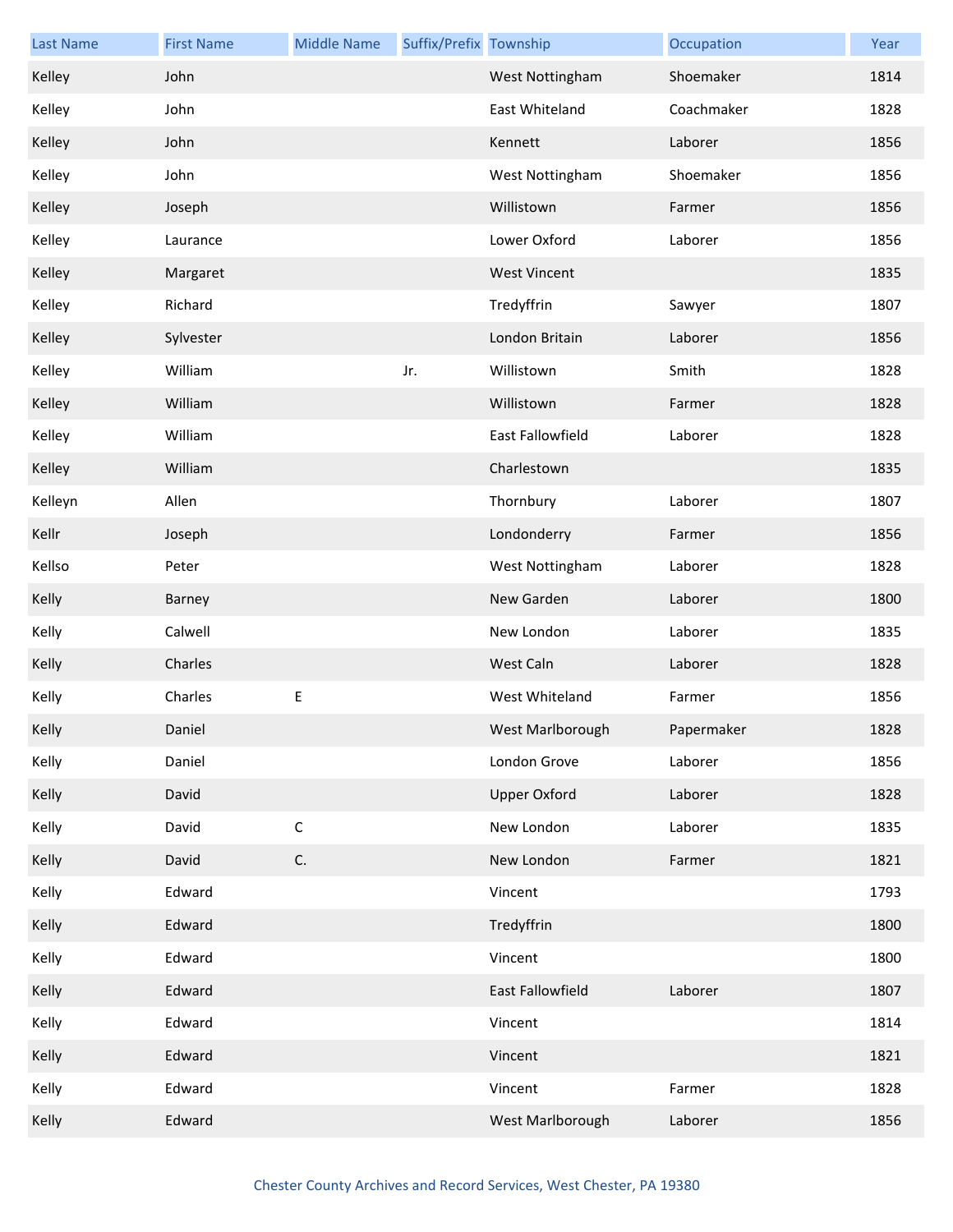| <b>Last Name</b> | <b>First Name</b> | <b>Middle Name</b> | Suffix/Prefix Township |                     | Occupation | Year |
|------------------|-------------------|--------------------|------------------------|---------------------|------------|------|
| Kelley           | John              |                    |                        | West Nottingham     | Shoemaker  | 1814 |
| Kelley           | John              |                    |                        | East Whiteland      | Coachmaker | 1828 |
| Kelley           | John              |                    |                        | Kennett             | Laborer    | 1856 |
| Kelley           | John              |                    |                        | West Nottingham     | Shoemaker  | 1856 |
| Kelley           | Joseph            |                    |                        | Willistown          | Farmer     | 1856 |
| Kelley           | Laurance          |                    |                        | Lower Oxford        | Laborer    | 1856 |
| Kelley           | Margaret          |                    |                        | <b>West Vincent</b> |            | 1835 |
| Kelley           | Richard           |                    |                        | Tredyffrin          | Sawyer     | 1807 |
| Kelley           | Sylvester         |                    |                        | London Britain      | Laborer    | 1856 |
| Kelley           | William           |                    | Jr.                    | Willistown          | Smith      | 1828 |
| Kelley           | William           |                    |                        | Willistown          | Farmer     | 1828 |
| Kelley           | William           |                    |                        | East Fallowfield    | Laborer    | 1828 |
| Kelley           | William           |                    |                        | Charlestown         |            | 1835 |
| Kelleyn          | Allen             |                    |                        | Thornbury           | Laborer    | 1807 |
| Kellr            | Joseph            |                    |                        | Londonderry         | Farmer     | 1856 |
| Kellso           | Peter             |                    |                        | West Nottingham     | Laborer    | 1828 |
| Kelly            | Barney            |                    |                        | New Garden          | Laborer    | 1800 |
| Kelly            | Calwell           |                    |                        | New London          | Laborer    | 1835 |
| Kelly            | Charles           |                    |                        | West Caln           | Laborer    | 1828 |
| Kelly            | Charles           | E                  |                        | West Whiteland      | Farmer     | 1856 |
| Kelly            | Daniel            |                    |                        | West Marlborough    | Papermaker | 1828 |
| Kelly            | Daniel            |                    |                        | London Grove        | Laborer    | 1856 |
| Kelly            | David             |                    |                        | <b>Upper Oxford</b> | Laborer    | 1828 |
| Kelly            | David             | $\mathsf C$        |                        | New London          | Laborer    | 1835 |
| Kelly            | David             | C.                 |                        | New London          | Farmer     | 1821 |
| Kelly            | Edward            |                    |                        | Vincent             |            | 1793 |
| Kelly            | Edward            |                    |                        | Tredyffrin          |            | 1800 |
| Kelly            | Edward            |                    |                        | Vincent             |            | 1800 |
| Kelly            | Edward            |                    |                        | East Fallowfield    | Laborer    | 1807 |
| Kelly            | Edward            |                    |                        | Vincent             |            | 1814 |
| Kelly            | Edward            |                    |                        | Vincent             |            | 1821 |
| Kelly            | Edward            |                    |                        | Vincent             | Farmer     | 1828 |
| Kelly            | Edward            |                    |                        | West Marlborough    | Laborer    | 1856 |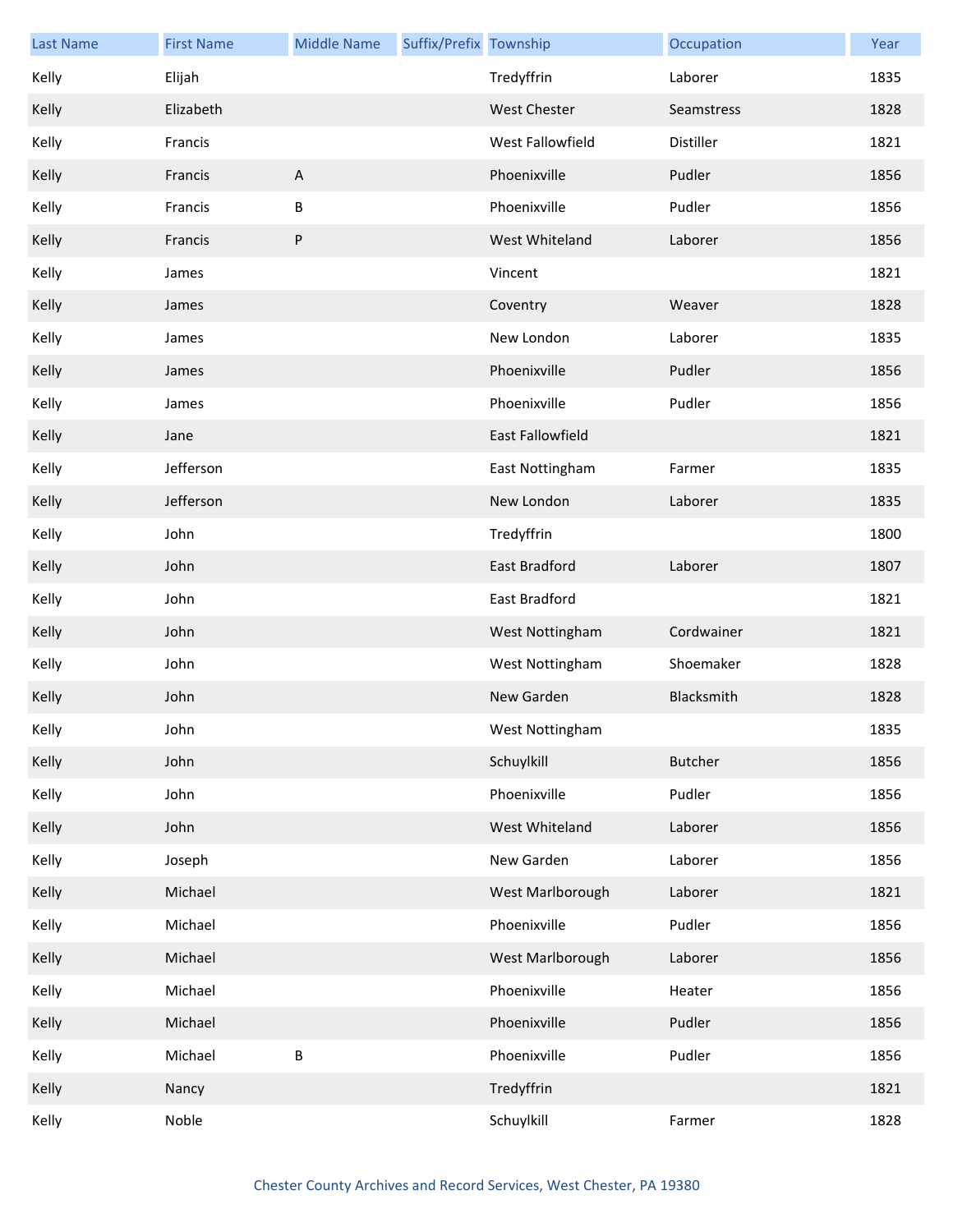| <b>Last Name</b> | <b>First Name</b> | <b>Middle Name</b>        | Suffix/Prefix Township |                  | Occupation     | Year |
|------------------|-------------------|---------------------------|------------------------|------------------|----------------|------|
| Kelly            | Elijah            |                           |                        | Tredyffrin       | Laborer        | 1835 |
| Kelly            | Elizabeth         |                           |                        | West Chester     | Seamstress     | 1828 |
| Kelly            | Francis           |                           |                        | West Fallowfield | Distiller      | 1821 |
| Kelly            | Francis           | $\boldsymbol{\mathsf{A}}$ |                        | Phoenixville     | Pudler         | 1856 |
| Kelly            | Francis           | $\sf B$                   |                        | Phoenixville     | Pudler         | 1856 |
| Kelly            | Francis           | ${\sf P}$                 |                        | West Whiteland   | Laborer        | 1856 |
| Kelly            | James             |                           |                        | Vincent          |                | 1821 |
| Kelly            | James             |                           |                        | Coventry         | Weaver         | 1828 |
| Kelly            | James             |                           |                        | New London       | Laborer        | 1835 |
| Kelly            | James             |                           |                        | Phoenixville     | Pudler         | 1856 |
| Kelly            | James             |                           |                        | Phoenixville     | Pudler         | 1856 |
| Kelly            | Jane              |                           |                        | East Fallowfield |                | 1821 |
| Kelly            | Jefferson         |                           |                        | East Nottingham  | Farmer         | 1835 |
| Kelly            | Jefferson         |                           |                        | New London       | Laborer        | 1835 |
| Kelly            | John              |                           |                        | Tredyffrin       |                | 1800 |
| Kelly            | John              |                           |                        | East Bradford    | Laborer        | 1807 |
| Kelly            | John              |                           |                        | East Bradford    |                | 1821 |
| Kelly            | John              |                           |                        | West Nottingham  | Cordwainer     | 1821 |
| Kelly            | John              |                           |                        | West Nottingham  | Shoemaker      | 1828 |
| Kelly            | John              |                           |                        | New Garden       | Blacksmith     | 1828 |
| Kelly            | John              |                           |                        | West Nottingham  |                | 1835 |
| Kelly            | John              |                           |                        | Schuylkill       | <b>Butcher</b> | 1856 |
| Kelly            | John              |                           |                        | Phoenixville     | Pudler         | 1856 |
| Kelly            | John              |                           |                        | West Whiteland   | Laborer        | 1856 |
| Kelly            | Joseph            |                           |                        | New Garden       | Laborer        | 1856 |
| Kelly            | Michael           |                           |                        | West Marlborough | Laborer        | 1821 |
| Kelly            | Michael           |                           |                        | Phoenixville     | Pudler         | 1856 |
| Kelly            | Michael           |                           |                        | West Marlborough | Laborer        | 1856 |
| Kelly            | Michael           |                           |                        | Phoenixville     | Heater         | 1856 |
| Kelly            | Michael           |                           |                        | Phoenixville     | Pudler         | 1856 |
| Kelly            | Michael           | $\sf B$                   |                        | Phoenixville     | Pudler         | 1856 |
| Kelly            | Nancy             |                           |                        | Tredyffrin       |                | 1821 |
| Kelly            | Noble             |                           |                        | Schuylkill       | Farmer         | 1828 |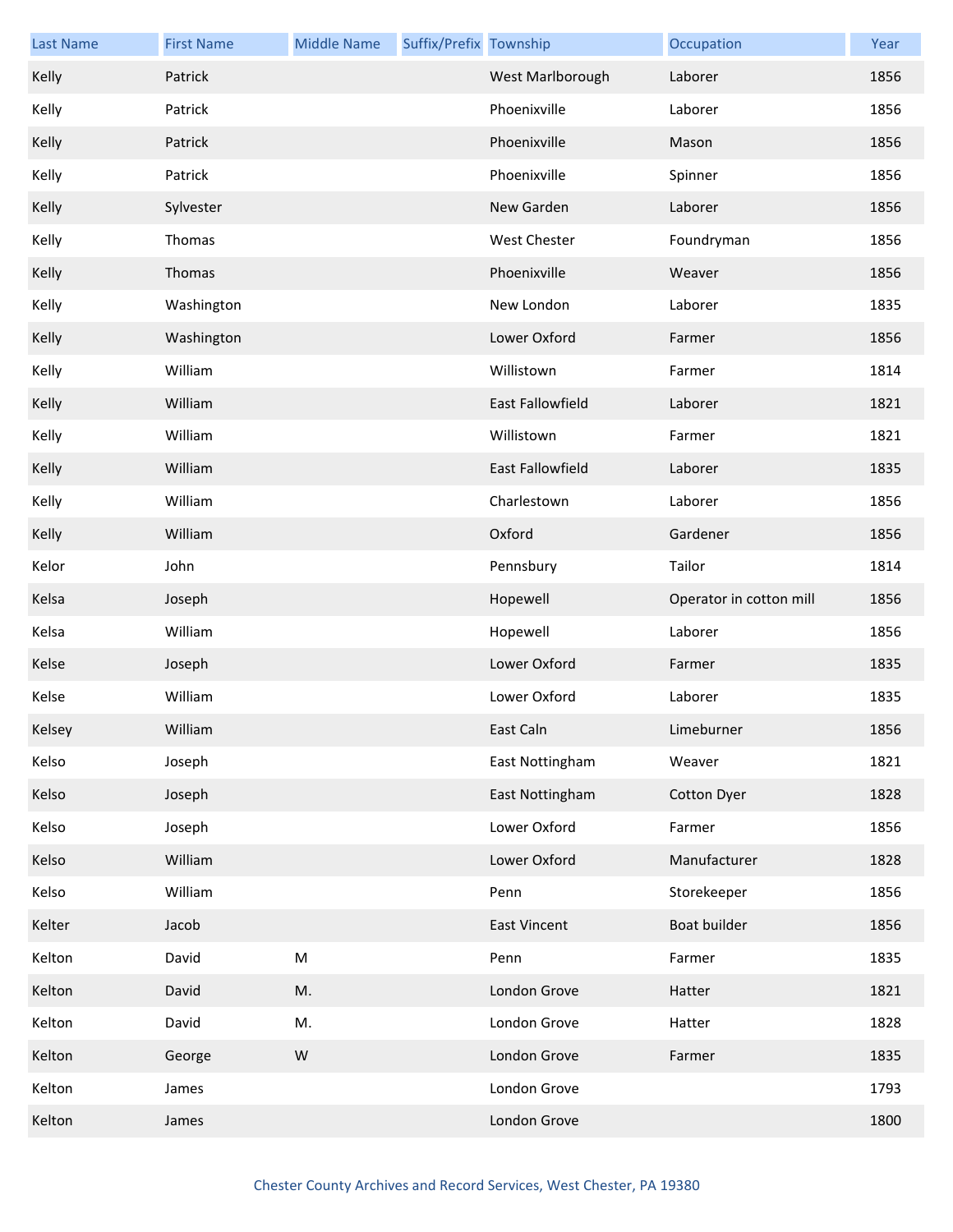| <b>Last Name</b> | <b>First Name</b> | <b>Middle Name</b> | Suffix/Prefix Township |                         | Occupation              | Year |
|------------------|-------------------|--------------------|------------------------|-------------------------|-------------------------|------|
| Kelly            | Patrick           |                    |                        | West Marlborough        | Laborer                 | 1856 |
| Kelly            | Patrick           |                    |                        | Phoenixville            | Laborer                 | 1856 |
| Kelly            | Patrick           |                    |                        | Phoenixville            | Mason                   | 1856 |
| Kelly            | Patrick           |                    |                        | Phoenixville            | Spinner                 | 1856 |
| Kelly            | Sylvester         |                    |                        | New Garden              | Laborer                 | 1856 |
| Kelly            | Thomas            |                    |                        | <b>West Chester</b>     | Foundryman              | 1856 |
| Kelly            | Thomas            |                    |                        | Phoenixville            | Weaver                  | 1856 |
| Kelly            | Washington        |                    |                        | New London              | Laborer                 | 1835 |
| Kelly            | Washington        |                    |                        | Lower Oxford            | Farmer                  | 1856 |
| Kelly            | William           |                    |                        | Willistown              | Farmer                  | 1814 |
| Kelly            | William           |                    |                        | <b>East Fallowfield</b> | Laborer                 | 1821 |
| Kelly            | William           |                    |                        | Willistown              | Farmer                  | 1821 |
| Kelly            | William           |                    |                        | East Fallowfield        | Laborer                 | 1835 |
| Kelly            | William           |                    |                        | Charlestown             | Laborer                 | 1856 |
| Kelly            | William           |                    |                        | Oxford                  | Gardener                | 1856 |
| Kelor            | John              |                    |                        | Pennsbury               | Tailor                  | 1814 |
| Kelsa            | Joseph            |                    |                        | Hopewell                | Operator in cotton mill | 1856 |
| Kelsa            | William           |                    |                        | Hopewell                | Laborer                 | 1856 |
| Kelse            | Joseph            |                    |                        | Lower Oxford            | Farmer                  | 1835 |
| Kelse            | William           |                    |                        | Lower Oxford            | Laborer                 | 1835 |
| Kelsey           | William           |                    |                        | East Caln               | Limeburner              | 1856 |
| Kelso            | Joseph            |                    |                        | East Nottingham         | Weaver                  | 1821 |
| Kelso            | Joseph            |                    |                        | East Nottingham         | <b>Cotton Dyer</b>      | 1828 |
| Kelso            | Joseph            |                    |                        | Lower Oxford            | Farmer                  | 1856 |
| Kelso            | William           |                    |                        | Lower Oxford            | Manufacturer            | 1828 |
| Kelso            | William           |                    |                        | Penn                    | Storekeeper             | 1856 |
| Kelter           | Jacob             |                    |                        | <b>East Vincent</b>     | Boat builder            | 1856 |
| Kelton           | David             | ${\sf M}$          |                        | Penn                    | Farmer                  | 1835 |
| Kelton           | David             | M.                 |                        | London Grove            | Hatter                  | 1821 |
| Kelton           | David             | M.                 |                        | London Grove            | Hatter                  | 1828 |
| Kelton           | George            | ${\sf W}$          |                        | London Grove            | Farmer                  | 1835 |
| Kelton           | James             |                    |                        | London Grove            |                         | 1793 |
| Kelton           | James             |                    |                        | London Grove            |                         | 1800 |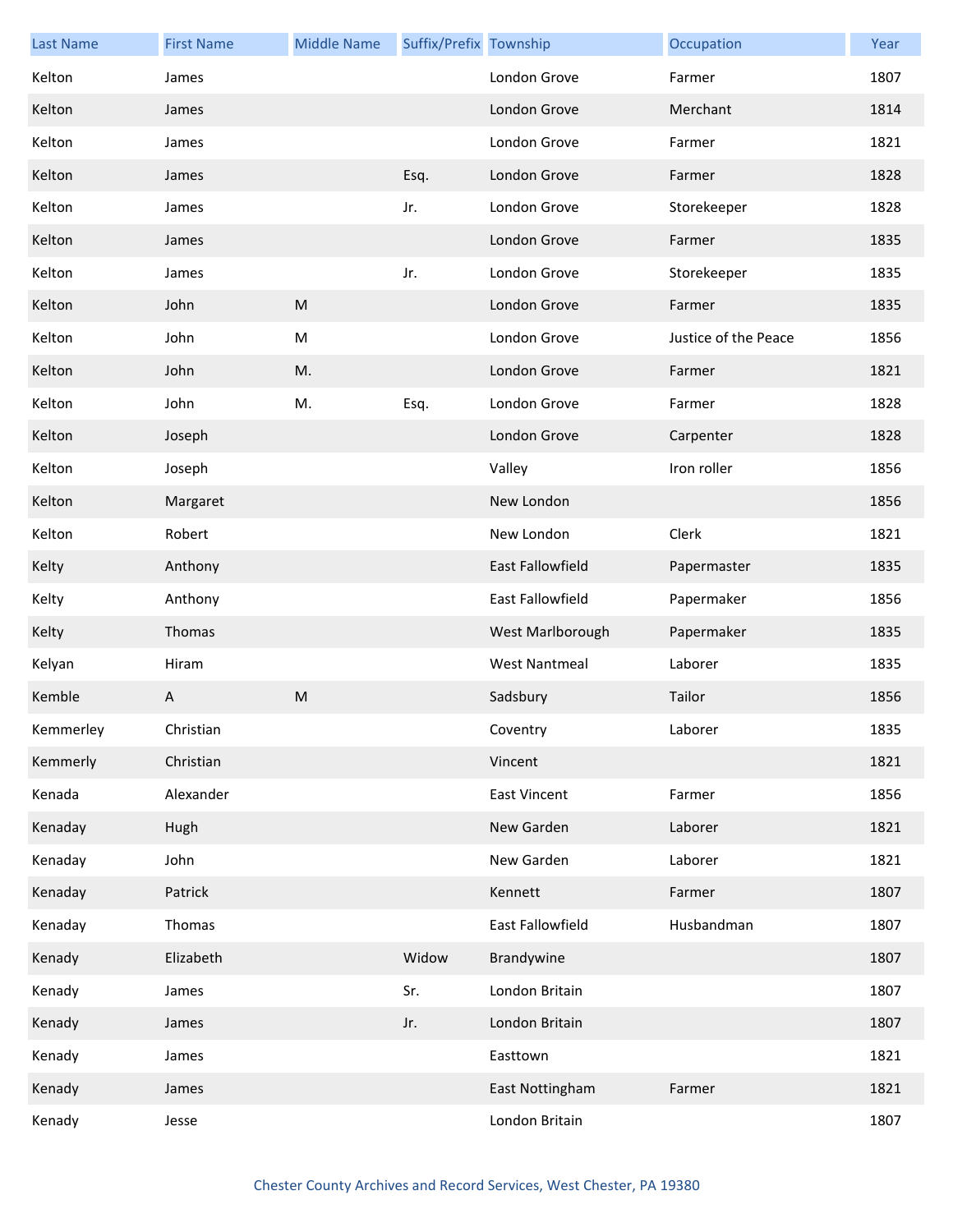| <b>Last Name</b> | <b>First Name</b> | <b>Middle Name</b> | Suffix/Prefix Township |                         | Occupation           | Year |
|------------------|-------------------|--------------------|------------------------|-------------------------|----------------------|------|
| Kelton           | James             |                    |                        | London Grove            | Farmer               | 1807 |
| Kelton           | James             |                    |                        | London Grove            | Merchant             | 1814 |
| Kelton           | James             |                    |                        | London Grove            | Farmer               | 1821 |
| Kelton           | James             |                    | Esq.                   | London Grove            | Farmer               | 1828 |
| Kelton           | James             |                    | Jr.                    | London Grove            | Storekeeper          | 1828 |
| Kelton           | James             |                    |                        | London Grove            | Farmer               | 1835 |
| Kelton           | James             |                    | Jr.                    | London Grove            | Storekeeper          | 1835 |
| Kelton           | John              | M                  |                        | London Grove            | Farmer               | 1835 |
| Kelton           | John              | ${\sf M}$          |                        | London Grove            | Justice of the Peace | 1856 |
| Kelton           | John              | M.                 |                        | London Grove            | Farmer               | 1821 |
| Kelton           | John              | M.                 | Esq.                   | London Grove            | Farmer               | 1828 |
| Kelton           | Joseph            |                    |                        | London Grove            | Carpenter            | 1828 |
| Kelton           | Joseph            |                    |                        | Valley                  | Iron roller          | 1856 |
| Kelton           | Margaret          |                    |                        | New London              |                      | 1856 |
| Kelton           | Robert            |                    |                        | New London              | Clerk                | 1821 |
| Kelty            | Anthony           |                    |                        | <b>East Fallowfield</b> | Papermaster          | 1835 |
| Kelty            | Anthony           |                    |                        | <b>East Fallowfield</b> | Papermaker           | 1856 |
| Kelty            | Thomas            |                    |                        | West Marlborough        | Papermaker           | 1835 |
| Kelyan           | Hiram             |                    |                        | <b>West Nantmeal</b>    | Laborer              | 1835 |
| Kemble           | A                 | M                  |                        | Sadsbury                | Tailor               | 1856 |
| Kemmerley        | Christian         |                    |                        | Coventry                | Laborer              | 1835 |
| Kemmerly         | Christian         |                    |                        | Vincent                 |                      | 1821 |
| Kenada           | Alexander         |                    |                        | <b>East Vincent</b>     | Farmer               | 1856 |
| Kenaday          | Hugh              |                    |                        | New Garden              | Laborer              | 1821 |
| Kenaday          | John              |                    |                        | New Garden              | Laborer              | 1821 |
| Kenaday          | Patrick           |                    |                        | Kennett                 | Farmer               | 1807 |
| Kenaday          | Thomas            |                    |                        | East Fallowfield        | Husbandman           | 1807 |
| Kenady           | Elizabeth         |                    | Widow                  | Brandywine              |                      | 1807 |
| Kenady           | James             |                    | Sr.                    | London Britain          |                      | 1807 |
| Kenady           | James             |                    | Jr.                    | London Britain          |                      | 1807 |
| Kenady           | James             |                    |                        | Easttown                |                      | 1821 |
| Kenady           | James             |                    |                        | East Nottingham         | Farmer               | 1821 |
| Kenady           | Jesse             |                    |                        | London Britain          |                      | 1807 |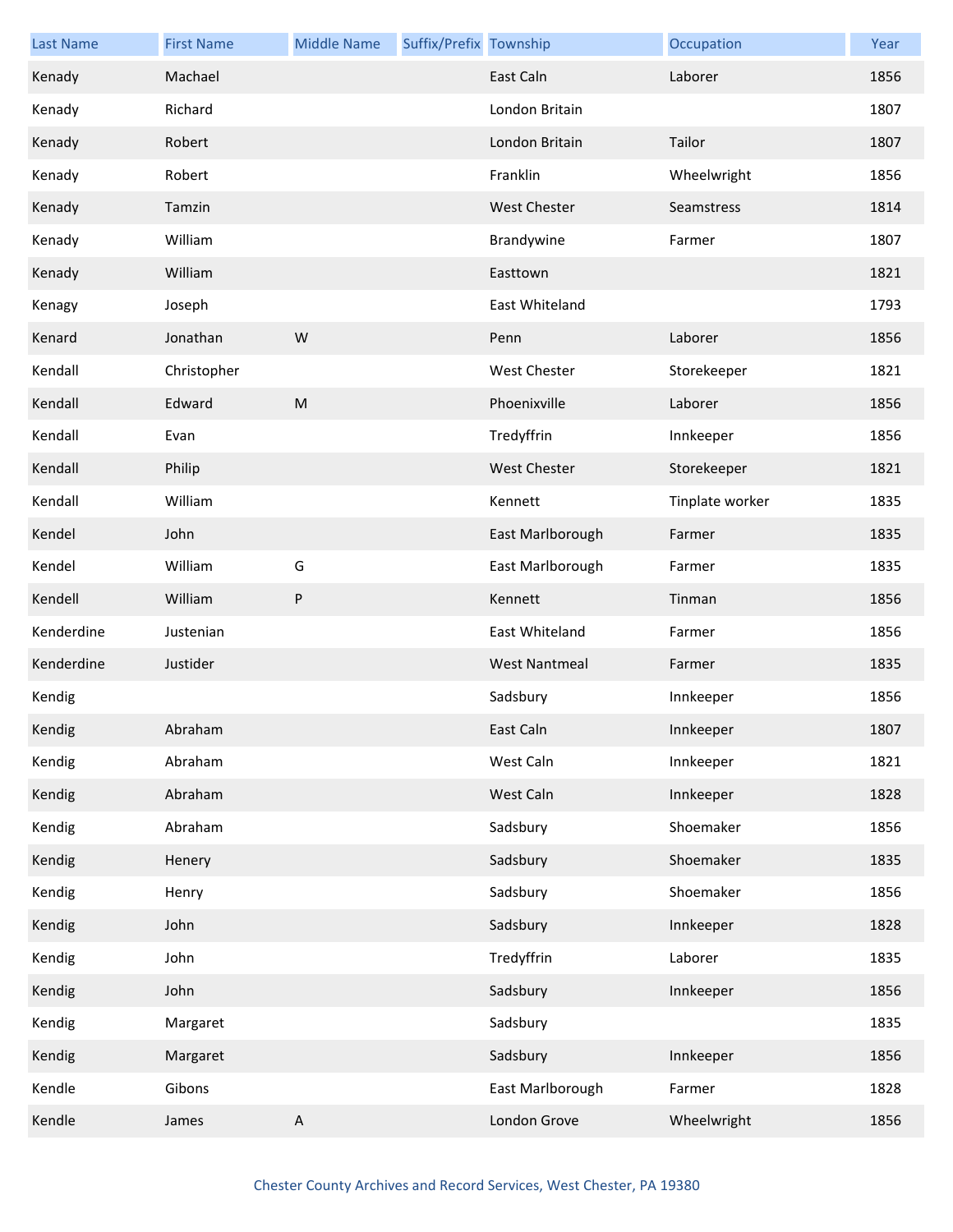| <b>Last Name</b> | <b>First Name</b> | <b>Middle Name</b> | Suffix/Prefix Township |                      | Occupation      | Year |
|------------------|-------------------|--------------------|------------------------|----------------------|-----------------|------|
| Kenady           | Machael           |                    |                        | East Caln            | Laborer         | 1856 |
| Kenady           | Richard           |                    |                        | London Britain       |                 | 1807 |
| Kenady           | Robert            |                    |                        | London Britain       | Tailor          | 1807 |
| Kenady           | Robert            |                    |                        | Franklin             | Wheelwright     | 1856 |
| Kenady           | Tamzin            |                    |                        | <b>West Chester</b>  | Seamstress      | 1814 |
| Kenady           | William           |                    |                        | Brandywine           | Farmer          | 1807 |
| Kenady           | William           |                    |                        | Easttown             |                 | 1821 |
| Kenagy           | Joseph            |                    |                        | East Whiteland       |                 | 1793 |
| Kenard           | Jonathan          | W                  |                        | Penn                 | Laborer         | 1856 |
| Kendall          | Christopher       |                    |                        | <b>West Chester</b>  | Storekeeper     | 1821 |
| Kendall          | Edward            | M                  |                        | Phoenixville         | Laborer         | 1856 |
| Kendall          | Evan              |                    |                        | Tredyffrin           | Innkeeper       | 1856 |
| Kendall          | Philip            |                    |                        | <b>West Chester</b>  | Storekeeper     | 1821 |
| Kendall          | William           |                    |                        | Kennett              | Tinplate worker | 1835 |
| Kendel           | John              |                    |                        | East Marlborough     | Farmer          | 1835 |
| Kendel           | William           | G                  |                        | East Marlborough     | Farmer          | 1835 |
| Kendell          | William           | ${\sf P}$          |                        | Kennett              | Tinman          | 1856 |
| Kenderdine       | Justenian         |                    |                        | East Whiteland       | Farmer          | 1856 |
| Kenderdine       | Justider          |                    |                        | <b>West Nantmeal</b> | Farmer          | 1835 |
| Kendig           |                   |                    |                        | Sadsbury             | Innkeeper       | 1856 |
| Kendig           | Abraham           |                    |                        | East Caln            | Innkeeper       | 1807 |
| Kendig           | Abraham           |                    |                        | West Caln            | Innkeeper       | 1821 |
| Kendig           | Abraham           |                    |                        | West Caln            | Innkeeper       | 1828 |
| Kendig           | Abraham           |                    |                        | Sadsbury             | Shoemaker       | 1856 |
| Kendig           | Henery            |                    |                        | Sadsbury             | Shoemaker       | 1835 |
| Kendig           | Henry             |                    |                        | Sadsbury             | Shoemaker       | 1856 |
| Kendig           | John              |                    |                        | Sadsbury             | Innkeeper       | 1828 |
| Kendig           | John              |                    |                        | Tredyffrin           | Laborer         | 1835 |
| Kendig           | John              |                    |                        | Sadsbury             | Innkeeper       | 1856 |
| Kendig           | Margaret          |                    |                        | Sadsbury             |                 | 1835 |
| Kendig           | Margaret          |                    |                        | Sadsbury             | Innkeeper       | 1856 |
| Kendle           | Gibons            |                    |                        | East Marlborough     | Farmer          | 1828 |
| Kendle           | James             | $\mathsf{A}$       |                        | London Grove         | Wheelwright     | 1856 |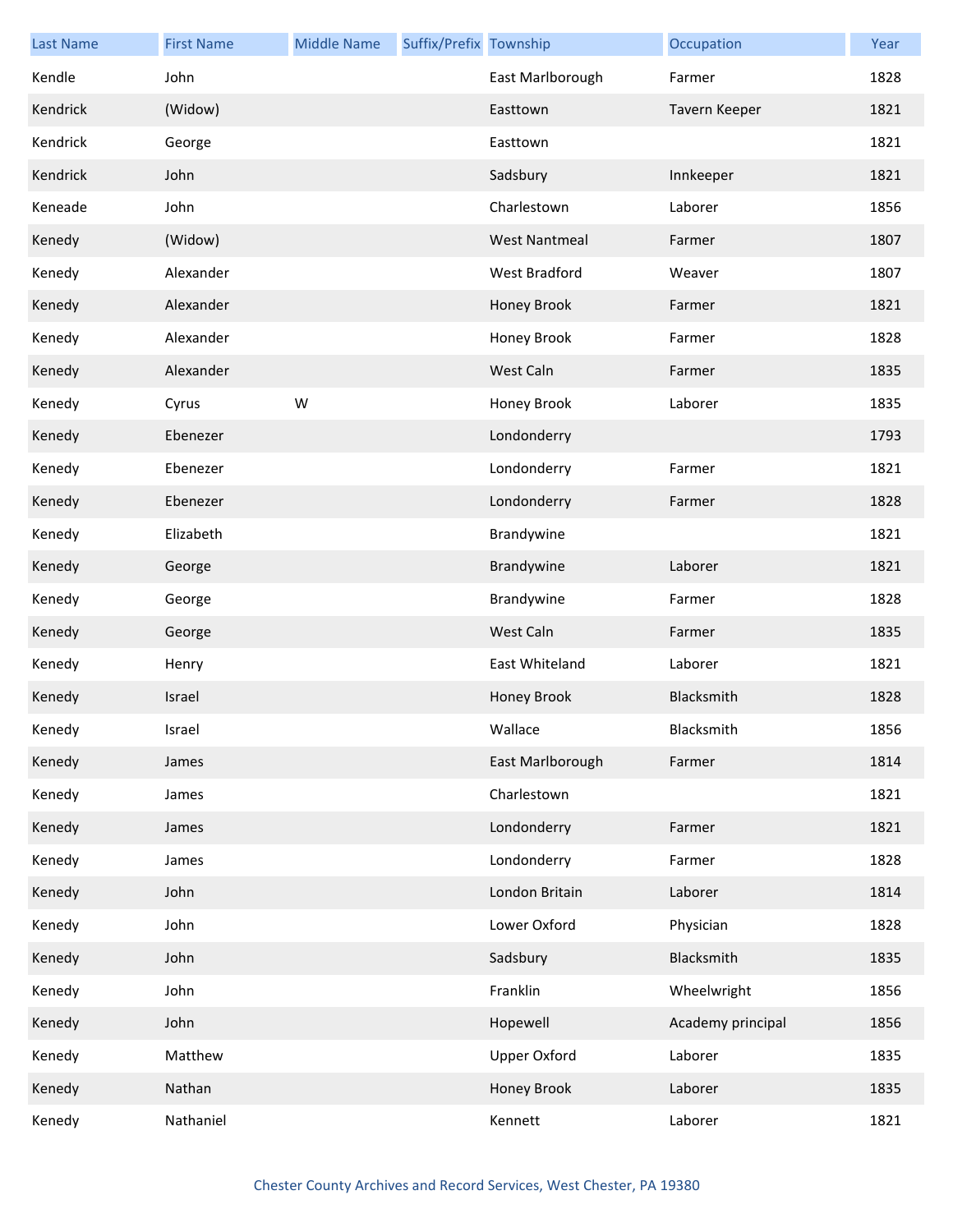| <b>Last Name</b> | <b>First Name</b> | <b>Middle Name</b> | Suffix/Prefix Township |                      | Occupation        | Year |
|------------------|-------------------|--------------------|------------------------|----------------------|-------------------|------|
| Kendle           | John              |                    |                        | East Marlborough     | Farmer            | 1828 |
| Kendrick         | (Widow)           |                    |                        | Easttown             | Tavern Keeper     | 1821 |
| Kendrick         | George            |                    |                        | Easttown             |                   | 1821 |
| Kendrick         | John              |                    |                        | Sadsbury             | Innkeeper         | 1821 |
| Keneade          | John              |                    |                        | Charlestown          | Laborer           | 1856 |
| Kenedy           | (Widow)           |                    |                        | <b>West Nantmeal</b> | Farmer            | 1807 |
| Kenedy           | Alexander         |                    |                        | West Bradford        | Weaver            | 1807 |
| Kenedy           | Alexander         |                    |                        | Honey Brook          | Farmer            | 1821 |
| Kenedy           | Alexander         |                    |                        | Honey Brook          | Farmer            | 1828 |
| Kenedy           | Alexander         |                    |                        | West Caln            | Farmer            | 1835 |
| Kenedy           | Cyrus             | W                  |                        | Honey Brook          | Laborer           | 1835 |
| Kenedy           | Ebenezer          |                    |                        | Londonderry          |                   | 1793 |
| Kenedy           | Ebenezer          |                    |                        | Londonderry          | Farmer            | 1821 |
| Kenedy           | Ebenezer          |                    |                        | Londonderry          | Farmer            | 1828 |
| Kenedy           | Elizabeth         |                    |                        | Brandywine           |                   | 1821 |
| Kenedy           | George            |                    |                        | Brandywine           | Laborer           | 1821 |
| Kenedy           | George            |                    |                        | Brandywine           | Farmer            | 1828 |
| Kenedy           | George            |                    |                        | West Caln            | Farmer            | 1835 |
| Kenedy           | Henry             |                    |                        | East Whiteland       | Laborer           | 1821 |
| Kenedy           | Israel            |                    |                        | Honey Brook          | Blacksmith        | 1828 |
| Kenedy           | Israel            |                    |                        | Wallace              | Blacksmith        | 1856 |
| Kenedy           | James             |                    |                        | East Marlborough     | Farmer            | 1814 |
| Kenedy           | James             |                    |                        | Charlestown          |                   | 1821 |
| Kenedy           | James             |                    |                        | Londonderry          | Farmer            | 1821 |
| Kenedy           | James             |                    |                        | Londonderry          | Farmer            | 1828 |
| Kenedy           | John              |                    |                        | London Britain       | Laborer           | 1814 |
| Kenedy           | John              |                    |                        | Lower Oxford         | Physician         | 1828 |
| Kenedy           | John              |                    |                        | Sadsbury             | Blacksmith        | 1835 |
| Kenedy           | John              |                    |                        | Franklin             | Wheelwright       | 1856 |
| Kenedy           | John              |                    |                        | Hopewell             | Academy principal | 1856 |
| Kenedy           | Matthew           |                    |                        | <b>Upper Oxford</b>  | Laborer           | 1835 |
| Kenedy           | Nathan            |                    |                        | Honey Brook          | Laborer           | 1835 |
| Kenedy           | Nathaniel         |                    |                        | Kennett              | Laborer           | 1821 |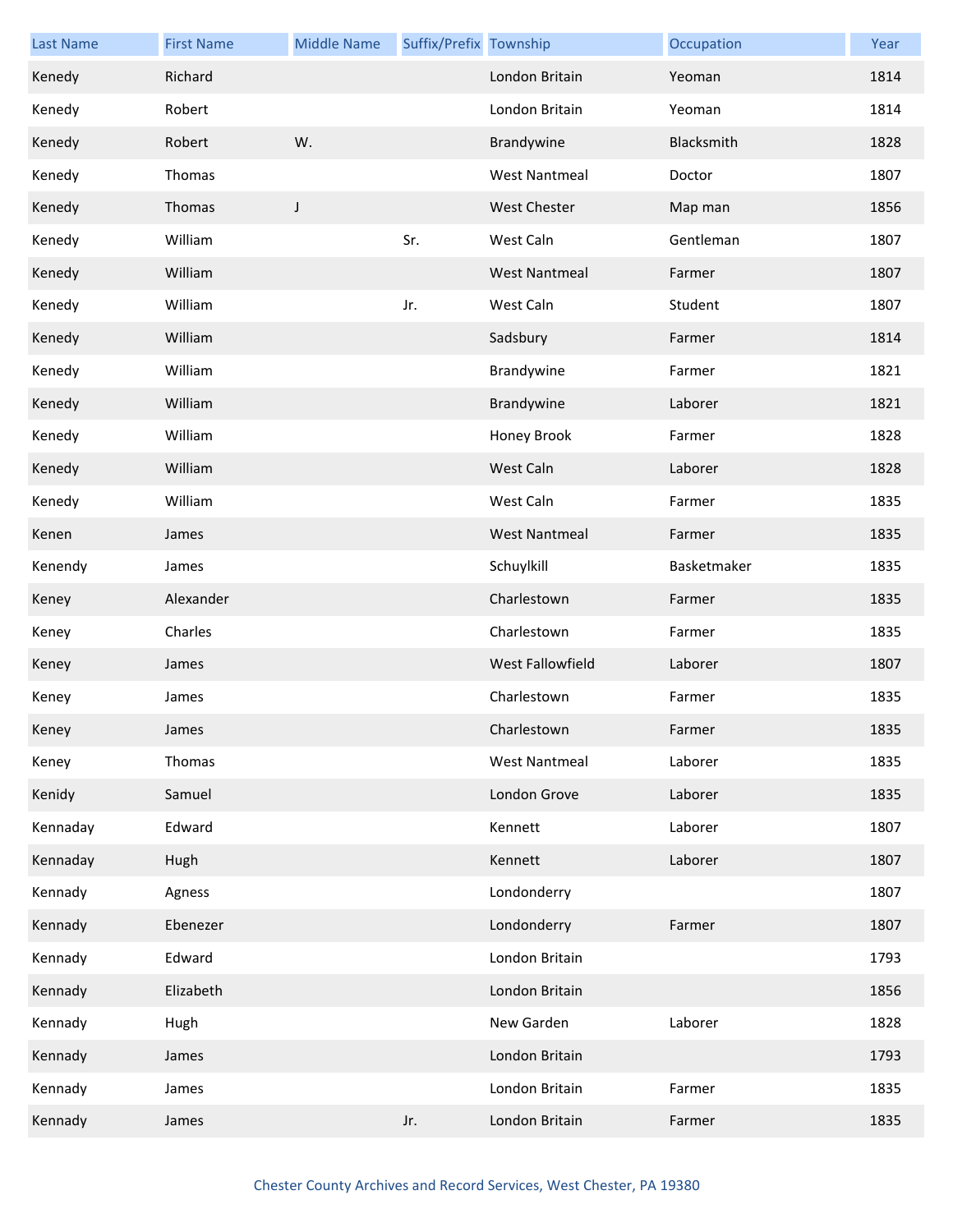| <b>Last Name</b> | <b>First Name</b> | <b>Middle Name</b> | Suffix/Prefix Township |                      | Occupation  | Year |
|------------------|-------------------|--------------------|------------------------|----------------------|-------------|------|
| Kenedy           | Richard           |                    |                        | London Britain       | Yeoman      | 1814 |
| Kenedy           | Robert            |                    |                        | London Britain       | Yeoman      | 1814 |
| Kenedy           | Robert            | W.                 |                        | Brandywine           | Blacksmith  | 1828 |
| Kenedy           | Thomas            |                    |                        | <b>West Nantmeal</b> | Doctor      | 1807 |
| Kenedy           | Thomas            | J                  |                        | <b>West Chester</b>  | Map man     | 1856 |
| Kenedy           | William           |                    | Sr.                    | West Caln            | Gentleman   | 1807 |
| Kenedy           | William           |                    |                        | <b>West Nantmeal</b> | Farmer      | 1807 |
| Kenedy           | William           |                    | Jr.                    | West Caln            | Student     | 1807 |
| Kenedy           | William           |                    |                        | Sadsbury             | Farmer      | 1814 |
| Kenedy           | William           |                    |                        | Brandywine           | Farmer      | 1821 |
| Kenedy           | William           |                    |                        | Brandywine           | Laborer     | 1821 |
| Kenedy           | William           |                    |                        | Honey Brook          | Farmer      | 1828 |
| Kenedy           | William           |                    |                        | West Caln            | Laborer     | 1828 |
| Kenedy           | William           |                    |                        | West Caln            | Farmer      | 1835 |
| Kenen            | James             |                    |                        | <b>West Nantmeal</b> | Farmer      | 1835 |
| Kenendy          | James             |                    |                        | Schuylkill           | Basketmaker | 1835 |
| Keney            | Alexander         |                    |                        | Charlestown          | Farmer      | 1835 |
| Keney            | Charles           |                    |                        | Charlestown          | Farmer      | 1835 |
| Keney            | James             |                    |                        | West Fallowfield     | Laborer     | 1807 |
| Keney            | James             |                    |                        | Charlestown          | Farmer      | 1835 |
| Keney            | James             |                    |                        | Charlestown          | Farmer      | 1835 |
| Keney            | Thomas            |                    |                        | <b>West Nantmeal</b> | Laborer     | 1835 |
| Kenidy           | Samuel            |                    |                        | London Grove         | Laborer     | 1835 |
| Kennaday         | Edward            |                    |                        | Kennett              | Laborer     | 1807 |
| Kennaday         | Hugh              |                    |                        | Kennett              | Laborer     | 1807 |
| Kennady          | Agness            |                    |                        | Londonderry          |             | 1807 |
| Kennady          | Ebenezer          |                    |                        | Londonderry          | Farmer      | 1807 |
| Kennady          | Edward            |                    |                        | London Britain       |             | 1793 |
| Kennady          | Elizabeth         |                    |                        | London Britain       |             | 1856 |
| Kennady          | Hugh              |                    |                        | New Garden           | Laborer     | 1828 |
| Kennady          | James             |                    |                        | London Britain       |             | 1793 |
| Kennady          | James             |                    |                        | London Britain       | Farmer      | 1835 |
| Kennady          | James             |                    | Jr.                    | London Britain       | Farmer      | 1835 |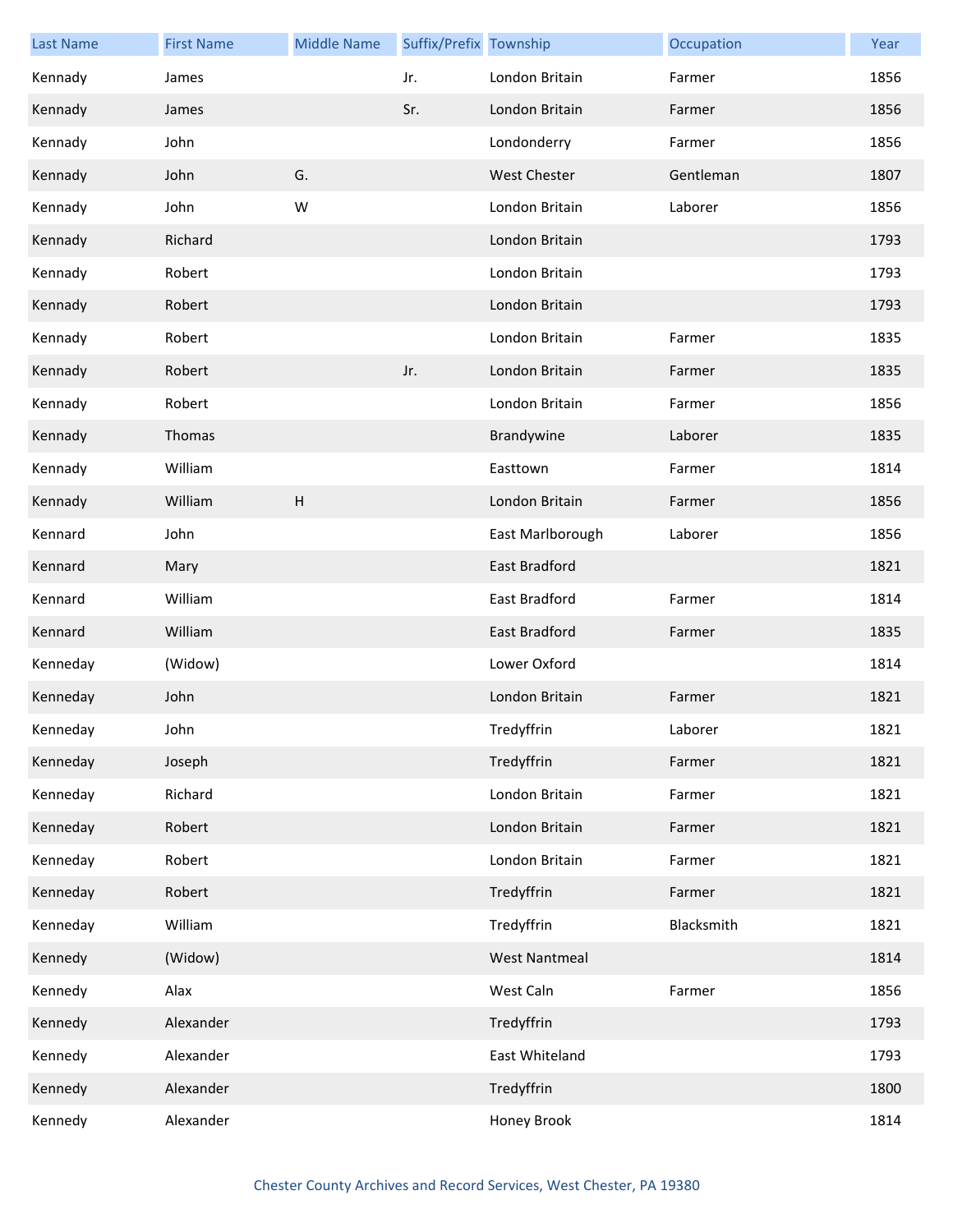| <b>Last Name</b> | <b>First Name</b> | <b>Middle Name</b> | Suffix/Prefix Township |                      | Occupation | Year |
|------------------|-------------------|--------------------|------------------------|----------------------|------------|------|
| Kennady          | James             |                    | Jr.                    | London Britain       | Farmer     | 1856 |
| Kennady          | James             |                    | Sr.                    | London Britain       | Farmer     | 1856 |
| Kennady          | John              |                    |                        | Londonderry          | Farmer     | 1856 |
| Kennady          | John              | G.                 |                        | <b>West Chester</b>  | Gentleman  | 1807 |
| Kennady          | John              | W                  |                        | London Britain       | Laborer    | 1856 |
| Kennady          | Richard           |                    |                        | London Britain       |            | 1793 |
| Kennady          | Robert            |                    |                        | London Britain       |            | 1793 |
| Kennady          | Robert            |                    |                        | London Britain       |            | 1793 |
| Kennady          | Robert            |                    |                        | London Britain       | Farmer     | 1835 |
| Kennady          | Robert            |                    | Jr.                    | London Britain       | Farmer     | 1835 |
| Kennady          | Robert            |                    |                        | London Britain       | Farmer     | 1856 |
| Kennady          | Thomas            |                    |                        | Brandywine           | Laborer    | 1835 |
| Kennady          | William           |                    |                        | Easttown             | Farmer     | 1814 |
| Kennady          | William           | H                  |                        | London Britain       | Farmer     | 1856 |
| Kennard          | John              |                    |                        | East Marlborough     | Laborer    | 1856 |
| Kennard          | Mary              |                    |                        | East Bradford        |            | 1821 |
| Kennard          | William           |                    |                        | East Bradford        | Farmer     | 1814 |
| Kennard          | William           |                    |                        | East Bradford        | Farmer     | 1835 |
| Kenneday         | (Widow)           |                    |                        | Lower Oxford         |            | 1814 |
| Kenneday         | John              |                    |                        | London Britain       | Farmer     | 1821 |
| Kenneday         | John              |                    |                        | Tredyffrin           | Laborer    | 1821 |
| Kenneday         | Joseph            |                    |                        | Tredyffrin           | Farmer     | 1821 |
| Kenneday         | Richard           |                    |                        | London Britain       | Farmer     | 1821 |
| Kenneday         | Robert            |                    |                        | London Britain       | Farmer     | 1821 |
| Kenneday         | Robert            |                    |                        | London Britain       | Farmer     | 1821 |
| Kenneday         | Robert            |                    |                        | Tredyffrin           | Farmer     | 1821 |
| Kenneday         | William           |                    |                        | Tredyffrin           | Blacksmith | 1821 |
| Kennedy          | (Widow)           |                    |                        | <b>West Nantmeal</b> |            | 1814 |
| Kennedy          | Alax              |                    |                        | West Caln            | Farmer     | 1856 |
| Kennedy          | Alexander         |                    |                        | Tredyffrin           |            | 1793 |
| Kennedy          | Alexander         |                    |                        | East Whiteland       |            | 1793 |
| Kennedy          | Alexander         |                    |                        | Tredyffrin           |            | 1800 |
| Kennedy          | Alexander         |                    |                        | Honey Brook          |            | 1814 |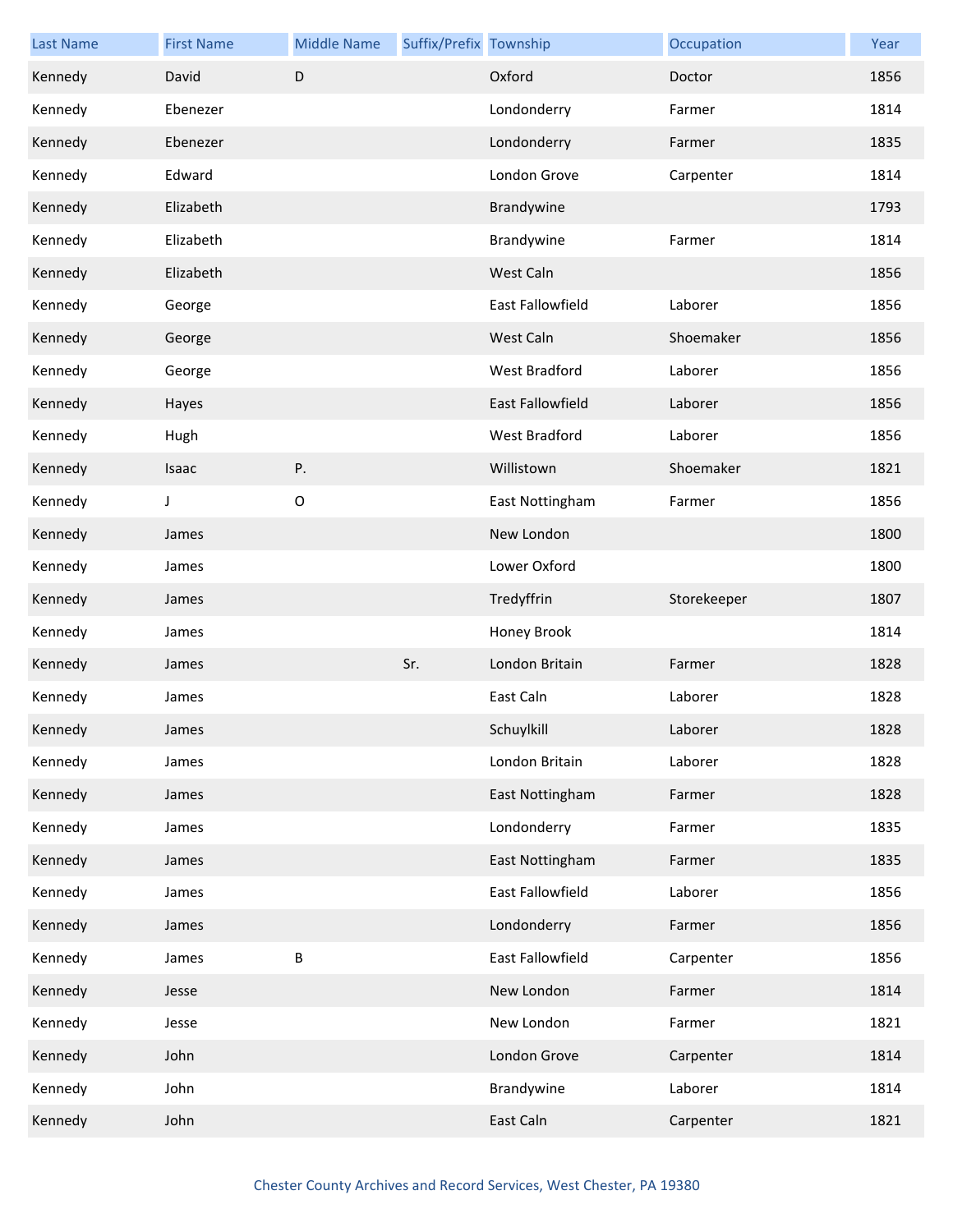| <b>Last Name</b> | <b>First Name</b> | <b>Middle Name</b> | Suffix/Prefix Township |                      | Occupation  | Year |
|------------------|-------------------|--------------------|------------------------|----------------------|-------------|------|
| Kennedy          | David             | $\mathsf D$        |                        | Oxford               | Doctor      | 1856 |
| Kennedy          | Ebenezer          |                    |                        | Londonderry          | Farmer      | 1814 |
| Kennedy          | Ebenezer          |                    |                        | Londonderry          | Farmer      | 1835 |
| Kennedy          | Edward            |                    |                        | London Grove         | Carpenter   | 1814 |
| Kennedy          | Elizabeth         |                    |                        | Brandywine           |             | 1793 |
| Kennedy          | Elizabeth         |                    |                        | Brandywine           | Farmer      | 1814 |
| Kennedy          | Elizabeth         |                    |                        | West Caln            |             | 1856 |
| Kennedy          | George            |                    |                        | East Fallowfield     | Laborer     | 1856 |
| Kennedy          | George            |                    |                        | West Caln            | Shoemaker   | 1856 |
| Kennedy          | George            |                    |                        | <b>West Bradford</b> | Laborer     | 1856 |
| Kennedy          | Hayes             |                    |                        | East Fallowfield     | Laborer     | 1856 |
| Kennedy          | Hugh              |                    |                        | West Bradford        | Laborer     | 1856 |
| Kennedy          | Isaac             | Ρ.                 |                        | Willistown           | Shoemaker   | 1821 |
| Kennedy          | J                 | $\mathsf O$        |                        | East Nottingham      | Farmer      | 1856 |
| Kennedy          | James             |                    |                        | New London           |             | 1800 |
| Kennedy          | James             |                    |                        | Lower Oxford         |             | 1800 |
| Kennedy          | James             |                    |                        | Tredyffrin           | Storekeeper | 1807 |
| Kennedy          | James             |                    |                        | Honey Brook          |             | 1814 |
| Kennedy          | James             |                    | Sr.                    | London Britain       | Farmer      | 1828 |
| Kennedy          | James             |                    |                        | East Caln            | Laborer     | 1828 |
| Kennedy          | James             |                    |                        | Schuylkill           | Laborer     | 1828 |
| Kennedy          | James             |                    |                        | London Britain       | Laborer     | 1828 |
| Kennedy          | James             |                    |                        | East Nottingham      | Farmer      | 1828 |
| Kennedy          | James             |                    |                        | Londonderry          | Farmer      | 1835 |
| Kennedy          | James             |                    |                        | East Nottingham      | Farmer      | 1835 |
| Kennedy          | James             |                    |                        | East Fallowfield     | Laborer     | 1856 |
| Kennedy          | James             |                    |                        | Londonderry          | Farmer      | 1856 |
| Kennedy          | James             | $\sf B$            |                        | East Fallowfield     | Carpenter   | 1856 |
| Kennedy          | Jesse             |                    |                        | New London           | Farmer      | 1814 |
| Kennedy          | Jesse             |                    |                        | New London           | Farmer      | 1821 |
| Kennedy          | John              |                    |                        | London Grove         | Carpenter   | 1814 |
| Kennedy          | John              |                    |                        | Brandywine           | Laborer     | 1814 |
| Kennedy          | John              |                    |                        | East Caln            | Carpenter   | 1821 |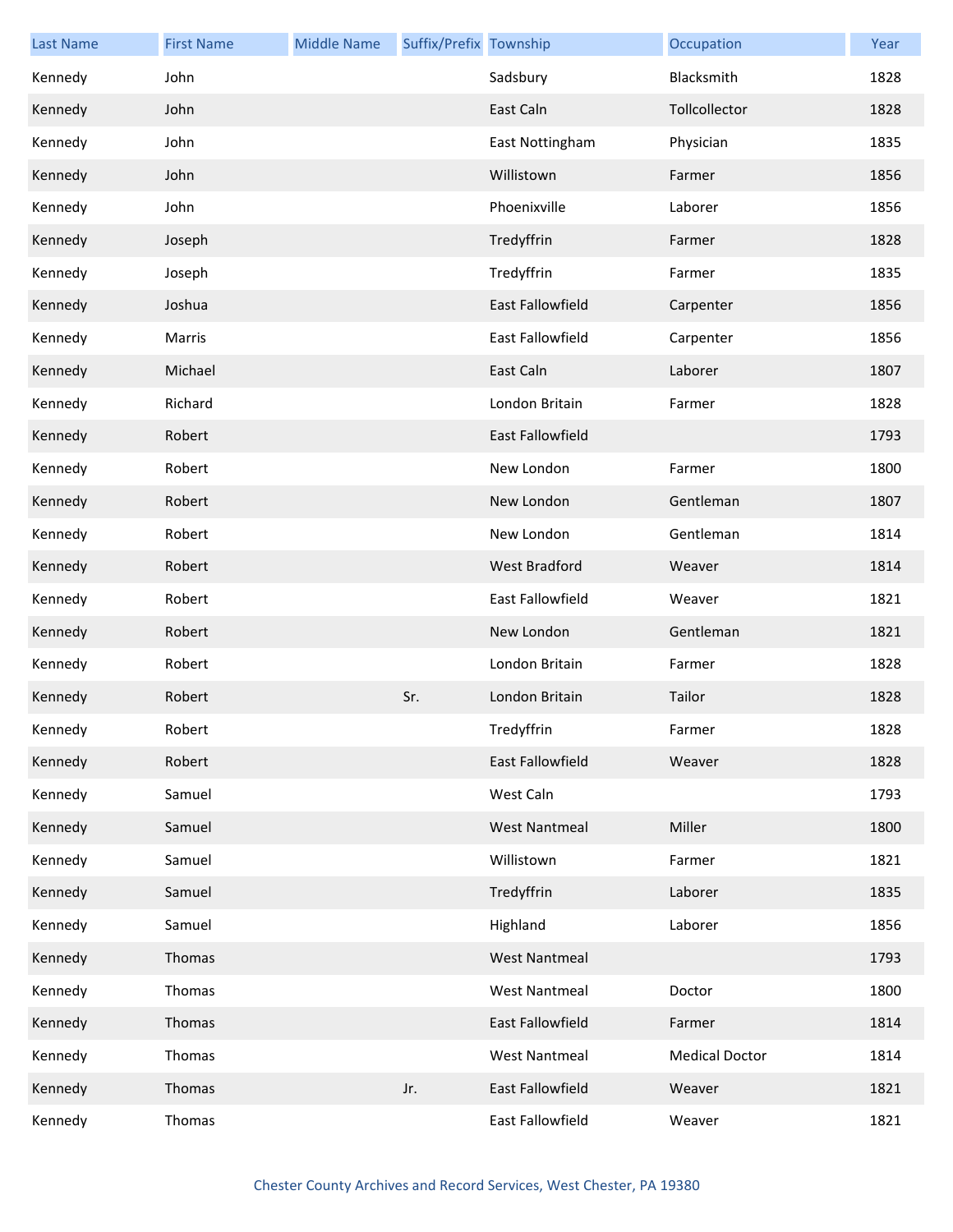| <b>Last Name</b> | <b>First Name</b> | <b>Middle Name</b> | Suffix/Prefix Township |                         | Occupation            | Year |
|------------------|-------------------|--------------------|------------------------|-------------------------|-----------------------|------|
| Kennedy          | John              |                    |                        | Sadsbury                | Blacksmith            | 1828 |
| Kennedy          | John              |                    |                        | East Caln               | Tollcollector         | 1828 |
| Kennedy          | John              |                    |                        | East Nottingham         | Physician             | 1835 |
| Kennedy          | John              |                    |                        | Willistown              | Farmer                | 1856 |
| Kennedy          | John              |                    |                        | Phoenixville            | Laborer               | 1856 |
| Kennedy          | Joseph            |                    |                        | Tredyffrin              | Farmer                | 1828 |
| Kennedy          | Joseph            |                    |                        | Tredyffrin              | Farmer                | 1835 |
| Kennedy          | Joshua            |                    |                        | East Fallowfield        | Carpenter             | 1856 |
| Kennedy          | Marris            |                    |                        | East Fallowfield        | Carpenter             | 1856 |
| Kennedy          | Michael           |                    |                        | East Caln               | Laborer               | 1807 |
| Kennedy          | Richard           |                    |                        | London Britain          | Farmer                | 1828 |
| Kennedy          | Robert            |                    |                        | <b>East Fallowfield</b> |                       | 1793 |
| Kennedy          | Robert            |                    |                        | New London              | Farmer                | 1800 |
| Kennedy          | Robert            |                    |                        | New London              | Gentleman             | 1807 |
| Kennedy          | Robert            |                    |                        | New London              | Gentleman             | 1814 |
| Kennedy          | Robert            |                    |                        | West Bradford           | Weaver                | 1814 |
| Kennedy          | Robert            |                    |                        | East Fallowfield        | Weaver                | 1821 |
| Kennedy          | Robert            |                    |                        | New London              | Gentleman             | 1821 |
| Kennedy          | Robert            |                    |                        | London Britain          | Farmer                | 1828 |
| Kennedy          | Robert            |                    | Sr.                    | London Britain          | Tailor                | 1828 |
| Kennedy          | Robert            |                    |                        | Tredyffrin              | Farmer                | 1828 |
| Kennedy          | Robert            |                    |                        | East Fallowfield        | Weaver                | 1828 |
| Kennedy          | Samuel            |                    |                        | West Caln               |                       | 1793 |
| Kennedy          | Samuel            |                    |                        | <b>West Nantmeal</b>    | Miller                | 1800 |
| Kennedy          | Samuel            |                    |                        | Willistown              | Farmer                | 1821 |
| Kennedy          | Samuel            |                    |                        | Tredyffrin              | Laborer               | 1835 |
| Kennedy          | Samuel            |                    |                        | Highland                | Laborer               | 1856 |
| Kennedy          | Thomas            |                    |                        | <b>West Nantmeal</b>    |                       | 1793 |
| Kennedy          | Thomas            |                    |                        | <b>West Nantmeal</b>    | Doctor                | 1800 |
| Kennedy          | Thomas            |                    |                        | East Fallowfield        | Farmer                | 1814 |
| Kennedy          | Thomas            |                    |                        | <b>West Nantmeal</b>    | <b>Medical Doctor</b> | 1814 |
| Kennedy          | Thomas            |                    | Jr.                    | East Fallowfield        | Weaver                | 1821 |
| Kennedy          | Thomas            |                    |                        | East Fallowfield        | Weaver                | 1821 |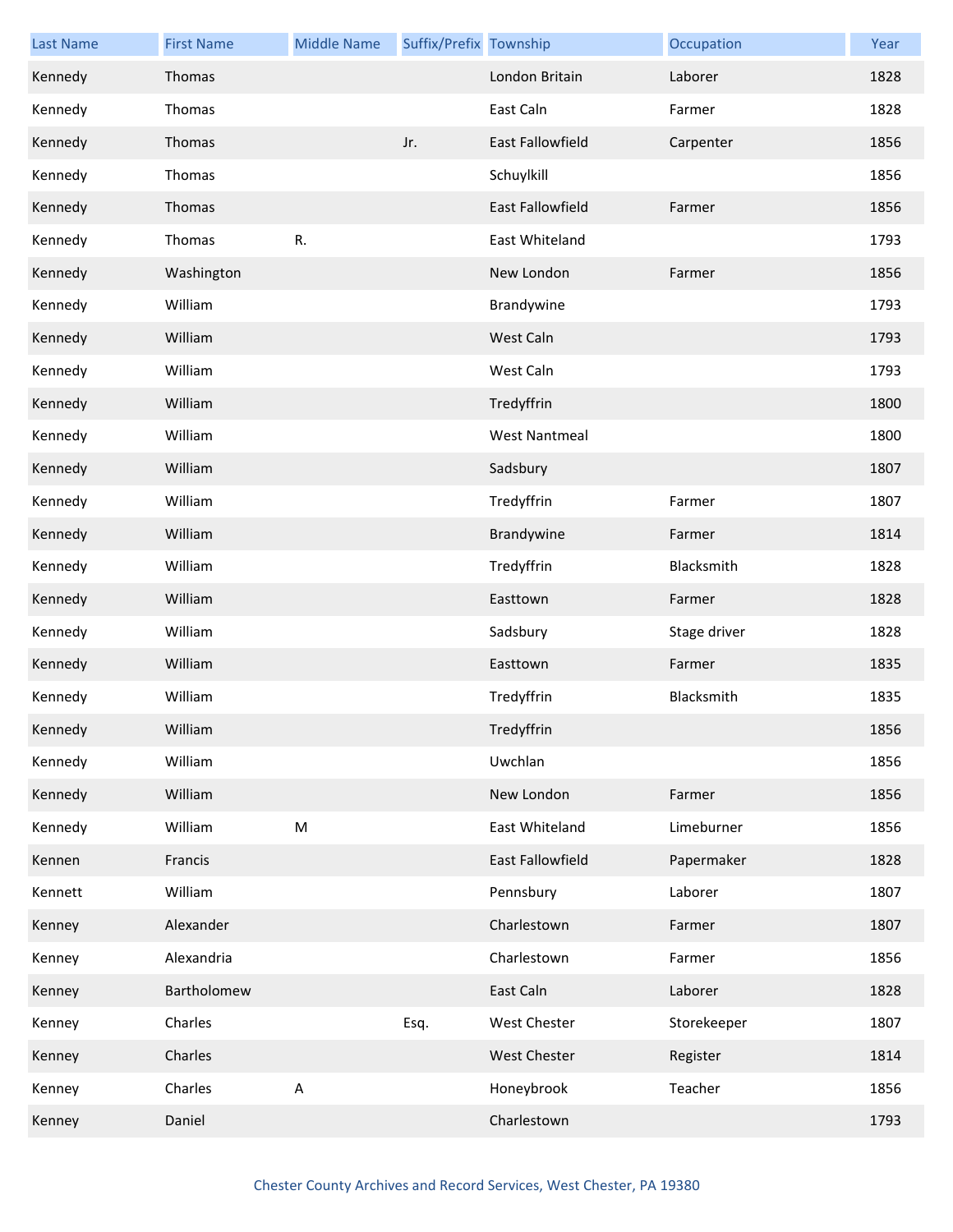| <b>Last Name</b> | <b>First Name</b> | <b>Middle Name</b> | Suffix/Prefix Township |                         | Occupation   | Year |
|------------------|-------------------|--------------------|------------------------|-------------------------|--------------|------|
| Kennedy          | Thomas            |                    |                        | London Britain          | Laborer      | 1828 |
| Kennedy          | Thomas            |                    |                        | East Caln               | Farmer       | 1828 |
| Kennedy          | Thomas            |                    | Jr.                    | East Fallowfield        | Carpenter    | 1856 |
| Kennedy          | Thomas            |                    |                        | Schuylkill              |              | 1856 |
| Kennedy          | Thomas            |                    |                        | <b>East Fallowfield</b> | Farmer       | 1856 |
| Kennedy          | Thomas            | R.                 |                        | East Whiteland          |              | 1793 |
| Kennedy          | Washington        |                    |                        | New London              | Farmer       | 1856 |
| Kennedy          | William           |                    |                        | Brandywine              |              | 1793 |
| Kennedy          | William           |                    |                        | West Caln               |              | 1793 |
| Kennedy          | William           |                    |                        | West Caln               |              | 1793 |
| Kennedy          | William           |                    |                        | Tredyffrin              |              | 1800 |
| Kennedy          | William           |                    |                        | <b>West Nantmeal</b>    |              | 1800 |
| Kennedy          | William           |                    |                        | Sadsbury                |              | 1807 |
| Kennedy          | William           |                    |                        | Tredyffrin              | Farmer       | 1807 |
| Kennedy          | William           |                    |                        | Brandywine              | Farmer       | 1814 |
| Kennedy          | William           |                    |                        | Tredyffrin              | Blacksmith   | 1828 |
| Kennedy          | William           |                    |                        | Easttown                | Farmer       | 1828 |
| Kennedy          | William           |                    |                        | Sadsbury                | Stage driver | 1828 |
| Kennedy          | William           |                    |                        | Easttown                | Farmer       | 1835 |
| Kennedy          | William           |                    |                        | Tredyffrin              | Blacksmith   | 1835 |
| Kennedy          | William           |                    |                        | Tredyffrin              |              | 1856 |
| Kennedy          | William           |                    |                        | Uwchlan                 |              | 1856 |
| Kennedy          | William           |                    |                        | New London              | Farmer       | 1856 |
| Kennedy          | William           | ${\sf M}$          |                        | East Whiteland          | Limeburner   | 1856 |
| Kennen           | Francis           |                    |                        | East Fallowfield        | Papermaker   | 1828 |
| Kennett          | William           |                    |                        | Pennsbury               | Laborer      | 1807 |
| Kenney           | Alexander         |                    |                        | Charlestown             | Farmer       | 1807 |
| Kenney           | Alexandria        |                    |                        | Charlestown             | Farmer       | 1856 |
| Kenney           | Bartholomew       |                    |                        | East Caln               | Laborer      | 1828 |
| Kenney           | Charles           |                    | Esq.                   | <b>West Chester</b>     | Storekeeper  | 1807 |
| Kenney           | Charles           |                    |                        | West Chester            | Register     | 1814 |
| Kenney           | Charles           | $\mathsf A$        |                        | Honeybrook              | Teacher      | 1856 |
| Kenney           | Daniel            |                    |                        | Charlestown             |              | 1793 |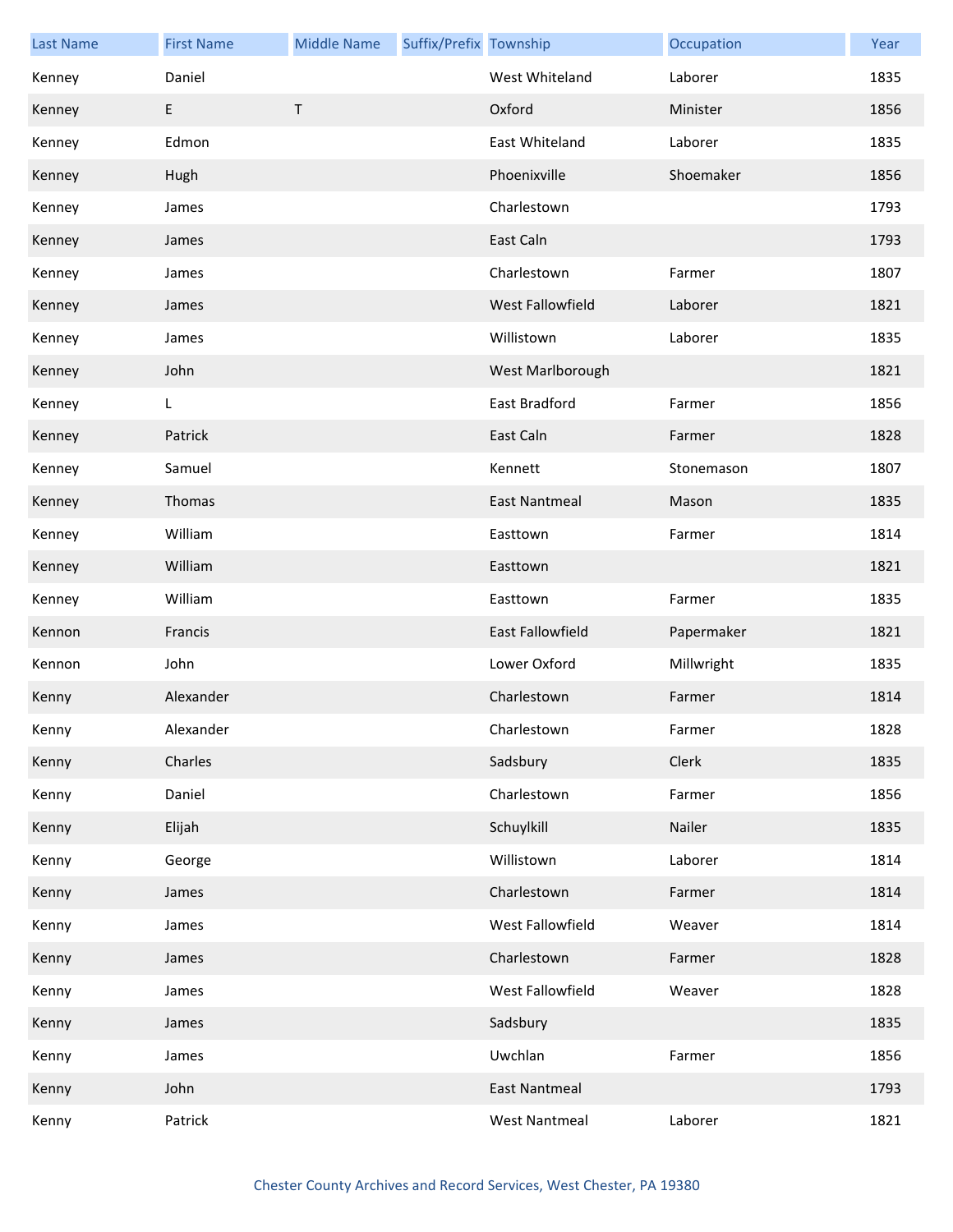| <b>Last Name</b> | <b>First Name</b> | <b>Middle Name</b> | Suffix/Prefix Township |                         | Occupation | Year |
|------------------|-------------------|--------------------|------------------------|-------------------------|------------|------|
| Kenney           | Daniel            |                    |                        | West Whiteland          | Laborer    | 1835 |
| Kenney           | E                 | $\mathsf T$        |                        | Oxford                  | Minister   | 1856 |
| Kenney           | Edmon             |                    |                        | <b>East Whiteland</b>   | Laborer    | 1835 |
| Kenney           | Hugh              |                    |                        | Phoenixville            | Shoemaker  | 1856 |
| Kenney           | James             |                    |                        | Charlestown             |            | 1793 |
| Kenney           | James             |                    |                        | East Caln               |            | 1793 |
| Kenney           | James             |                    |                        | Charlestown             | Farmer     | 1807 |
| Kenney           | James             |                    |                        | West Fallowfield        | Laborer    | 1821 |
| Kenney           | James             |                    |                        | Willistown              | Laborer    | 1835 |
| Kenney           | John              |                    |                        | West Marlborough        |            | 1821 |
| Kenney           | L                 |                    |                        | <b>East Bradford</b>    | Farmer     | 1856 |
| Kenney           | Patrick           |                    |                        | East Caln               | Farmer     | 1828 |
| Kenney           | Samuel            |                    |                        | Kennett                 | Stonemason | 1807 |
| Kenney           | Thomas            |                    |                        | <b>East Nantmeal</b>    | Mason      | 1835 |
| Kenney           | William           |                    |                        | Easttown                | Farmer     | 1814 |
| Kenney           | William           |                    |                        | Easttown                |            | 1821 |
| Kenney           | William           |                    |                        | Easttown                | Farmer     | 1835 |
| Kennon           | Francis           |                    |                        | <b>East Fallowfield</b> | Papermaker | 1821 |
| Kennon           | John              |                    |                        | Lower Oxford            | Millwright | 1835 |
| Kenny            | Alexander         |                    |                        | Charlestown             | Farmer     | 1814 |
| Kenny            | Alexander         |                    |                        | Charlestown             | Farmer     | 1828 |
| Kenny            | Charles           |                    |                        | Sadsbury                | Clerk      | 1835 |
| Kenny            | Daniel            |                    |                        | Charlestown             | Farmer     | 1856 |
| Kenny            | Elijah            |                    |                        | Schuylkill              | Nailer     | 1835 |
| Kenny            | George            |                    |                        | Willistown              | Laborer    | 1814 |
| Kenny            | James             |                    |                        | Charlestown             | Farmer     | 1814 |
| Kenny            | James             |                    |                        | West Fallowfield        | Weaver     | 1814 |
| Kenny            | James             |                    |                        | Charlestown             | Farmer     | 1828 |
| Kenny            | James             |                    |                        | West Fallowfield        | Weaver     | 1828 |
| Kenny            | James             |                    |                        | Sadsbury                |            | 1835 |
| Kenny            | James             |                    |                        | Uwchlan                 | Farmer     | 1856 |
| Kenny            | John              |                    |                        | <b>East Nantmeal</b>    |            | 1793 |
| Kenny            | Patrick           |                    |                        | <b>West Nantmeal</b>    | Laborer    | 1821 |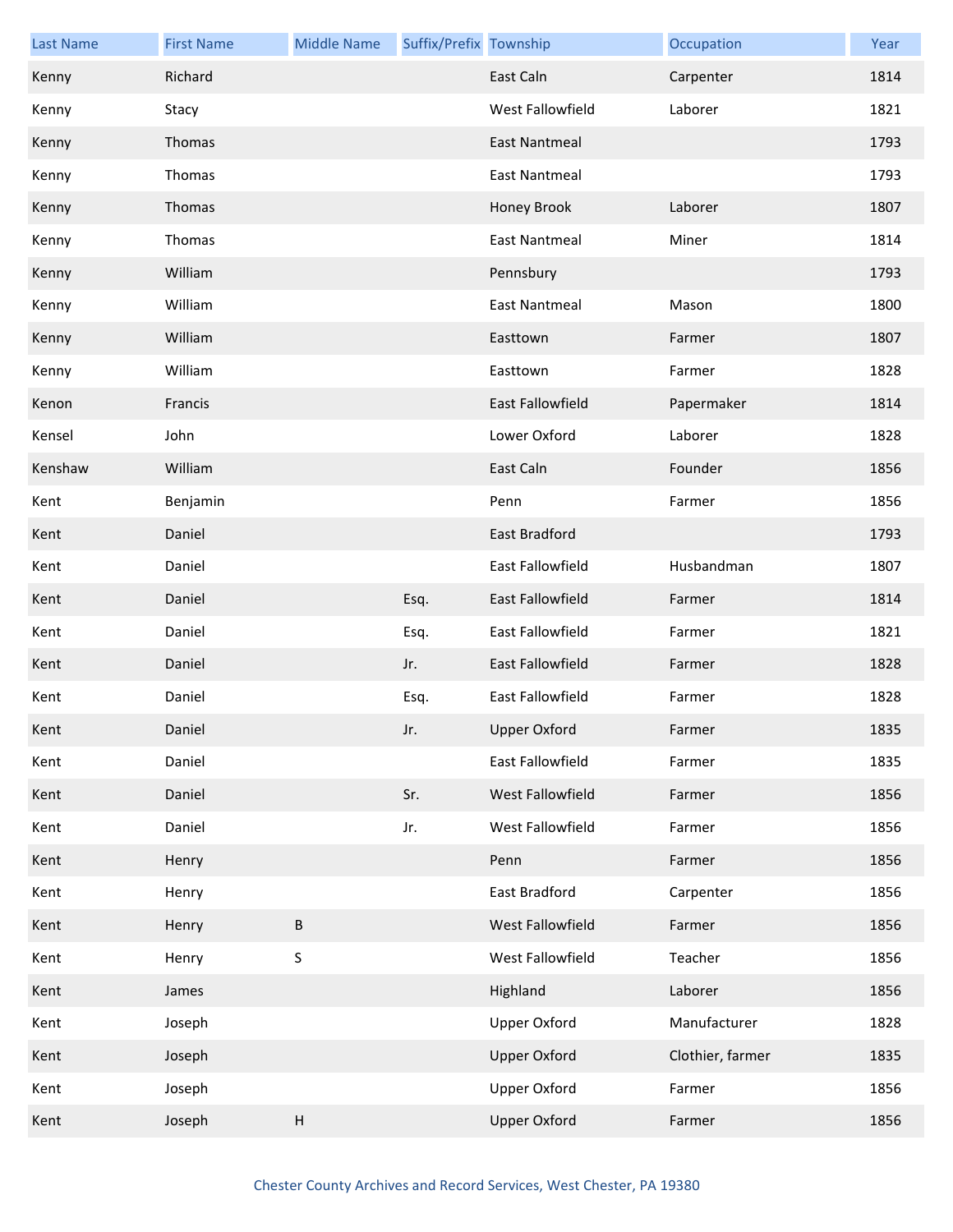| <b>Last Name</b> | <b>First Name</b> | <b>Middle Name</b>        | Suffix/Prefix Township |                         | Occupation       | Year |
|------------------|-------------------|---------------------------|------------------------|-------------------------|------------------|------|
| Kenny            | Richard           |                           |                        | East Caln               | Carpenter        | 1814 |
| Kenny            | Stacy             |                           |                        | West Fallowfield        | Laborer          | 1821 |
| Kenny            | Thomas            |                           |                        | <b>East Nantmeal</b>    |                  | 1793 |
| Kenny            | Thomas            |                           |                        | <b>East Nantmeal</b>    |                  | 1793 |
| Kenny            | Thomas            |                           |                        | Honey Brook             | Laborer          | 1807 |
| Kenny            | Thomas            |                           |                        | East Nantmeal           | Miner            | 1814 |
| Kenny            | William           |                           |                        | Pennsbury               |                  | 1793 |
| Kenny            | William           |                           |                        | <b>East Nantmeal</b>    | Mason            | 1800 |
| Kenny            | William           |                           |                        | Easttown                | Farmer           | 1807 |
| Kenny            | William           |                           |                        | Easttown                | Farmer           | 1828 |
| Kenon            | Francis           |                           |                        | East Fallowfield        | Papermaker       | 1814 |
| Kensel           | John              |                           |                        | Lower Oxford            | Laborer          | 1828 |
| Kenshaw          | William           |                           |                        | East Caln               | Founder          | 1856 |
| Kent             | Benjamin          |                           |                        | Penn                    | Farmer           | 1856 |
| Kent             | Daniel            |                           |                        | East Bradford           |                  | 1793 |
| Kent             | Daniel            |                           |                        | East Fallowfield        | Husbandman       | 1807 |
| Kent             | Daniel            |                           | Esq.                   | East Fallowfield        | Farmer           | 1814 |
| Kent             | Daniel            |                           | Esq.                   | East Fallowfield        | Farmer           | 1821 |
| Kent             | Daniel            |                           | Jr.                    | East Fallowfield        | Farmer           | 1828 |
| Kent             | Daniel            |                           | Esq.                   | <b>East Fallowfield</b> | Farmer           | 1828 |
| Kent             | Daniel            |                           | Jr.                    | Upper Oxford            | Farmer           | 1835 |
| Kent             | Daniel            |                           |                        | East Fallowfield        | Farmer           | 1835 |
| Kent             | Daniel            |                           | Sr.                    | West Fallowfield        | Farmer           | 1856 |
| Kent             | Daniel            |                           | Jr.                    | West Fallowfield        | Farmer           | 1856 |
| Kent             | Henry             |                           |                        | Penn                    | Farmer           | 1856 |
| Kent             | Henry             |                           |                        | East Bradford           | Carpenter        | 1856 |
| Kent             | Henry             | $\sf B$                   |                        | West Fallowfield        | Farmer           | 1856 |
| Kent             | Henry             | $\sf S$                   |                        | West Fallowfield        | Teacher          | 1856 |
| Kent             | James             |                           |                        | Highland                | Laborer          | 1856 |
| Kent             | Joseph            |                           |                        | <b>Upper Oxford</b>     | Manufacturer     | 1828 |
| Kent             | Joseph            |                           |                        | <b>Upper Oxford</b>     | Clothier, farmer | 1835 |
| Kent             | Joseph            |                           |                        | <b>Upper Oxford</b>     | Farmer           | 1856 |
| Kent             | Joseph            | $\boldsymbol{\mathsf{H}}$ |                        | <b>Upper Oxford</b>     | Farmer           | 1856 |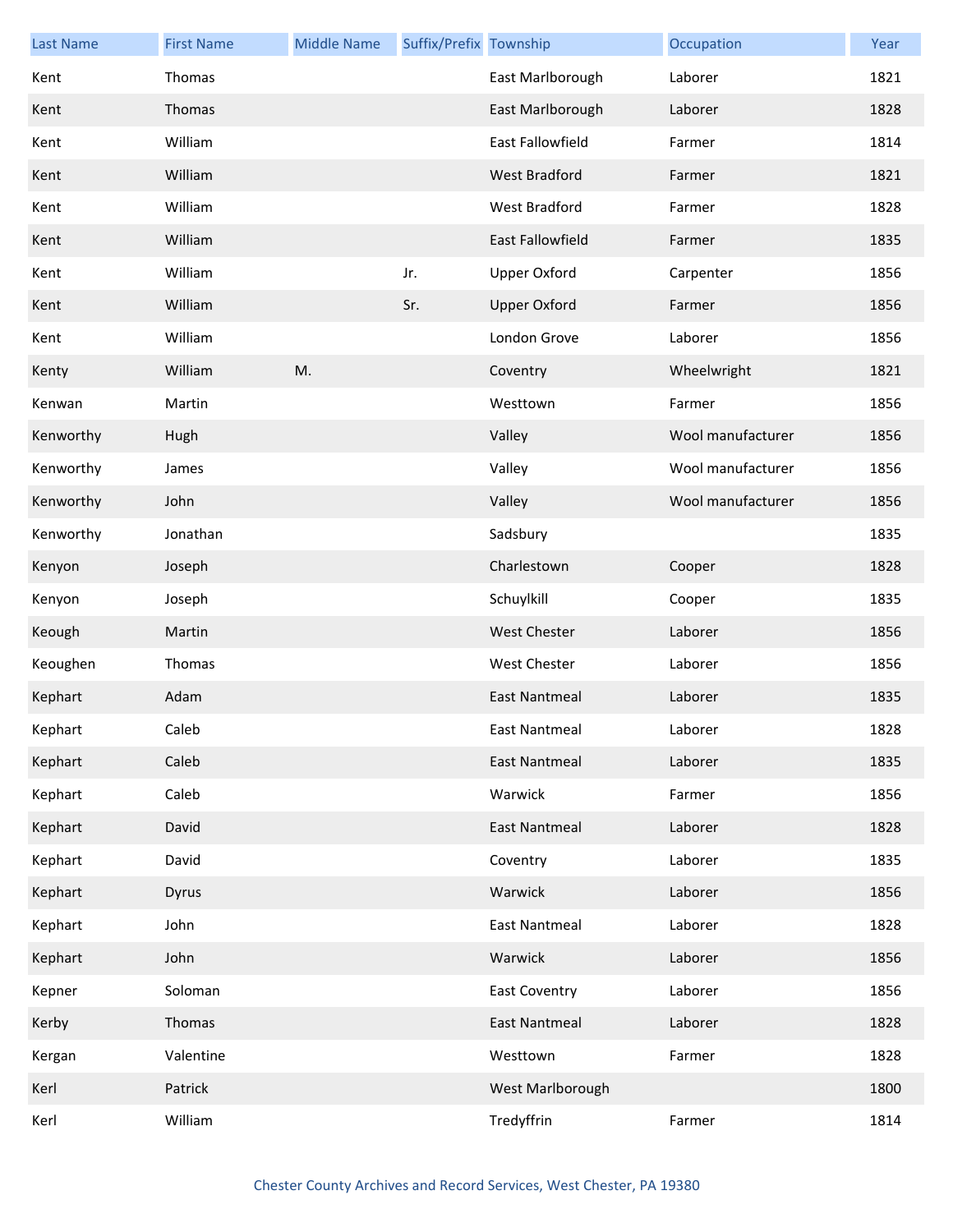| <b>Last Name</b> | <b>First Name</b> | <b>Middle Name</b> | Suffix/Prefix Township |                         | Occupation        | Year |
|------------------|-------------------|--------------------|------------------------|-------------------------|-------------------|------|
| Kent             | Thomas            |                    |                        | East Marlborough        | Laborer           | 1821 |
| Kent             | Thomas            |                    |                        | East Marlborough        | Laborer           | 1828 |
| Kent             | William           |                    |                        | <b>East Fallowfield</b> | Farmer            | 1814 |
| Kent             | William           |                    |                        | West Bradford           | Farmer            | 1821 |
| Kent             | William           |                    |                        | West Bradford           | Farmer            | 1828 |
| Kent             | William           |                    |                        | <b>East Fallowfield</b> | Farmer            | 1835 |
| Kent             | William           |                    | Jr.                    | Upper Oxford            | Carpenter         | 1856 |
| Kent             | William           |                    | Sr.                    | <b>Upper Oxford</b>     | Farmer            | 1856 |
| Kent             | William           |                    |                        | London Grove            | Laborer           | 1856 |
| Kenty            | William           | M.                 |                        | Coventry                | Wheelwright       | 1821 |
| Kenwan           | Martin            |                    |                        | Westtown                | Farmer            | 1856 |
| Kenworthy        | Hugh              |                    |                        | Valley                  | Wool manufacturer | 1856 |
| Kenworthy        | James             |                    |                        | Valley                  | Wool manufacturer | 1856 |
| Kenworthy        | John              |                    |                        | Valley                  | Wool manufacturer | 1856 |
| Kenworthy        | Jonathan          |                    |                        | Sadsbury                |                   | 1835 |
| Kenyon           | Joseph            |                    |                        | Charlestown             | Cooper            | 1828 |
| Kenyon           | Joseph            |                    |                        | Schuylkill              | Cooper            | 1835 |
| Keough           | Martin            |                    |                        | <b>West Chester</b>     | Laborer           | 1856 |
| Keoughen         | Thomas            |                    |                        | West Chester            | Laborer           | 1856 |
| Kephart          | Adam              |                    |                        | <b>East Nantmeal</b>    | Laborer           | 1835 |
| Kephart          | Caleb             |                    |                        | East Nantmeal           | Laborer           | 1828 |
| Kephart          | Caleb             |                    |                        | <b>East Nantmeal</b>    | Laborer           | 1835 |
| Kephart          | Caleb             |                    |                        | Warwick                 | Farmer            | 1856 |
| Kephart          | David             |                    |                        | <b>East Nantmeal</b>    | Laborer           | 1828 |
| Kephart          | David             |                    |                        | Coventry                | Laborer           | 1835 |
| Kephart          | Dyrus             |                    |                        | Warwick                 | Laborer           | 1856 |
| Kephart          | John              |                    |                        | East Nantmeal           | Laborer           | 1828 |
| Kephart          | John              |                    |                        | Warwick                 | Laborer           | 1856 |
| Kepner           | Soloman           |                    |                        | <b>East Coventry</b>    | Laborer           | 1856 |
| Kerby            | Thomas            |                    |                        | <b>East Nantmeal</b>    | Laborer           | 1828 |
| Kergan           | Valentine         |                    |                        | Westtown                | Farmer            | 1828 |
| Kerl             | Patrick           |                    |                        | West Marlborough        |                   | 1800 |
| Kerl             | William           |                    |                        | Tredyffrin              | Farmer            | 1814 |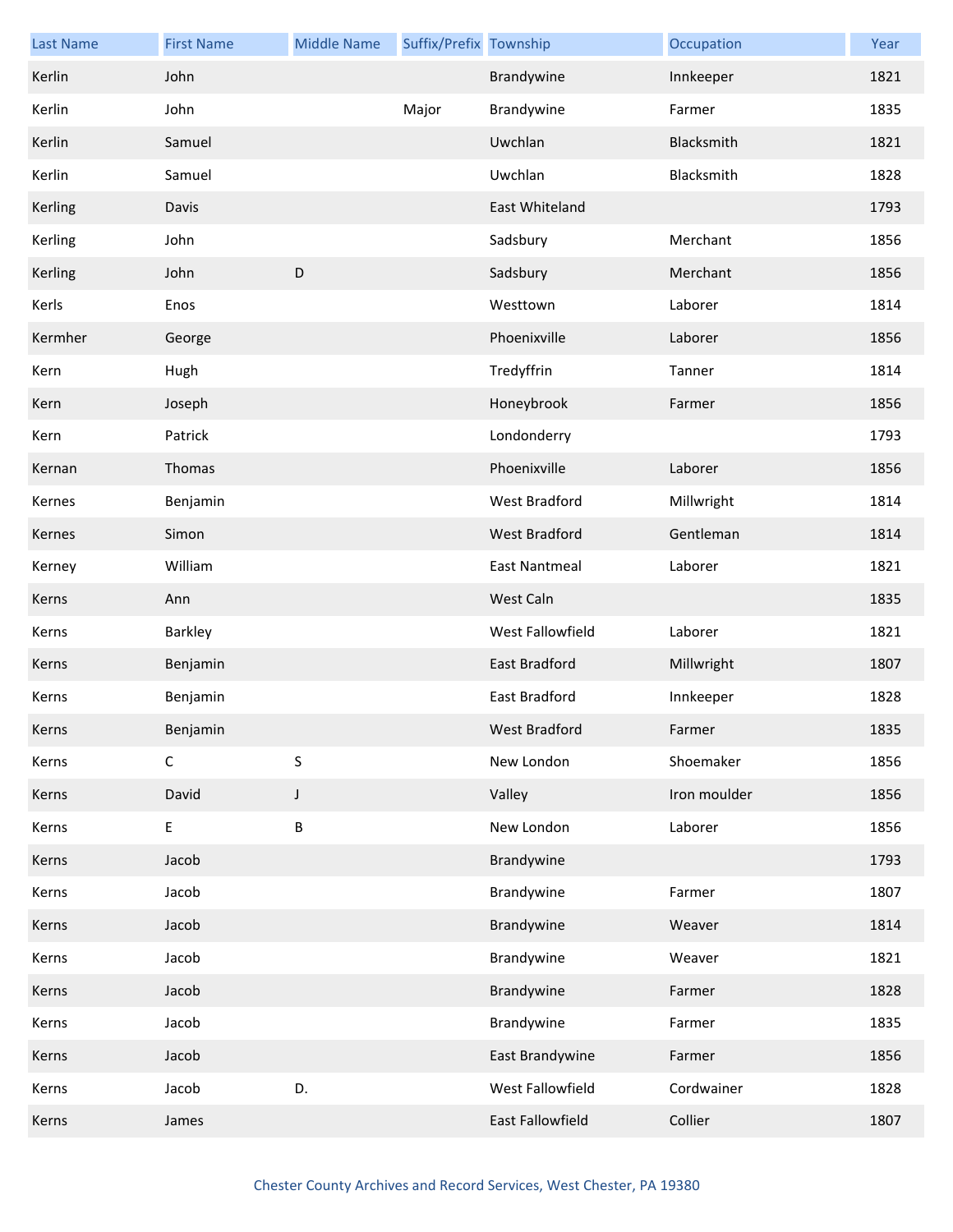| <b>Last Name</b> | <b>First Name</b> | <b>Middle Name</b> | Suffix/Prefix Township |                      | Occupation   | Year |
|------------------|-------------------|--------------------|------------------------|----------------------|--------------|------|
| Kerlin           | John              |                    |                        | Brandywine           | Innkeeper    | 1821 |
| Kerlin           | John              |                    | Major                  | Brandywine           | Farmer       | 1835 |
| Kerlin           | Samuel            |                    |                        | Uwchlan              | Blacksmith   | 1821 |
| Kerlin           | Samuel            |                    |                        | Uwchlan              | Blacksmith   | 1828 |
| Kerling          | Davis             |                    |                        | East Whiteland       |              | 1793 |
| Kerling          | John              |                    |                        | Sadsbury             | Merchant     | 1856 |
| Kerling          | John              | $\mathsf D$        |                        | Sadsbury             | Merchant     | 1856 |
| Kerls            | Enos              |                    |                        | Westtown             | Laborer      | 1814 |
| Kermher          | George            |                    |                        | Phoenixville         | Laborer      | 1856 |
| Kern             | Hugh              |                    |                        | Tredyffrin           | Tanner       | 1814 |
| Kern             | Joseph            |                    |                        | Honeybrook           | Farmer       | 1856 |
| Kern             | Patrick           |                    |                        | Londonderry          |              | 1793 |
| Kernan           | Thomas            |                    |                        | Phoenixville         | Laborer      | 1856 |
| Kernes           | Benjamin          |                    |                        | West Bradford        | Millwright   | 1814 |
| Kernes           | Simon             |                    |                        | <b>West Bradford</b> | Gentleman    | 1814 |
| Kerney           | William           |                    |                        | <b>East Nantmeal</b> | Laborer      | 1821 |
| Kerns            | Ann               |                    |                        | West Caln            |              | 1835 |
| Kerns            | Barkley           |                    |                        | West Fallowfield     | Laborer      | 1821 |
| Kerns            | Benjamin          |                    |                        | East Bradford        | Millwright   | 1807 |
| Kerns            | Benjamin          |                    |                        | East Bradford        | Innkeeper    | 1828 |
| Kerns            | Benjamin          |                    |                        | West Bradford        | Farmer       | 1835 |
| Kerns            | $\mathsf C$       | S                  |                        | New London           | Shoemaker    | 1856 |
| Kerns            | David             | J                  |                        | Valley               | Iron moulder | 1856 |
| Kerns            | E                 | $\sf B$            |                        | New London           | Laborer      | 1856 |
| Kerns            | Jacob             |                    |                        | Brandywine           |              | 1793 |
| Kerns            | Jacob             |                    |                        | Brandywine           | Farmer       | 1807 |
| Kerns            | Jacob             |                    |                        | Brandywine           | Weaver       | 1814 |
| Kerns            | Jacob             |                    |                        | Brandywine           | Weaver       | 1821 |
| Kerns            | Jacob             |                    |                        | Brandywine           | Farmer       | 1828 |
| Kerns            | Jacob             |                    |                        | Brandywine           | Farmer       | 1835 |
| Kerns            | Jacob             |                    |                        | East Brandywine      | Farmer       | 1856 |
| Kerns            | Jacob             | D.                 |                        | West Fallowfield     | Cordwainer   | 1828 |
| Kerns            | James             |                    |                        | East Fallowfield     | Collier      | 1807 |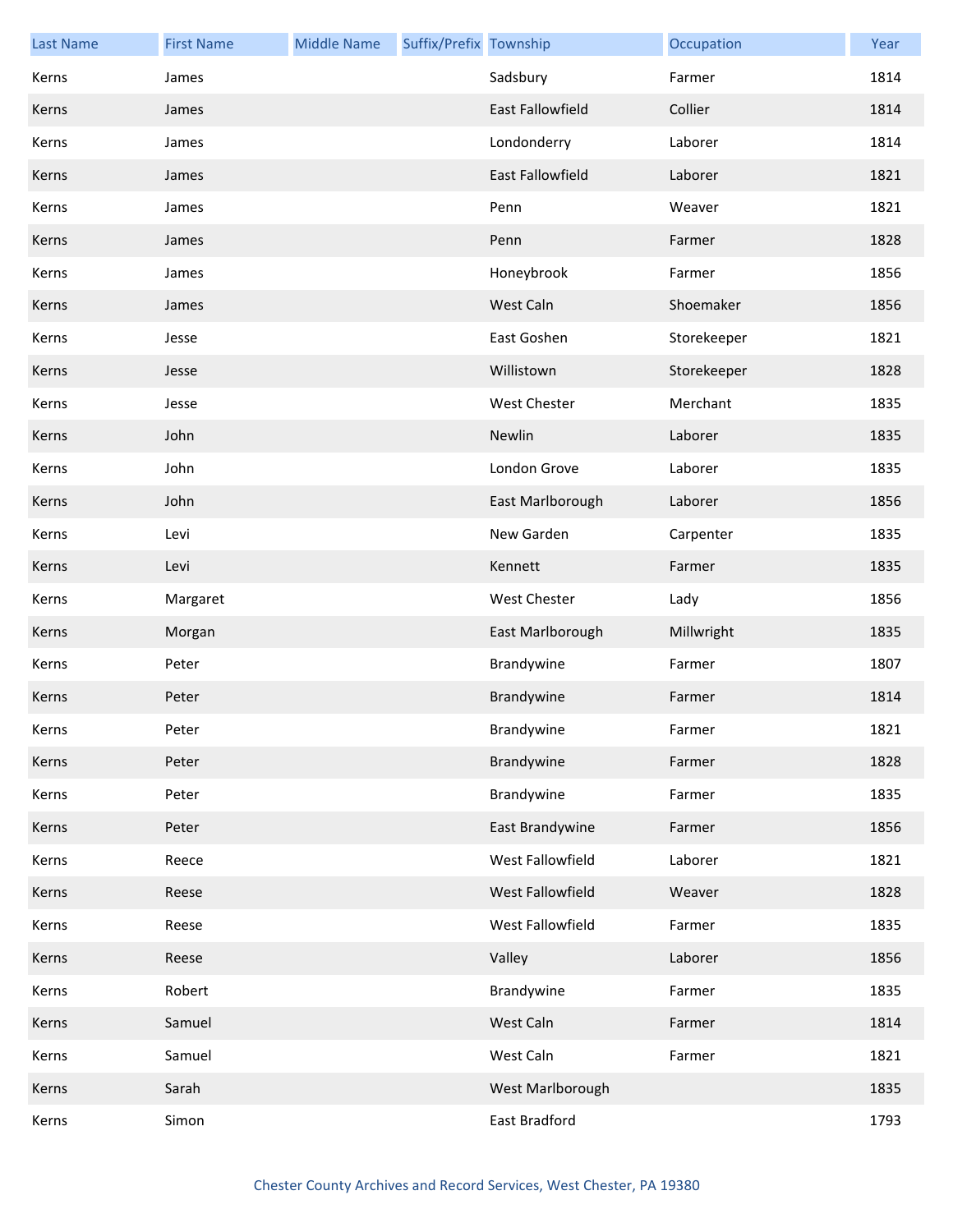| <b>Last Name</b> | <b>First Name</b> | <b>Middle Name</b> | Suffix/Prefix Township |                         | Occupation  | Year |
|------------------|-------------------|--------------------|------------------------|-------------------------|-------------|------|
| Kerns            | James             |                    |                        | Sadsbury                | Farmer      | 1814 |
| Kerns            | James             |                    |                        | <b>East Fallowfield</b> | Collier     | 1814 |
| Kerns            | James             |                    |                        | Londonderry             | Laborer     | 1814 |
| Kerns            | James             |                    |                        | East Fallowfield        | Laborer     | 1821 |
| Kerns            | James             |                    |                        | Penn                    | Weaver      | 1821 |
| Kerns            | James             |                    |                        | Penn                    | Farmer      | 1828 |
| Kerns            | James             |                    |                        | Honeybrook              | Farmer      | 1856 |
| Kerns            | James             |                    |                        | West Caln               | Shoemaker   | 1856 |
| Kerns            | Jesse             |                    |                        | East Goshen             | Storekeeper | 1821 |
| Kerns            | Jesse             |                    |                        | Willistown              | Storekeeper | 1828 |
| Kerns            | Jesse             |                    |                        | <b>West Chester</b>     | Merchant    | 1835 |
| Kerns            | John              |                    |                        | Newlin                  | Laborer     | 1835 |
| Kerns            | John              |                    |                        | London Grove            | Laborer     | 1835 |
| Kerns            | John              |                    |                        | East Marlborough        | Laborer     | 1856 |
| Kerns            | Levi              |                    |                        | New Garden              | Carpenter   | 1835 |
| Kerns            | Levi              |                    |                        | Kennett                 | Farmer      | 1835 |
| Kerns            | Margaret          |                    |                        | <b>West Chester</b>     | Lady        | 1856 |
| Kerns            | Morgan            |                    |                        | East Marlborough        | Millwright  | 1835 |
| Kerns            | Peter             |                    |                        | Brandywine              | Farmer      | 1807 |
| Kerns            | Peter             |                    |                        | Brandywine              | Farmer      | 1814 |
| Kerns            | Peter             |                    |                        | Brandywine              | Farmer      | 1821 |
| Kerns            | Peter             |                    |                        | Brandywine              | Farmer      | 1828 |
| Kerns            | Peter             |                    |                        | Brandywine              | Farmer      | 1835 |
| Kerns            | Peter             |                    |                        | East Brandywine         | Farmer      | 1856 |
| Kerns            | Reece             |                    |                        | West Fallowfield        | Laborer     | 1821 |
| Kerns            | Reese             |                    |                        | West Fallowfield        | Weaver      | 1828 |
| Kerns            | Reese             |                    |                        | West Fallowfield        | Farmer      | 1835 |
| Kerns            | Reese             |                    |                        | Valley                  | Laborer     | 1856 |
| Kerns            | Robert            |                    |                        | Brandywine              | Farmer      | 1835 |
| Kerns            | Samuel            |                    |                        | West Caln               | Farmer      | 1814 |
| Kerns            | Samuel            |                    |                        | West Caln               | Farmer      | 1821 |
| Kerns            | Sarah             |                    |                        | West Marlborough        |             | 1835 |
| Kerns            | Simon             |                    |                        | East Bradford           |             | 1793 |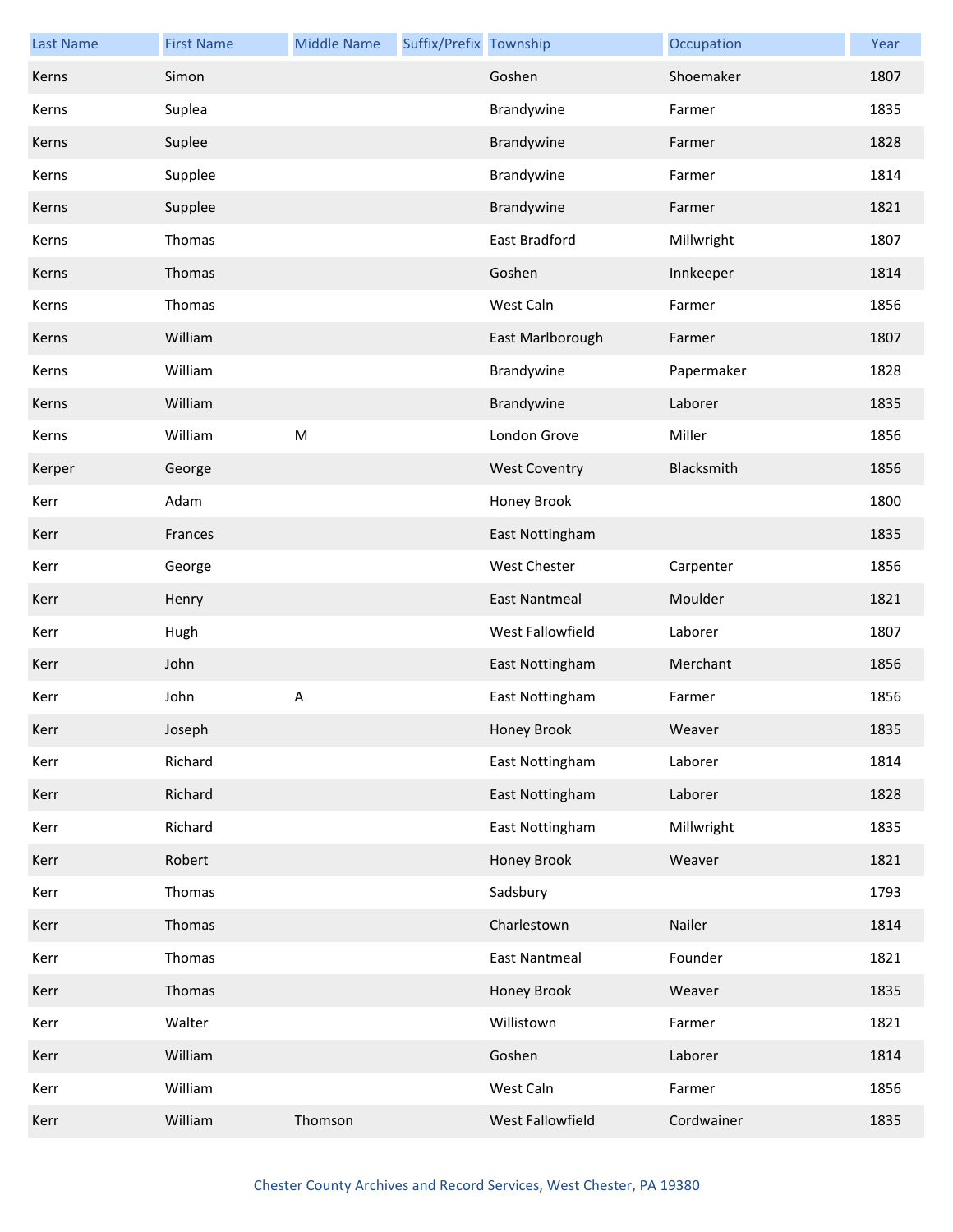| <b>Last Name</b> | <b>First Name</b> | <b>Middle Name</b> | Suffix/Prefix Township |                      | Occupation | Year |
|------------------|-------------------|--------------------|------------------------|----------------------|------------|------|
| Kerns            | Simon             |                    |                        | Goshen               | Shoemaker  | 1807 |
| Kerns            | Suplea            |                    |                        | Brandywine           | Farmer     | 1835 |
| Kerns            | Suplee            |                    |                        | Brandywine           | Farmer     | 1828 |
| Kerns            | Supplee           |                    |                        | Brandywine           | Farmer     | 1814 |
| Kerns            | Supplee           |                    |                        | Brandywine           | Farmer     | 1821 |
| Kerns            | Thomas            |                    |                        | East Bradford        | Millwright | 1807 |
| Kerns            | Thomas            |                    |                        | Goshen               | Innkeeper  | 1814 |
| Kerns            | Thomas            |                    |                        | West Caln            | Farmer     | 1856 |
| Kerns            | William           |                    |                        | East Marlborough     | Farmer     | 1807 |
| Kerns            | William           |                    |                        | Brandywine           | Papermaker | 1828 |
| Kerns            | William           |                    |                        | Brandywine           | Laborer    | 1835 |
| Kerns            | William           | ${\sf M}$          |                        | London Grove         | Miller     | 1856 |
| Kerper           | George            |                    |                        | <b>West Coventry</b> | Blacksmith | 1856 |
| Kerr             | Adam              |                    |                        | Honey Brook          |            | 1800 |
| Kerr             | Frances           |                    |                        | East Nottingham      |            | 1835 |
| Kerr             | George            |                    |                        | West Chester         | Carpenter  | 1856 |
| Kerr             | Henry             |                    |                        | <b>East Nantmeal</b> | Moulder    | 1821 |
| Kerr             | Hugh              |                    |                        | West Fallowfield     | Laborer    | 1807 |
| Kerr             | John              |                    |                        | East Nottingham      | Merchant   | 1856 |
| Kerr             | John              | $\sf A$            |                        | East Nottingham      | Farmer     | 1856 |
| Kerr             | Joseph            |                    |                        | Honey Brook          | Weaver     | 1835 |
| Kerr             | Richard           |                    |                        | East Nottingham      | Laborer    | 1814 |
| Kerr             | Richard           |                    |                        | East Nottingham      | Laborer    | 1828 |
| Kerr             | Richard           |                    |                        | East Nottingham      | Millwright | 1835 |
| Kerr             | Robert            |                    |                        | <b>Honey Brook</b>   | Weaver     | 1821 |
| Kerr             | Thomas            |                    |                        | Sadsbury             |            | 1793 |
| Kerr             | Thomas            |                    |                        | Charlestown          | Nailer     | 1814 |
| Kerr             | Thomas            |                    |                        | <b>East Nantmeal</b> | Founder    | 1821 |
| Kerr             | Thomas            |                    |                        | Honey Brook          | Weaver     | 1835 |
| Kerr             | Walter            |                    |                        | Willistown           | Farmer     | 1821 |
| Kerr             | William           |                    |                        | Goshen               | Laborer    | 1814 |
| Kerr             | William           |                    |                        | West Caln            | Farmer     | 1856 |
| Kerr             | William           | Thomson            |                        | West Fallowfield     | Cordwainer | 1835 |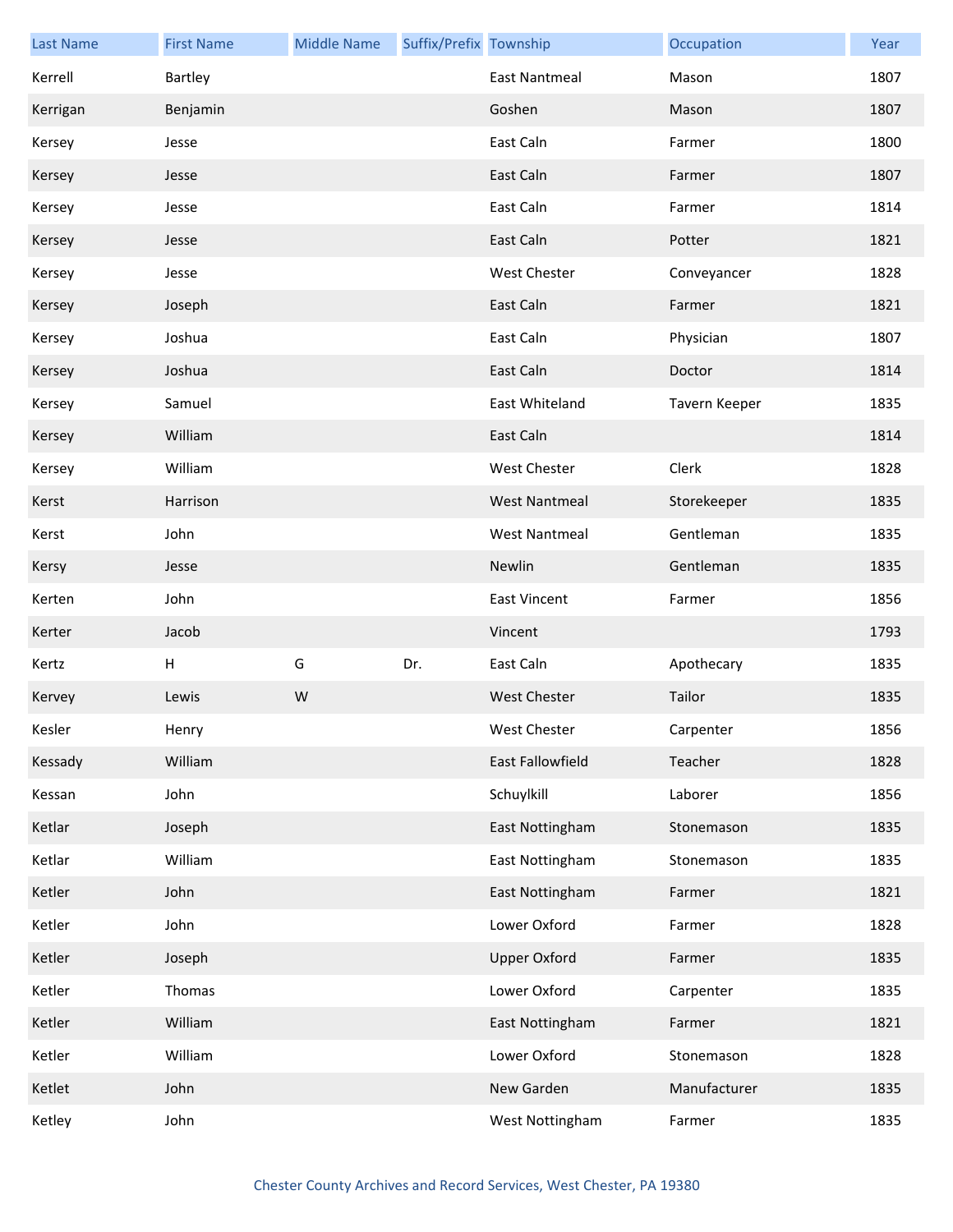| <b>Last Name</b> | <b>First Name</b> | <b>Middle Name</b> | Suffix/Prefix Township |                      | Occupation    | Year |
|------------------|-------------------|--------------------|------------------------|----------------------|---------------|------|
| Kerrell          | Bartley           |                    |                        | East Nantmeal        | Mason         | 1807 |
| Kerrigan         | Benjamin          |                    |                        | Goshen               | Mason         | 1807 |
| Kersey           | Jesse             |                    |                        | East Caln            | Farmer        | 1800 |
| Kersey           | Jesse             |                    |                        | East Caln            | Farmer        | 1807 |
| Kersey           | Jesse             |                    |                        | East Caln            | Farmer        | 1814 |
| Kersey           | Jesse             |                    |                        | East Caln            | Potter        | 1821 |
| Kersey           | Jesse             |                    |                        | <b>West Chester</b>  | Conveyancer   | 1828 |
| Kersey           | Joseph            |                    |                        | East Caln            | Farmer        | 1821 |
| Kersey           | Joshua            |                    |                        | East Caln            | Physician     | 1807 |
| Kersey           | Joshua            |                    |                        | East Caln            | Doctor        | 1814 |
| Kersey           | Samuel            |                    |                        | East Whiteland       | Tavern Keeper | 1835 |
| Kersey           | William           |                    |                        | East Caln            |               | 1814 |
| Kersey           | William           |                    |                        | <b>West Chester</b>  | Clerk         | 1828 |
| Kerst            | Harrison          |                    |                        | <b>West Nantmeal</b> | Storekeeper   | 1835 |
| Kerst            | John              |                    |                        | <b>West Nantmeal</b> | Gentleman     | 1835 |
| Kersy            | Jesse             |                    |                        | Newlin               | Gentleman     | 1835 |
| Kerten           | John              |                    |                        | <b>East Vincent</b>  | Farmer        | 1856 |
| Kerter           | Jacob             |                    |                        | Vincent              |               | 1793 |
| Kertz            | Н                 | G                  | Dr.                    | East Caln            | Apothecary    | 1835 |
| Kervey           | Lewis             | W                  |                        | <b>West Chester</b>  | Tailor        | 1835 |
| Kesler           | Henry             |                    |                        | West Chester         | Carpenter     | 1856 |
| Kessady          | William           |                    |                        | East Fallowfield     | Teacher       | 1828 |
| Kessan           | John              |                    |                        | Schuylkill           | Laborer       | 1856 |
| Ketlar           | Joseph            |                    |                        | East Nottingham      | Stonemason    | 1835 |
| Ketlar           | William           |                    |                        | East Nottingham      | Stonemason    | 1835 |
| Ketler           | John              |                    |                        | East Nottingham      | Farmer        | 1821 |
| Ketler           | John              |                    |                        | Lower Oxford         | Farmer        | 1828 |
| Ketler           | Joseph            |                    |                        | <b>Upper Oxford</b>  | Farmer        | 1835 |
| Ketler           | Thomas            |                    |                        | Lower Oxford         | Carpenter     | 1835 |
| Ketler           | William           |                    |                        | East Nottingham      | Farmer        | 1821 |
| Ketler           | William           |                    |                        | Lower Oxford         | Stonemason    | 1828 |
| Ketlet           | John              |                    |                        | New Garden           | Manufacturer  | 1835 |
| Ketley           | John              |                    |                        | West Nottingham      | Farmer        | 1835 |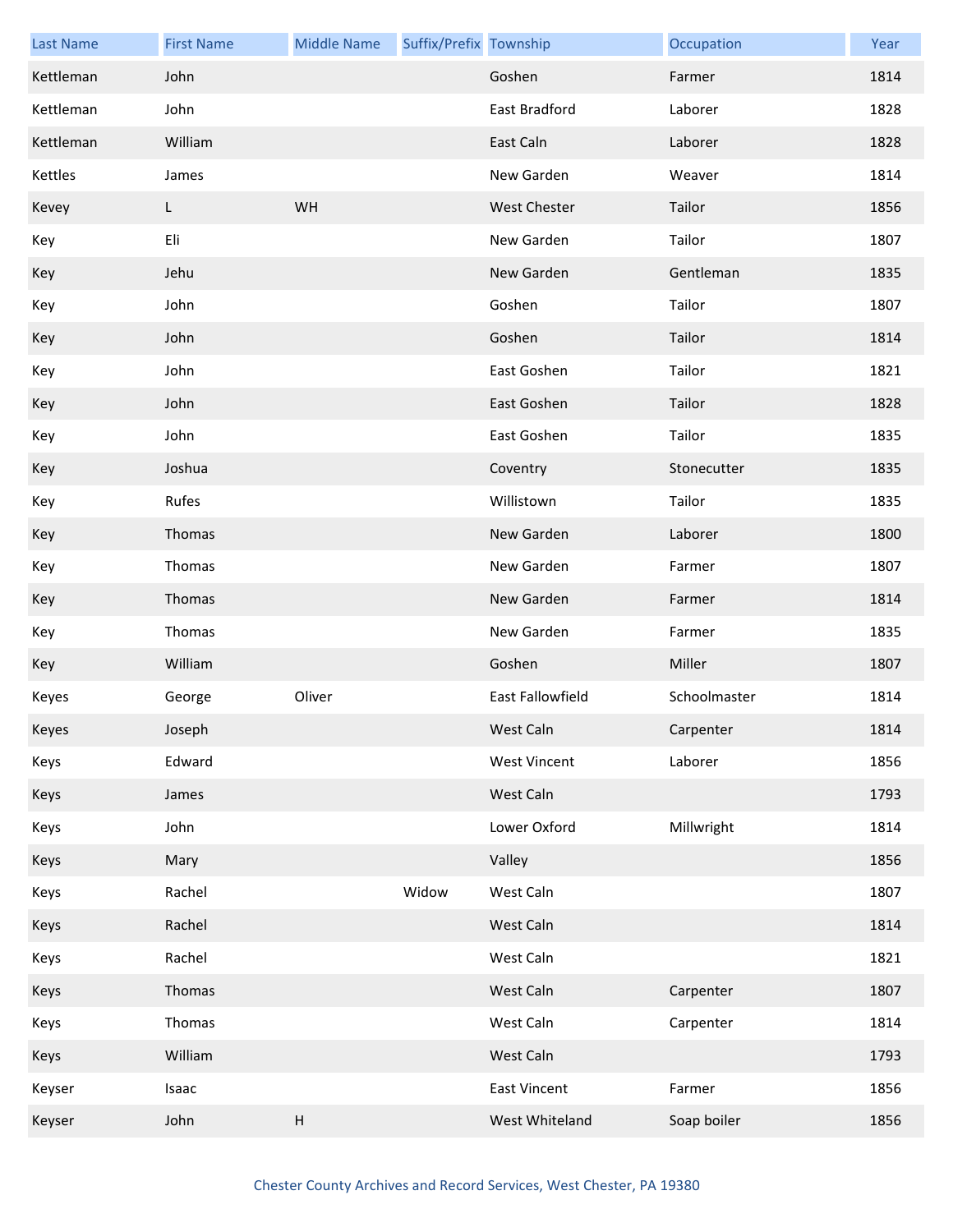| <b>Last Name</b> | <b>First Name</b> | <b>Middle Name</b>        | Suffix/Prefix Township |                         | Occupation   | Year |
|------------------|-------------------|---------------------------|------------------------|-------------------------|--------------|------|
| Kettleman        | John              |                           |                        | Goshen                  | Farmer       | 1814 |
| Kettleman        | John              |                           |                        | East Bradford           | Laborer      | 1828 |
| Kettleman        | William           |                           |                        | East Caln               | Laborer      | 1828 |
| Kettles          | James             |                           |                        | New Garden              | Weaver       | 1814 |
| Kevey            | L                 | WH                        |                        | <b>West Chester</b>     | Tailor       | 1856 |
| Key              | Eli               |                           |                        | New Garden              | Tailor       | 1807 |
| Key              | Jehu              |                           |                        | New Garden              | Gentleman    | 1835 |
| Key              | John              |                           |                        | Goshen                  | Tailor       | 1807 |
| Key              | John              |                           |                        | Goshen                  | Tailor       | 1814 |
| Key              | John              |                           |                        | East Goshen             | Tailor       | 1821 |
| Key              | John              |                           |                        | East Goshen             | Tailor       | 1828 |
| Key              | John              |                           |                        | East Goshen             | Tailor       | 1835 |
| Key              | Joshua            |                           |                        | Coventry                | Stonecutter  | 1835 |
| Key              | Rufes             |                           |                        | Willistown              | Tailor       | 1835 |
| Key              | Thomas            |                           |                        | New Garden              | Laborer      | 1800 |
| Key              | Thomas            |                           |                        | New Garden              | Farmer       | 1807 |
| Key              | Thomas            |                           |                        | New Garden              | Farmer       | 1814 |
| Key              | Thomas            |                           |                        | New Garden              | Farmer       | 1835 |
| Key              | William           |                           |                        | Goshen                  | Miller       | 1807 |
| Keyes            | George            | Oliver                    |                        | <b>East Fallowfield</b> | Schoolmaster | 1814 |
| Keyes            | Joseph            |                           |                        | West Caln               | Carpenter    | 1814 |
| Keys             | Edward            |                           |                        | <b>West Vincent</b>     | Laborer      | 1856 |
| Keys             | James             |                           |                        | West Caln               |              | 1793 |
| Keys             | John              |                           |                        | Lower Oxford            | Millwright   | 1814 |
| Keys             | Mary              |                           |                        | Valley                  |              | 1856 |
| Keys             | Rachel            |                           | Widow                  | West Caln               |              | 1807 |
| Keys             | Rachel            |                           |                        | West Caln               |              | 1814 |
| Keys             | Rachel            |                           |                        | West Caln               |              | 1821 |
| Keys             | Thomas            |                           |                        | West Caln               | Carpenter    | 1807 |
| Keys             | Thomas            |                           |                        | West Caln               | Carpenter    | 1814 |
| Keys             | William           |                           |                        | West Caln               |              | 1793 |
| Keyser           | Isaac             |                           |                        | <b>East Vincent</b>     | Farmer       | 1856 |
| Keyser           | John              | $\boldsymbol{\mathsf{H}}$ |                        | West Whiteland          | Soap boiler  | 1856 |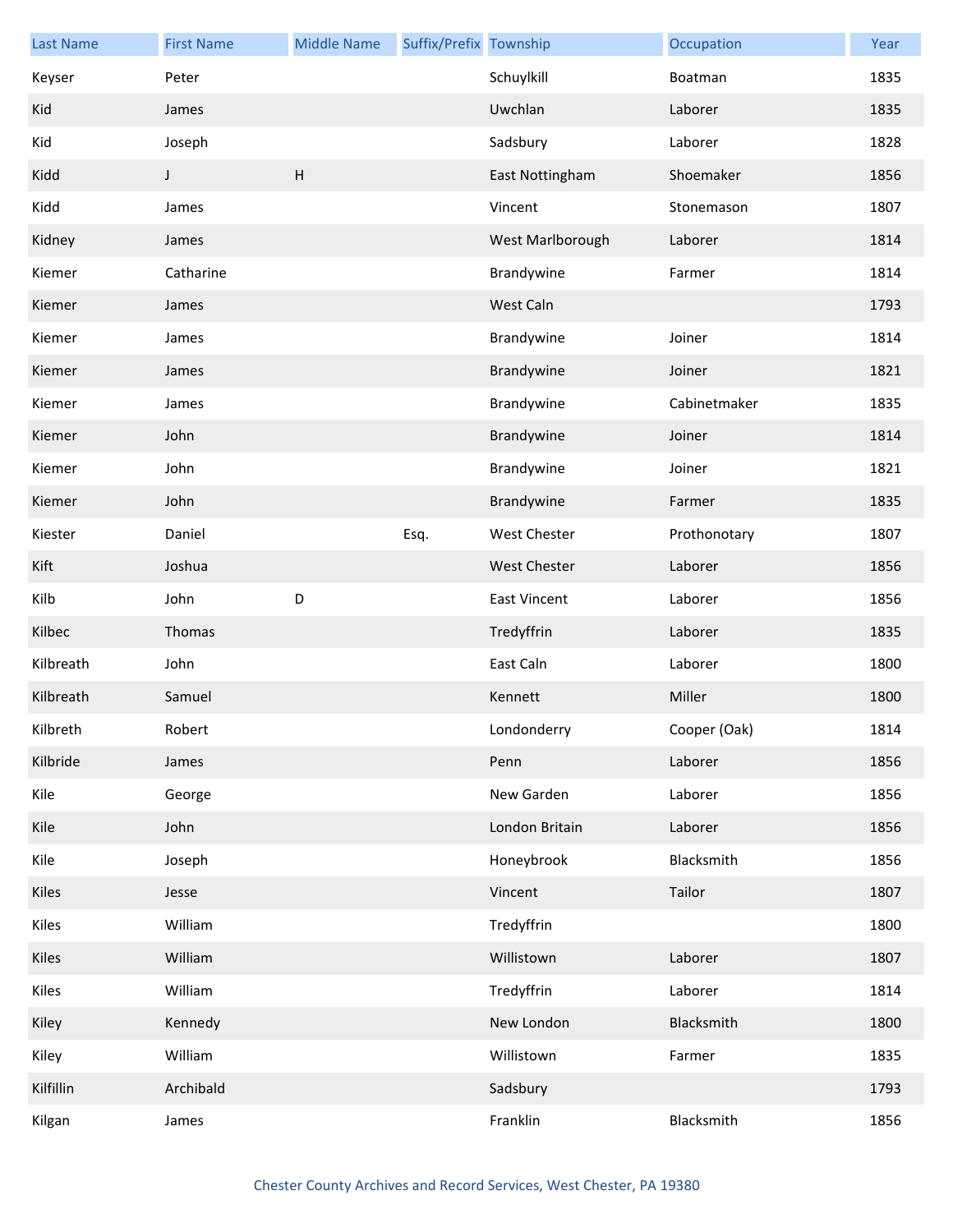| <b>Last Name</b> | <b>First Name</b> | <b>Middle Name</b>        | Suffix/Prefix Township |                     | Occupation   | Year |
|------------------|-------------------|---------------------------|------------------------|---------------------|--------------|------|
| Keyser           | Peter             |                           |                        | Schuylkill          | Boatman      | 1835 |
| Kid              | James             |                           |                        | Uwchlan             | Laborer      | 1835 |
| Kid              | Joseph            |                           |                        | Sadsbury            | Laborer      | 1828 |
| Kidd             | J                 | $\boldsymbol{\mathsf{H}}$ |                        | East Nottingham     | Shoemaker    | 1856 |
| Kidd             | James             |                           |                        | Vincent             | Stonemason   | 1807 |
| Kidney           | James             |                           |                        | West Marlborough    | Laborer      | 1814 |
| Kiemer           | Catharine         |                           |                        | Brandywine          | Farmer       | 1814 |
| Kiemer           | James             |                           |                        | West Caln           |              | 1793 |
| Kiemer           | James             |                           |                        | Brandywine          | Joiner       | 1814 |
| Kiemer           | James             |                           |                        | Brandywine          | Joiner       | 1821 |
| Kiemer           | James             |                           |                        | Brandywine          | Cabinetmaker | 1835 |
| Kiemer           | John              |                           |                        | Brandywine          | Joiner       | 1814 |
| Kiemer           | John              |                           |                        | Brandywine          | Joiner       | 1821 |
| Kiemer           | John              |                           |                        | Brandywine          | Farmer       | 1835 |
| Kiester          | Daniel            |                           | Esq.                   | <b>West Chester</b> | Prothonotary | 1807 |
| Kift             | Joshua            |                           |                        | <b>West Chester</b> | Laborer      | 1856 |
| Kilb             | John              | D                         |                        | <b>East Vincent</b> | Laborer      | 1856 |
| Kilbec           | Thomas            |                           |                        | Tredyffrin          | Laborer      | 1835 |
| Kilbreath        | John              |                           |                        | East Caln           | Laborer      | 1800 |
| Kilbreath        | Samuel            |                           |                        | Kennett             | Miller       | 1800 |
| Kilbreth         | Robert            |                           |                        | Londonderry         | Cooper (Oak) | 1814 |
| Kilbride         | James             |                           |                        | Penn                | Laborer      | 1856 |
| Kile             | George            |                           |                        | New Garden          | Laborer      | 1856 |
| Kile             | John              |                           |                        | London Britain      | Laborer      | 1856 |
| Kile             | Joseph            |                           |                        | Honeybrook          | Blacksmith   | 1856 |
| Kiles            | Jesse             |                           |                        | Vincent             | Tailor       | 1807 |
| Kiles            | William           |                           |                        | Tredyffrin          |              | 1800 |
| Kiles            | William           |                           |                        | Willistown          | Laborer      | 1807 |
| Kiles            | William           |                           |                        | Tredyffrin          | Laborer      | 1814 |
| Kiley            | Kennedy           |                           |                        | New London          | Blacksmith   | 1800 |
| Kiley            | William           |                           |                        | Willistown          | Farmer       | 1835 |
| Kilfillin        | Archibald         |                           |                        | Sadsbury            |              | 1793 |
| Kilgan           | James             |                           |                        | Franklin            | Blacksmith   | 1856 |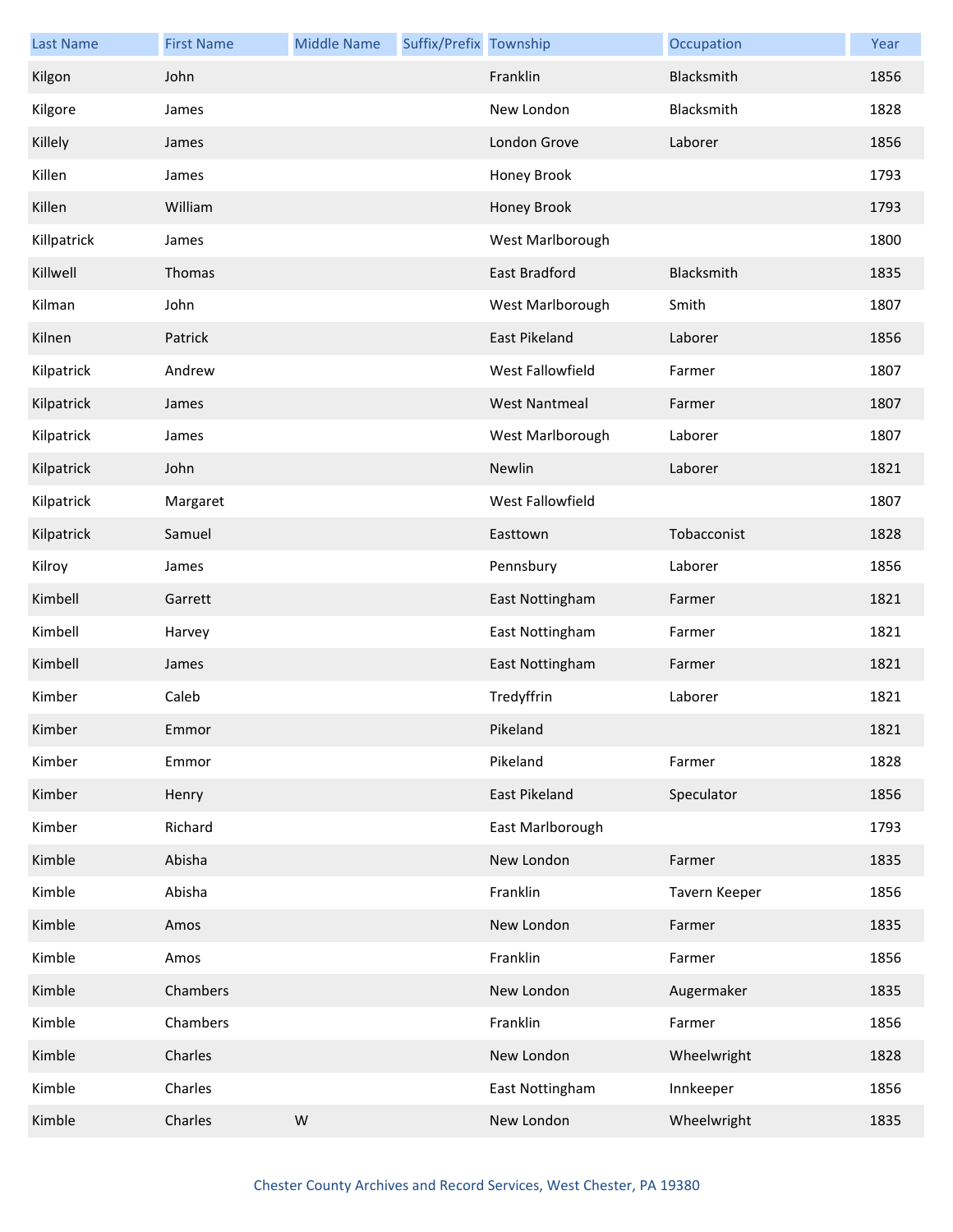| <b>Last Name</b> | <b>First Name</b> | <b>Middle Name</b> | Suffix/Prefix Township |                      | Occupation    | Year |
|------------------|-------------------|--------------------|------------------------|----------------------|---------------|------|
| Kilgon           | John              |                    |                        | Franklin             | Blacksmith    | 1856 |
| Kilgore          | James             |                    |                        | New London           | Blacksmith    | 1828 |
| Killely          | James             |                    |                        | London Grove         | Laborer       | 1856 |
| Killen           | James             |                    |                        | Honey Brook          |               | 1793 |
| Killen           | William           |                    |                        | Honey Brook          |               | 1793 |
| Killpatrick      | James             |                    |                        | West Marlborough     |               | 1800 |
| Killwell         | Thomas            |                    |                        | East Bradford        | Blacksmith    | 1835 |
| Kilman           | John              |                    |                        | West Marlborough     | Smith         | 1807 |
| Kilnen           | Patrick           |                    |                        | East Pikeland        | Laborer       | 1856 |
| Kilpatrick       | Andrew            |                    |                        | West Fallowfield     | Farmer        | 1807 |
| Kilpatrick       | James             |                    |                        | <b>West Nantmeal</b> | Farmer        | 1807 |
| Kilpatrick       | James             |                    |                        | West Marlborough     | Laborer       | 1807 |
| Kilpatrick       | John              |                    |                        | Newlin               | Laborer       | 1821 |
| Kilpatrick       | Margaret          |                    |                        | West Fallowfield     |               | 1807 |
| Kilpatrick       | Samuel            |                    |                        | Easttown             | Tobacconist   | 1828 |
| Kilroy           | James             |                    |                        | Pennsbury            | Laborer       | 1856 |
| Kimbell          | Garrett           |                    |                        | East Nottingham      | Farmer        | 1821 |
| Kimbell          | Harvey            |                    |                        | East Nottingham      | Farmer        | 1821 |
| Kimbell          | James             |                    |                        | East Nottingham      | Farmer        | 1821 |
| Kimber           | Caleb             |                    |                        | Tredyffrin           | Laborer       | 1821 |
| Kimber           | Emmor             |                    |                        | Pikeland             |               | 1821 |
| Kimber           | Emmor             |                    |                        | Pikeland             | Farmer        | 1828 |
| Kimber           | Henry             |                    |                        | East Pikeland        | Speculator    | 1856 |
| Kimber           | Richard           |                    |                        | East Marlborough     |               | 1793 |
| Kimble           | Abisha            |                    |                        | New London           | Farmer        | 1835 |
| Kimble           | Abisha            |                    |                        | Franklin             | Tavern Keeper | 1856 |
| Kimble           | Amos              |                    |                        | New London           | Farmer        | 1835 |
| Kimble           | Amos              |                    |                        | Franklin             | Farmer        | 1856 |
| Kimble           | Chambers          |                    |                        | New London           | Augermaker    | 1835 |
| Kimble           | Chambers          |                    |                        | Franklin             | Farmer        | 1856 |
| Kimble           | Charles           |                    |                        | New London           | Wheelwright   | 1828 |
| Kimble           | Charles           |                    |                        | East Nottingham      | Innkeeper     | 1856 |
| Kimble           | Charles           | ${\sf W}$          |                        | New London           | Wheelwright   | 1835 |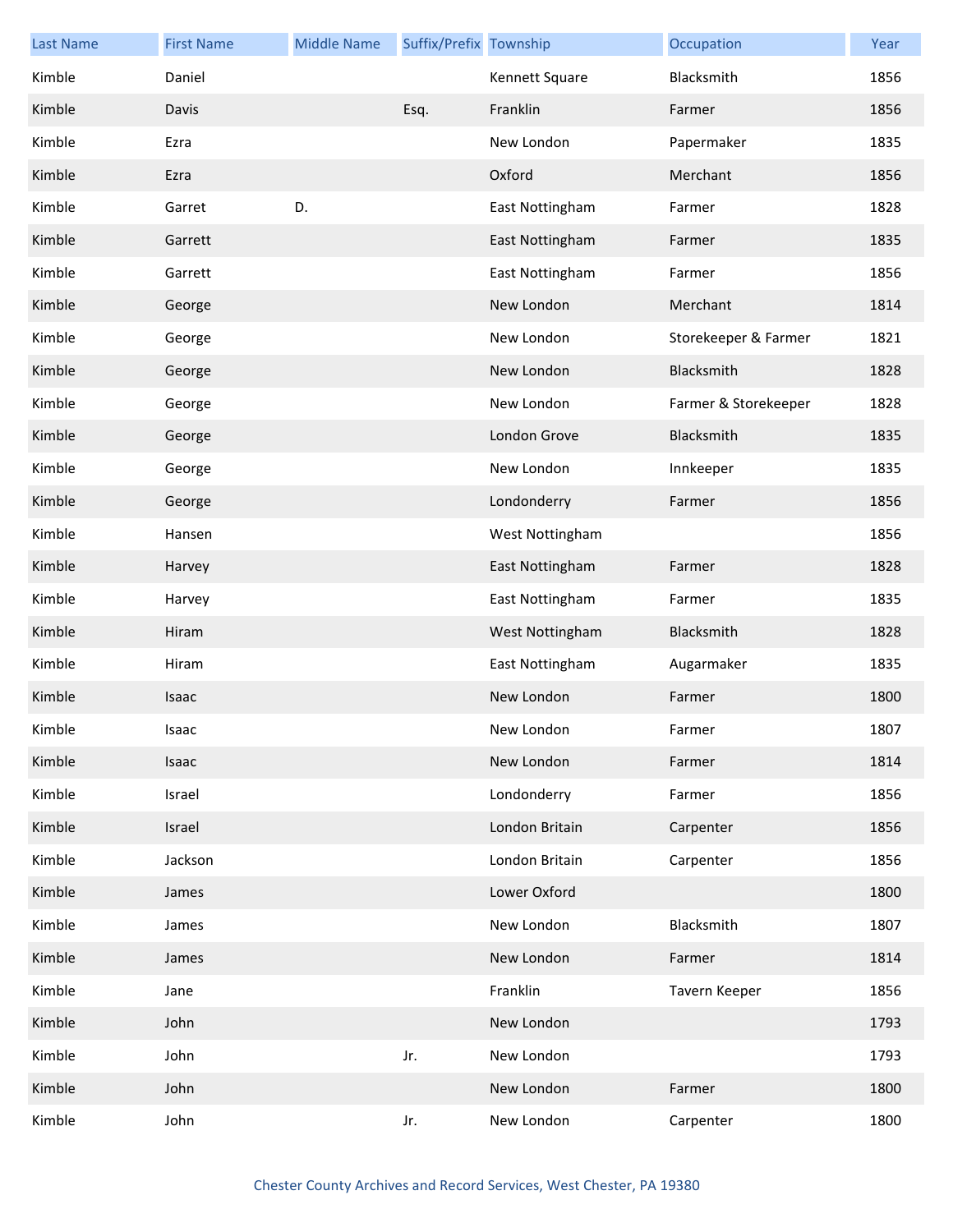| <b>Last Name</b> | <b>First Name</b> | <b>Middle Name</b> | Suffix/Prefix Township |                 | Occupation           | Year |
|------------------|-------------------|--------------------|------------------------|-----------------|----------------------|------|
| Kimble           | Daniel            |                    |                        | Kennett Square  | Blacksmith           | 1856 |
| Kimble           | Davis             |                    | Esq.                   | Franklin        | Farmer               | 1856 |
| Kimble           | Ezra              |                    |                        | New London      | Papermaker           | 1835 |
| Kimble           | Ezra              |                    |                        | Oxford          | Merchant             | 1856 |
| Kimble           | Garret            | D.                 |                        | East Nottingham | Farmer               | 1828 |
| Kimble           | Garrett           |                    |                        | East Nottingham | Farmer               | 1835 |
| Kimble           | Garrett           |                    |                        | East Nottingham | Farmer               | 1856 |
| Kimble           | George            |                    |                        | New London      | Merchant             | 1814 |
| Kimble           | George            |                    |                        | New London      | Storekeeper & Farmer | 1821 |
| Kimble           | George            |                    |                        | New London      | Blacksmith           | 1828 |
| Kimble           | George            |                    |                        | New London      | Farmer & Storekeeper | 1828 |
| Kimble           | George            |                    |                        | London Grove    | Blacksmith           | 1835 |
| Kimble           | George            |                    |                        | New London      | Innkeeper            | 1835 |
| Kimble           | George            |                    |                        | Londonderry     | Farmer               | 1856 |
| Kimble           | Hansen            |                    |                        | West Nottingham |                      | 1856 |
| Kimble           | Harvey            |                    |                        | East Nottingham | Farmer               | 1828 |
| Kimble           | Harvey            |                    |                        | East Nottingham | Farmer               | 1835 |
| Kimble           | Hiram             |                    |                        | West Nottingham | Blacksmith           | 1828 |
| Kimble           | Hiram             |                    |                        | East Nottingham | Augarmaker           | 1835 |
| Kimble           | Isaac             |                    |                        | New London      | Farmer               | 1800 |
| Kimble           | Isaac             |                    |                        | New London      | Farmer               | 1807 |
| Kimble           | Isaac             |                    |                        | New London      | Farmer               | 1814 |
| Kimble           | Israel            |                    |                        | Londonderry     | Farmer               | 1856 |
| Kimble           | Israel            |                    |                        | London Britain  | Carpenter            | 1856 |
| Kimble           | Jackson           |                    |                        | London Britain  | Carpenter            | 1856 |
| Kimble           | James             |                    |                        | Lower Oxford    |                      | 1800 |
| Kimble           | James             |                    |                        | New London      | Blacksmith           | 1807 |
| Kimble           | James             |                    |                        | New London      | Farmer               | 1814 |
| Kimble           | Jane              |                    |                        | Franklin        | Tavern Keeper        | 1856 |
| Kimble           | John              |                    |                        | New London      |                      | 1793 |
| Kimble           | John              |                    | Jr.                    | New London      |                      | 1793 |
| Kimble           | John              |                    |                        | New London      | Farmer               | 1800 |
| Kimble           | John              |                    | Jr.                    | New London      | Carpenter            | 1800 |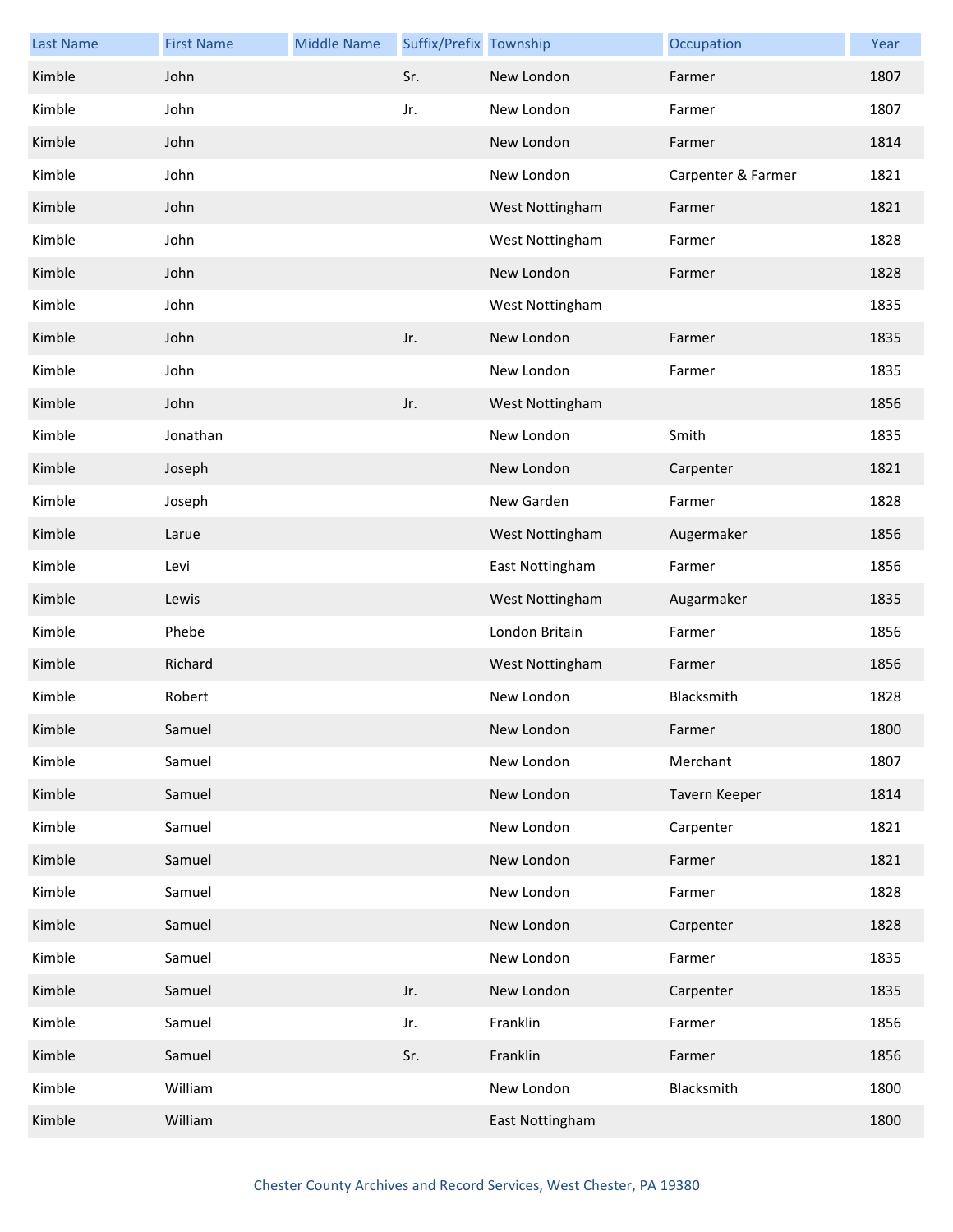| <b>Last Name</b> | <b>First Name</b> | <b>Middle Name</b> | Suffix/Prefix Township |                 | Occupation         | Year |
|------------------|-------------------|--------------------|------------------------|-----------------|--------------------|------|
| Kimble           | John              |                    | Sr.                    | New London      | Farmer             | 1807 |
| Kimble           | John              |                    | Jr.                    | New London      | Farmer             | 1807 |
| Kimble           | John              |                    |                        | New London      | Farmer             | 1814 |
| Kimble           | John              |                    |                        | New London      | Carpenter & Farmer | 1821 |
| Kimble           | John              |                    |                        | West Nottingham | Farmer             | 1821 |
| Kimble           | John              |                    |                        | West Nottingham | Farmer             | 1828 |
| Kimble           | John              |                    |                        | New London      | Farmer             | 1828 |
| Kimble           | John              |                    |                        | West Nottingham |                    | 1835 |
| Kimble           | John              |                    | Jr.                    | New London      | Farmer             | 1835 |
| Kimble           | John              |                    |                        | New London      | Farmer             | 1835 |
| Kimble           | John              |                    | Jr.                    | West Nottingham |                    | 1856 |
| Kimble           | Jonathan          |                    |                        | New London      | Smith              | 1835 |
| Kimble           | Joseph            |                    |                        | New London      | Carpenter          | 1821 |
| Kimble           | Joseph            |                    |                        | New Garden      | Farmer             | 1828 |
| Kimble           | Larue             |                    |                        | West Nottingham | Augermaker         | 1856 |
| Kimble           | Levi              |                    |                        | East Nottingham | Farmer             | 1856 |
| Kimble           | Lewis             |                    |                        | West Nottingham | Augarmaker         | 1835 |
| Kimble           | Phebe             |                    |                        | London Britain  | Farmer             | 1856 |
| Kimble           | Richard           |                    |                        | West Nottingham | Farmer             | 1856 |
| Kimble           | Robert            |                    |                        | New London      | Blacksmith         | 1828 |
| Kimble           | Samuel            |                    |                        | New London      | Farmer             | 1800 |
| Kimble           | Samuel            |                    |                        | New London      | Merchant           | 1807 |
| Kimble           | Samuel            |                    |                        | New London      | Tavern Keeper      | 1814 |
| Kimble           | Samuel            |                    |                        | New London      | Carpenter          | 1821 |
| Kimble           | Samuel            |                    |                        | New London      | Farmer             | 1821 |
| Kimble           | Samuel            |                    |                        | New London      | Farmer             | 1828 |
| Kimble           | Samuel            |                    |                        | New London      | Carpenter          | 1828 |
| Kimble           | Samuel            |                    |                        | New London      | Farmer             | 1835 |
| Kimble           | Samuel            |                    | Jr.                    | New London      | Carpenter          | 1835 |
| Kimble           | Samuel            |                    | Jr.                    | Franklin        | Farmer             | 1856 |
| Kimble           | Samuel            |                    | Sr.                    | Franklin        | Farmer             | 1856 |
| Kimble           | William           |                    |                        | New London      | Blacksmith         | 1800 |
| Kimble           | William           |                    |                        | East Nottingham |                    | 1800 |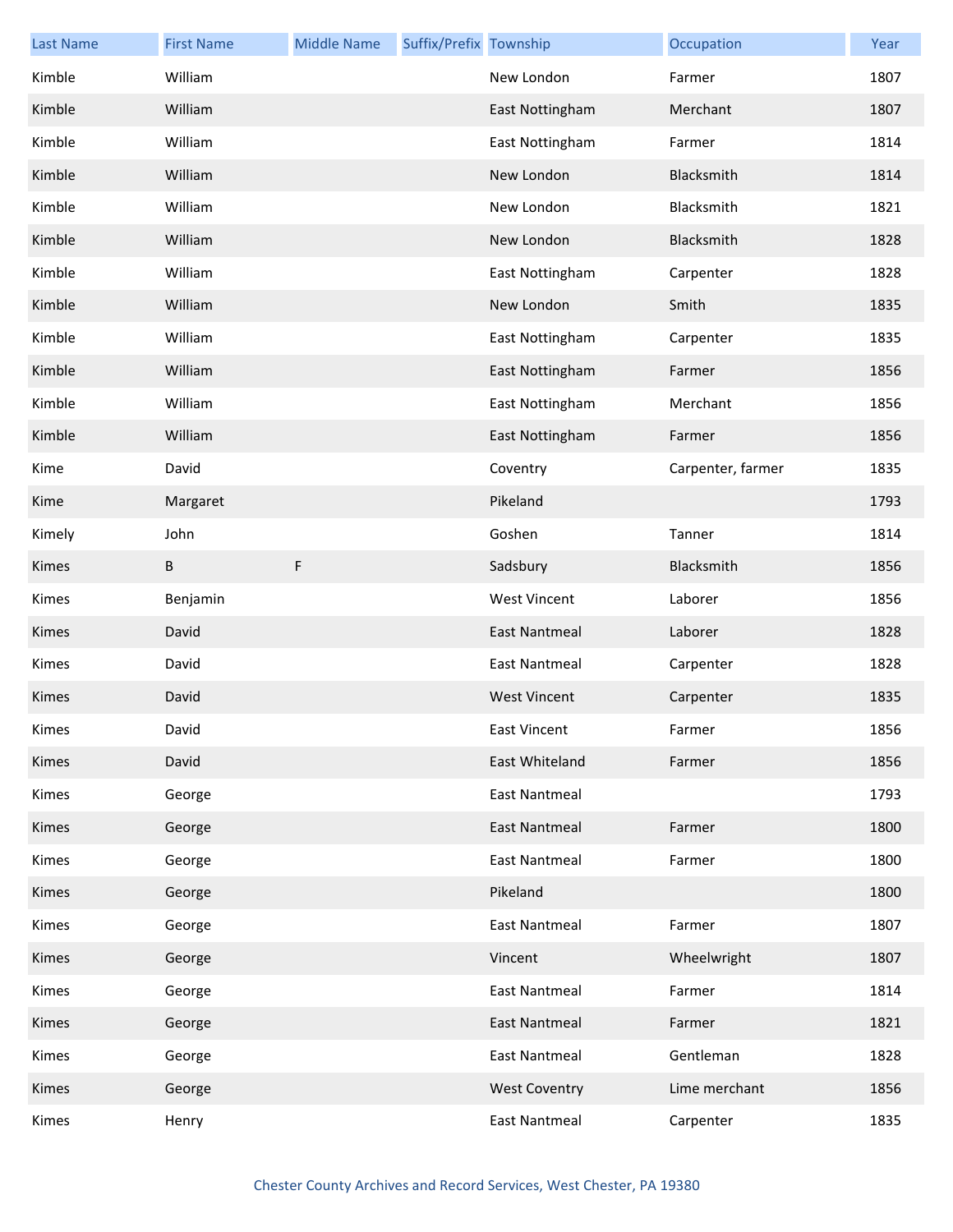| <b>Last Name</b> | <b>First Name</b> | <b>Middle Name</b> | Suffix/Prefix Township |                      | Occupation        | Year |
|------------------|-------------------|--------------------|------------------------|----------------------|-------------------|------|
| Kimble           | William           |                    |                        | New London           | Farmer            | 1807 |
| Kimble           | William           |                    |                        | East Nottingham      | Merchant          | 1807 |
| Kimble           | William           |                    |                        | East Nottingham      | Farmer            | 1814 |
| Kimble           | William           |                    |                        | New London           | Blacksmith        | 1814 |
| Kimble           | William           |                    |                        | New London           | Blacksmith        | 1821 |
| Kimble           | William           |                    |                        | New London           | Blacksmith        | 1828 |
| Kimble           | William           |                    |                        | East Nottingham      | Carpenter         | 1828 |
| Kimble           | William           |                    |                        | New London           | Smith             | 1835 |
| Kimble           | William           |                    |                        | East Nottingham      | Carpenter         | 1835 |
| Kimble           | William           |                    |                        | East Nottingham      | Farmer            | 1856 |
| Kimble           | William           |                    |                        | East Nottingham      | Merchant          | 1856 |
| Kimble           | William           |                    |                        | East Nottingham      | Farmer            | 1856 |
| Kime             | David             |                    |                        | Coventry             | Carpenter, farmer | 1835 |
| Kime             | Margaret          |                    |                        | Pikeland             |                   | 1793 |
| Kimely           | John              |                    |                        | Goshen               | Tanner            | 1814 |
| Kimes            | B                 | $\mathsf F$        |                        | Sadsbury             | Blacksmith        | 1856 |
| Kimes            | Benjamin          |                    |                        | <b>West Vincent</b>  | Laborer           | 1856 |
| Kimes            | David             |                    |                        | <b>East Nantmeal</b> | Laborer           | 1828 |
| Kimes            | David             |                    |                        | <b>East Nantmeal</b> | Carpenter         | 1828 |
| Kimes            | David             |                    |                        | <b>West Vincent</b>  | Carpenter         | 1835 |
| Kimes            | David             |                    |                        | East Vincent         | Farmer            | 1856 |
| Kimes            | David             |                    |                        | East Whiteland       | Farmer            | 1856 |
| Kimes            | George            |                    |                        | <b>East Nantmeal</b> |                   | 1793 |
| Kimes            | George            |                    |                        | <b>East Nantmeal</b> | Farmer            | 1800 |
| Kimes            | George            |                    |                        | East Nantmeal        | Farmer            | 1800 |
| Kimes            | George            |                    |                        | Pikeland             |                   | 1800 |
| Kimes            | George            |                    |                        | <b>East Nantmeal</b> | Farmer            | 1807 |
| Kimes            | George            |                    |                        | Vincent              | Wheelwright       | 1807 |
| Kimes            | George            |                    |                        | <b>East Nantmeal</b> | Farmer            | 1814 |
| Kimes            | George            |                    |                        | <b>East Nantmeal</b> | Farmer            | 1821 |
| Kimes            | George            |                    |                        | <b>East Nantmeal</b> | Gentleman         | 1828 |
| Kimes            | George            |                    |                        | <b>West Coventry</b> | Lime merchant     | 1856 |
| Kimes            | Henry             |                    |                        | <b>East Nantmeal</b> | Carpenter         | 1835 |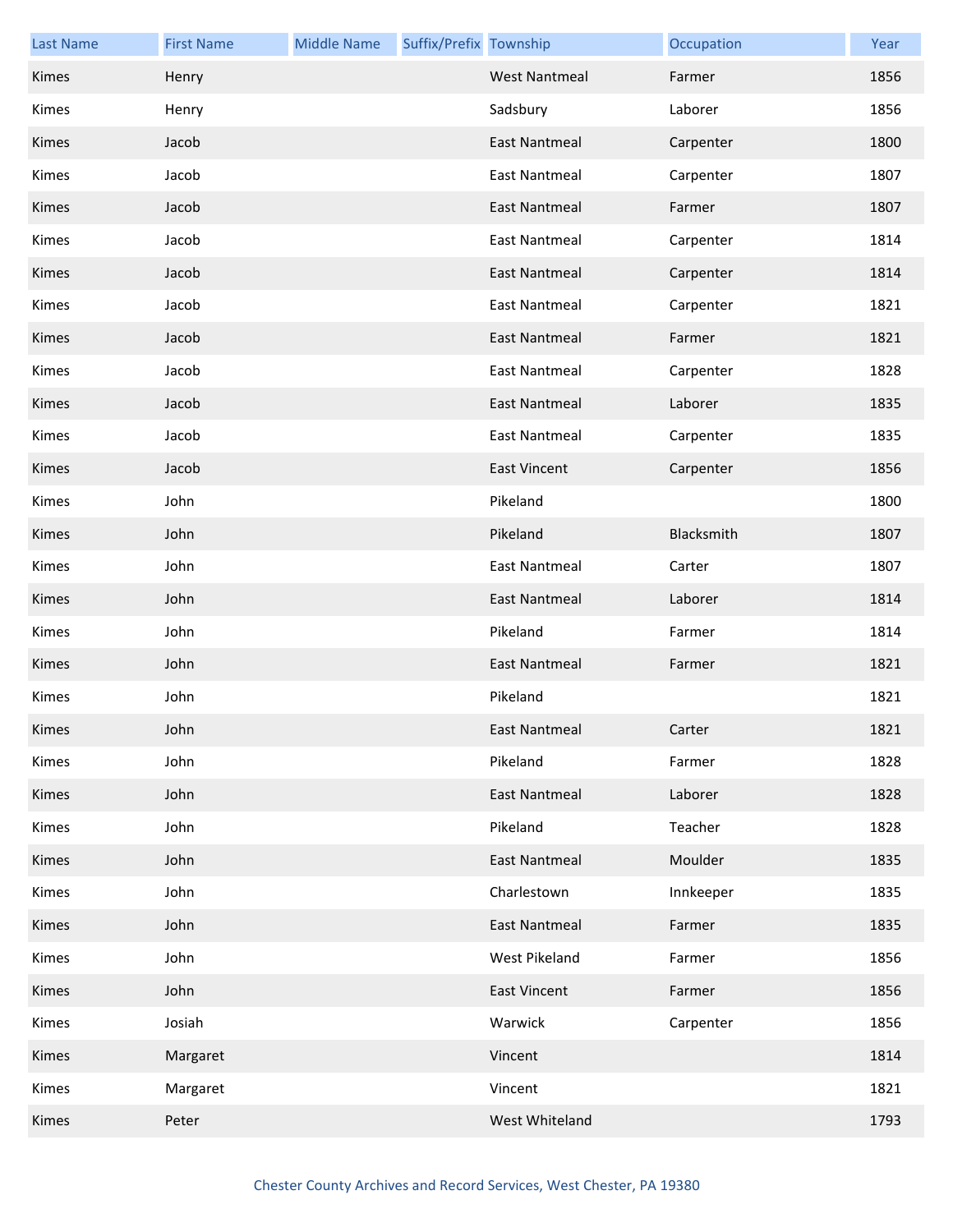| <b>Last Name</b> | <b>First Name</b> | <b>Middle Name</b> | Suffix/Prefix Township |                      | Occupation | Year |
|------------------|-------------------|--------------------|------------------------|----------------------|------------|------|
| Kimes            | Henry             |                    |                        | <b>West Nantmeal</b> | Farmer     | 1856 |
| Kimes            | Henry             |                    |                        | Sadsbury             | Laborer    | 1856 |
| Kimes            | Jacob             |                    |                        | <b>East Nantmeal</b> | Carpenter  | 1800 |
| Kimes            | Jacob             |                    |                        | <b>East Nantmeal</b> | Carpenter  | 1807 |
| Kimes            | Jacob             |                    |                        | <b>East Nantmeal</b> | Farmer     | 1807 |
| Kimes            | Jacob             |                    |                        | <b>East Nantmeal</b> | Carpenter  | 1814 |
| Kimes            | Jacob             |                    |                        | <b>East Nantmeal</b> | Carpenter  | 1814 |
| Kimes            | Jacob             |                    |                        | <b>East Nantmeal</b> | Carpenter  | 1821 |
| Kimes            | Jacob             |                    |                        | <b>East Nantmeal</b> | Farmer     | 1821 |
| Kimes            | Jacob             |                    |                        | <b>East Nantmeal</b> | Carpenter  | 1828 |
| Kimes            | Jacob             |                    |                        | <b>East Nantmeal</b> | Laborer    | 1835 |
| Kimes            | Jacob             |                    |                        | <b>East Nantmeal</b> | Carpenter  | 1835 |
| Kimes            | Jacob             |                    |                        | <b>East Vincent</b>  | Carpenter  | 1856 |
| Kimes            | John              |                    |                        | Pikeland             |            | 1800 |
| Kimes            | John              |                    |                        | Pikeland             | Blacksmith | 1807 |
| Kimes            | John              |                    |                        | <b>East Nantmeal</b> | Carter     | 1807 |
| Kimes            | John              |                    |                        | East Nantmeal        | Laborer    | 1814 |
| Kimes            | John              |                    |                        | Pikeland             | Farmer     | 1814 |
| Kimes            | John              |                    |                        | East Nantmeal        | Farmer     | 1821 |
| Kimes            | John              |                    |                        | Pikeland             |            | 1821 |
| Kimes            | John              |                    |                        | East Nantmeal        | Carter     | 1821 |
| Kimes            | John              |                    |                        | Pikeland             | Farmer     | 1828 |
| Kimes            | John              |                    |                        | <b>East Nantmeal</b> | Laborer    | 1828 |
| Kimes            | John              |                    |                        | Pikeland             | Teacher    | 1828 |
| Kimes            | John              |                    |                        | <b>East Nantmeal</b> | Moulder    | 1835 |
| Kimes            | John              |                    |                        | Charlestown          | Innkeeper  | 1835 |
| Kimes            | John              |                    |                        | <b>East Nantmeal</b> | Farmer     | 1835 |
| Kimes            | John              |                    |                        | West Pikeland        | Farmer     | 1856 |
| Kimes            | John              |                    |                        | <b>East Vincent</b>  | Farmer     | 1856 |
| Kimes            | Josiah            |                    |                        | Warwick              | Carpenter  | 1856 |
| Kimes            | Margaret          |                    |                        | Vincent              |            | 1814 |
| Kimes            | Margaret          |                    |                        | Vincent              |            | 1821 |
| Kimes            | Peter             |                    |                        | West Whiteland       |            | 1793 |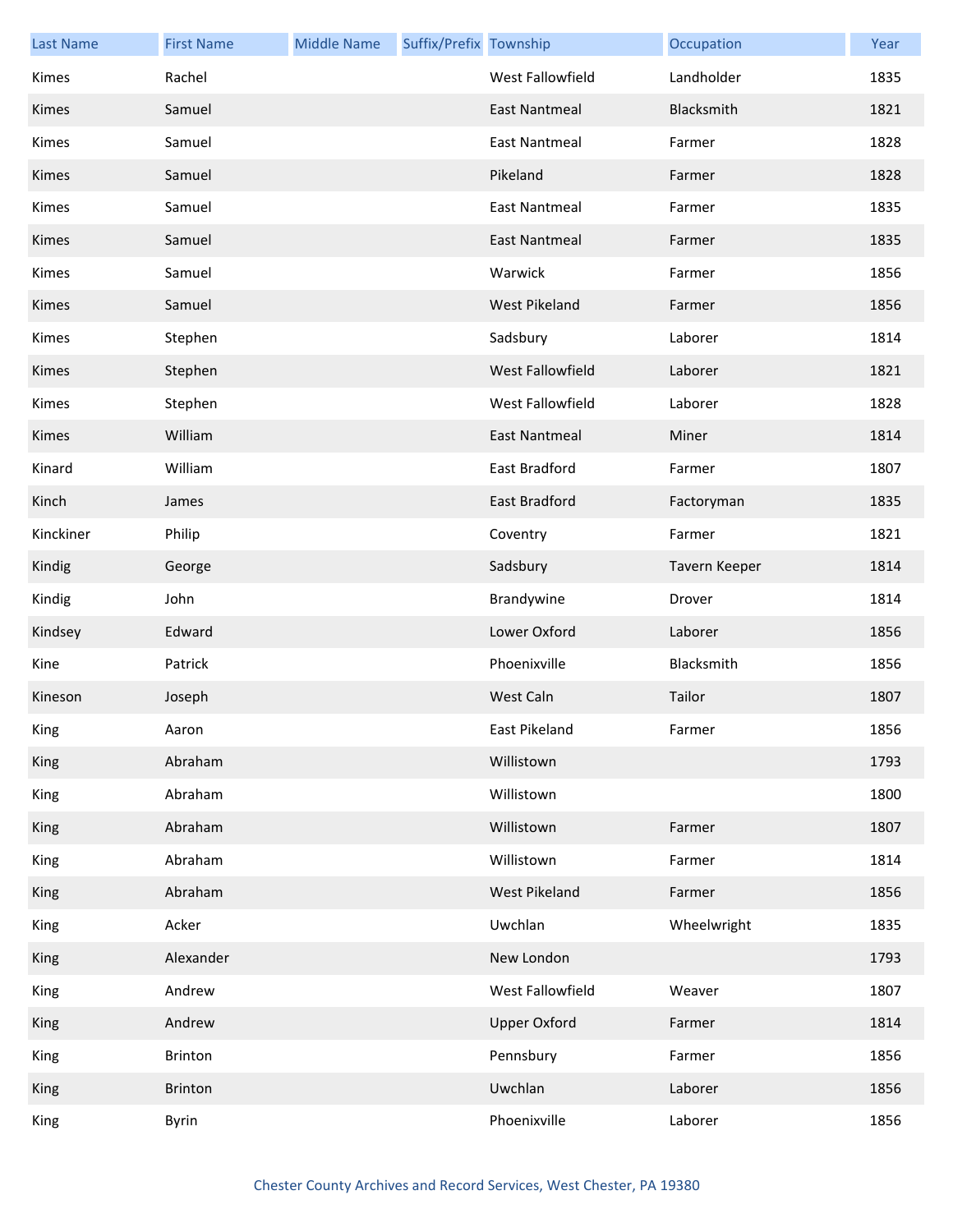| <b>Last Name</b> | <b>First Name</b> | <b>Middle Name</b> | Suffix/Prefix Township |                      | Occupation    | Year |
|------------------|-------------------|--------------------|------------------------|----------------------|---------------|------|
| Kimes            | Rachel            |                    |                        | West Fallowfield     | Landholder    | 1835 |
| Kimes            | Samuel            |                    |                        | <b>East Nantmeal</b> | Blacksmith    | 1821 |
| Kimes            | Samuel            |                    |                        | <b>East Nantmeal</b> | Farmer        | 1828 |
| Kimes            | Samuel            |                    |                        | Pikeland             | Farmer        | 1828 |
| Kimes            | Samuel            |                    |                        | <b>East Nantmeal</b> | Farmer        | 1835 |
| Kimes            | Samuel            |                    |                        | <b>East Nantmeal</b> | Farmer        | 1835 |
| Kimes            | Samuel            |                    |                        | Warwick              | Farmer        | 1856 |
| Kimes            | Samuel            |                    |                        | <b>West Pikeland</b> | Farmer        | 1856 |
| Kimes            | Stephen           |                    |                        | Sadsbury             | Laborer       | 1814 |
| Kimes            | Stephen           |                    |                        | West Fallowfield     | Laborer       | 1821 |
| Kimes            | Stephen           |                    |                        | West Fallowfield     | Laborer       | 1828 |
| Kimes            | William           |                    |                        | <b>East Nantmeal</b> | Miner         | 1814 |
| Kinard           | William           |                    |                        | East Bradford        | Farmer        | 1807 |
| Kinch            | James             |                    |                        | East Bradford        | Factoryman    | 1835 |
| Kinckiner        | Philip            |                    |                        | Coventry             | Farmer        | 1821 |
| Kindig           | George            |                    |                        | Sadsbury             | Tavern Keeper | 1814 |
| Kindig           | John              |                    |                        | Brandywine           | Drover        | 1814 |
| Kindsey          | Edward            |                    |                        | Lower Oxford         | Laborer       | 1856 |
| Kine             | Patrick           |                    |                        | Phoenixville         | Blacksmith    | 1856 |
| Kineson          | Joseph            |                    |                        | West Caln            | Tailor        | 1807 |
| King             | Aaron             |                    |                        | East Pikeland        | Farmer        | 1856 |
| King             | Abraham           |                    |                        | Willistown           |               | 1793 |
| King             | Abraham           |                    |                        | Willistown           |               | 1800 |
| King             | Abraham           |                    |                        | Willistown           | Farmer        | 1807 |
| King             | Abraham           |                    |                        | Willistown           | Farmer        | 1814 |
| King             | Abraham           |                    |                        | <b>West Pikeland</b> | Farmer        | 1856 |
| King             | Acker             |                    |                        | Uwchlan              | Wheelwright   | 1835 |
| <b>King</b>      | Alexander         |                    |                        | New London           |               | 1793 |
| King             | Andrew            |                    |                        | West Fallowfield     | Weaver        | 1807 |
| King             | Andrew            |                    |                        | <b>Upper Oxford</b>  | Farmer        | 1814 |
| King             | Brinton           |                    |                        | Pennsbury            | Farmer        | 1856 |
| King             | Brinton           |                    |                        | Uwchlan              | Laborer       | 1856 |
| King             | Byrin             |                    |                        | Phoenixville         | Laborer       | 1856 |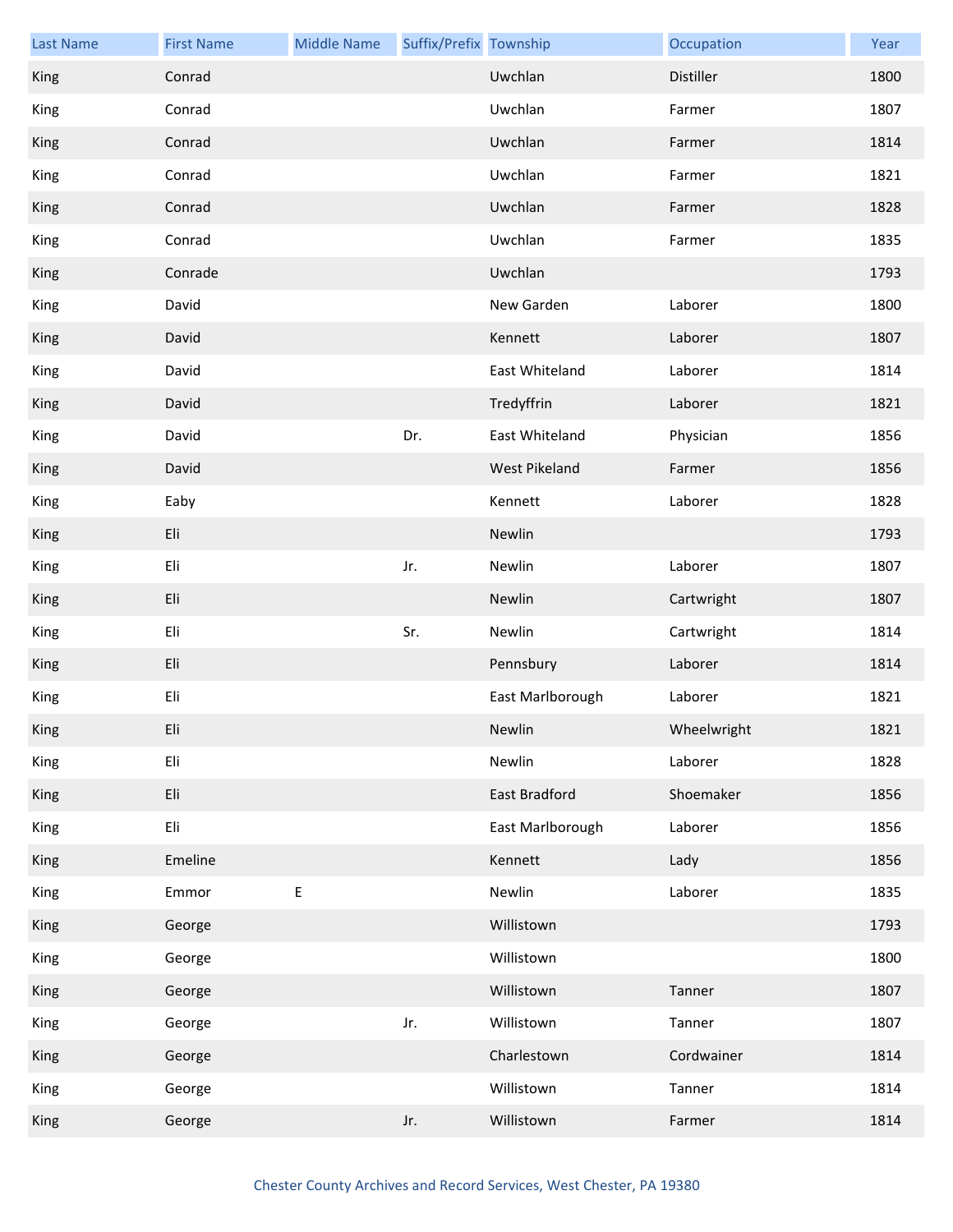| <b>Last Name</b> | <b>First Name</b> | <b>Middle Name</b> | Suffix/Prefix Township |                      | Occupation  | Year |
|------------------|-------------------|--------------------|------------------------|----------------------|-------------|------|
| King             | Conrad            |                    |                        | Uwchlan              | Distiller   | 1800 |
| King             | Conrad            |                    |                        | Uwchlan              | Farmer      | 1807 |
| King             | Conrad            |                    |                        | Uwchlan              | Farmer      | 1814 |
| King             | Conrad            |                    |                        | Uwchlan              | Farmer      | 1821 |
| King             | Conrad            |                    |                        | Uwchlan              | Farmer      | 1828 |
| King             | Conrad            |                    |                        | Uwchlan              | Farmer      | 1835 |
| King             | Conrade           |                    |                        | Uwchlan              |             | 1793 |
| King             | David             |                    |                        | New Garden           | Laborer     | 1800 |
| King             | David             |                    |                        | Kennett              | Laborer     | 1807 |
| King             | David             |                    |                        | East Whiteland       | Laborer     | 1814 |
| King             | David             |                    |                        | Tredyffrin           | Laborer     | 1821 |
| King             | David             |                    | Dr.                    | East Whiteland       | Physician   | 1856 |
| King             | David             |                    |                        | West Pikeland        | Farmer      | 1856 |
| King             | Eaby              |                    |                        | Kennett              | Laborer     | 1828 |
| King             | Eli               |                    |                        | Newlin               |             | 1793 |
| King             | Eli               |                    | Jr.                    | Newlin               | Laborer     | 1807 |
| King             | Eli               |                    |                        | Newlin               | Cartwright  | 1807 |
| King             | Eli               |                    | Sr.                    | Newlin               | Cartwright  | 1814 |
| King             | Eli               |                    |                        | Pennsbury            | Laborer     | 1814 |
| King             | Eli               |                    |                        | East Marlborough     | Laborer     | 1821 |
| King             | Eli               |                    |                        | Newlin               | Wheelwright | 1821 |
| King             | Eli               |                    |                        | Newlin               | Laborer     | 1828 |
| King             | Eli               |                    |                        | <b>East Bradford</b> | Shoemaker   | 1856 |
| King             | Eli               |                    |                        | East Marlborough     | Laborer     | 1856 |
| King             | Emeline           |                    |                        | Kennett              | Lady        | 1856 |
| King             | Emmor             | $\sf E$            |                        | Newlin               | Laborer     | 1835 |
| King             | George            |                    |                        | Willistown           |             | 1793 |
| King             | George            |                    |                        | Willistown           |             | 1800 |
| King             | George            |                    |                        | Willistown           | Tanner      | 1807 |
| King             | George            |                    | Jr.                    | Willistown           | Tanner      | 1807 |
| King             | George            |                    |                        | Charlestown          | Cordwainer  | 1814 |
| King             | George            |                    |                        | Willistown           | Tanner      | 1814 |
| King             | George            |                    | Jr.                    | Willistown           | Farmer      | 1814 |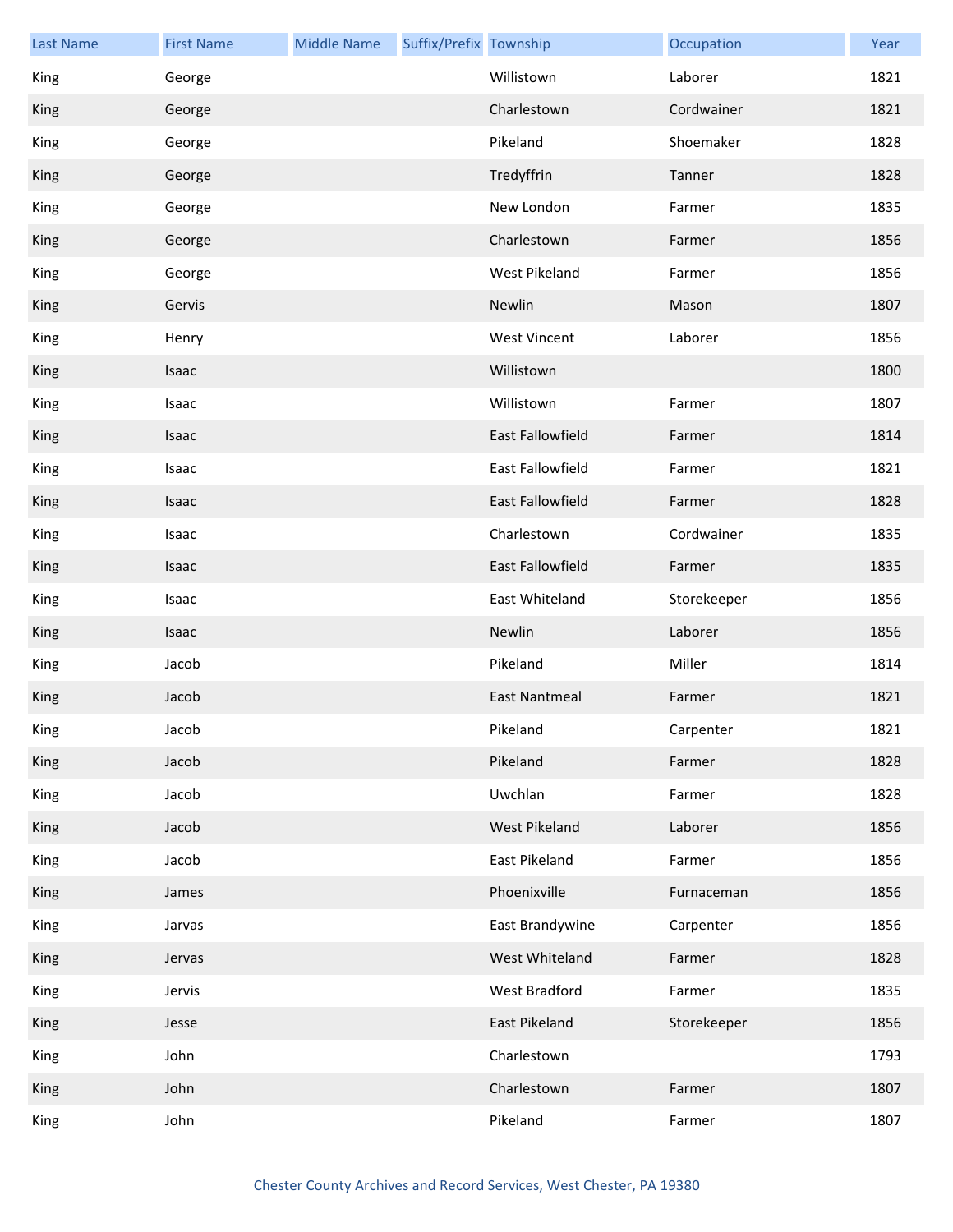| <b>Last Name</b> | <b>First Name</b> | <b>Middle Name</b> | Suffix/Prefix Township |                      | Occupation  | Year |
|------------------|-------------------|--------------------|------------------------|----------------------|-------------|------|
| King             | George            |                    |                        | Willistown           | Laborer     | 1821 |
| King             | George            |                    |                        | Charlestown          | Cordwainer  | 1821 |
| King             | George            |                    |                        | Pikeland             | Shoemaker   | 1828 |
| King             | George            |                    |                        | Tredyffrin           | Tanner      | 1828 |
| King             | George            |                    |                        | New London           | Farmer      | 1835 |
| King             | George            |                    |                        | Charlestown          | Farmer      | 1856 |
| King             | George            |                    |                        | West Pikeland        | Farmer      | 1856 |
| King             | Gervis            |                    |                        | Newlin               | Mason       | 1807 |
| King             | Henry             |                    |                        | <b>West Vincent</b>  | Laborer     | 1856 |
| King             | Isaac             |                    |                        | Willistown           |             | 1800 |
| King             | Isaac             |                    |                        | Willistown           | Farmer      | 1807 |
| King             | Isaac             |                    |                        | East Fallowfield     | Farmer      | 1814 |
| King             | Isaac             |                    |                        | East Fallowfield     | Farmer      | 1821 |
| King             | Isaac             |                    |                        | East Fallowfield     | Farmer      | 1828 |
| King             | Isaac             |                    |                        | Charlestown          | Cordwainer  | 1835 |
| King             | Isaac             |                    |                        | East Fallowfield     | Farmer      | 1835 |
| King             | Isaac             |                    |                        | East Whiteland       | Storekeeper | 1856 |
| King             | Isaac             |                    |                        | Newlin               | Laborer     | 1856 |
| King             | Jacob             |                    |                        | Pikeland             | Miller      | 1814 |
| King             | Jacob             |                    |                        | <b>East Nantmeal</b> | Farmer      | 1821 |
| King             | Jacob             |                    |                        | Pikeland             | Carpenter   | 1821 |
| King             | Jacob             |                    |                        | Pikeland             | Farmer      | 1828 |
| King             | Jacob             |                    |                        | Uwchlan              | Farmer      | 1828 |
| King             | Jacob             |                    |                        | West Pikeland        | Laborer     | 1856 |
| King             | Jacob             |                    |                        | East Pikeland        | Farmer      | 1856 |
| King             | James             |                    |                        | Phoenixville         | Furnaceman  | 1856 |
| King             | Jarvas            |                    |                        | East Brandywine      | Carpenter   | 1856 |
| King             | Jervas            |                    |                        | West Whiteland       | Farmer      | 1828 |
| King             | Jervis            |                    |                        | West Bradford        | Farmer      | 1835 |
| King             | Jesse             |                    |                        | East Pikeland        | Storekeeper | 1856 |
| King             | John              |                    |                        | Charlestown          |             | 1793 |
| King             | John              |                    |                        | Charlestown          | Farmer      | 1807 |
| King             | John              |                    |                        | Pikeland             | Farmer      | 1807 |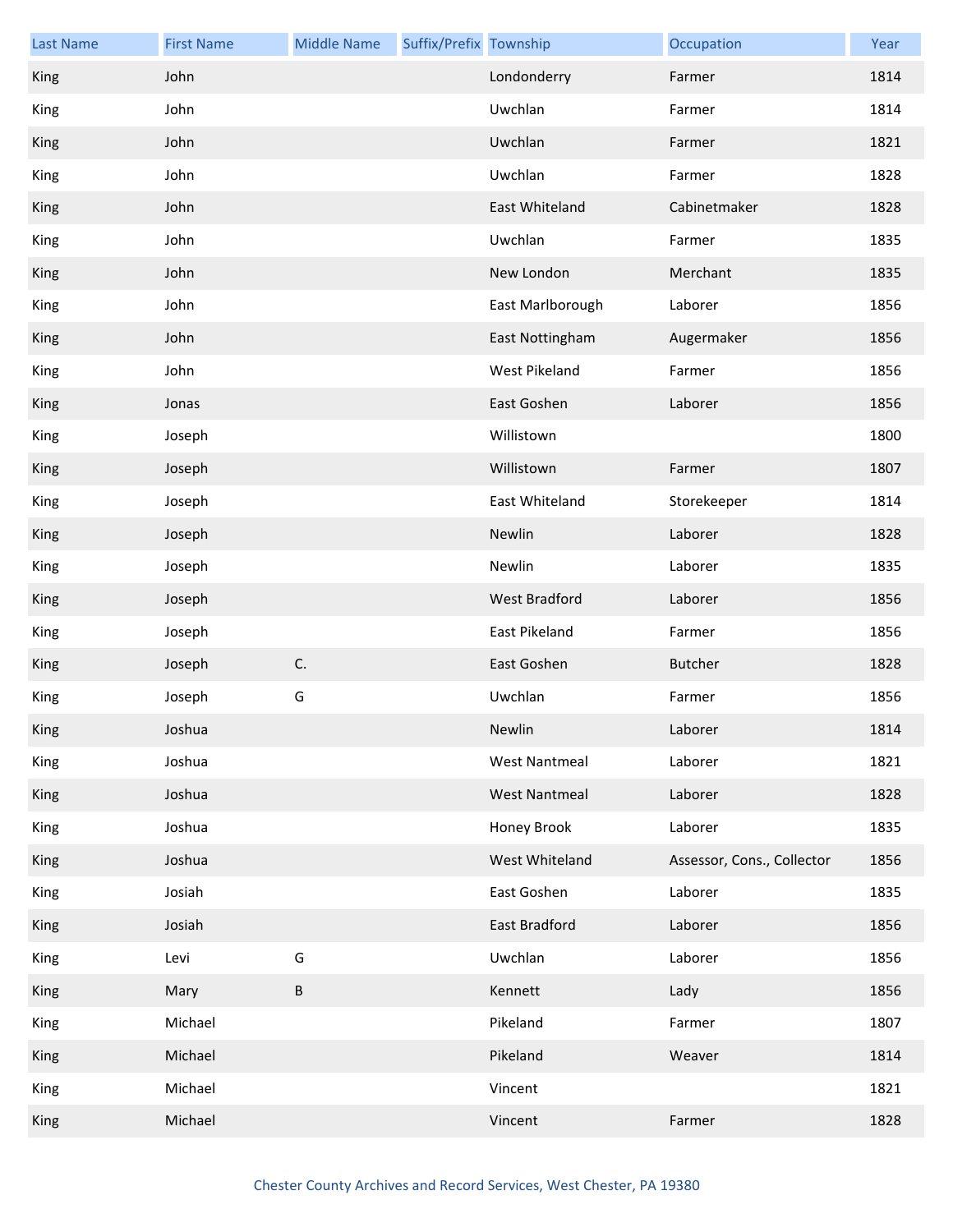| <b>Last Name</b> | <b>First Name</b> | <b>Middle Name</b> | Suffix/Prefix Township |                      | Occupation                 | Year |
|------------------|-------------------|--------------------|------------------------|----------------------|----------------------------|------|
| King             | John              |                    |                        | Londonderry          | Farmer                     | 1814 |
| King             | John              |                    |                        | Uwchlan              | Farmer                     | 1814 |
| King             | John              |                    |                        | Uwchlan              | Farmer                     | 1821 |
| King             | John              |                    |                        | Uwchlan              | Farmer                     | 1828 |
| King             | John              |                    |                        | East Whiteland       | Cabinetmaker               | 1828 |
| King             | John              |                    |                        | Uwchlan              | Farmer                     | 1835 |
| King             | John              |                    |                        | New London           | Merchant                   | 1835 |
| King             | John              |                    |                        | East Marlborough     | Laborer                    | 1856 |
| King             | John              |                    |                        | East Nottingham      | Augermaker                 | 1856 |
| King             | John              |                    |                        | West Pikeland        | Farmer                     | 1856 |
| King             | Jonas             |                    |                        | East Goshen          | Laborer                    | 1856 |
| King             | Joseph            |                    |                        | Willistown           |                            | 1800 |
| King             | Joseph            |                    |                        | Willistown           | Farmer                     | 1807 |
| King             | Joseph            |                    |                        | East Whiteland       | Storekeeper                | 1814 |
| King             | Joseph            |                    |                        | Newlin               | Laborer                    | 1828 |
| King             | Joseph            |                    |                        | Newlin               | Laborer                    | 1835 |
| King             | Joseph            |                    |                        | <b>West Bradford</b> | Laborer                    | 1856 |
| King             | Joseph            |                    |                        | East Pikeland        | Farmer                     | 1856 |
| King             | Joseph            | C.                 |                        | East Goshen          | Butcher                    | 1828 |
| King             | Joseph            | G                  |                        | Uwchlan              | Farmer                     | 1856 |
| King             | Joshua            |                    |                        | Newlin               | Laborer                    | 1814 |
| King             | Joshua            |                    |                        | <b>West Nantmeal</b> | Laborer                    | 1821 |
| King             | Joshua            |                    |                        | <b>West Nantmeal</b> | Laborer                    | 1828 |
| King             | Joshua            |                    |                        | Honey Brook          | Laborer                    | 1835 |
| King             | Joshua            |                    |                        | West Whiteland       | Assessor, Cons., Collector | 1856 |
| King             | Josiah            |                    |                        | East Goshen          | Laborer                    | 1835 |
| King             | Josiah            |                    |                        | East Bradford        | Laborer                    | 1856 |
| King             | Levi              | G                  |                        | Uwchlan              | Laborer                    | 1856 |
| King             | Mary              | $\sf B$            |                        | Kennett              | Lady                       | 1856 |
| King             | Michael           |                    |                        | Pikeland             | Farmer                     | 1807 |
| King             | Michael           |                    |                        | Pikeland             | Weaver                     | 1814 |
| King             | Michael           |                    |                        | Vincent              |                            | 1821 |
| King             | Michael           |                    |                        | Vincent              | Farmer                     | 1828 |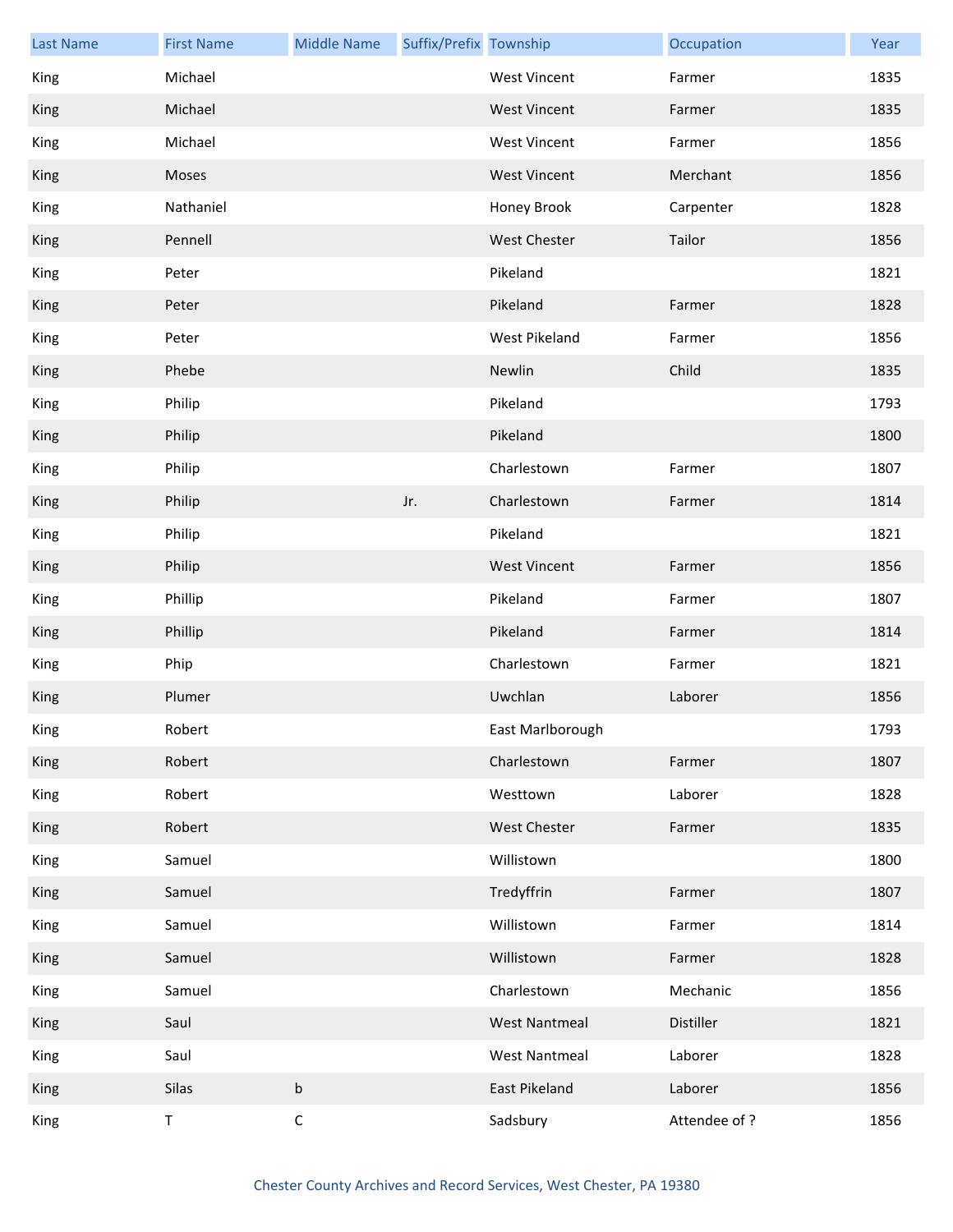| <b>Last Name</b> | <b>First Name</b> | <b>Middle Name</b> | Suffix/Prefix Township |                      | Occupation    | Year |
|------------------|-------------------|--------------------|------------------------|----------------------|---------------|------|
| King             | Michael           |                    |                        | <b>West Vincent</b>  | Farmer        | 1835 |
| <b>King</b>      | Michael           |                    |                        | <b>West Vincent</b>  | Farmer        | 1835 |
| <b>King</b>      | Michael           |                    |                        | <b>West Vincent</b>  | Farmer        | 1856 |
| King             | Moses             |                    |                        | <b>West Vincent</b>  | Merchant      | 1856 |
| King             | Nathaniel         |                    |                        | Honey Brook          | Carpenter     | 1828 |
| King             | Pennell           |                    |                        | <b>West Chester</b>  | Tailor        | 1856 |
| King             | Peter             |                    |                        | Pikeland             |               | 1821 |
| King             | Peter             |                    |                        | Pikeland             | Farmer        | 1828 |
| King             | Peter             |                    |                        | West Pikeland        | Farmer        | 1856 |
| King             | Phebe             |                    |                        | Newlin               | Child         | 1835 |
| King             | Philip            |                    |                        | Pikeland             |               | 1793 |
| King             | Philip            |                    |                        | Pikeland             |               | 1800 |
| King             | Philip            |                    |                        | Charlestown          | Farmer        | 1807 |
| King             | Philip            |                    | Jr.                    | Charlestown          | Farmer        | 1814 |
| King             | Philip            |                    |                        | Pikeland             |               | 1821 |
| King             | Philip            |                    |                        | <b>West Vincent</b>  | Farmer        | 1856 |
| King             | Phillip           |                    |                        | Pikeland             | Farmer        | 1807 |
| King             | Phillip           |                    |                        | Pikeland             | Farmer        | 1814 |
| King             | Phip              |                    |                        | Charlestown          | Farmer        | 1821 |
| King             | Plumer            |                    |                        | Uwchlan              | Laborer       | 1856 |
| King             | Robert            |                    |                        | East Marlborough     |               | 1793 |
| King             | Robert            |                    |                        | Charlestown          | Farmer        | 1807 |
| King             | Robert            |                    |                        | Westtown             | Laborer       | 1828 |
| King             | Robert            |                    |                        | West Chester         | Farmer        | 1835 |
| King             | Samuel            |                    |                        | Willistown           |               | 1800 |
| King             | Samuel            |                    |                        | Tredyffrin           | Farmer        | 1807 |
| King             | Samuel            |                    |                        | Willistown           | Farmer        | 1814 |
| King             | Samuel            |                    |                        | Willistown           | Farmer        | 1828 |
| King             | Samuel            |                    |                        | Charlestown          | Mechanic      | 1856 |
| King             | Saul              |                    |                        | <b>West Nantmeal</b> | Distiller     | 1821 |
| King             | Saul              |                    |                        | <b>West Nantmeal</b> | Laborer       | 1828 |
| King             | Silas             | $\sf b$            |                        | East Pikeland        | Laborer       | 1856 |
| King             | $\mathsf T$       | $\mathsf C$        |                        | Sadsbury             | Attendee of ? | 1856 |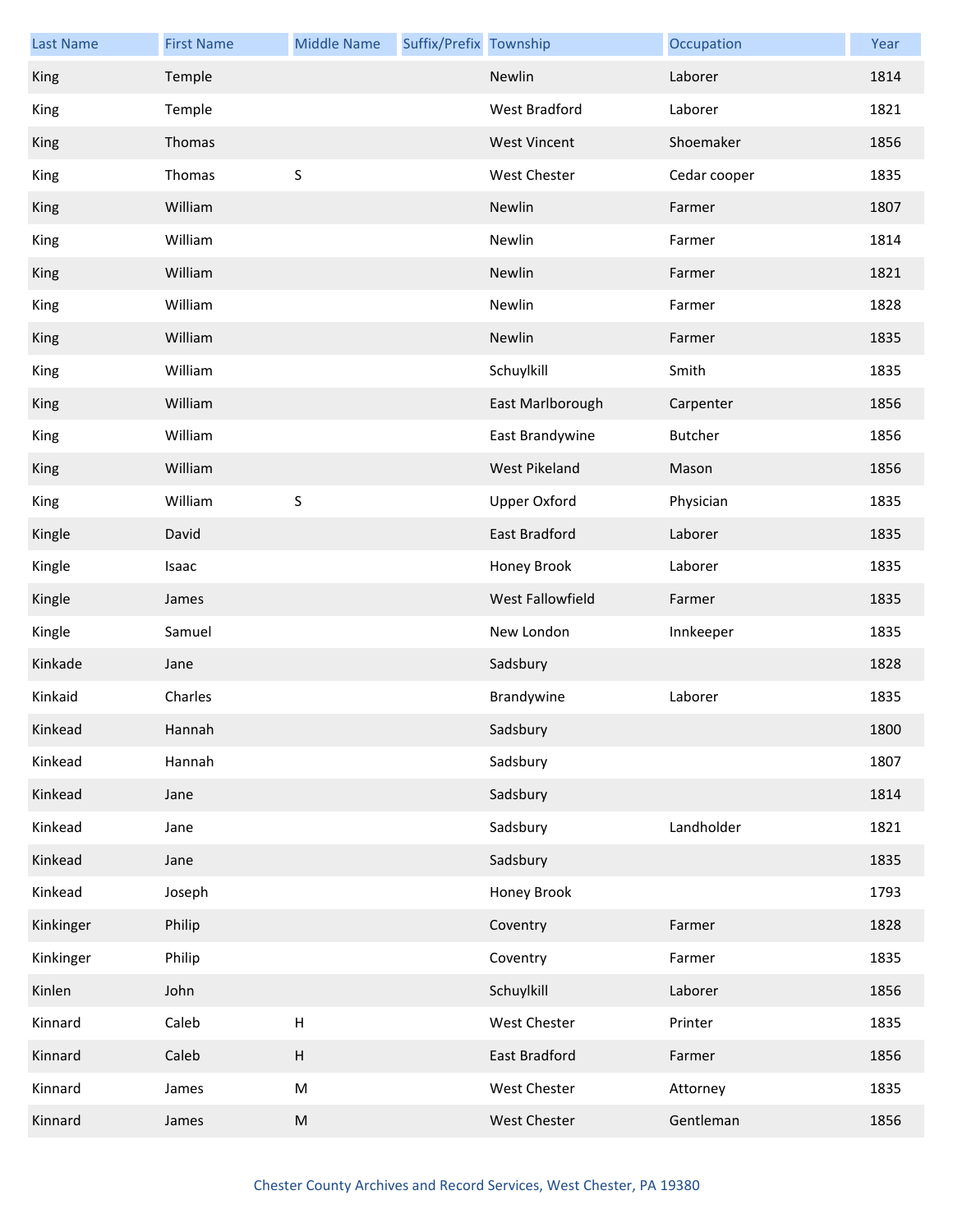| <b>Last Name</b> | <b>First Name</b> | <b>Middle Name</b>        | Suffix/Prefix Township |                      | Occupation   | Year |
|------------------|-------------------|---------------------------|------------------------|----------------------|--------------|------|
| King             | Temple            |                           |                        | Newlin               | Laborer      | 1814 |
| King             | Temple            |                           |                        | <b>West Bradford</b> | Laborer      | 1821 |
| King             | Thomas            |                           |                        | <b>West Vincent</b>  | Shoemaker    | 1856 |
| King             | Thomas            | $\sf S$                   |                        | <b>West Chester</b>  | Cedar cooper | 1835 |
| King             | William           |                           |                        | Newlin               | Farmer       | 1807 |
| King             | William           |                           |                        | Newlin               | Farmer       | 1814 |
| King             | William           |                           |                        | Newlin               | Farmer       | 1821 |
| King             | William           |                           |                        | Newlin               | Farmer       | 1828 |
| King             | William           |                           |                        | Newlin               | Farmer       | 1835 |
| King             | William           |                           |                        | Schuylkill           | Smith        | 1835 |
| King             | William           |                           |                        | East Marlborough     | Carpenter    | 1856 |
| King             | William           |                           |                        | East Brandywine      | Butcher      | 1856 |
| King             | William           |                           |                        | West Pikeland        | Mason        | 1856 |
| King             | William           | $\sf S$                   |                        | <b>Upper Oxford</b>  | Physician    | 1835 |
| Kingle           | David             |                           |                        | East Bradford        | Laborer      | 1835 |
| Kingle           | Isaac             |                           |                        | Honey Brook          | Laborer      | 1835 |
| Kingle           | James             |                           |                        | West Fallowfield     | Farmer       | 1835 |
| Kingle           | Samuel            |                           |                        | New London           | Innkeeper    | 1835 |
| Kinkade          | Jane              |                           |                        | Sadsbury             |              | 1828 |
| Kinkaid          | Charles           |                           |                        | Brandywine           | Laborer      | 1835 |
| Kinkead          | Hannah            |                           |                        | Sadsbury             |              | 1800 |
| Kinkead          | Hannah            |                           |                        | Sadsbury             |              | 1807 |
| Kinkead          | Jane              |                           |                        | Sadsbury             |              | 1814 |
| Kinkead          | Jane              |                           |                        | Sadsbury             | Landholder   | 1821 |
| Kinkead          | Jane              |                           |                        | Sadsbury             |              | 1835 |
| Kinkead          | Joseph            |                           |                        | Honey Brook          |              | 1793 |
| Kinkinger        | Philip            |                           |                        | Coventry             | Farmer       | 1828 |
| Kinkinger        | Philip            |                           |                        | Coventry             | Farmer       | 1835 |
| Kinlen           | John              |                           |                        | Schuylkill           | Laborer      | 1856 |
| Kinnard          | Caleb             | $\boldsymbol{\mathsf{H}}$ |                        | West Chester         | Printer      | 1835 |
| Kinnard          | Caleb             | $\boldsymbol{\mathsf{H}}$ |                        | East Bradford        | Farmer       | 1856 |
| Kinnard          | James             | ${\sf M}$                 |                        | West Chester         | Attorney     | 1835 |
| Kinnard          | James             | ${\sf M}$                 |                        | West Chester         | Gentleman    | 1856 |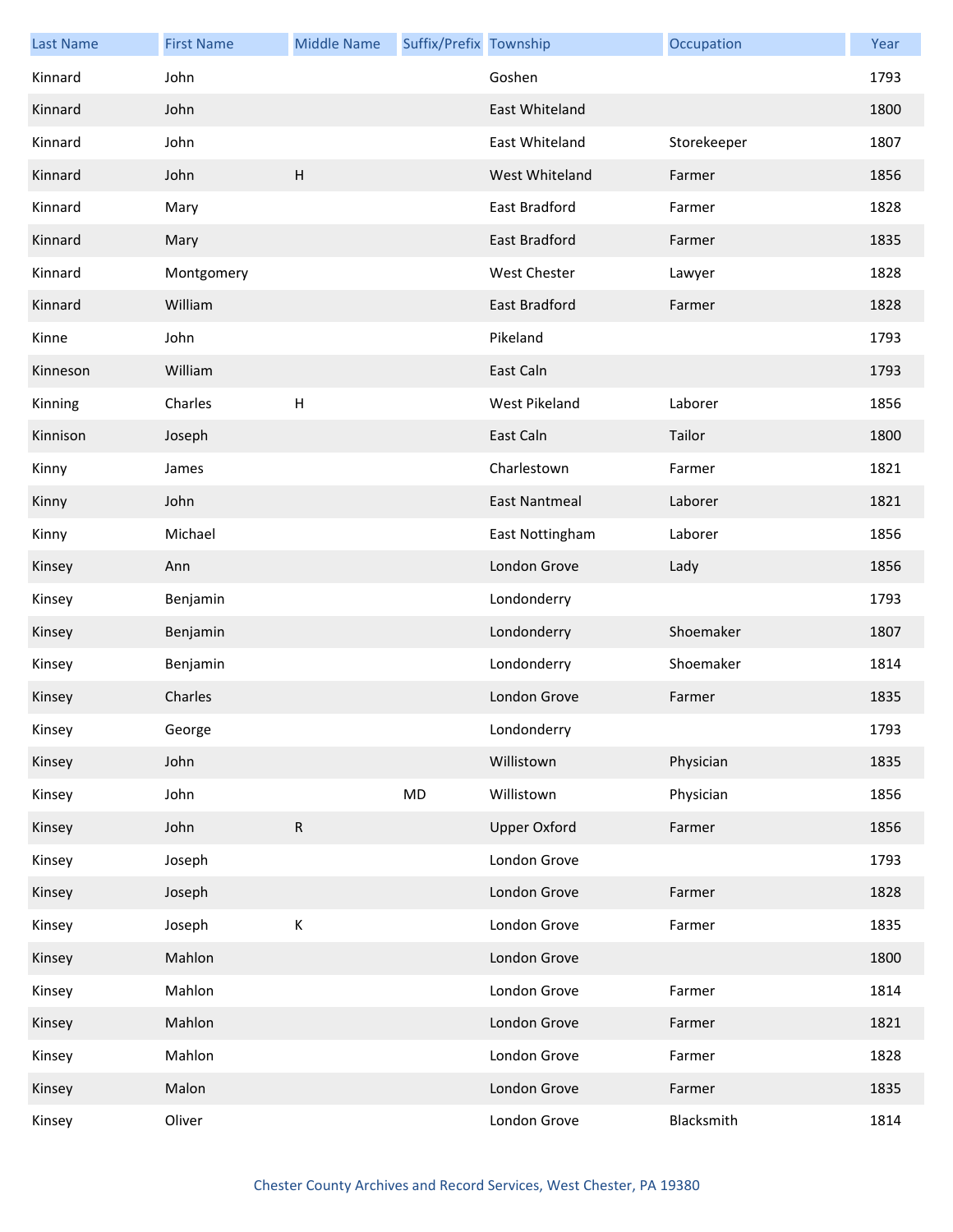| <b>Last Name</b> | <b>First Name</b> | <b>Middle Name</b> | Suffix/Prefix Township |                      | Occupation  | Year |
|------------------|-------------------|--------------------|------------------------|----------------------|-------------|------|
| Kinnard          | John              |                    |                        | Goshen               |             | 1793 |
| Kinnard          | John              |                    |                        | East Whiteland       |             | 1800 |
| Kinnard          | John              |                    |                        | East Whiteland       | Storekeeper | 1807 |
| Kinnard          | John              | H                  |                        | West Whiteland       | Farmer      | 1856 |
| Kinnard          | Mary              |                    |                        | East Bradford        | Farmer      | 1828 |
| Kinnard          | Mary              |                    |                        | <b>East Bradford</b> | Farmer      | 1835 |
| Kinnard          | Montgomery        |                    |                        | <b>West Chester</b>  | Lawyer      | 1828 |
| Kinnard          | William           |                    |                        | East Bradford        | Farmer      | 1828 |
| Kinne            | John              |                    |                        | Pikeland             |             | 1793 |
| Kinneson         | William           |                    |                        | East Caln            |             | 1793 |
| Kinning          | Charles           | $\sf H$            |                        | West Pikeland        | Laborer     | 1856 |
| Kinnison         | Joseph            |                    |                        | East Caln            | Tailor      | 1800 |
| Kinny            | James             |                    |                        | Charlestown          | Farmer      | 1821 |
| Kinny            | John              |                    |                        | <b>East Nantmeal</b> | Laborer     | 1821 |
| Kinny            | Michael           |                    |                        | East Nottingham      | Laborer     | 1856 |
| Kinsey           | Ann               |                    |                        | London Grove         | Lady        | 1856 |
| Kinsey           | Benjamin          |                    |                        | Londonderry          |             | 1793 |
| Kinsey           | Benjamin          |                    |                        | Londonderry          | Shoemaker   | 1807 |
| Kinsey           | Benjamin          |                    |                        | Londonderry          | Shoemaker   | 1814 |
| Kinsey           | Charles           |                    |                        | London Grove         | Farmer      | 1835 |
| Kinsey           | George            |                    |                        | Londonderry          |             | 1793 |
| Kinsey           | John              |                    |                        | Willistown           | Physician   | 1835 |
| Kinsey           | John              |                    | MD                     | Willistown           | Physician   | 1856 |
| Kinsey           | John              | ${\sf R}$          |                        | <b>Upper Oxford</b>  | Farmer      | 1856 |
| Kinsey           | Joseph            |                    |                        | London Grove         |             | 1793 |
| Kinsey           | Joseph            |                    |                        | London Grove         | Farmer      | 1828 |
| Kinsey           | Joseph            | К                  |                        | London Grove         | Farmer      | 1835 |
| Kinsey           | Mahlon            |                    |                        | London Grove         |             | 1800 |
| Kinsey           | Mahlon            |                    |                        | London Grove         | Farmer      | 1814 |
| Kinsey           | Mahlon            |                    |                        | London Grove         | Farmer      | 1821 |
| Kinsey           | Mahlon            |                    |                        | London Grove         | Farmer      | 1828 |
| Kinsey           | Malon             |                    |                        | London Grove         | Farmer      | 1835 |
| Kinsey           | Oliver            |                    |                        | London Grove         | Blacksmith  | 1814 |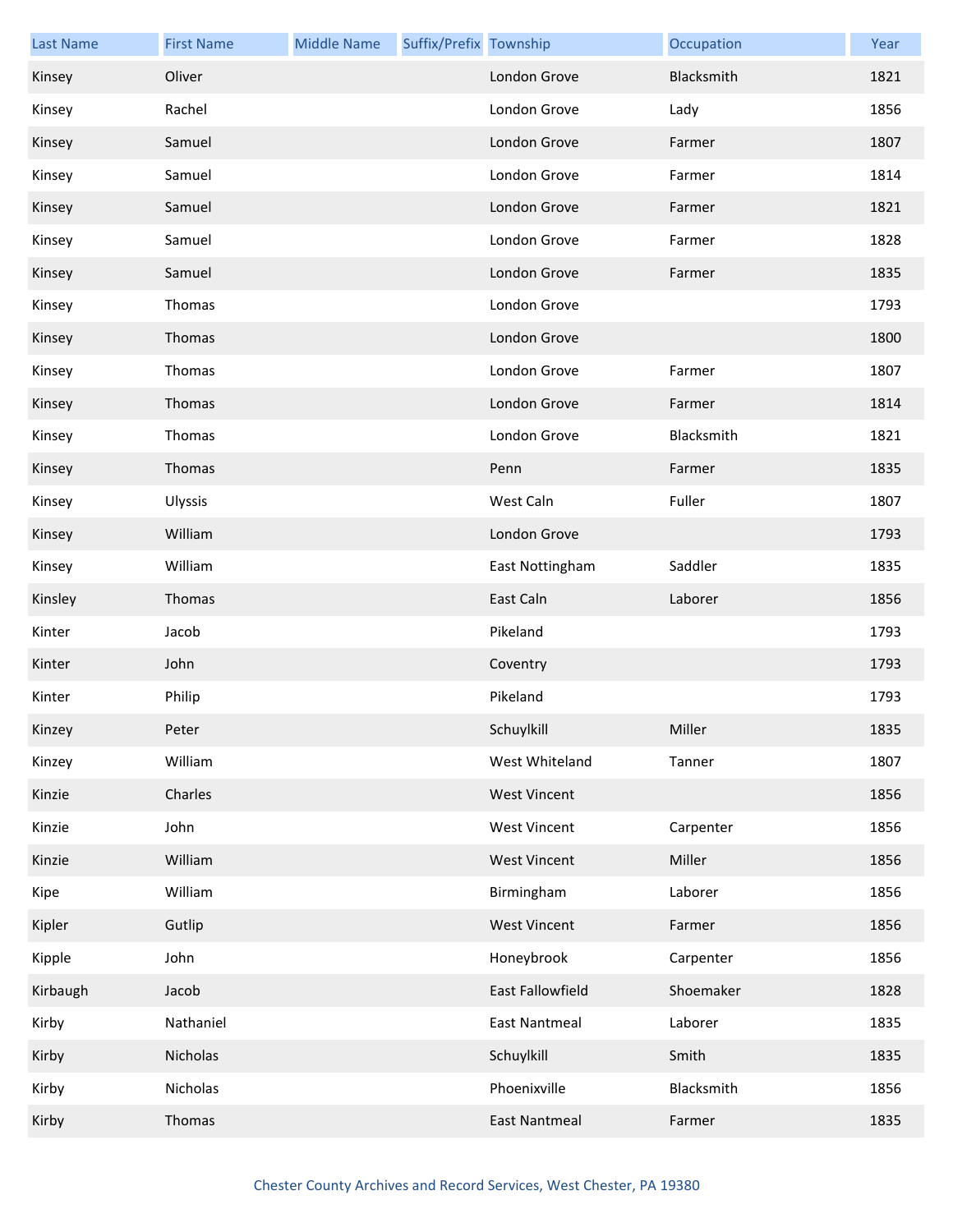| <b>Last Name</b> | <b>First Name</b> | <b>Middle Name</b> | Suffix/Prefix Township |                      | Occupation | Year |
|------------------|-------------------|--------------------|------------------------|----------------------|------------|------|
| Kinsey           | Oliver            |                    |                        | London Grove         | Blacksmith | 1821 |
| Kinsey           | Rachel            |                    |                        | London Grove         | Lady       | 1856 |
| Kinsey           | Samuel            |                    |                        | London Grove         | Farmer     | 1807 |
| Kinsey           | Samuel            |                    |                        | London Grove         | Farmer     | 1814 |
| Kinsey           | Samuel            |                    |                        | London Grove         | Farmer     | 1821 |
| Kinsey           | Samuel            |                    |                        | London Grove         | Farmer     | 1828 |
| Kinsey           | Samuel            |                    |                        | London Grove         | Farmer     | 1835 |
| Kinsey           | Thomas            |                    |                        | London Grove         |            | 1793 |
| Kinsey           | Thomas            |                    |                        | London Grove         |            | 1800 |
| Kinsey           | Thomas            |                    |                        | London Grove         | Farmer     | 1807 |
| Kinsey           | Thomas            |                    |                        | London Grove         | Farmer     | 1814 |
| Kinsey           | Thomas            |                    |                        | London Grove         | Blacksmith | 1821 |
| Kinsey           | Thomas            |                    |                        | Penn                 | Farmer     | 1835 |
| Kinsey           | Ulyssis           |                    |                        | West Caln            | Fuller     | 1807 |
| Kinsey           | William           |                    |                        | London Grove         |            | 1793 |
| Kinsey           | William           |                    |                        | East Nottingham      | Saddler    | 1835 |
| Kinsley          | Thomas            |                    |                        | East Caln            | Laborer    | 1856 |
| Kinter           | Jacob             |                    |                        | Pikeland             |            | 1793 |
| Kinter           | John              |                    |                        | Coventry             |            | 1793 |
| Kinter           | Philip            |                    |                        | Pikeland             |            | 1793 |
| Kinzey           | Peter             |                    |                        | Schuylkill           | Miller     | 1835 |
| Kinzey           | William           |                    |                        | West Whiteland       | Tanner     | 1807 |
| Kinzie           | Charles           |                    |                        | <b>West Vincent</b>  |            | 1856 |
| Kinzie           | John              |                    |                        | <b>West Vincent</b>  | Carpenter  | 1856 |
| Kinzie           | William           |                    |                        | <b>West Vincent</b>  | Miller     | 1856 |
| Kipe             | William           |                    |                        | Birmingham           | Laborer    | 1856 |
| Kipler           | Gutlip            |                    |                        | <b>West Vincent</b>  | Farmer     | 1856 |
| Kipple           | John              |                    |                        | Honeybrook           | Carpenter  | 1856 |
| Kirbaugh         | Jacob             |                    |                        | East Fallowfield     | Shoemaker  | 1828 |
| Kirby            | Nathaniel         |                    |                        | <b>East Nantmeal</b> | Laborer    | 1835 |
| Kirby            | Nicholas          |                    |                        | Schuylkill           | Smith      | 1835 |
| Kirby            | Nicholas          |                    |                        | Phoenixville         | Blacksmith | 1856 |
| Kirby            | Thomas            |                    |                        | <b>East Nantmeal</b> | Farmer     | 1835 |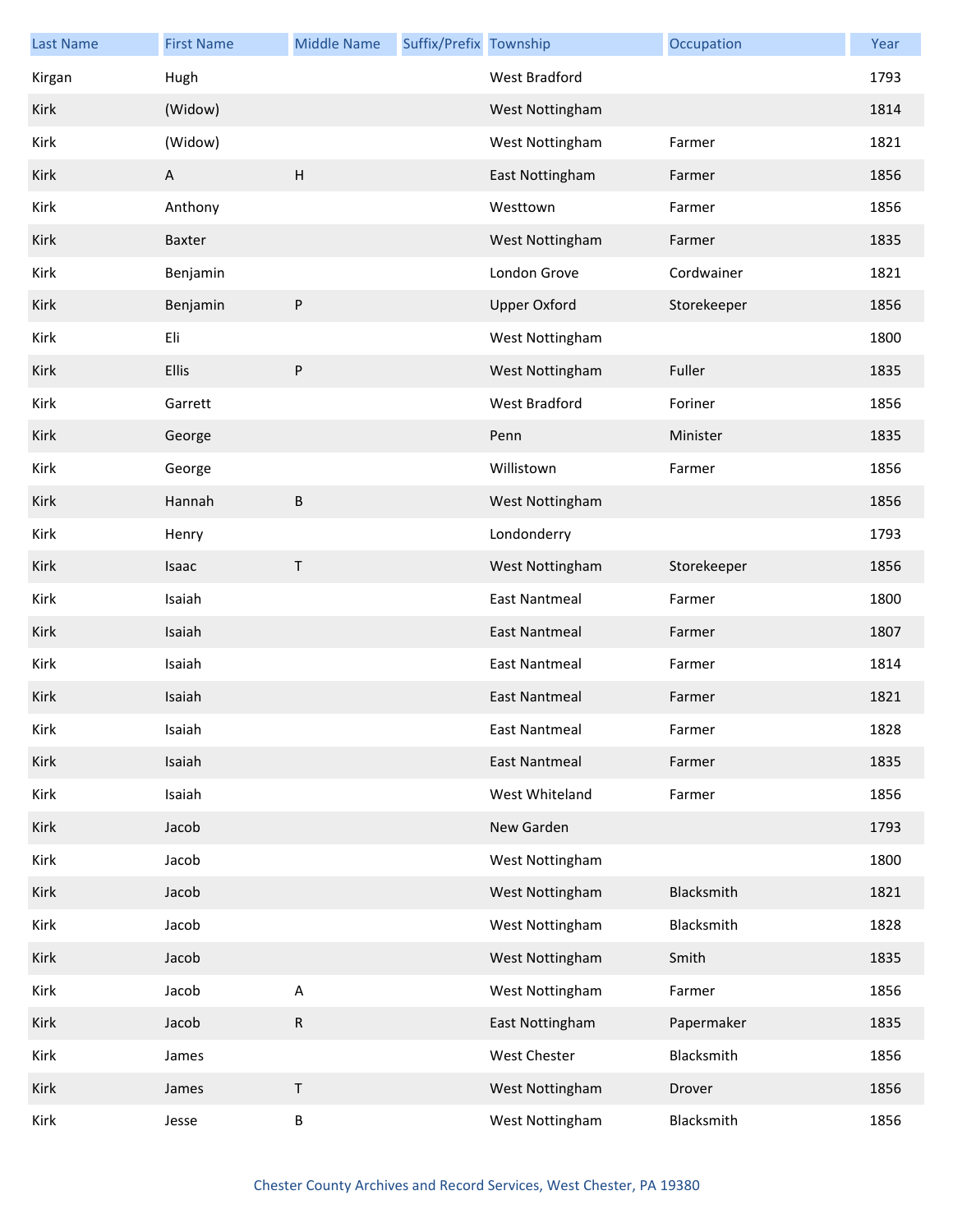| <b>Last Name</b> | <b>First Name</b> | <b>Middle Name</b> | Suffix/Prefix Township |                      | Occupation  | Year |
|------------------|-------------------|--------------------|------------------------|----------------------|-------------|------|
| Kirgan           | Hugh              |                    |                        | West Bradford        |             | 1793 |
| Kirk             | (Widow)           |                    |                        | West Nottingham      |             | 1814 |
| Kirk             | (Widow)           |                    |                        | West Nottingham      | Farmer      | 1821 |
| Kirk             | A                 | $\mathsf{H}%$      |                        | East Nottingham      | Farmer      | 1856 |
| Kirk             | Anthony           |                    |                        | Westtown             | Farmer      | 1856 |
| Kirk             | Baxter            |                    |                        | West Nottingham      | Farmer      | 1835 |
| Kirk             | Benjamin          |                    |                        | London Grove         | Cordwainer  | 1821 |
| Kirk             | Benjamin          | $\sf P$            |                        | <b>Upper Oxford</b>  | Storekeeper | 1856 |
| Kirk             | Eli               |                    |                        | West Nottingham      |             | 1800 |
| Kirk             | <b>Ellis</b>      | ${\sf P}$          |                        | West Nottingham      | Fuller      | 1835 |
| Kirk             | Garrett           |                    |                        | <b>West Bradford</b> | Foriner     | 1856 |
| Kirk             | George            |                    |                        | Penn                 | Minister    | 1835 |
| Kirk             | George            |                    |                        | Willistown           | Farmer      | 1856 |
| Kirk             | Hannah            | $\sf B$            |                        | West Nottingham      |             | 1856 |
| Kirk             | Henry             |                    |                        | Londonderry          |             | 1793 |
| Kirk             | Isaac             | $\sf T$            |                        | West Nottingham      | Storekeeper | 1856 |
| Kirk             | Isaiah            |                    |                        | <b>East Nantmeal</b> | Farmer      | 1800 |
| Kirk             | Isaiah            |                    |                        | <b>East Nantmeal</b> | Farmer      | 1807 |
| Kirk             | Isaiah            |                    |                        | <b>East Nantmeal</b> | Farmer      | 1814 |
| Kirk             | Isaiah            |                    |                        | <b>East Nantmeal</b> | Farmer      | 1821 |
| Kirk             | Isaiah            |                    |                        | East Nantmeal        | Farmer      | 1828 |
| Kirk             | Isaiah            |                    |                        | <b>East Nantmeal</b> | Farmer      | 1835 |
| Kirk             | Isaiah            |                    |                        | West Whiteland       | Farmer      | 1856 |
| Kirk             | Jacob             |                    |                        | New Garden           |             | 1793 |
| Kirk             | Jacob             |                    |                        | West Nottingham      |             | 1800 |
| Kirk             | Jacob             |                    |                        | West Nottingham      | Blacksmith  | 1821 |
| Kirk             | Jacob             |                    |                        | West Nottingham      | Blacksmith  | 1828 |
| Kirk             | Jacob             |                    |                        | West Nottingham      | Smith       | 1835 |
| Kirk             | Jacob             | $\mathsf A$        |                        | West Nottingham      | Farmer      | 1856 |
| Kirk             | Jacob             | ${\sf R}$          |                        | East Nottingham      | Papermaker  | 1835 |
| Kirk             | James             |                    |                        | West Chester         | Blacksmith  | 1856 |
| Kirk             | James             | $\mathsf T$        |                        | West Nottingham      | Drover      | 1856 |
| Kirk             | Jesse             | $\sf B$            |                        | West Nottingham      | Blacksmith  | 1856 |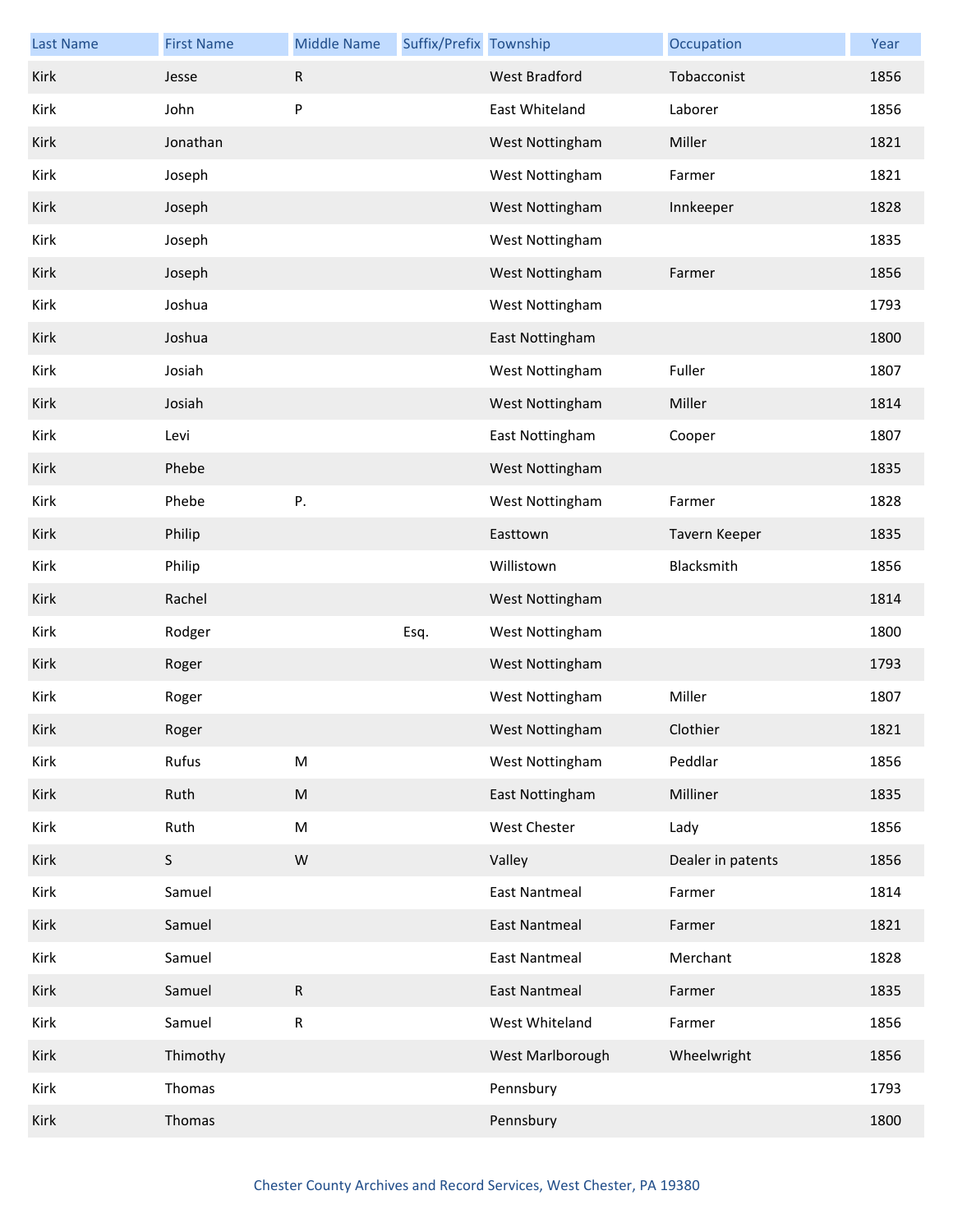| <b>Last Name</b> | <b>First Name</b> | <b>Middle Name</b> | Suffix/Prefix Township |                      | Occupation        | Year |
|------------------|-------------------|--------------------|------------------------|----------------------|-------------------|------|
| Kirk             | Jesse             | ${\sf R}$          |                        | West Bradford        | Tobacconist       | 1856 |
| Kirk             | John              | ${\sf P}$          |                        | East Whiteland       | Laborer           | 1856 |
| Kirk             | Jonathan          |                    |                        | West Nottingham      | Miller            | 1821 |
| Kirk             | Joseph            |                    |                        | West Nottingham      | Farmer            | 1821 |
| Kirk             | Joseph            |                    |                        | West Nottingham      | Innkeeper         | 1828 |
| Kirk             | Joseph            |                    |                        | West Nottingham      |                   | 1835 |
| Kirk             | Joseph            |                    |                        | West Nottingham      | Farmer            | 1856 |
| Kirk             | Joshua            |                    |                        | West Nottingham      |                   | 1793 |
| Kirk             | Joshua            |                    |                        | East Nottingham      |                   | 1800 |
| Kirk             | Josiah            |                    |                        | West Nottingham      | Fuller            | 1807 |
| Kirk             | Josiah            |                    |                        | West Nottingham      | Miller            | 1814 |
| Kirk             | Levi              |                    |                        | East Nottingham      | Cooper            | 1807 |
| Kirk             | Phebe             |                    |                        | West Nottingham      |                   | 1835 |
| Kirk             | Phebe             | Ρ.                 |                        | West Nottingham      | Farmer            | 1828 |
| Kirk             | Philip            |                    |                        | Easttown             | Tavern Keeper     | 1835 |
| Kirk             | Philip            |                    |                        | Willistown           | Blacksmith        | 1856 |
| Kirk             | Rachel            |                    |                        | West Nottingham      |                   | 1814 |
| Kirk             | Rodger            |                    | Esq.                   | West Nottingham      |                   | 1800 |
| Kirk             | Roger             |                    |                        | West Nottingham      |                   | 1793 |
| Kirk             | Roger             |                    |                        | West Nottingham      | Miller            | 1807 |
| Kirk             | Roger             |                    |                        | West Nottingham      | Clothier          | 1821 |
| Kirk             | Rufus             | ${\sf M}$          |                        | West Nottingham      | Peddlar           | 1856 |
| Kirk             | Ruth              | ${\sf M}$          |                        | East Nottingham      | Milliner          | 1835 |
| Kirk             | Ruth              | ${\sf M}$          |                        | West Chester         | Lady              | 1856 |
| Kirk             | S                 | W                  |                        | Valley               | Dealer in patents | 1856 |
| Kirk             | Samuel            |                    |                        | <b>East Nantmeal</b> | Farmer            | 1814 |
| Kirk             | Samuel            |                    |                        | East Nantmeal        | Farmer            | 1821 |
| Kirk             | Samuel            |                    |                        | <b>East Nantmeal</b> | Merchant          | 1828 |
| Kirk             | Samuel            | $\mathsf R$        |                        | East Nantmeal        | Farmer            | 1835 |
| Kirk             | Samuel            | ${\sf R}$          |                        | West Whiteland       | Farmer            | 1856 |
| Kirk             | Thimothy          |                    |                        | West Marlborough     | Wheelwright       | 1856 |
| Kirk             | Thomas            |                    |                        | Pennsbury            |                   | 1793 |
| Kirk             | Thomas            |                    |                        | Pennsbury            |                   | 1800 |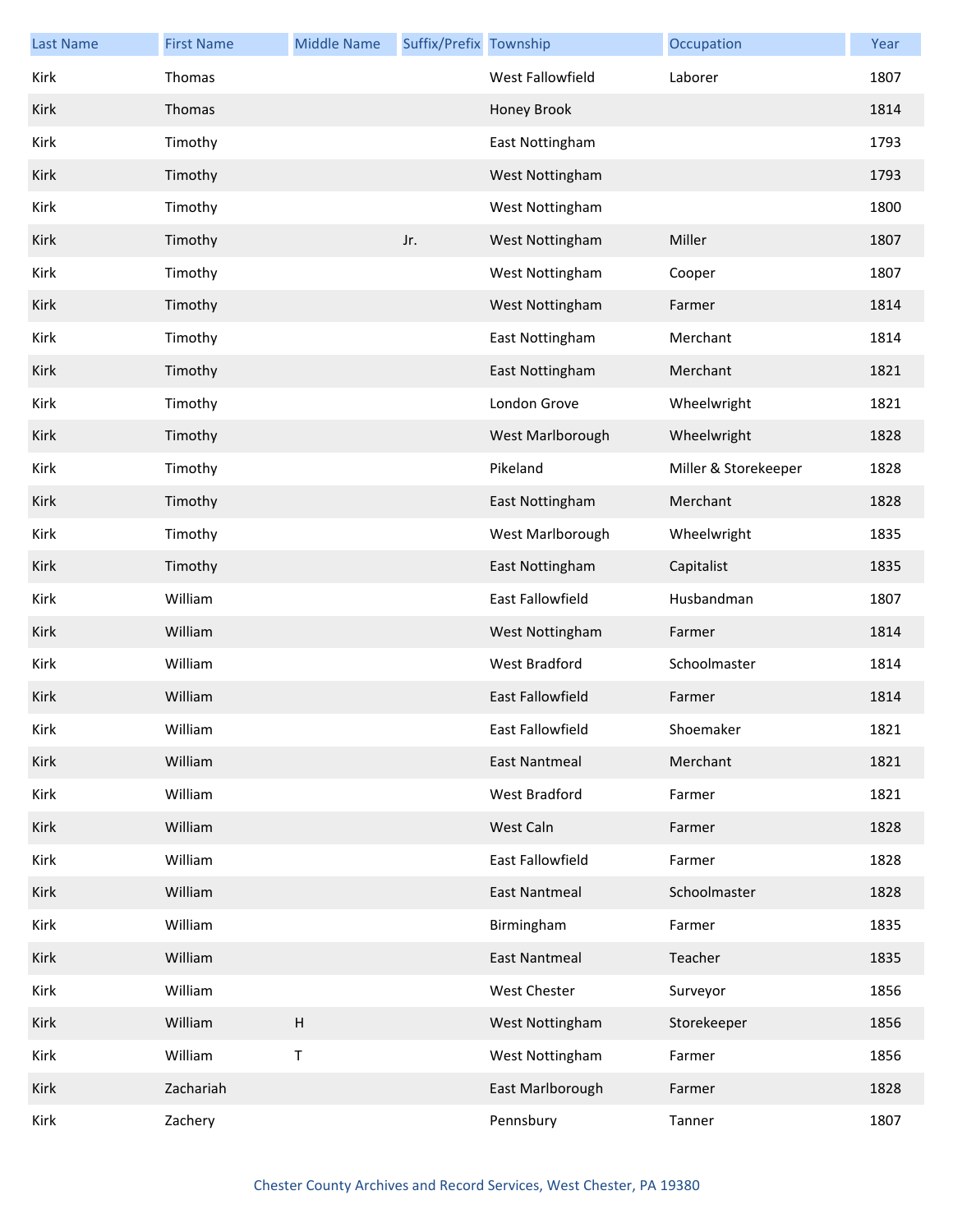| Last Name | <b>First Name</b> | <b>Middle Name</b>        | Suffix/Prefix Township |                      | Occupation           | Year |
|-----------|-------------------|---------------------------|------------------------|----------------------|----------------------|------|
| Kirk      | Thomas            |                           |                        | West Fallowfield     | Laborer              | 1807 |
| Kirk      | Thomas            |                           |                        | Honey Brook          |                      | 1814 |
| Kirk      | Timothy           |                           |                        | East Nottingham      |                      | 1793 |
| Kirk      | Timothy           |                           |                        | West Nottingham      |                      | 1793 |
| Kirk      | Timothy           |                           |                        | West Nottingham      |                      | 1800 |
| Kirk      | Timothy           |                           | Jr.                    | West Nottingham      | Miller               | 1807 |
| Kirk      | Timothy           |                           |                        | West Nottingham      | Cooper               | 1807 |
| Kirk      | Timothy           |                           |                        | West Nottingham      | Farmer               | 1814 |
| Kirk      | Timothy           |                           |                        | East Nottingham      | Merchant             | 1814 |
| Kirk      | Timothy           |                           |                        | East Nottingham      | Merchant             | 1821 |
| Kirk      | Timothy           |                           |                        | London Grove         | Wheelwright          | 1821 |
| Kirk      | Timothy           |                           |                        | West Marlborough     | Wheelwright          | 1828 |
| Kirk      | Timothy           |                           |                        | Pikeland             | Miller & Storekeeper | 1828 |
| Kirk      | Timothy           |                           |                        | East Nottingham      | Merchant             | 1828 |
| Kirk      | Timothy           |                           |                        | West Marlborough     | Wheelwright          | 1835 |
| Kirk      | Timothy           |                           |                        | East Nottingham      | Capitalist           | 1835 |
| Kirk      | William           |                           |                        | East Fallowfield     | Husbandman           | 1807 |
| Kirk      | William           |                           |                        | West Nottingham      | Farmer               | 1814 |
| Kirk      | William           |                           |                        | West Bradford        | Schoolmaster         | 1814 |
| Kirk      | William           |                           |                        | East Fallowfield     | Farmer               | 1814 |
| Kirk      | William           |                           |                        | East Fallowfield     | Shoemaker            | 1821 |
| Kirk      | William           |                           |                        | <b>East Nantmeal</b> | Merchant             | 1821 |
| Kirk      | William           |                           |                        | West Bradford        | Farmer               | 1821 |
| Kirk      | William           |                           |                        | West Caln            | Farmer               | 1828 |
| Kirk      | William           |                           |                        | East Fallowfield     | Farmer               | 1828 |
| Kirk      | William           |                           |                        | <b>East Nantmeal</b> | Schoolmaster         | 1828 |
| Kirk      | William           |                           |                        | Birmingham           | Farmer               | 1835 |
| Kirk      | William           |                           |                        | <b>East Nantmeal</b> | Teacher              | 1835 |
| Kirk      | William           |                           |                        | West Chester         | Surveyor             | 1856 |
| Kirk      | William           | $\boldsymbol{\mathsf{H}}$ |                        | West Nottingham      | Storekeeper          | 1856 |
| Kirk      | William           | Τ                         |                        | West Nottingham      | Farmer               | 1856 |
| Kirk      | Zachariah         |                           |                        | East Marlborough     | Farmer               | 1828 |
| Kirk      | Zachery           |                           |                        | Pennsbury            | Tanner               | 1807 |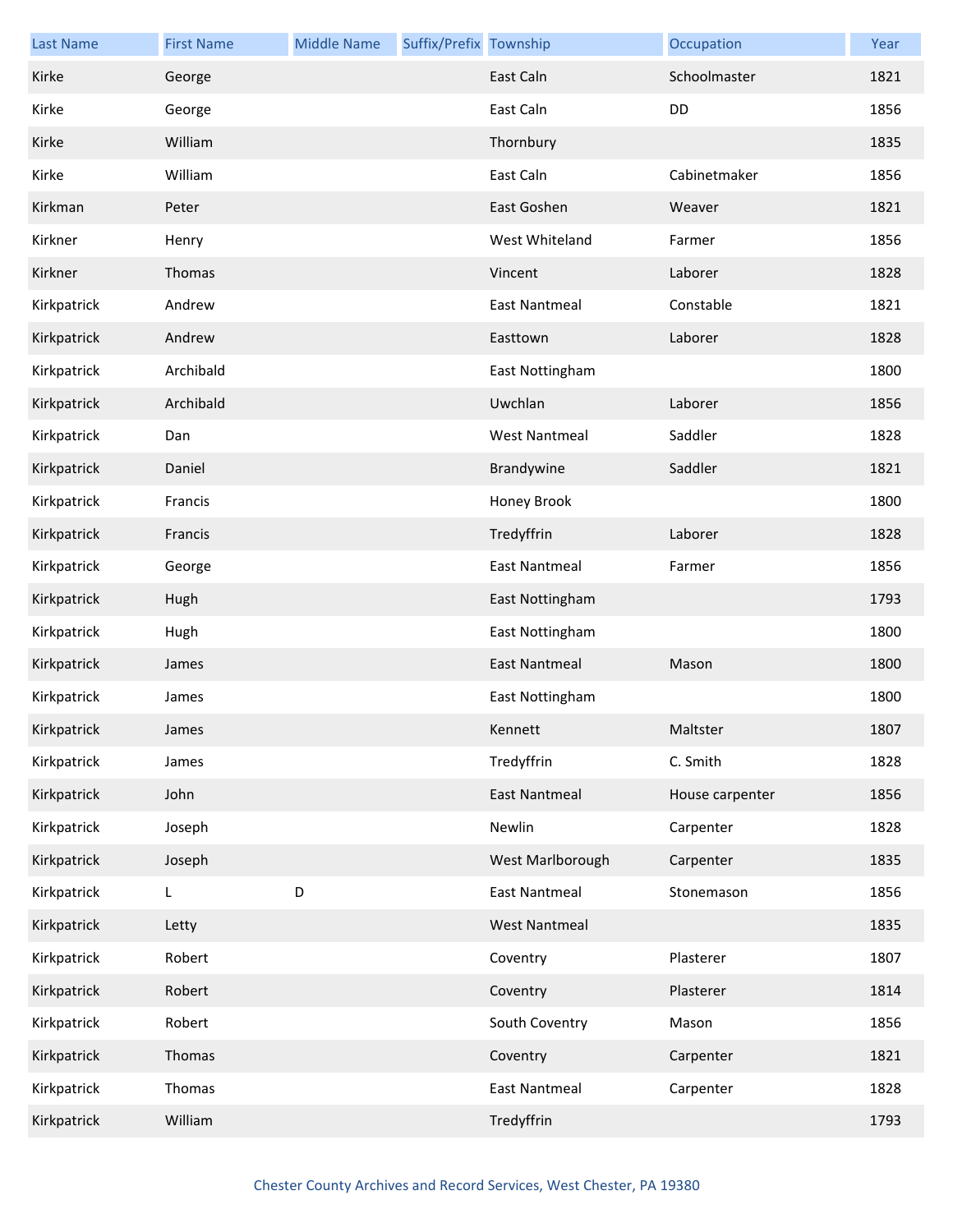| <b>Last Name</b> | <b>First Name</b> | <b>Middle Name</b> | Suffix/Prefix Township |                      | Occupation      | Year |
|------------------|-------------------|--------------------|------------------------|----------------------|-----------------|------|
| Kirke            | George            |                    |                        | East Caln            | Schoolmaster    | 1821 |
| Kirke            | George            |                    |                        | East Caln            | DD              | 1856 |
| Kirke            | William           |                    |                        | Thornbury            |                 | 1835 |
| Kirke            | William           |                    |                        | East Caln            | Cabinetmaker    | 1856 |
| Kirkman          | Peter             |                    |                        | East Goshen          | Weaver          | 1821 |
| Kirkner          | Henry             |                    |                        | West Whiteland       | Farmer          | 1856 |
| Kirkner          | Thomas            |                    |                        | Vincent              | Laborer         | 1828 |
| Kirkpatrick      | Andrew            |                    |                        | <b>East Nantmeal</b> | Constable       | 1821 |
| Kirkpatrick      | Andrew            |                    |                        | Easttown             | Laborer         | 1828 |
| Kirkpatrick      | Archibald         |                    |                        | East Nottingham      |                 | 1800 |
| Kirkpatrick      | Archibald         |                    |                        | Uwchlan              | Laborer         | 1856 |
| Kirkpatrick      | Dan               |                    |                        | <b>West Nantmeal</b> | Saddler         | 1828 |
| Kirkpatrick      | Daniel            |                    |                        | Brandywine           | Saddler         | 1821 |
| Kirkpatrick      | Francis           |                    |                        | Honey Brook          |                 | 1800 |
| Kirkpatrick      | Francis           |                    |                        | Tredyffrin           | Laborer         | 1828 |
| Kirkpatrick      | George            |                    |                        | <b>East Nantmeal</b> | Farmer          | 1856 |
| Kirkpatrick      | Hugh              |                    |                        | East Nottingham      |                 | 1793 |
| Kirkpatrick      | Hugh              |                    |                        | East Nottingham      |                 | 1800 |
| Kirkpatrick      | James             |                    |                        | <b>East Nantmeal</b> | Mason           | 1800 |
| Kirkpatrick      | James             |                    |                        | East Nottingham      |                 | 1800 |
| Kirkpatrick      | James             |                    |                        | Kennett              | Maltster        | 1807 |
| Kirkpatrick      | James             |                    |                        | Tredyffrin           | C. Smith        | 1828 |
| Kirkpatrick      | John              |                    |                        | <b>East Nantmeal</b> | House carpenter | 1856 |
| Kirkpatrick      | Joseph            |                    |                        | Newlin               | Carpenter       | 1828 |
| Kirkpatrick      | Joseph            |                    |                        | West Marlborough     | Carpenter       | 1835 |
| Kirkpatrick      | L                 | D                  |                        | <b>East Nantmeal</b> | Stonemason      | 1856 |
| Kirkpatrick      | Letty             |                    |                        | <b>West Nantmeal</b> |                 | 1835 |
| Kirkpatrick      | Robert            |                    |                        | Coventry             | Plasterer       | 1807 |
| Kirkpatrick      | Robert            |                    |                        | Coventry             | Plasterer       | 1814 |
| Kirkpatrick      | Robert            |                    |                        | South Coventry       | Mason           | 1856 |
| Kirkpatrick      | Thomas            |                    |                        | Coventry             | Carpenter       | 1821 |
| Kirkpatrick      | Thomas            |                    |                        | <b>East Nantmeal</b> | Carpenter       | 1828 |
| Kirkpatrick      | William           |                    |                        | Tredyffrin           |                 | 1793 |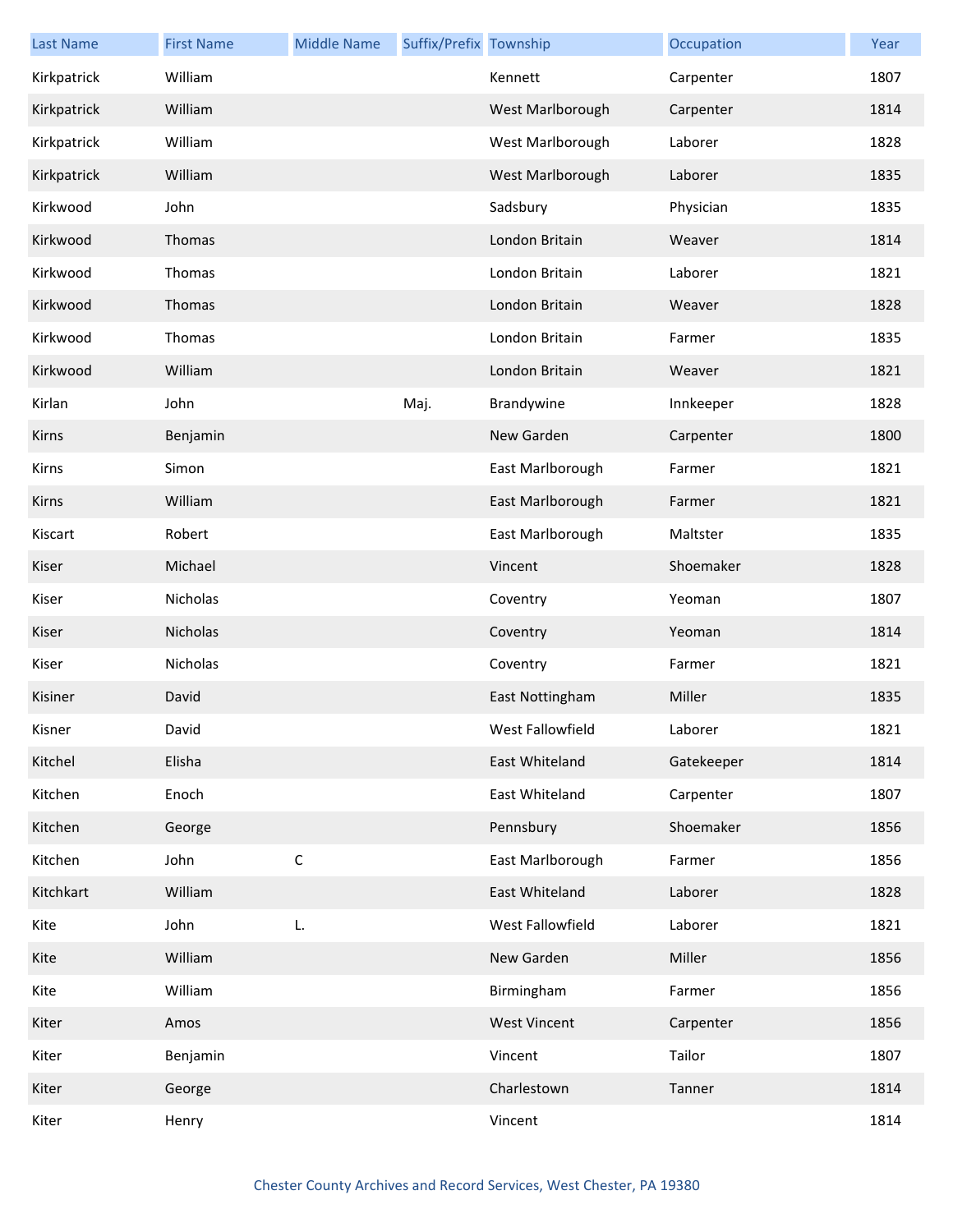| <b>Last Name</b> | <b>First Name</b> | <b>Middle Name</b> | Suffix/Prefix Township |                     | Occupation | Year |
|------------------|-------------------|--------------------|------------------------|---------------------|------------|------|
| Kirkpatrick      | William           |                    |                        | Kennett             | Carpenter  | 1807 |
| Kirkpatrick      | William           |                    |                        | West Marlborough    | Carpenter  | 1814 |
| Kirkpatrick      | William           |                    |                        | West Marlborough    | Laborer    | 1828 |
| Kirkpatrick      | William           |                    |                        | West Marlborough    | Laborer    | 1835 |
| Kirkwood         | John              |                    |                        | Sadsbury            | Physician  | 1835 |
| Kirkwood         | Thomas            |                    |                        | London Britain      | Weaver     | 1814 |
| Kirkwood         | Thomas            |                    |                        | London Britain      | Laborer    | 1821 |
| Kirkwood         | Thomas            |                    |                        | London Britain      | Weaver     | 1828 |
| Kirkwood         | Thomas            |                    |                        | London Britain      | Farmer     | 1835 |
| Kirkwood         | William           |                    |                        | London Britain      | Weaver     | 1821 |
| Kirlan           | John              |                    | Maj.                   | Brandywine          | Innkeeper  | 1828 |
| Kirns            | Benjamin          |                    |                        | New Garden          | Carpenter  | 1800 |
| Kirns            | Simon             |                    |                        | East Marlborough    | Farmer     | 1821 |
| Kirns            | William           |                    |                        | East Marlborough    | Farmer     | 1821 |
| Kiscart          | Robert            |                    |                        | East Marlborough    | Maltster   | 1835 |
| Kiser            | Michael           |                    |                        | Vincent             | Shoemaker  | 1828 |
| Kiser            | Nicholas          |                    |                        | Coventry            | Yeoman     | 1807 |
| Kiser            | Nicholas          |                    |                        | Coventry            | Yeoman     | 1814 |
| Kiser            | Nicholas          |                    |                        | Coventry            | Farmer     | 1821 |
| Kisiner          | David             |                    |                        | East Nottingham     | Miller     | 1835 |
| Kisner           | David             |                    |                        | West Fallowfield    | Laborer    | 1821 |
| Kitchel          | Elisha            |                    |                        | East Whiteland      | Gatekeeper | 1814 |
| Kitchen          | Enoch             |                    |                        | East Whiteland      | Carpenter  | 1807 |
| Kitchen          | George            |                    |                        | Pennsbury           | Shoemaker  | 1856 |
| Kitchen          | John              | $\mathsf C$        |                        | East Marlborough    | Farmer     | 1856 |
| Kitchkart        | William           |                    |                        | East Whiteland      | Laborer    | 1828 |
| Kite             | John              | L.                 |                        | West Fallowfield    | Laborer    | 1821 |
| Kite             | William           |                    |                        | New Garden          | Miller     | 1856 |
| Kite             | William           |                    |                        | Birmingham          | Farmer     | 1856 |
| Kiter            | Amos              |                    |                        | <b>West Vincent</b> | Carpenter  | 1856 |
| Kiter            | Benjamin          |                    |                        | Vincent             | Tailor     | 1807 |
| Kiter            | George            |                    |                        | Charlestown         | Tanner     | 1814 |
| Kiter            | Henry             |                    |                        | Vincent             |            | 1814 |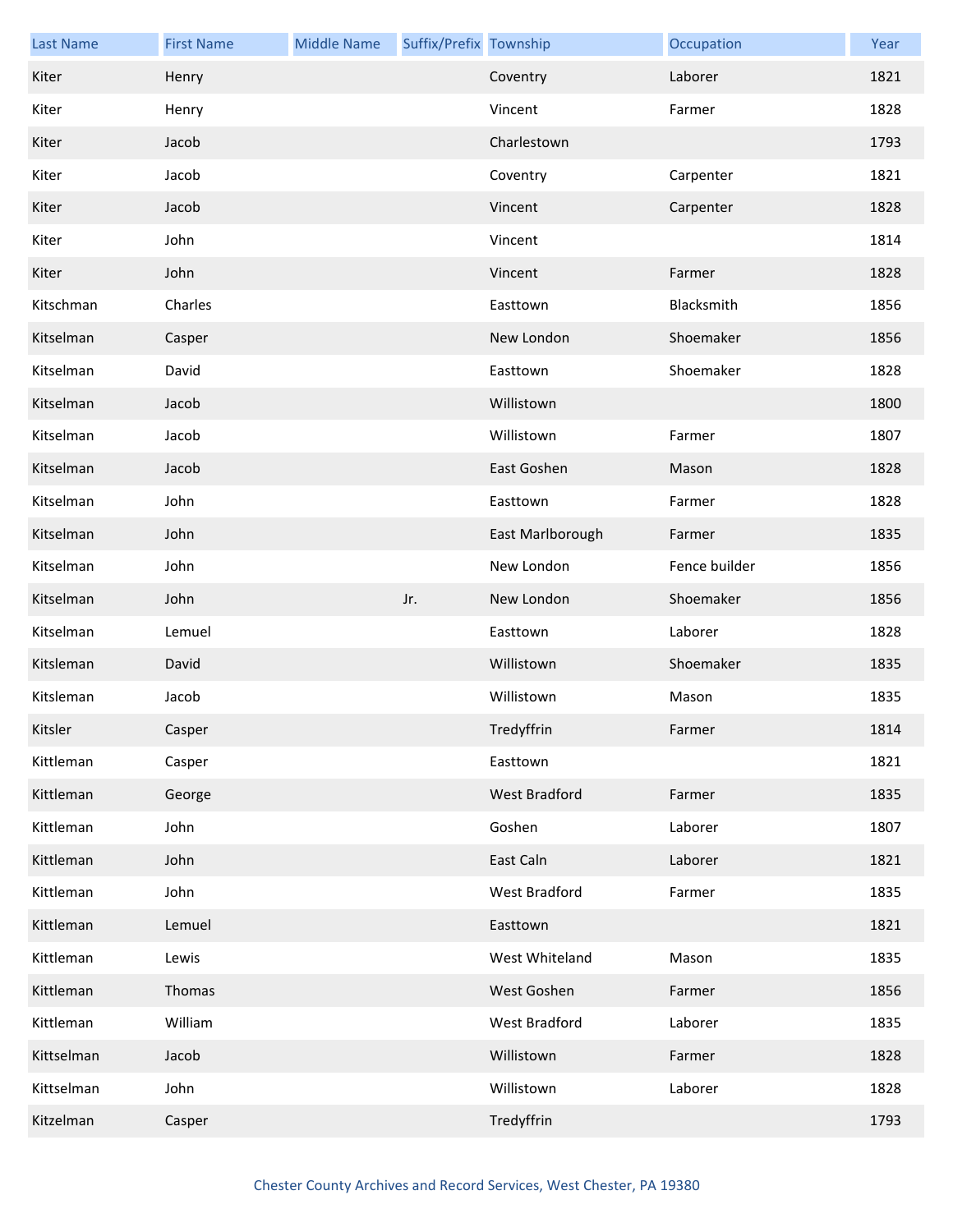| <b>Last Name</b> | <b>First Name</b> | <b>Middle Name</b> | Suffix/Prefix Township |                  | Occupation    | Year |
|------------------|-------------------|--------------------|------------------------|------------------|---------------|------|
| Kiter            | Henry             |                    |                        | Coventry         | Laborer       | 1821 |
| Kiter            | Henry             |                    |                        | Vincent          | Farmer        | 1828 |
| Kiter            | Jacob             |                    |                        | Charlestown      |               | 1793 |
| Kiter            | Jacob             |                    |                        | Coventry         | Carpenter     | 1821 |
| Kiter            | Jacob             |                    |                        | Vincent          | Carpenter     | 1828 |
| Kiter            | John              |                    |                        | Vincent          |               | 1814 |
| Kiter            | John              |                    |                        | Vincent          | Farmer        | 1828 |
| Kitschman        | Charles           |                    |                        | Easttown         | Blacksmith    | 1856 |
| Kitselman        | Casper            |                    |                        | New London       | Shoemaker     | 1856 |
| Kitselman        | David             |                    |                        | Easttown         | Shoemaker     | 1828 |
| Kitselman        | Jacob             |                    |                        | Willistown       |               | 1800 |
| Kitselman        | Jacob             |                    |                        | Willistown       | Farmer        | 1807 |
| Kitselman        | Jacob             |                    |                        | East Goshen      | Mason         | 1828 |
| Kitselman        | John              |                    |                        | Easttown         | Farmer        | 1828 |
| Kitselman        | John              |                    |                        | East Marlborough | Farmer        | 1835 |
| Kitselman        | John              |                    |                        | New London       | Fence builder | 1856 |
| Kitselman        | John              |                    | Jr.                    | New London       | Shoemaker     | 1856 |
| Kitselman        | Lemuel            |                    |                        | Easttown         | Laborer       | 1828 |
| Kitsleman        | David             |                    |                        | Willistown       | Shoemaker     | 1835 |
| Kitsleman        | Jacob             |                    |                        | Willistown       | Mason         | 1835 |
| Kitsler          | Casper            |                    |                        | Tredyffrin       | Farmer        | 1814 |
| Kittleman        | Casper            |                    |                        | Easttown         |               | 1821 |
| Kittleman        | George            |                    |                        | West Bradford    | Farmer        | 1835 |
| Kittleman        | John              |                    |                        | Goshen           | Laborer       | 1807 |
| Kittleman        | John              |                    |                        | East Caln        | Laborer       | 1821 |
| Kittleman        | John              |                    |                        | West Bradford    | Farmer        | 1835 |
| Kittleman        | Lemuel            |                    |                        | Easttown         |               | 1821 |
| Kittleman        | Lewis             |                    |                        | West Whiteland   | Mason         | 1835 |
| Kittleman        | Thomas            |                    |                        | West Goshen      | Farmer        | 1856 |
| Kittleman        | William           |                    |                        | West Bradford    | Laborer       | 1835 |
| Kittselman       | Jacob             |                    |                        | Willistown       | Farmer        | 1828 |
| Kittselman       | John              |                    |                        | Willistown       | Laborer       | 1828 |
| Kitzelman        | Casper            |                    |                        | Tredyffrin       |               | 1793 |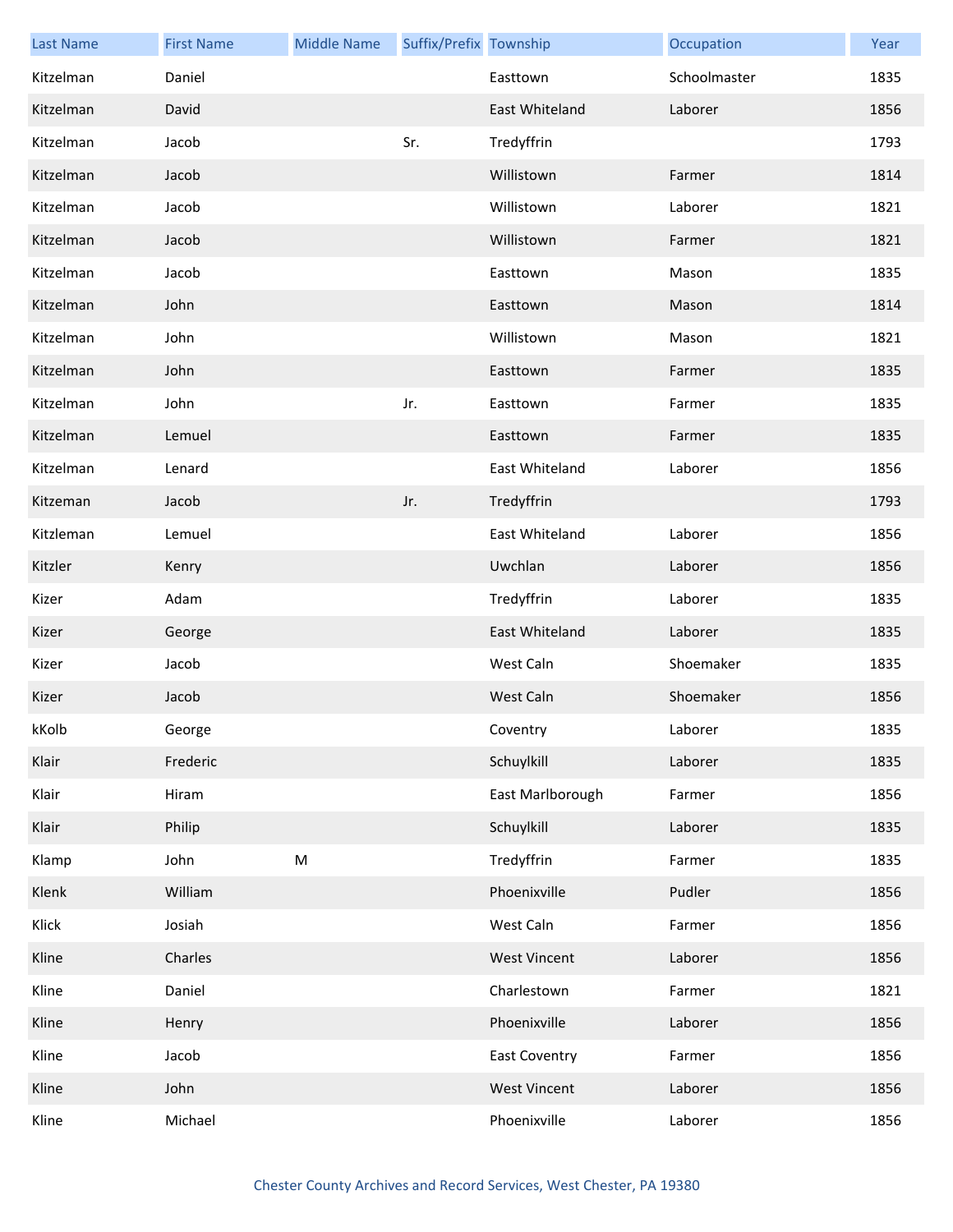| <b>Last Name</b> | <b>First Name</b> | <b>Middle Name</b>                                                                                         | Suffix/Prefix Township |                      | Occupation   | Year |
|------------------|-------------------|------------------------------------------------------------------------------------------------------------|------------------------|----------------------|--------------|------|
| Kitzelman        | Daniel            |                                                                                                            |                        | Easttown             | Schoolmaster | 1835 |
| Kitzelman        | David             |                                                                                                            |                        | East Whiteland       | Laborer      | 1856 |
| Kitzelman        | Jacob             |                                                                                                            | Sr.                    | Tredyffrin           |              | 1793 |
| Kitzelman        | Jacob             |                                                                                                            |                        | Willistown           | Farmer       | 1814 |
| Kitzelman        | Jacob             |                                                                                                            |                        | Willistown           | Laborer      | 1821 |
| Kitzelman        | Jacob             |                                                                                                            |                        | Willistown           | Farmer       | 1821 |
| Kitzelman        | Jacob             |                                                                                                            |                        | Easttown             | Mason        | 1835 |
| Kitzelman        | John              |                                                                                                            |                        | Easttown             | Mason        | 1814 |
| Kitzelman        | John              |                                                                                                            |                        | Willistown           | Mason        | 1821 |
| Kitzelman        | John              |                                                                                                            |                        | Easttown             | Farmer       | 1835 |
| Kitzelman        | John              |                                                                                                            | Jr.                    | Easttown             | Farmer       | 1835 |
| Kitzelman        | Lemuel            |                                                                                                            |                        | Easttown             | Farmer       | 1835 |
| Kitzelman        | Lenard            |                                                                                                            |                        | East Whiteland       | Laborer      | 1856 |
| Kitzeman         | Jacob             |                                                                                                            | Jr.                    | Tredyffrin           |              | 1793 |
| Kitzleman        | Lemuel            |                                                                                                            |                        | East Whiteland       | Laborer      | 1856 |
| Kitzler          | Kenry             |                                                                                                            |                        | Uwchlan              | Laborer      | 1856 |
| Kizer            | Adam              |                                                                                                            |                        | Tredyffrin           | Laborer      | 1835 |
| Kizer            | George            |                                                                                                            |                        | East Whiteland       | Laborer      | 1835 |
| Kizer            | Jacob             |                                                                                                            |                        | West Caln            | Shoemaker    | 1835 |
| Kizer            | Jacob             |                                                                                                            |                        | West Caln            | Shoemaker    | 1856 |
| kKolb            | George            |                                                                                                            |                        | Coventry             | Laborer      | 1835 |
| Klair            | Frederic          |                                                                                                            |                        | Schuylkill           | Laborer      | 1835 |
| Klair            | Hiram             |                                                                                                            |                        | East Marlborough     | Farmer       | 1856 |
| Klair            | Philip            |                                                                                                            |                        | Schuylkill           | Laborer      | 1835 |
| Klamp            | John              | $\mathsf{M}% _{T}=\mathsf{M}_{T}\!\left( a,b\right) ,\ \mathsf{M}_{T}=\mathsf{M}_{T}\!\left( a,b\right) ,$ |                        | Tredyffrin           | Farmer       | 1835 |
| Klenk            | William           |                                                                                                            |                        | Phoenixville         | Pudler       | 1856 |
| Klick            | Josiah            |                                                                                                            |                        | West Caln            | Farmer       | 1856 |
| Kline            | Charles           |                                                                                                            |                        | <b>West Vincent</b>  | Laborer      | 1856 |
| Kline            | Daniel            |                                                                                                            |                        | Charlestown          | Farmer       | 1821 |
| Kline            | Henry             |                                                                                                            |                        | Phoenixville         | Laborer      | 1856 |
| Kline            | Jacob             |                                                                                                            |                        | <b>East Coventry</b> | Farmer       | 1856 |
| Kline            | John              |                                                                                                            |                        | <b>West Vincent</b>  | Laborer      | 1856 |
| Kline            | Michael           |                                                                                                            |                        | Phoenixville         | Laborer      | 1856 |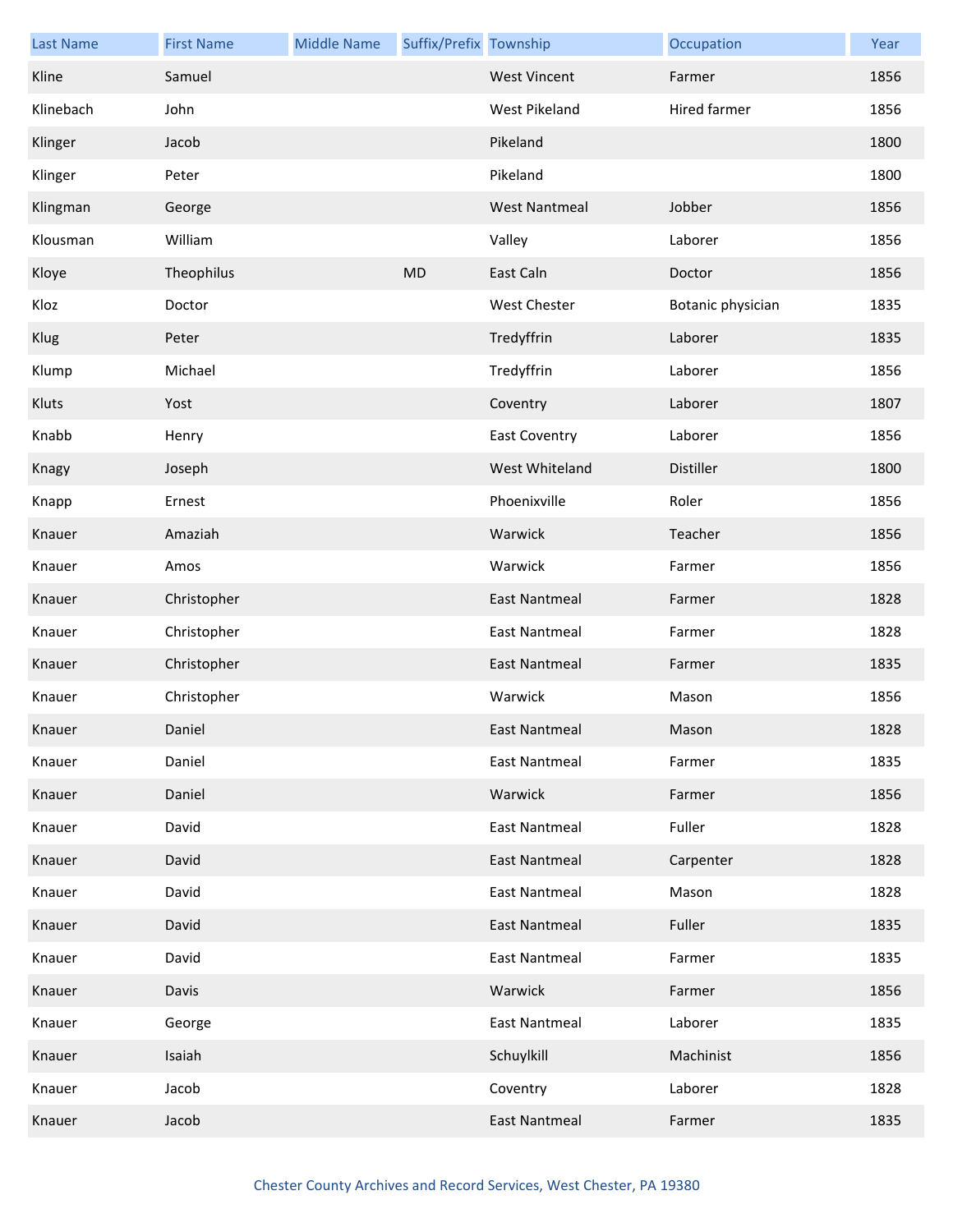| <b>Last Name</b> | <b>First Name</b> | <b>Middle Name</b> | Suffix/Prefix Township |                      | Occupation        | Year |
|------------------|-------------------|--------------------|------------------------|----------------------|-------------------|------|
| Kline            | Samuel            |                    |                        | <b>West Vincent</b>  | Farmer            | 1856 |
| Klinebach        | John              |                    |                        | West Pikeland        | Hired farmer      | 1856 |
| Klinger          | Jacob             |                    |                        | Pikeland             |                   | 1800 |
| Klinger          | Peter             |                    |                        | Pikeland             |                   | 1800 |
| Klingman         | George            |                    |                        | <b>West Nantmeal</b> | Jobber            | 1856 |
| Klousman         | William           |                    |                        | Valley               | Laborer           | 1856 |
| Kloye            | Theophilus        |                    | MD                     | East Caln            | Doctor            | 1856 |
| Kloz             | Doctor            |                    |                        | <b>West Chester</b>  | Botanic physician | 1835 |
| Klug             | Peter             |                    |                        | Tredyffrin           | Laborer           | 1835 |
| Klump            | Michael           |                    |                        | Tredyffrin           | Laborer           | 1856 |
| Kluts            | Yost              |                    |                        | Coventry             | Laborer           | 1807 |
| Knabb            | Henry             |                    |                        | <b>East Coventry</b> | Laborer           | 1856 |
| Knagy            | Joseph            |                    |                        | West Whiteland       | Distiller         | 1800 |
| Knapp            | Ernest            |                    |                        | Phoenixville         | Roler             | 1856 |
| Knauer           | Amaziah           |                    |                        | Warwick              | Teacher           | 1856 |
| Knauer           | Amos              |                    |                        | Warwick              | Farmer            | 1856 |
| Knauer           | Christopher       |                    |                        | <b>East Nantmeal</b> | Farmer            | 1828 |
| Knauer           | Christopher       |                    |                        | <b>East Nantmeal</b> | Farmer            | 1828 |
| Knauer           | Christopher       |                    |                        | East Nantmeal        | Farmer            | 1835 |
| Knauer           | Christopher       |                    |                        | Warwick              | Mason             | 1856 |
| Knauer           | Daniel            |                    |                        | East Nantmeal        | Mason             | 1828 |
| Knauer           | Daniel            |                    |                        | <b>East Nantmeal</b> | Farmer            | 1835 |
| Knauer           | Daniel            |                    |                        | Warwick              | Farmer            | 1856 |
| Knauer           | David             |                    |                        | <b>East Nantmeal</b> | Fuller            | 1828 |
| Knauer           | David             |                    |                        | <b>East Nantmeal</b> | Carpenter         | 1828 |
| Knauer           | David             |                    |                        | <b>East Nantmeal</b> | Mason             | 1828 |
| Knauer           | David             |                    |                        | <b>East Nantmeal</b> | Fuller            | 1835 |
| Knauer           | David             |                    |                        | <b>East Nantmeal</b> | Farmer            | 1835 |
| Knauer           | Davis             |                    |                        | Warwick              | Farmer            | 1856 |
| Knauer           | George            |                    |                        | <b>East Nantmeal</b> | Laborer           | 1835 |
| Knauer           | Isaiah            |                    |                        | Schuylkill           | Machinist         | 1856 |
| Knauer           | Jacob             |                    |                        | Coventry             | Laborer           | 1828 |
| Knauer           | Jacob             |                    |                        | <b>East Nantmeal</b> | Farmer            | 1835 |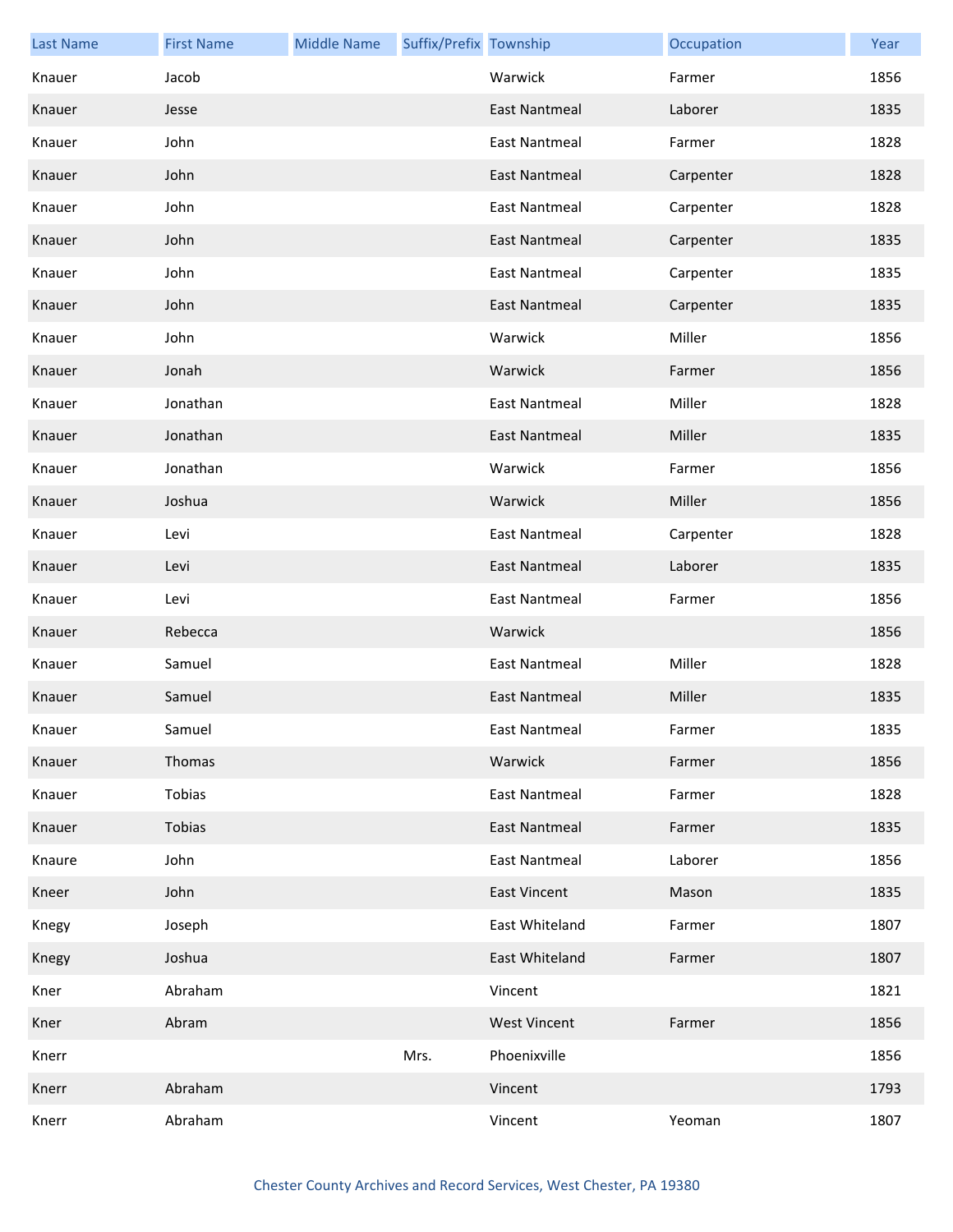| <b>Last Name</b> | <b>First Name</b> | <b>Middle Name</b> | Suffix/Prefix Township |                      | Occupation | Year |
|------------------|-------------------|--------------------|------------------------|----------------------|------------|------|
| Knauer           | Jacob             |                    |                        | Warwick              | Farmer     | 1856 |
| Knauer           | Jesse             |                    |                        | <b>East Nantmeal</b> | Laborer    | 1835 |
| Knauer           | John              |                    |                        | <b>East Nantmeal</b> | Farmer     | 1828 |
| Knauer           | John              |                    |                        | <b>East Nantmeal</b> | Carpenter  | 1828 |
| Knauer           | John              |                    |                        | <b>East Nantmeal</b> | Carpenter  | 1828 |
| Knauer           | John              |                    |                        | <b>East Nantmeal</b> | Carpenter  | 1835 |
| Knauer           | John              |                    |                        | <b>East Nantmeal</b> | Carpenter  | 1835 |
| Knauer           | John              |                    |                        | <b>East Nantmeal</b> | Carpenter  | 1835 |
| Knauer           | John              |                    |                        | Warwick              | Miller     | 1856 |
| Knauer           | Jonah             |                    |                        | Warwick              | Farmer     | 1856 |
| Knauer           | Jonathan          |                    |                        | <b>East Nantmeal</b> | Miller     | 1828 |
| Knauer           | Jonathan          |                    |                        | <b>East Nantmeal</b> | Miller     | 1835 |
| Knauer           | Jonathan          |                    |                        | Warwick              | Farmer     | 1856 |
| Knauer           | Joshua            |                    |                        | Warwick              | Miller     | 1856 |
| Knauer           | Levi              |                    |                        | <b>East Nantmeal</b> | Carpenter  | 1828 |
| Knauer           | Levi              |                    |                        | <b>East Nantmeal</b> | Laborer    | 1835 |
| Knauer           | Levi              |                    |                        | <b>East Nantmeal</b> | Farmer     | 1856 |
| Knauer           | Rebecca           |                    |                        | Warwick              |            | 1856 |
| Knauer           | Samuel            |                    |                        | <b>East Nantmeal</b> | Miller     | 1828 |
| Knauer           | Samuel            |                    |                        | <b>East Nantmeal</b> | Miller     | 1835 |
| Knauer           | Samuel            |                    |                        | East Nantmeal        | Farmer     | 1835 |
| Knauer           | Thomas            |                    |                        | Warwick              | Farmer     | 1856 |
| Knauer           | Tobias            |                    |                        | <b>East Nantmeal</b> | Farmer     | 1828 |
| Knauer           | Tobias            |                    |                        | <b>East Nantmeal</b> | Farmer     | 1835 |
| Knaure           | John              |                    |                        | <b>East Nantmeal</b> | Laborer    | 1856 |
| Kneer            | John              |                    |                        | <b>East Vincent</b>  | Mason      | 1835 |
| Knegy            | Joseph            |                    |                        | East Whiteland       | Farmer     | 1807 |
| Knegy            | Joshua            |                    |                        | East Whiteland       | Farmer     | 1807 |
| Kner             | Abraham           |                    |                        | Vincent              |            | 1821 |
| Kner             | Abram             |                    |                        | <b>West Vincent</b>  | Farmer     | 1856 |
| Knerr            |                   |                    | Mrs.                   | Phoenixville         |            | 1856 |
| Knerr            | Abraham           |                    |                        | Vincent              |            | 1793 |
| Knerr            | Abraham           |                    |                        | Vincent              | Yeoman     | 1807 |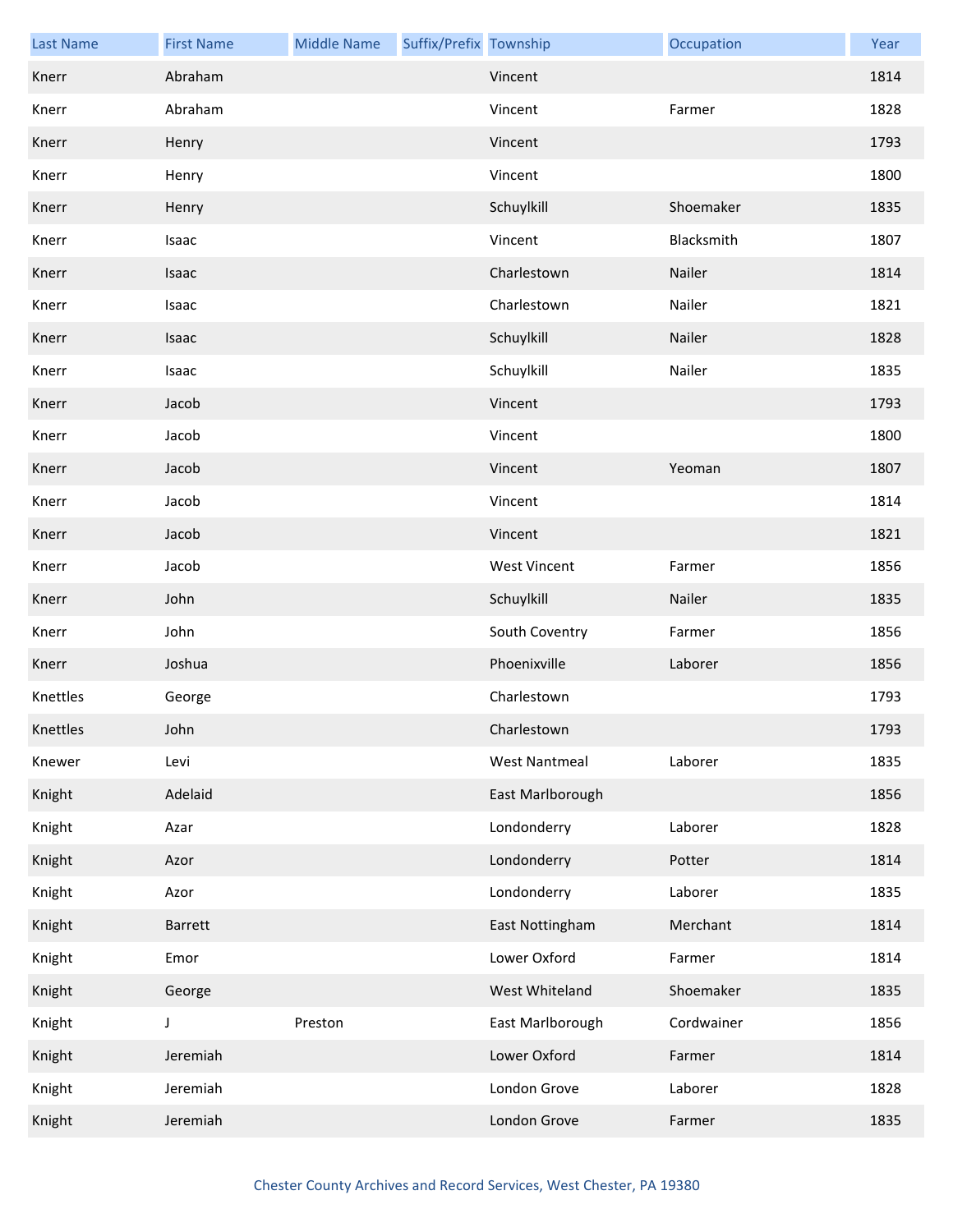| <b>Last Name</b> | <b>First Name</b> | <b>Middle Name</b> | Suffix/Prefix Township |                      | Occupation | Year |
|------------------|-------------------|--------------------|------------------------|----------------------|------------|------|
| Knerr            | Abraham           |                    |                        | Vincent              |            | 1814 |
| Knerr            | Abraham           |                    |                        | Vincent              | Farmer     | 1828 |
| Knerr            | Henry             |                    |                        | Vincent              |            | 1793 |
| Knerr            | Henry             |                    |                        | Vincent              |            | 1800 |
| Knerr            | Henry             |                    |                        | Schuylkill           | Shoemaker  | 1835 |
| Knerr            | Isaac             |                    |                        | Vincent              | Blacksmith | 1807 |
| Knerr            | Isaac             |                    |                        | Charlestown          | Nailer     | 1814 |
| Knerr            | Isaac             |                    |                        | Charlestown          | Nailer     | 1821 |
| Knerr            | Isaac             |                    |                        | Schuylkill           | Nailer     | 1828 |
| Knerr            | Isaac             |                    |                        | Schuylkill           | Nailer     | 1835 |
| Knerr            | Jacob             |                    |                        | Vincent              |            | 1793 |
| Knerr            | Jacob             |                    |                        | Vincent              |            | 1800 |
| Knerr            | Jacob             |                    |                        | Vincent              | Yeoman     | 1807 |
| Knerr            | Jacob             |                    |                        | Vincent              |            | 1814 |
| Knerr            | Jacob             |                    |                        | Vincent              |            | 1821 |
| Knerr            | Jacob             |                    |                        | <b>West Vincent</b>  | Farmer     | 1856 |
| Knerr            | John              |                    |                        | Schuylkill           | Nailer     | 1835 |
| Knerr            | John              |                    |                        | South Coventry       | Farmer     | 1856 |
| Knerr            | Joshua            |                    |                        | Phoenixville         | Laborer    | 1856 |
| Knettles         | George            |                    |                        | Charlestown          |            | 1793 |
| Knettles         | John              |                    |                        | Charlestown          |            | 1793 |
| Knewer           | Levi              |                    |                        | <b>West Nantmeal</b> | Laborer    | 1835 |
| Knight           | Adelaid           |                    |                        | East Marlborough     |            | 1856 |
| Knight           | Azar              |                    |                        | Londonderry          | Laborer    | 1828 |
| Knight           | Azor              |                    |                        | Londonderry          | Potter     | 1814 |
| Knight           | Azor              |                    |                        | Londonderry          | Laborer    | 1835 |
| Knight           | Barrett           |                    |                        | East Nottingham      | Merchant   | 1814 |
| Knight           | Emor              |                    |                        | Lower Oxford         | Farmer     | 1814 |
| Knight           | George            |                    |                        | West Whiteland       | Shoemaker  | 1835 |
| Knight           | J                 | Preston            |                        | East Marlborough     | Cordwainer | 1856 |
| Knight           | Jeremiah          |                    |                        | Lower Oxford         | Farmer     | 1814 |
| Knight           | Jeremiah          |                    |                        | London Grove         | Laborer    | 1828 |
| Knight           | Jeremiah          |                    |                        | London Grove         | Farmer     | 1835 |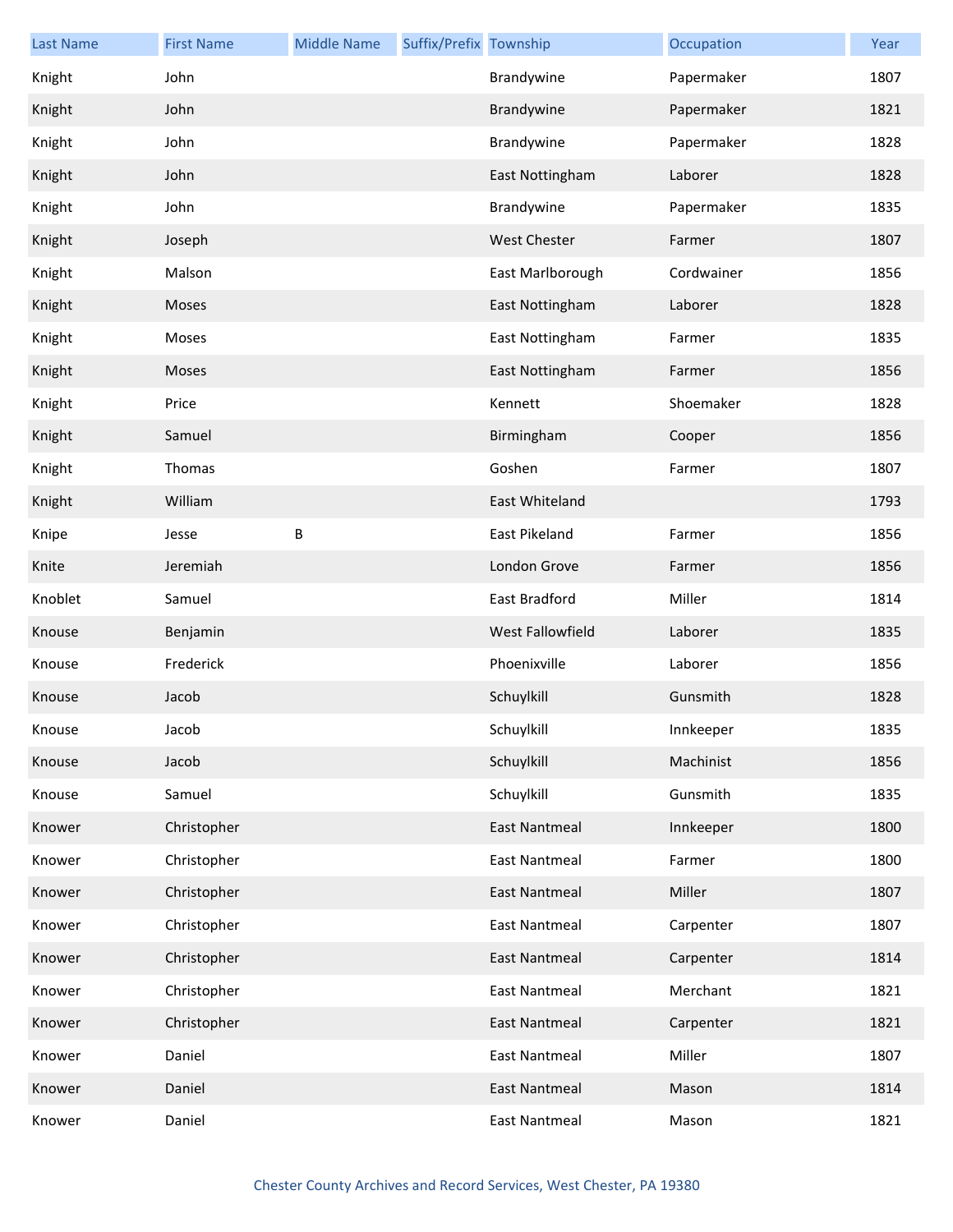| <b>Last Name</b> | <b>First Name</b> | <b>Middle Name</b> | Suffix/Prefix Township |                      | Occupation | Year |
|------------------|-------------------|--------------------|------------------------|----------------------|------------|------|
| Knight           | John              |                    |                        | Brandywine           | Papermaker | 1807 |
| Knight           | John              |                    |                        | Brandywine           | Papermaker | 1821 |
| Knight           | John              |                    |                        | Brandywine           | Papermaker | 1828 |
| Knight           | John              |                    |                        | East Nottingham      | Laborer    | 1828 |
| Knight           | John              |                    |                        | Brandywine           | Papermaker | 1835 |
| Knight           | Joseph            |                    |                        | <b>West Chester</b>  | Farmer     | 1807 |
| Knight           | Malson            |                    |                        | East Marlborough     | Cordwainer | 1856 |
| Knight           | Moses             |                    |                        | East Nottingham      | Laborer    | 1828 |
| Knight           | Moses             |                    |                        | East Nottingham      | Farmer     | 1835 |
| Knight           | Moses             |                    |                        | East Nottingham      | Farmer     | 1856 |
| Knight           | Price             |                    |                        | Kennett              | Shoemaker  | 1828 |
| Knight           | Samuel            |                    |                        | Birmingham           | Cooper     | 1856 |
| Knight           | Thomas            |                    |                        | Goshen               | Farmer     | 1807 |
| Knight           | William           |                    |                        | East Whiteland       |            | 1793 |
| Knipe            | Jesse             | B                  |                        | East Pikeland        | Farmer     | 1856 |
| Knite            | Jeremiah          |                    |                        | London Grove         | Farmer     | 1856 |
| Knoblet          | Samuel            |                    |                        | East Bradford        | Miller     | 1814 |
| Knouse           | Benjamin          |                    |                        | West Fallowfield     | Laborer    | 1835 |
| Knouse           | Frederick         |                    |                        | Phoenixville         | Laborer    | 1856 |
| Knouse           | Jacob             |                    |                        | Schuylkill           | Gunsmith   | 1828 |
| Knouse           | Jacob             |                    |                        | Schuylkill           | Innkeeper  | 1835 |
| Knouse           | Jacob             |                    |                        | Schuylkill           | Machinist  | 1856 |
| Knouse           | Samuel            |                    |                        | Schuylkill           | Gunsmith   | 1835 |
| Knower           | Christopher       |                    |                        | <b>East Nantmeal</b> | Innkeeper  | 1800 |
| Knower           | Christopher       |                    |                        | <b>East Nantmeal</b> | Farmer     | 1800 |
| Knower           | Christopher       |                    |                        | <b>East Nantmeal</b> | Miller     | 1807 |
| Knower           | Christopher       |                    |                        | <b>East Nantmeal</b> | Carpenter  | 1807 |
| Knower           | Christopher       |                    |                        | <b>East Nantmeal</b> | Carpenter  | 1814 |
| Knower           | Christopher       |                    |                        | <b>East Nantmeal</b> | Merchant   | 1821 |
| Knower           | Christopher       |                    |                        | <b>East Nantmeal</b> | Carpenter  | 1821 |
| Knower           | Daniel            |                    |                        | <b>East Nantmeal</b> | Miller     | 1807 |
| Knower           | Daniel            |                    |                        | <b>East Nantmeal</b> | Mason      | 1814 |
| Knower           | Daniel            |                    |                        | <b>East Nantmeal</b> | Mason      | 1821 |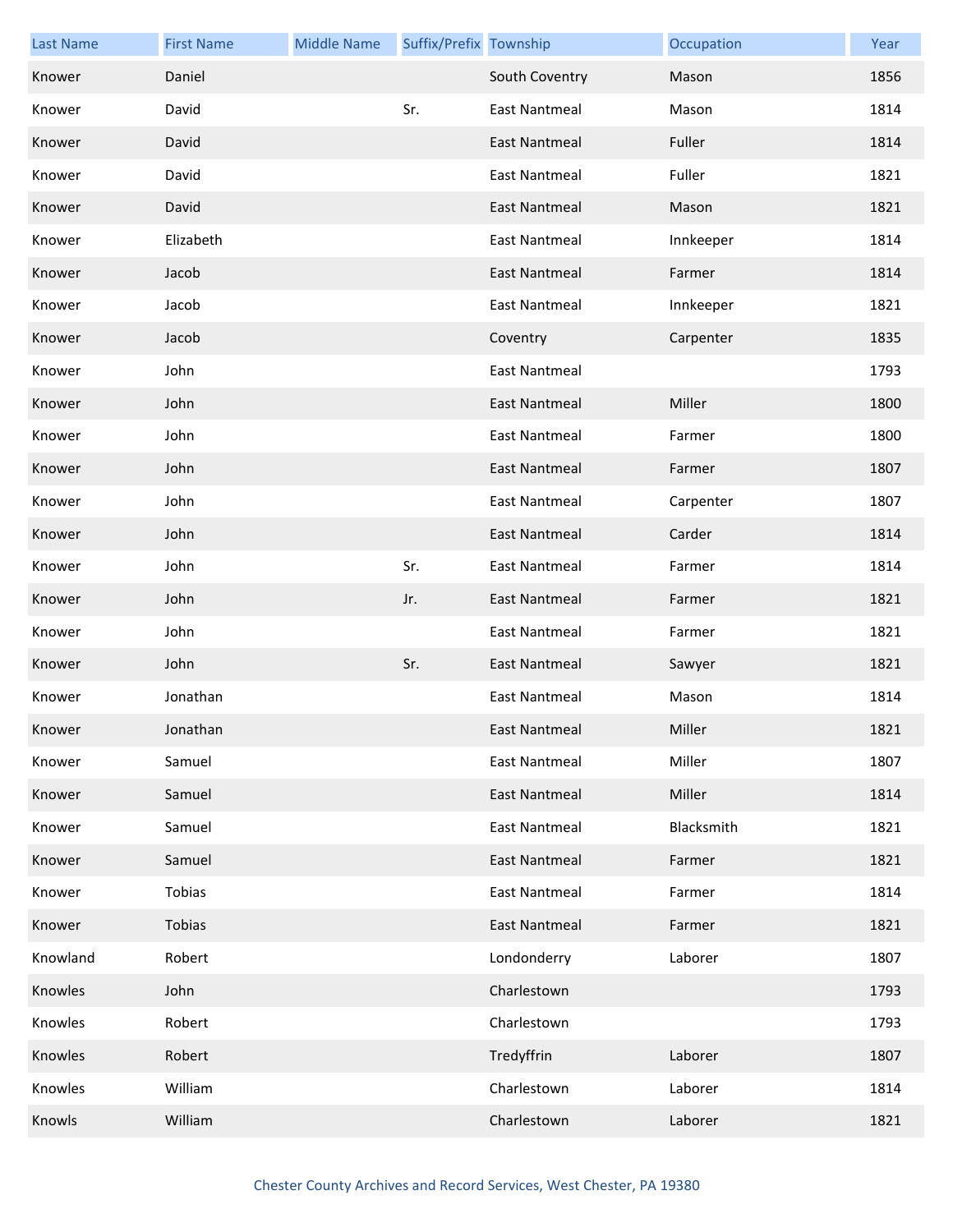| <b>Last Name</b> | <b>First Name</b> | <b>Middle Name</b> | Suffix/Prefix Township |                      | Occupation | Year |
|------------------|-------------------|--------------------|------------------------|----------------------|------------|------|
| Knower           | Daniel            |                    |                        | South Coventry       | Mason      | 1856 |
| Knower           | David             |                    | Sr.                    | <b>East Nantmeal</b> | Mason      | 1814 |
| Knower           | David             |                    |                        | <b>East Nantmeal</b> | Fuller     | 1814 |
| Knower           | David             |                    |                        | <b>East Nantmeal</b> | Fuller     | 1821 |
| Knower           | David             |                    |                        | <b>East Nantmeal</b> | Mason      | 1821 |
| Knower           | Elizabeth         |                    |                        | <b>East Nantmeal</b> | Innkeeper  | 1814 |
| Knower           | Jacob             |                    |                        | <b>East Nantmeal</b> | Farmer     | 1814 |
| Knower           | Jacob             |                    |                        | <b>East Nantmeal</b> | Innkeeper  | 1821 |
| Knower           | Jacob             |                    |                        | Coventry             | Carpenter  | 1835 |
| Knower           | John              |                    |                        | <b>East Nantmeal</b> |            | 1793 |
| Knower           | John              |                    |                        | <b>East Nantmeal</b> | Miller     | 1800 |
| Knower           | John              |                    |                        | <b>East Nantmeal</b> | Farmer     | 1800 |
| Knower           | John              |                    |                        | East Nantmeal        | Farmer     | 1807 |
| Knower           | John              |                    |                        | <b>East Nantmeal</b> | Carpenter  | 1807 |
| Knower           | John              |                    |                        | <b>East Nantmeal</b> | Carder     | 1814 |
| Knower           | John              |                    | Sr.                    | <b>East Nantmeal</b> | Farmer     | 1814 |
| Knower           | John              |                    | Jr.                    | East Nantmeal        | Farmer     | 1821 |
| Knower           | John              |                    |                        | <b>East Nantmeal</b> | Farmer     | 1821 |
| Knower           | John              |                    | Sr.                    | <b>East Nantmeal</b> | Sawyer     | 1821 |
| Knower           | Jonathan          |                    |                        | <b>East Nantmeal</b> | Mason      | 1814 |
| Knower           | Jonathan          |                    |                        | <b>East Nantmeal</b> | Miller     | 1821 |
| Knower           | Samuel            |                    |                        | <b>East Nantmeal</b> | Miller     | 1807 |
| Knower           | Samuel            |                    |                        | <b>East Nantmeal</b> | Miller     | 1814 |
| Knower           | Samuel            |                    |                        | <b>East Nantmeal</b> | Blacksmith | 1821 |
| Knower           | Samuel            |                    |                        | <b>East Nantmeal</b> | Farmer     | 1821 |
| Knower           | Tobias            |                    |                        | <b>East Nantmeal</b> | Farmer     | 1814 |
| Knower           | Tobias            |                    |                        | <b>East Nantmeal</b> | Farmer     | 1821 |
| Knowland         | Robert            |                    |                        | Londonderry          | Laborer    | 1807 |
| Knowles          | John              |                    |                        | Charlestown          |            | 1793 |
| Knowles          | Robert            |                    |                        | Charlestown          |            | 1793 |
| Knowles          | Robert            |                    |                        | Tredyffrin           | Laborer    | 1807 |
| Knowles          | William           |                    |                        | Charlestown          | Laborer    | 1814 |
| Knowls           | William           |                    |                        | Charlestown          | Laborer    | 1821 |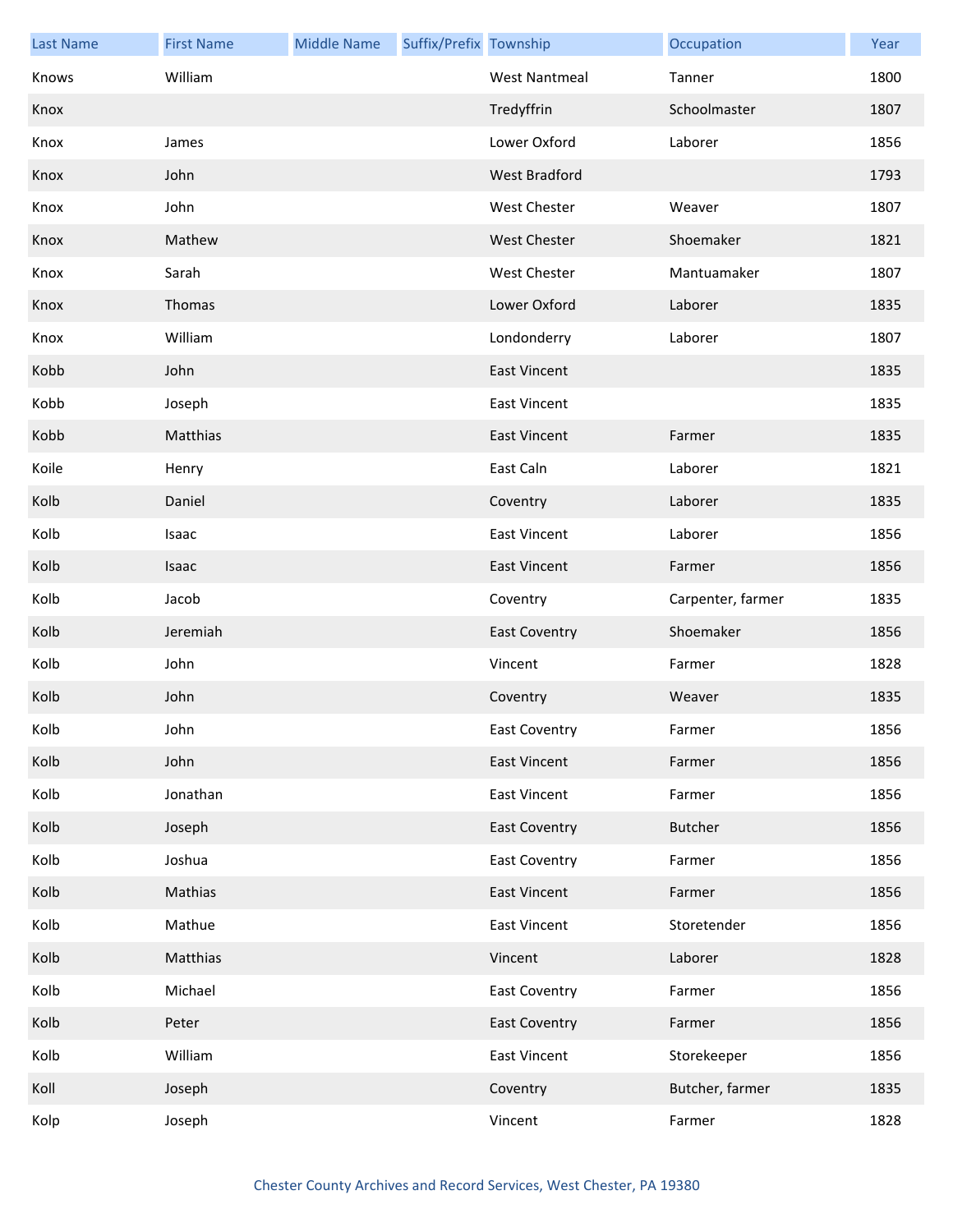| <b>Last Name</b> | <b>First Name</b> | <b>Middle Name</b> | Suffix/Prefix Township |                      | Occupation        | Year |
|------------------|-------------------|--------------------|------------------------|----------------------|-------------------|------|
| Knows            | William           |                    |                        | <b>West Nantmeal</b> | Tanner            | 1800 |
| Knox             |                   |                    |                        | Tredyffrin           | Schoolmaster      | 1807 |
| Knox             | James             |                    |                        | Lower Oxford         | Laborer           | 1856 |
| Knox             | John              |                    |                        | West Bradford        |                   | 1793 |
| Knox             | John              |                    |                        | West Chester         | Weaver            | 1807 |
| Knox             | Mathew            |                    |                        | <b>West Chester</b>  | Shoemaker         | 1821 |
| Knox             | Sarah             |                    |                        | <b>West Chester</b>  | Mantuamaker       | 1807 |
| Knox             | Thomas            |                    |                        | Lower Oxford         | Laborer           | 1835 |
| Knox             | William           |                    |                        | Londonderry          | Laborer           | 1807 |
| Kobb             | John              |                    |                        | <b>East Vincent</b>  |                   | 1835 |
| Kobb             | Joseph            |                    |                        | <b>East Vincent</b>  |                   | 1835 |
| Kobb             | Matthias          |                    |                        | <b>East Vincent</b>  | Farmer            | 1835 |
| Koile            | Henry             |                    |                        | East Caln            | Laborer           | 1821 |
| Kolb             | Daniel            |                    |                        | Coventry             | Laborer           | 1835 |
| Kolb             | Isaac             |                    |                        | <b>East Vincent</b>  | Laborer           | 1856 |
| Kolb             | Isaac             |                    |                        | <b>East Vincent</b>  | Farmer            | 1856 |
| Kolb             | Jacob             |                    |                        | Coventry             | Carpenter, farmer | 1835 |
| Kolb             | Jeremiah          |                    |                        | <b>East Coventry</b> | Shoemaker         | 1856 |
| Kolb             | John              |                    |                        | Vincent              | Farmer            | 1828 |
| Kolb             | John              |                    |                        | Coventry             | Weaver            | 1835 |
| Kolb             | John              |                    |                        | East Coventry        | Farmer            | 1856 |
| Kolb             | John              |                    |                        | <b>East Vincent</b>  | Farmer            | 1856 |
| Kolb             | Jonathan          |                    |                        | <b>East Vincent</b>  | Farmer            | 1856 |
| Kolb             | Joseph            |                    |                        | <b>East Coventry</b> | Butcher           | 1856 |
| Kolb             | Joshua            |                    |                        | <b>East Coventry</b> | Farmer            | 1856 |
| Kolb             | Mathias           |                    |                        | <b>East Vincent</b>  | Farmer            | 1856 |
| Kolb             | Mathue            |                    |                        | <b>East Vincent</b>  | Storetender       | 1856 |
| Kolb             | Matthias          |                    |                        | Vincent              | Laborer           | 1828 |
| Kolb             | Michael           |                    |                        | <b>East Coventry</b> | Farmer            | 1856 |
| Kolb             | Peter             |                    |                        | <b>East Coventry</b> | Farmer            | 1856 |
| Kolb             | William           |                    |                        | <b>East Vincent</b>  | Storekeeper       | 1856 |
| Koll             | Joseph            |                    |                        | Coventry             | Butcher, farmer   | 1835 |
| Kolp             | Joseph            |                    |                        | Vincent              | Farmer            | 1828 |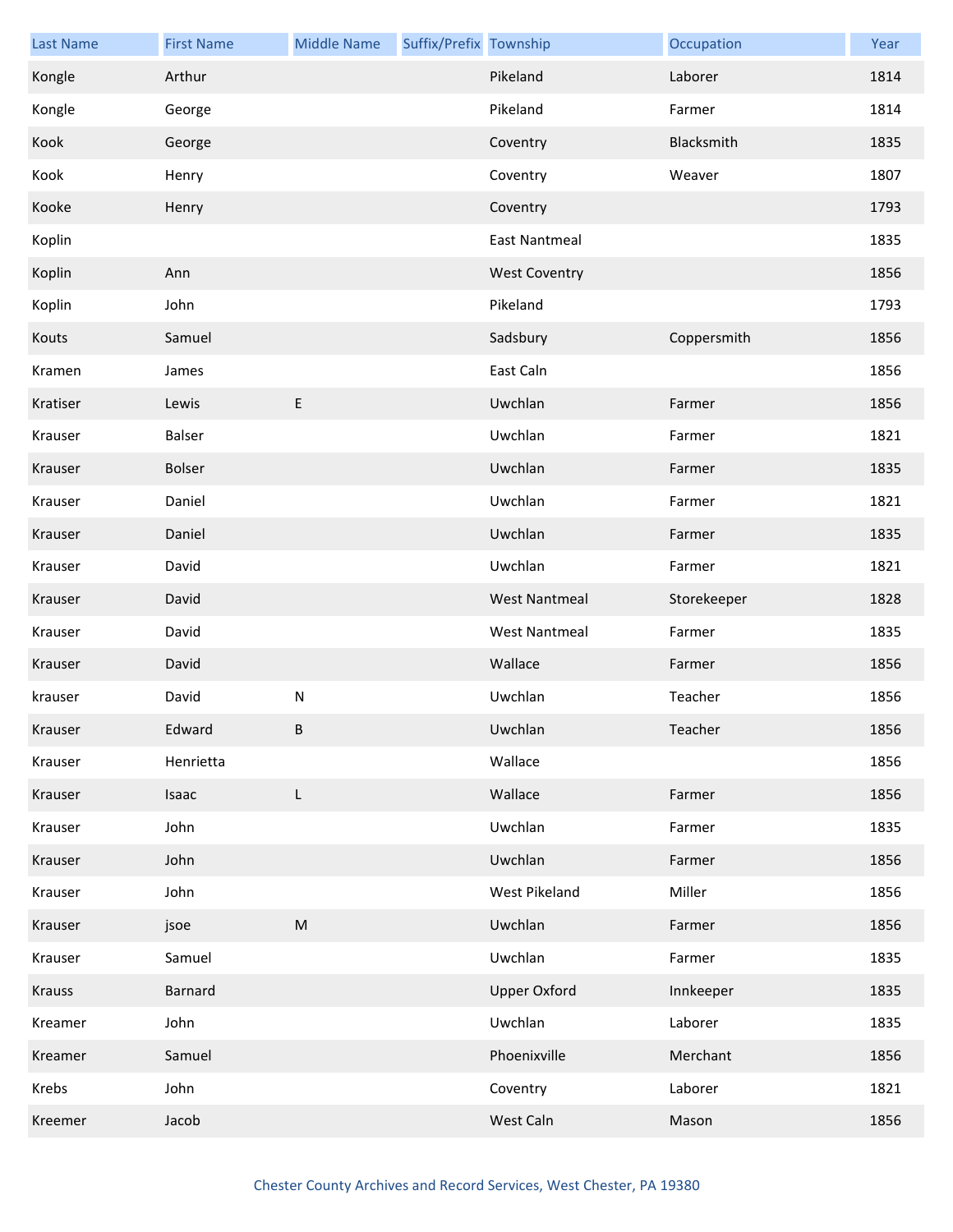| <b>Last Name</b> | <b>First Name</b> | <b>Middle Name</b> | Suffix/Prefix Township |                      | Occupation  | Year |
|------------------|-------------------|--------------------|------------------------|----------------------|-------------|------|
| Kongle           | Arthur            |                    |                        | Pikeland             | Laborer     | 1814 |
| Kongle           | George            |                    |                        | Pikeland             | Farmer      | 1814 |
| Kook             | George            |                    |                        | Coventry             | Blacksmith  | 1835 |
| Kook             | Henry             |                    |                        | Coventry             | Weaver      | 1807 |
| Kooke            | Henry             |                    |                        | Coventry             |             | 1793 |
| Koplin           |                   |                    |                        | <b>East Nantmeal</b> |             | 1835 |
| Koplin           | Ann               |                    |                        | <b>West Coventry</b> |             | 1856 |
| Koplin           | John              |                    |                        | Pikeland             |             | 1793 |
| Kouts            | Samuel            |                    |                        | Sadsbury             | Coppersmith | 1856 |
| Kramen           | James             |                    |                        | East Caln            |             | 1856 |
| Kratiser         | Lewis             | $\mathsf E$        |                        | Uwchlan              | Farmer      | 1856 |
| Krauser          | Balser            |                    |                        | Uwchlan              | Farmer      | 1821 |
| Krauser          | Bolser            |                    |                        | Uwchlan              | Farmer      | 1835 |
| Krauser          | Daniel            |                    |                        | Uwchlan              | Farmer      | 1821 |
| Krauser          | Daniel            |                    |                        | Uwchlan              | Farmer      | 1835 |
| Krauser          | David             |                    |                        | Uwchlan              | Farmer      | 1821 |
| Krauser          | David             |                    |                        | <b>West Nantmeal</b> | Storekeeper | 1828 |
| Krauser          | David             |                    |                        | <b>West Nantmeal</b> | Farmer      | 1835 |
| Krauser          | David             |                    |                        | Wallace              | Farmer      | 1856 |
| krauser          | David             | ${\sf N}$          |                        | Uwchlan              | Teacher     | 1856 |
| Krauser          | Edward            | B                  |                        | Uwchlan              | Teacher     | 1856 |
| Krauser          | Henrietta         |                    |                        | Wallace              |             | 1856 |
| Krauser          | Isaac             | L                  |                        | Wallace              | Farmer      | 1856 |
| Krauser          | John              |                    |                        | Uwchlan              | Farmer      | 1835 |
| Krauser          | John              |                    |                        | Uwchlan              | Farmer      | 1856 |
| Krauser          | John              |                    |                        | West Pikeland        | Miller      | 1856 |
| Krauser          | jsoe              | M                  |                        | Uwchlan              | Farmer      | 1856 |
| Krauser          | Samuel            |                    |                        | Uwchlan              | Farmer      | 1835 |
| <b>Krauss</b>    | <b>Barnard</b>    |                    |                        | <b>Upper Oxford</b>  | Innkeeper   | 1835 |
| Kreamer          | John              |                    |                        | Uwchlan              | Laborer     | 1835 |
| Kreamer          | Samuel            |                    |                        | Phoenixville         | Merchant    | 1856 |
| Krebs            | John              |                    |                        | Coventry             | Laborer     | 1821 |
| Kreemer          | Jacob             |                    |                        | West Caln            | Mason       | 1856 |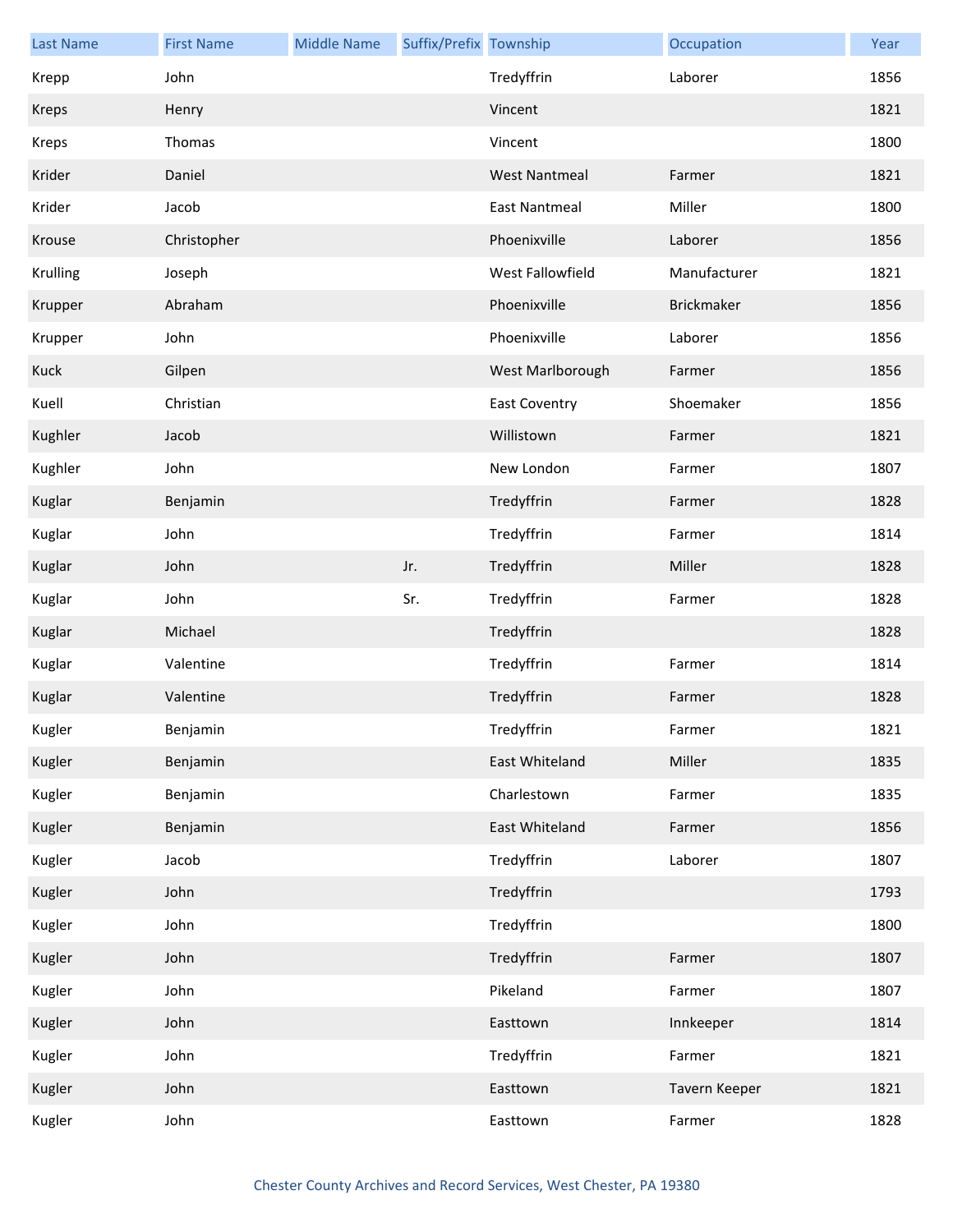| <b>Last Name</b> | <b>First Name</b> | <b>Middle Name</b> | Suffix/Prefix Township |                      | Occupation        | Year |
|------------------|-------------------|--------------------|------------------------|----------------------|-------------------|------|
| Krepp            | John              |                    |                        | Tredyffrin           | Laborer           | 1856 |
| Kreps            | Henry             |                    |                        | Vincent              |                   | 1821 |
| Kreps            | Thomas            |                    |                        | Vincent              |                   | 1800 |
| Krider           | Daniel            |                    |                        | <b>West Nantmeal</b> | Farmer            | 1821 |
| Krider           | Jacob             |                    |                        | <b>East Nantmeal</b> | Miller            | 1800 |
| Krouse           | Christopher       |                    |                        | Phoenixville         | Laborer           | 1856 |
| Krulling         | Joseph            |                    |                        | West Fallowfield     | Manufacturer      | 1821 |
| Krupper          | Abraham           |                    |                        | Phoenixville         | <b>Brickmaker</b> | 1856 |
| Krupper          | John              |                    |                        | Phoenixville         | Laborer           | 1856 |
| Kuck             | Gilpen            |                    |                        | West Marlborough     | Farmer            | 1856 |
| Kuell            | Christian         |                    |                        | <b>East Coventry</b> | Shoemaker         | 1856 |
| Kughler          | Jacob             |                    |                        | Willistown           | Farmer            | 1821 |
| Kughler          | John              |                    |                        | New London           | Farmer            | 1807 |
| Kuglar           | Benjamin          |                    |                        | Tredyffrin           | Farmer            | 1828 |
| Kuglar           | John              |                    |                        | Tredyffrin           | Farmer            | 1814 |
| Kuglar           | John              |                    | Jr.                    | Tredyffrin           | Miller            | 1828 |
| Kuglar           | John              |                    | Sr.                    | Tredyffrin           | Farmer            | 1828 |
| Kuglar           | Michael           |                    |                        | Tredyffrin           |                   | 1828 |
| Kuglar           | Valentine         |                    |                        | Tredyffrin           | Farmer            | 1814 |
| Kuglar           | Valentine         |                    |                        | Tredyffrin           | Farmer            | 1828 |
| Kugler           | Benjamin          |                    |                        | Tredyffrin           | Farmer            | 1821 |
| Kugler           | Benjamin          |                    |                        | East Whiteland       | Miller            | 1835 |
| Kugler           | Benjamin          |                    |                        | Charlestown          | Farmer            | 1835 |
| Kugler           | Benjamin          |                    |                        | East Whiteland       | Farmer            | 1856 |
| Kugler           | Jacob             |                    |                        | Tredyffrin           | Laborer           | 1807 |
| Kugler           | John              |                    |                        | Tredyffrin           |                   | 1793 |
| Kugler           | John              |                    |                        | Tredyffrin           |                   | 1800 |
| Kugler           | John              |                    |                        | Tredyffrin           | Farmer            | 1807 |
| Kugler           | John              |                    |                        | Pikeland             | Farmer            | 1807 |
| Kugler           | John              |                    |                        | Easttown             | Innkeeper         | 1814 |
| Kugler           | John              |                    |                        | Tredyffrin           | Farmer            | 1821 |
| Kugler           | John              |                    |                        | Easttown             | Tavern Keeper     | 1821 |
| Kugler           | John              |                    |                        | Easttown             | Farmer            | 1828 |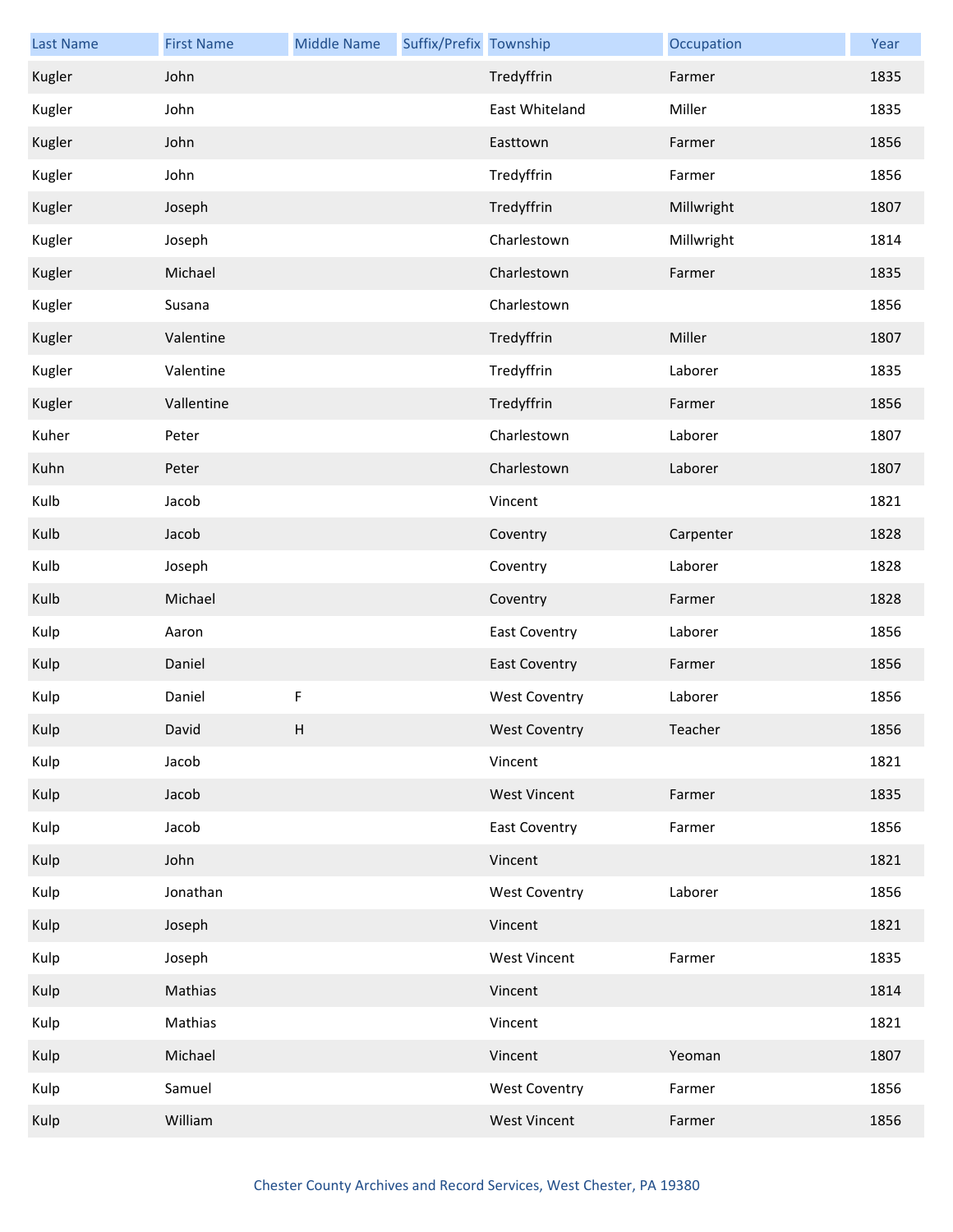| <b>Last Name</b> | <b>First Name</b> | <b>Middle Name</b> | Suffix/Prefix Township |                      | Occupation | Year |
|------------------|-------------------|--------------------|------------------------|----------------------|------------|------|
| Kugler           | John              |                    |                        | Tredyffrin           | Farmer     | 1835 |
| Kugler           | John              |                    |                        | East Whiteland       | Miller     | 1835 |
| Kugler           | John              |                    |                        | Easttown             | Farmer     | 1856 |
| Kugler           | John              |                    |                        | Tredyffrin           | Farmer     | 1856 |
| Kugler           | Joseph            |                    |                        | Tredyffrin           | Millwright | 1807 |
| Kugler           | Joseph            |                    |                        | Charlestown          | Millwright | 1814 |
| Kugler           | Michael           |                    |                        | Charlestown          | Farmer     | 1835 |
| Kugler           | Susana            |                    |                        | Charlestown          |            | 1856 |
| Kugler           | Valentine         |                    |                        | Tredyffrin           | Miller     | 1807 |
| Kugler           | Valentine         |                    |                        | Tredyffrin           | Laborer    | 1835 |
| Kugler           | Vallentine        |                    |                        | Tredyffrin           | Farmer     | 1856 |
| Kuher            | Peter             |                    |                        | Charlestown          | Laborer    | 1807 |
| Kuhn             | Peter             |                    |                        | Charlestown          | Laborer    | 1807 |
| Kulb             | Jacob             |                    |                        | Vincent              |            | 1821 |
| Kulb             | Jacob             |                    |                        | Coventry             | Carpenter  | 1828 |
| Kulb             | Joseph            |                    |                        | Coventry             | Laborer    | 1828 |
| Kulb             | Michael           |                    |                        | Coventry             | Farmer     | 1828 |
| Kulp             | Aaron             |                    |                        | East Coventry        | Laborer    | 1856 |
| Kulp             | Daniel            |                    |                        | <b>East Coventry</b> | Farmer     | 1856 |
| Kulp             | Daniel            | F                  |                        | <b>West Coventry</b> | Laborer    | 1856 |
| Kulp             | David             | н                  |                        | <b>West Coventry</b> | Teacher    | 1856 |
| Kulp             | Jacob             |                    |                        | Vincent              |            | 1821 |
| Kulp             | Jacob             |                    |                        | <b>West Vincent</b>  | Farmer     | 1835 |
| Kulp             | Jacob             |                    |                        | <b>East Coventry</b> | Farmer     | 1856 |
| Kulp             | John              |                    |                        | Vincent              |            | 1821 |
| Kulp             | Jonathan          |                    |                        | <b>West Coventry</b> | Laborer    | 1856 |
| Kulp             | Joseph            |                    |                        | Vincent              |            | 1821 |
| Kulp             | Joseph            |                    |                        | <b>West Vincent</b>  | Farmer     | 1835 |
| Kulp             | Mathias           |                    |                        | Vincent              |            | 1814 |
| Kulp             | Mathias           |                    |                        | Vincent              |            | 1821 |
| Kulp             | Michael           |                    |                        | Vincent              | Yeoman     | 1807 |
| Kulp             | Samuel            |                    |                        | <b>West Coventry</b> | Farmer     | 1856 |
| Kulp             | William           |                    |                        | <b>West Vincent</b>  | Farmer     | 1856 |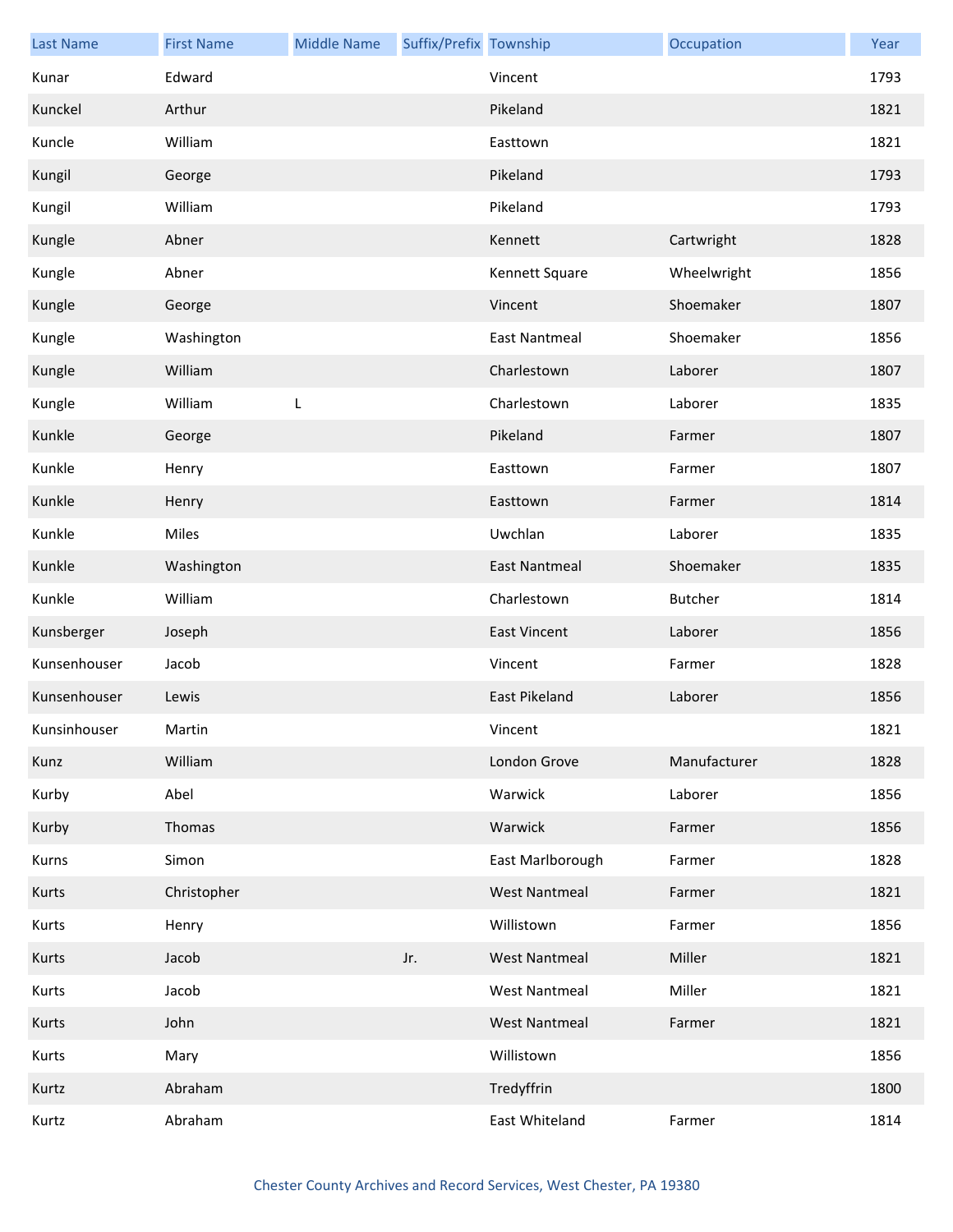| <b>Last Name</b> | <b>First Name</b> | <b>Middle Name</b> | Suffix/Prefix Township |                      | Occupation     | Year |
|------------------|-------------------|--------------------|------------------------|----------------------|----------------|------|
| Kunar            | Edward            |                    |                        | Vincent              |                | 1793 |
| Kunckel          | Arthur            |                    |                        | Pikeland             |                | 1821 |
| Kuncle           | William           |                    |                        | Easttown             |                | 1821 |
| Kungil           | George            |                    |                        | Pikeland             |                | 1793 |
| Kungil           | William           |                    |                        | Pikeland             |                | 1793 |
| Kungle           | Abner             |                    |                        | Kennett              | Cartwright     | 1828 |
| Kungle           | Abner             |                    |                        | Kennett Square       | Wheelwright    | 1856 |
| Kungle           | George            |                    |                        | Vincent              | Shoemaker      | 1807 |
| Kungle           | Washington        |                    |                        | <b>East Nantmeal</b> | Shoemaker      | 1856 |
| Kungle           | William           |                    |                        | Charlestown          | Laborer        | 1807 |
| Kungle           | William           | L                  |                        | Charlestown          | Laborer        | 1835 |
| Kunkle           | George            |                    |                        | Pikeland             | Farmer         | 1807 |
| Kunkle           | Henry             |                    |                        | Easttown             | Farmer         | 1807 |
| Kunkle           | Henry             |                    |                        | Easttown             | Farmer         | 1814 |
| Kunkle           | Miles             |                    |                        | Uwchlan              | Laborer        | 1835 |
| Kunkle           | Washington        |                    |                        | <b>East Nantmeal</b> | Shoemaker      | 1835 |
| Kunkle           | William           |                    |                        | Charlestown          | <b>Butcher</b> | 1814 |
| Kunsberger       | Joseph            |                    |                        | <b>East Vincent</b>  | Laborer        | 1856 |
| Kunsenhouser     | Jacob             |                    |                        | Vincent              | Farmer         | 1828 |
| Kunsenhouser     | Lewis             |                    |                        | East Pikeland        | Laborer        | 1856 |
| Kunsinhouser     | Martin            |                    |                        | Vincent              |                | 1821 |
| Kunz             | William           |                    |                        | London Grove         | Manufacturer   | 1828 |
| Kurby            | Abel              |                    |                        | Warwick              | Laborer        | 1856 |
| Kurby            | Thomas            |                    |                        | Warwick              | Farmer         | 1856 |
| Kurns            | Simon             |                    |                        | East Marlborough     | Farmer         | 1828 |
| Kurts            | Christopher       |                    |                        | <b>West Nantmeal</b> | Farmer         | 1821 |
| Kurts            | Henry             |                    |                        | Willistown           | Farmer         | 1856 |
| Kurts            | Jacob             |                    | Jr.                    | <b>West Nantmeal</b> | Miller         | 1821 |
| Kurts            | Jacob             |                    |                        | <b>West Nantmeal</b> | Miller         | 1821 |
| Kurts            | John              |                    |                        | <b>West Nantmeal</b> | Farmer         | 1821 |
| Kurts            | Mary              |                    |                        | Willistown           |                | 1856 |
| Kurtz            | Abraham           |                    |                        | Tredyffrin           |                | 1800 |
| Kurtz            | Abraham           |                    |                        | East Whiteland       | Farmer         | 1814 |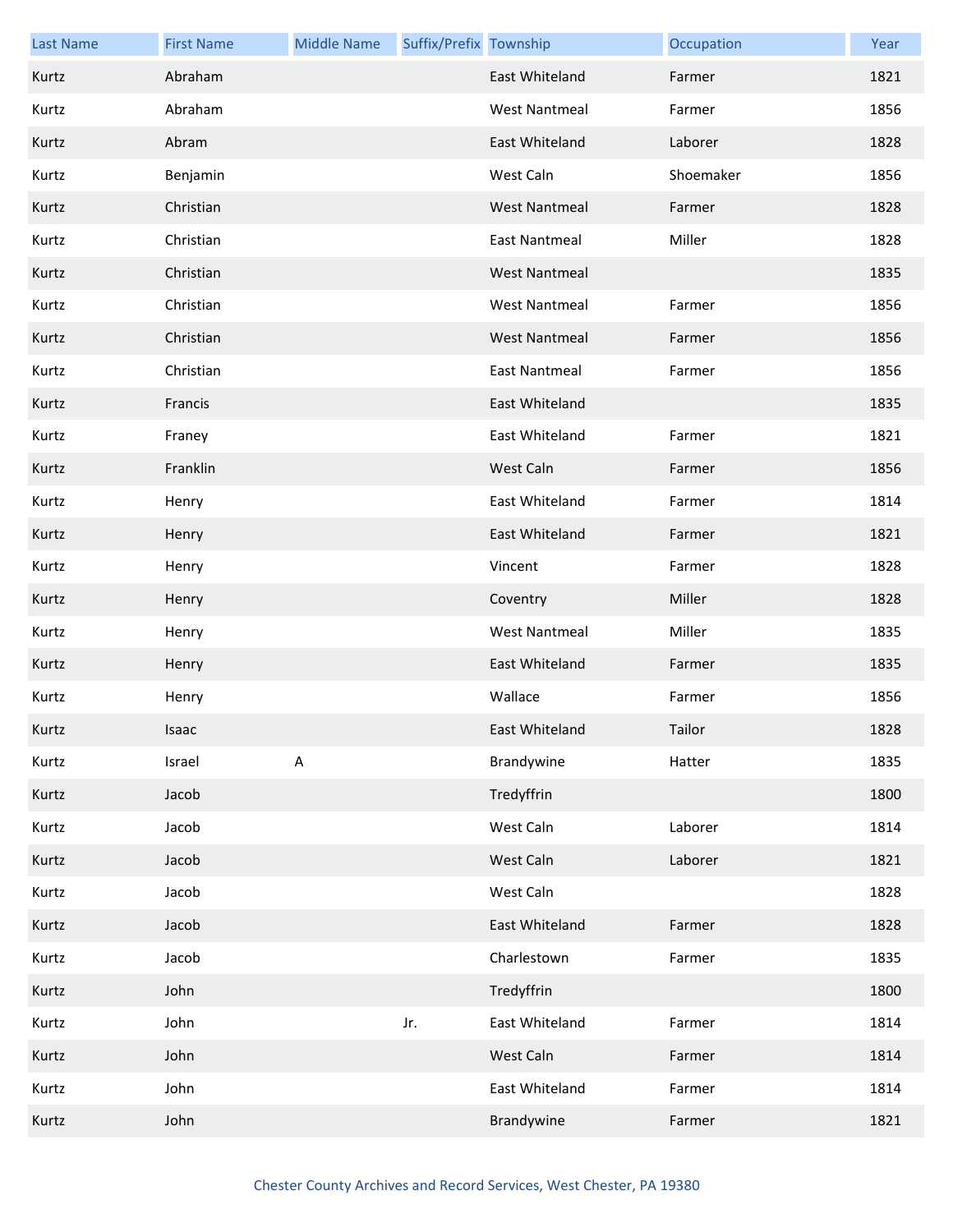| <b>Last Name</b> | <b>First Name</b> | <b>Middle Name</b> | Suffix/Prefix Township |                      | Occupation | Year |
|------------------|-------------------|--------------------|------------------------|----------------------|------------|------|
| Kurtz            | Abraham           |                    |                        | East Whiteland       | Farmer     | 1821 |
| Kurtz            | Abraham           |                    |                        | <b>West Nantmeal</b> | Farmer     | 1856 |
| Kurtz            | Abram             |                    |                        | East Whiteland       | Laborer    | 1828 |
| Kurtz            | Benjamin          |                    |                        | West Caln            | Shoemaker  | 1856 |
| Kurtz            | Christian         |                    |                        | <b>West Nantmeal</b> | Farmer     | 1828 |
| Kurtz            | Christian         |                    |                        | <b>East Nantmeal</b> | Miller     | 1828 |
| Kurtz            | Christian         |                    |                        | <b>West Nantmeal</b> |            | 1835 |
| Kurtz            | Christian         |                    |                        | <b>West Nantmeal</b> | Farmer     | 1856 |
| Kurtz            | Christian         |                    |                        | <b>West Nantmeal</b> | Farmer     | 1856 |
| Kurtz            | Christian         |                    |                        | <b>East Nantmeal</b> | Farmer     | 1856 |
| Kurtz            | Francis           |                    |                        | East Whiteland       |            | 1835 |
| Kurtz            | Franey            |                    |                        | East Whiteland       | Farmer     | 1821 |
| Kurtz            | Franklin          |                    |                        | West Caln            | Farmer     | 1856 |
| Kurtz            | Henry             |                    |                        | East Whiteland       | Farmer     | 1814 |
| Kurtz            | Henry             |                    |                        | East Whiteland       | Farmer     | 1821 |
| Kurtz            | Henry             |                    |                        | Vincent              | Farmer     | 1828 |
| Kurtz            | Henry             |                    |                        | Coventry             | Miller     | 1828 |
| Kurtz            | Henry             |                    |                        | <b>West Nantmeal</b> | Miller     | 1835 |
| Kurtz            | Henry             |                    |                        | East Whiteland       | Farmer     | 1835 |
| Kurtz            | Henry             |                    |                        | Wallace              | Farmer     | 1856 |
| Kurtz            | Isaac             |                    |                        | East Whiteland       | Tailor     | 1828 |
| Kurtz            | Israel            | $\mathsf A$        |                        | Brandywine           | Hatter     | 1835 |
| Kurtz            | Jacob             |                    |                        | Tredyffrin           |            | 1800 |
| Kurtz            | Jacob             |                    |                        | West Caln            | Laborer    | 1814 |
| Kurtz            | Jacob             |                    |                        | West Caln            | Laborer    | 1821 |
| Kurtz            | Jacob             |                    |                        | West Caln            |            | 1828 |
| Kurtz            | Jacob             |                    |                        | East Whiteland       | Farmer     | 1828 |
| Kurtz            | Jacob             |                    |                        | Charlestown          | Farmer     | 1835 |
| Kurtz            | John              |                    |                        | Tredyffrin           |            | 1800 |
| Kurtz            | John              |                    | Jr.                    | East Whiteland       | Farmer     | 1814 |
| Kurtz            | John              |                    |                        | West Caln            | Farmer     | 1814 |
| Kurtz            | John              |                    |                        | East Whiteland       | Farmer     | 1814 |
| Kurtz            | John              |                    |                        | Brandywine           | Farmer     | 1821 |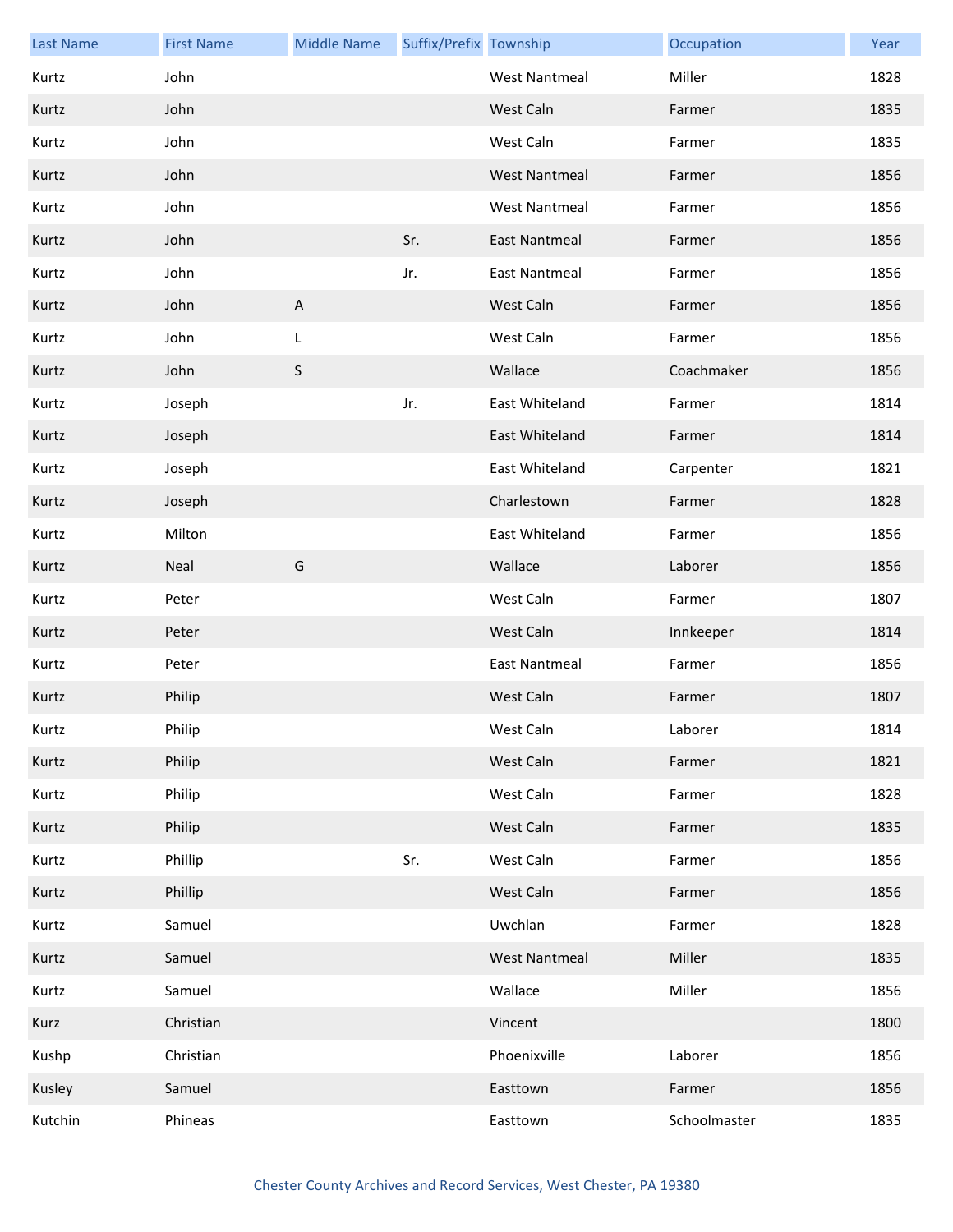| <b>Last Name</b> | <b>First Name</b> | <b>Middle Name</b>        | Suffix/Prefix Township |                      | Occupation   | Year |
|------------------|-------------------|---------------------------|------------------------|----------------------|--------------|------|
| Kurtz            | John              |                           |                        | <b>West Nantmeal</b> | Miller       | 1828 |
| Kurtz            | John              |                           |                        | West Caln            | Farmer       | 1835 |
| Kurtz            | John              |                           |                        | West Caln            | Farmer       | 1835 |
| Kurtz            | John              |                           |                        | <b>West Nantmeal</b> | Farmer       | 1856 |
| Kurtz            | John              |                           |                        | <b>West Nantmeal</b> | Farmer       | 1856 |
| Kurtz            | John              |                           | Sr.                    | <b>East Nantmeal</b> | Farmer       | 1856 |
| Kurtz            | John              |                           | Jr.                    | <b>East Nantmeal</b> | Farmer       | 1856 |
| Kurtz            | John              | $\boldsymbol{\mathsf{A}}$ |                        | West Caln            | Farmer       | 1856 |
| Kurtz            | John              | L                         |                        | West Caln            | Farmer       | 1856 |
| Kurtz            | John              | $\sf S$                   |                        | Wallace              | Coachmaker   | 1856 |
| Kurtz            | Joseph            |                           | Jr.                    | East Whiteland       | Farmer       | 1814 |
| Kurtz            | Joseph            |                           |                        | East Whiteland       | Farmer       | 1814 |
| Kurtz            | Joseph            |                           |                        | East Whiteland       | Carpenter    | 1821 |
| Kurtz            | Joseph            |                           |                        | Charlestown          | Farmer       | 1828 |
| Kurtz            | Milton            |                           |                        | East Whiteland       | Farmer       | 1856 |
| Kurtz            | Neal              | G                         |                        | Wallace              | Laborer      | 1856 |
| Kurtz            | Peter             |                           |                        | West Caln            | Farmer       | 1807 |
| Kurtz            | Peter             |                           |                        | West Caln            | Innkeeper    | 1814 |
| Kurtz            | Peter             |                           |                        | <b>East Nantmeal</b> | Farmer       | 1856 |
| Kurtz            | Philip            |                           |                        | West Caln            | Farmer       | 1807 |
| Kurtz            | Philip            |                           |                        | West Caln            | Laborer      | 1814 |
| Kurtz            | Philip            |                           |                        | West Caln            | Farmer       | 1821 |
| Kurtz            | Philip            |                           |                        | West Caln            | Farmer       | 1828 |
| Kurtz            | Philip            |                           |                        | West Caln            | Farmer       | 1835 |
| Kurtz            | Phillip           |                           | Sr.                    | West Caln            | Farmer       | 1856 |
| Kurtz            | Phillip           |                           |                        | West Caln            | Farmer       | 1856 |
| Kurtz            | Samuel            |                           |                        | Uwchlan              | Farmer       | 1828 |
| Kurtz            | Samuel            |                           |                        | <b>West Nantmeal</b> | Miller       | 1835 |
| Kurtz            | Samuel            |                           |                        | Wallace              | Miller       | 1856 |
| Kurz             | Christian         |                           |                        | Vincent              |              | 1800 |
| Kushp            | Christian         |                           |                        | Phoenixville         | Laborer      | 1856 |
| Kusley           | Samuel            |                           |                        | Easttown             | Farmer       | 1856 |
| Kutchin          | Phineas           |                           |                        | Easttown             | Schoolmaster | 1835 |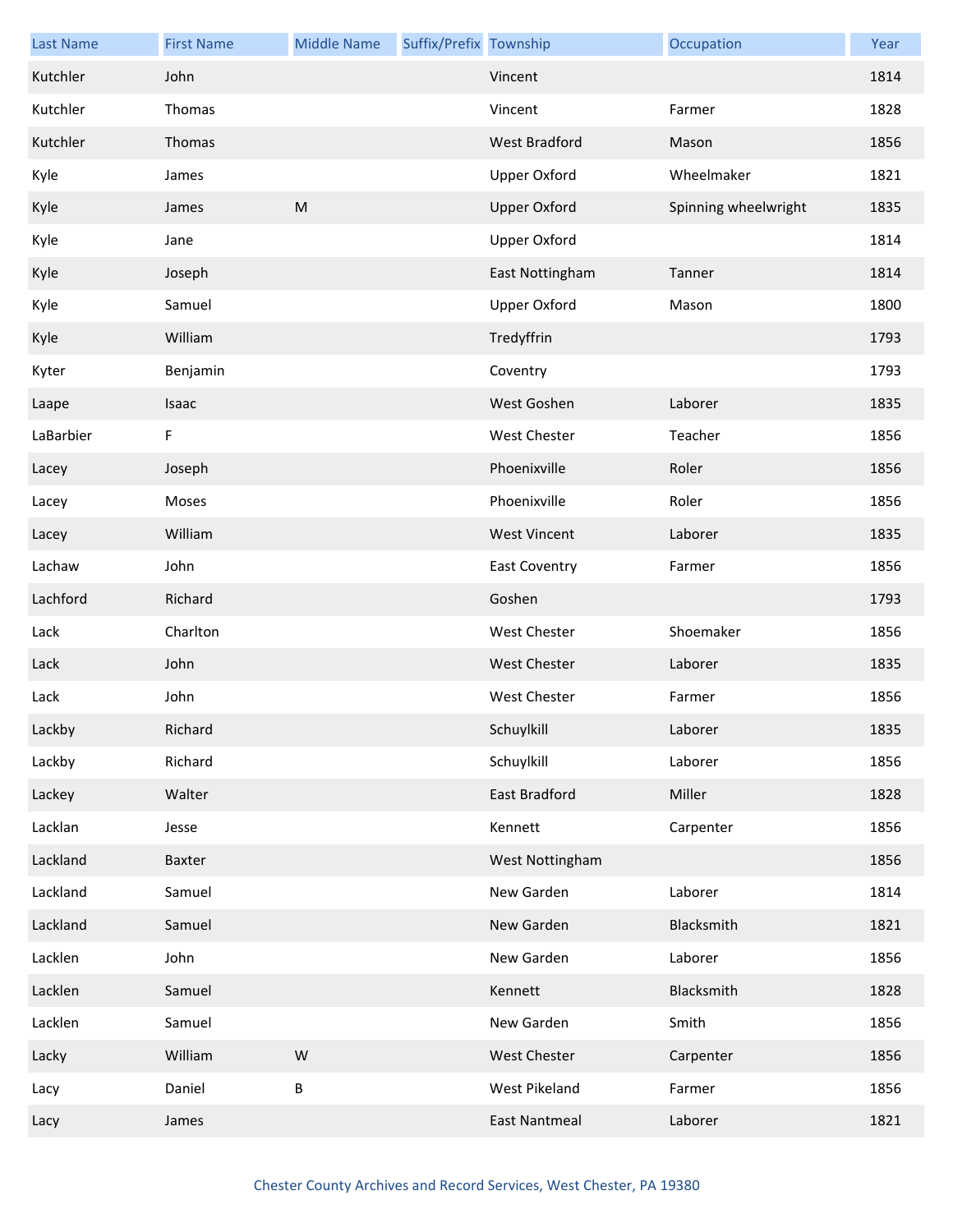| <b>Last Name</b> | <b>First Name</b> | <b>Middle Name</b> | Suffix/Prefix Township |                      | Occupation           | Year |
|------------------|-------------------|--------------------|------------------------|----------------------|----------------------|------|
| Kutchler         | John              |                    |                        | Vincent              |                      | 1814 |
| Kutchler         | Thomas            |                    |                        | Vincent              | Farmer               | 1828 |
| Kutchler         | Thomas            |                    |                        | <b>West Bradford</b> | Mason                | 1856 |
| Kyle             | James             |                    |                        | <b>Upper Oxford</b>  | Wheelmaker           | 1821 |
| Kyle             | James             | ${\sf M}$          |                        | <b>Upper Oxford</b>  | Spinning wheelwright | 1835 |
| Kyle             | Jane              |                    |                        | Upper Oxford         |                      | 1814 |
| Kyle             | Joseph            |                    |                        | East Nottingham      | Tanner               | 1814 |
| Kyle             | Samuel            |                    |                        | <b>Upper Oxford</b>  | Mason                | 1800 |
| Kyle             | William           |                    |                        | Tredyffrin           |                      | 1793 |
| Kyter            | Benjamin          |                    |                        | Coventry             |                      | 1793 |
| Laape            | Isaac             |                    |                        | West Goshen          | Laborer              | 1835 |
| LaBarbier        | F                 |                    |                        | <b>West Chester</b>  | Teacher              | 1856 |
| Lacey            | Joseph            |                    |                        | Phoenixville         | Roler                | 1856 |
| Lacey            | Moses             |                    |                        | Phoenixville         | Roler                | 1856 |
| Lacey            | William           |                    |                        | <b>West Vincent</b>  | Laborer              | 1835 |
| Lachaw           | John              |                    |                        | East Coventry        | Farmer               | 1856 |
| Lachford         | Richard           |                    |                        | Goshen               |                      | 1793 |
| Lack             | Charlton          |                    |                        | West Chester         | Shoemaker            | 1856 |
| Lack             | John              |                    |                        | West Chester         | Laborer              | 1835 |
| Lack             | John              |                    |                        | <b>West Chester</b>  | Farmer               | 1856 |
| Lackby           | Richard           |                    |                        | Schuylkill           | Laborer              | 1835 |
| Lackby           | Richard           |                    |                        | Schuylkill           | Laborer              | 1856 |
| Lackey           | Walter            |                    |                        | East Bradford        | Miller               | 1828 |
| Lacklan          | Jesse             |                    |                        | Kennett              | Carpenter            | 1856 |
| Lackland         | Baxter            |                    |                        | West Nottingham      |                      | 1856 |
| Lackland         | Samuel            |                    |                        | New Garden           | Laborer              | 1814 |
| Lackland         | Samuel            |                    |                        | New Garden           | Blacksmith           | 1821 |
| Lacklen          | John              |                    |                        | New Garden           | Laborer              | 1856 |
| Lacklen          | Samuel            |                    |                        | Kennett              | Blacksmith           | 1828 |
| Lacklen          | Samuel            |                    |                        | New Garden           | Smith                | 1856 |
| Lacky            | William           | W                  |                        | <b>West Chester</b>  | Carpenter            | 1856 |
| Lacy             | Daniel            | $\sf B$            |                        | West Pikeland        | Farmer               | 1856 |
| Lacy             | James             |                    |                        | <b>East Nantmeal</b> | Laborer              | 1821 |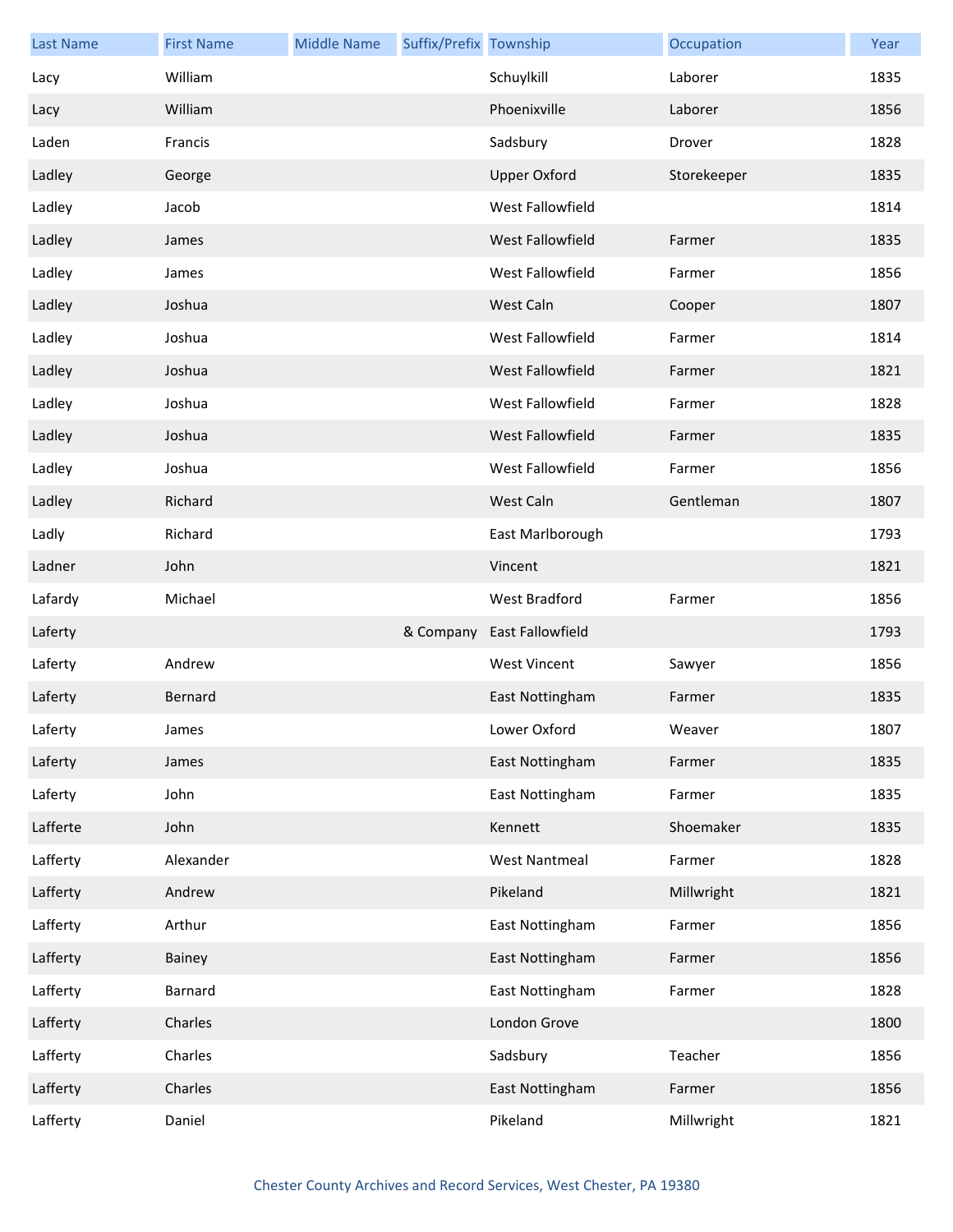| <b>Last Name</b> | <b>First Name</b> | <b>Middle Name</b> | Suffix/Prefix Township |                         | Occupation  | Year |
|------------------|-------------------|--------------------|------------------------|-------------------------|-------------|------|
| Lacy             | William           |                    |                        | Schuylkill              | Laborer     | 1835 |
| Lacy             | William           |                    |                        | Phoenixville            | Laborer     | 1856 |
| Laden            | Francis           |                    |                        | Sadsbury                | Drover      | 1828 |
| Ladley           | George            |                    |                        | <b>Upper Oxford</b>     | Storekeeper | 1835 |
| Ladley           | Jacob             |                    |                        | West Fallowfield        |             | 1814 |
| Ladley           | James             |                    |                        | <b>West Fallowfield</b> | Farmer      | 1835 |
| Ladley           | James             |                    |                        | West Fallowfield        | Farmer      | 1856 |
| Ladley           | Joshua            |                    |                        | West Caln               | Cooper      | 1807 |
| Ladley           | Joshua            |                    |                        | West Fallowfield        | Farmer      | 1814 |
| Ladley           | Joshua            |                    |                        | West Fallowfield        | Farmer      | 1821 |
| Ladley           | Joshua            |                    |                        | West Fallowfield        | Farmer      | 1828 |
| Ladley           | Joshua            |                    |                        | West Fallowfield        | Farmer      | 1835 |
| Ladley           | Joshua            |                    |                        | West Fallowfield        | Farmer      | 1856 |
| Ladley           | Richard           |                    |                        | West Caln               | Gentleman   | 1807 |
| Ladly            | Richard           |                    |                        | East Marlborough        |             | 1793 |
| Ladner           | John              |                    |                        | Vincent                 |             | 1821 |
| Lafardy          | Michael           |                    |                        | West Bradford           | Farmer      | 1856 |
| Laferty          |                   |                    | & Company              | <b>East Fallowfield</b> |             | 1793 |
| Laferty          | Andrew            |                    |                        | <b>West Vincent</b>     | Sawyer      | 1856 |
| Laferty          | Bernard           |                    |                        | East Nottingham         | Farmer      | 1835 |
| Laferty          | James             |                    |                        | Lower Oxford            | Weaver      | 1807 |
| Laferty          | James             |                    |                        | East Nottingham         | Farmer      | 1835 |
| Laferty          | John              |                    |                        | East Nottingham         | Farmer      | 1835 |
| Lafferte         | John              |                    |                        | Kennett                 | Shoemaker   | 1835 |
| Lafferty         | Alexander         |                    |                        | <b>West Nantmeal</b>    | Farmer      | 1828 |
| Lafferty         | Andrew            |                    |                        | Pikeland                | Millwright  | 1821 |
| Lafferty         | Arthur            |                    |                        | East Nottingham         | Farmer      | 1856 |
| Lafferty         | Bainey            |                    |                        | East Nottingham         | Farmer      | 1856 |
| Lafferty         | Barnard           |                    |                        | East Nottingham         | Farmer      | 1828 |
| Lafferty         | Charles           |                    |                        | London Grove            |             | 1800 |
| Lafferty         | Charles           |                    |                        | Sadsbury                | Teacher     | 1856 |
| Lafferty         | Charles           |                    |                        | East Nottingham         | Farmer      | 1856 |
| Lafferty         | Daniel            |                    |                        | Pikeland                | Millwright  | 1821 |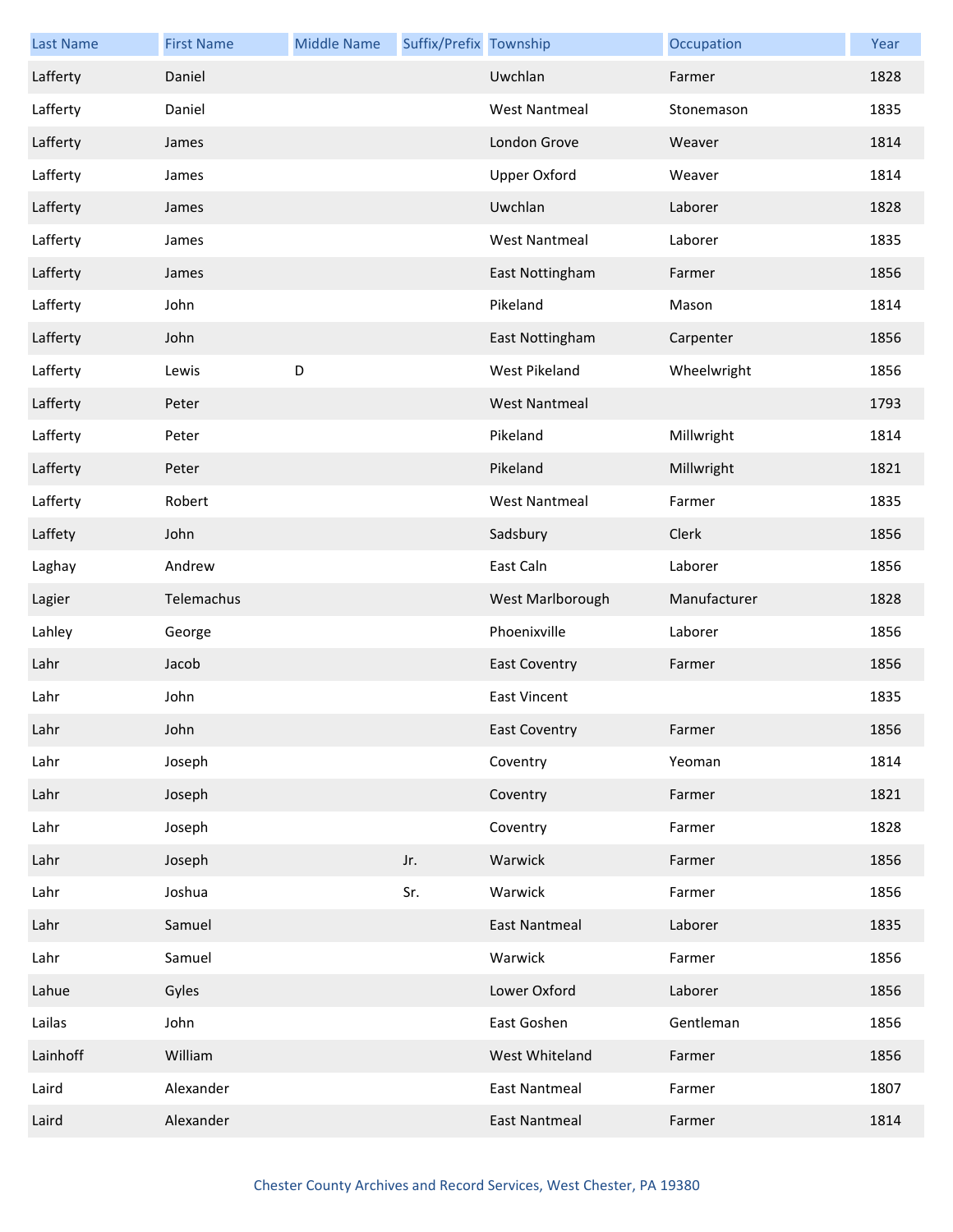| <b>Last Name</b> | <b>First Name</b> | <b>Middle Name</b> | Suffix/Prefix Township |                      | Occupation   | Year |
|------------------|-------------------|--------------------|------------------------|----------------------|--------------|------|
| Lafferty         | Daniel            |                    |                        | Uwchlan              | Farmer       | 1828 |
| Lafferty         | Daniel            |                    |                        | <b>West Nantmeal</b> | Stonemason   | 1835 |
| Lafferty         | James             |                    |                        | London Grove         | Weaver       | 1814 |
| Lafferty         | James             |                    |                        | Upper Oxford         | Weaver       | 1814 |
| Lafferty         | James             |                    |                        | Uwchlan              | Laborer      | 1828 |
| Lafferty         | James             |                    |                        | <b>West Nantmeal</b> | Laborer      | 1835 |
| Lafferty         | James             |                    |                        | East Nottingham      | Farmer       | 1856 |
| Lafferty         | John              |                    |                        | Pikeland             | Mason        | 1814 |
| Lafferty         | John              |                    |                        | East Nottingham      | Carpenter    | 1856 |
| Lafferty         | Lewis             | D                  |                        | <b>West Pikeland</b> | Wheelwright  | 1856 |
| Lafferty         | Peter             |                    |                        | <b>West Nantmeal</b> |              | 1793 |
| Lafferty         | Peter             |                    |                        | Pikeland             | Millwright   | 1814 |
| Lafferty         | Peter             |                    |                        | Pikeland             | Millwright   | 1821 |
| Lafferty         | Robert            |                    |                        | <b>West Nantmeal</b> | Farmer       | 1835 |
| Laffety          | John              |                    |                        | Sadsbury             | Clerk        | 1856 |
| Laghay           | Andrew            |                    |                        | East Caln            | Laborer      | 1856 |
| Lagier           | Telemachus        |                    |                        | West Marlborough     | Manufacturer | 1828 |
| Lahley           | George            |                    |                        | Phoenixville         | Laborer      | 1856 |
| Lahr             | Jacob             |                    |                        | <b>East Coventry</b> | Farmer       | 1856 |
| Lahr             | John              |                    |                        | <b>East Vincent</b>  |              | 1835 |
| Lahr             | John              |                    |                        | <b>East Coventry</b> | Farmer       | 1856 |
| Lahr             | Joseph            |                    |                        | Coventry             | Yeoman       | 1814 |
| Lahr             | Joseph            |                    |                        | Coventry             | Farmer       | 1821 |
| Lahr             | Joseph            |                    |                        | Coventry             | Farmer       | 1828 |
| Lahr             | Joseph            |                    | Jr.                    | Warwick              | Farmer       | 1856 |
| Lahr             | Joshua            |                    | Sr.                    | Warwick              | Farmer       | 1856 |
| Lahr             | Samuel            |                    |                        | <b>East Nantmeal</b> | Laborer      | 1835 |
| Lahr             | Samuel            |                    |                        | Warwick              | Farmer       | 1856 |
| Lahue            | Gyles             |                    |                        | Lower Oxford         | Laborer      | 1856 |
| Lailas           | John              |                    |                        | East Goshen          | Gentleman    | 1856 |
| Lainhoff         | William           |                    |                        | West Whiteland       | Farmer       | 1856 |
| Laird            | Alexander         |                    |                        | <b>East Nantmeal</b> | Farmer       | 1807 |
| Laird            | Alexander         |                    |                        | <b>East Nantmeal</b> | Farmer       | 1814 |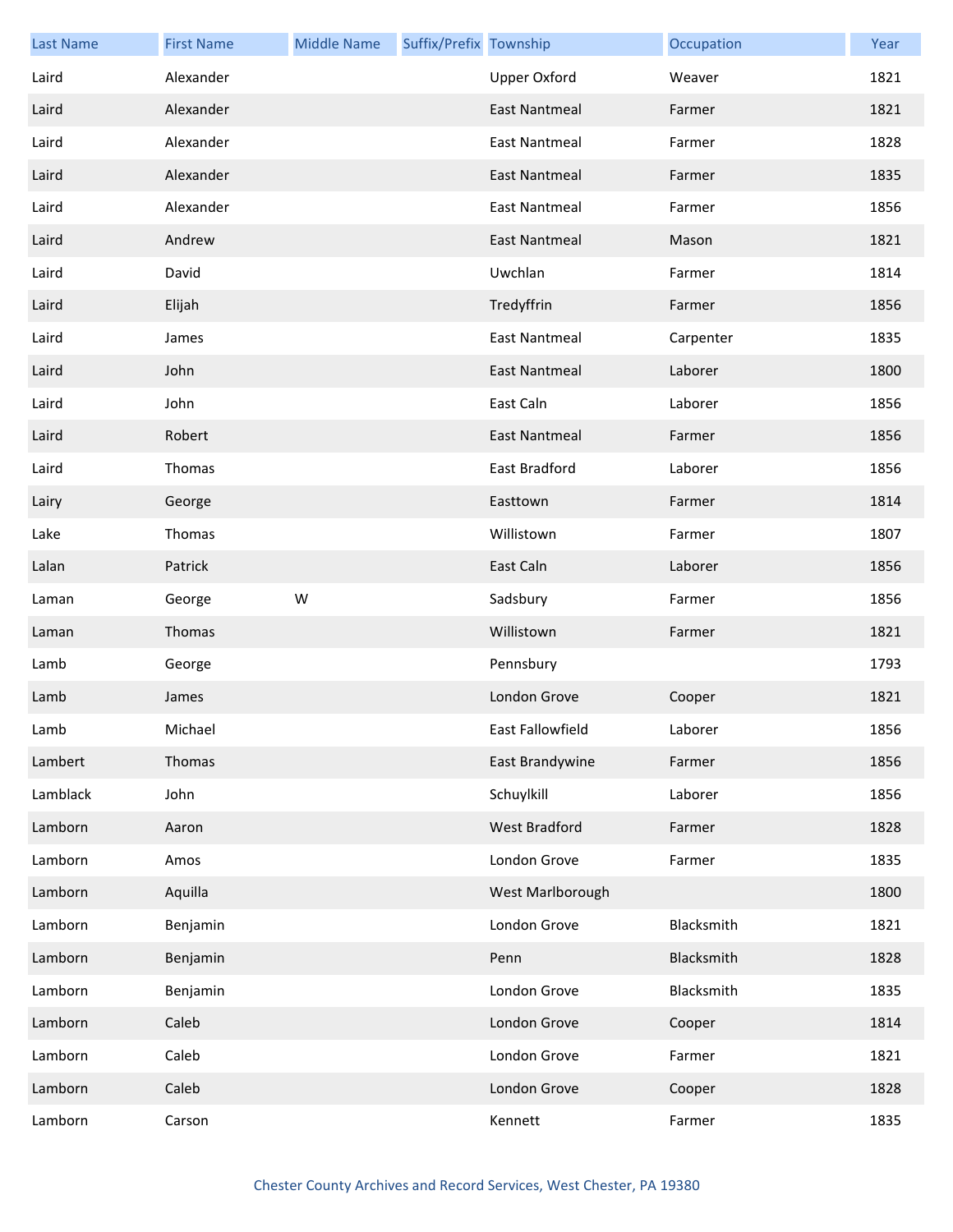| <b>Last Name</b> | <b>First Name</b> | <b>Middle Name</b> | Suffix/Prefix Township |                      | Occupation | Year |
|------------------|-------------------|--------------------|------------------------|----------------------|------------|------|
| Laird            | Alexander         |                    |                        | <b>Upper Oxford</b>  | Weaver     | 1821 |
| Laird            | Alexander         |                    |                        | <b>East Nantmeal</b> | Farmer     | 1821 |
| Laird            | Alexander         |                    |                        | <b>East Nantmeal</b> | Farmer     | 1828 |
| Laird            | Alexander         |                    |                        | <b>East Nantmeal</b> | Farmer     | 1835 |
| Laird            | Alexander         |                    |                        | <b>East Nantmeal</b> | Farmer     | 1856 |
| Laird            | Andrew            |                    |                        | <b>East Nantmeal</b> | Mason      | 1821 |
| Laird            | David             |                    |                        | Uwchlan              | Farmer     | 1814 |
| Laird            | Elijah            |                    |                        | Tredyffrin           | Farmer     | 1856 |
| Laird            | James             |                    |                        | <b>East Nantmeal</b> | Carpenter  | 1835 |
| Laird            | John              |                    |                        | <b>East Nantmeal</b> | Laborer    | 1800 |
| Laird            | John              |                    |                        | East Caln            | Laborer    | 1856 |
| Laird            | Robert            |                    |                        | <b>East Nantmeal</b> | Farmer     | 1856 |
| Laird            | Thomas            |                    |                        | East Bradford        | Laborer    | 1856 |
| Lairy            | George            |                    |                        | Easttown             | Farmer     | 1814 |
| Lake             | Thomas            |                    |                        | Willistown           | Farmer     | 1807 |
| Lalan            | Patrick           |                    |                        | East Caln            | Laborer    | 1856 |
| Laman            | George            | W                  |                        | Sadsbury             | Farmer     | 1856 |
| Laman            | Thomas            |                    |                        | Willistown           | Farmer     | 1821 |
| Lamb             | George            |                    |                        | Pennsbury            |            | 1793 |
| Lamb             | James             |                    |                        | London Grove         | Cooper     | 1821 |
| Lamb             | Michael           |                    |                        | East Fallowfield     | Laborer    | 1856 |
| Lambert          | Thomas            |                    |                        | East Brandywine      | Farmer     | 1856 |
| Lamblack         | John              |                    |                        | Schuylkill           | Laborer    | 1856 |
| Lamborn          | Aaron             |                    |                        | West Bradford        | Farmer     | 1828 |
| Lamborn          | Amos              |                    |                        | London Grove         | Farmer     | 1835 |
| Lamborn          | Aquilla           |                    |                        | West Marlborough     |            | 1800 |
| Lamborn          | Benjamin          |                    |                        | London Grove         | Blacksmith | 1821 |
| Lamborn          | Benjamin          |                    |                        | Penn                 | Blacksmith | 1828 |
| Lamborn          | Benjamin          |                    |                        | London Grove         | Blacksmith | 1835 |
| Lamborn          | Caleb             |                    |                        | London Grove         | Cooper     | 1814 |
| Lamborn          | Caleb             |                    |                        | London Grove         | Farmer     | 1821 |
| Lamborn          | Caleb             |                    |                        | London Grove         | Cooper     | 1828 |
| Lamborn          | Carson            |                    |                        | Kennett              | Farmer     | 1835 |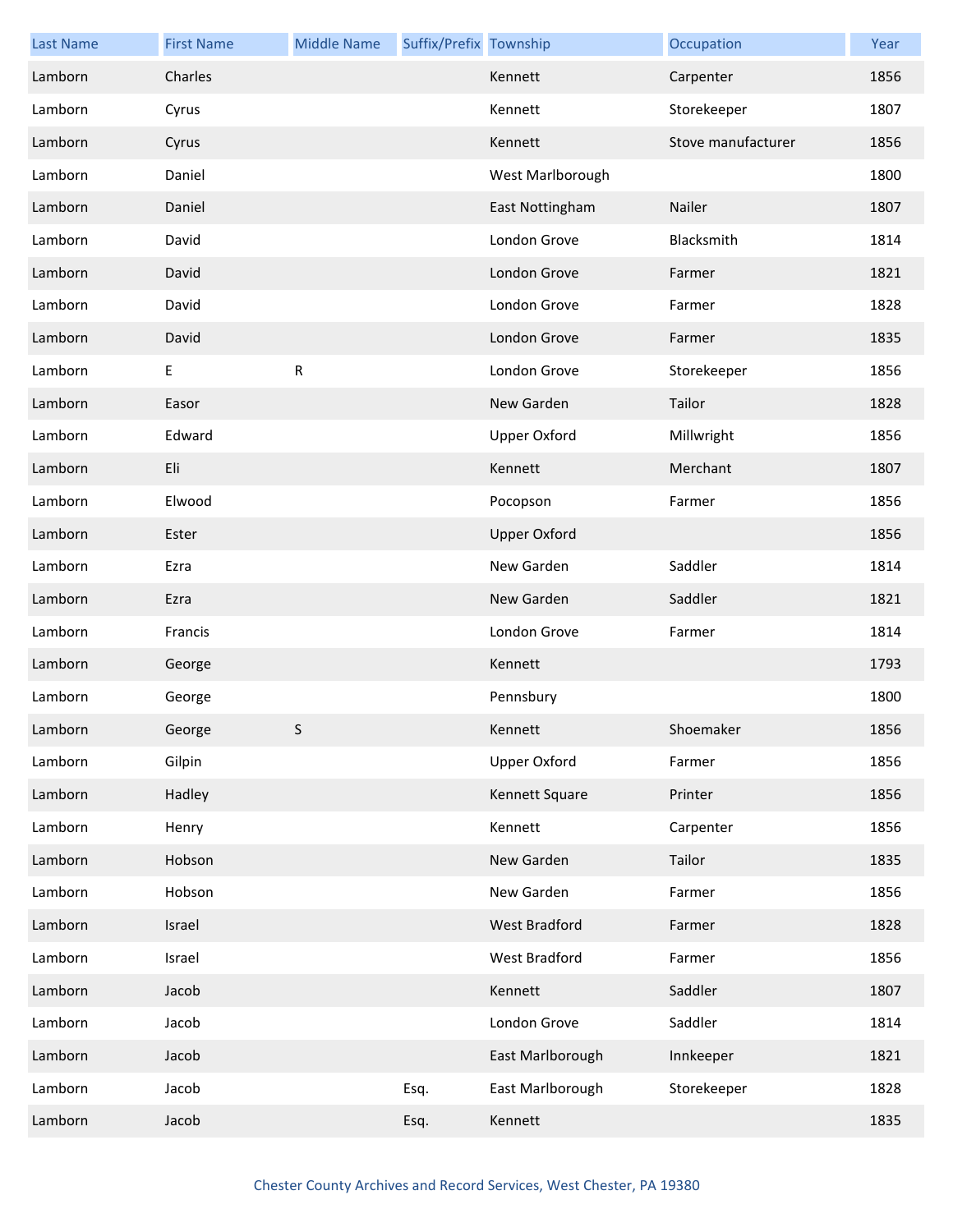| <b>Last Name</b> | <b>First Name</b> | <b>Middle Name</b> | Suffix/Prefix Township |                     | Occupation         | Year |
|------------------|-------------------|--------------------|------------------------|---------------------|--------------------|------|
| Lamborn          | Charles           |                    |                        | Kennett             | Carpenter          | 1856 |
| Lamborn          | Cyrus             |                    |                        | Kennett             | Storekeeper        | 1807 |
| Lamborn          | Cyrus             |                    |                        | Kennett             | Stove manufacturer | 1856 |
| Lamborn          | Daniel            |                    |                        | West Marlborough    |                    | 1800 |
| Lamborn          | Daniel            |                    |                        | East Nottingham     | Nailer             | 1807 |
| Lamborn          | David             |                    |                        | London Grove        | Blacksmith         | 1814 |
| Lamborn          | David             |                    |                        | London Grove        | Farmer             | 1821 |
| Lamborn          | David             |                    |                        | London Grove        | Farmer             | 1828 |
| Lamborn          | David             |                    |                        | London Grove        | Farmer             | 1835 |
| Lamborn          | $\sf E$           | ${\sf R}$          |                        | London Grove        | Storekeeper        | 1856 |
| Lamborn          | Easor             |                    |                        | New Garden          | Tailor             | 1828 |
| Lamborn          | Edward            |                    |                        | <b>Upper Oxford</b> | Millwright         | 1856 |
| Lamborn          | Eli               |                    |                        | Kennett             | Merchant           | 1807 |
| Lamborn          | Elwood            |                    |                        | Pocopson            | Farmer             | 1856 |
| Lamborn          | Ester             |                    |                        | <b>Upper Oxford</b> |                    | 1856 |
| Lamborn          | Ezra              |                    |                        | New Garden          | Saddler            | 1814 |
| Lamborn          | Ezra              |                    |                        | New Garden          | Saddler            | 1821 |
| Lamborn          | Francis           |                    |                        | London Grove        | Farmer             | 1814 |
| Lamborn          | George            |                    |                        | Kennett             |                    | 1793 |
| Lamborn          | George            |                    |                        | Pennsbury           |                    | 1800 |
| Lamborn          | George            | S.                 |                        | Kennett             | Shoemaker          | 1856 |
| Lamborn          | Gilpin            |                    |                        | <b>Upper Oxford</b> | Farmer             | 1856 |
| Lamborn          | Hadley            |                    |                        | Kennett Square      | Printer            | 1856 |
| Lamborn          | Henry             |                    |                        | Kennett             | Carpenter          | 1856 |
| Lamborn          | Hobson            |                    |                        | New Garden          | Tailor             | 1835 |
| Lamborn          | Hobson            |                    |                        | New Garden          | Farmer             | 1856 |
| Lamborn          | Israel            |                    |                        | West Bradford       | Farmer             | 1828 |
| Lamborn          | Israel            |                    |                        | West Bradford       | Farmer             | 1856 |
| Lamborn          | Jacob             |                    |                        | Kennett             | Saddler            | 1807 |
| Lamborn          | Jacob             |                    |                        | London Grove        | Saddler            | 1814 |
| Lamborn          | Jacob             |                    |                        | East Marlborough    | Innkeeper          | 1821 |
| Lamborn          | Jacob             |                    | Esq.                   | East Marlborough    | Storekeeper        | 1828 |
| Lamborn          | Jacob             |                    | Esq.                   | Kennett             |                    | 1835 |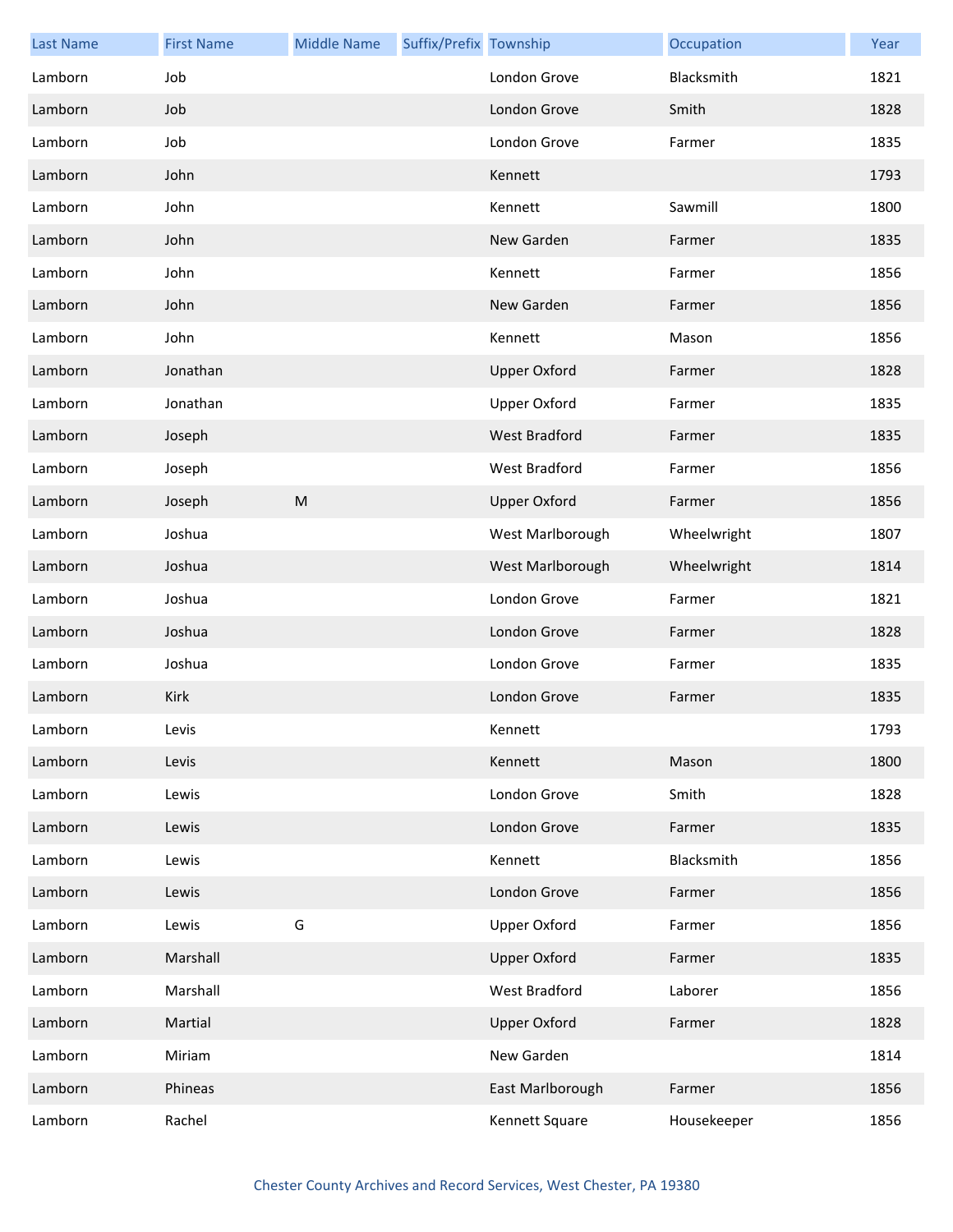| <b>Last Name</b> | <b>First Name</b> | <b>Middle Name</b> | Suffix/Prefix Township |                     | Occupation  | Year |
|------------------|-------------------|--------------------|------------------------|---------------------|-------------|------|
| Lamborn          | Job               |                    |                        | London Grove        | Blacksmith  | 1821 |
| Lamborn          | Job               |                    |                        | London Grove        | Smith       | 1828 |
| Lamborn          | Job               |                    |                        | London Grove        | Farmer      | 1835 |
| Lamborn          | John              |                    |                        | Kennett             |             | 1793 |
| Lamborn          | John              |                    |                        | Kennett             | Sawmill     | 1800 |
| Lamborn          | John              |                    |                        | New Garden          | Farmer      | 1835 |
| Lamborn          | John              |                    |                        | Kennett             | Farmer      | 1856 |
| Lamborn          | John              |                    |                        | New Garden          | Farmer      | 1856 |
| Lamborn          | John              |                    |                        | Kennett             | Mason       | 1856 |
| Lamborn          | Jonathan          |                    |                        | <b>Upper Oxford</b> | Farmer      | 1828 |
| Lamborn          | Jonathan          |                    |                        | <b>Upper Oxford</b> | Farmer      | 1835 |
| Lamborn          | Joseph            |                    |                        | West Bradford       | Farmer      | 1835 |
| Lamborn          | Joseph            |                    |                        | West Bradford       | Farmer      | 1856 |
| Lamborn          | Joseph            | ${\sf M}$          |                        | <b>Upper Oxford</b> | Farmer      | 1856 |
| Lamborn          | Joshua            |                    |                        | West Marlborough    | Wheelwright | 1807 |
| Lamborn          | Joshua            |                    |                        | West Marlborough    | Wheelwright | 1814 |
| Lamborn          | Joshua            |                    |                        | London Grove        | Farmer      | 1821 |
| Lamborn          | Joshua            |                    |                        | London Grove        | Farmer      | 1828 |
| Lamborn          | Joshua            |                    |                        | London Grove        | Farmer      | 1835 |
| Lamborn          | Kirk              |                    |                        | London Grove        | Farmer      | 1835 |
| Lamborn          | Levis             |                    |                        | Kennett             |             | 1793 |
| Lamborn          | Levis             |                    |                        | Kennett             | Mason       | 1800 |
| Lamborn          | Lewis             |                    |                        | London Grove        | Smith       | 1828 |
| Lamborn          | Lewis             |                    |                        | London Grove        | Farmer      | 1835 |
| Lamborn          | Lewis             |                    |                        | Kennett             | Blacksmith  | 1856 |
| Lamborn          | Lewis             |                    |                        | London Grove        | Farmer      | 1856 |
| Lamborn          | Lewis             | G                  |                        | Upper Oxford        | Farmer      | 1856 |
| Lamborn          | Marshall          |                    |                        | <b>Upper Oxford</b> | Farmer      | 1835 |
| Lamborn          | Marshall          |                    |                        | West Bradford       | Laborer     | 1856 |
| Lamborn          | Martial           |                    |                        | <b>Upper Oxford</b> | Farmer      | 1828 |
| Lamborn          | Miriam            |                    |                        | New Garden          |             | 1814 |
| Lamborn          | Phineas           |                    |                        | East Marlborough    | Farmer      | 1856 |
| Lamborn          | Rachel            |                    |                        | Kennett Square      | Housekeeper | 1856 |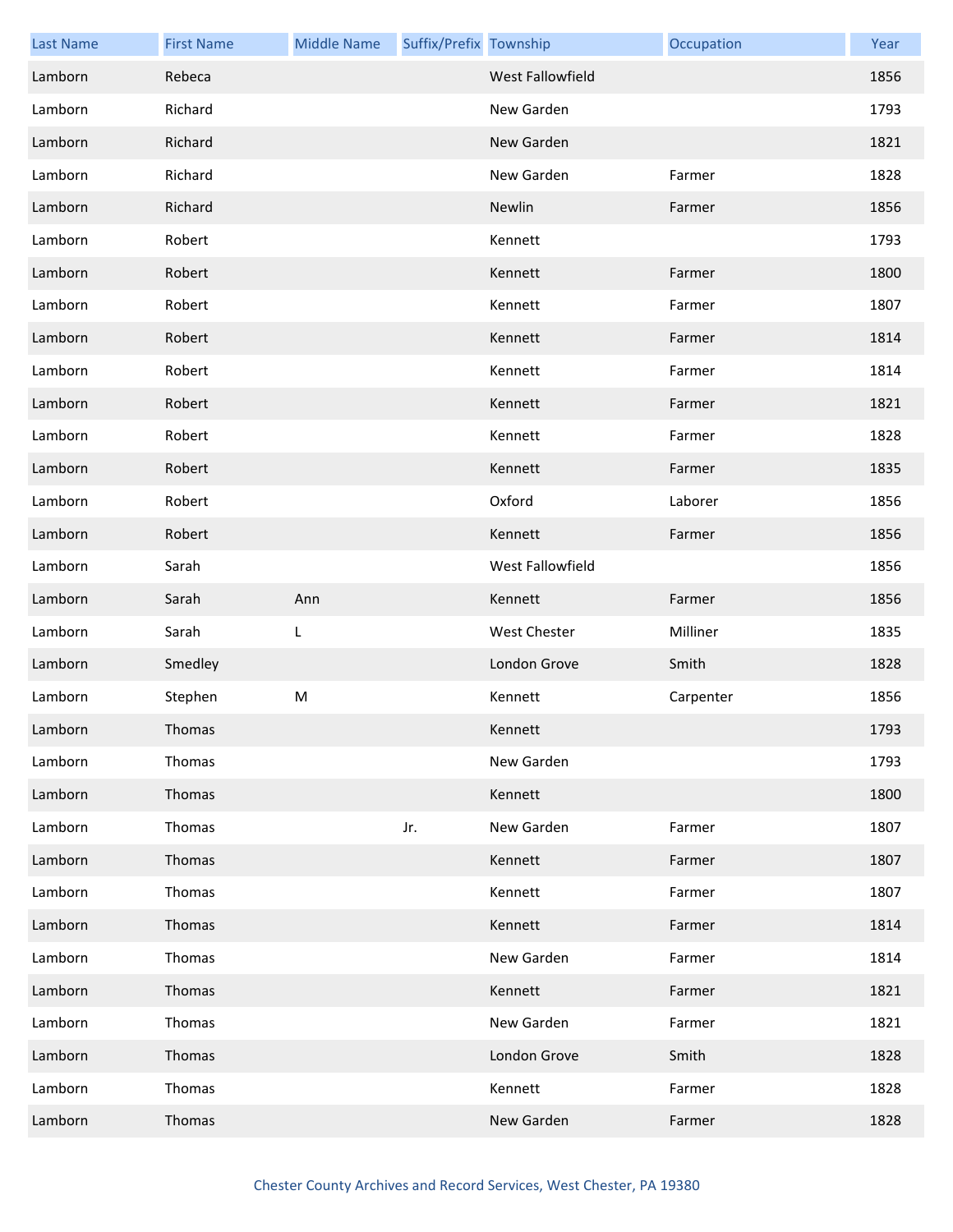| <b>Last Name</b> | <b>First Name</b> | <b>Middle Name</b> | Suffix/Prefix Township |                         | Occupation | Year |
|------------------|-------------------|--------------------|------------------------|-------------------------|------------|------|
| Lamborn          | Rebeca            |                    |                        | <b>West Fallowfield</b> |            | 1856 |
| Lamborn          | Richard           |                    |                        | New Garden              |            | 1793 |
| Lamborn          | Richard           |                    |                        | New Garden              |            | 1821 |
| Lamborn          | Richard           |                    |                        | New Garden              | Farmer     | 1828 |
| Lamborn          | Richard           |                    |                        | Newlin                  | Farmer     | 1856 |
| Lamborn          | Robert            |                    |                        | Kennett                 |            | 1793 |
| Lamborn          | Robert            |                    |                        | Kennett                 | Farmer     | 1800 |
| Lamborn          | Robert            |                    |                        | Kennett                 | Farmer     | 1807 |
| Lamborn          | Robert            |                    |                        | Kennett                 | Farmer     | 1814 |
| Lamborn          | Robert            |                    |                        | Kennett                 | Farmer     | 1814 |
| Lamborn          | Robert            |                    |                        | Kennett                 | Farmer     | 1821 |
| Lamborn          | Robert            |                    |                        | Kennett                 | Farmer     | 1828 |
| Lamborn          | Robert            |                    |                        | Kennett                 | Farmer     | 1835 |
| Lamborn          | Robert            |                    |                        | Oxford                  | Laborer    | 1856 |
| Lamborn          | Robert            |                    |                        | Kennett                 | Farmer     | 1856 |
| Lamborn          | Sarah             |                    |                        | West Fallowfield        |            | 1856 |
| Lamborn          | Sarah             | Ann                |                        | Kennett                 | Farmer     | 1856 |
| Lamborn          | Sarah             | L                  |                        | <b>West Chester</b>     | Milliner   | 1835 |
| Lamborn          | Smedley           |                    |                        | London Grove            | Smith      | 1828 |
| Lamborn          | Stephen           | M                  |                        | Kennett                 | Carpenter  | 1856 |
| Lamborn          | Thomas            |                    |                        | Kennett                 |            | 1793 |
| Lamborn          | Thomas            |                    |                        | New Garden              |            | 1793 |
| Lamborn          | Thomas            |                    |                        | Kennett                 |            | 1800 |
| Lamborn          | Thomas            |                    | Jr.                    | New Garden              | Farmer     | 1807 |
| Lamborn          | Thomas            |                    |                        | Kennett                 | Farmer     | 1807 |
| Lamborn          | Thomas            |                    |                        | Kennett                 | Farmer     | 1807 |
| Lamborn          | Thomas            |                    |                        | Kennett                 | Farmer     | 1814 |
| Lamborn          | Thomas            |                    |                        | New Garden              | Farmer     | 1814 |
| Lamborn          | Thomas            |                    |                        | Kennett                 | Farmer     | 1821 |
| Lamborn          | Thomas            |                    |                        | New Garden              | Farmer     | 1821 |
| Lamborn          | Thomas            |                    |                        | London Grove            | Smith      | 1828 |
| Lamborn          | Thomas            |                    |                        | Kennett                 | Farmer     | 1828 |
| Lamborn          | Thomas            |                    |                        | New Garden              | Farmer     | 1828 |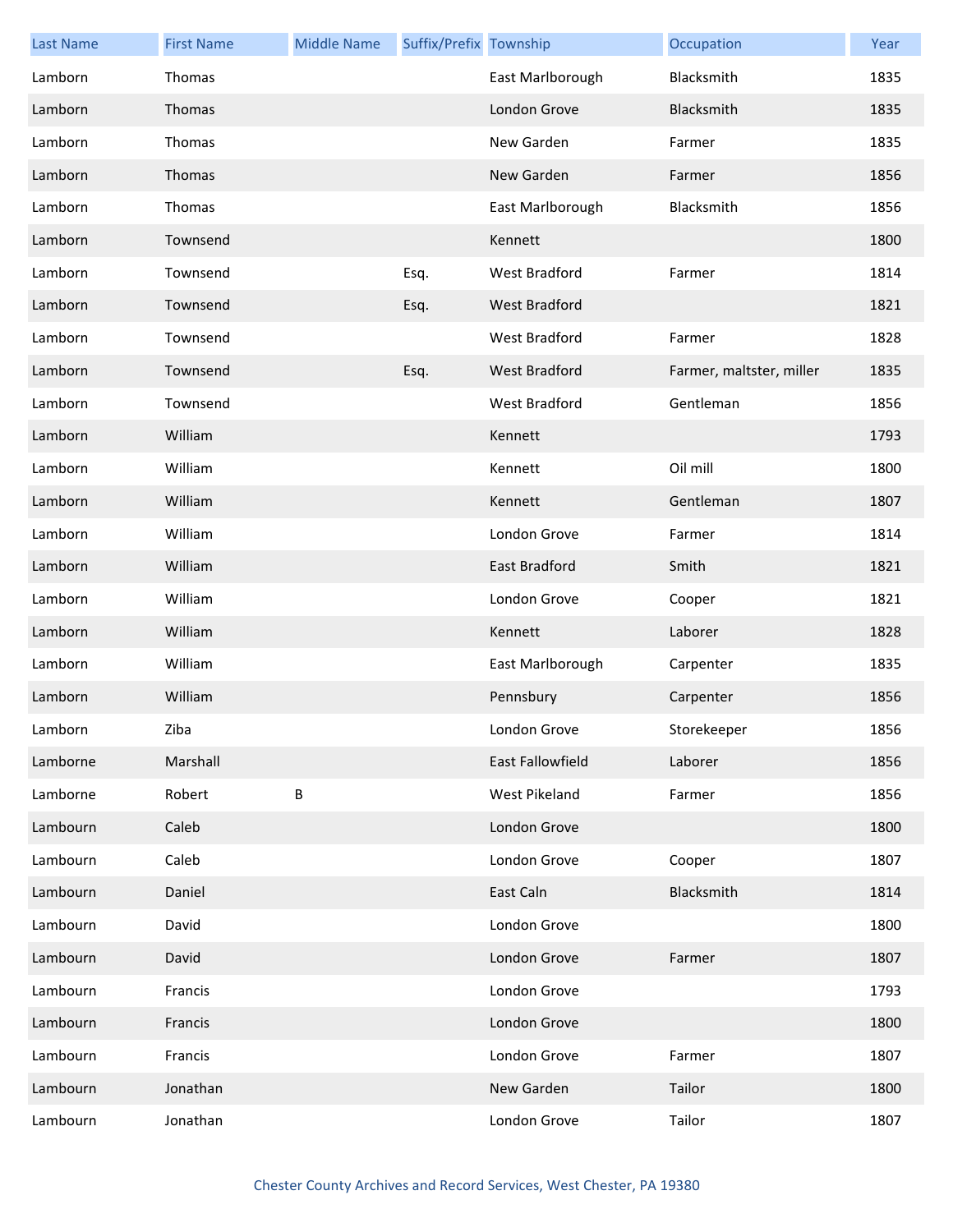| <b>Last Name</b> | <b>First Name</b> | <b>Middle Name</b> | Suffix/Prefix Township |                      | Occupation               | Year |
|------------------|-------------------|--------------------|------------------------|----------------------|--------------------------|------|
| Lamborn          | Thomas            |                    |                        | East Marlborough     | Blacksmith               | 1835 |
| Lamborn          | Thomas            |                    |                        | London Grove         | Blacksmith               | 1835 |
| Lamborn          | Thomas            |                    |                        | New Garden           | Farmer                   | 1835 |
| Lamborn          | Thomas            |                    |                        | New Garden           | Farmer                   | 1856 |
| Lamborn          | Thomas            |                    |                        | East Marlborough     | Blacksmith               | 1856 |
| Lamborn          | Townsend          |                    |                        | Kennett              |                          | 1800 |
| Lamborn          | Townsend          |                    | Esq.                   | West Bradford        | Farmer                   | 1814 |
| Lamborn          | Townsend          |                    | Esq.                   | West Bradford        |                          | 1821 |
| Lamborn          | Townsend          |                    |                        | <b>West Bradford</b> | Farmer                   | 1828 |
| Lamborn          | Townsend          |                    | Esq.                   | West Bradford        | Farmer, maltster, miller | 1835 |
| Lamborn          | Townsend          |                    |                        | West Bradford        | Gentleman                | 1856 |
| Lamborn          | William           |                    |                        | Kennett              |                          | 1793 |
| Lamborn          | William           |                    |                        | Kennett              | Oil mill                 | 1800 |
| Lamborn          | William           |                    |                        | Kennett              | Gentleman                | 1807 |
| Lamborn          | William           |                    |                        | London Grove         | Farmer                   | 1814 |
| Lamborn          | William           |                    |                        | East Bradford        | Smith                    | 1821 |
| Lamborn          | William           |                    |                        | London Grove         | Cooper                   | 1821 |
| Lamborn          | William           |                    |                        | Kennett              | Laborer                  | 1828 |
| Lamborn          | William           |                    |                        | East Marlborough     | Carpenter                | 1835 |
| Lamborn          | William           |                    |                        | Pennsbury            | Carpenter                | 1856 |
| Lamborn          | Ziba              |                    |                        | London Grove         | Storekeeper              | 1856 |
| Lamborne         | Marshall          |                    |                        | East Fallowfield     | Laborer                  | 1856 |
| Lamborne         | Robert            | B                  |                        | West Pikeland        | Farmer                   | 1856 |
| Lambourn         | Caleb             |                    |                        | London Grove         |                          | 1800 |
| Lambourn         | Caleb             |                    |                        | London Grove         | Cooper                   | 1807 |
| Lambourn         | Daniel            |                    |                        | East Caln            | Blacksmith               | 1814 |
| Lambourn         | David             |                    |                        | London Grove         |                          | 1800 |
| Lambourn         | David             |                    |                        | London Grove         | Farmer                   | 1807 |
| Lambourn         | Francis           |                    |                        | London Grove         |                          | 1793 |
| Lambourn         | Francis           |                    |                        | London Grove         |                          | 1800 |
| Lambourn         | Francis           |                    |                        | London Grove         | Farmer                   | 1807 |
| Lambourn         | Jonathan          |                    |                        | New Garden           | Tailor                   | 1800 |
| Lambourn         | Jonathan          |                    |                        | London Grove         | Tailor                   | 1807 |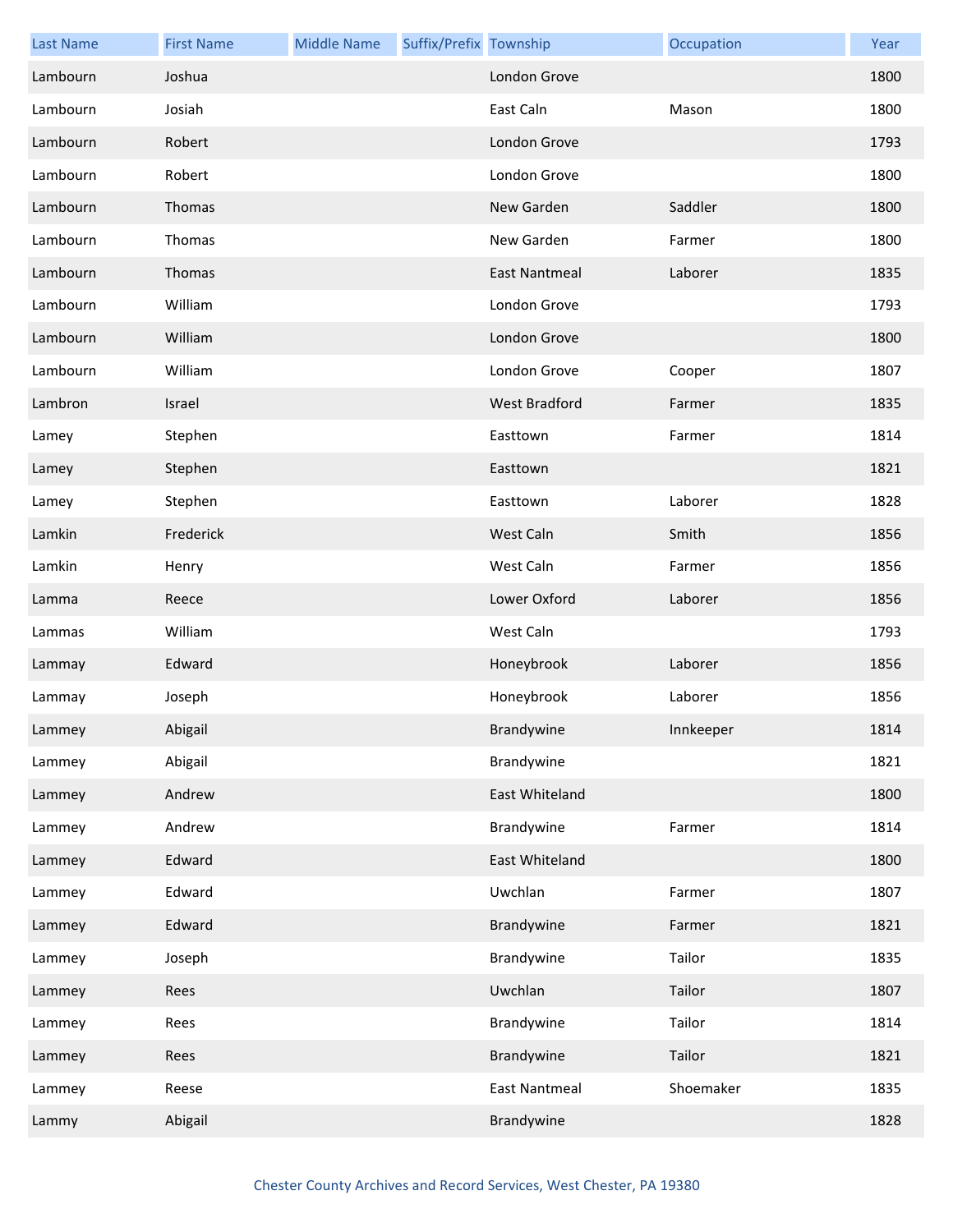| <b>Last Name</b> | <b>First Name</b> | <b>Middle Name</b> | Suffix/Prefix Township |                      | Occupation | Year |
|------------------|-------------------|--------------------|------------------------|----------------------|------------|------|
| Lambourn         | Joshua            |                    |                        | London Grove         |            | 1800 |
| Lambourn         | Josiah            |                    |                        | East Caln            | Mason      | 1800 |
| Lambourn         | Robert            |                    |                        | London Grove         |            | 1793 |
| Lambourn         | Robert            |                    |                        | London Grove         |            | 1800 |
| Lambourn         | Thomas            |                    |                        | New Garden           | Saddler    | 1800 |
| Lambourn         | Thomas            |                    |                        | New Garden           | Farmer     | 1800 |
| Lambourn         | Thomas            |                    |                        | <b>East Nantmeal</b> | Laborer    | 1835 |
| Lambourn         | William           |                    |                        | London Grove         |            | 1793 |
| Lambourn         | William           |                    |                        | London Grove         |            | 1800 |
| Lambourn         | William           |                    |                        | London Grove         | Cooper     | 1807 |
| Lambron          | Israel            |                    |                        | <b>West Bradford</b> | Farmer     | 1835 |
| Lamey            | Stephen           |                    |                        | Easttown             | Farmer     | 1814 |
| Lamey            | Stephen           |                    |                        | Easttown             |            | 1821 |
| Lamey            | Stephen           |                    |                        | Easttown             | Laborer    | 1828 |
| Lamkin           | Frederick         |                    |                        | West Caln            | Smith      | 1856 |
| Lamkin           | Henry             |                    |                        | West Caln            | Farmer     | 1856 |
| Lamma            | Reece             |                    |                        | Lower Oxford         | Laborer    | 1856 |
| Lammas           | William           |                    |                        | West Caln            |            | 1793 |
| Lammay           | Edward            |                    |                        | Honeybrook           | Laborer    | 1856 |
| Lammay           | Joseph            |                    |                        | Honeybrook           | Laborer    | 1856 |
| Lammey           | Abigail           |                    |                        | Brandywine           | Innkeeper  | 1814 |
| Lammey           | Abigail           |                    |                        | Brandywine           |            | 1821 |
| Lammey           | Andrew            |                    |                        | East Whiteland       |            | 1800 |
| Lammey           | Andrew            |                    |                        | Brandywine           | Farmer     | 1814 |
| Lammey           | Edward            |                    |                        | East Whiteland       |            | 1800 |
| Lammey           | Edward            |                    |                        | Uwchlan              | Farmer     | 1807 |
| Lammey           | Edward            |                    |                        | Brandywine           | Farmer     | 1821 |
| Lammey           | Joseph            |                    |                        | Brandywine           | Tailor     | 1835 |
| Lammey           | Rees              |                    |                        | Uwchlan              | Tailor     | 1807 |
| Lammey           | Rees              |                    |                        | Brandywine           | Tailor     | 1814 |
| Lammey           | Rees              |                    |                        | Brandywine           | Tailor     | 1821 |
| Lammey           | Reese             |                    |                        | <b>East Nantmeal</b> | Shoemaker  | 1835 |
| Lammy            | Abigail           |                    |                        | Brandywine           |            | 1828 |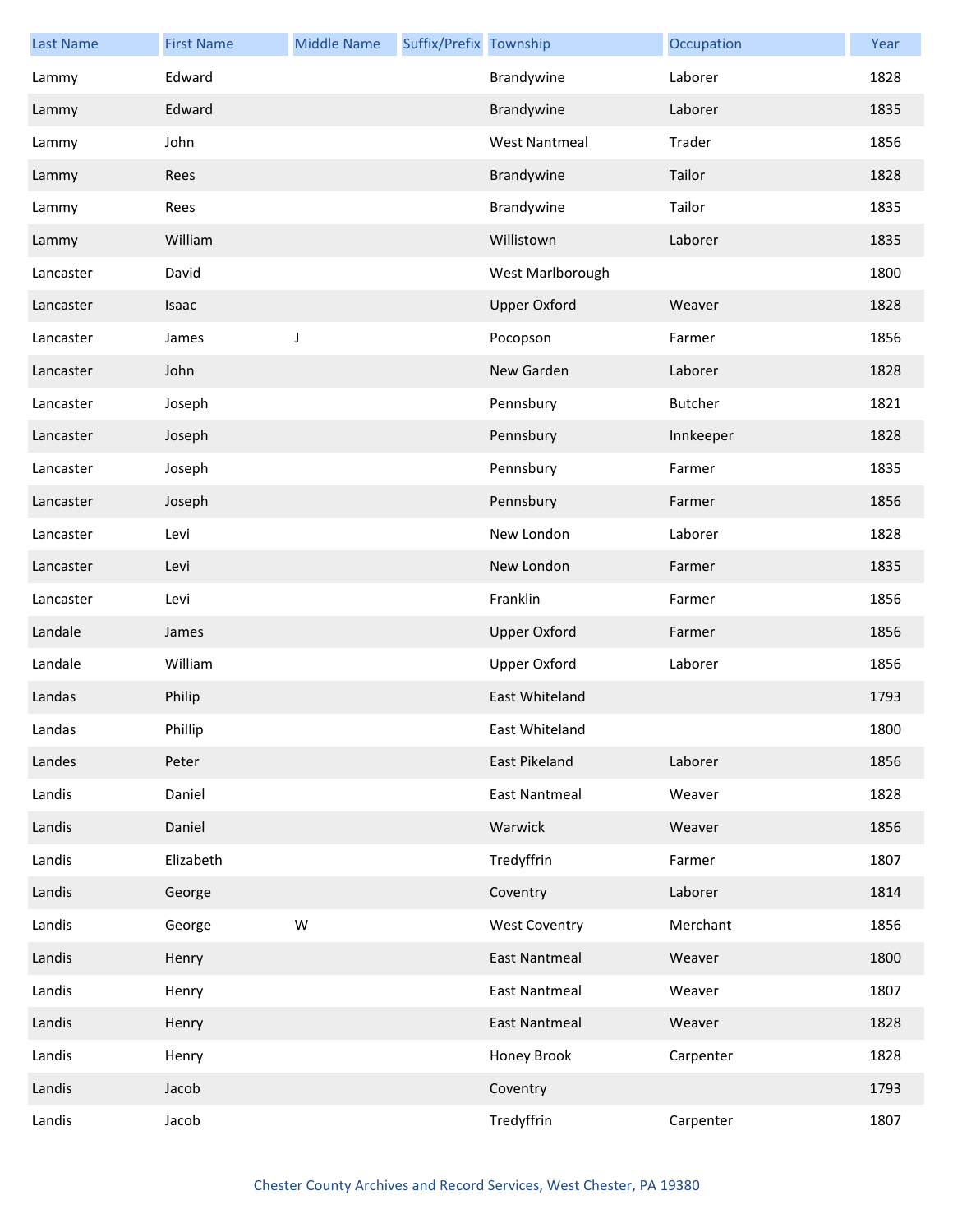| <b>Last Name</b> | <b>First Name</b> | <b>Middle Name</b> | Suffix/Prefix Township |                      | Occupation     | Year |
|------------------|-------------------|--------------------|------------------------|----------------------|----------------|------|
| Lammy            | Edward            |                    |                        | Brandywine           | Laborer        | 1828 |
| Lammy            | Edward            |                    |                        | Brandywine           | Laborer        | 1835 |
| Lammy            | John              |                    |                        | <b>West Nantmeal</b> | Trader         | 1856 |
| Lammy            | Rees              |                    |                        | Brandywine           | Tailor         | 1828 |
| Lammy            | Rees              |                    |                        | Brandywine           | Tailor         | 1835 |
| Lammy            | William           |                    |                        | Willistown           | Laborer        | 1835 |
| Lancaster        | David             |                    |                        | West Marlborough     |                | 1800 |
| Lancaster        | Isaac             |                    |                        | <b>Upper Oxford</b>  | Weaver         | 1828 |
| Lancaster        | James             | J                  |                        | Pocopson             | Farmer         | 1856 |
| Lancaster        | John              |                    |                        | New Garden           | Laborer        | 1828 |
| Lancaster        | Joseph            |                    |                        | Pennsbury            | <b>Butcher</b> | 1821 |
| Lancaster        | Joseph            |                    |                        | Pennsbury            | Innkeeper      | 1828 |
| Lancaster        | Joseph            |                    |                        | Pennsbury            | Farmer         | 1835 |
| Lancaster        | Joseph            |                    |                        | Pennsbury            | Farmer         | 1856 |
| Lancaster        | Levi              |                    |                        | New London           | Laborer        | 1828 |
| Lancaster        | Levi              |                    |                        | New London           | Farmer         | 1835 |
| Lancaster        | Levi              |                    |                        | Franklin             | Farmer         | 1856 |
| Landale          | James             |                    |                        | <b>Upper Oxford</b>  | Farmer         | 1856 |
| Landale          | William           |                    |                        | <b>Upper Oxford</b>  | Laborer        | 1856 |
| Landas           | Philip            |                    |                        | East Whiteland       |                | 1793 |
| Landas           | Phillip           |                    |                        | East Whiteland       |                | 1800 |
| Landes           | Peter             |                    |                        | East Pikeland        | Laborer        | 1856 |
| Landis           | Daniel            |                    |                        | <b>East Nantmeal</b> | Weaver         | 1828 |
| Landis           | Daniel            |                    |                        | Warwick              | Weaver         | 1856 |
| Landis           | Elizabeth         |                    |                        | Tredyffrin           | Farmer         | 1807 |
| Landis           | George            |                    |                        | Coventry             | Laborer        | 1814 |
| Landis           | George            | W                  |                        | <b>West Coventry</b> | Merchant       | 1856 |
| Landis           | Henry             |                    |                        | <b>East Nantmeal</b> | Weaver         | 1800 |
| Landis           | Henry             |                    |                        | <b>East Nantmeal</b> | Weaver         | 1807 |
| Landis           | Henry             |                    |                        | <b>East Nantmeal</b> | Weaver         | 1828 |
| Landis           | Henry             |                    |                        | Honey Brook          | Carpenter      | 1828 |
| Landis           | Jacob             |                    |                        | Coventry             |                | 1793 |
| Landis           | Jacob             |                    |                        | Tredyffrin           | Carpenter      | 1807 |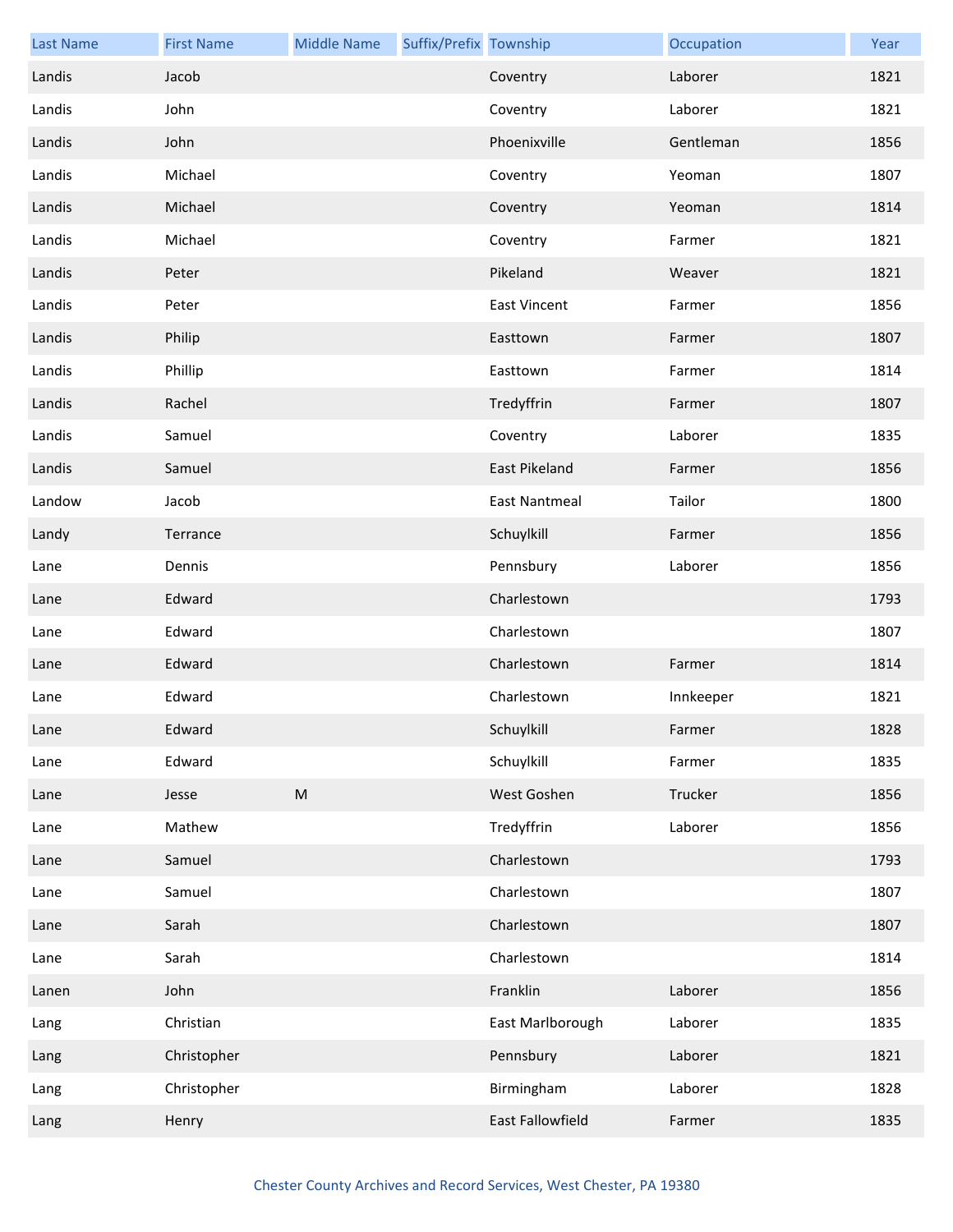| <b>Last Name</b> | <b>First Name</b> | <b>Middle Name</b> | Suffix/Prefix Township |                      | Occupation | Year |
|------------------|-------------------|--------------------|------------------------|----------------------|------------|------|
| Landis           | Jacob             |                    |                        | Coventry             | Laborer    | 1821 |
| Landis           | John              |                    |                        | Coventry             | Laborer    | 1821 |
| Landis           | John              |                    |                        | Phoenixville         | Gentleman  | 1856 |
| Landis           | Michael           |                    |                        | Coventry             | Yeoman     | 1807 |
| Landis           | Michael           |                    |                        | Coventry             | Yeoman     | 1814 |
| Landis           | Michael           |                    |                        | Coventry             | Farmer     | 1821 |
| Landis           | Peter             |                    |                        | Pikeland             | Weaver     | 1821 |
| Landis           | Peter             |                    |                        | <b>East Vincent</b>  | Farmer     | 1856 |
| Landis           | Philip            |                    |                        | Easttown             | Farmer     | 1807 |
| Landis           | Phillip           |                    |                        | Easttown             | Farmer     | 1814 |
| Landis           | Rachel            |                    |                        | Tredyffrin           | Farmer     | 1807 |
| Landis           | Samuel            |                    |                        | Coventry             | Laborer    | 1835 |
| Landis           | Samuel            |                    |                        | East Pikeland        | Farmer     | 1856 |
| Landow           | Jacob             |                    |                        | <b>East Nantmeal</b> | Tailor     | 1800 |
| Landy            | Terrance          |                    |                        | Schuylkill           | Farmer     | 1856 |
| Lane             | Dennis            |                    |                        | Pennsbury            | Laborer    | 1856 |
| Lane             | Edward            |                    |                        | Charlestown          |            | 1793 |
| Lane             | Edward            |                    |                        | Charlestown          |            | 1807 |
| Lane             | Edward            |                    |                        | Charlestown          | Farmer     | 1814 |
| Lane             | Edward            |                    |                        | Charlestown          | Innkeeper  | 1821 |
| Lane             | Edward            |                    |                        | Schuylkill           | Farmer     | 1828 |
| Lane             | Edward            |                    |                        | Schuylkill           | Farmer     | 1835 |
| Lane             | Jesse             | ${\sf M}$          |                        | West Goshen          | Trucker    | 1856 |
| Lane             | Mathew            |                    |                        | Tredyffrin           | Laborer    | 1856 |
| Lane             | Samuel            |                    |                        | Charlestown          |            | 1793 |
| Lane             | Samuel            |                    |                        | Charlestown          |            | 1807 |
| Lane             | Sarah             |                    |                        | Charlestown          |            | 1807 |
| Lane             | Sarah             |                    |                        | Charlestown          |            | 1814 |
| Lanen            | John              |                    |                        | Franklin             | Laborer    | 1856 |
| Lang             | Christian         |                    |                        | East Marlborough     | Laborer    | 1835 |
| Lang             | Christopher       |                    |                        | Pennsbury            | Laborer    | 1821 |
| Lang             | Christopher       |                    |                        | Birmingham           | Laborer    | 1828 |
| Lang             | Henry             |                    |                        | East Fallowfield     | Farmer     | 1835 |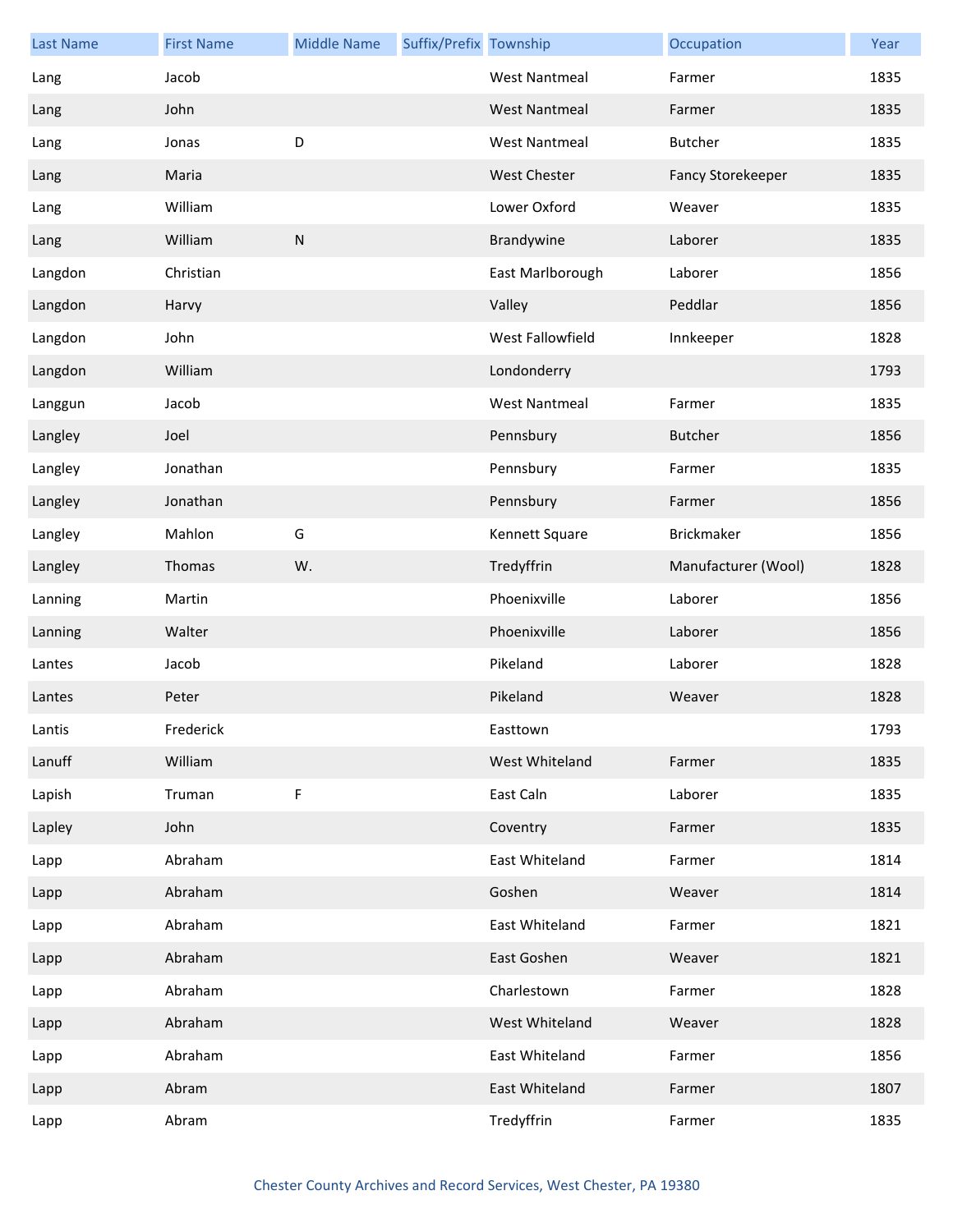| <b>Last Name</b> | <b>First Name</b> | <b>Middle Name</b> | Suffix/Prefix Township |                      | Occupation               | Year |
|------------------|-------------------|--------------------|------------------------|----------------------|--------------------------|------|
| Lang             | Jacob             |                    |                        | <b>West Nantmeal</b> | Farmer                   | 1835 |
| Lang             | John              |                    |                        | <b>West Nantmeal</b> | Farmer                   | 1835 |
| Lang             | Jonas             | D                  |                        | <b>West Nantmeal</b> | Butcher                  | 1835 |
| Lang             | Maria             |                    |                        | <b>West Chester</b>  | <b>Fancy Storekeeper</b> | 1835 |
| Lang             | William           |                    |                        | Lower Oxford         | Weaver                   | 1835 |
| Lang             | William           | ${\sf N}$          |                        | Brandywine           | Laborer                  | 1835 |
| Langdon          | Christian         |                    |                        | East Marlborough     | Laborer                  | 1856 |
| Langdon          | Harvy             |                    |                        | Valley               | Peddlar                  | 1856 |
| Langdon          | John              |                    |                        | West Fallowfield     | Innkeeper                | 1828 |
| Langdon          | William           |                    |                        | Londonderry          |                          | 1793 |
| Langgun          | Jacob             |                    |                        | <b>West Nantmeal</b> | Farmer                   | 1835 |
| Langley          | Joel              |                    |                        | Pennsbury            | <b>Butcher</b>           | 1856 |
| Langley          | Jonathan          |                    |                        | Pennsbury            | Farmer                   | 1835 |
| Langley          | Jonathan          |                    |                        | Pennsbury            | Farmer                   | 1856 |
| Langley          | Mahlon            | G                  |                        | Kennett Square       | Brickmaker               | 1856 |
| Langley          | Thomas            | W.                 |                        | Tredyffrin           | Manufacturer (Wool)      | 1828 |
| Lanning          | Martin            |                    |                        | Phoenixville         | Laborer                  | 1856 |
| Lanning          | Walter            |                    |                        | Phoenixville         | Laborer                  | 1856 |
| Lantes           | Jacob             |                    |                        | Pikeland             | Laborer                  | 1828 |
| Lantes           | Peter             |                    |                        | Pikeland             | Weaver                   | 1828 |
| Lantis           | Frederick         |                    |                        | Easttown             |                          | 1793 |
| Lanuff           | William           |                    |                        | West Whiteland       | Farmer                   | 1835 |
| Lapish           | Truman            | $\mathsf F$        |                        | East Caln            | Laborer                  | 1835 |
| Lapley           | John              |                    |                        | Coventry             | Farmer                   | 1835 |
| Lapp             | Abraham           |                    |                        | East Whiteland       | Farmer                   | 1814 |
| Lapp             | Abraham           |                    |                        | Goshen               | Weaver                   | 1814 |
| Lapp             | Abraham           |                    |                        | East Whiteland       | Farmer                   | 1821 |
| Lapp             | Abraham           |                    |                        | East Goshen          | Weaver                   | 1821 |
| Lapp             | Abraham           |                    |                        | Charlestown          | Farmer                   | 1828 |
| Lapp             | Abraham           |                    |                        | West Whiteland       | Weaver                   | 1828 |
| Lapp             | Abraham           |                    |                        | East Whiteland       | Farmer                   | 1856 |
| Lapp             | Abram             |                    |                        | East Whiteland       | Farmer                   | 1807 |
| Lapp             | Abram             |                    |                        | Tredyffrin           | Farmer                   | 1835 |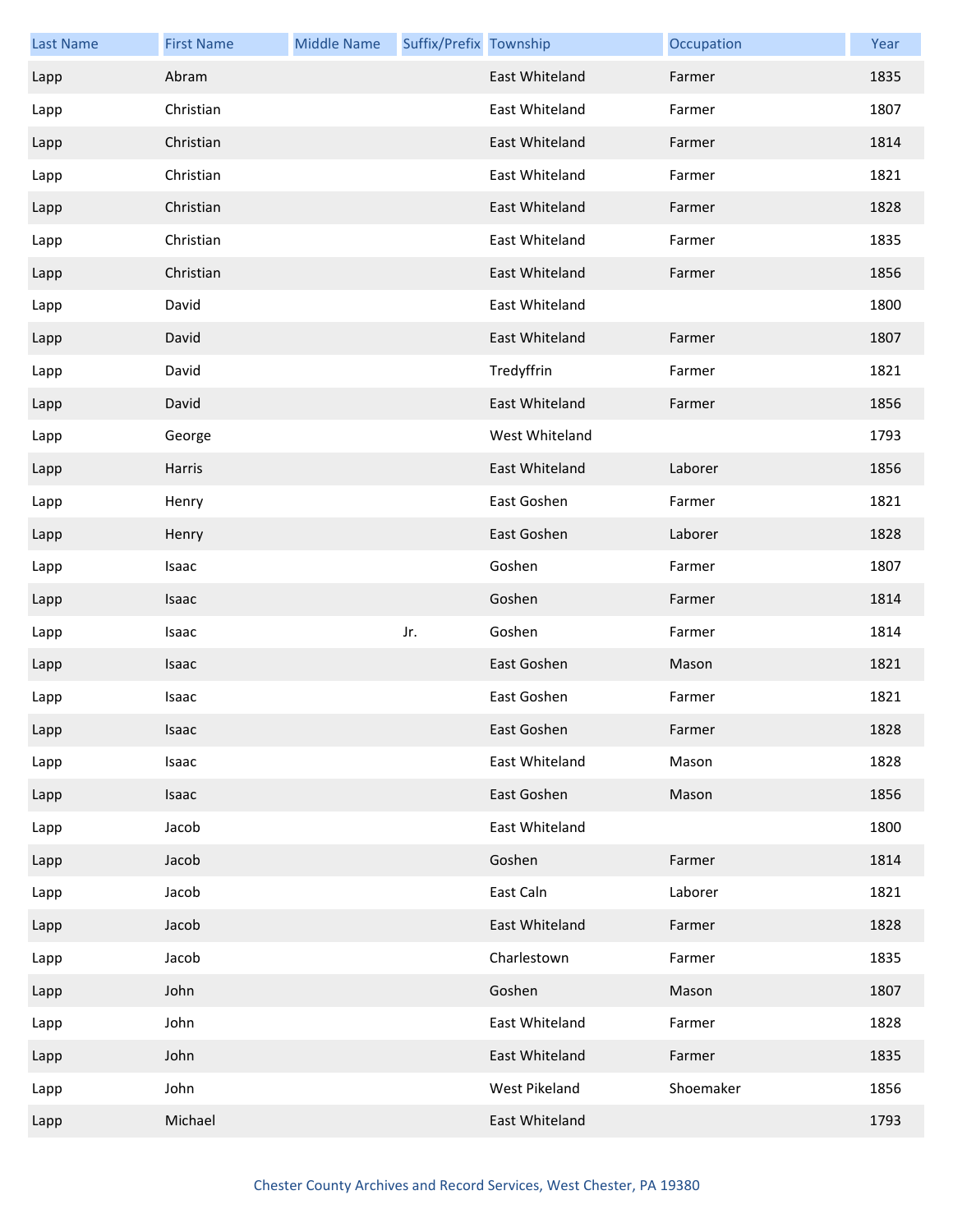| <b>Last Name</b> | <b>First Name</b> | <b>Middle Name</b> | Suffix/Prefix Township |                | Occupation | Year |
|------------------|-------------------|--------------------|------------------------|----------------|------------|------|
| Lapp             | Abram             |                    |                        | East Whiteland | Farmer     | 1835 |
| Lapp             | Christian         |                    |                        | East Whiteland | Farmer     | 1807 |
| Lapp             | Christian         |                    |                        | East Whiteland | Farmer     | 1814 |
| Lapp             | Christian         |                    |                        | East Whiteland | Farmer     | 1821 |
| Lapp             | Christian         |                    |                        | East Whiteland | Farmer     | 1828 |
| Lapp             | Christian         |                    |                        | East Whiteland | Farmer     | 1835 |
| Lapp             | Christian         |                    |                        | East Whiteland | Farmer     | 1856 |
| Lapp             | David             |                    |                        | East Whiteland |            | 1800 |
| Lapp             | David             |                    |                        | East Whiteland | Farmer     | 1807 |
| Lapp             | David             |                    |                        | Tredyffrin     | Farmer     | 1821 |
| Lapp             | David             |                    |                        | East Whiteland | Farmer     | 1856 |
| Lapp             | George            |                    |                        | West Whiteland |            | 1793 |
| Lapp             | Harris            |                    |                        | East Whiteland | Laborer    | 1856 |
| Lapp             | Henry             |                    |                        | East Goshen    | Farmer     | 1821 |
| Lapp             | Henry             |                    |                        | East Goshen    | Laborer    | 1828 |
| Lapp             | Isaac             |                    |                        | Goshen         | Farmer     | 1807 |
| Lapp             | Isaac             |                    |                        | Goshen         | Farmer     | 1814 |
| Lapp             | Isaac             |                    | Jr.                    | Goshen         | Farmer     | 1814 |
| Lapp             | Isaac             |                    |                        | East Goshen    | Mason      | 1821 |
| Lapp             | Isaac             |                    |                        | East Goshen    | Farmer     | 1821 |
| Lapp             | Isaac             |                    |                        | East Goshen    | Farmer     | 1828 |
| Lapp             | Isaac             |                    |                        | East Whiteland | Mason      | 1828 |
| Lapp             | Isaac             |                    |                        | East Goshen    | Mason      | 1856 |
| Lapp             | Jacob             |                    |                        | East Whiteland |            | 1800 |
| Lapp             | Jacob             |                    |                        | Goshen         | Farmer     | 1814 |
| Lapp             | Jacob             |                    |                        | East Caln      | Laborer    | 1821 |
| Lapp             | Jacob             |                    |                        | East Whiteland | Farmer     | 1828 |
| Lapp             | Jacob             |                    |                        | Charlestown    | Farmer     | 1835 |
| Lapp             | John              |                    |                        | Goshen         | Mason      | 1807 |
| Lapp             | John              |                    |                        | East Whiteland | Farmer     | 1828 |
| Lapp             | John              |                    |                        | East Whiteland | Farmer     | 1835 |
| Lapp             | John              |                    |                        | West Pikeland  | Shoemaker  | 1856 |
| Lapp             | Michael           |                    |                        | East Whiteland |            | 1793 |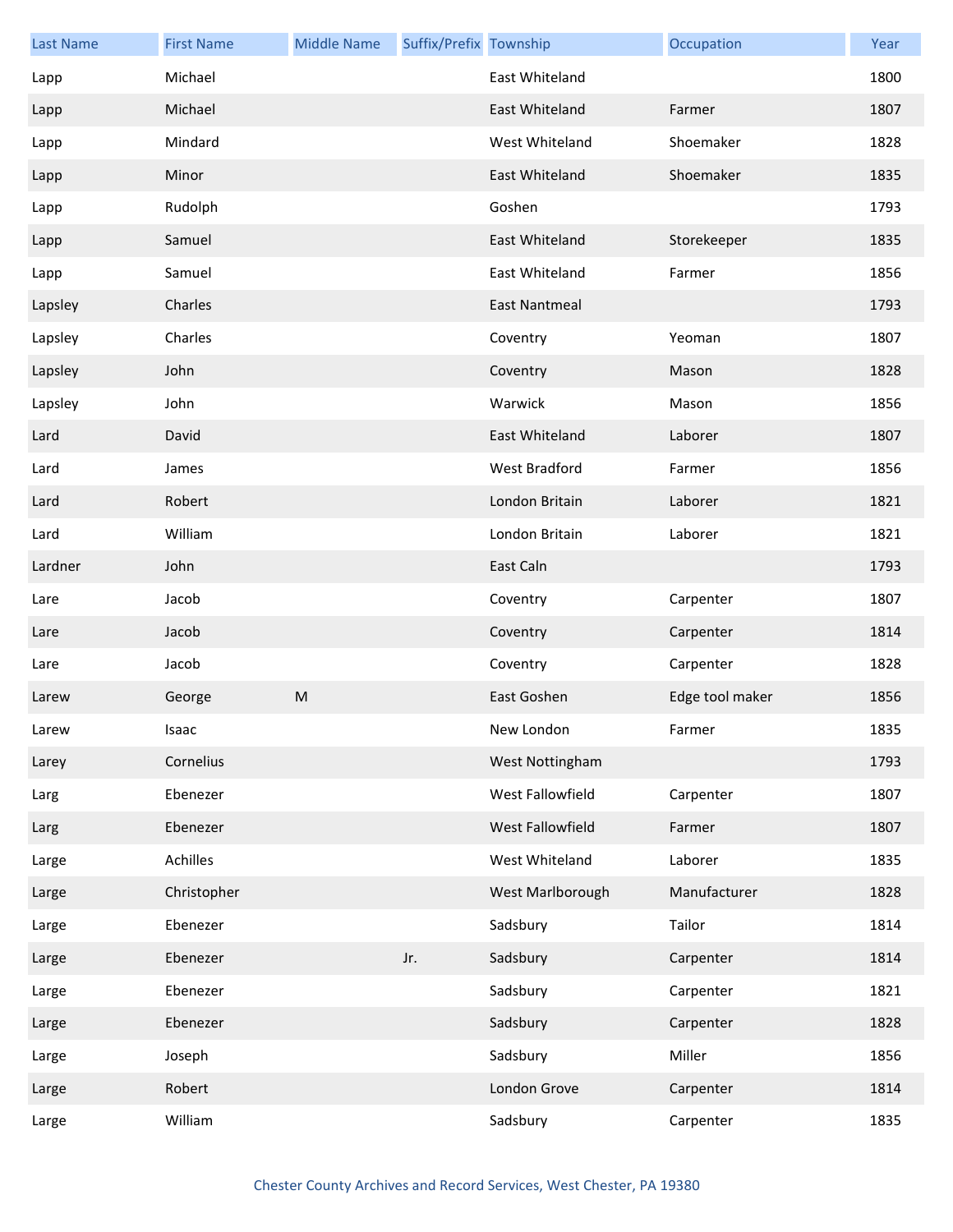| <b>Last Name</b> | <b>First Name</b> | <b>Middle Name</b> | Suffix/Prefix Township |                      | Occupation      | Year |
|------------------|-------------------|--------------------|------------------------|----------------------|-----------------|------|
| Lapp             | Michael           |                    |                        | East Whiteland       |                 | 1800 |
| Lapp             | Michael           |                    |                        | East Whiteland       | Farmer          | 1807 |
| Lapp             | Mindard           |                    |                        | West Whiteland       | Shoemaker       | 1828 |
| Lapp             | Minor             |                    |                        | East Whiteland       | Shoemaker       | 1835 |
| Lapp             | Rudolph           |                    |                        | Goshen               |                 | 1793 |
| Lapp             | Samuel            |                    |                        | East Whiteland       | Storekeeper     | 1835 |
| Lapp             | Samuel            |                    |                        | East Whiteland       | Farmer          | 1856 |
| Lapsley          | Charles           |                    |                        | <b>East Nantmeal</b> |                 | 1793 |
| Lapsley          | Charles           |                    |                        | Coventry             | Yeoman          | 1807 |
| Lapsley          | John              |                    |                        | Coventry             | Mason           | 1828 |
| Lapsley          | John              |                    |                        | Warwick              | Mason           | 1856 |
| Lard             | David             |                    |                        | East Whiteland       | Laborer         | 1807 |
| Lard             | James             |                    |                        | West Bradford        | Farmer          | 1856 |
| Lard             | Robert            |                    |                        | London Britain       | Laborer         | 1821 |
| Lard             | William           |                    |                        | London Britain       | Laborer         | 1821 |
| Lardner          | John              |                    |                        | East Caln            |                 | 1793 |
| Lare             | Jacob             |                    |                        | Coventry             | Carpenter       | 1807 |
| Lare             | Jacob             |                    |                        | Coventry             | Carpenter       | 1814 |
| Lare             | Jacob             |                    |                        | Coventry             | Carpenter       | 1828 |
| Larew            | George            | M                  |                        | East Goshen          | Edge tool maker | 1856 |
| Larew            | Isaac             |                    |                        | New London           | Farmer          | 1835 |
| Larey            | Cornelius         |                    |                        | West Nottingham      |                 | 1793 |
| Larg             | Ebenezer          |                    |                        | West Fallowfield     | Carpenter       | 1807 |
| Larg             | Ebenezer          |                    |                        | West Fallowfield     | Farmer          | 1807 |
| Large            | Achilles          |                    |                        | West Whiteland       | Laborer         | 1835 |
| Large            | Christopher       |                    |                        | West Marlborough     | Manufacturer    | 1828 |
| Large            | Ebenezer          |                    |                        | Sadsbury             | Tailor          | 1814 |
| Large            | Ebenezer          |                    | Jr.                    | Sadsbury             | Carpenter       | 1814 |
| Large            | Ebenezer          |                    |                        | Sadsbury             | Carpenter       | 1821 |
| Large            | Ebenezer          |                    |                        | Sadsbury             | Carpenter       | 1828 |
| Large            | Joseph            |                    |                        | Sadsbury             | Miller          | 1856 |
| Large            | Robert            |                    |                        | London Grove         | Carpenter       | 1814 |
| Large            | William           |                    |                        | Sadsbury             | Carpenter       | 1835 |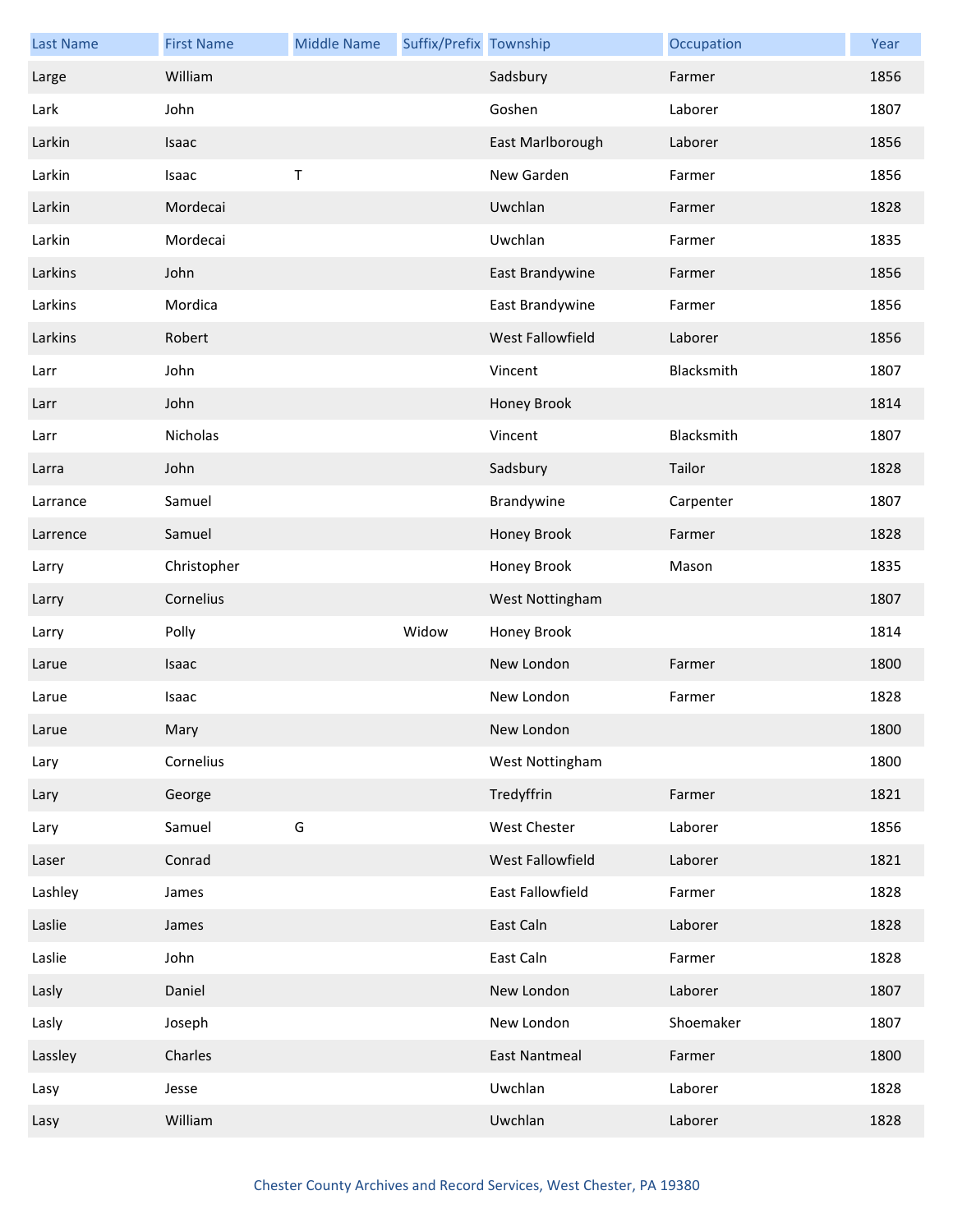| <b>Last Name</b> | <b>First Name</b> | <b>Middle Name</b> | Suffix/Prefix Township |                         | Occupation | Year |
|------------------|-------------------|--------------------|------------------------|-------------------------|------------|------|
| Large            | William           |                    |                        | Sadsbury                | Farmer     | 1856 |
| Lark             | John              |                    |                        | Goshen                  | Laborer    | 1807 |
| Larkin           | Isaac             |                    |                        | East Marlborough        | Laborer    | 1856 |
| Larkin           | Isaac             | $\sf T$            |                        | New Garden              | Farmer     | 1856 |
| Larkin           | Mordecai          |                    |                        | Uwchlan                 | Farmer     | 1828 |
| Larkin           | Mordecai          |                    |                        | Uwchlan                 | Farmer     | 1835 |
| Larkins          | John              |                    |                        | East Brandywine         | Farmer     | 1856 |
| Larkins          | Mordica           |                    |                        | East Brandywine         | Farmer     | 1856 |
| Larkins          | Robert            |                    |                        | West Fallowfield        | Laborer    | 1856 |
| Larr             | John              |                    |                        | Vincent                 | Blacksmith | 1807 |
| Larr             | John              |                    |                        | Honey Brook             |            | 1814 |
| Larr             | Nicholas          |                    |                        | Vincent                 | Blacksmith | 1807 |
| Larra            | John              |                    |                        | Sadsbury                | Tailor     | 1828 |
| Larrance         | Samuel            |                    |                        | Brandywine              | Carpenter  | 1807 |
| Larrence         | Samuel            |                    |                        | Honey Brook             | Farmer     | 1828 |
| Larry            | Christopher       |                    |                        | Honey Brook             | Mason      | 1835 |
| Larry            | Cornelius         |                    |                        | West Nottingham         |            | 1807 |
| Larry            | Polly             |                    | Widow                  | Honey Brook             |            | 1814 |
| Larue            | Isaac             |                    |                        | New London              | Farmer     | 1800 |
| Larue            | Isaac             |                    |                        | New London              | Farmer     | 1828 |
| Larue            | Mary              |                    |                        | New London              |            | 1800 |
| Lary             | Cornelius         |                    |                        | West Nottingham         |            | 1800 |
| Lary             | George            |                    |                        | Tredyffrin              | Farmer     | 1821 |
| Lary             | Samuel            | G                  |                        | West Chester            | Laborer    | 1856 |
| Laser            | Conrad            |                    |                        | West Fallowfield        | Laborer    | 1821 |
| Lashley          | James             |                    |                        | <b>East Fallowfield</b> | Farmer     | 1828 |
| Laslie           | James             |                    |                        | East Caln               | Laborer    | 1828 |
|                  |                   |                    |                        |                         |            |      |
| Laslie           | John              |                    |                        | East Caln               | Farmer     | 1828 |
| Lasly            | Daniel            |                    |                        | New London              | Laborer    | 1807 |
| Lasly            | Joseph            |                    |                        | New London              | Shoemaker  | 1807 |
| Lassley          | Charles           |                    |                        | <b>East Nantmeal</b>    | Farmer     | 1800 |
| Lasy             | Jesse             |                    |                        | Uwchlan                 | Laborer    | 1828 |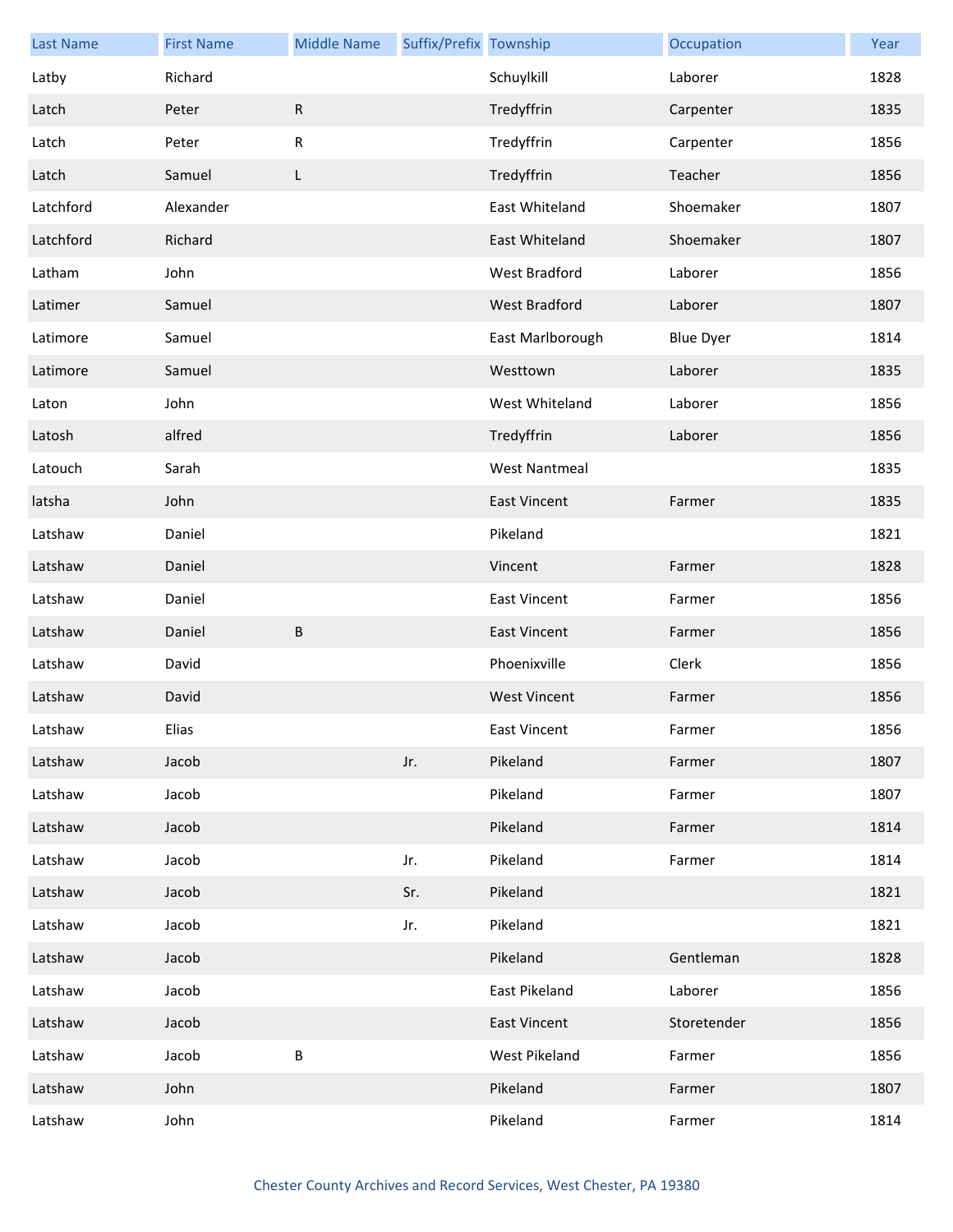| <b>Last Name</b> | <b>First Name</b> | <b>Middle Name</b> | Suffix/Prefix Township |                      | Occupation       | Year |
|------------------|-------------------|--------------------|------------------------|----------------------|------------------|------|
| Latby            | Richard           |                    |                        | Schuylkill           | Laborer          | 1828 |
| Latch            | Peter             | R                  |                        | Tredyffrin           | Carpenter        | 1835 |
| Latch            | Peter             | R                  |                        | Tredyffrin           | Carpenter        | 1856 |
| Latch            | Samuel            | L                  |                        | Tredyffrin           | Teacher          | 1856 |
| Latchford        | Alexander         |                    |                        | East Whiteland       | Shoemaker        | 1807 |
| Latchford        | Richard           |                    |                        | East Whiteland       | Shoemaker        | 1807 |
| Latham           | John              |                    |                        | West Bradford        | Laborer          | 1856 |
| Latimer          | Samuel            |                    |                        | West Bradford        | Laborer          | 1807 |
| Latimore         | Samuel            |                    |                        | East Marlborough     | <b>Blue Dyer</b> | 1814 |
| Latimore         | Samuel            |                    |                        | Westtown             | Laborer          | 1835 |
| Laton            | John              |                    |                        | West Whiteland       | Laborer          | 1856 |
| Latosh           | alfred            |                    |                        | Tredyffrin           | Laborer          | 1856 |
| Latouch          | Sarah             |                    |                        | <b>West Nantmeal</b> |                  | 1835 |
| latsha           | John              |                    |                        | <b>East Vincent</b>  | Farmer           | 1835 |
| Latshaw          | Daniel            |                    |                        | Pikeland             |                  | 1821 |
| Latshaw          | Daniel            |                    |                        | Vincent              | Farmer           | 1828 |
| Latshaw          | Daniel            |                    |                        | <b>East Vincent</b>  | Farmer           | 1856 |
| Latshaw          | Daniel            | B                  |                        | <b>East Vincent</b>  | Farmer           | 1856 |
| Latshaw          | David             |                    |                        | Phoenixville         | Clerk            | 1856 |
| Latshaw          | David             |                    |                        | <b>West Vincent</b>  | Farmer           | 1856 |
| Latshaw          | Elias             |                    |                        | East Vincent         | Farmer           | 1856 |
| Latshaw          | Jacob             |                    | Jr.                    | Pikeland             | Farmer           | 1807 |
| Latshaw          | Jacob             |                    |                        | Pikeland             | Farmer           | 1807 |
| Latshaw          | Jacob             |                    |                        | Pikeland             | Farmer           | 1814 |
| Latshaw          | Jacob             |                    | Jr.                    | Pikeland             | Farmer           | 1814 |
| Latshaw          | Jacob             |                    | Sr.                    | Pikeland             |                  | 1821 |
| Latshaw          | Jacob             |                    | Jr.                    | Pikeland             |                  | 1821 |
| Latshaw          | Jacob             |                    |                        | Pikeland             | Gentleman        | 1828 |
| Latshaw          | Jacob             |                    |                        | East Pikeland        | Laborer          | 1856 |
| Latshaw          | Jacob             |                    |                        | <b>East Vincent</b>  | Storetender      | 1856 |
| Latshaw          | Jacob             | B                  |                        | West Pikeland        | Farmer           | 1856 |
| Latshaw          | John              |                    |                        | Pikeland             | Farmer           | 1807 |
| Latshaw          | John              |                    |                        | Pikeland             | Farmer           | 1814 |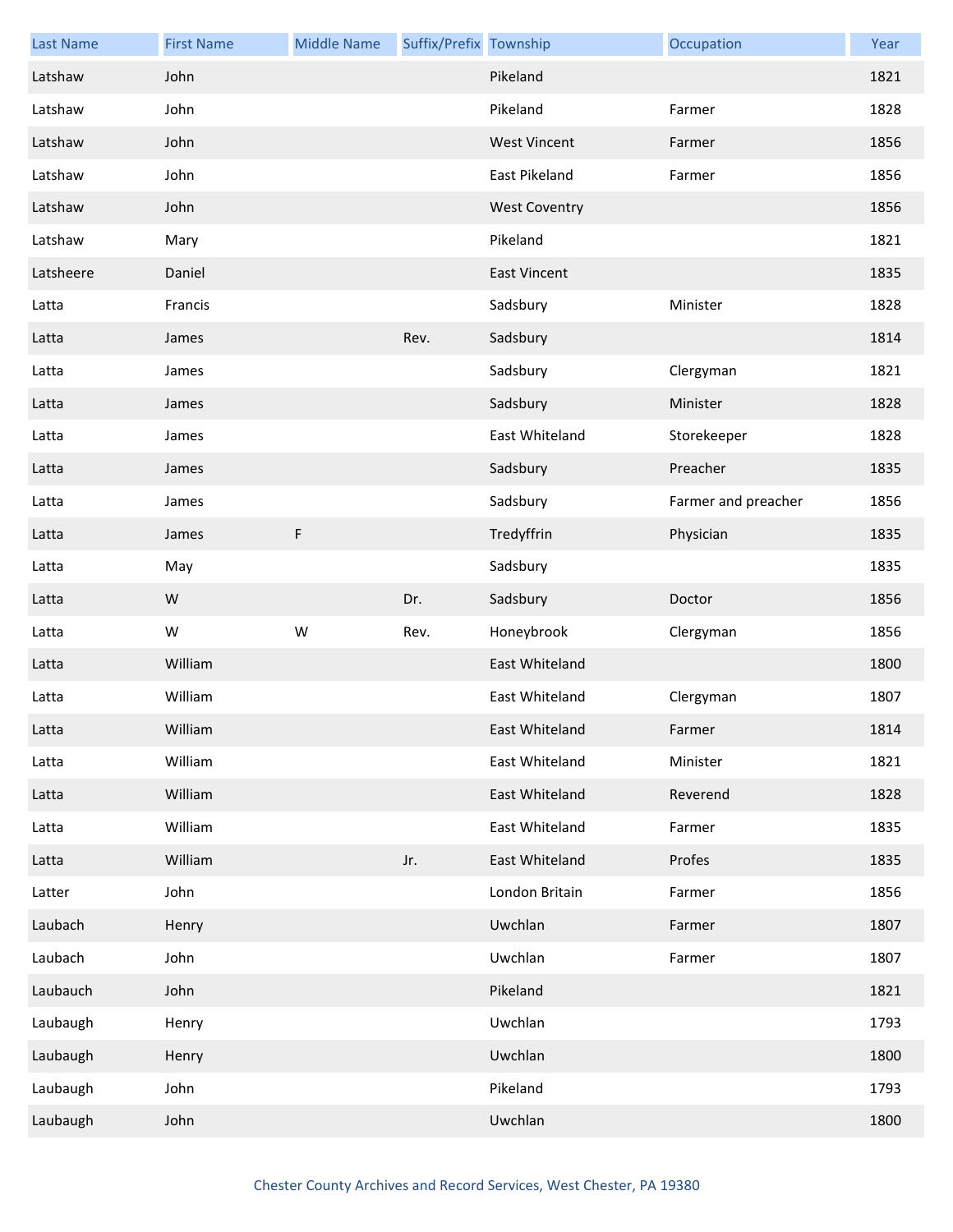| <b>Last Name</b> | <b>First Name</b> | <b>Middle Name</b> | Suffix/Prefix Township |                      | Occupation          | Year |
|------------------|-------------------|--------------------|------------------------|----------------------|---------------------|------|
| Latshaw          | John              |                    |                        | Pikeland             |                     | 1821 |
| Latshaw          | John              |                    |                        | Pikeland             | Farmer              | 1828 |
| Latshaw          | John              |                    |                        | <b>West Vincent</b>  | Farmer              | 1856 |
| Latshaw          | John              |                    |                        | East Pikeland        | Farmer              | 1856 |
| Latshaw          | John              |                    |                        | <b>West Coventry</b> |                     | 1856 |
| Latshaw          | Mary              |                    |                        | Pikeland             |                     | 1821 |
| Latsheere        | Daniel            |                    |                        | <b>East Vincent</b>  |                     | 1835 |
| Latta            | Francis           |                    |                        | Sadsbury             | Minister            | 1828 |
| Latta            | James             |                    | Rev.                   | Sadsbury             |                     | 1814 |
| Latta            | James             |                    |                        | Sadsbury             | Clergyman           | 1821 |
| Latta            | James             |                    |                        | Sadsbury             | Minister            | 1828 |
| Latta            | James             |                    |                        | East Whiteland       | Storekeeper         | 1828 |
| Latta            | James             |                    |                        | Sadsbury             | Preacher            | 1835 |
| Latta            | James             |                    |                        | Sadsbury             | Farmer and preacher | 1856 |
| Latta            | James             | F                  |                        | Tredyffrin           | Physician           | 1835 |
| Latta            | May               |                    |                        | Sadsbury             |                     | 1835 |
| Latta            | W                 |                    | Dr.                    | Sadsbury             | Doctor              | 1856 |
| Latta            | W                 | W                  | Rev.                   | Honeybrook           | Clergyman           | 1856 |
| Latta            | William           |                    |                        | East Whiteland       |                     | 1800 |
| Latta            | William           |                    |                        | East Whiteland       | Clergyman           | 1807 |
| Latta            | William           |                    |                        | East Whiteland       | Farmer              | 1814 |
| Latta            | William           |                    |                        | East Whiteland       | Minister            | 1821 |
| Latta            | William           |                    |                        | East Whiteland       | Reverend            | 1828 |
| Latta            | William           |                    |                        | East Whiteland       | Farmer              | 1835 |
| Latta            | William           |                    | Jr.                    | East Whiteland       | Profes              | 1835 |
| Latter           | John              |                    |                        | London Britain       | Farmer              | 1856 |
| Laubach          | Henry             |                    |                        | Uwchlan              | Farmer              | 1807 |
| Laubach          | John              |                    |                        | Uwchlan              | Farmer              | 1807 |
| Laubauch         | John              |                    |                        | Pikeland             |                     | 1821 |
| Laubaugh         | Henry             |                    |                        | Uwchlan              |                     | 1793 |
| Laubaugh         | Henry             |                    |                        | Uwchlan              |                     | 1800 |
| Laubaugh         | John              |                    |                        | Pikeland             |                     | 1793 |
| Laubaugh         | John              |                    |                        | Uwchlan              |                     | 1800 |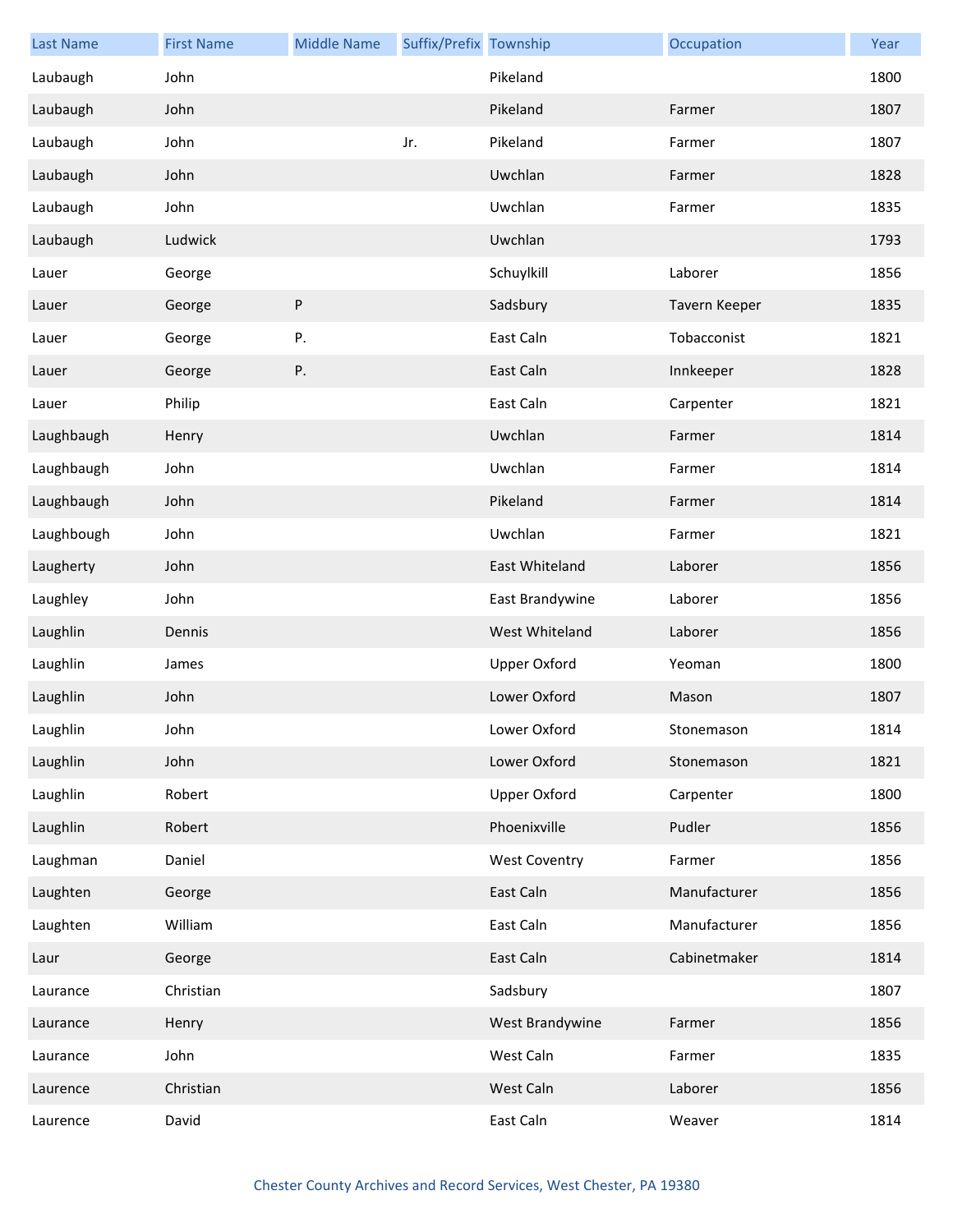| <b>Last Name</b> | <b>First Name</b> | <b>Middle Name</b> | Suffix/Prefix Township |                      | Occupation    | Year |
|------------------|-------------------|--------------------|------------------------|----------------------|---------------|------|
| Laubaugh         | John              |                    |                        | Pikeland             |               | 1800 |
| Laubaugh         | John              |                    |                        | Pikeland             | Farmer        | 1807 |
| Laubaugh         | John              |                    | Jr.                    | Pikeland             | Farmer        | 1807 |
| Laubaugh         | John              |                    |                        | Uwchlan              | Farmer        | 1828 |
| Laubaugh         | John              |                    |                        | Uwchlan              | Farmer        | 1835 |
| Laubaugh         | Ludwick           |                    |                        | Uwchlan              |               | 1793 |
| Lauer            | George            |                    |                        | Schuylkill           | Laborer       | 1856 |
| Lauer            | George            | ${\sf P}$          |                        | Sadsbury             | Tavern Keeper | 1835 |
| Lauer            | George            | Ρ.                 |                        | East Caln            | Tobacconist   | 1821 |
| Lauer            | George            | Ρ.                 |                        | East Caln            | Innkeeper     | 1828 |
| Lauer            | Philip            |                    |                        | East Caln            | Carpenter     | 1821 |
| Laughbaugh       | Henry             |                    |                        | Uwchlan              | Farmer        | 1814 |
| Laughbaugh       | John              |                    |                        | Uwchlan              | Farmer        | 1814 |
| Laughbaugh       | John              |                    |                        | Pikeland             | Farmer        | 1814 |
| Laughbough       | John              |                    |                        | Uwchlan              | Farmer        | 1821 |
| Laugherty        | John              |                    |                        | East Whiteland       | Laborer       | 1856 |
| Laughley         | John              |                    |                        | East Brandywine      | Laborer       | 1856 |
| Laughlin         | Dennis            |                    |                        | West Whiteland       | Laborer       | 1856 |
| Laughlin         | James             |                    |                        | Upper Oxford         | Yeoman        | 1800 |
| Laughlin         | John              |                    |                        | Lower Oxford         | Mason         | 1807 |
| Laughlin         | John              |                    |                        | Lower Oxford         | Stonemason    | 1814 |
| Laughlin         | John              |                    |                        | Lower Oxford         | Stonemason    | 1821 |
| Laughlin         | Robert            |                    |                        | Upper Oxford         | Carpenter     | 1800 |
| Laughlin         | Robert            |                    |                        | Phoenixville         | Pudler        | 1856 |
| Laughman         | Daniel            |                    |                        | <b>West Coventry</b> | Farmer        | 1856 |
| Laughten         | George            |                    |                        | East Caln            | Manufacturer  | 1856 |
| Laughten         | William           |                    |                        | East Caln            | Manufacturer  | 1856 |
| Laur             | George            |                    |                        | East Caln            | Cabinetmaker  | 1814 |
| Laurance         | Christian         |                    |                        | Sadsbury             |               | 1807 |
| Laurance         | Henry             |                    |                        | West Brandywine      | Farmer        | 1856 |
| Laurance         | John              |                    |                        | West Caln            | Farmer        | 1835 |
| Laurence         | Christian         |                    |                        | West Caln            | Laborer       | 1856 |
| Laurence         | David             |                    |                        | East Caln            | Weaver        | 1814 |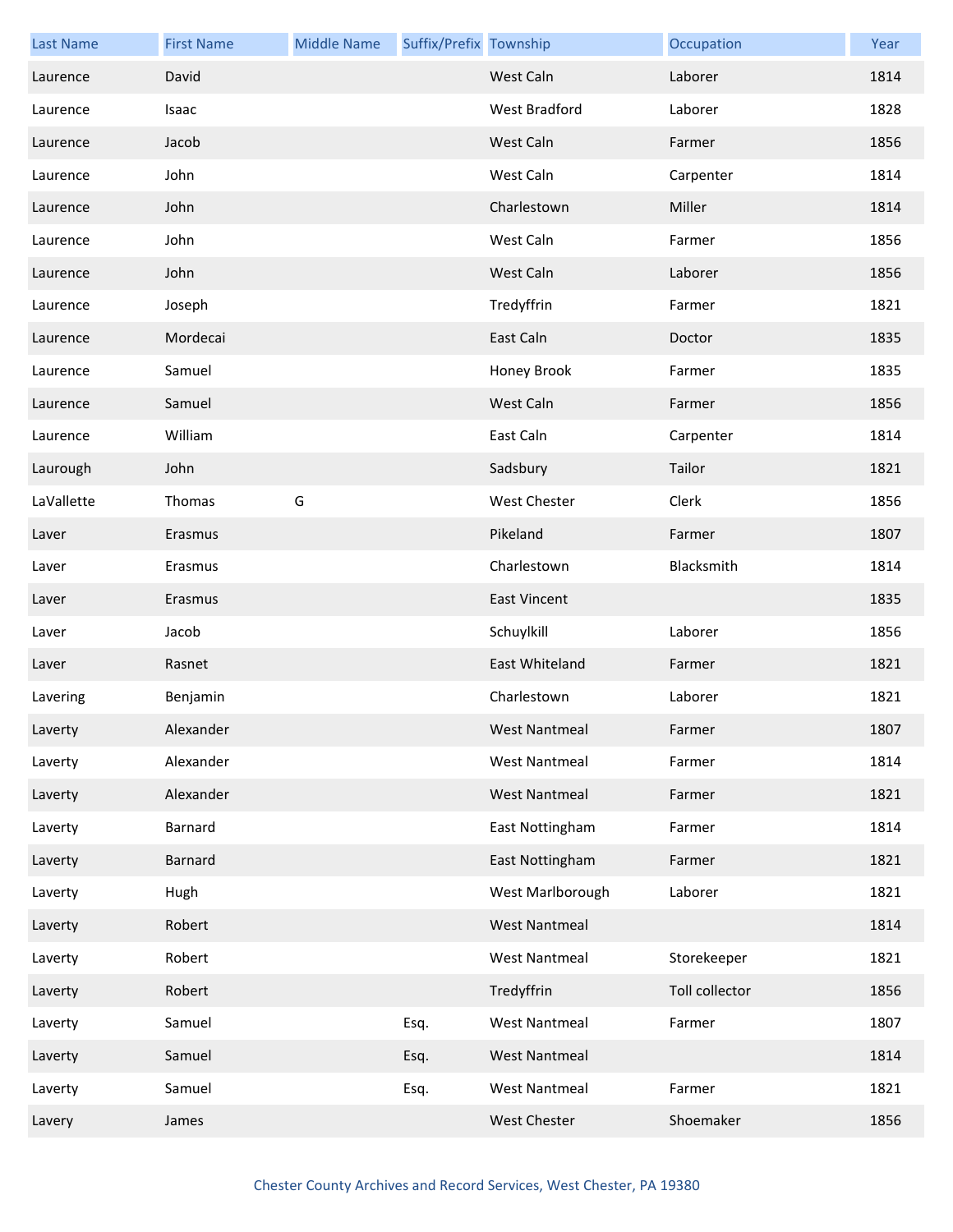| <b>Last Name</b> | <b>First Name</b> | <b>Middle Name</b> | Suffix/Prefix Township |                      | Occupation     | Year |
|------------------|-------------------|--------------------|------------------------|----------------------|----------------|------|
| Laurence         | David             |                    |                        | West Caln            | Laborer        | 1814 |
| Laurence         | Isaac             |                    |                        | West Bradford        | Laborer        | 1828 |
| Laurence         | Jacob             |                    |                        | West Caln            | Farmer         | 1856 |
| Laurence         | John              |                    |                        | West Caln            | Carpenter      | 1814 |
| Laurence         | John              |                    |                        | Charlestown          | Miller         | 1814 |
| Laurence         | John              |                    |                        | West Caln            | Farmer         | 1856 |
| Laurence         | John              |                    |                        | West Caln            | Laborer        | 1856 |
| Laurence         | Joseph            |                    |                        | Tredyffrin           | Farmer         | 1821 |
| Laurence         | Mordecai          |                    |                        | East Caln            | Doctor         | 1835 |
| Laurence         | Samuel            |                    |                        | Honey Brook          | Farmer         | 1835 |
| Laurence         | Samuel            |                    |                        | West Caln            | Farmer         | 1856 |
| Laurence         | William           |                    |                        | East Caln            | Carpenter      | 1814 |
| Laurough         | John              |                    |                        | Sadsbury             | Tailor         | 1821 |
| LaVallette       | Thomas            | G                  |                        | <b>West Chester</b>  | Clerk          | 1856 |
| Laver            | Erasmus           |                    |                        | Pikeland             | Farmer         | 1807 |
| Laver            | Erasmus           |                    |                        | Charlestown          | Blacksmith     | 1814 |
| Laver            | Erasmus           |                    |                        | <b>East Vincent</b>  |                | 1835 |
| Laver            | Jacob             |                    |                        | Schuylkill           | Laborer        | 1856 |
| Laver            | Rasnet            |                    |                        | East Whiteland       | Farmer         | 1821 |
| Lavering         | Benjamin          |                    |                        | Charlestown          | Laborer        | 1821 |
| Laverty          | Alexander         |                    |                        | <b>West Nantmeal</b> | Farmer         | 1807 |
| Laverty          | Alexander         |                    |                        | <b>West Nantmeal</b> | Farmer         | 1814 |
| Laverty          | Alexander         |                    |                        | <b>West Nantmeal</b> | Farmer         | 1821 |
| Laverty          | Barnard           |                    |                        | East Nottingham      | Farmer         | 1814 |
| Laverty          | Barnard           |                    |                        | East Nottingham      | Farmer         | 1821 |
| Laverty          | Hugh              |                    |                        | West Marlborough     | Laborer        | 1821 |
| Laverty          | Robert            |                    |                        | <b>West Nantmeal</b> |                | 1814 |
| Laverty          | Robert            |                    |                        | <b>West Nantmeal</b> | Storekeeper    | 1821 |
| Laverty          | Robert            |                    |                        | Tredyffrin           | Toll collector | 1856 |
| Laverty          | Samuel            |                    | Esq.                   | <b>West Nantmeal</b> | Farmer         | 1807 |
| Laverty          | Samuel            |                    | Esq.                   | <b>West Nantmeal</b> |                | 1814 |
| Laverty          | Samuel            |                    | Esq.                   | <b>West Nantmeal</b> | Farmer         | 1821 |
| Lavery           | James             |                    |                        | West Chester         | Shoemaker      | 1856 |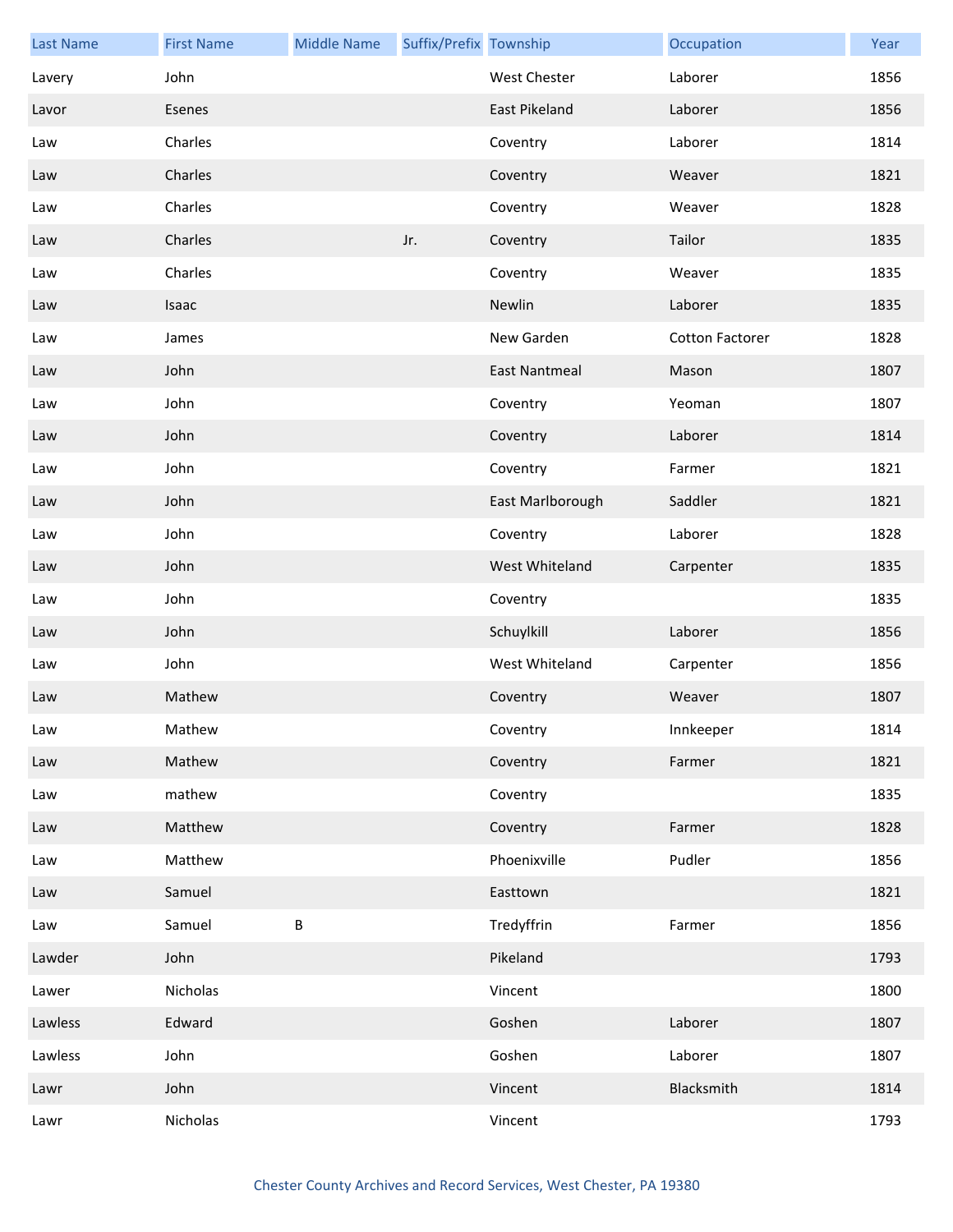| <b>Last Name</b> | <b>First Name</b> | <b>Middle Name</b> | Suffix/Prefix Township |                      | Occupation             | Year |
|------------------|-------------------|--------------------|------------------------|----------------------|------------------------|------|
| Lavery           | John              |                    |                        | <b>West Chester</b>  | Laborer                | 1856 |
| Lavor            | Esenes            |                    |                        | <b>East Pikeland</b> | Laborer                | 1856 |
| Law              | Charles           |                    |                        | Coventry             | Laborer                | 1814 |
| Law              | Charles           |                    |                        | Coventry             | Weaver                 | 1821 |
| Law              | Charles           |                    |                        | Coventry             | Weaver                 | 1828 |
| Law              | Charles           |                    | Jr.                    | Coventry             | Tailor                 | 1835 |
| Law              | Charles           |                    |                        | Coventry             | Weaver                 | 1835 |
| Law              | Isaac             |                    |                        | Newlin               | Laborer                | 1835 |
| Law              | James             |                    |                        | New Garden           | <b>Cotton Factorer</b> | 1828 |
| Law              | John              |                    |                        | <b>East Nantmeal</b> | Mason                  | 1807 |
| Law              | John              |                    |                        | Coventry             | Yeoman                 | 1807 |
| Law              | John              |                    |                        | Coventry             | Laborer                | 1814 |
| Law              | John              |                    |                        | Coventry             | Farmer                 | 1821 |
| Law              | John              |                    |                        | East Marlborough     | Saddler                | 1821 |
| Law              | John              |                    |                        | Coventry             | Laborer                | 1828 |
| Law              | John              |                    |                        | West Whiteland       | Carpenter              | 1835 |
| Law              | John              |                    |                        | Coventry             |                        | 1835 |
| Law              | John              |                    |                        | Schuylkill           | Laborer                | 1856 |
| Law              | John              |                    |                        | West Whiteland       | Carpenter              | 1856 |
| Law              | Mathew            |                    |                        | Coventry             | Weaver                 | 1807 |
| Law              | Mathew            |                    |                        | Coventry             | Innkeeper              | 1814 |
| Law              | Mathew            |                    |                        | Coventry             | Farmer                 | 1821 |
| Law              | mathew            |                    |                        | Coventry             |                        | 1835 |
| Law              | Matthew           |                    |                        | Coventry             | Farmer                 | 1828 |
| Law              | Matthew           |                    |                        | Phoenixville         | Pudler                 | 1856 |
| Law              | Samuel            |                    |                        | Easttown             |                        | 1821 |
| Law              | Samuel            | $\sf B$            |                        | Tredyffrin           | Farmer                 | 1856 |
| Lawder           | John              |                    |                        | Pikeland             |                        | 1793 |
| Lawer            | Nicholas          |                    |                        | Vincent              |                        | 1800 |
| Lawless          | Edward            |                    |                        | Goshen               | Laborer                | 1807 |
| Lawless          | John              |                    |                        | Goshen               | Laborer                | 1807 |
| Lawr             | John              |                    |                        | Vincent              | Blacksmith             | 1814 |
| Lawr             | Nicholas          |                    |                        | Vincent              |                        | 1793 |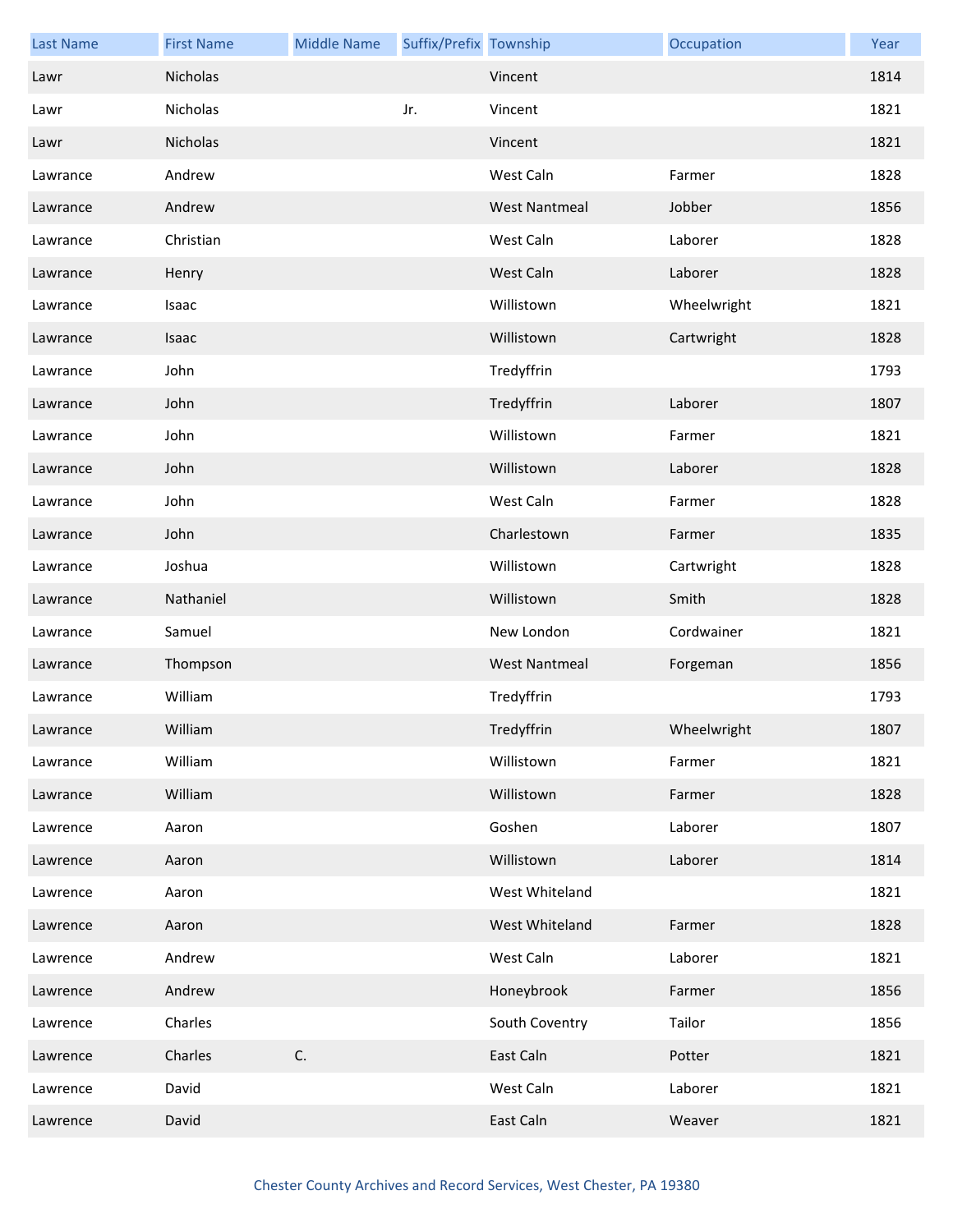| <b>Last Name</b> | <b>First Name</b> | <b>Middle Name</b> | Suffix/Prefix Township |                      | Occupation  | Year |
|------------------|-------------------|--------------------|------------------------|----------------------|-------------|------|
| Lawr             | Nicholas          |                    |                        | Vincent              |             | 1814 |
| Lawr             | Nicholas          |                    | Jr.                    | Vincent              |             | 1821 |
| Lawr             | Nicholas          |                    |                        | Vincent              |             | 1821 |
| Lawrance         | Andrew            |                    |                        | West Caln            | Farmer      | 1828 |
| Lawrance         | Andrew            |                    |                        | <b>West Nantmeal</b> | Jobber      | 1856 |
| Lawrance         | Christian         |                    |                        | West Caln            | Laborer     | 1828 |
| Lawrance         | Henry             |                    |                        | West Caln            | Laborer     | 1828 |
| Lawrance         | Isaac             |                    |                        | Willistown           | Wheelwright | 1821 |
| Lawrance         | Isaac             |                    |                        | Willistown           | Cartwright  | 1828 |
| Lawrance         | John              |                    |                        | Tredyffrin           |             | 1793 |
| Lawrance         | John              |                    |                        | Tredyffrin           | Laborer     | 1807 |
| Lawrance         | John              |                    |                        | Willistown           | Farmer      | 1821 |
| Lawrance         | John              |                    |                        | Willistown           | Laborer     | 1828 |
| Lawrance         | John              |                    |                        | West Caln            | Farmer      | 1828 |
| Lawrance         | John              |                    |                        | Charlestown          | Farmer      | 1835 |
| Lawrance         | Joshua            |                    |                        | Willistown           | Cartwright  | 1828 |
| Lawrance         | Nathaniel         |                    |                        | Willistown           | Smith       | 1828 |
| Lawrance         | Samuel            |                    |                        | New London           | Cordwainer  | 1821 |
| Lawrance         | Thompson          |                    |                        | <b>West Nantmeal</b> | Forgeman    | 1856 |
| Lawrance         | William           |                    |                        | Tredyffrin           |             | 1793 |
| Lawrance         | William           |                    |                        | Tredyffrin           | Wheelwright | 1807 |
| Lawrance         | William           |                    |                        | Willistown           | Farmer      | 1821 |
| Lawrance         | William           |                    |                        | Willistown           | Farmer      | 1828 |
| Lawrence         | Aaron             |                    |                        | Goshen               | Laborer     | 1807 |
| Lawrence         | Aaron             |                    |                        | Willistown           | Laborer     | 1814 |
| Lawrence         | Aaron             |                    |                        | West Whiteland       |             | 1821 |
| Lawrence         | Aaron             |                    |                        | West Whiteland       | Farmer      | 1828 |
| Lawrence         | Andrew            |                    |                        | West Caln            | Laborer     | 1821 |
| Lawrence         | Andrew            |                    |                        | Honeybrook           | Farmer      | 1856 |
| Lawrence         | Charles           |                    |                        | South Coventry       | Tailor      | 1856 |
| Lawrence         | Charles           | C.                 |                        | East Caln            | Potter      | 1821 |
| Lawrence         | David             |                    |                        | West Caln            | Laborer     | 1821 |
| Lawrence         | David             |                    |                        | East Caln            | Weaver      | 1821 |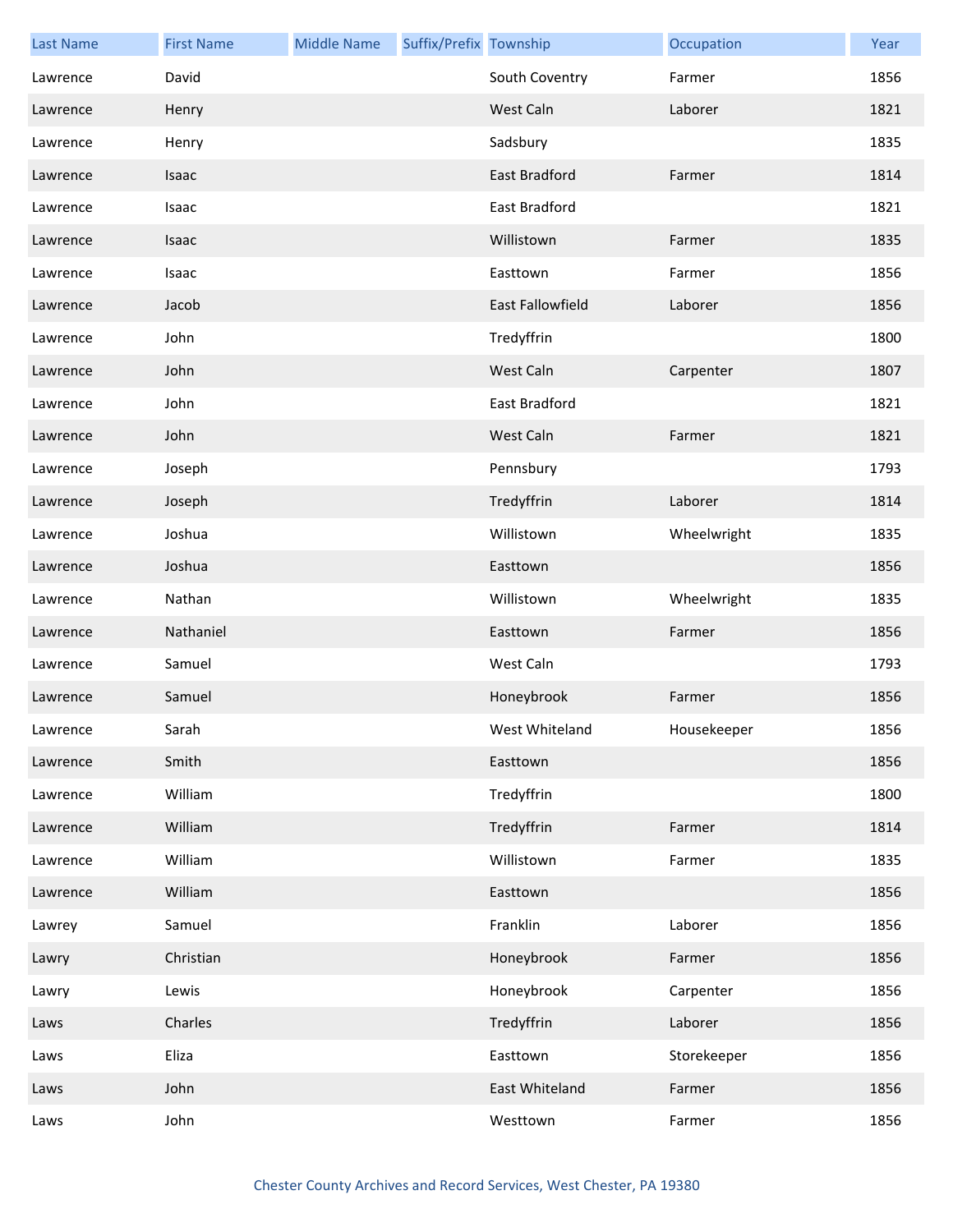| <b>Last Name</b> | <b>First Name</b> | <b>Middle Name</b> | Suffix/Prefix Township |                         | Occupation  | Year |
|------------------|-------------------|--------------------|------------------------|-------------------------|-------------|------|
| Lawrence         | David             |                    |                        | South Coventry          | Farmer      | 1856 |
| Lawrence         | Henry             |                    |                        | West Caln               | Laborer     | 1821 |
| Lawrence         | Henry             |                    |                        | Sadsbury                |             | 1835 |
| Lawrence         | Isaac             |                    |                        | East Bradford           | Farmer      | 1814 |
| Lawrence         | Isaac             |                    |                        | East Bradford           |             | 1821 |
| Lawrence         | Isaac             |                    |                        | Willistown              | Farmer      | 1835 |
| Lawrence         | Isaac             |                    |                        | Easttown                | Farmer      | 1856 |
| Lawrence         | Jacob             |                    |                        | <b>East Fallowfield</b> | Laborer     | 1856 |
| Lawrence         | John              |                    |                        | Tredyffrin              |             | 1800 |
| Lawrence         | John              |                    |                        | West Caln               | Carpenter   | 1807 |
| Lawrence         | John              |                    |                        | East Bradford           |             | 1821 |
| Lawrence         | John              |                    |                        | West Caln               | Farmer      | 1821 |
| Lawrence         | Joseph            |                    |                        | Pennsbury               |             | 1793 |
| Lawrence         | Joseph            |                    |                        | Tredyffrin              | Laborer     | 1814 |
| Lawrence         | Joshua            |                    |                        | Willistown              | Wheelwright | 1835 |
| Lawrence         | Joshua            |                    |                        | Easttown                |             | 1856 |
| Lawrence         | Nathan            |                    |                        | Willistown              | Wheelwright | 1835 |
| Lawrence         | Nathaniel         |                    |                        | Easttown                | Farmer      | 1856 |
| Lawrence         | Samuel            |                    |                        | West Caln               |             | 1793 |
| Lawrence         | Samuel            |                    |                        | Honeybrook              | Farmer      | 1856 |
| Lawrence         | Sarah             |                    |                        | West Whiteland          | Housekeeper | 1856 |
| Lawrence         | Smith             |                    |                        | Easttown                |             | 1856 |
| Lawrence         | William           |                    |                        | Tredyffrin              |             | 1800 |
| Lawrence         | William           |                    |                        | Tredyffrin              | Farmer      | 1814 |
| Lawrence         | William           |                    |                        | Willistown              | Farmer      | 1835 |
| Lawrence         | William           |                    |                        | Easttown                |             | 1856 |
| Lawrey           | Samuel            |                    |                        | Franklin                | Laborer     | 1856 |
| Lawry            | Christian         |                    |                        | Honeybrook              | Farmer      | 1856 |
| Lawry            | Lewis             |                    |                        | Honeybrook              | Carpenter   | 1856 |
| Laws             | Charles           |                    |                        | Tredyffrin              | Laborer     | 1856 |
| Laws             | Eliza             |                    |                        | Easttown                | Storekeeper | 1856 |
| Laws             | John              |                    |                        | East Whiteland          | Farmer      | 1856 |
| Laws             | John              |                    |                        | Westtown                | Farmer      | 1856 |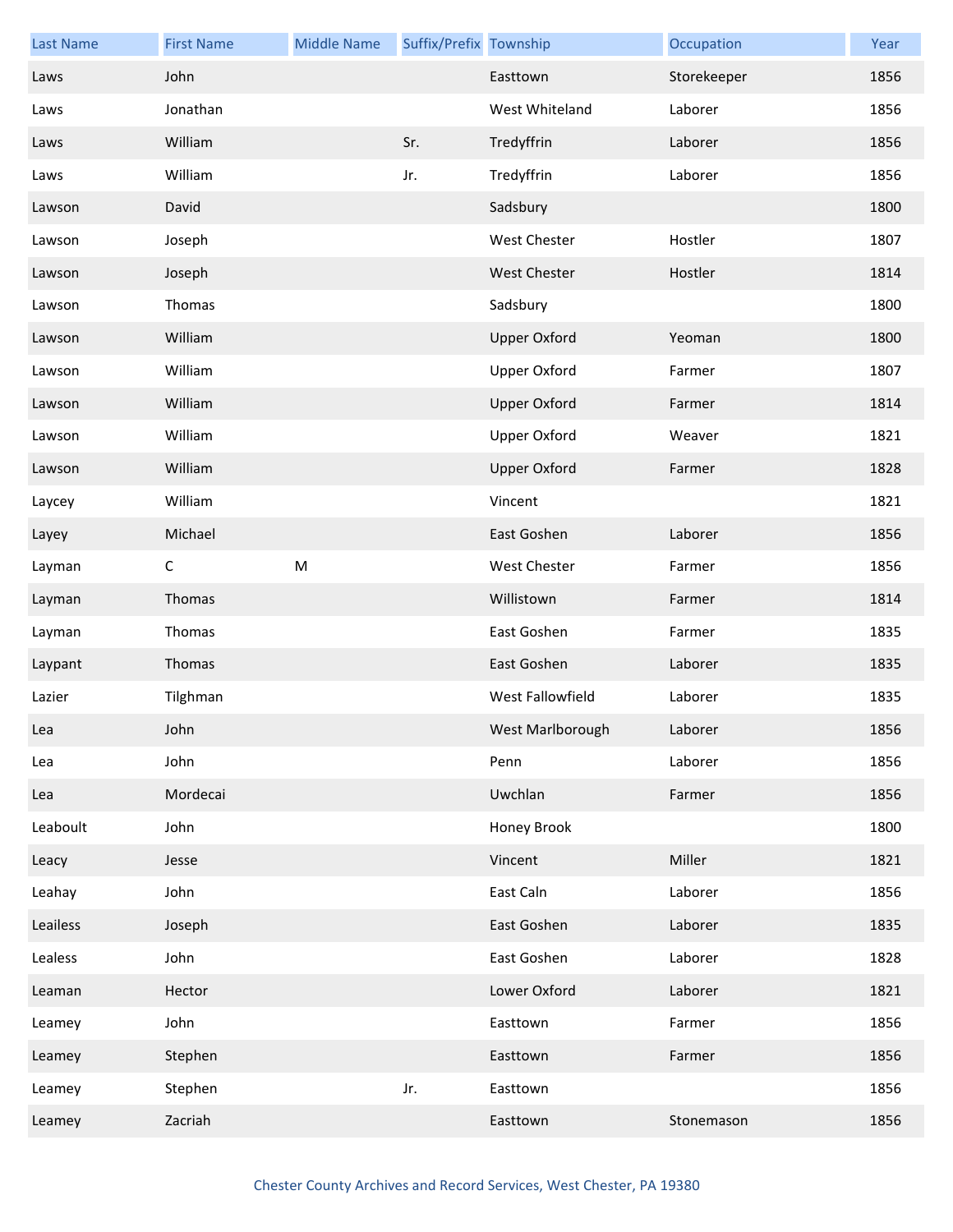| <b>Last Name</b> | <b>First Name</b> | <b>Middle Name</b> | Suffix/Prefix Township |                     | Occupation  | Year |
|------------------|-------------------|--------------------|------------------------|---------------------|-------------|------|
| Laws             | John              |                    |                        | Easttown            | Storekeeper | 1856 |
| Laws             | Jonathan          |                    |                        | West Whiteland      | Laborer     | 1856 |
| Laws             | William           |                    | Sr.                    | Tredyffrin          | Laborer     | 1856 |
| Laws             | William           |                    | Jr.                    | Tredyffrin          | Laborer     | 1856 |
| Lawson           | David             |                    |                        | Sadsbury            |             | 1800 |
| Lawson           | Joseph            |                    |                        | West Chester        | Hostler     | 1807 |
| Lawson           | Joseph            |                    |                        | <b>West Chester</b> | Hostler     | 1814 |
| Lawson           | Thomas            |                    |                        | Sadsbury            |             | 1800 |
| Lawson           | William           |                    |                        | <b>Upper Oxford</b> | Yeoman      | 1800 |
| Lawson           | William           |                    |                        | <b>Upper Oxford</b> | Farmer      | 1807 |
| Lawson           | William           |                    |                        | <b>Upper Oxford</b> | Farmer      | 1814 |
| Lawson           | William           |                    |                        | <b>Upper Oxford</b> | Weaver      | 1821 |
| Lawson           | William           |                    |                        | <b>Upper Oxford</b> | Farmer      | 1828 |
| Laycey           | William           |                    |                        | Vincent             |             | 1821 |
| Layey            | Michael           |                    |                        | East Goshen         | Laborer     | 1856 |
| Layman           | $\mathsf C$       | ${\sf M}$          |                        | <b>West Chester</b> | Farmer      | 1856 |
| Layman           | Thomas            |                    |                        | Willistown          | Farmer      | 1814 |
| Layman           | Thomas            |                    |                        | East Goshen         | Farmer      | 1835 |
| Laypant          | Thomas            |                    |                        | East Goshen         | Laborer     | 1835 |
| Lazier           | Tilghman          |                    |                        | West Fallowfield    | Laborer     | 1835 |
| Lea              | John              |                    |                        | West Marlborough    | Laborer     | 1856 |
| Lea              | John              |                    |                        | Penn                | Laborer     | 1856 |
| Lea              | Mordecai          |                    |                        | Uwchlan             | Farmer      | 1856 |
| Leaboult         | John              |                    |                        | Honey Brook         |             | 1800 |
| Leacy            | Jesse             |                    |                        | Vincent             | Miller      | 1821 |
| Leahay           | John              |                    |                        | East Caln           | Laborer     | 1856 |
| Leailess         | Joseph            |                    |                        | East Goshen         | Laborer     | 1835 |
| Lealess          | John              |                    |                        | East Goshen         | Laborer     | 1828 |
| Leaman           | Hector            |                    |                        | Lower Oxford        | Laborer     | 1821 |
| Leamey           | John              |                    |                        | Easttown            | Farmer      | 1856 |
| Leamey           | Stephen           |                    |                        | Easttown            | Farmer      | 1856 |
| Leamey           | Stephen           |                    | Jr.                    | Easttown            |             | 1856 |
| Leamey           | Zacriah           |                    |                        | Easttown            | Stonemason  | 1856 |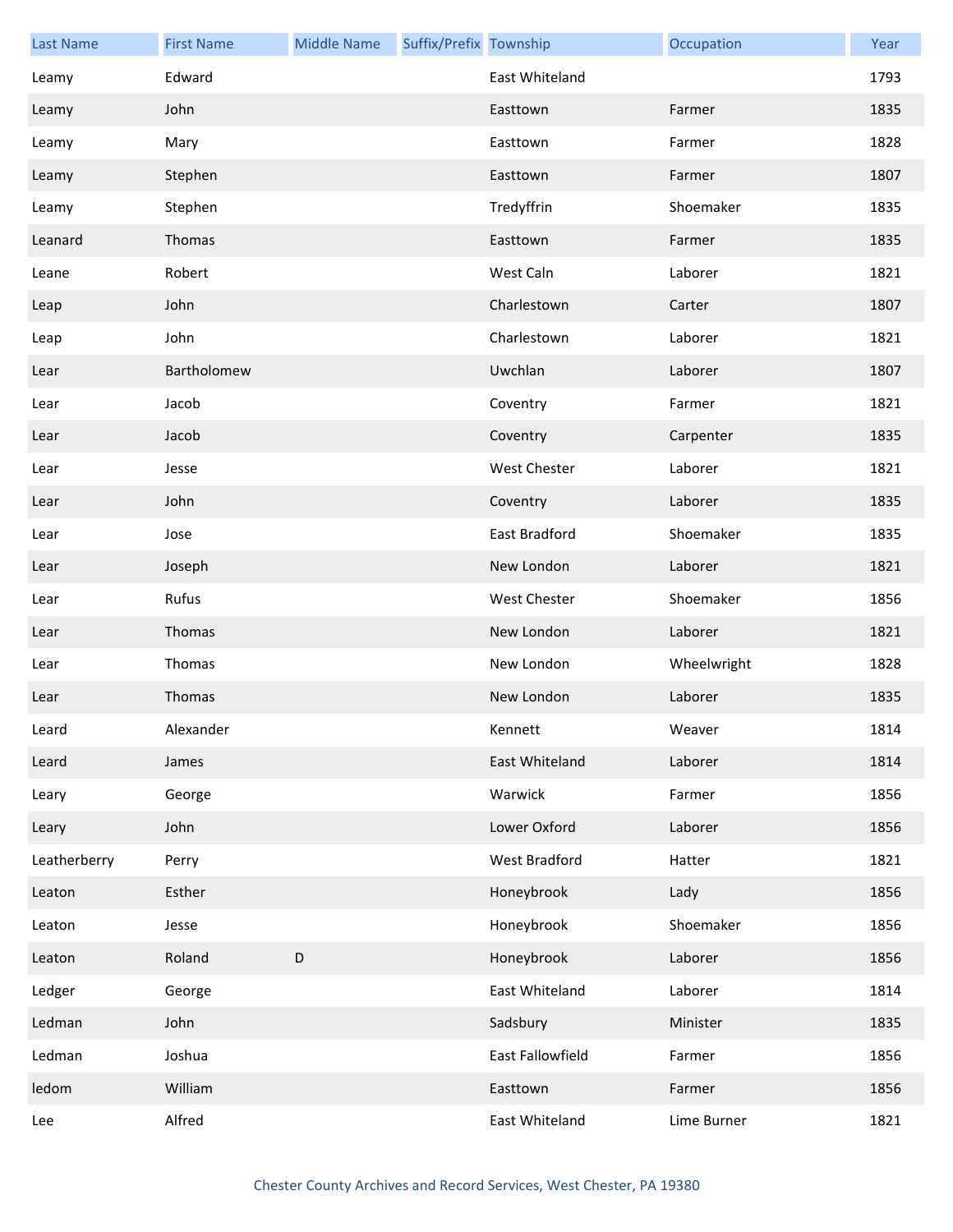| <b>Last Name</b> | <b>First Name</b> | <b>Middle Name</b> | Suffix/Prefix Township |                     | Occupation  | Year |
|------------------|-------------------|--------------------|------------------------|---------------------|-------------|------|
| Leamy            | Edward            |                    |                        | East Whiteland      |             | 1793 |
| Leamy            | John              |                    |                        | Easttown            | Farmer      | 1835 |
| Leamy            | Mary              |                    |                        | Easttown            | Farmer      | 1828 |
| Leamy            | Stephen           |                    |                        | Easttown            | Farmer      | 1807 |
| Leamy            | Stephen           |                    |                        | Tredyffrin          | Shoemaker   | 1835 |
| Leanard          | Thomas            |                    |                        | Easttown            | Farmer      | 1835 |
| Leane            | Robert            |                    |                        | West Caln           | Laborer     | 1821 |
| Leap             | John              |                    |                        | Charlestown         | Carter      | 1807 |
| Leap             | John              |                    |                        | Charlestown         | Laborer     | 1821 |
| Lear             | Bartholomew       |                    |                        | Uwchlan             | Laborer     | 1807 |
| Lear             | Jacob             |                    |                        | Coventry            | Farmer      | 1821 |
| Lear             | Jacob             |                    |                        | Coventry            | Carpenter   | 1835 |
| Lear             | Jesse             |                    |                        | <b>West Chester</b> | Laborer     | 1821 |
| Lear             | John              |                    |                        | Coventry            | Laborer     | 1835 |
| Lear             | Jose              |                    |                        | East Bradford       | Shoemaker   | 1835 |
| Lear             | Joseph            |                    |                        | New London          | Laborer     | 1821 |
| Lear             | Rufus             |                    |                        | <b>West Chester</b> | Shoemaker   | 1856 |
| Lear             | Thomas            |                    |                        | New London          | Laborer     | 1821 |
| Lear             | Thomas            |                    |                        | New London          | Wheelwright | 1828 |
| Lear             | Thomas            |                    |                        | New London          | Laborer     | 1835 |
| Leard            | Alexander         |                    |                        | Kennett             | Weaver      | 1814 |
| Leard            | James             |                    |                        | East Whiteland      | Laborer     | 1814 |
| Leary            | George            |                    |                        | Warwick             | Farmer      | 1856 |
| Leary            | John              |                    |                        | Lower Oxford        | Laborer     | 1856 |
| Leatherberry     | Perry             |                    |                        | West Bradford       | Hatter      | 1821 |
| Leaton           | Esther            |                    |                        | Honeybrook          | Lady        | 1856 |
| Leaton           | Jesse             |                    |                        | Honeybrook          | Shoemaker   | 1856 |
| Leaton           | Roland            | D                  |                        | Honeybrook          | Laborer     | 1856 |
| Ledger           | George            |                    |                        | East Whiteland      | Laborer     | 1814 |
| Ledman           | John              |                    |                        | Sadsbury            | Minister    | 1835 |
| Ledman           | Joshua            |                    |                        | East Fallowfield    | Farmer      | 1856 |
| ledom            | William           |                    |                        | Easttown            | Farmer      | 1856 |
| Lee              | Alfred            |                    |                        | East Whiteland      | Lime Burner | 1821 |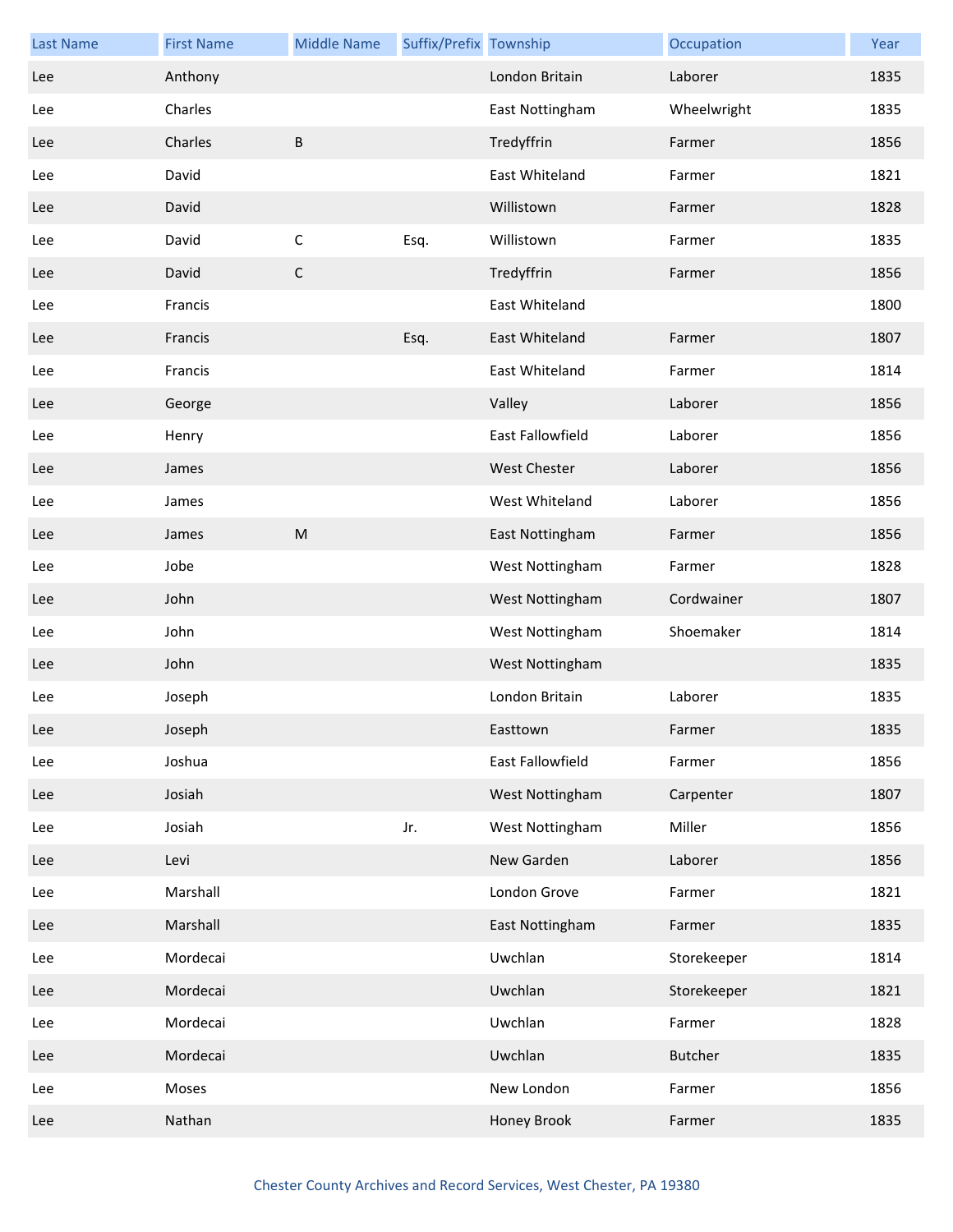| <b>Last Name</b> | <b>First Name</b> | <b>Middle Name</b> | Suffix/Prefix Township |                         | Occupation     | Year |
|------------------|-------------------|--------------------|------------------------|-------------------------|----------------|------|
| Lee              | Anthony           |                    |                        | London Britain          | Laborer        | 1835 |
| Lee              | Charles           |                    |                        | East Nottingham         | Wheelwright    | 1835 |
| Lee              | Charles           | B                  |                        | Tredyffrin              | Farmer         | 1856 |
| Lee              | David             |                    |                        | East Whiteland          | Farmer         | 1821 |
| Lee              | David             |                    |                        | Willistown              | Farmer         | 1828 |
| Lee              | David             | $\mathsf C$        | Esq.                   | Willistown              | Farmer         | 1835 |
| Lee              | David             | $\mathsf{C}$       |                        | Tredyffrin              | Farmer         | 1856 |
| Lee              | Francis           |                    |                        | East Whiteland          |                | 1800 |
| Lee              | Francis           |                    | Esq.                   | East Whiteland          | Farmer         | 1807 |
| Lee              | Francis           |                    |                        | East Whiteland          | Farmer         | 1814 |
| Lee              | George            |                    |                        | Valley                  | Laborer        | 1856 |
| Lee              | Henry             |                    |                        | <b>East Fallowfield</b> | Laborer        | 1856 |
| Lee              | James             |                    |                        | <b>West Chester</b>     | Laborer        | 1856 |
| Lee              | James             |                    |                        | West Whiteland          | Laborer        | 1856 |
| Lee              | James             | M                  |                        | East Nottingham         | Farmer         | 1856 |
| Lee              | Jobe              |                    |                        | West Nottingham         | Farmer         | 1828 |
| Lee              | John              |                    |                        | West Nottingham         | Cordwainer     | 1807 |
| Lee              | John              |                    |                        | West Nottingham         | Shoemaker      | 1814 |
| Lee              | John              |                    |                        | West Nottingham         |                | 1835 |
| Lee              | Joseph            |                    |                        | London Britain          | Laborer        | 1835 |
| Lee              | Joseph            |                    |                        | Easttown                | Farmer         | 1835 |
| Lee              | Joshua            |                    |                        | East Fallowfield        | Farmer         | 1856 |
| Lee              | Josiah            |                    |                        | West Nottingham         | Carpenter      | 1807 |
| Lee              | Josiah            |                    | Jr.                    | West Nottingham         | Miller         | 1856 |
| Lee              | Levi              |                    |                        | New Garden              | Laborer        | 1856 |
| Lee              | Marshall          |                    |                        | London Grove            | Farmer         | 1821 |
| Lee              | Marshall          |                    |                        | East Nottingham         | Farmer         | 1835 |
| Lee              | Mordecai          |                    |                        | Uwchlan                 | Storekeeper    | 1814 |
| Lee              | Mordecai          |                    |                        | Uwchlan                 | Storekeeper    | 1821 |
| Lee              | Mordecai          |                    |                        | Uwchlan                 | Farmer         | 1828 |
| Lee              | Mordecai          |                    |                        | Uwchlan                 | <b>Butcher</b> | 1835 |
| Lee              | Moses             |                    |                        | New London              | Farmer         | 1856 |
| Lee              | Nathan            |                    |                        | Honey Brook             | Farmer         | 1835 |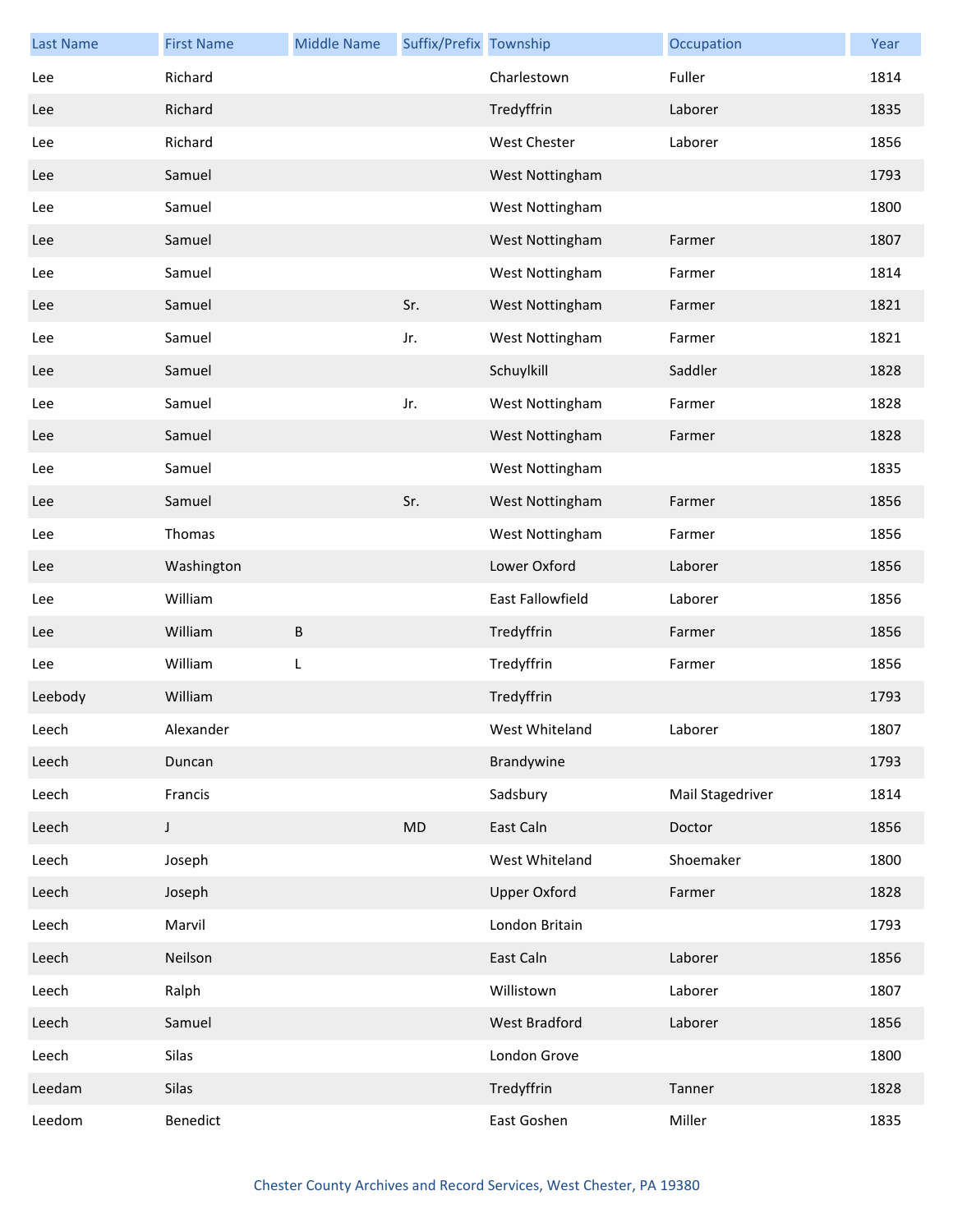| <b>Last Name</b> | <b>First Name</b> | <b>Middle Name</b> | Suffix/Prefix Township |                     | Occupation       | Year |
|------------------|-------------------|--------------------|------------------------|---------------------|------------------|------|
| Lee              | Richard           |                    |                        | Charlestown         | Fuller           | 1814 |
| Lee              | Richard           |                    |                        | Tredyffrin          | Laborer          | 1835 |
| Lee              | Richard           |                    |                        | <b>West Chester</b> | Laborer          | 1856 |
| Lee              | Samuel            |                    |                        | West Nottingham     |                  | 1793 |
| Lee              | Samuel            |                    |                        | West Nottingham     |                  | 1800 |
| Lee              | Samuel            |                    |                        | West Nottingham     | Farmer           | 1807 |
| Lee              | Samuel            |                    |                        | West Nottingham     | Farmer           | 1814 |
| Lee              | Samuel            |                    | Sr.                    | West Nottingham     | Farmer           | 1821 |
| Lee              | Samuel            |                    | Jr.                    | West Nottingham     | Farmer           | 1821 |
| Lee              | Samuel            |                    |                        | Schuylkill          | Saddler          | 1828 |
| Lee              | Samuel            |                    | Jr.                    | West Nottingham     | Farmer           | 1828 |
| Lee              | Samuel            |                    |                        | West Nottingham     | Farmer           | 1828 |
| Lee              | Samuel            |                    |                        | West Nottingham     |                  | 1835 |
| Lee              | Samuel            |                    | Sr.                    | West Nottingham     | Farmer           | 1856 |
| Lee              | Thomas            |                    |                        | West Nottingham     | Farmer           | 1856 |
| Lee              | Washington        |                    |                        | Lower Oxford        | Laborer          | 1856 |
| Lee              | William           |                    |                        | East Fallowfield    | Laborer          | 1856 |
| Lee              | William           | B                  |                        | Tredyffrin          | Farmer           | 1856 |
| Lee              | William           | L                  |                        | Tredyffrin          | Farmer           | 1856 |
| Leebody          | William           |                    |                        | Tredyffrin          |                  | 1793 |
| Leech            | Alexander         |                    |                        | West Whiteland      | Laborer          | 1807 |
| Leech            | Duncan            |                    |                        | Brandywine          |                  | 1793 |
| Leech            | Francis           |                    |                        | Sadsbury            | Mail Stagedriver | 1814 |
| Leech            | J                 |                    | MD                     | East Caln           | Doctor           | 1856 |
| Leech            | Joseph            |                    |                        | West Whiteland      | Shoemaker        | 1800 |
| Leech            | Joseph            |                    |                        | <b>Upper Oxford</b> | Farmer           | 1828 |
| Leech            | Marvil            |                    |                        | London Britain      |                  | 1793 |
| Leech            | Neilson           |                    |                        | East Caln           | Laborer          | 1856 |
| Leech            | Ralph             |                    |                        | Willistown          | Laborer          | 1807 |
| Leech            | Samuel            |                    |                        | West Bradford       | Laborer          | 1856 |
| Leech            | Silas             |                    |                        | London Grove        |                  | 1800 |
| Leedam           | Silas             |                    |                        | Tredyffrin          | Tanner           | 1828 |
| Leedom           | Benedict          |                    |                        | East Goshen         | Miller           | 1835 |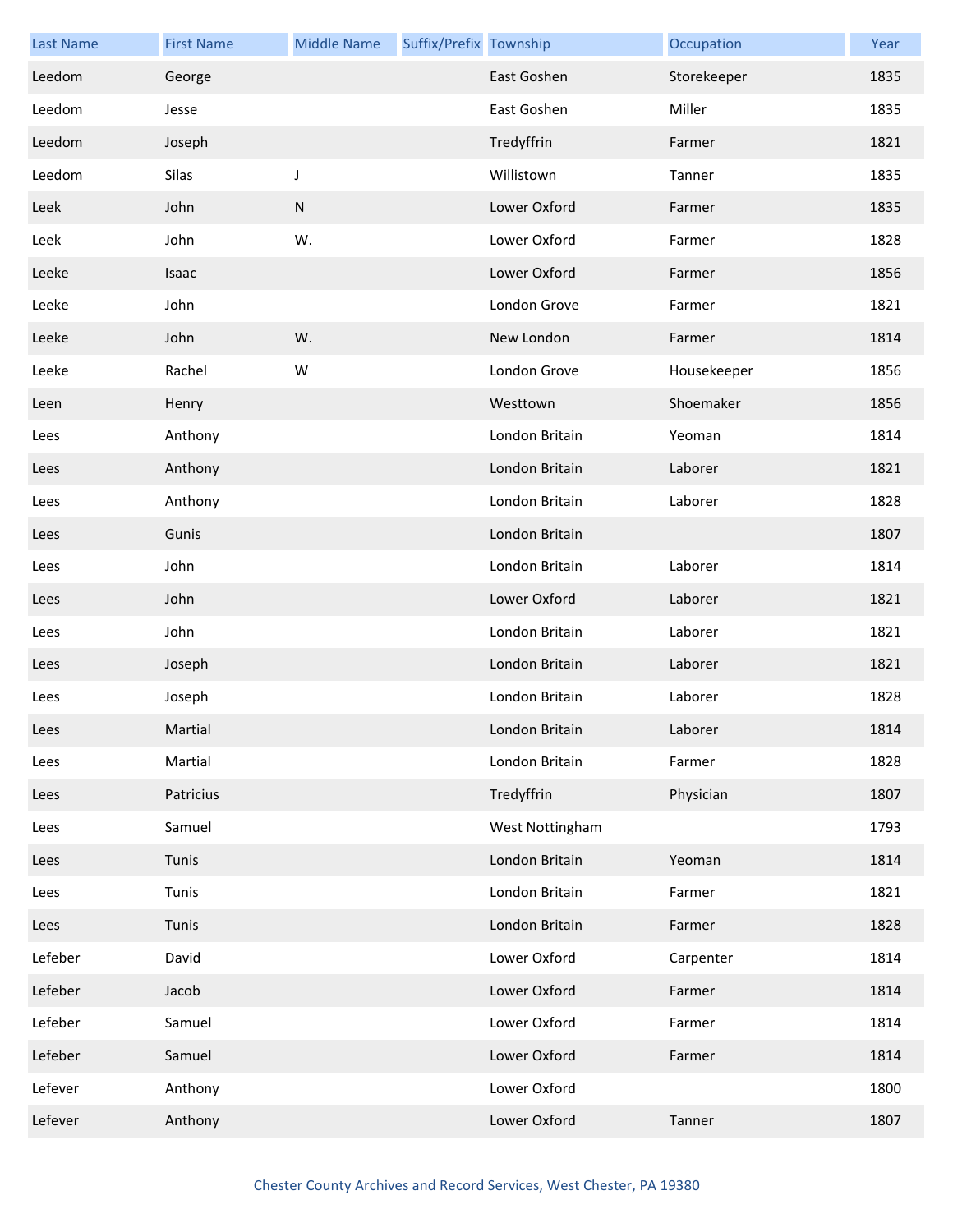| <b>Last Name</b> | <b>First Name</b> | <b>Middle Name</b> | Suffix/Prefix Township |                 | Occupation  | Year |
|------------------|-------------------|--------------------|------------------------|-----------------|-------------|------|
| Leedom           | George            |                    |                        | East Goshen     | Storekeeper | 1835 |
| Leedom           | Jesse             |                    |                        | East Goshen     | Miller      | 1835 |
| Leedom           | Joseph            |                    |                        | Tredyffrin      | Farmer      | 1821 |
| Leedom           | Silas             | $\mathsf J$        |                        | Willistown      | Tanner      | 1835 |
| Leek             | John              | ${\sf N}$          |                        | Lower Oxford    | Farmer      | 1835 |
| Leek             | John              | W.                 |                        | Lower Oxford    | Farmer      | 1828 |
| Leeke            | Isaac             |                    |                        | Lower Oxford    | Farmer      | 1856 |
| Leeke            | John              |                    |                        | London Grove    | Farmer      | 1821 |
| Leeke            | John              | W.                 |                        | New London      | Farmer      | 1814 |
| Leeke            | Rachel            | W                  |                        | London Grove    | Housekeeper | 1856 |
| Leen             | Henry             |                    |                        | Westtown        | Shoemaker   | 1856 |
| Lees             | Anthony           |                    |                        | London Britain  | Yeoman      | 1814 |
| Lees             | Anthony           |                    |                        | London Britain  | Laborer     | 1821 |
| Lees             | Anthony           |                    |                        | London Britain  | Laborer     | 1828 |
| Lees             | Gunis             |                    |                        | London Britain  |             | 1807 |
| Lees             | John              |                    |                        | London Britain  | Laborer     | 1814 |
| Lees             | John              |                    |                        | Lower Oxford    | Laborer     | 1821 |
| Lees             | John              |                    |                        | London Britain  | Laborer     | 1821 |
| Lees             | Joseph            |                    |                        | London Britain  | Laborer     | 1821 |
| Lees             | Joseph            |                    |                        | London Britain  | Laborer     | 1828 |
| Lees             | Martial           |                    |                        | London Britain  | Laborer     | 1814 |
| Lees             | Martial           |                    |                        | London Britain  | Farmer      | 1828 |
| Lees             | Patricius         |                    |                        | Tredyffrin      | Physician   | 1807 |
| Lees             | Samuel            |                    |                        | West Nottingham |             | 1793 |
| Lees             | Tunis             |                    |                        | London Britain  | Yeoman      | 1814 |
| Lees             | Tunis             |                    |                        | London Britain  | Farmer      | 1821 |
| Lees             | Tunis             |                    |                        | London Britain  | Farmer      | 1828 |
| Lefeber          | David             |                    |                        | Lower Oxford    | Carpenter   | 1814 |
| Lefeber          | Jacob             |                    |                        | Lower Oxford    | Farmer      | 1814 |
| Lefeber          | Samuel            |                    |                        | Lower Oxford    | Farmer      | 1814 |
| Lefeber          | Samuel            |                    |                        | Lower Oxford    | Farmer      | 1814 |
| Lefever          | Anthony           |                    |                        | Lower Oxford    |             | 1800 |
| Lefever          | Anthony           |                    |                        | Lower Oxford    | Tanner      | 1807 |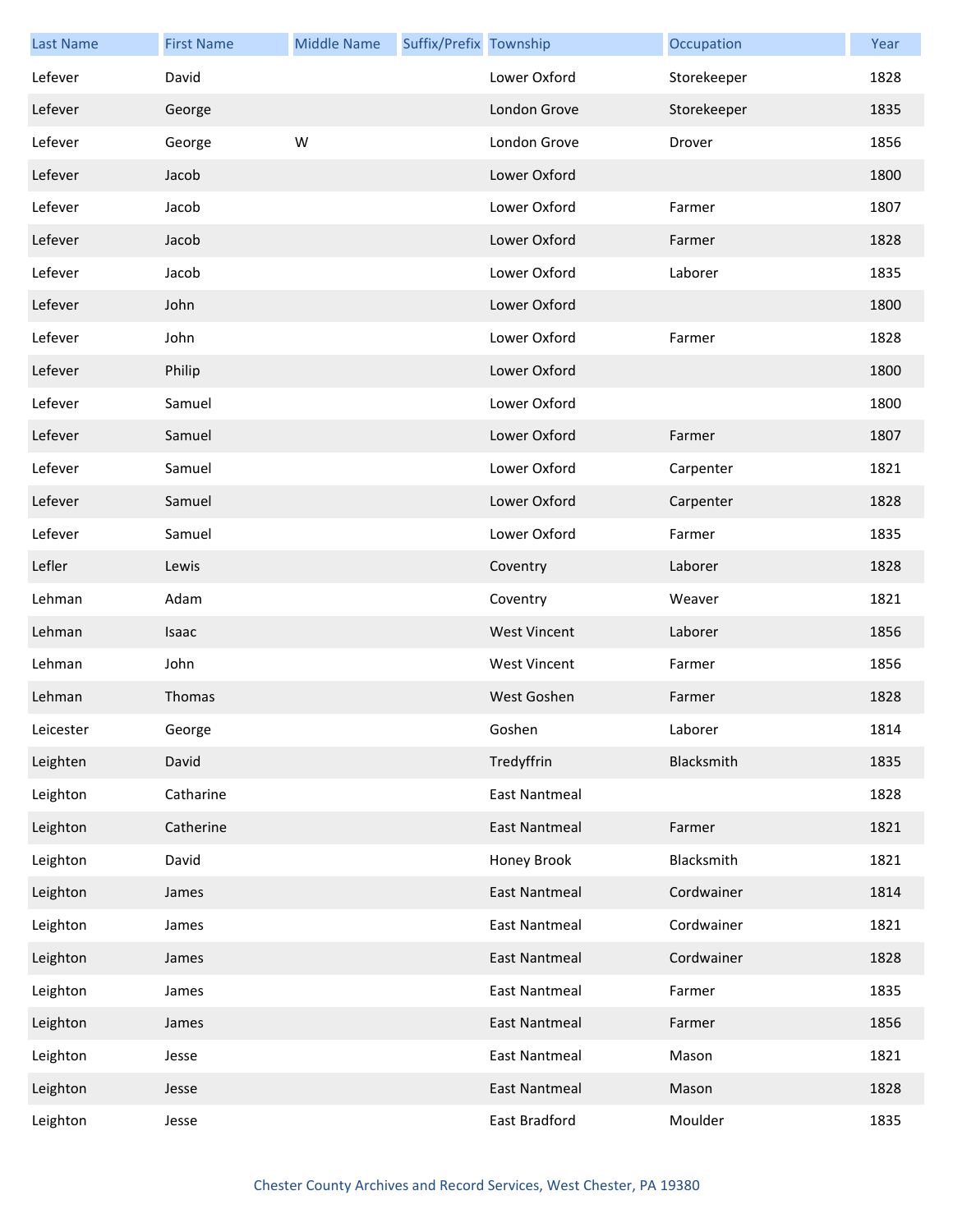| <b>Last Name</b> | <b>First Name</b> | <b>Middle Name</b> | Suffix/Prefix Township |                      | Occupation  | Year |
|------------------|-------------------|--------------------|------------------------|----------------------|-------------|------|
| Lefever          | David             |                    |                        | Lower Oxford         | Storekeeper | 1828 |
| Lefever          | George            |                    |                        | London Grove         | Storekeeper | 1835 |
| Lefever          | George            | W                  |                        | London Grove         | Drover      | 1856 |
| Lefever          | Jacob             |                    |                        | Lower Oxford         |             | 1800 |
| Lefever          | Jacob             |                    |                        | Lower Oxford         | Farmer      | 1807 |
| Lefever          | Jacob             |                    |                        | Lower Oxford         | Farmer      | 1828 |
| Lefever          | Jacob             |                    |                        | Lower Oxford         | Laborer     | 1835 |
| Lefever          | John              |                    |                        | Lower Oxford         |             | 1800 |
| Lefever          | John              |                    |                        | Lower Oxford         | Farmer      | 1828 |
| Lefever          | Philip            |                    |                        | Lower Oxford         |             | 1800 |
| Lefever          | Samuel            |                    |                        | Lower Oxford         |             | 1800 |
| Lefever          | Samuel            |                    |                        | Lower Oxford         | Farmer      | 1807 |
| Lefever          | Samuel            |                    |                        | Lower Oxford         | Carpenter   | 1821 |
| Lefever          | Samuel            |                    |                        | Lower Oxford         | Carpenter   | 1828 |
| Lefever          | Samuel            |                    |                        | Lower Oxford         | Farmer      | 1835 |
| Lefler           | Lewis             |                    |                        | Coventry             | Laborer     | 1828 |
| Lehman           | Adam              |                    |                        | Coventry             | Weaver      | 1821 |
| Lehman           | Isaac             |                    |                        | <b>West Vincent</b>  | Laborer     | 1856 |
| Lehman           | John              |                    |                        | <b>West Vincent</b>  | Farmer      | 1856 |
| Lehman           | Thomas            |                    |                        | West Goshen          | Farmer      | 1828 |
| Leicester        | George            |                    |                        | Goshen               | Laborer     | 1814 |
| Leighten         | David             |                    |                        | Tredyffrin           | Blacksmith  | 1835 |
| Leighton         | Catharine         |                    |                        | <b>East Nantmeal</b> |             | 1828 |
| Leighton         | Catherine         |                    |                        | <b>East Nantmeal</b> | Farmer      | 1821 |
| Leighton         | David             |                    |                        | Honey Brook          | Blacksmith  | 1821 |
| Leighton         | James             |                    |                        | East Nantmeal        | Cordwainer  | 1814 |
| Leighton         | James             |                    |                        | <b>East Nantmeal</b> | Cordwainer  | 1821 |
| Leighton         | James             |                    |                        | <b>East Nantmeal</b> | Cordwainer  | 1828 |
| Leighton         | James             |                    |                        | <b>East Nantmeal</b> | Farmer      | 1835 |
| Leighton         | James             |                    |                        | <b>East Nantmeal</b> | Farmer      | 1856 |
| Leighton         | Jesse             |                    |                        | <b>East Nantmeal</b> | Mason       | 1821 |
| Leighton         | Jesse             |                    |                        | <b>East Nantmeal</b> | Mason       | 1828 |
| Leighton         | Jesse             |                    |                        | East Bradford        | Moulder     | 1835 |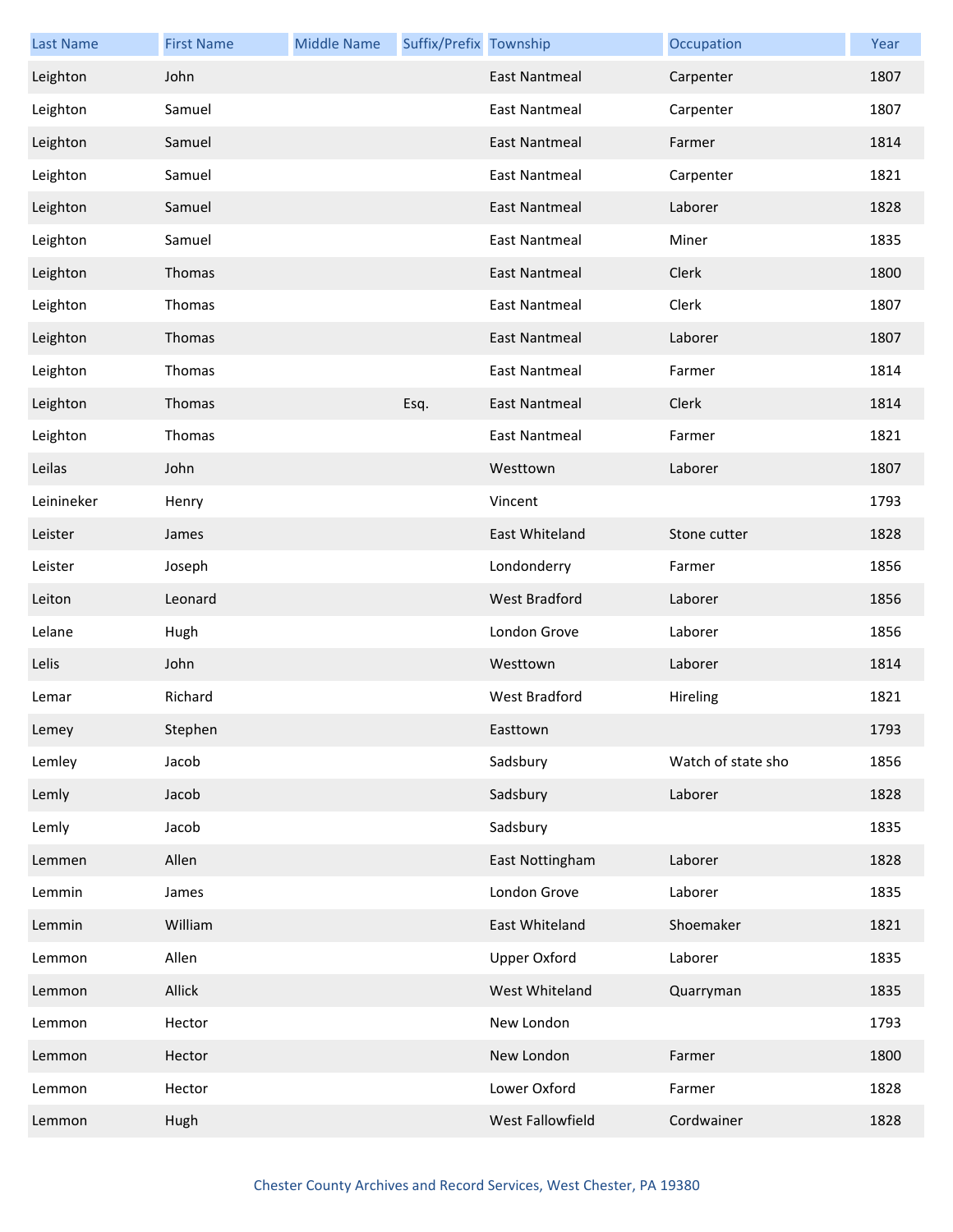| <b>Last Name</b> | <b>First Name</b> | <b>Middle Name</b> | Suffix/Prefix Township |                      | Occupation         | Year |
|------------------|-------------------|--------------------|------------------------|----------------------|--------------------|------|
| Leighton         | John              |                    |                        | <b>East Nantmeal</b> | Carpenter          | 1807 |
| Leighton         | Samuel            |                    |                        | East Nantmeal        | Carpenter          | 1807 |
| Leighton         | Samuel            |                    |                        | <b>East Nantmeal</b> | Farmer             | 1814 |
| Leighton         | Samuel            |                    |                        | East Nantmeal        | Carpenter          | 1821 |
| Leighton         | Samuel            |                    |                        | <b>East Nantmeal</b> | Laborer            | 1828 |
| Leighton         | Samuel            |                    |                        | East Nantmeal        | Miner              | 1835 |
| Leighton         | Thomas            |                    |                        | <b>East Nantmeal</b> | Clerk              | 1800 |
| Leighton         | Thomas            |                    |                        | East Nantmeal        | Clerk              | 1807 |
| Leighton         | Thomas            |                    |                        | East Nantmeal        | Laborer            | 1807 |
| Leighton         | Thomas            |                    |                        | East Nantmeal        | Farmer             | 1814 |
| Leighton         | Thomas            |                    | Esq.                   | <b>East Nantmeal</b> | Clerk              | 1814 |
| Leighton         | Thomas            |                    |                        | East Nantmeal        | Farmer             | 1821 |
| Leilas           | John              |                    |                        | Westtown             | Laborer            | 1807 |
| Leinineker       | Henry             |                    |                        | Vincent              |                    | 1793 |
| Leister          | James             |                    |                        | East Whiteland       | Stone cutter       | 1828 |
| Leister          | Joseph            |                    |                        | Londonderry          | Farmer             | 1856 |
| Leiton           | Leonard           |                    |                        | West Bradford        | Laborer            | 1856 |
| Lelane           | Hugh              |                    |                        | London Grove         | Laborer            | 1856 |
| Lelis            | John              |                    |                        | Westtown             | Laborer            | 1814 |
| Lemar            | Richard           |                    |                        | West Bradford        | Hireling           | 1821 |
| Lemey            | Stephen           |                    |                        | Easttown             |                    | 1793 |
| Lemley           | Jacob             |                    |                        | Sadsbury             | Watch of state sho | 1856 |
| Lemly            | Jacob             |                    |                        | Sadsbury             | Laborer            | 1828 |
| Lemly            | Jacob             |                    |                        | Sadsbury             |                    | 1835 |
| Lemmen           | Allen             |                    |                        | East Nottingham      | Laborer            | 1828 |
| Lemmin           | James             |                    |                        | London Grove         | Laborer            | 1835 |
| Lemmin           | William           |                    |                        | East Whiteland       | Shoemaker          | 1821 |
| Lemmon           | Allen             |                    |                        | <b>Upper Oxford</b>  | Laborer            | 1835 |
| Lemmon           | Allick            |                    |                        | West Whiteland       | Quarryman          | 1835 |
| Lemmon           | Hector            |                    |                        | New London           |                    | 1793 |
| Lemmon           | Hector            |                    |                        | New London           | Farmer             | 1800 |
| Lemmon           | Hector            |                    |                        | Lower Oxford         | Farmer             | 1828 |
| Lemmon           | Hugh              |                    |                        | West Fallowfield     | Cordwainer         | 1828 |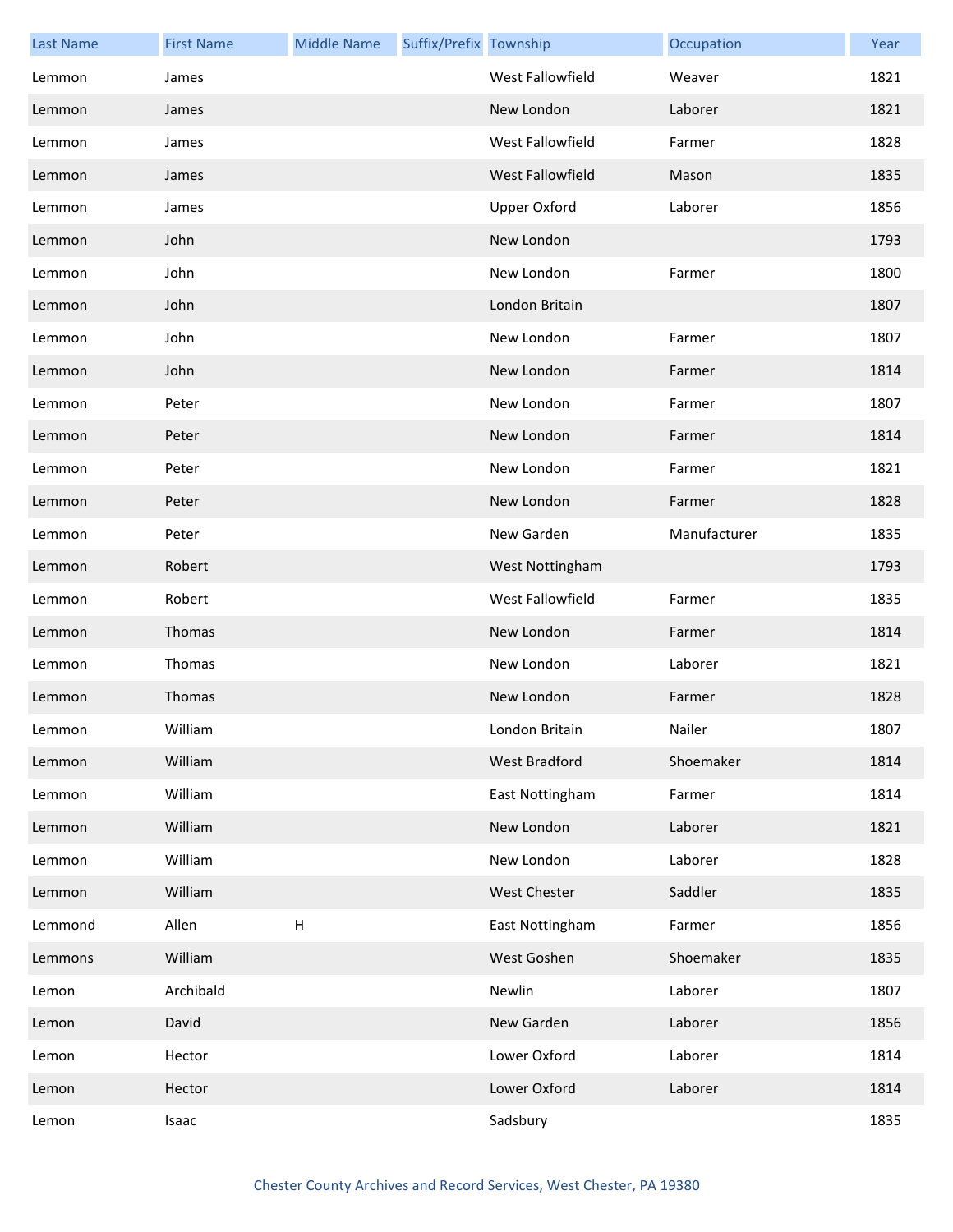| <b>Last Name</b> | <b>First Name</b> | <b>Middle Name</b> | Suffix/Prefix Township |                         | Occupation   | Year |
|------------------|-------------------|--------------------|------------------------|-------------------------|--------------|------|
| Lemmon           | James             |                    |                        | <b>West Fallowfield</b> | Weaver       | 1821 |
| Lemmon           | James             |                    |                        | New London              | Laborer      | 1821 |
| Lemmon           | James             |                    |                        | West Fallowfield        | Farmer       | 1828 |
| Lemmon           | James             |                    |                        | West Fallowfield        | Mason        | 1835 |
| Lemmon           | James             |                    |                        | <b>Upper Oxford</b>     | Laborer      | 1856 |
| Lemmon           | John              |                    |                        | New London              |              | 1793 |
| Lemmon           | John              |                    |                        | New London              | Farmer       | 1800 |
| Lemmon           | John              |                    |                        | London Britain          |              | 1807 |
| Lemmon           | John              |                    |                        | New London              | Farmer       | 1807 |
| Lemmon           | John              |                    |                        | New London              | Farmer       | 1814 |
| Lemmon           | Peter             |                    |                        | New London              | Farmer       | 1807 |
| Lemmon           | Peter             |                    |                        | New London              | Farmer       | 1814 |
| Lemmon           | Peter             |                    |                        | New London              | Farmer       | 1821 |
| Lemmon           | Peter             |                    |                        | New London              | Farmer       | 1828 |
| Lemmon           | Peter             |                    |                        | New Garden              | Manufacturer | 1835 |
| Lemmon           | Robert            |                    |                        | West Nottingham         |              | 1793 |
| Lemmon           | Robert            |                    |                        | West Fallowfield        | Farmer       | 1835 |
| Lemmon           | Thomas            |                    |                        | New London              | Farmer       | 1814 |
| Lemmon           | Thomas            |                    |                        | New London              | Laborer      | 1821 |
| Lemmon           | Thomas            |                    |                        | New London              | Farmer       | 1828 |
| Lemmon           | William           |                    |                        | London Britain          | Nailer       | 1807 |
| Lemmon           | William           |                    |                        | West Bradford           | Shoemaker    | 1814 |
| Lemmon           | William           |                    |                        | East Nottingham         | Farmer       | 1814 |
| Lemmon           | William           |                    |                        | New London              | Laborer      | 1821 |
| Lemmon           | William           |                    |                        | New London              | Laborer      | 1828 |
| Lemmon           | William           |                    |                        | <b>West Chester</b>     | Saddler      | 1835 |
| Lemmond          | Allen             | H                  |                        | East Nottingham         | Farmer       | 1856 |
| Lemmons          | William           |                    |                        | West Goshen             | Shoemaker    | 1835 |
| Lemon            | Archibald         |                    |                        | Newlin                  | Laborer      | 1807 |
| Lemon            | David             |                    |                        | New Garden              | Laborer      | 1856 |
| Lemon            | Hector            |                    |                        | Lower Oxford            | Laborer      | 1814 |
| Lemon            | Hector            |                    |                        | Lower Oxford            | Laborer      | 1814 |
| Lemon            | Isaac             |                    |                        | Sadsbury                |              | 1835 |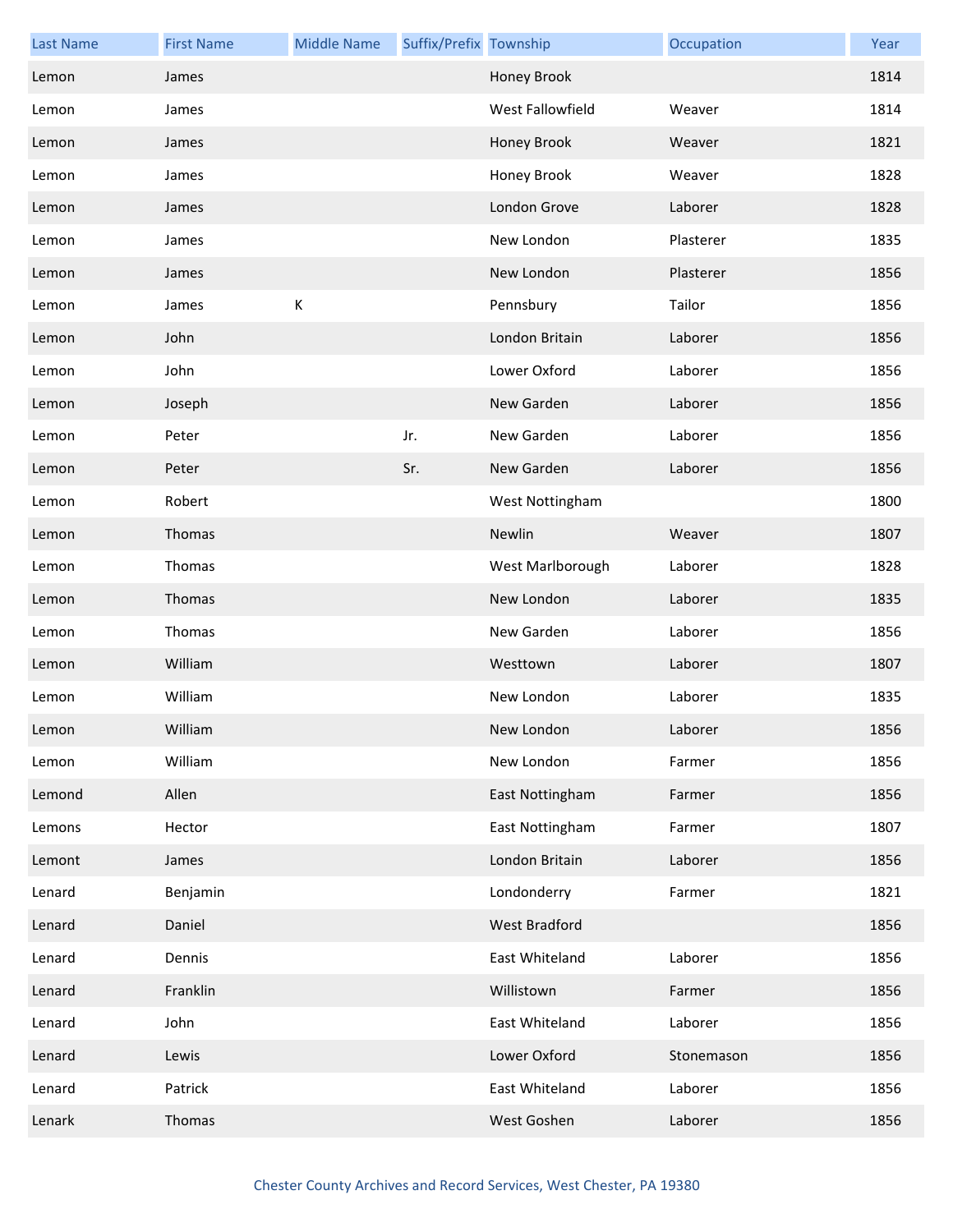| <b>Last Name</b> | <b>First Name</b> | <b>Middle Name</b> | Suffix/Prefix Township |                  | Occupation | Year |
|------------------|-------------------|--------------------|------------------------|------------------|------------|------|
| Lemon            | James             |                    |                        | Honey Brook      |            | 1814 |
| Lemon            | James             |                    |                        | West Fallowfield | Weaver     | 1814 |
| Lemon            | James             |                    |                        | Honey Brook      | Weaver     | 1821 |
| Lemon            | James             |                    |                        | Honey Brook      | Weaver     | 1828 |
| Lemon            | James             |                    |                        | London Grove     | Laborer    | 1828 |
| Lemon            | James             |                    |                        | New London       | Plasterer  | 1835 |
| Lemon            | James             |                    |                        | New London       | Plasterer  | 1856 |
| Lemon            | James             | К                  |                        | Pennsbury        | Tailor     | 1856 |
| Lemon            | John              |                    |                        | London Britain   | Laborer    | 1856 |
| Lemon            | John              |                    |                        | Lower Oxford     | Laborer    | 1856 |
| Lemon            | Joseph            |                    |                        | New Garden       | Laborer    | 1856 |
| Lemon            | Peter             |                    | Jr.                    | New Garden       | Laborer    | 1856 |
| Lemon            | Peter             |                    | Sr.                    | New Garden       | Laborer    | 1856 |
| Lemon            | Robert            |                    |                        | West Nottingham  |            | 1800 |
| Lemon            | Thomas            |                    |                        | Newlin           | Weaver     | 1807 |
| Lemon            | Thomas            |                    |                        | West Marlborough | Laborer    | 1828 |
| Lemon            | Thomas            |                    |                        | New London       | Laborer    | 1835 |
| Lemon            | Thomas            |                    |                        | New Garden       | Laborer    | 1856 |
| Lemon            | William           |                    |                        | Westtown         | Laborer    | 1807 |
| Lemon            | William           |                    |                        | New London       | Laborer    | 1835 |
| Lemon            | William           |                    |                        | New London       | Laborer    | 1856 |
| Lemon            | William           |                    |                        | New London       | Farmer     | 1856 |
| Lemond           | Allen             |                    |                        | East Nottingham  | Farmer     | 1856 |
| Lemons           | Hector            |                    |                        | East Nottingham  | Farmer     | 1807 |
| Lemont           | James             |                    |                        | London Britain   | Laborer    | 1856 |
| Lenard           | Benjamin          |                    |                        | Londonderry      | Farmer     | 1821 |
| Lenard           | Daniel            |                    |                        | West Bradford    |            | 1856 |
| Lenard           | Dennis            |                    |                        | East Whiteland   | Laborer    | 1856 |
| Lenard           | Franklin          |                    |                        | Willistown       | Farmer     | 1856 |
| Lenard           | John              |                    |                        | East Whiteland   | Laborer    | 1856 |
| Lenard           | Lewis             |                    |                        | Lower Oxford     | Stonemason | 1856 |
| Lenard           | Patrick           |                    |                        | East Whiteland   | Laborer    | 1856 |
| Lenark           | Thomas            |                    |                        | West Goshen      | Laborer    | 1856 |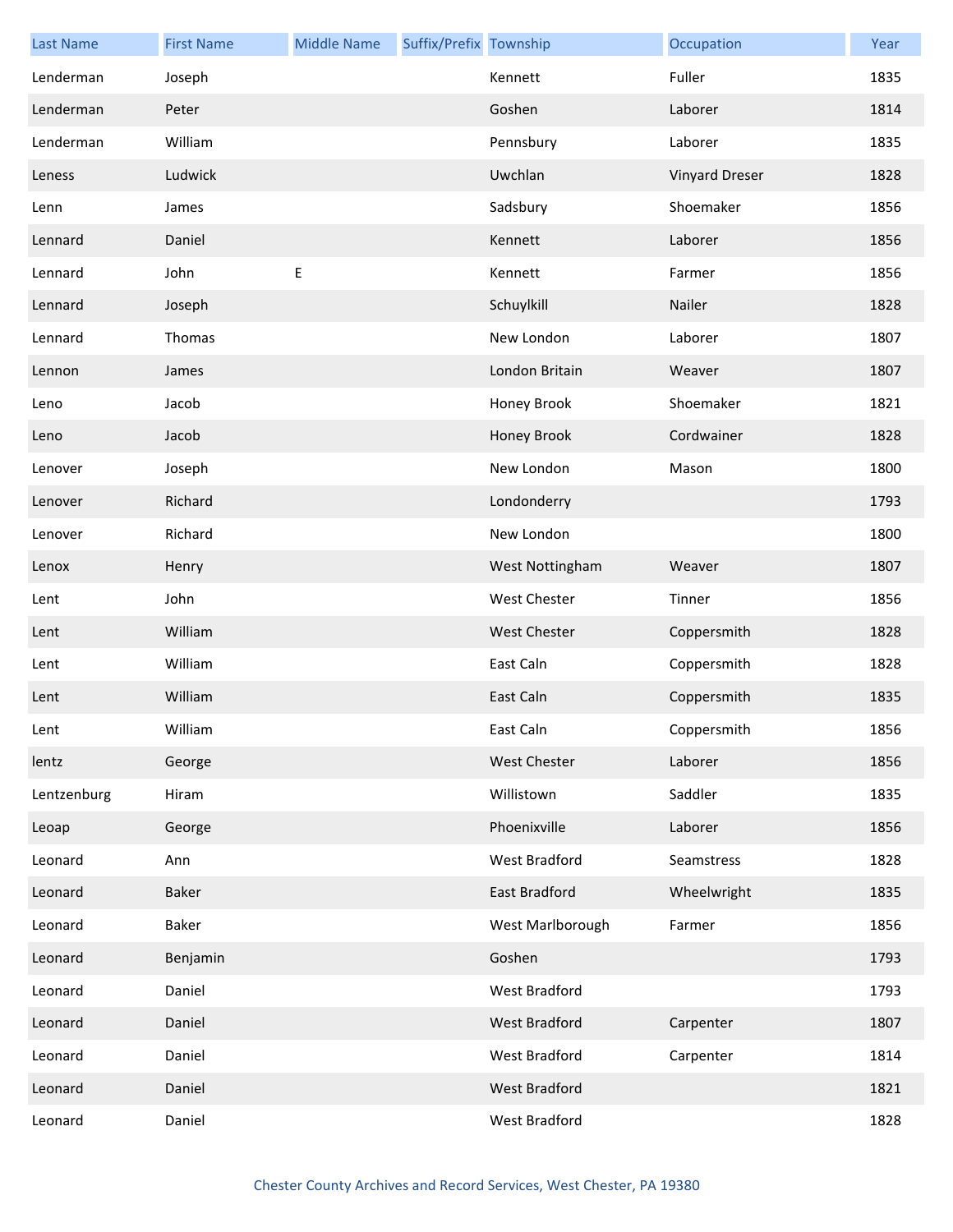| <b>Last Name</b> | <b>First Name</b> | <b>Middle Name</b> | Suffix/Prefix Township |                     | Occupation            | Year |
|------------------|-------------------|--------------------|------------------------|---------------------|-----------------------|------|
| Lenderman        | Joseph            |                    |                        | Kennett             | Fuller                | 1835 |
| Lenderman        | Peter             |                    |                        | Goshen              | Laborer               | 1814 |
| Lenderman        | William           |                    |                        | Pennsbury           | Laborer               | 1835 |
| Leness           | Ludwick           |                    |                        | Uwchlan             | <b>Vinyard Dreser</b> | 1828 |
| Lenn             | James             |                    |                        | Sadsbury            | Shoemaker             | 1856 |
| Lennard          | Daniel            |                    |                        | Kennett             | Laborer               | 1856 |
| Lennard          | John              | E                  |                        | Kennett             | Farmer                | 1856 |
| Lennard          | Joseph            |                    |                        | Schuylkill          | Nailer                | 1828 |
| Lennard          | Thomas            |                    |                        | New London          | Laborer               | 1807 |
| Lennon           | James             |                    |                        | London Britain      | Weaver                | 1807 |
| Leno             | Jacob             |                    |                        | Honey Brook         | Shoemaker             | 1821 |
| Leno             | Jacob             |                    |                        | Honey Brook         | Cordwainer            | 1828 |
| Lenover          | Joseph            |                    |                        | New London          | Mason                 | 1800 |
| Lenover          | Richard           |                    |                        | Londonderry         |                       | 1793 |
| Lenover          | Richard           |                    |                        | New London          |                       | 1800 |
| Lenox            | Henry             |                    |                        | West Nottingham     | Weaver                | 1807 |
| Lent             | John              |                    |                        | West Chester        | Tinner                | 1856 |
| Lent             | William           |                    |                        | <b>West Chester</b> | Coppersmith           | 1828 |
| Lent             | William           |                    |                        | East Caln           | Coppersmith           | 1828 |
| Lent             | William           |                    |                        | East Caln           | Coppersmith           | 1835 |
| Lent             | William           |                    |                        | East Caln           | Coppersmith           | 1856 |
| lentz            | George            |                    |                        | <b>West Chester</b> | Laborer               | 1856 |
| Lentzenburg      | Hiram             |                    |                        | Willistown          | Saddler               | 1835 |
| Leoap            | George            |                    |                        | Phoenixville        | Laborer               | 1856 |
| Leonard          | Ann               |                    |                        | West Bradford       | Seamstress            | 1828 |
| Leonard          | Baker             |                    |                        | East Bradford       | Wheelwright           | 1835 |
| Leonard          | Baker             |                    |                        | West Marlborough    | Farmer                | 1856 |
| Leonard          | Benjamin          |                    |                        | Goshen              |                       | 1793 |
| Leonard          | Daniel            |                    |                        | West Bradford       |                       | 1793 |
| Leonard          | Daniel            |                    |                        | West Bradford       | Carpenter             | 1807 |
| Leonard          | Daniel            |                    |                        | West Bradford       | Carpenter             | 1814 |
| Leonard          | Daniel            |                    |                        | West Bradford       |                       | 1821 |
| Leonard          | Daniel            |                    |                        | West Bradford       |                       | 1828 |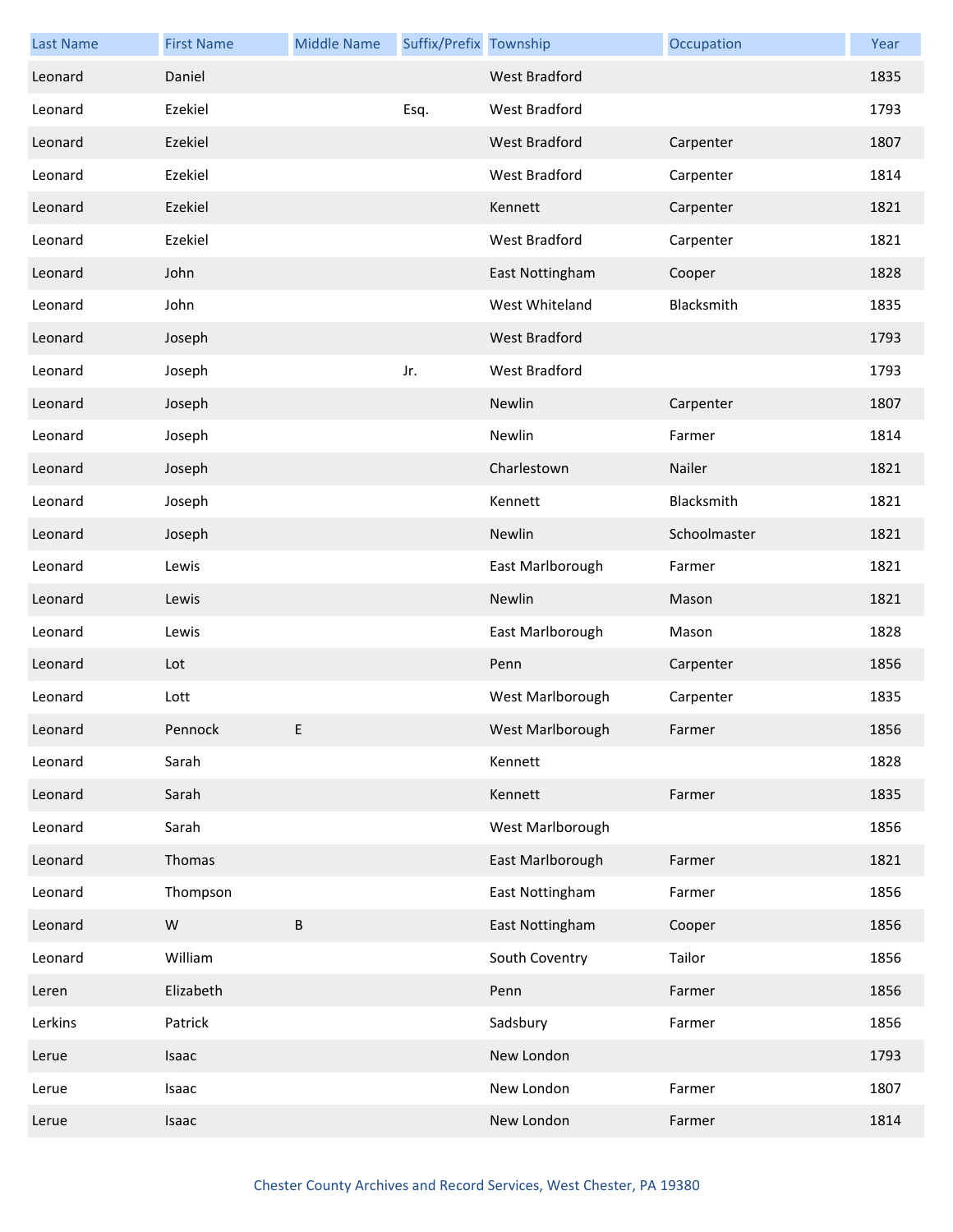| <b>Last Name</b> | <b>First Name</b> | <b>Middle Name</b> | Suffix/Prefix Township |                      | Occupation   | Year |
|------------------|-------------------|--------------------|------------------------|----------------------|--------------|------|
| Leonard          | Daniel            |                    |                        | <b>West Bradford</b> |              | 1835 |
| Leonard          | Ezekiel           |                    | Esq.                   | West Bradford        |              | 1793 |
| Leonard          | Ezekiel           |                    |                        | <b>West Bradford</b> | Carpenter    | 1807 |
| Leonard          | Ezekiel           |                    |                        | West Bradford        | Carpenter    | 1814 |
| Leonard          | Ezekiel           |                    |                        | Kennett              | Carpenter    | 1821 |
| Leonard          | Ezekiel           |                    |                        | West Bradford        | Carpenter    | 1821 |
| Leonard          | John              |                    |                        | East Nottingham      | Cooper       | 1828 |
| Leonard          | John              |                    |                        | West Whiteland       | Blacksmith   | 1835 |
| Leonard          | Joseph            |                    |                        | <b>West Bradford</b> |              | 1793 |
| Leonard          | Joseph            |                    | Jr.                    | West Bradford        |              | 1793 |
| Leonard          | Joseph            |                    |                        | Newlin               | Carpenter    | 1807 |
| Leonard          | Joseph            |                    |                        | Newlin               | Farmer       | 1814 |
| Leonard          | Joseph            |                    |                        | Charlestown          | Nailer       | 1821 |
| Leonard          | Joseph            |                    |                        | Kennett              | Blacksmith   | 1821 |
| Leonard          | Joseph            |                    |                        | Newlin               | Schoolmaster | 1821 |
| Leonard          | Lewis             |                    |                        | East Marlborough     | Farmer       | 1821 |
| Leonard          | Lewis             |                    |                        | Newlin               | Mason        | 1821 |
| Leonard          | Lewis             |                    |                        | East Marlborough     | Mason        | 1828 |
| Leonard          | Lot               |                    |                        | Penn                 | Carpenter    | 1856 |
| Leonard          | Lott              |                    |                        | West Marlborough     | Carpenter    | 1835 |
| Leonard          | Pennock           | E.                 |                        | West Marlborough     | Farmer       | 1856 |
| Leonard          | Sarah             |                    |                        | Kennett              |              | 1828 |
| Leonard          | Sarah             |                    |                        | Kennett              | Farmer       | 1835 |
| Leonard          | Sarah             |                    |                        | West Marlborough     |              | 1856 |
| Leonard          | Thomas            |                    |                        | East Marlborough     | Farmer       | 1821 |
| Leonard          | Thompson          |                    |                        | East Nottingham      | Farmer       | 1856 |
| Leonard          | W                 | B                  |                        | East Nottingham      | Cooper       | 1856 |
| Leonard          | William           |                    |                        | South Coventry       | Tailor       | 1856 |
| Leren            | Elizabeth         |                    |                        | Penn                 | Farmer       | 1856 |
| Lerkins          | Patrick           |                    |                        | Sadsbury             | Farmer       | 1856 |
| Lerue            | Isaac             |                    |                        | New London           |              | 1793 |
| Lerue            | Isaac             |                    |                        | New London           | Farmer       | 1807 |
| Lerue            | Isaac             |                    |                        | New London           | Farmer       | 1814 |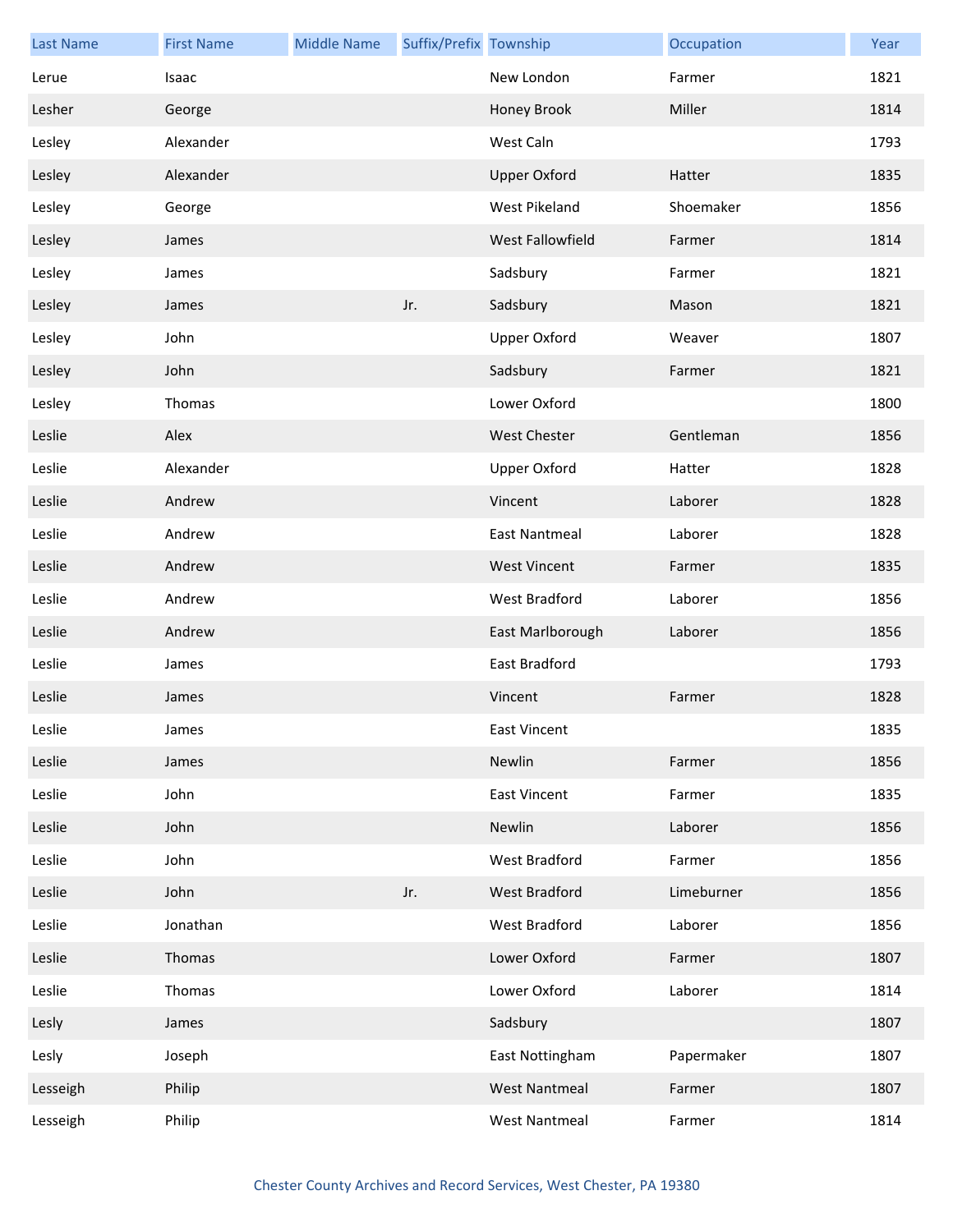| <b>Last Name</b> | <b>First Name</b> | <b>Middle Name</b> | Suffix/Prefix Township |                      | Occupation | Year |
|------------------|-------------------|--------------------|------------------------|----------------------|------------|------|
| Lerue            | Isaac             |                    |                        | New London           | Farmer     | 1821 |
| Lesher           | George            |                    |                        | Honey Brook          | Miller     | 1814 |
| Lesley           | Alexander         |                    |                        | West Caln            |            | 1793 |
| Lesley           | Alexander         |                    |                        | <b>Upper Oxford</b>  | Hatter     | 1835 |
| Lesley           | George            |                    |                        | West Pikeland        | Shoemaker  | 1856 |
| Lesley           | James             |                    |                        | West Fallowfield     | Farmer     | 1814 |
| Lesley           | James             |                    |                        | Sadsbury             | Farmer     | 1821 |
| Lesley           | James             |                    | Jr.                    | Sadsbury             | Mason      | 1821 |
| Lesley           | John              |                    |                        | <b>Upper Oxford</b>  | Weaver     | 1807 |
| Lesley           | John              |                    |                        | Sadsbury             | Farmer     | 1821 |
| Lesley           | Thomas            |                    |                        | Lower Oxford         |            | 1800 |
| Leslie           | Alex              |                    |                        | <b>West Chester</b>  | Gentleman  | 1856 |
| Leslie           | Alexander         |                    |                        | <b>Upper Oxford</b>  | Hatter     | 1828 |
| Leslie           | Andrew            |                    |                        | Vincent              | Laborer    | 1828 |
| Leslie           | Andrew            |                    |                        | <b>East Nantmeal</b> | Laborer    | 1828 |
| Leslie           | Andrew            |                    |                        | <b>West Vincent</b>  | Farmer     | 1835 |
| Leslie           | Andrew            |                    |                        | West Bradford        | Laborer    | 1856 |
| Leslie           | Andrew            |                    |                        | East Marlborough     | Laborer    | 1856 |
| Leslie           | James             |                    |                        | East Bradford        |            | 1793 |
| Leslie           | James             |                    |                        | Vincent              | Farmer     | 1828 |
| Leslie           | James             |                    |                        | East Vincent         |            | 1835 |
| Leslie           | James             |                    |                        | Newlin               | Farmer     | 1856 |
| Leslie           | John              |                    |                        | <b>East Vincent</b>  | Farmer     | 1835 |
| Leslie           | John              |                    |                        | Newlin               | Laborer    | 1856 |
| Leslie           | John              |                    |                        | West Bradford        | Farmer     | 1856 |
| Leslie           | John              |                    | Jr.                    | West Bradford        | Limeburner | 1856 |
| Leslie           | Jonathan          |                    |                        | West Bradford        | Laborer    | 1856 |
| Leslie           | Thomas            |                    |                        | Lower Oxford         | Farmer     | 1807 |
| Leslie           | Thomas            |                    |                        | Lower Oxford         | Laborer    | 1814 |
| Lesly            | James             |                    |                        | Sadsbury             |            | 1807 |
| Lesly            | Joseph            |                    |                        | East Nottingham      | Papermaker | 1807 |
| Lesseigh         | Philip            |                    |                        | <b>West Nantmeal</b> | Farmer     | 1807 |
| Lesseigh         | Philip            |                    |                        | <b>West Nantmeal</b> | Farmer     | 1814 |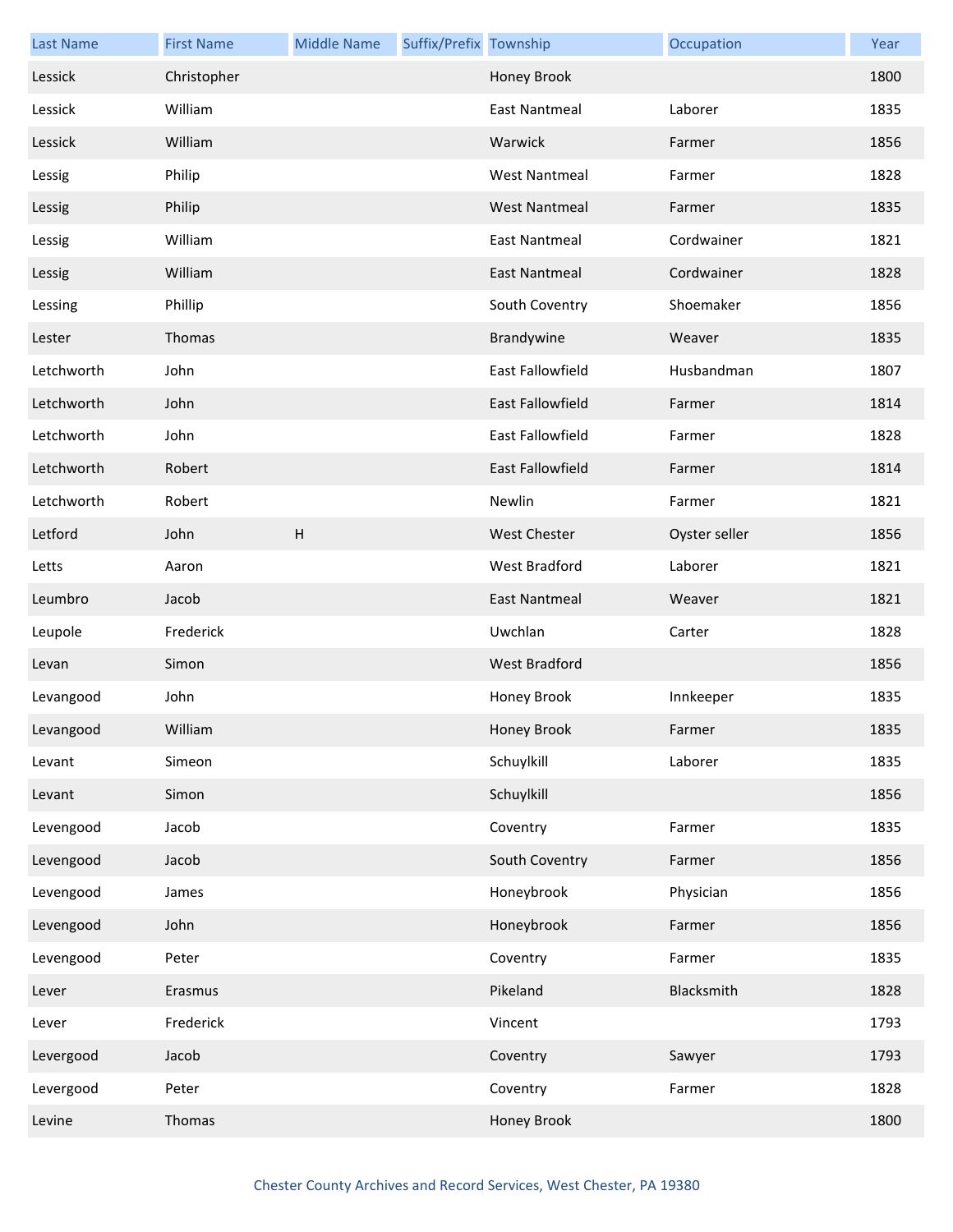| <b>Last Name</b> | <b>First Name</b> | <b>Middle Name</b> | Suffix/Prefix Township |                         | Occupation    | Year |
|------------------|-------------------|--------------------|------------------------|-------------------------|---------------|------|
| Lessick          | Christopher       |                    |                        | Honey Brook             |               | 1800 |
| Lessick          | William           |                    |                        | <b>East Nantmeal</b>    | Laborer       | 1835 |
| Lessick          | William           |                    |                        | Warwick                 | Farmer        | 1856 |
| Lessig           | Philip            |                    |                        | <b>West Nantmeal</b>    | Farmer        | 1828 |
| Lessig           | Philip            |                    |                        | <b>West Nantmeal</b>    | Farmer        | 1835 |
| Lessig           | William           |                    |                        | <b>East Nantmeal</b>    | Cordwainer    | 1821 |
| Lessig           | William           |                    |                        | <b>East Nantmeal</b>    | Cordwainer    | 1828 |
| Lessing          | Phillip           |                    |                        | South Coventry          | Shoemaker     | 1856 |
| Lester           | Thomas            |                    |                        | Brandywine              | Weaver        | 1835 |
| Letchworth       | John              |                    |                        | <b>East Fallowfield</b> | Husbandman    | 1807 |
| Letchworth       | John              |                    |                        | <b>East Fallowfield</b> | Farmer        | 1814 |
| Letchworth       | John              |                    |                        | East Fallowfield        | Farmer        | 1828 |
| Letchworth       | Robert            |                    |                        | East Fallowfield        | Farmer        | 1814 |
| Letchworth       | Robert            |                    |                        | Newlin                  | Farmer        | 1821 |
| Letford          | John              | H                  |                        | <b>West Chester</b>     | Oyster seller | 1856 |
| Letts            | Aaron             |                    |                        | West Bradford           | Laborer       | 1821 |
| Leumbro          | Jacob             |                    |                        | East Nantmeal           | Weaver        | 1821 |
| Leupole          | Frederick         |                    |                        | Uwchlan                 | Carter        | 1828 |
| Levan            | Simon             |                    |                        | West Bradford           |               | 1856 |
| Levangood        | John              |                    |                        | Honey Brook             | Innkeeper     | 1835 |
| Levangood        | William           |                    |                        | Honey Brook             | Farmer        | 1835 |
| Levant           | Simeon            |                    |                        | Schuylkill              | Laborer       | 1835 |
| Levant           | Simon             |                    |                        | Schuylkill              |               | 1856 |
| Levengood        | Jacob             |                    |                        | Coventry                | Farmer        | 1835 |
| Levengood        | Jacob             |                    |                        | South Coventry          | Farmer        | 1856 |
| Levengood        | James             |                    |                        | Honeybrook              | Physician     | 1856 |
| Levengood        | John              |                    |                        | Honeybrook              | Farmer        | 1856 |
| Levengood        | Peter             |                    |                        | Coventry                | Farmer        | 1835 |
| Lever            | Erasmus           |                    |                        | Pikeland                | Blacksmith    | 1828 |
| Lever            | Frederick         |                    |                        | Vincent                 |               | 1793 |
| Levergood        | Jacob             |                    |                        | Coventry                | Sawyer        | 1793 |
| Levergood        | Peter             |                    |                        | Coventry                | Farmer        | 1828 |
| Levine           | Thomas            |                    |                        | Honey Brook             |               | 1800 |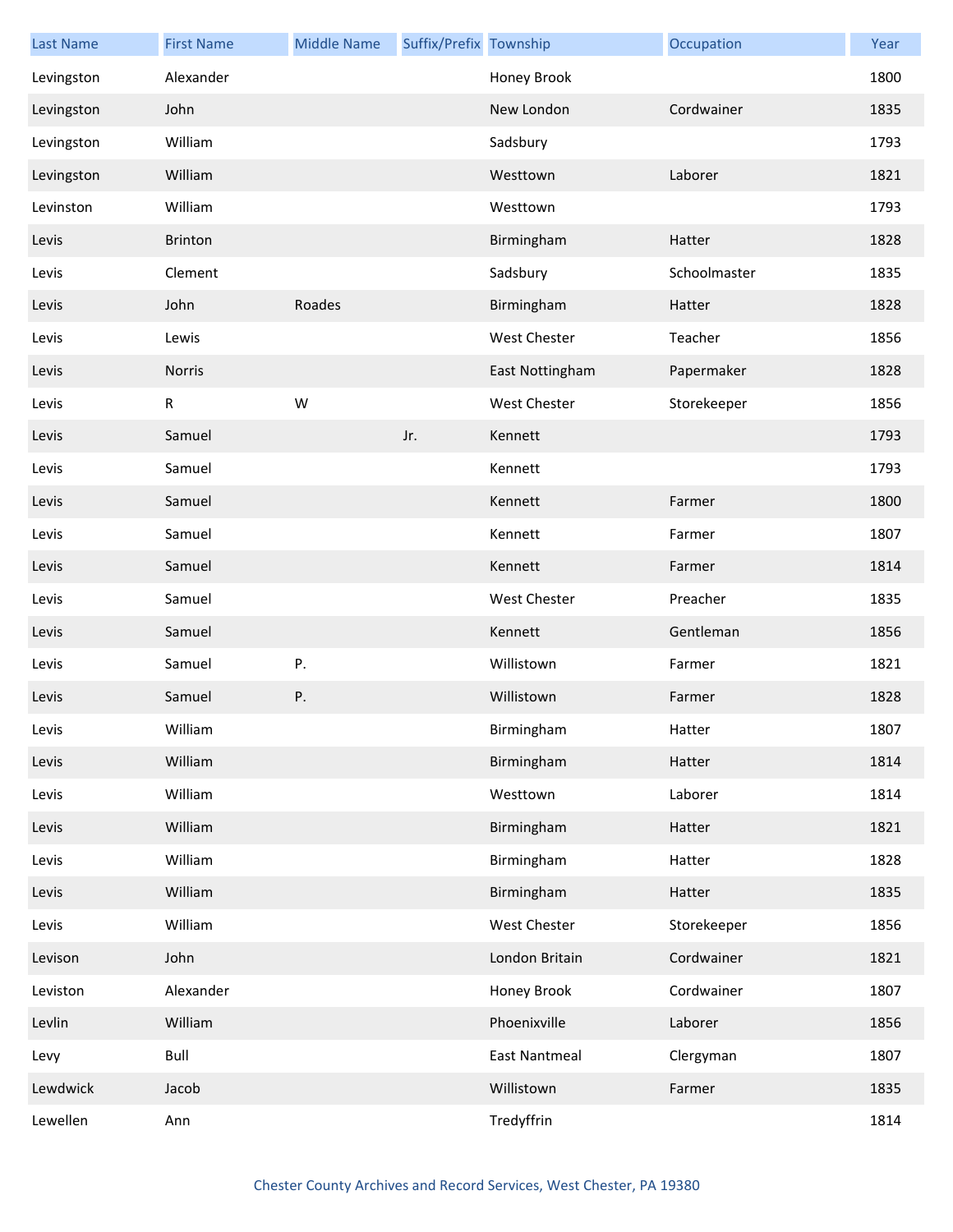| <b>Last Name</b> | <b>First Name</b> | <b>Middle Name</b> | Suffix/Prefix Township |                      | Occupation   | Year |
|------------------|-------------------|--------------------|------------------------|----------------------|--------------|------|
| Levingston       | Alexander         |                    |                        | Honey Brook          |              | 1800 |
| Levingston       | John              |                    |                        | New London           | Cordwainer   | 1835 |
| Levingston       | William           |                    |                        | Sadsbury             |              | 1793 |
| Levingston       | William           |                    |                        | Westtown             | Laborer      | 1821 |
| Levinston        | William           |                    |                        | Westtown             |              | 1793 |
| Levis            | Brinton           |                    |                        | Birmingham           | Hatter       | 1828 |
| Levis            | Clement           |                    |                        | Sadsbury             | Schoolmaster | 1835 |
| Levis            | John              | Roades             |                        | Birmingham           | Hatter       | 1828 |
| Levis            | Lewis             |                    |                        | West Chester         | Teacher      | 1856 |
| Levis            | Norris            |                    |                        | East Nottingham      | Papermaker   | 1828 |
| Levis            | ${\sf R}$         | W                  |                        | West Chester         | Storekeeper  | 1856 |
| Levis            | Samuel            |                    | Jr.                    | Kennett              |              | 1793 |
| Levis            | Samuel            |                    |                        | Kennett              |              | 1793 |
| Levis            | Samuel            |                    |                        | Kennett              | Farmer       | 1800 |
| Levis            | Samuel            |                    |                        | Kennett              | Farmer       | 1807 |
| Levis            | Samuel            |                    |                        | Kennett              | Farmer       | 1814 |
| Levis            | Samuel            |                    |                        | <b>West Chester</b>  | Preacher     | 1835 |
| Levis            | Samuel            |                    |                        | Kennett              | Gentleman    | 1856 |
| Levis            | Samuel            | Ρ.                 |                        | Willistown           | Farmer       | 1821 |
| Levis            | Samuel            | Ρ.                 |                        | Willistown           | Farmer       | 1828 |
| Levis            | William           |                    |                        | Birmingham           | Hatter       | 1807 |
| Levis            | William           |                    |                        | Birmingham           | Hatter       | 1814 |
| Levis            | William           |                    |                        | Westtown             | Laborer      | 1814 |
| Levis            | William           |                    |                        | Birmingham           | Hatter       | 1821 |
| Levis            | William           |                    |                        | Birmingham           | Hatter       | 1828 |
| Levis            | William           |                    |                        | Birmingham           | Hatter       | 1835 |
| Levis            | William           |                    |                        | West Chester         | Storekeeper  | 1856 |
| Levison          | John              |                    |                        | London Britain       | Cordwainer   | 1821 |
| Leviston         | Alexander         |                    |                        | Honey Brook          | Cordwainer   | 1807 |
| Levlin           | William           |                    |                        | Phoenixville         | Laborer      | 1856 |
| Levy             | Bull              |                    |                        | <b>East Nantmeal</b> | Clergyman    | 1807 |
| Lewdwick         | Jacob             |                    |                        | Willistown           | Farmer       | 1835 |
| Lewellen         | Ann               |                    |                        | Tredyffrin           |              | 1814 |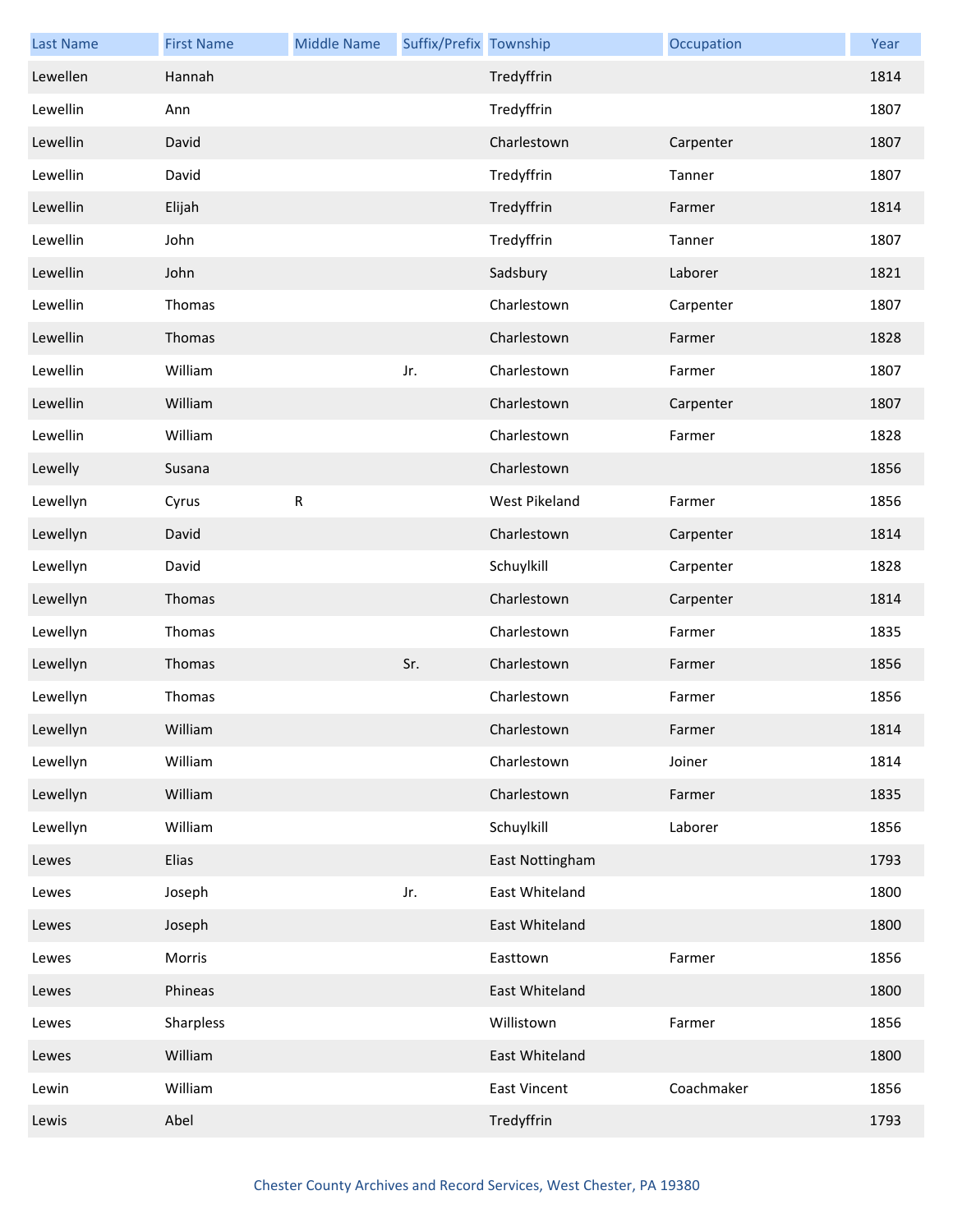| <b>Last Name</b> | <b>First Name</b> | <b>Middle Name</b> | Suffix/Prefix Township |                     | Occupation | Year |
|------------------|-------------------|--------------------|------------------------|---------------------|------------|------|
| Lewellen         | Hannah            |                    |                        | Tredyffrin          |            | 1814 |
| Lewellin         | Ann               |                    |                        | Tredyffrin          |            | 1807 |
| Lewellin         | David             |                    |                        | Charlestown         | Carpenter  | 1807 |
| Lewellin         | David             |                    |                        | Tredyffrin          | Tanner     | 1807 |
| Lewellin         | Elijah            |                    |                        | Tredyffrin          | Farmer     | 1814 |
| Lewellin         | John              |                    |                        | Tredyffrin          | Tanner     | 1807 |
| Lewellin         | John              |                    |                        | Sadsbury            | Laborer    | 1821 |
| Lewellin         | Thomas            |                    |                        | Charlestown         | Carpenter  | 1807 |
| Lewellin         | Thomas            |                    |                        | Charlestown         | Farmer     | 1828 |
| Lewellin         | William           |                    | Jr.                    | Charlestown         | Farmer     | 1807 |
| Lewellin         | William           |                    |                        | Charlestown         | Carpenter  | 1807 |
| Lewellin         | William           |                    |                        | Charlestown         | Farmer     | 1828 |
| Lewelly          | Susana            |                    |                        | Charlestown         |            | 1856 |
| Lewellyn         | Cyrus             | R                  |                        | West Pikeland       | Farmer     | 1856 |
| Lewellyn         | David             |                    |                        | Charlestown         | Carpenter  | 1814 |
| Lewellyn         | David             |                    |                        | Schuylkill          | Carpenter  | 1828 |
| Lewellyn         | Thomas            |                    |                        | Charlestown         | Carpenter  | 1814 |
| Lewellyn         | Thomas            |                    |                        | Charlestown         | Farmer     | 1835 |
| Lewellyn         | Thomas            |                    | Sr.                    | Charlestown         | Farmer     | 1856 |
| Lewellyn         | Thomas            |                    |                        | Charlestown         | Farmer     | 1856 |
| Lewellyn         | William           |                    |                        | Charlestown         | Farmer     | 1814 |
| Lewellyn         | William           |                    |                        | Charlestown         | Joiner     | 1814 |
| Lewellyn         | William           |                    |                        | Charlestown         | Farmer     | 1835 |
| Lewellyn         | William           |                    |                        | Schuylkill          | Laborer    | 1856 |
| Lewes            | Elias             |                    |                        | East Nottingham     |            | 1793 |
| Lewes            | Joseph            |                    | Jr.                    | East Whiteland      |            | 1800 |
| Lewes            | Joseph            |                    |                        | East Whiteland      |            | 1800 |
| Lewes            | Morris            |                    |                        | Easttown            | Farmer     | 1856 |
| Lewes            | Phineas           |                    |                        | East Whiteland      |            | 1800 |
| Lewes            | Sharpless         |                    |                        | Willistown          | Farmer     | 1856 |
| Lewes            | William           |                    |                        | East Whiteland      |            | 1800 |
| Lewin            | William           |                    |                        | <b>East Vincent</b> | Coachmaker | 1856 |
| Lewis            | Abel              |                    |                        | Tredyffrin          |            | 1793 |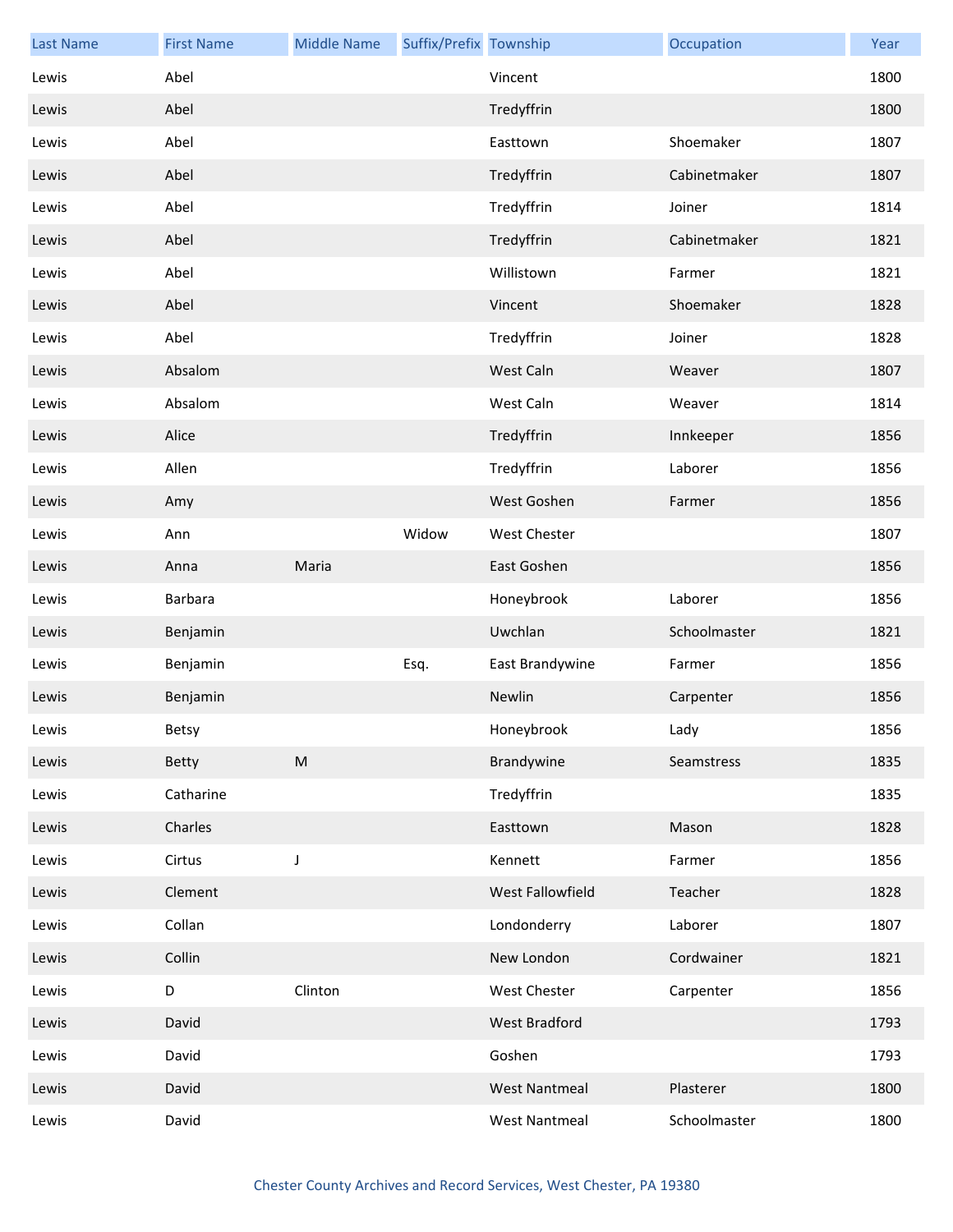| <b>Last Name</b> | <b>First Name</b> | <b>Middle Name</b> | Suffix/Prefix Township |                      | Occupation   | Year |
|------------------|-------------------|--------------------|------------------------|----------------------|--------------|------|
| Lewis            | Abel              |                    |                        | Vincent              |              | 1800 |
| Lewis            | Abel              |                    |                        | Tredyffrin           |              | 1800 |
| Lewis            | Abel              |                    |                        | Easttown             | Shoemaker    | 1807 |
| Lewis            | Abel              |                    |                        | Tredyffrin           | Cabinetmaker | 1807 |
| Lewis            | Abel              |                    |                        | Tredyffrin           | Joiner       | 1814 |
| Lewis            | Abel              |                    |                        | Tredyffrin           | Cabinetmaker | 1821 |
| Lewis            | Abel              |                    |                        | Willistown           | Farmer       | 1821 |
| Lewis            | Abel              |                    |                        | Vincent              | Shoemaker    | 1828 |
| Lewis            | Abel              |                    |                        | Tredyffrin           | Joiner       | 1828 |
| Lewis            | Absalom           |                    |                        | West Caln            | Weaver       | 1807 |
| Lewis            | Absalom           |                    |                        | West Caln            | Weaver       | 1814 |
| Lewis            | Alice             |                    |                        | Tredyffrin           | Innkeeper    | 1856 |
| Lewis            | Allen             |                    |                        | Tredyffrin           | Laborer      | 1856 |
| Lewis            | Amy               |                    |                        | West Goshen          | Farmer       | 1856 |
| Lewis            | Ann               |                    | Widow                  | West Chester         |              | 1807 |
| Lewis            | Anna              | Maria              |                        | East Goshen          |              | 1856 |
| Lewis            | Barbara           |                    |                        | Honeybrook           | Laborer      | 1856 |
| Lewis            | Benjamin          |                    |                        | Uwchlan              | Schoolmaster | 1821 |
| Lewis            | Benjamin          |                    | Esq.                   | East Brandywine      | Farmer       | 1856 |
| Lewis            | Benjamin          |                    |                        | Newlin               | Carpenter    | 1856 |
| Lewis            | Betsy             |                    |                        | Honeybrook           | Lady         | 1856 |
| Lewis            | Betty             | ${\sf M}$          |                        | Brandywine           | Seamstress   | 1835 |
| Lewis            | Catharine         |                    |                        | Tredyffrin           |              | 1835 |
| Lewis            | Charles           |                    |                        | Easttown             | Mason        | 1828 |
| Lewis            | Cirtus            | J                  |                        | Kennett              | Farmer       | 1856 |
| Lewis            | Clement           |                    |                        | West Fallowfield     | Teacher      | 1828 |
| Lewis            | Collan            |                    |                        | Londonderry          | Laborer      | 1807 |
| Lewis            | Collin            |                    |                        | New London           | Cordwainer   | 1821 |
| Lewis            | D                 | Clinton            |                        | West Chester         | Carpenter    | 1856 |
| Lewis            | David             |                    |                        | West Bradford        |              | 1793 |
| Lewis            | David             |                    |                        | Goshen               |              | 1793 |
| Lewis            | David             |                    |                        | <b>West Nantmeal</b> | Plasterer    | 1800 |
| Lewis            | David             |                    |                        | <b>West Nantmeal</b> | Schoolmaster | 1800 |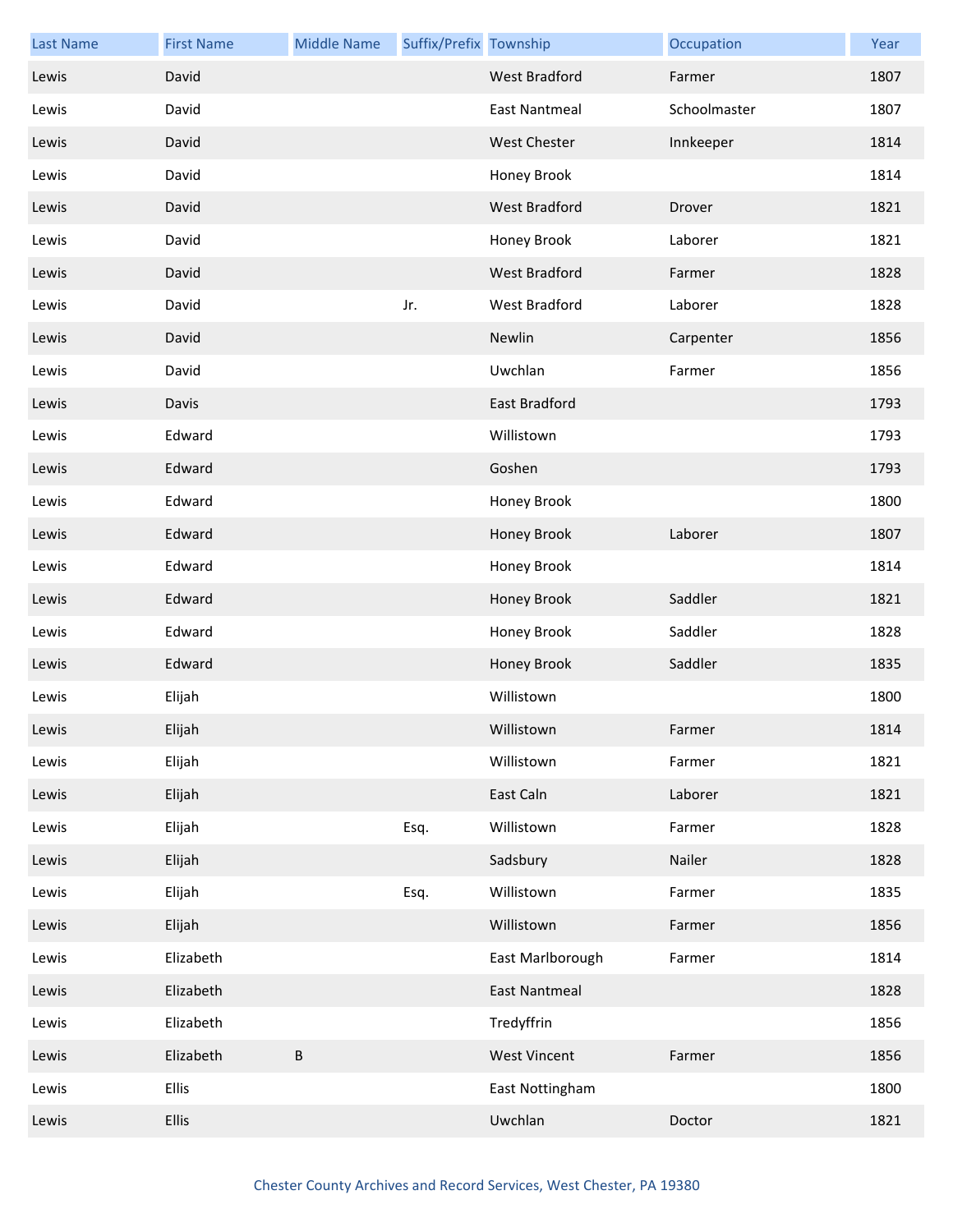| <b>Last Name</b> | <b>First Name</b> | <b>Middle Name</b> | Suffix/Prefix Township |                      | Occupation   | Year |
|------------------|-------------------|--------------------|------------------------|----------------------|--------------|------|
| Lewis            | David             |                    |                        | West Bradford        | Farmer       | 1807 |
| Lewis            | David             |                    |                        | <b>East Nantmeal</b> | Schoolmaster | 1807 |
| Lewis            | David             |                    |                        | <b>West Chester</b>  | Innkeeper    | 1814 |
| Lewis            | David             |                    |                        | Honey Brook          |              | 1814 |
| Lewis            | David             |                    |                        | West Bradford        | Drover       | 1821 |
| Lewis            | David             |                    |                        | Honey Brook          | Laborer      | 1821 |
| Lewis            | David             |                    |                        | West Bradford        | Farmer       | 1828 |
| Lewis            | David             |                    | Jr.                    | West Bradford        | Laborer      | 1828 |
| Lewis            | David             |                    |                        | Newlin               | Carpenter    | 1856 |
| Lewis            | David             |                    |                        | Uwchlan              | Farmer       | 1856 |
| Lewis            | Davis             |                    |                        | East Bradford        |              | 1793 |
| Lewis            | Edward            |                    |                        | Willistown           |              | 1793 |
| Lewis            | Edward            |                    |                        | Goshen               |              | 1793 |
| Lewis            | Edward            |                    |                        | Honey Brook          |              | 1800 |
| Lewis            | Edward            |                    |                        | Honey Brook          | Laborer      | 1807 |
| Lewis            | Edward            |                    |                        | Honey Brook          |              | 1814 |
| Lewis            | Edward            |                    |                        | Honey Brook          | Saddler      | 1821 |
| Lewis            | Edward            |                    |                        | Honey Brook          | Saddler      | 1828 |
| Lewis            | Edward            |                    |                        | Honey Brook          | Saddler      | 1835 |
| Lewis            | Elijah            |                    |                        | Willistown           |              | 1800 |
| Lewis            | Elijah            |                    |                        | Willistown           | Farmer       | 1814 |
| Lewis            | Elijah            |                    |                        | Willistown           | Farmer       | 1821 |
| Lewis            | Elijah            |                    |                        | East Caln            | Laborer      | 1821 |
| Lewis            | Elijah            |                    | Esq.                   | Willistown           | Farmer       | 1828 |
| Lewis            | Elijah            |                    |                        | Sadsbury             | Nailer       | 1828 |
| Lewis            | Elijah            |                    | Esq.                   | Willistown           | Farmer       | 1835 |
| Lewis            | Elijah            |                    |                        | Willistown           | Farmer       | 1856 |
| Lewis            | Elizabeth         |                    |                        | East Marlborough     | Farmer       | 1814 |
| Lewis            | Elizabeth         |                    |                        | <b>East Nantmeal</b> |              | 1828 |
| Lewis            | Elizabeth         |                    |                        | Tredyffrin           |              | 1856 |
| Lewis            | Elizabeth         | $\sf B$            |                        | <b>West Vincent</b>  | Farmer       | 1856 |
| Lewis            | <b>Ellis</b>      |                    |                        | East Nottingham      |              | 1800 |
| Lewis            | Ellis             |                    |                        | Uwchlan              | Doctor       | 1821 |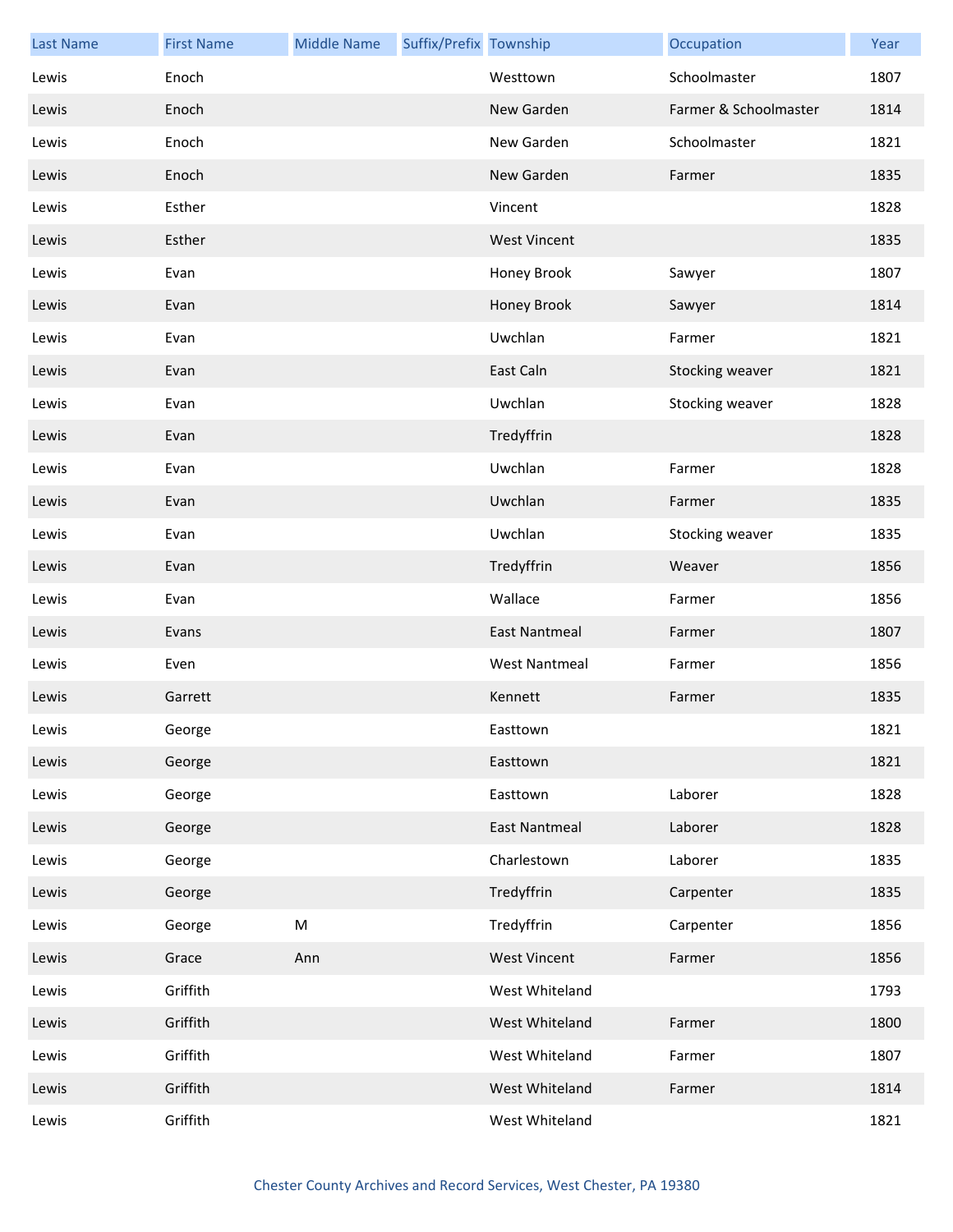| <b>Last Name</b> | <b>First Name</b> | <b>Middle Name</b> | Suffix/Prefix Township |                      | Occupation            | Year |
|------------------|-------------------|--------------------|------------------------|----------------------|-----------------------|------|
| Lewis            | Enoch             |                    |                        | Westtown             | Schoolmaster          | 1807 |
| Lewis            | Enoch             |                    |                        | New Garden           | Farmer & Schoolmaster | 1814 |
| Lewis            | Enoch             |                    |                        | New Garden           | Schoolmaster          | 1821 |
| Lewis            | Enoch             |                    |                        | New Garden           | Farmer                | 1835 |
| Lewis            | Esther            |                    |                        | Vincent              |                       | 1828 |
| Lewis            | Esther            |                    |                        | <b>West Vincent</b>  |                       | 1835 |
| Lewis            | Evan              |                    |                        | Honey Brook          | Sawyer                | 1807 |
| Lewis            | Evan              |                    |                        | Honey Brook          | Sawyer                | 1814 |
| Lewis            | Evan              |                    |                        | Uwchlan              | Farmer                | 1821 |
| Lewis            | Evan              |                    |                        | East Caln            | Stocking weaver       | 1821 |
| Lewis            | Evan              |                    |                        | Uwchlan              | Stocking weaver       | 1828 |
| Lewis            | Evan              |                    |                        | Tredyffrin           |                       | 1828 |
| Lewis            | Evan              |                    |                        | Uwchlan              | Farmer                | 1828 |
| Lewis            | Evan              |                    |                        | Uwchlan              | Farmer                | 1835 |
| Lewis            | Evan              |                    |                        | Uwchlan              | Stocking weaver       | 1835 |
| Lewis            | Evan              |                    |                        | Tredyffrin           | Weaver                | 1856 |
| Lewis            | Evan              |                    |                        | Wallace              | Farmer                | 1856 |
| Lewis            | Evans             |                    |                        | <b>East Nantmeal</b> | Farmer                | 1807 |
| Lewis            | Even              |                    |                        | <b>West Nantmeal</b> | Farmer                | 1856 |
| Lewis            | Garrett           |                    |                        | Kennett              | Farmer                | 1835 |
| Lewis            | George            |                    |                        | Easttown             |                       | 1821 |
| Lewis            | George            |                    |                        | Easttown             |                       | 1821 |
| Lewis            | George            |                    |                        | Easttown             | Laborer               | 1828 |
| Lewis            | George            |                    |                        | <b>East Nantmeal</b> | Laborer               | 1828 |
| Lewis            | George            |                    |                        | Charlestown          | Laborer               | 1835 |
| Lewis            | George            |                    |                        | Tredyffrin           | Carpenter             | 1835 |
| Lewis            | George            | M                  |                        | Tredyffrin           | Carpenter             | 1856 |
| Lewis            | Grace             | Ann                |                        | <b>West Vincent</b>  | Farmer                | 1856 |
| Lewis            | Griffith          |                    |                        | West Whiteland       |                       | 1793 |
| Lewis            | Griffith          |                    |                        | West Whiteland       | Farmer                | 1800 |
| Lewis            | Griffith          |                    |                        | West Whiteland       | Farmer                | 1807 |
| Lewis            | Griffith          |                    |                        | West Whiteland       | Farmer                | 1814 |
| Lewis            | Griffith          |                    |                        | West Whiteland       |                       | 1821 |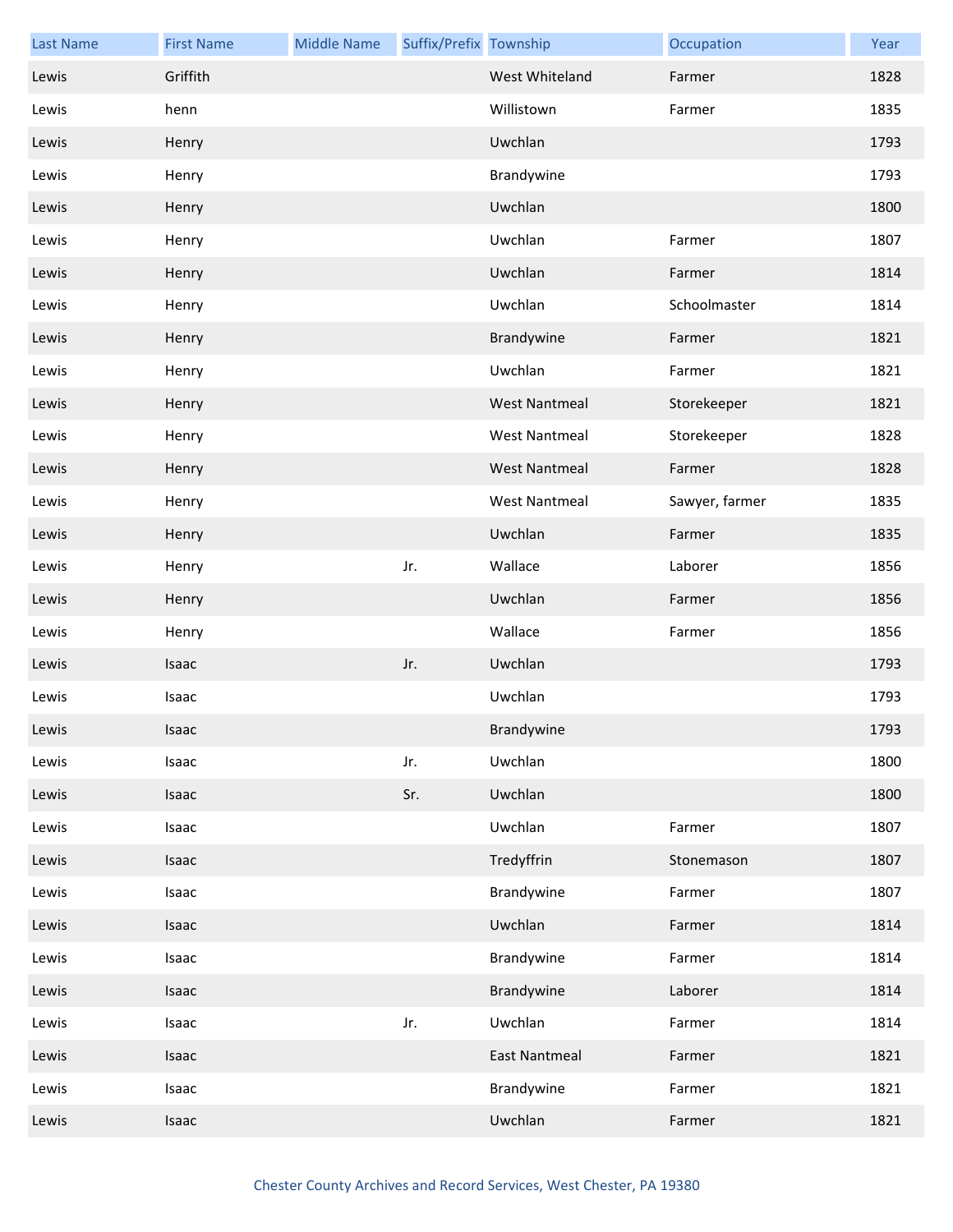| <b>Last Name</b> | <b>First Name</b> | <b>Middle Name</b> | Suffix/Prefix Township |                      | Occupation     | Year |
|------------------|-------------------|--------------------|------------------------|----------------------|----------------|------|
| Lewis            | Griffith          |                    |                        | West Whiteland       | Farmer         | 1828 |
| Lewis            | henn              |                    |                        | Willistown           | Farmer         | 1835 |
| Lewis            | Henry             |                    |                        | Uwchlan              |                | 1793 |
| Lewis            | Henry             |                    |                        | Brandywine           |                | 1793 |
| Lewis            | Henry             |                    |                        | Uwchlan              |                | 1800 |
| Lewis            | Henry             |                    |                        | Uwchlan              | Farmer         | 1807 |
| Lewis            | Henry             |                    |                        | Uwchlan              | Farmer         | 1814 |
| Lewis            | Henry             |                    |                        | Uwchlan              | Schoolmaster   | 1814 |
| Lewis            | Henry             |                    |                        | Brandywine           | Farmer         | 1821 |
| Lewis            | Henry             |                    |                        | Uwchlan              | Farmer         | 1821 |
| Lewis            | Henry             |                    |                        | <b>West Nantmeal</b> | Storekeeper    | 1821 |
| Lewis            | Henry             |                    |                        | <b>West Nantmeal</b> | Storekeeper    | 1828 |
| Lewis            | Henry             |                    |                        | <b>West Nantmeal</b> | Farmer         | 1828 |
| Lewis            | Henry             |                    |                        | <b>West Nantmeal</b> | Sawyer, farmer | 1835 |
| Lewis            | Henry             |                    |                        | Uwchlan              | Farmer         | 1835 |
| Lewis            | Henry             |                    | Jr.                    | Wallace              | Laborer        | 1856 |
| Lewis            | Henry             |                    |                        | Uwchlan              | Farmer         | 1856 |
| Lewis            | Henry             |                    |                        | Wallace              | Farmer         | 1856 |
| Lewis            | Isaac             |                    | Jr.                    | Uwchlan              |                | 1793 |
| Lewis            | Isaac             |                    |                        | Uwchlan              |                | 1793 |
| Lewis            | Isaac             |                    |                        | Brandywine           |                | 1793 |
| Lewis            | Isaac             |                    | Jr.                    | Uwchlan              |                | 1800 |
| Lewis            | Isaac             |                    | Sr.                    | Uwchlan              |                | 1800 |
| Lewis            | Isaac             |                    |                        | Uwchlan              | Farmer         | 1807 |
| Lewis            | Isaac             |                    |                        | Tredyffrin           | Stonemason     | 1807 |
| Lewis            | Isaac             |                    |                        | Brandywine           | Farmer         | 1807 |
| Lewis            | Isaac             |                    |                        | Uwchlan              | Farmer         | 1814 |
| Lewis            | Isaac             |                    |                        | Brandywine           | Farmer         | 1814 |
| Lewis            | Isaac             |                    |                        | Brandywine           | Laborer        | 1814 |
| Lewis            | Isaac             |                    | Jr.                    | Uwchlan              | Farmer         | 1814 |
| Lewis            | Isaac             |                    |                        | <b>East Nantmeal</b> | Farmer         | 1821 |
| Lewis            | Isaac             |                    |                        | Brandywine           | Farmer         | 1821 |
| Lewis            | Isaac             |                    |                        | Uwchlan              | Farmer         | 1821 |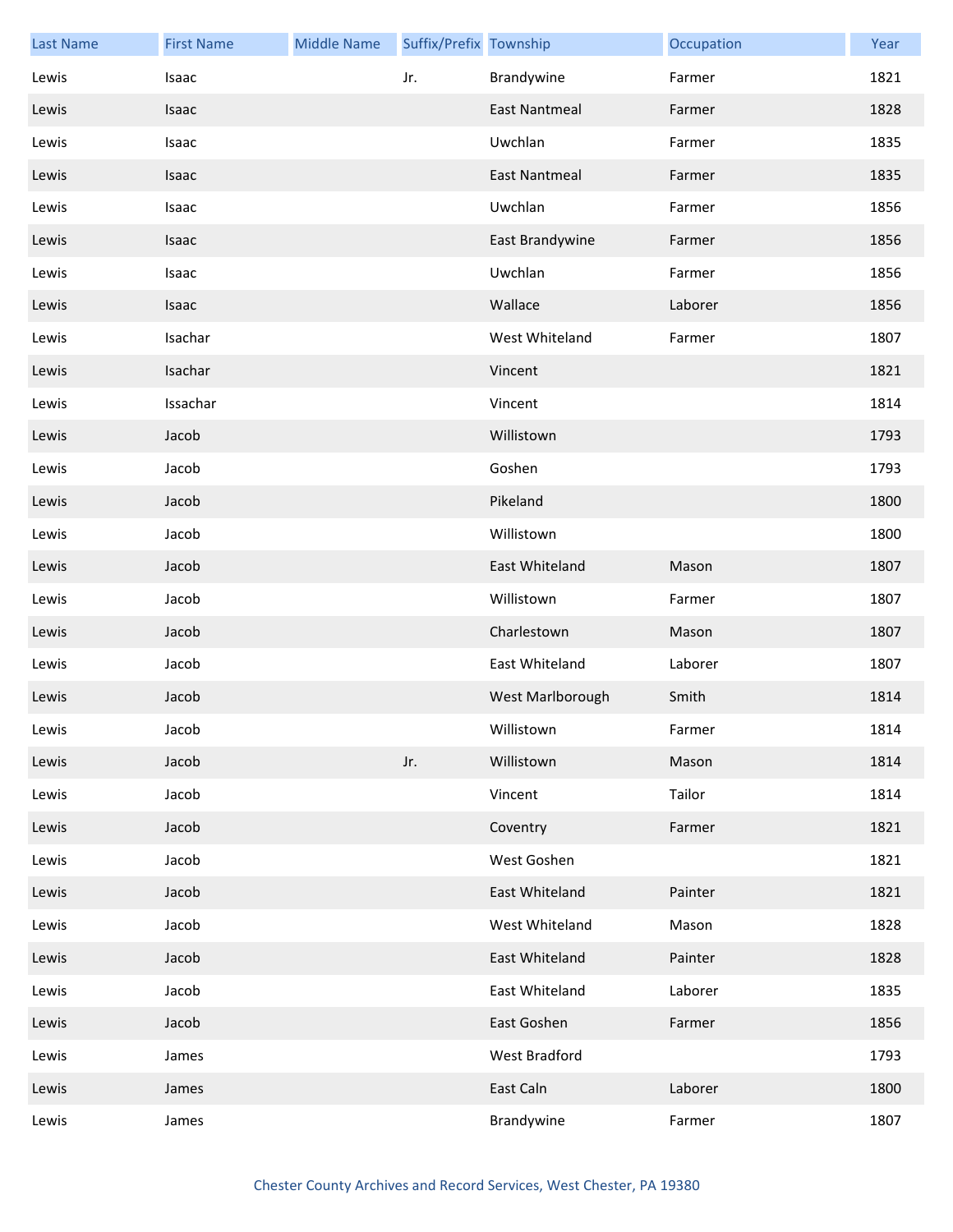| <b>Last Name</b> | <b>First Name</b> | <b>Middle Name</b> | Suffix/Prefix Township |                      | Occupation | Year |
|------------------|-------------------|--------------------|------------------------|----------------------|------------|------|
| Lewis            | Isaac             |                    | Jr.                    | Brandywine           | Farmer     | 1821 |
| Lewis            | Isaac             |                    |                        | <b>East Nantmeal</b> | Farmer     | 1828 |
| Lewis            | Isaac             |                    |                        | Uwchlan              | Farmer     | 1835 |
| Lewis            | Isaac             |                    |                        | <b>East Nantmeal</b> | Farmer     | 1835 |
| Lewis            | Isaac             |                    |                        | Uwchlan              | Farmer     | 1856 |
| Lewis            | Isaac             |                    |                        | East Brandywine      | Farmer     | 1856 |
| Lewis            | Isaac             |                    |                        | Uwchlan              | Farmer     | 1856 |
| Lewis            | Isaac             |                    |                        | Wallace              | Laborer    | 1856 |
| Lewis            | Isachar           |                    |                        | West Whiteland       | Farmer     | 1807 |
| Lewis            | Isachar           |                    |                        | Vincent              |            | 1821 |
| Lewis            | Issachar          |                    |                        | Vincent              |            | 1814 |
| Lewis            | Jacob             |                    |                        | Willistown           |            | 1793 |
| Lewis            | Jacob             |                    |                        | Goshen               |            | 1793 |
| Lewis            | Jacob             |                    |                        | Pikeland             |            | 1800 |
| Lewis            | Jacob             |                    |                        | Willistown           |            | 1800 |
| Lewis            | Jacob             |                    |                        | East Whiteland       | Mason      | 1807 |
| Lewis            | Jacob             |                    |                        | Willistown           | Farmer     | 1807 |
| Lewis            | Jacob             |                    |                        | Charlestown          | Mason      | 1807 |
| Lewis            | Jacob             |                    |                        | East Whiteland       | Laborer    | 1807 |
| Lewis            | Jacob             |                    |                        | West Marlborough     | Smith      | 1814 |
| Lewis            | Jacob             |                    |                        | Willistown           | Farmer     | 1814 |
| Lewis            | Jacob             |                    | Jr.                    | Willistown           | Mason      | 1814 |
| Lewis            | Jacob             |                    |                        | Vincent              | Tailor     | 1814 |
| Lewis            | Jacob             |                    |                        | Coventry             | Farmer     | 1821 |
| Lewis            | Jacob             |                    |                        | West Goshen          |            | 1821 |
| Lewis            | Jacob             |                    |                        | East Whiteland       | Painter    | 1821 |
| Lewis            | Jacob             |                    |                        | West Whiteland       | Mason      | 1828 |
| Lewis            | Jacob             |                    |                        | East Whiteland       | Painter    | 1828 |
| Lewis            | Jacob             |                    |                        | East Whiteland       | Laborer    | 1835 |
| Lewis            | Jacob             |                    |                        | East Goshen          | Farmer     | 1856 |
| Lewis            | James             |                    |                        | West Bradford        |            | 1793 |
| Lewis            | James             |                    |                        | East Caln            | Laborer    | 1800 |
| Lewis            | James             |                    |                        | Brandywine           | Farmer     | 1807 |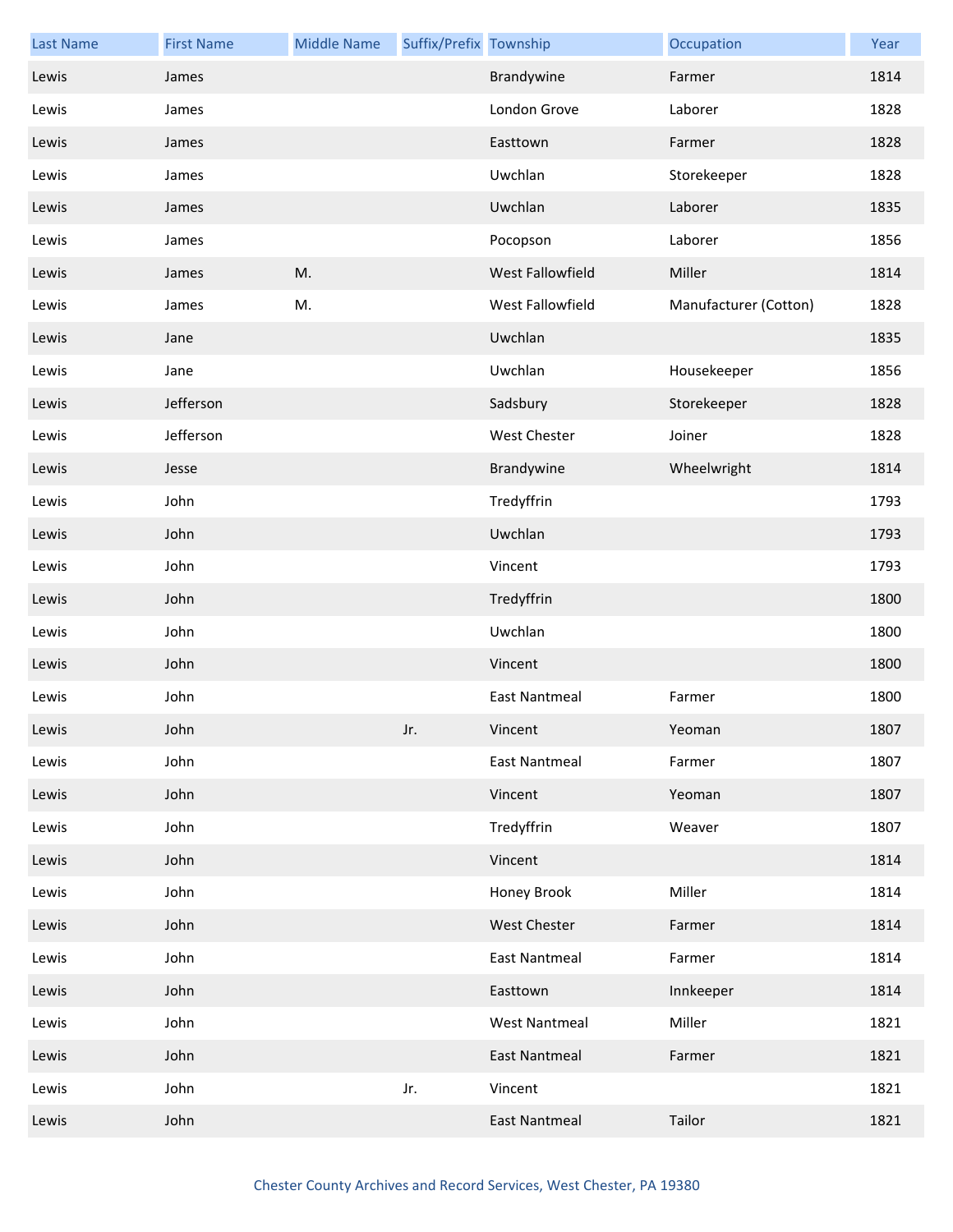| <b>Last Name</b> | <b>First Name</b> | <b>Middle Name</b> | Suffix/Prefix Township |                      | Occupation            | Year |
|------------------|-------------------|--------------------|------------------------|----------------------|-----------------------|------|
| Lewis            | James             |                    |                        | Brandywine           | Farmer                | 1814 |
| Lewis            | James             |                    |                        | London Grove         | Laborer               | 1828 |
| Lewis            | James             |                    |                        | Easttown             | Farmer                | 1828 |
| Lewis            | James             |                    |                        | Uwchlan              | Storekeeper           | 1828 |
| Lewis            | James             |                    |                        | Uwchlan              | Laborer               | 1835 |
| Lewis            | James             |                    |                        | Pocopson             | Laborer               | 1856 |
| Lewis            | James             | M.                 |                        | West Fallowfield     | Miller                | 1814 |
| Lewis            | James             | M.                 |                        | West Fallowfield     | Manufacturer (Cotton) | 1828 |
| Lewis            | Jane              |                    |                        | Uwchlan              |                       | 1835 |
| Lewis            | Jane              |                    |                        | Uwchlan              | Housekeeper           | 1856 |
| Lewis            | Jefferson         |                    |                        | Sadsbury             | Storekeeper           | 1828 |
| Lewis            | Jefferson         |                    |                        | <b>West Chester</b>  | Joiner                | 1828 |
| Lewis            | Jesse             |                    |                        | Brandywine           | Wheelwright           | 1814 |
| Lewis            | John              |                    |                        | Tredyffrin           |                       | 1793 |
| Lewis            | John              |                    |                        | Uwchlan              |                       | 1793 |
| Lewis            | John              |                    |                        | Vincent              |                       | 1793 |
| Lewis            | John              |                    |                        | Tredyffrin           |                       | 1800 |
| Lewis            | John              |                    |                        | Uwchlan              |                       | 1800 |
| Lewis            | John              |                    |                        | Vincent              |                       | 1800 |
| Lewis            | John              |                    |                        | <b>East Nantmeal</b> | Farmer                | 1800 |
| Lewis            | John              |                    | Jr.                    | Vincent              | Yeoman                | 1807 |
| Lewis            | John              |                    |                        | <b>East Nantmeal</b> | Farmer                | 1807 |
| Lewis            | John              |                    |                        | Vincent              | Yeoman                | 1807 |
| Lewis            | John              |                    |                        | Tredyffrin           | Weaver                | 1807 |
| Lewis            | John              |                    |                        | Vincent              |                       | 1814 |
| Lewis            | John              |                    |                        | Honey Brook          | Miller                | 1814 |
| Lewis            | John              |                    |                        | <b>West Chester</b>  | Farmer                | 1814 |
| Lewis            | John              |                    |                        | <b>East Nantmeal</b> | Farmer                | 1814 |
| Lewis            | John              |                    |                        | Easttown             | Innkeeper             | 1814 |
| Lewis            | John              |                    |                        | <b>West Nantmeal</b> | Miller                | 1821 |
| Lewis            | John              |                    |                        | <b>East Nantmeal</b> | Farmer                | 1821 |
| Lewis            | John              |                    | Jr.                    | Vincent              |                       | 1821 |
| Lewis            | John              |                    |                        | <b>East Nantmeal</b> | Tailor                | 1821 |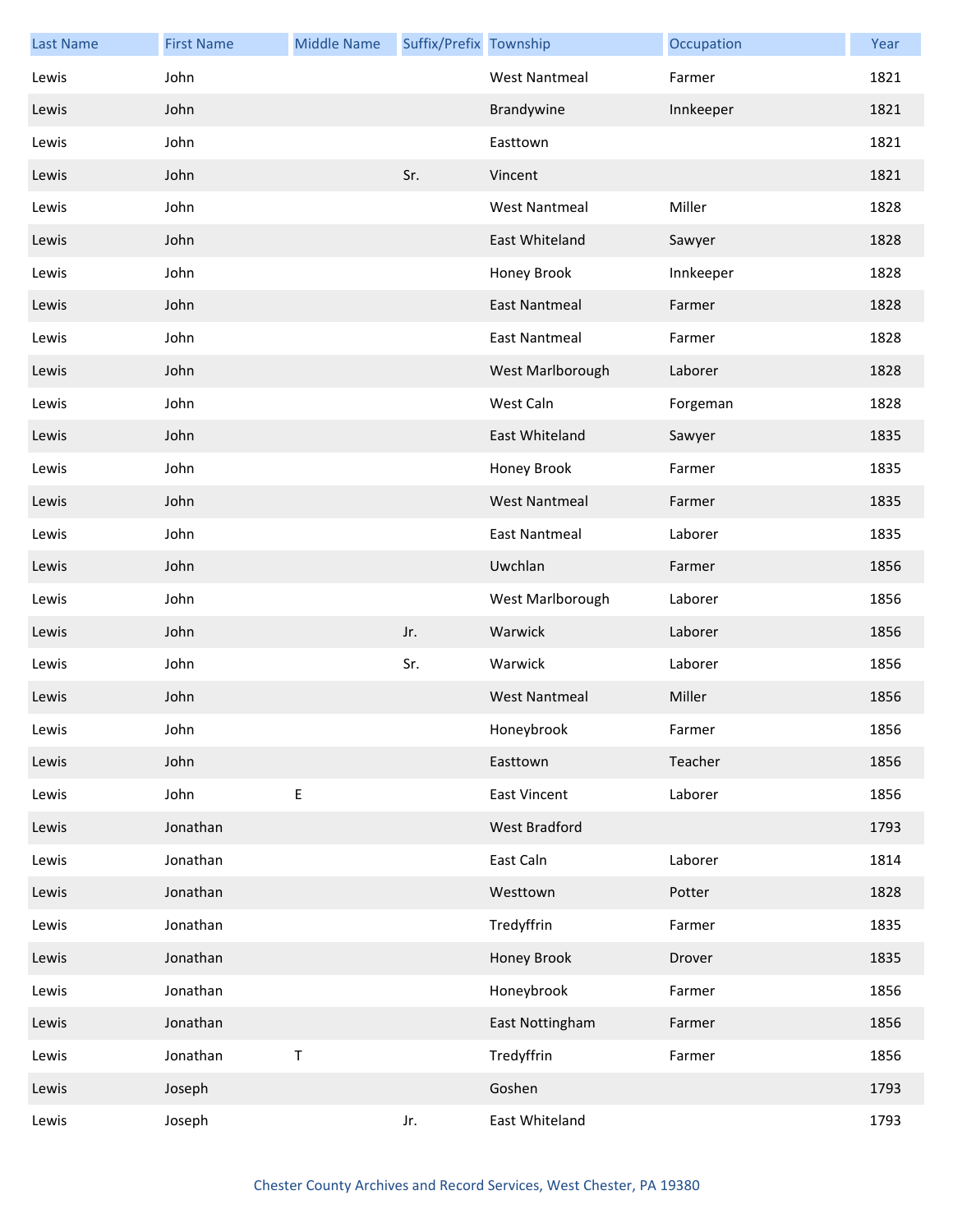| <b>Last Name</b> | <b>First Name</b> | <b>Middle Name</b> | Suffix/Prefix Township |                      | Occupation | Year |
|------------------|-------------------|--------------------|------------------------|----------------------|------------|------|
| Lewis            | John              |                    |                        | <b>West Nantmeal</b> | Farmer     | 1821 |
| Lewis            | John              |                    |                        | Brandywine           | Innkeeper  | 1821 |
| Lewis            | John              |                    |                        | Easttown             |            | 1821 |
| Lewis            | John              |                    | Sr.                    | Vincent              |            | 1821 |
| Lewis            | John              |                    |                        | <b>West Nantmeal</b> | Miller     | 1828 |
| Lewis            | John              |                    |                        | East Whiteland       | Sawyer     | 1828 |
| Lewis            | John              |                    |                        | Honey Brook          | Innkeeper  | 1828 |
| Lewis            | John              |                    |                        | <b>East Nantmeal</b> | Farmer     | 1828 |
| Lewis            | John              |                    |                        | <b>East Nantmeal</b> | Farmer     | 1828 |
| Lewis            | John              |                    |                        | West Marlborough     | Laborer    | 1828 |
| Lewis            | John              |                    |                        | West Caln            | Forgeman   | 1828 |
| Lewis            | John              |                    |                        | East Whiteland       | Sawyer     | 1835 |
| Lewis            | John              |                    |                        | Honey Brook          | Farmer     | 1835 |
| Lewis            | John              |                    |                        | <b>West Nantmeal</b> | Farmer     | 1835 |
| Lewis            | John              |                    |                        | <b>East Nantmeal</b> | Laborer    | 1835 |
| Lewis            | John              |                    |                        | Uwchlan              | Farmer     | 1856 |
| Lewis            | John              |                    |                        | West Marlborough     | Laborer    | 1856 |
| Lewis            | John              |                    | Jr.                    | Warwick              | Laborer    | 1856 |
| Lewis            | John              |                    | Sr.                    | Warwick              | Laborer    | 1856 |
| Lewis            | John              |                    |                        | <b>West Nantmeal</b> | Miller     | 1856 |
| Lewis            | John              |                    |                        | Honeybrook           | Farmer     | 1856 |
| Lewis            | John              |                    |                        | Easttown             | Teacher    | 1856 |
| Lewis            | John              | E                  |                        | <b>East Vincent</b>  | Laborer    | 1856 |
| Lewis            | Jonathan          |                    |                        | West Bradford        |            | 1793 |
| Lewis            | Jonathan          |                    |                        | East Caln            | Laborer    | 1814 |
| Lewis            | Jonathan          |                    |                        | Westtown             | Potter     | 1828 |
| Lewis            | Jonathan          |                    |                        | Tredyffrin           | Farmer     | 1835 |
| Lewis            | Jonathan          |                    |                        | Honey Brook          | Drover     | 1835 |
| Lewis            | Jonathan          |                    |                        | Honeybrook           | Farmer     | 1856 |
| Lewis            | Jonathan          |                    |                        | East Nottingham      | Farmer     | 1856 |
| Lewis            | Jonathan          | $\sf T$            |                        | Tredyffrin           | Farmer     | 1856 |
| Lewis            | Joseph            |                    |                        | Goshen               |            | 1793 |
| Lewis            | Joseph            |                    | Jr.                    | East Whiteland       |            | 1793 |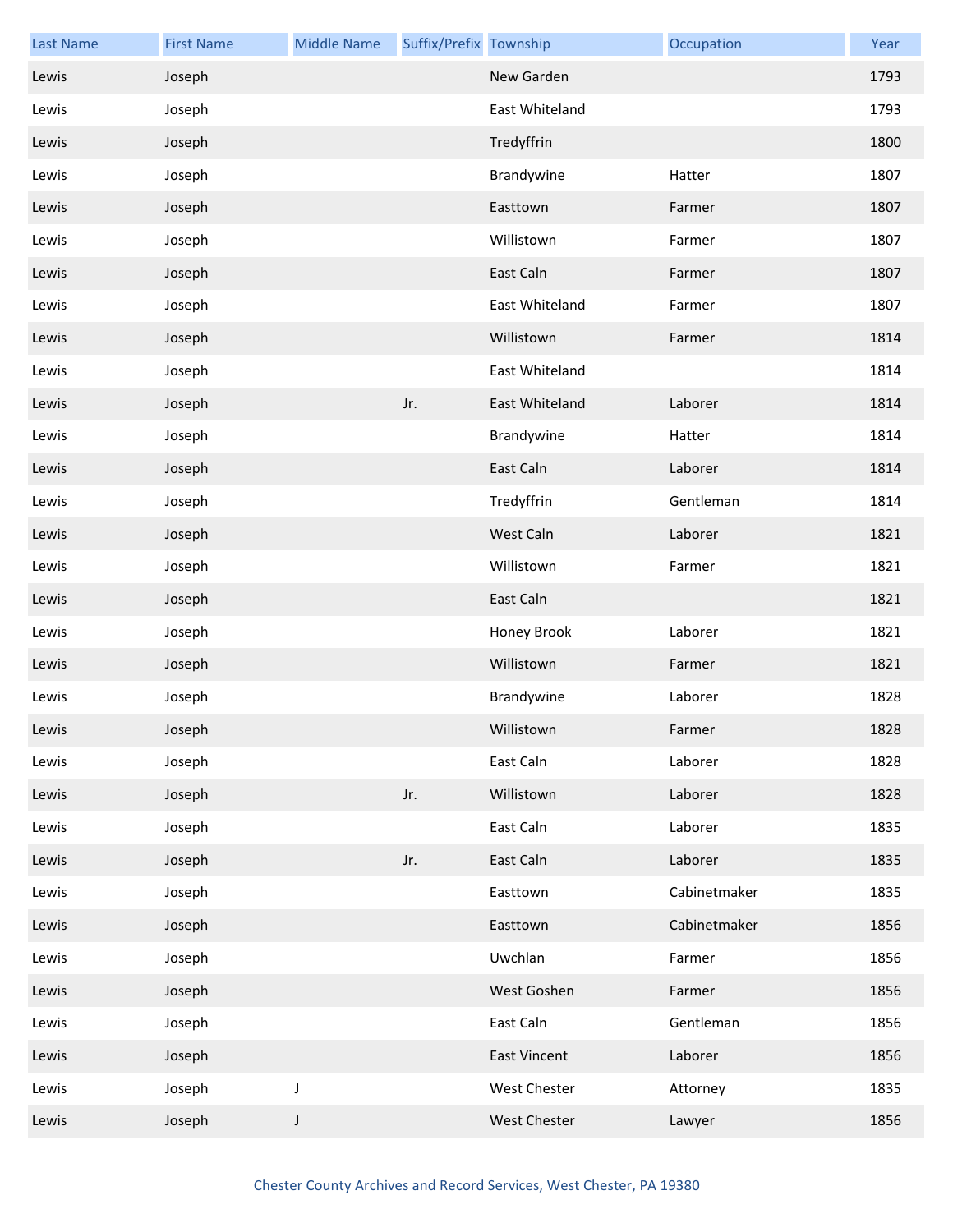| <b>Last Name</b> | <b>First Name</b> | <b>Middle Name</b> | Suffix/Prefix Township |                     | Occupation   | Year |
|------------------|-------------------|--------------------|------------------------|---------------------|--------------|------|
| Lewis            | Joseph            |                    |                        | New Garden          |              | 1793 |
| Lewis            | Joseph            |                    |                        | East Whiteland      |              | 1793 |
| Lewis            | Joseph            |                    |                        | Tredyffrin          |              | 1800 |
| Lewis            | Joseph            |                    |                        | Brandywine          | Hatter       | 1807 |
| Lewis            | Joseph            |                    |                        | Easttown            | Farmer       | 1807 |
| Lewis            | Joseph            |                    |                        | Willistown          | Farmer       | 1807 |
| Lewis            | Joseph            |                    |                        | East Caln           | Farmer       | 1807 |
| Lewis            | Joseph            |                    |                        | East Whiteland      | Farmer       | 1807 |
| Lewis            | Joseph            |                    |                        | Willistown          | Farmer       | 1814 |
| Lewis            | Joseph            |                    |                        | East Whiteland      |              | 1814 |
| Lewis            | Joseph            |                    | Jr.                    | East Whiteland      | Laborer      | 1814 |
| Lewis            | Joseph            |                    |                        | Brandywine          | Hatter       | 1814 |
| Lewis            | Joseph            |                    |                        | East Caln           | Laborer      | 1814 |
| Lewis            | Joseph            |                    |                        | Tredyffrin          | Gentleman    | 1814 |
| Lewis            | Joseph            |                    |                        | West Caln           | Laborer      | 1821 |
| Lewis            | Joseph            |                    |                        | Willistown          | Farmer       | 1821 |
| Lewis            | Joseph            |                    |                        | East Caln           |              | 1821 |
| Lewis            | Joseph            |                    |                        | Honey Brook         | Laborer      | 1821 |
| Lewis            | Joseph            |                    |                        | Willistown          | Farmer       | 1821 |
| Lewis            | Joseph            |                    |                        | Brandywine          | Laborer      | 1828 |
| Lewis            | Joseph            |                    |                        | Willistown          | Farmer       | 1828 |
| Lewis            | Joseph            |                    |                        | East Caln           | Laborer      | 1828 |
| Lewis            | Joseph            |                    | Jr.                    | Willistown          | Laborer      | 1828 |
| Lewis            | Joseph            |                    |                        | East Caln           | Laborer      | 1835 |
| Lewis            | Joseph            |                    | Jr.                    | East Caln           | Laborer      | 1835 |
| Lewis            | Joseph            |                    |                        | Easttown            | Cabinetmaker | 1835 |
| Lewis            | Joseph            |                    |                        | Easttown            | Cabinetmaker | 1856 |
| Lewis            | Joseph            |                    |                        | Uwchlan             | Farmer       | 1856 |
| Lewis            | Joseph            |                    |                        | West Goshen         | Farmer       | 1856 |
| Lewis            | Joseph            |                    |                        | East Caln           | Gentleman    | 1856 |
| Lewis            | Joseph            |                    |                        | <b>East Vincent</b> | Laborer      | 1856 |
| Lewis            | Joseph            | $\mathsf J$        |                        | West Chester        | Attorney     | 1835 |
| Lewis            | Joseph            | J                  |                        | West Chester        | Lawyer       | 1856 |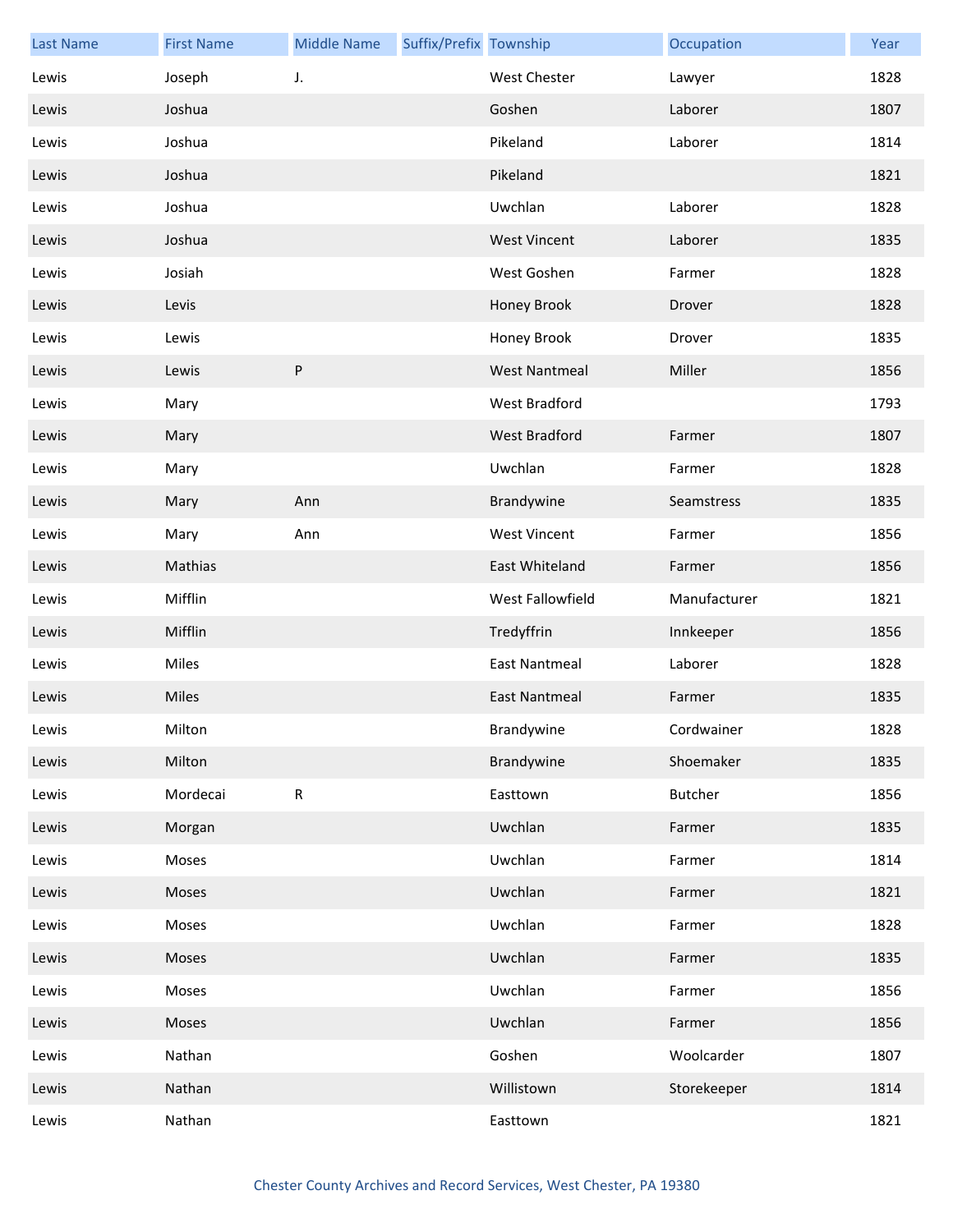| <b>Last Name</b> | <b>First Name</b> | <b>Middle Name</b> | Suffix/Prefix Township |                      | Occupation     | Year |
|------------------|-------------------|--------------------|------------------------|----------------------|----------------|------|
| Lewis            | Joseph            | J.                 |                        | West Chester         | Lawyer         | 1828 |
| Lewis            | Joshua            |                    |                        | Goshen               | Laborer        | 1807 |
| Lewis            | Joshua            |                    |                        | Pikeland             | Laborer        | 1814 |
| Lewis            | Joshua            |                    |                        | Pikeland             |                | 1821 |
| Lewis            | Joshua            |                    |                        | Uwchlan              | Laborer        | 1828 |
| Lewis            | Joshua            |                    |                        | <b>West Vincent</b>  | Laborer        | 1835 |
| Lewis            | Josiah            |                    |                        | West Goshen          | Farmer         | 1828 |
| Lewis            | Levis             |                    |                        | Honey Brook          | Drover         | 1828 |
| Lewis            | Lewis             |                    |                        | Honey Brook          | Drover         | 1835 |
| Lewis            | Lewis             | $\sf P$            |                        | <b>West Nantmeal</b> | Miller         | 1856 |
| Lewis            | Mary              |                    |                        | West Bradford        |                | 1793 |
| Lewis            | Mary              |                    |                        | West Bradford        | Farmer         | 1807 |
| Lewis            | Mary              |                    |                        | Uwchlan              | Farmer         | 1828 |
| Lewis            | Mary              | Ann                |                        | Brandywine           | Seamstress     | 1835 |
| Lewis            | Mary              | Ann                |                        | <b>West Vincent</b>  | Farmer         | 1856 |
| Lewis            | Mathias           |                    |                        | East Whiteland       | Farmer         | 1856 |
| Lewis            | Mifflin           |                    |                        | West Fallowfield     | Manufacturer   | 1821 |
| Lewis            | Mifflin           |                    |                        | Tredyffrin           | Innkeeper      | 1856 |
| Lewis            | Miles             |                    |                        | <b>East Nantmeal</b> | Laborer        | 1828 |
| Lewis            | Miles             |                    |                        | <b>East Nantmeal</b> | Farmer         | 1835 |
| Lewis            | Milton            |                    |                        | Brandywine           | Cordwainer     | 1828 |
| Lewis            | Milton            |                    |                        | Brandywine           | Shoemaker      | 1835 |
| Lewis            | Mordecai          | ${\sf R}$          |                        | Easttown             | <b>Butcher</b> | 1856 |
| Lewis            | Morgan            |                    |                        | Uwchlan              | Farmer         | 1835 |
| Lewis            | Moses             |                    |                        | Uwchlan              | Farmer         | 1814 |
| Lewis            | Moses             |                    |                        | Uwchlan              | Farmer         | 1821 |
| Lewis            | Moses             |                    |                        | Uwchlan              | Farmer         | 1828 |
| Lewis            | Moses             |                    |                        | Uwchlan              | Farmer         | 1835 |
| Lewis            | Moses             |                    |                        | Uwchlan              | Farmer         | 1856 |
| Lewis            | Moses             |                    |                        | Uwchlan              | Farmer         | 1856 |
| Lewis            | Nathan            |                    |                        | Goshen               | Woolcarder     | 1807 |
| Lewis            | Nathan            |                    |                        | Willistown           | Storekeeper    | 1814 |
| Lewis            | Nathan            |                    |                        | Easttown             |                | 1821 |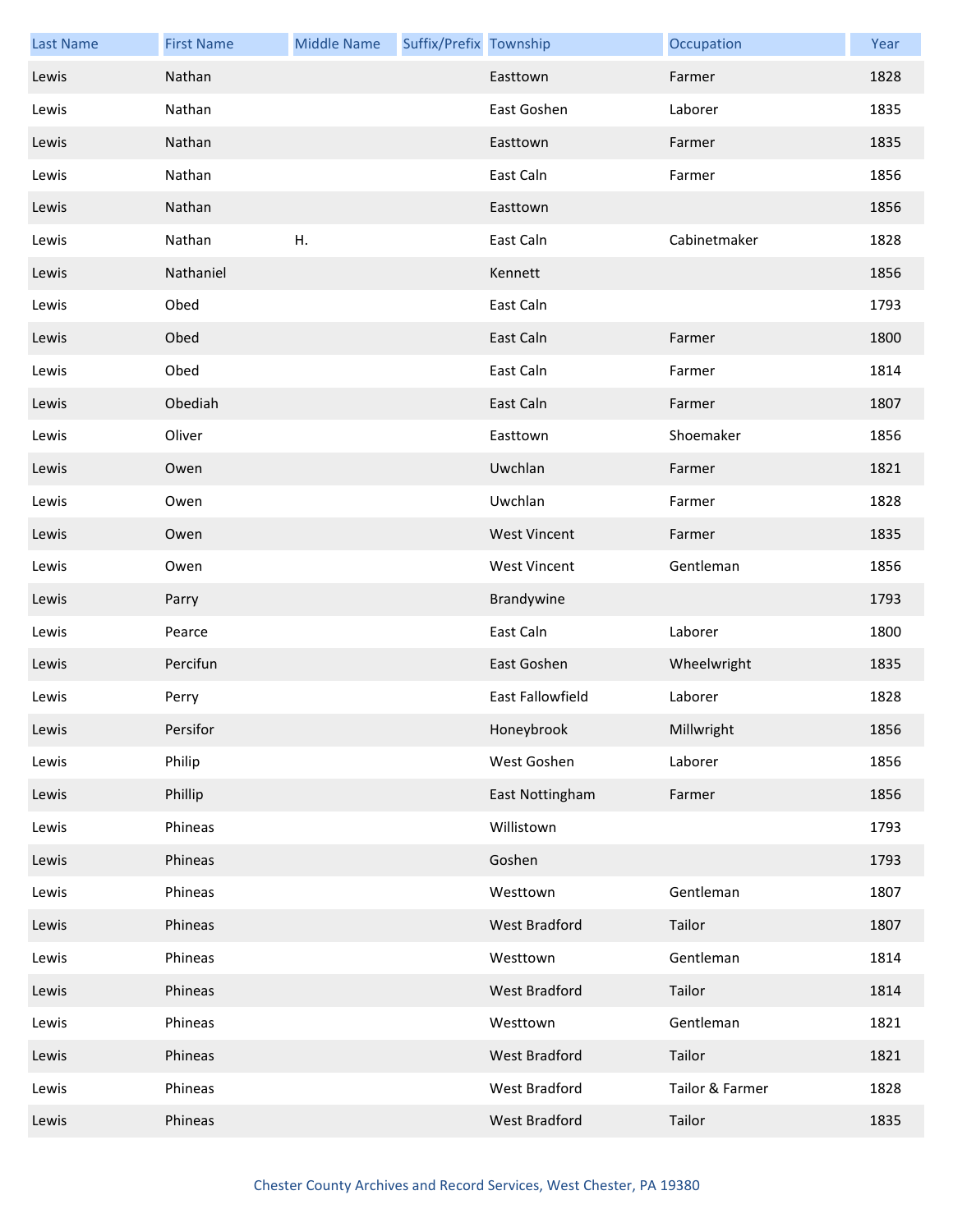| <b>Last Name</b> | <b>First Name</b> | <b>Middle Name</b> | Suffix/Prefix Township |                     | Occupation      | Year |
|------------------|-------------------|--------------------|------------------------|---------------------|-----------------|------|
| Lewis            | Nathan            |                    |                        | Easttown            | Farmer          | 1828 |
| Lewis            | Nathan            |                    |                        | East Goshen         | Laborer         | 1835 |
| Lewis            | Nathan            |                    |                        | Easttown            | Farmer          | 1835 |
| Lewis            | Nathan            |                    |                        | East Caln           | Farmer          | 1856 |
| Lewis            | Nathan            |                    |                        | Easttown            |                 | 1856 |
| Lewis            | Nathan            | Η.                 |                        | East Caln           | Cabinetmaker    | 1828 |
| Lewis            | Nathaniel         |                    |                        | Kennett             |                 | 1856 |
| Lewis            | Obed              |                    |                        | East Caln           |                 | 1793 |
| Lewis            | Obed              |                    |                        | East Caln           | Farmer          | 1800 |
| Lewis            | Obed              |                    |                        | East Caln           | Farmer          | 1814 |
| Lewis            | Obediah           |                    |                        | East Caln           | Farmer          | 1807 |
| Lewis            | Oliver            |                    |                        | Easttown            | Shoemaker       | 1856 |
| Lewis            | Owen              |                    |                        | Uwchlan             | Farmer          | 1821 |
| Lewis            | Owen              |                    |                        | Uwchlan             | Farmer          | 1828 |
| Lewis            | Owen              |                    |                        | <b>West Vincent</b> | Farmer          | 1835 |
| Lewis            | Owen              |                    |                        | <b>West Vincent</b> | Gentleman       | 1856 |
| Lewis            | Parry             |                    |                        | Brandywine          |                 | 1793 |
| Lewis            | Pearce            |                    |                        | East Caln           | Laborer         | 1800 |
| Lewis            | Percifun          |                    |                        | East Goshen         | Wheelwright     | 1835 |
| Lewis            | Perry             |                    |                        | East Fallowfield    | Laborer         | 1828 |
| Lewis            | Persifor          |                    |                        | Honeybrook          | Millwright      | 1856 |
| Lewis            | Philip            |                    |                        | West Goshen         | Laborer         | 1856 |
| Lewis            | Phillip           |                    |                        | East Nottingham     | Farmer          | 1856 |
| Lewis            | Phineas           |                    |                        | Willistown          |                 | 1793 |
| Lewis            | Phineas           |                    |                        | Goshen              |                 | 1793 |
| Lewis            | Phineas           |                    |                        | Westtown            | Gentleman       | 1807 |
| Lewis            | Phineas           |                    |                        | West Bradford       | Tailor          | 1807 |
| Lewis            | Phineas           |                    |                        | Westtown            | Gentleman       | 1814 |
| Lewis            | Phineas           |                    |                        | West Bradford       | Tailor          | 1814 |
| Lewis            | Phineas           |                    |                        | Westtown            | Gentleman       | 1821 |
| Lewis            | Phineas           |                    |                        | West Bradford       | Tailor          | 1821 |
| Lewis            | Phineas           |                    |                        | West Bradford       | Tailor & Farmer | 1828 |
| Lewis            | Phineas           |                    |                        | West Bradford       | Tailor          | 1835 |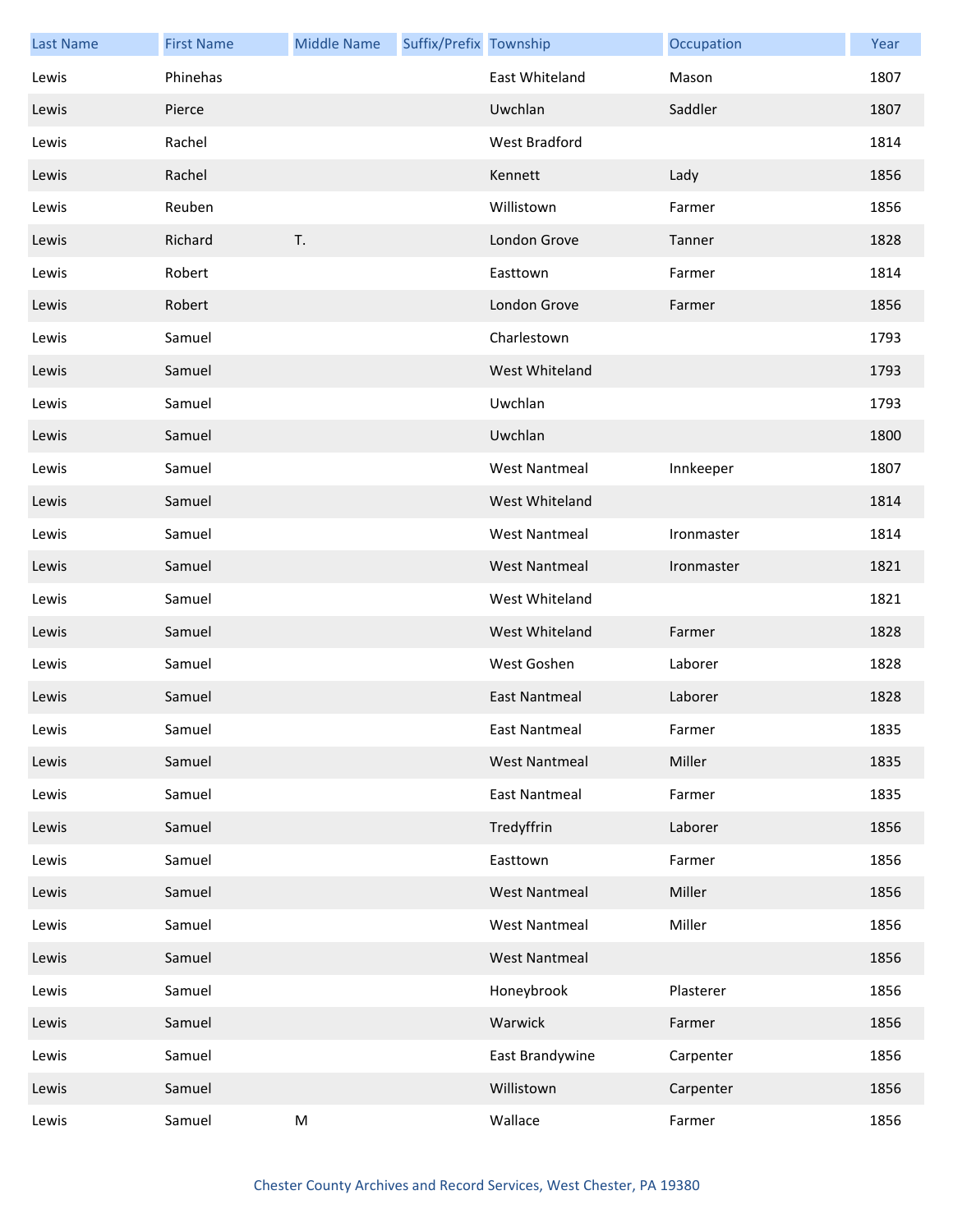| <b>Last Name</b> | <b>First Name</b> | <b>Middle Name</b> | Suffix/Prefix Township |                      | Occupation | Year |
|------------------|-------------------|--------------------|------------------------|----------------------|------------|------|
| Lewis            | Phinehas          |                    |                        | East Whiteland       | Mason      | 1807 |
| Lewis            | Pierce            |                    |                        | Uwchlan              | Saddler    | 1807 |
| Lewis            | Rachel            |                    |                        | <b>West Bradford</b> |            | 1814 |
| Lewis            | Rachel            |                    |                        | Kennett              | Lady       | 1856 |
| Lewis            | Reuben            |                    |                        | Willistown           | Farmer     | 1856 |
| Lewis            | Richard           | T.                 |                        | London Grove         | Tanner     | 1828 |
| Lewis            | Robert            |                    |                        | Easttown             | Farmer     | 1814 |
| Lewis            | Robert            |                    |                        | London Grove         | Farmer     | 1856 |
| Lewis            | Samuel            |                    |                        | Charlestown          |            | 1793 |
| Lewis            | Samuel            |                    |                        | West Whiteland       |            | 1793 |
| Lewis            | Samuel            |                    |                        | Uwchlan              |            | 1793 |
| Lewis            | Samuel            |                    |                        | Uwchlan              |            | 1800 |
| Lewis            | Samuel            |                    |                        | <b>West Nantmeal</b> | Innkeeper  | 1807 |
| Lewis            | Samuel            |                    |                        | West Whiteland       |            | 1814 |
| Lewis            | Samuel            |                    |                        | <b>West Nantmeal</b> | Ironmaster | 1814 |
| Lewis            | Samuel            |                    |                        | West Nantmeal        | Ironmaster | 1821 |
| Lewis            | Samuel            |                    |                        | West Whiteland       |            | 1821 |
| Lewis            | Samuel            |                    |                        | West Whiteland       | Farmer     | 1828 |
| Lewis            | Samuel            |                    |                        | West Goshen          | Laborer    | 1828 |
| Lewis            | Samuel            |                    |                        | <b>East Nantmeal</b> | Laborer    | 1828 |
| Lewis            | Samuel            |                    |                        | East Nantmeal        | Farmer     | 1835 |
| Lewis            | Samuel            |                    |                        | <b>West Nantmeal</b> | Miller     | 1835 |
| Lewis            | Samuel            |                    |                        | <b>East Nantmeal</b> | Farmer     | 1835 |
| Lewis            | Samuel            |                    |                        | Tredyffrin           | Laborer    | 1856 |
| Lewis            | Samuel            |                    |                        | Easttown             | Farmer     | 1856 |
| Lewis            | Samuel            |                    |                        | <b>West Nantmeal</b> | Miller     | 1856 |
| Lewis            | Samuel            |                    |                        | <b>West Nantmeal</b> | Miller     | 1856 |
| Lewis            | Samuel            |                    |                        | <b>West Nantmeal</b> |            | 1856 |
| Lewis            | Samuel            |                    |                        | Honeybrook           | Plasterer  | 1856 |
| Lewis            | Samuel            |                    |                        | Warwick              | Farmer     | 1856 |
| Lewis            | Samuel            |                    |                        | East Brandywine      | Carpenter  | 1856 |
| Lewis            | Samuel            |                    |                        | Willistown           | Carpenter  | 1856 |
| Lewis            | Samuel            | M                  |                        | Wallace              | Farmer     | 1856 |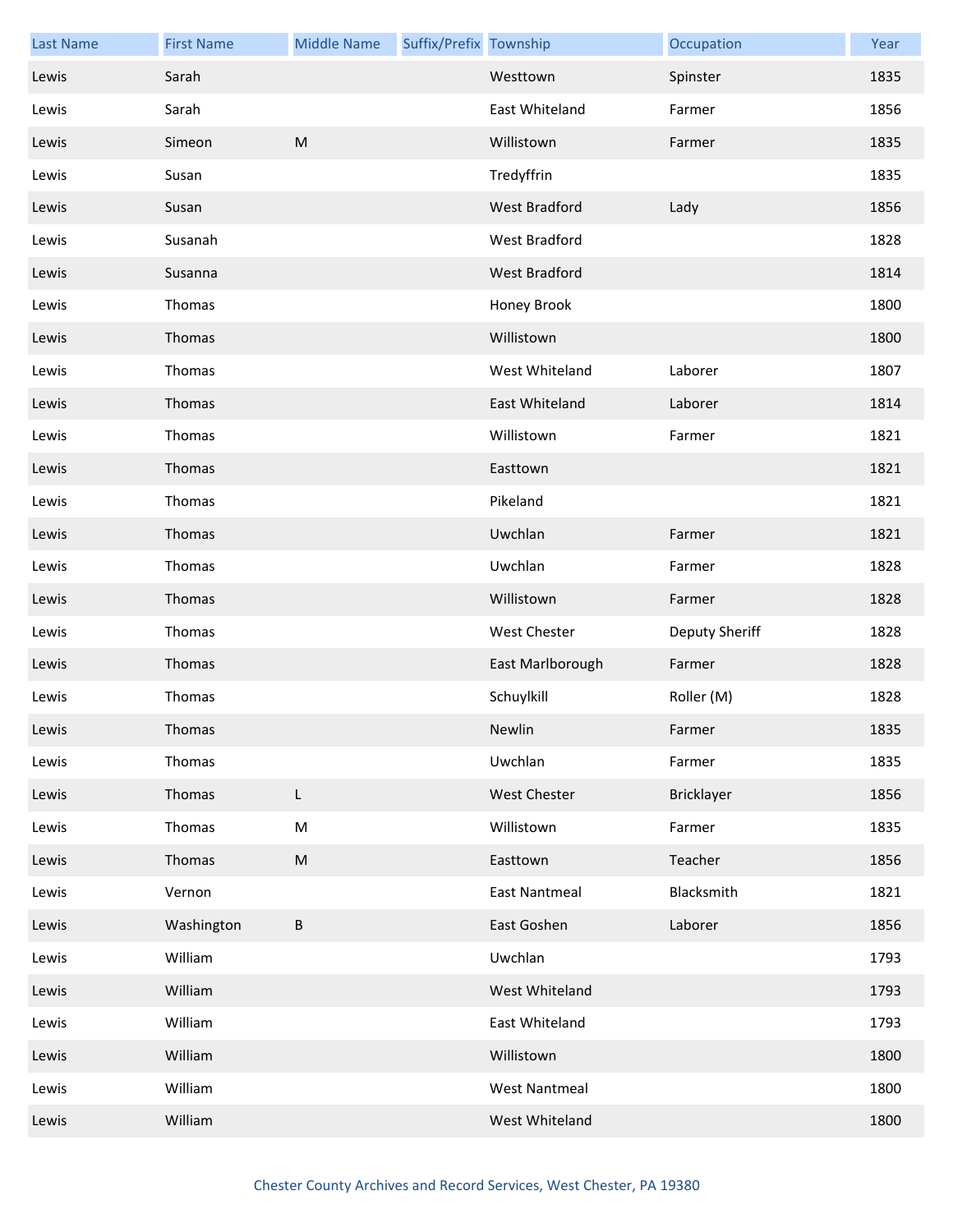| <b>Last Name</b> | <b>First Name</b> | <b>Middle Name</b> | Suffix/Prefix Township |                      | Occupation        | Year |
|------------------|-------------------|--------------------|------------------------|----------------------|-------------------|------|
| Lewis            | Sarah             |                    |                        | Westtown             | Spinster          | 1835 |
| Lewis            | Sarah             |                    |                        | East Whiteland       | Farmer            | 1856 |
| Lewis            | Simeon            | ${\sf M}$          |                        | Willistown           | Farmer            | 1835 |
| Lewis            | Susan             |                    |                        | Tredyffrin           |                   | 1835 |
| Lewis            | Susan             |                    |                        | <b>West Bradford</b> | Lady              | 1856 |
| Lewis            | Susanah           |                    |                        | West Bradford        |                   | 1828 |
| Lewis            | Susanna           |                    |                        | West Bradford        |                   | 1814 |
| Lewis            | Thomas            |                    |                        | Honey Brook          |                   | 1800 |
| Lewis            | Thomas            |                    |                        | Willistown           |                   | 1800 |
| Lewis            | Thomas            |                    |                        | West Whiteland       | Laborer           | 1807 |
| Lewis            | Thomas            |                    |                        | East Whiteland       | Laborer           | 1814 |
| Lewis            | Thomas            |                    |                        | Willistown           | Farmer            | 1821 |
| Lewis            | Thomas            |                    |                        | Easttown             |                   | 1821 |
| Lewis            | Thomas            |                    |                        | Pikeland             |                   | 1821 |
| Lewis            | Thomas            |                    |                        | Uwchlan              | Farmer            | 1821 |
| Lewis            | Thomas            |                    |                        | Uwchlan              | Farmer            | 1828 |
| Lewis            | Thomas            |                    |                        | Willistown           | Farmer            | 1828 |
| Lewis            | Thomas            |                    |                        | West Chester         | Deputy Sheriff    | 1828 |
| Lewis            | Thomas            |                    |                        | East Marlborough     | Farmer            | 1828 |
| Lewis            | Thomas            |                    |                        | Schuylkill           | Roller (M)        | 1828 |
| Lewis            | Thomas            |                    |                        | Newlin               | Farmer            | 1835 |
| Lewis            | Thomas            |                    |                        | Uwchlan              | Farmer            | 1835 |
| Lewis            | Thomas            | L                  |                        | <b>West Chester</b>  | <b>Bricklayer</b> | 1856 |
| Lewis            | Thomas            | M                  |                        | Willistown           | Farmer            | 1835 |
| Lewis            | Thomas            | ${\sf M}$          |                        | Easttown             | Teacher           | 1856 |
| Lewis            | Vernon            |                    |                        | <b>East Nantmeal</b> | Blacksmith        | 1821 |
| Lewis            | Washington        | В                  |                        | East Goshen          | Laborer           | 1856 |
| Lewis            | William           |                    |                        | Uwchlan              |                   | 1793 |
| Lewis            | William           |                    |                        | West Whiteland       |                   | 1793 |
| Lewis            | William           |                    |                        | East Whiteland       |                   | 1793 |
| Lewis            | William           |                    |                        | Willistown           |                   | 1800 |
| Lewis            | William           |                    |                        | <b>West Nantmeal</b> |                   | 1800 |
| Lewis            | William           |                    |                        | West Whiteland       |                   | 1800 |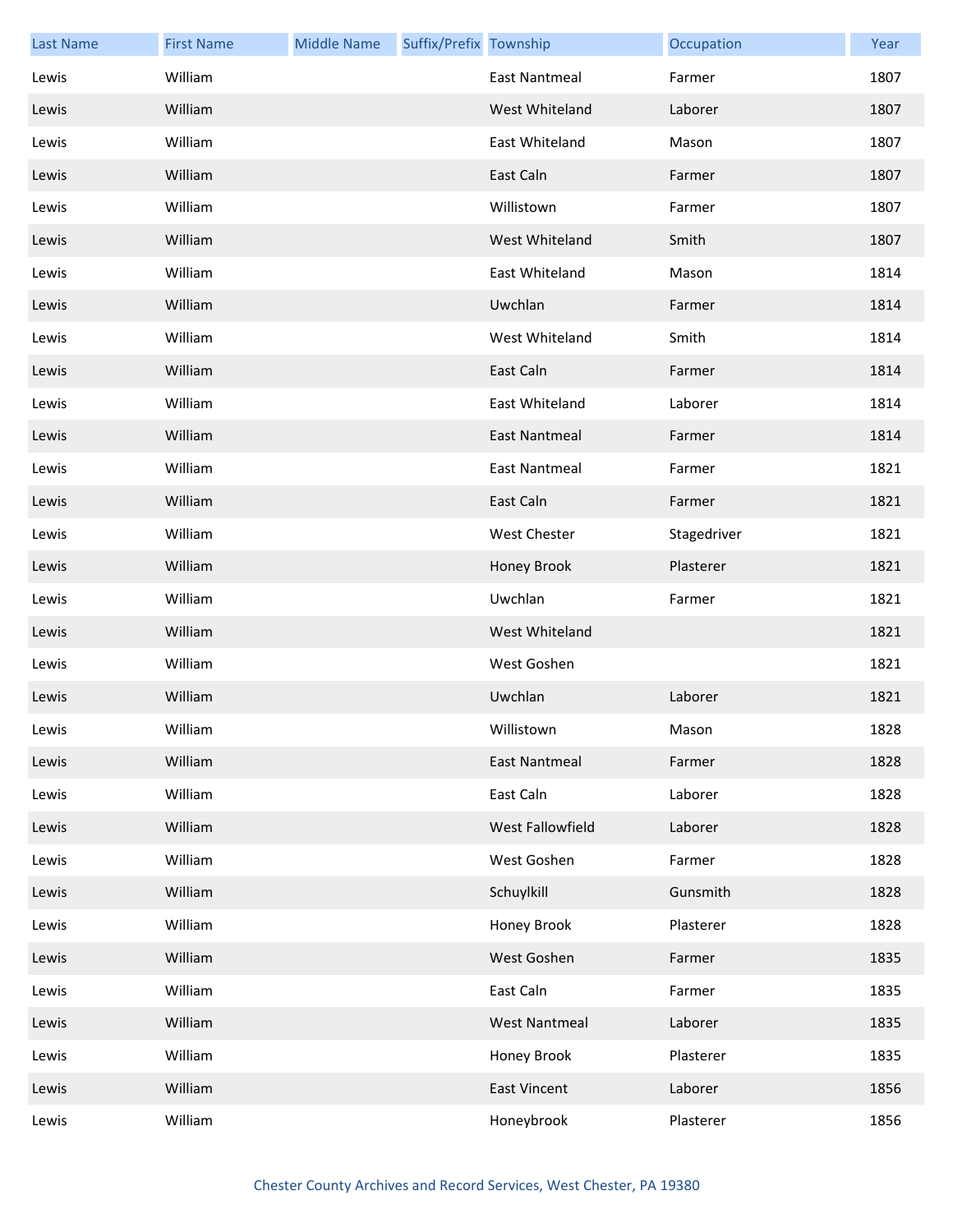| <b>Last Name</b> | <b>First Name</b> | <b>Middle Name</b> | Suffix/Prefix Township |                      | Occupation  | Year |
|------------------|-------------------|--------------------|------------------------|----------------------|-------------|------|
| Lewis            | William           |                    |                        | <b>East Nantmeal</b> | Farmer      | 1807 |
| Lewis            | William           |                    |                        | West Whiteland       | Laborer     | 1807 |
| Lewis            | William           |                    |                        | East Whiteland       | Mason       | 1807 |
| Lewis            | William           |                    |                        | East Caln            | Farmer      | 1807 |
| Lewis            | William           |                    |                        | Willistown           | Farmer      | 1807 |
| Lewis            | William           |                    |                        | West Whiteland       | Smith       | 1807 |
| Lewis            | William           |                    |                        | East Whiteland       | Mason       | 1814 |
| Lewis            | William           |                    |                        | Uwchlan              | Farmer      | 1814 |
| Lewis            | William           |                    |                        | West Whiteland       | Smith       | 1814 |
| Lewis            | William           |                    |                        | East Caln            | Farmer      | 1814 |
| Lewis            | William           |                    |                        | East Whiteland       | Laborer     | 1814 |
| Lewis            | William           |                    |                        | East Nantmeal        | Farmer      | 1814 |
| Lewis            | William           |                    |                        | East Nantmeal        | Farmer      | 1821 |
| Lewis            | William           |                    |                        | East Caln            | Farmer      | 1821 |
| Lewis            | William           |                    |                        | West Chester         | Stagedriver | 1821 |
| Lewis            | William           |                    |                        | Honey Brook          | Plasterer   | 1821 |
| Lewis            | William           |                    |                        | Uwchlan              | Farmer      | 1821 |
| Lewis            | William           |                    |                        | West Whiteland       |             | 1821 |
| Lewis            | William           |                    |                        | West Goshen          |             | 1821 |
| Lewis            | William           |                    |                        | Uwchlan              | Laborer     | 1821 |
| Lewis            | William           |                    |                        | Willistown           | Mason       | 1828 |
| Lewis            | William           |                    |                        | East Nantmeal        | Farmer      | 1828 |
| Lewis            | William           |                    |                        | East Caln            | Laborer     | 1828 |
| Lewis            | William           |                    |                        | West Fallowfield     | Laborer     | 1828 |
| Lewis            | William           |                    |                        | West Goshen          | Farmer      | 1828 |
| Lewis            | William           |                    |                        | Schuylkill           | Gunsmith    | 1828 |
| Lewis            | William           |                    |                        | Honey Brook          | Plasterer   | 1828 |
| Lewis            | William           |                    |                        | West Goshen          | Farmer      | 1835 |
| Lewis            | William           |                    |                        | East Caln            | Farmer      | 1835 |
| Lewis            | William           |                    |                        | <b>West Nantmeal</b> | Laborer     | 1835 |
| Lewis            | William           |                    |                        | Honey Brook          | Plasterer   | 1835 |
| Lewis            | William           |                    |                        | <b>East Vincent</b>  | Laborer     | 1856 |
| Lewis            | William           |                    |                        | Honeybrook           | Plasterer   | 1856 |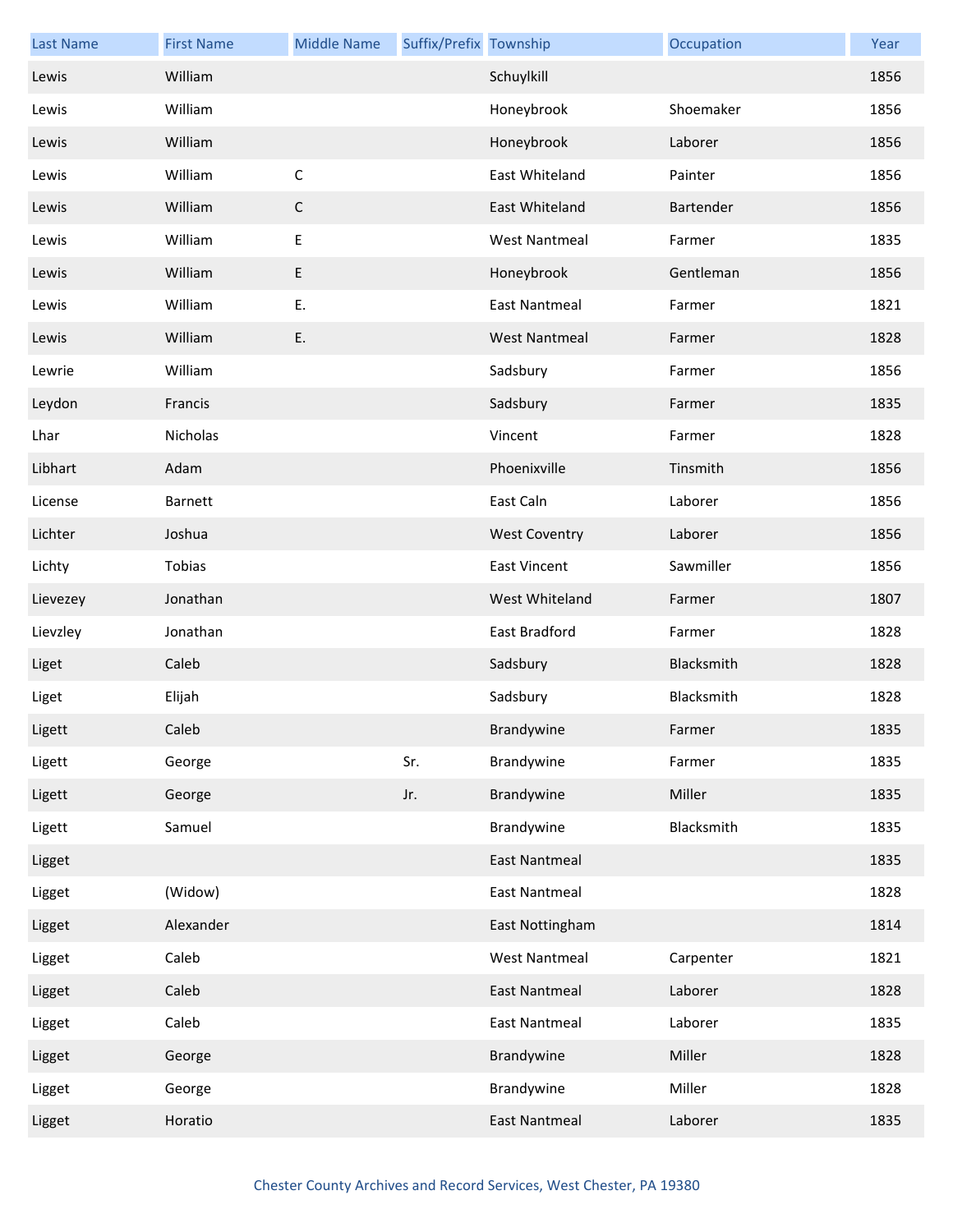| <b>Last Name</b> | <b>First Name</b> | <b>Middle Name</b> | Suffix/Prefix Township |                      | Occupation | Year |
|------------------|-------------------|--------------------|------------------------|----------------------|------------|------|
| Lewis            | William           |                    |                        | Schuylkill           |            | 1856 |
| Lewis            | William           |                    |                        | Honeybrook           | Shoemaker  | 1856 |
| Lewis            | William           |                    |                        | Honeybrook           | Laborer    | 1856 |
| Lewis            | William           | $\mathsf C$        |                        | East Whiteland       | Painter    | 1856 |
| Lewis            | William           | $\mathsf C$        |                        | East Whiteland       | Bartender  | 1856 |
| Lewis            | William           | Ε                  |                        | <b>West Nantmeal</b> | Farmer     | 1835 |
| Lewis            | William           | E                  |                        | Honeybrook           | Gentleman  | 1856 |
| Lewis            | William           | Ε.                 |                        | East Nantmeal        | Farmer     | 1821 |
| Lewis            | William           | E.                 |                        | <b>West Nantmeal</b> | Farmer     | 1828 |
| Lewrie           | William           |                    |                        | Sadsbury             | Farmer     | 1856 |
| Leydon           | Francis           |                    |                        | Sadsbury             | Farmer     | 1835 |
| Lhar             | Nicholas          |                    |                        | Vincent              | Farmer     | 1828 |
| Libhart          | Adam              |                    |                        | Phoenixville         | Tinsmith   | 1856 |
| License          | Barnett           |                    |                        | East Caln            | Laborer    | 1856 |
| Lichter          | Joshua            |                    |                        | <b>West Coventry</b> | Laborer    | 1856 |
| Lichty           | Tobias            |                    |                        | <b>East Vincent</b>  | Sawmiller  | 1856 |
| Lievezey         | Jonathan          |                    |                        | West Whiteland       | Farmer     | 1807 |
| Lievzley         | Jonathan          |                    |                        | East Bradford        | Farmer     | 1828 |
| Liget            | Caleb             |                    |                        | Sadsbury             | Blacksmith | 1828 |
| Liget            | Elijah            |                    |                        | Sadsbury             | Blacksmith | 1828 |
| Ligett           | Caleb             |                    |                        | Brandywine           | Farmer     | 1835 |
| Ligett           | George            |                    | Sr.                    | Brandywine           | Farmer     | 1835 |
| Ligett           | George            |                    | Jr.                    | Brandywine           | Miller     | 1835 |
| Ligett           | Samuel            |                    |                        | Brandywine           | Blacksmith | 1835 |
| Ligget           |                   |                    |                        | <b>East Nantmeal</b> |            | 1835 |
| Ligget           | (Widow)           |                    |                        | East Nantmeal        |            | 1828 |
| Ligget           | Alexander         |                    |                        | East Nottingham      |            | 1814 |
| Ligget           | Caleb             |                    |                        | <b>West Nantmeal</b> | Carpenter  | 1821 |
| Ligget           | Caleb             |                    |                        | <b>East Nantmeal</b> | Laborer    | 1828 |
| Ligget           | Caleb             |                    |                        | East Nantmeal        | Laborer    | 1835 |
| Ligget           | George            |                    |                        | Brandywine           | Miller     | 1828 |
| Ligget           | George            |                    |                        | Brandywine           | Miller     | 1828 |
| Ligget           | Horatio           |                    |                        | <b>East Nantmeal</b> | Laborer    | 1835 |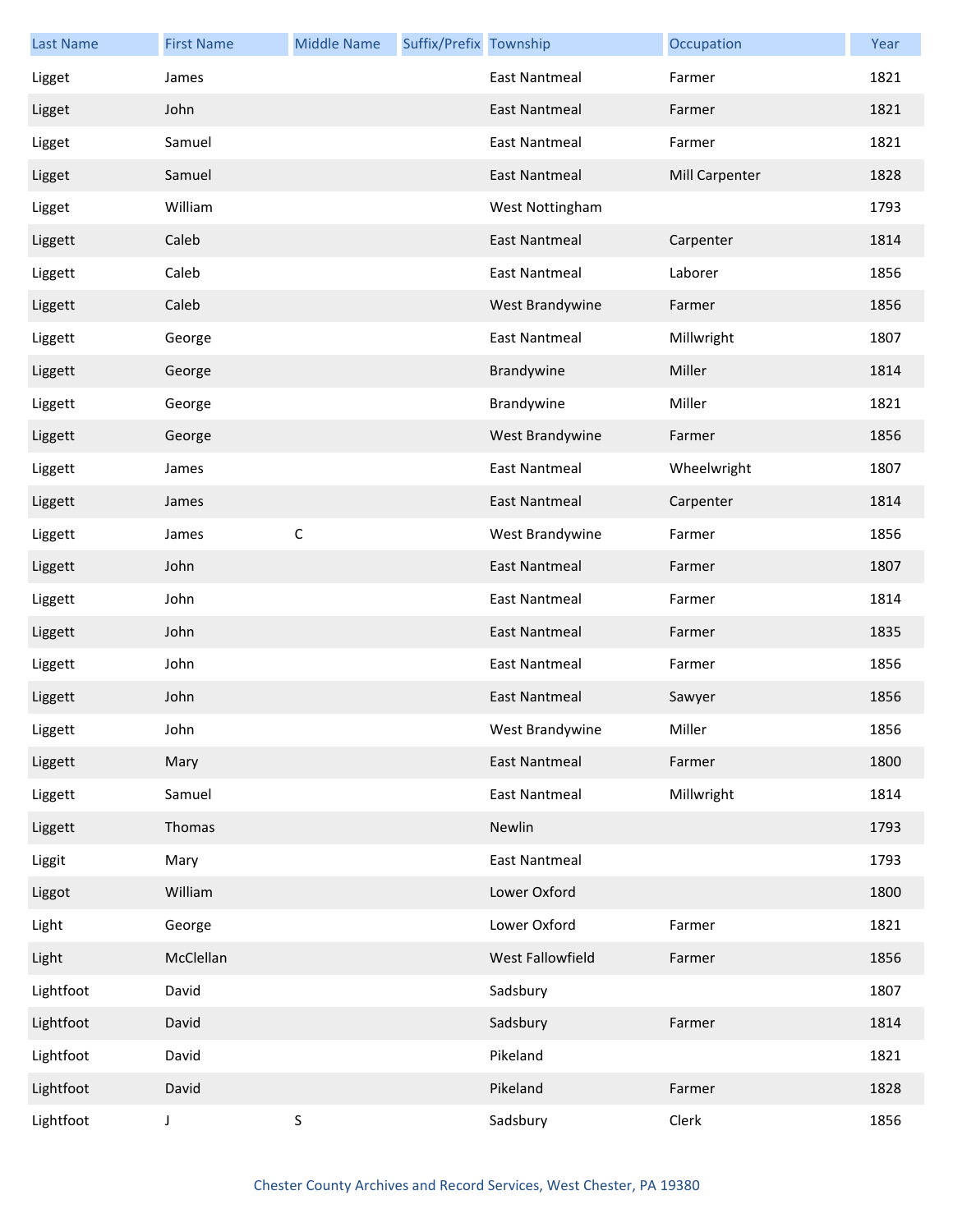| <b>Last Name</b> | <b>First Name</b> | <b>Middle Name</b> | Suffix/Prefix Township |                      | Occupation     | Year |
|------------------|-------------------|--------------------|------------------------|----------------------|----------------|------|
| Ligget           | James             |                    |                        | <b>East Nantmeal</b> | Farmer         | 1821 |
| Ligget           | John              |                    |                        | <b>East Nantmeal</b> | Farmer         | 1821 |
| Ligget           | Samuel            |                    |                        | <b>East Nantmeal</b> | Farmer         | 1821 |
| Ligget           | Samuel            |                    |                        | <b>East Nantmeal</b> | Mill Carpenter | 1828 |
| Ligget           | William           |                    |                        | West Nottingham      |                | 1793 |
| Liggett          | Caleb             |                    |                        | <b>East Nantmeal</b> | Carpenter      | 1814 |
| Liggett          | Caleb             |                    |                        | <b>East Nantmeal</b> | Laborer        | 1856 |
| Liggett          | Caleb             |                    |                        | West Brandywine      | Farmer         | 1856 |
| Liggett          | George            |                    |                        | <b>East Nantmeal</b> | Millwright     | 1807 |
| Liggett          | George            |                    |                        | Brandywine           | Miller         | 1814 |
| Liggett          | George            |                    |                        | Brandywine           | Miller         | 1821 |
| Liggett          | George            |                    |                        | West Brandywine      | Farmer         | 1856 |
| Liggett          | James             |                    |                        | <b>East Nantmeal</b> | Wheelwright    | 1807 |
| Liggett          | James             |                    |                        | <b>East Nantmeal</b> | Carpenter      | 1814 |
| Liggett          | James             | $\mathsf C$        |                        | West Brandywine      | Farmer         | 1856 |
| Liggett          | John              |                    |                        | <b>East Nantmeal</b> | Farmer         | 1807 |
| Liggett          | John              |                    |                        | <b>East Nantmeal</b> | Farmer         | 1814 |
| Liggett          | John              |                    |                        | <b>East Nantmeal</b> | Farmer         | 1835 |
| Liggett          | John              |                    |                        | <b>East Nantmeal</b> | Farmer         | 1856 |
| Liggett          | John              |                    |                        | <b>East Nantmeal</b> | Sawyer         | 1856 |
| Liggett          | John              |                    |                        | West Brandywine      | Miller         | 1856 |
| Liggett          | Mary              |                    |                        | <b>East Nantmeal</b> | Farmer         | 1800 |
| Liggett          | Samuel            |                    |                        | <b>East Nantmeal</b> | Millwright     | 1814 |
| Liggett          | Thomas            |                    |                        | Newlin               |                | 1793 |
| Liggit           | Mary              |                    |                        | <b>East Nantmeal</b> |                | 1793 |
| Liggot           | William           |                    |                        | Lower Oxford         |                | 1800 |
| Light            | George            |                    |                        | Lower Oxford         | Farmer         | 1821 |
| Light            | McClellan         |                    |                        | West Fallowfield     | Farmer         | 1856 |
| Lightfoot        | David             |                    |                        | Sadsbury             |                | 1807 |
| Lightfoot        | David             |                    |                        | Sadsbury             | Farmer         | 1814 |
| Lightfoot        | David             |                    |                        | Pikeland             |                | 1821 |
| Lightfoot        | David             |                    |                        | Pikeland             | Farmer         | 1828 |
| Lightfoot        | J                 | $\mathsf S$        |                        | Sadsbury             | Clerk          | 1856 |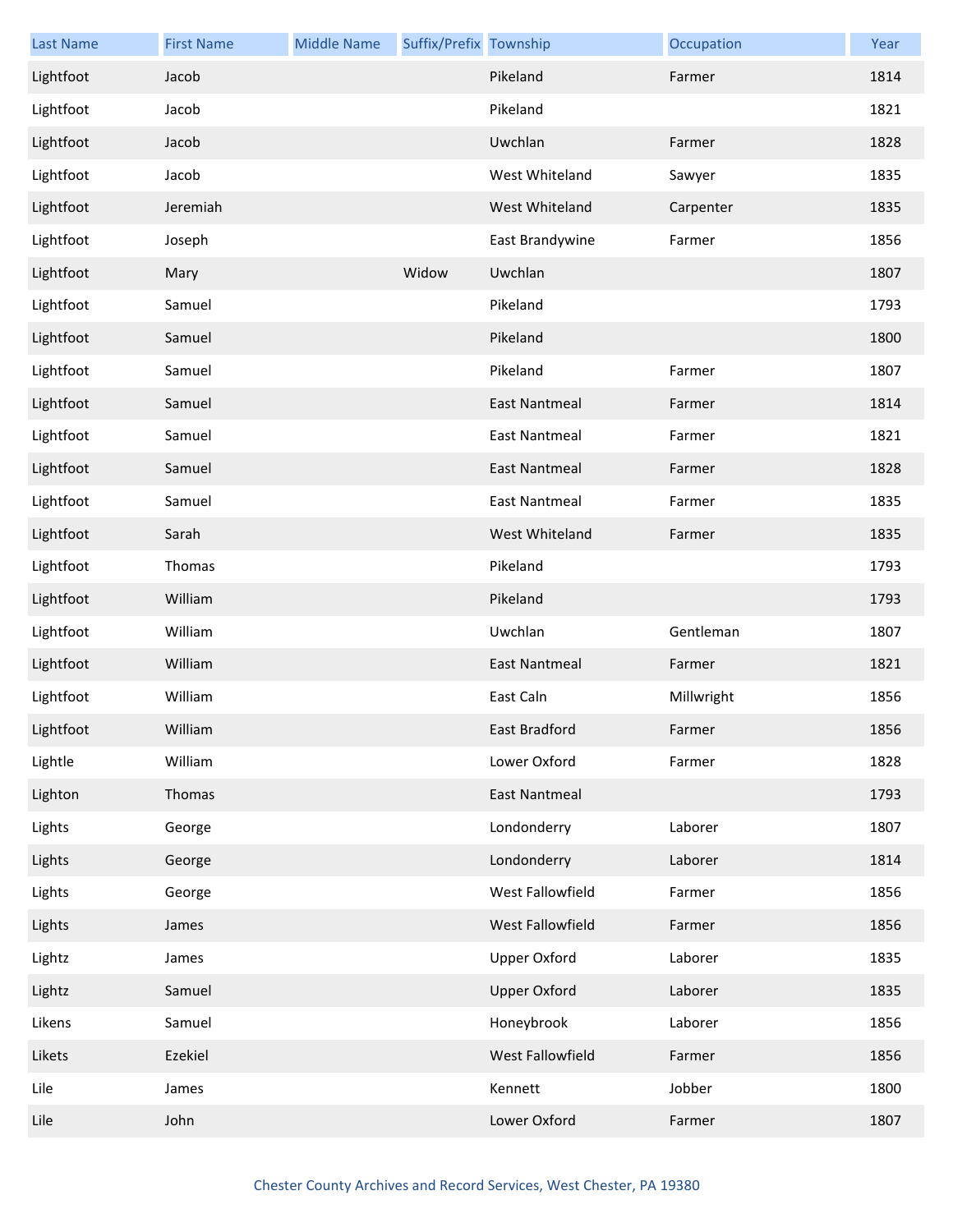| <b>Last Name</b> | <b>First Name</b> | <b>Middle Name</b> | Suffix/Prefix Township |                      | Occupation | Year |
|------------------|-------------------|--------------------|------------------------|----------------------|------------|------|
| Lightfoot        | Jacob             |                    |                        | Pikeland             | Farmer     | 1814 |
| Lightfoot        | Jacob             |                    |                        | Pikeland             |            | 1821 |
| Lightfoot        | Jacob             |                    |                        | Uwchlan              | Farmer     | 1828 |
| Lightfoot        | Jacob             |                    |                        | West Whiteland       | Sawyer     | 1835 |
| Lightfoot        | Jeremiah          |                    |                        | West Whiteland       | Carpenter  | 1835 |
| Lightfoot        | Joseph            |                    |                        | East Brandywine      | Farmer     | 1856 |
| Lightfoot        | Mary              |                    | Widow                  | Uwchlan              |            | 1807 |
| Lightfoot        | Samuel            |                    |                        | Pikeland             |            | 1793 |
| Lightfoot        | Samuel            |                    |                        | Pikeland             |            | 1800 |
| Lightfoot        | Samuel            |                    |                        | Pikeland             | Farmer     | 1807 |
| Lightfoot        | Samuel            |                    |                        | <b>East Nantmeal</b> | Farmer     | 1814 |
| Lightfoot        | Samuel            |                    |                        | <b>East Nantmeal</b> | Farmer     | 1821 |
| Lightfoot        | Samuel            |                    |                        | East Nantmeal        | Farmer     | 1828 |
| Lightfoot        | Samuel            |                    |                        | <b>East Nantmeal</b> | Farmer     | 1835 |
| Lightfoot        | Sarah             |                    |                        | West Whiteland       | Farmer     | 1835 |
| Lightfoot        | Thomas            |                    |                        | Pikeland             |            | 1793 |
| Lightfoot        | William           |                    |                        | Pikeland             |            | 1793 |
| Lightfoot        | William           |                    |                        | Uwchlan              | Gentleman  | 1807 |
| Lightfoot        | William           |                    |                        | <b>East Nantmeal</b> | Farmer     | 1821 |
| Lightfoot        | William           |                    |                        | East Caln            | Millwright | 1856 |
| Lightfoot        | William           |                    |                        | East Bradford        | Farmer     | 1856 |
| Lightle          | William           |                    |                        | Lower Oxford         | Farmer     | 1828 |
| Lighton          | Thomas            |                    |                        | <b>East Nantmeal</b> |            | 1793 |
| Lights           | George            |                    |                        | Londonderry          | Laborer    | 1807 |
| Lights           | George            |                    |                        | Londonderry          | Laborer    | 1814 |
| Lights           | George            |                    |                        | West Fallowfield     | Farmer     | 1856 |
| Lights           | James             |                    |                        | West Fallowfield     | Farmer     | 1856 |
| Lightz           | James             |                    |                        | <b>Upper Oxford</b>  | Laborer    | 1835 |
| Lightz           | Samuel            |                    |                        | <b>Upper Oxford</b>  | Laborer    | 1835 |
| Likens           | Samuel            |                    |                        | Honeybrook           | Laborer    | 1856 |
| Likets           | Ezekiel           |                    |                        | West Fallowfield     | Farmer     | 1856 |
| Lile             | James             |                    |                        | Kennett              | Jobber     | 1800 |
| Lile             | John              |                    |                        | Lower Oxford         | Farmer     | 1807 |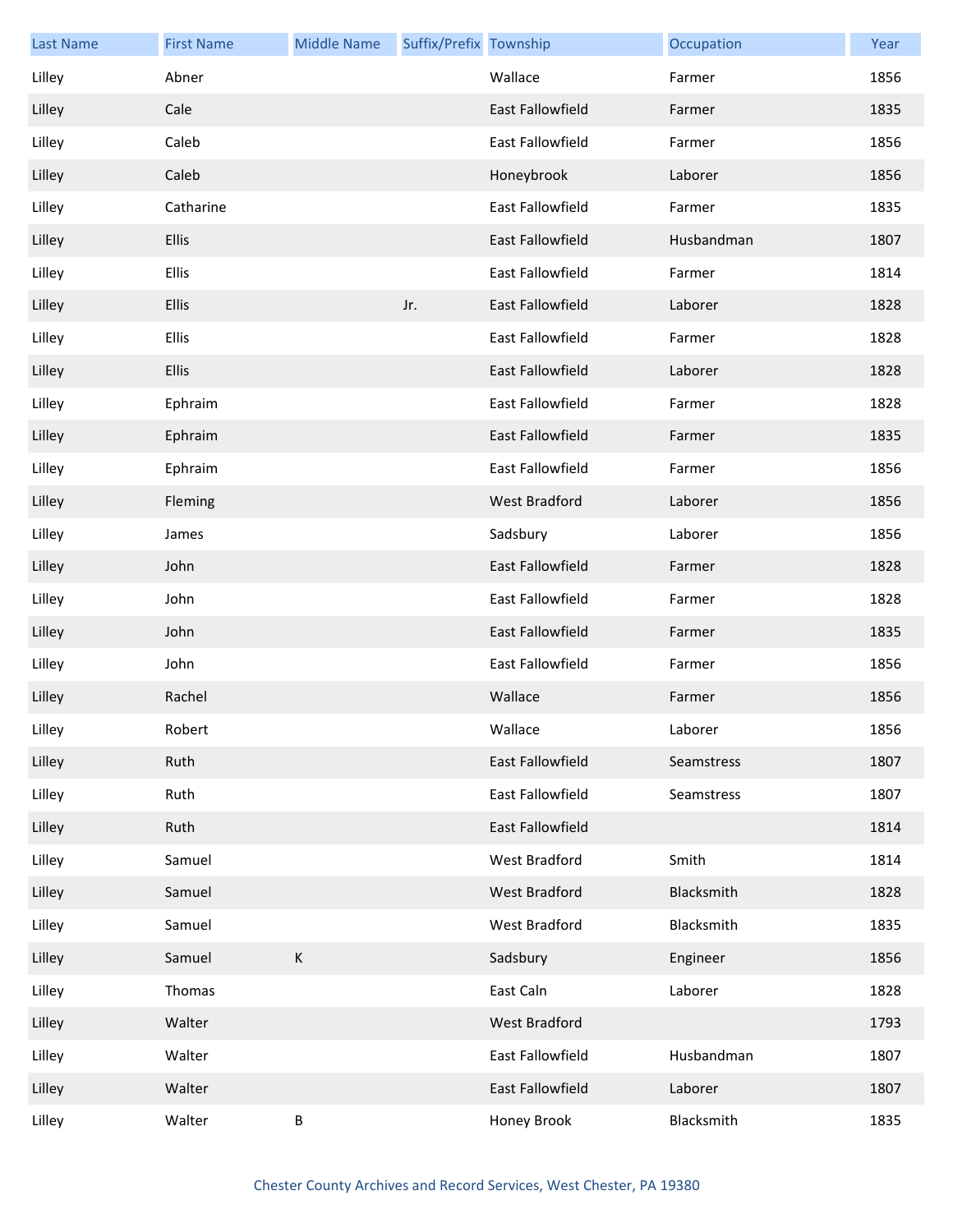| <b>Last Name</b> | <b>First Name</b> | <b>Middle Name</b> | Suffix/Prefix Township |                  | Occupation | Year |
|------------------|-------------------|--------------------|------------------------|------------------|------------|------|
| Lilley           | Abner             |                    |                        | Wallace          | Farmer     | 1856 |
| Lilley           | Cale              |                    |                        | East Fallowfield | Farmer     | 1835 |
| Lilley           | Caleb             |                    |                        | East Fallowfield | Farmer     | 1856 |
| Lilley           | Caleb             |                    |                        | Honeybrook       | Laborer    | 1856 |
| Lilley           | Catharine         |                    |                        | East Fallowfield | Farmer     | 1835 |
| Lilley           | <b>Ellis</b>      |                    |                        | East Fallowfield | Husbandman | 1807 |
| Lilley           | Ellis             |                    |                        | East Fallowfield | Farmer     | 1814 |
| Lilley           | Ellis             |                    | Jr.                    | East Fallowfield | Laborer    | 1828 |
| Lilley           | <b>Ellis</b>      |                    |                        | East Fallowfield | Farmer     | 1828 |
| Lilley           | <b>Ellis</b>      |                    |                        | East Fallowfield | Laborer    | 1828 |
| Lilley           | Ephraim           |                    |                        | East Fallowfield | Farmer     | 1828 |
| Lilley           | Ephraim           |                    |                        | East Fallowfield | Farmer     | 1835 |
| Lilley           | Ephraim           |                    |                        | East Fallowfield | Farmer     | 1856 |
| Lilley           | Fleming           |                    |                        | West Bradford    | Laborer    | 1856 |
| Lilley           | James             |                    |                        | Sadsbury         | Laborer    | 1856 |
| Lilley           | John              |                    |                        | East Fallowfield | Farmer     | 1828 |
| Lilley           | John              |                    |                        | East Fallowfield | Farmer     | 1828 |
| Lilley           | John              |                    |                        | East Fallowfield | Farmer     | 1835 |
| Lilley           | John              |                    |                        | East Fallowfield | Farmer     | 1856 |
| Lilley           | Rachel            |                    |                        | Wallace          | Farmer     | 1856 |
| Lilley           | Robert            |                    |                        | Wallace          | Laborer    | 1856 |
| Lilley           | Ruth              |                    |                        | East Fallowfield | Seamstress | 1807 |
| Lilley           | Ruth              |                    |                        | East Fallowfield | Seamstress | 1807 |
| Lilley           | Ruth              |                    |                        | East Fallowfield |            | 1814 |
| Lilley           | Samuel            |                    |                        | West Bradford    | Smith      | 1814 |
| Lilley           | Samuel            |                    |                        | West Bradford    | Blacksmith | 1828 |
| Lilley           | Samuel            |                    |                        | West Bradford    | Blacksmith | 1835 |
| Lilley           | Samuel            | $\mathsf K$        |                        | Sadsbury         | Engineer   | 1856 |
| Lilley           | Thomas            |                    |                        | East Caln        | Laborer    | 1828 |
| Lilley           | Walter            |                    |                        | West Bradford    |            | 1793 |
| Lilley           | Walter            |                    |                        | East Fallowfield | Husbandman | 1807 |
| Lilley           | Walter            |                    |                        | East Fallowfield | Laborer    | 1807 |
| Lilley           | Walter            | $\sf B$            |                        | Honey Brook      | Blacksmith | 1835 |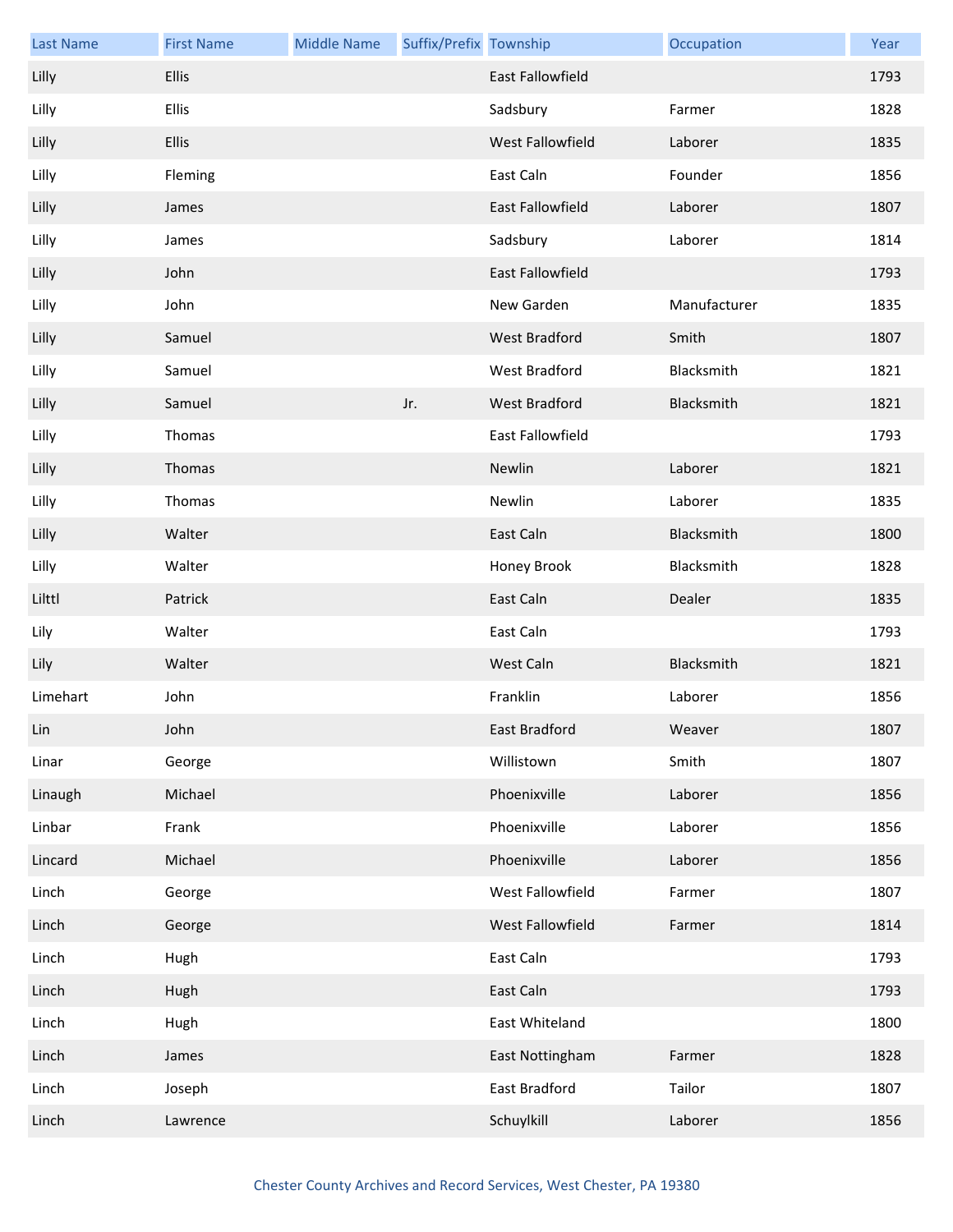| <b>Last Name</b> | <b>First Name</b> | <b>Middle Name</b> | Suffix/Prefix Township |                         | Occupation   | Year |
|------------------|-------------------|--------------------|------------------------|-------------------------|--------------|------|
| Lilly            | <b>Ellis</b>      |                    |                        | <b>East Fallowfield</b> |              | 1793 |
| Lilly            | <b>Ellis</b>      |                    |                        | Sadsbury                | Farmer       | 1828 |
| Lilly            | <b>Ellis</b>      |                    |                        | West Fallowfield        | Laborer      | 1835 |
| Lilly            | Fleming           |                    |                        | East Caln               | Founder      | 1856 |
| Lilly            | James             |                    |                        | East Fallowfield        | Laborer      | 1807 |
| Lilly            | James             |                    |                        | Sadsbury                | Laborer      | 1814 |
| Lilly            | John              |                    |                        | East Fallowfield        |              | 1793 |
| Lilly            | John              |                    |                        | New Garden              | Manufacturer | 1835 |
| Lilly            | Samuel            |                    |                        | West Bradford           | Smith        | 1807 |
| Lilly            | Samuel            |                    |                        | <b>West Bradford</b>    | Blacksmith   | 1821 |
| Lilly            | Samuel            |                    | Jr.                    | West Bradford           | Blacksmith   | 1821 |
| Lilly            | Thomas            |                    |                        | East Fallowfield        |              | 1793 |
| Lilly            | Thomas            |                    |                        | Newlin                  | Laborer      | 1821 |
| Lilly            | Thomas            |                    |                        | Newlin                  | Laborer      | 1835 |
| Lilly            | Walter            |                    |                        | East Caln               | Blacksmith   | 1800 |
| Lilly            | Walter            |                    |                        | Honey Brook             | Blacksmith   | 1828 |
| Lilttl           | Patrick           |                    |                        | East Caln               | Dealer       | 1835 |
| Lily             | Walter            |                    |                        | East Caln               |              | 1793 |
| Lily             | Walter            |                    |                        | West Caln               | Blacksmith   | 1821 |
| Limehart         | John              |                    |                        | Franklin                | Laborer      | 1856 |
| Lin              | John              |                    |                        | East Bradford           | Weaver       | 1807 |
| Linar            | George            |                    |                        | Willistown              | Smith        | 1807 |
| Linaugh          | Michael           |                    |                        | Phoenixville            | Laborer      | 1856 |
| Linbar           | Frank             |                    |                        | Phoenixville            | Laborer      | 1856 |
| Lincard          | Michael           |                    |                        | Phoenixville            | Laborer      | 1856 |
| Linch            | George            |                    |                        | West Fallowfield        | Farmer       | 1807 |
| Linch            | George            |                    |                        | West Fallowfield        | Farmer       | 1814 |
| Linch            | Hugh              |                    |                        | East Caln               |              | 1793 |
| Linch            | Hugh              |                    |                        | East Caln               |              | 1793 |
| Linch            | Hugh              |                    |                        | East Whiteland          |              | 1800 |
| Linch            | James             |                    |                        | East Nottingham         | Farmer       | 1828 |
| Linch            | Joseph            |                    |                        | East Bradford           | Tailor       | 1807 |
| Linch            | Lawrence          |                    |                        | Schuylkill              | Laborer      | 1856 |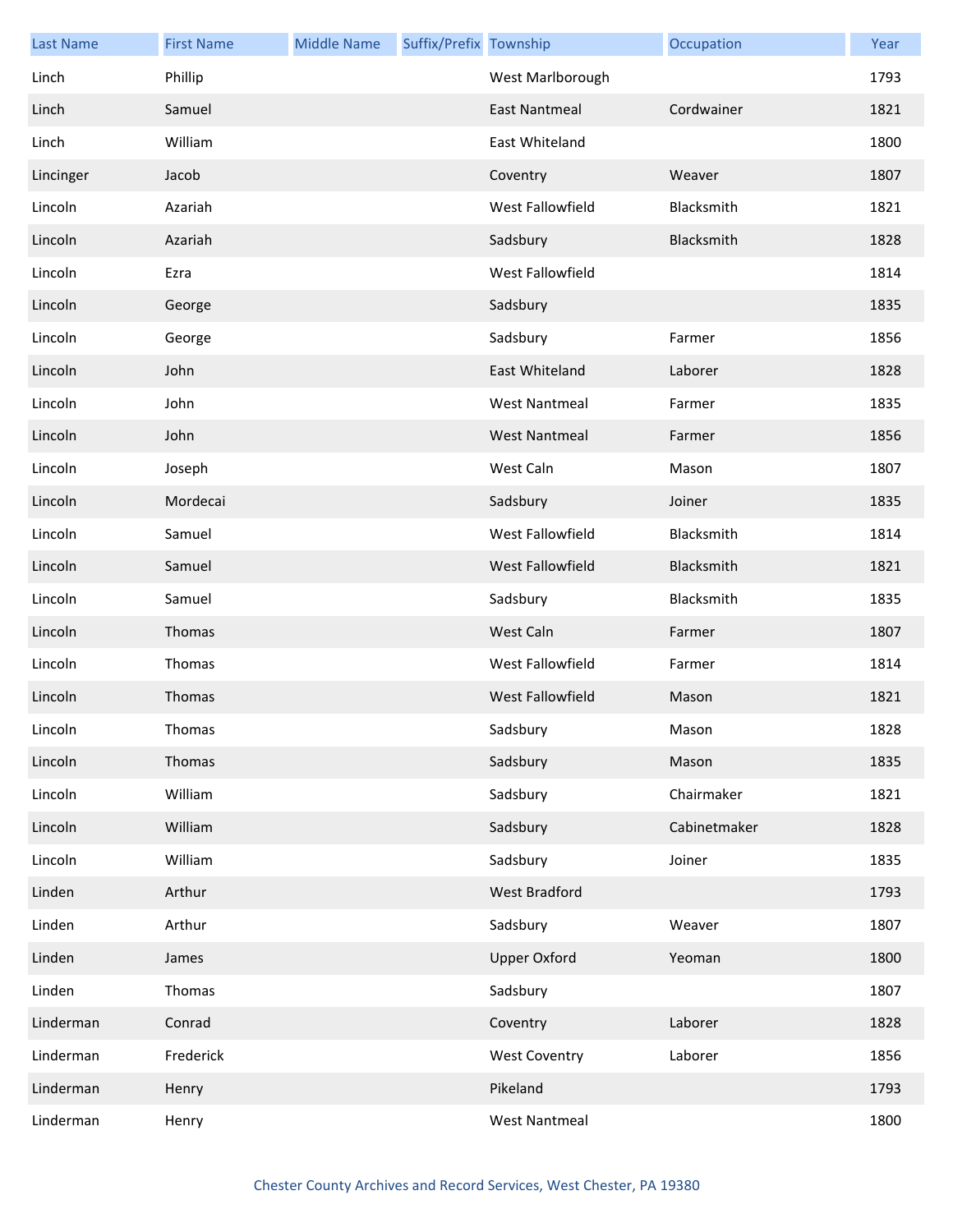| <b>Last Name</b> | <b>First Name</b> | <b>Middle Name</b> | Suffix/Prefix Township |                         | Occupation   | Year |
|------------------|-------------------|--------------------|------------------------|-------------------------|--------------|------|
| Linch            | Phillip           |                    |                        | West Marlborough        |              | 1793 |
| Linch            | Samuel            |                    |                        | <b>East Nantmeal</b>    | Cordwainer   | 1821 |
| Linch            | William           |                    |                        | East Whiteland          |              | 1800 |
| Lincinger        | Jacob             |                    |                        | Coventry                | Weaver       | 1807 |
| Lincoln          | Azariah           |                    |                        | West Fallowfield        | Blacksmith   | 1821 |
| Lincoln          | Azariah           |                    |                        | Sadsbury                | Blacksmith   | 1828 |
| Lincoln          | Ezra              |                    |                        | West Fallowfield        |              | 1814 |
| Lincoln          | George            |                    |                        | Sadsbury                |              | 1835 |
| Lincoln          | George            |                    |                        | Sadsbury                | Farmer       | 1856 |
| Lincoln          | John              |                    |                        | East Whiteland          | Laborer      | 1828 |
| Lincoln          | John              |                    |                        | <b>West Nantmeal</b>    | Farmer       | 1835 |
| Lincoln          | John              |                    |                        | <b>West Nantmeal</b>    | Farmer       | 1856 |
| Lincoln          | Joseph            |                    |                        | West Caln               | Mason        | 1807 |
| Lincoln          | Mordecai          |                    |                        | Sadsbury                | Joiner       | 1835 |
| Lincoln          | Samuel            |                    |                        | West Fallowfield        | Blacksmith   | 1814 |
| Lincoln          | Samuel            |                    |                        | <b>West Fallowfield</b> | Blacksmith   | 1821 |
| Lincoln          | Samuel            |                    |                        | Sadsbury                | Blacksmith   | 1835 |
| Lincoln          | Thomas            |                    |                        | West Caln               | Farmer       | 1807 |
| Lincoln          | Thomas            |                    |                        | West Fallowfield        | Farmer       | 1814 |
| Lincoln          | Thomas            |                    |                        | <b>West Fallowfield</b> | Mason        | 1821 |
| Lincoln          | Thomas            |                    |                        | Sadsbury                | Mason        | 1828 |
| Lincoln          | Thomas            |                    |                        | Sadsbury                | Mason        | 1835 |
| Lincoln          | William           |                    |                        | Sadsbury                | Chairmaker   | 1821 |
| Lincoln          | William           |                    |                        | Sadsbury                | Cabinetmaker | 1828 |
| Lincoln          | William           |                    |                        | Sadsbury                | Joiner       | 1835 |
| Linden           | Arthur            |                    |                        | <b>West Bradford</b>    |              | 1793 |
| Linden           | Arthur            |                    |                        | Sadsbury                | Weaver       | 1807 |
| Linden           | James             |                    |                        | <b>Upper Oxford</b>     | Yeoman       | 1800 |
| Linden           | Thomas            |                    |                        | Sadsbury                |              | 1807 |
| Linderman        | Conrad            |                    |                        | Coventry                | Laborer      | 1828 |
| Linderman        | Frederick         |                    |                        | <b>West Coventry</b>    | Laborer      | 1856 |
| Linderman        | Henry             |                    |                        | Pikeland                |              | 1793 |
| Linderman        | Henry             |                    |                        | <b>West Nantmeal</b>    |              | 1800 |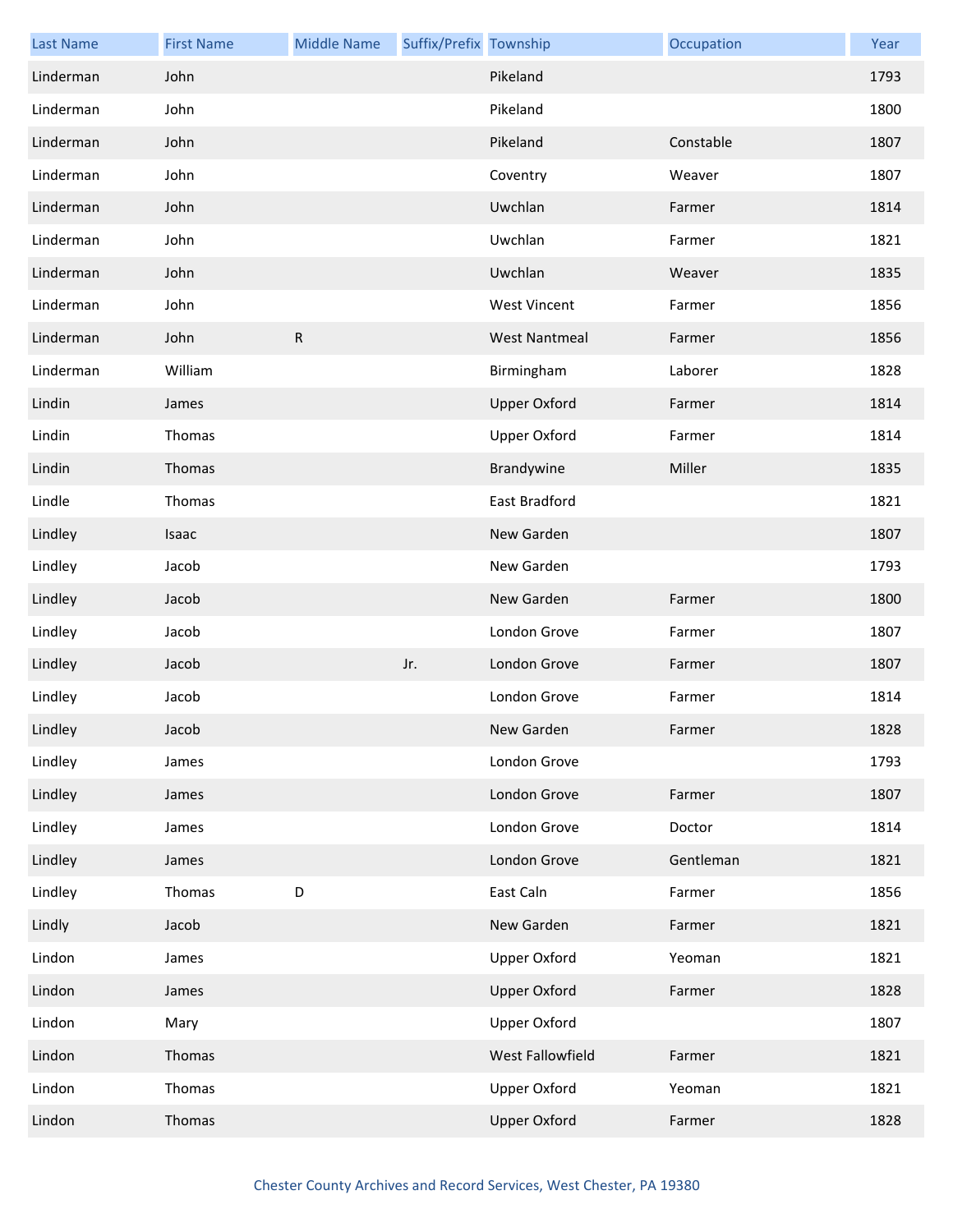| <b>Last Name</b> | <b>First Name</b> | <b>Middle Name</b> | Suffix/Prefix Township |                      | Occupation | Year |
|------------------|-------------------|--------------------|------------------------|----------------------|------------|------|
| Linderman        | John              |                    |                        | Pikeland             |            | 1793 |
| Linderman        | John              |                    |                        | Pikeland             |            | 1800 |
| Linderman        | John              |                    |                        | Pikeland             | Constable  | 1807 |
| Linderman        | John              |                    |                        | Coventry             | Weaver     | 1807 |
| Linderman        | John              |                    |                        | Uwchlan              | Farmer     | 1814 |
| Linderman        | John              |                    |                        | Uwchlan              | Farmer     | 1821 |
| Linderman        | John              |                    |                        | Uwchlan              | Weaver     | 1835 |
| Linderman        | John              |                    |                        | <b>West Vincent</b>  | Farmer     | 1856 |
| Linderman        | John              | ${\sf R}$          |                        | <b>West Nantmeal</b> | Farmer     | 1856 |
| Linderman        | William           |                    |                        | Birmingham           | Laborer    | 1828 |
| Lindin           | James             |                    |                        | <b>Upper Oxford</b>  | Farmer     | 1814 |
| Lindin           | Thomas            |                    |                        | <b>Upper Oxford</b>  | Farmer     | 1814 |
| Lindin           | Thomas            |                    |                        | Brandywine           | Miller     | 1835 |
| Lindle           | Thomas            |                    |                        | East Bradford        |            | 1821 |
| Lindley          | Isaac             |                    |                        | New Garden           |            | 1807 |
| Lindley          | Jacob             |                    |                        | New Garden           |            | 1793 |
| Lindley          | Jacob             |                    |                        | New Garden           | Farmer     | 1800 |
| Lindley          | Jacob             |                    |                        | London Grove         | Farmer     | 1807 |
| Lindley          | Jacob             |                    | Jr.                    | London Grove         | Farmer     | 1807 |
| Lindley          | Jacob             |                    |                        | London Grove         | Farmer     | 1814 |
| Lindley          | Jacob             |                    |                        | New Garden           | Farmer     | 1828 |
| Lindley          | James             |                    |                        | London Grove         |            | 1793 |
| Lindley          | James             |                    |                        | London Grove         | Farmer     | 1807 |
| Lindley          | James             |                    |                        | London Grove         | Doctor     | 1814 |
| Lindley          | James             |                    |                        | London Grove         | Gentleman  | 1821 |
| Lindley          | Thomas            | D                  |                        | East Caln            | Farmer     | 1856 |
| Lindly           | Jacob             |                    |                        | New Garden           | Farmer     | 1821 |
| Lindon           | James             |                    |                        | <b>Upper Oxford</b>  | Yeoman     | 1821 |
| Lindon           | James             |                    |                        | <b>Upper Oxford</b>  | Farmer     | 1828 |
| Lindon           | Mary              |                    |                        | <b>Upper Oxford</b>  |            | 1807 |
| Lindon           | Thomas            |                    |                        | West Fallowfield     | Farmer     | 1821 |
| Lindon           | Thomas            |                    |                        | <b>Upper Oxford</b>  | Yeoman     | 1821 |
| Lindon           | Thomas            |                    |                        | <b>Upper Oxford</b>  | Farmer     | 1828 |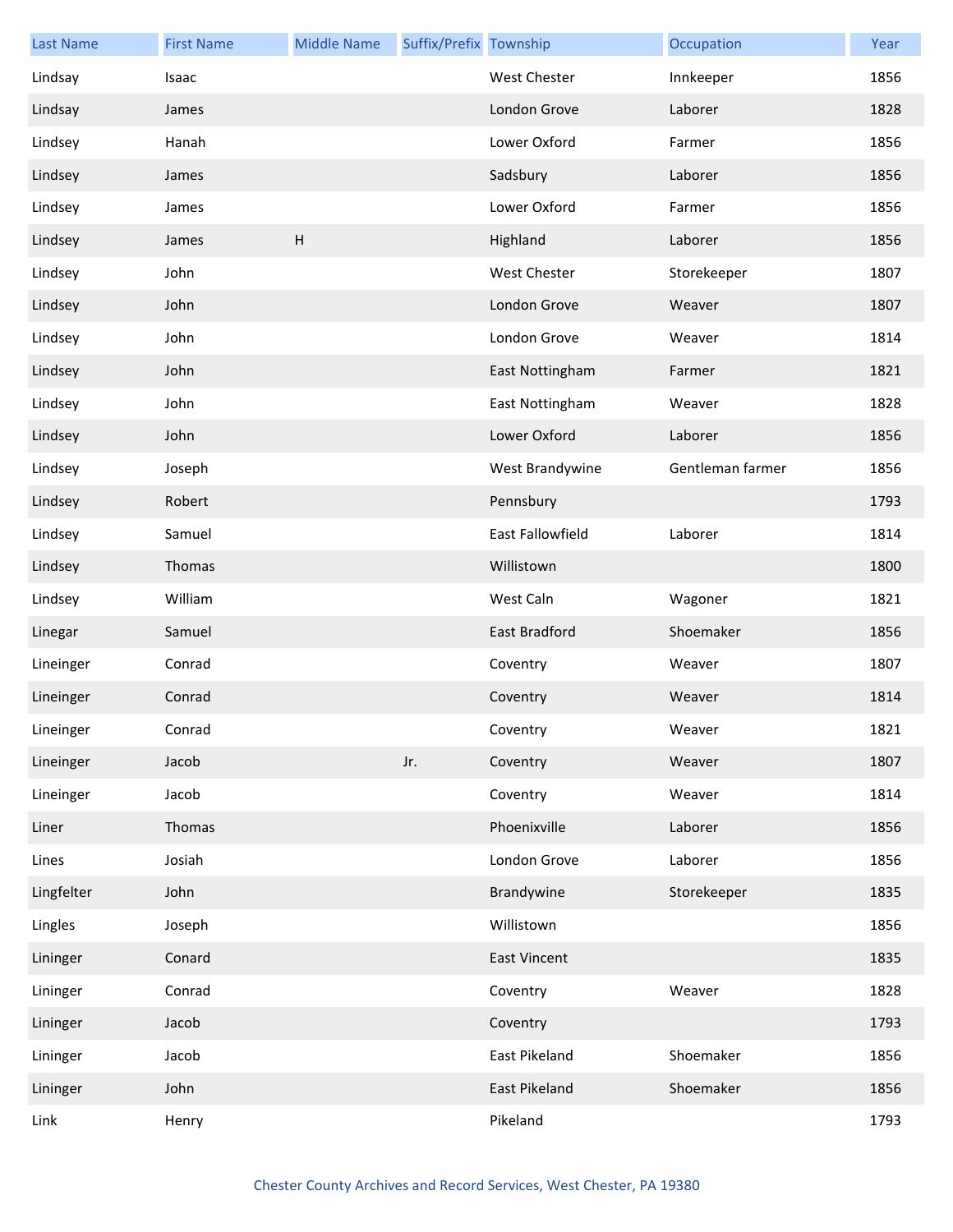| <b>Last Name</b> | <b>First Name</b> | <b>Middle Name</b>        | Suffix/Prefix Township |                         | Occupation       | Year |
|------------------|-------------------|---------------------------|------------------------|-------------------------|------------------|------|
| Lindsay          | Isaac             |                           |                        | West Chester            | Innkeeper        | 1856 |
| Lindsay          | James             |                           |                        | London Grove            | Laborer          | 1828 |
| Lindsey          | Hanah             |                           |                        | Lower Oxford            | Farmer           | 1856 |
| Lindsey          | James             |                           |                        | Sadsbury                | Laborer          | 1856 |
| Lindsey          | James             |                           |                        | Lower Oxford            | Farmer           | 1856 |
| Lindsey          | James             | $\boldsymbol{\mathsf{H}}$ |                        | Highland                | Laborer          | 1856 |
| Lindsey          | John              |                           |                        | West Chester            | Storekeeper      | 1807 |
| Lindsey          | John              |                           |                        | London Grove            | Weaver           | 1807 |
| Lindsey          | John              |                           |                        | London Grove            | Weaver           | 1814 |
| Lindsey          | John              |                           |                        | East Nottingham         | Farmer           | 1821 |
| Lindsey          | John              |                           |                        | East Nottingham         | Weaver           | 1828 |
| Lindsey          | John              |                           |                        | Lower Oxford            | Laborer          | 1856 |
| Lindsey          | Joseph            |                           |                        | West Brandywine         | Gentleman farmer | 1856 |
| Lindsey          | Robert            |                           |                        | Pennsbury               |                  | 1793 |
| Lindsey          | Samuel            |                           |                        | <b>East Fallowfield</b> | Laborer          | 1814 |
| Lindsey          | Thomas            |                           |                        | Willistown              |                  | 1800 |
| Lindsey          | William           |                           |                        | West Caln               | Wagoner          | 1821 |
| Linegar          | Samuel            |                           |                        | East Bradford           | Shoemaker        | 1856 |
| Lineinger        | Conrad            |                           |                        | Coventry                | Weaver           | 1807 |
| Lineinger        | Conrad            |                           |                        | Coventry                | Weaver           | 1814 |
| Lineinger        | Conrad            |                           |                        | Coventry                | Weaver           | 1821 |
| Lineinger        | Jacob             |                           | Jr.                    | Coventry                | Weaver           | 1807 |
| Lineinger        | Jacob             |                           |                        | Coventry                | Weaver           | 1814 |
| Liner            | Thomas            |                           |                        | Phoenixville            | Laborer          | 1856 |
| Lines            | Josiah            |                           |                        | London Grove            | Laborer          | 1856 |
| Lingfelter       | John              |                           |                        | Brandywine              | Storekeeper      | 1835 |
| Lingles          | Joseph            |                           |                        | Willistown              |                  | 1856 |
| Lininger         | Conard            |                           |                        | <b>East Vincent</b>     |                  | 1835 |
| Lininger         | Conrad            |                           |                        | Coventry                | Weaver           | 1828 |
| Lininger         | Jacob             |                           |                        | Coventry                |                  | 1793 |
| Lininger         | Jacob             |                           |                        | East Pikeland           | Shoemaker        | 1856 |
| Lininger         | John              |                           |                        | East Pikeland           | Shoemaker        | 1856 |
| Link             | Henry             |                           |                        | Pikeland                |                  | 1793 |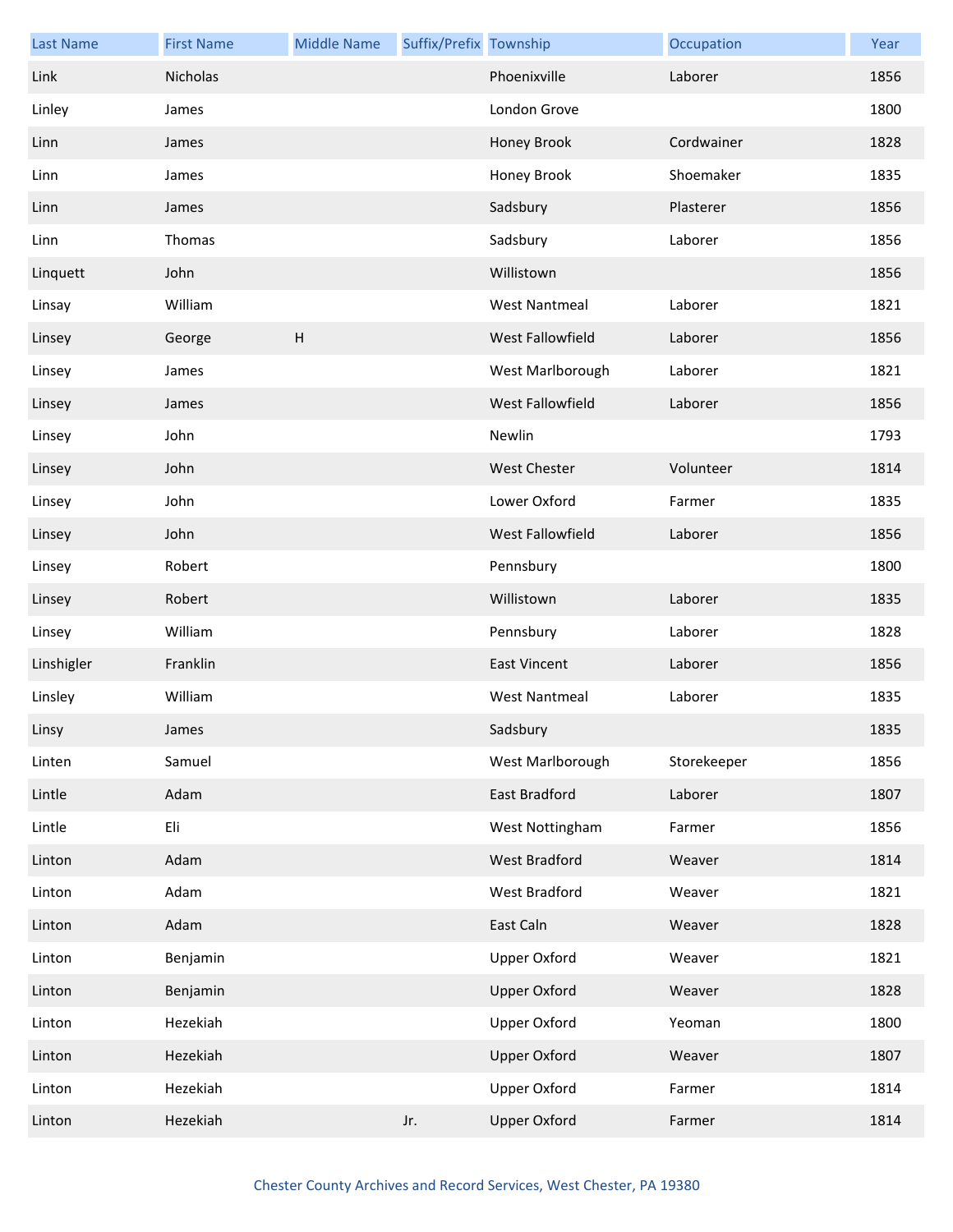| <b>Last Name</b> | <b>First Name</b> | <b>Middle Name</b> | Suffix/Prefix Township |                      | Occupation  | Year |
|------------------|-------------------|--------------------|------------------------|----------------------|-------------|------|
| Link             | Nicholas          |                    |                        | Phoenixville         | Laborer     | 1856 |
| Linley           | James             |                    |                        | London Grove         |             | 1800 |
| Linn             | James             |                    |                        | Honey Brook          | Cordwainer  | 1828 |
| Linn             | James             |                    |                        | Honey Brook          | Shoemaker   | 1835 |
| Linn             | James             |                    |                        | Sadsbury             | Plasterer   | 1856 |
| Linn             | Thomas            |                    |                        | Sadsbury             | Laborer     | 1856 |
| Linquett         | John              |                    |                        | Willistown           |             | 1856 |
| Linsay           | William           |                    |                        | <b>West Nantmeal</b> | Laborer     | 1821 |
| Linsey           | George            | H                  |                        | West Fallowfield     | Laborer     | 1856 |
| Linsey           | James             |                    |                        | West Marlborough     | Laborer     | 1821 |
| Linsey           | James             |                    |                        | West Fallowfield     | Laborer     | 1856 |
| Linsey           | John              |                    |                        | Newlin               |             | 1793 |
| Linsey           | John              |                    |                        | <b>West Chester</b>  | Volunteer   | 1814 |
| Linsey           | John              |                    |                        | Lower Oxford         | Farmer      | 1835 |
| Linsey           | John              |                    |                        | West Fallowfield     | Laborer     | 1856 |
| Linsey           | Robert            |                    |                        | Pennsbury            |             | 1800 |
| Linsey           | Robert            |                    |                        | Willistown           | Laborer     | 1835 |
| Linsey           | William           |                    |                        | Pennsbury            | Laborer     | 1828 |
| Linshigler       | Franklin          |                    |                        | <b>East Vincent</b>  | Laborer     | 1856 |
| Linsley          | William           |                    |                        | <b>West Nantmeal</b> | Laborer     | 1835 |
| Linsy            | James             |                    |                        | Sadsbury             |             | 1835 |
| Linten           | Samuel            |                    |                        | West Marlborough     | Storekeeper | 1856 |
| Lintle           | Adam              |                    |                        | East Bradford        | Laborer     | 1807 |
| Lintle           | Eli               |                    |                        | West Nottingham      | Farmer      | 1856 |
| Linton           | Adam              |                    |                        | West Bradford        | Weaver      | 1814 |
| Linton           | Adam              |                    |                        | <b>West Bradford</b> | Weaver      | 1821 |
| Linton           | Adam              |                    |                        | East Caln            | Weaver      | 1828 |
| Linton           | Benjamin          |                    |                        | <b>Upper Oxford</b>  | Weaver      | 1821 |
| Linton           | Benjamin          |                    |                        | <b>Upper Oxford</b>  | Weaver      | 1828 |
| Linton           | Hezekiah          |                    |                        | <b>Upper Oxford</b>  | Yeoman      | 1800 |
| Linton           | Hezekiah          |                    |                        | <b>Upper Oxford</b>  | Weaver      | 1807 |
| Linton           | Hezekiah          |                    |                        | <b>Upper Oxford</b>  | Farmer      | 1814 |
| Linton           | Hezekiah          |                    | Jr.                    | <b>Upper Oxford</b>  | Farmer      | 1814 |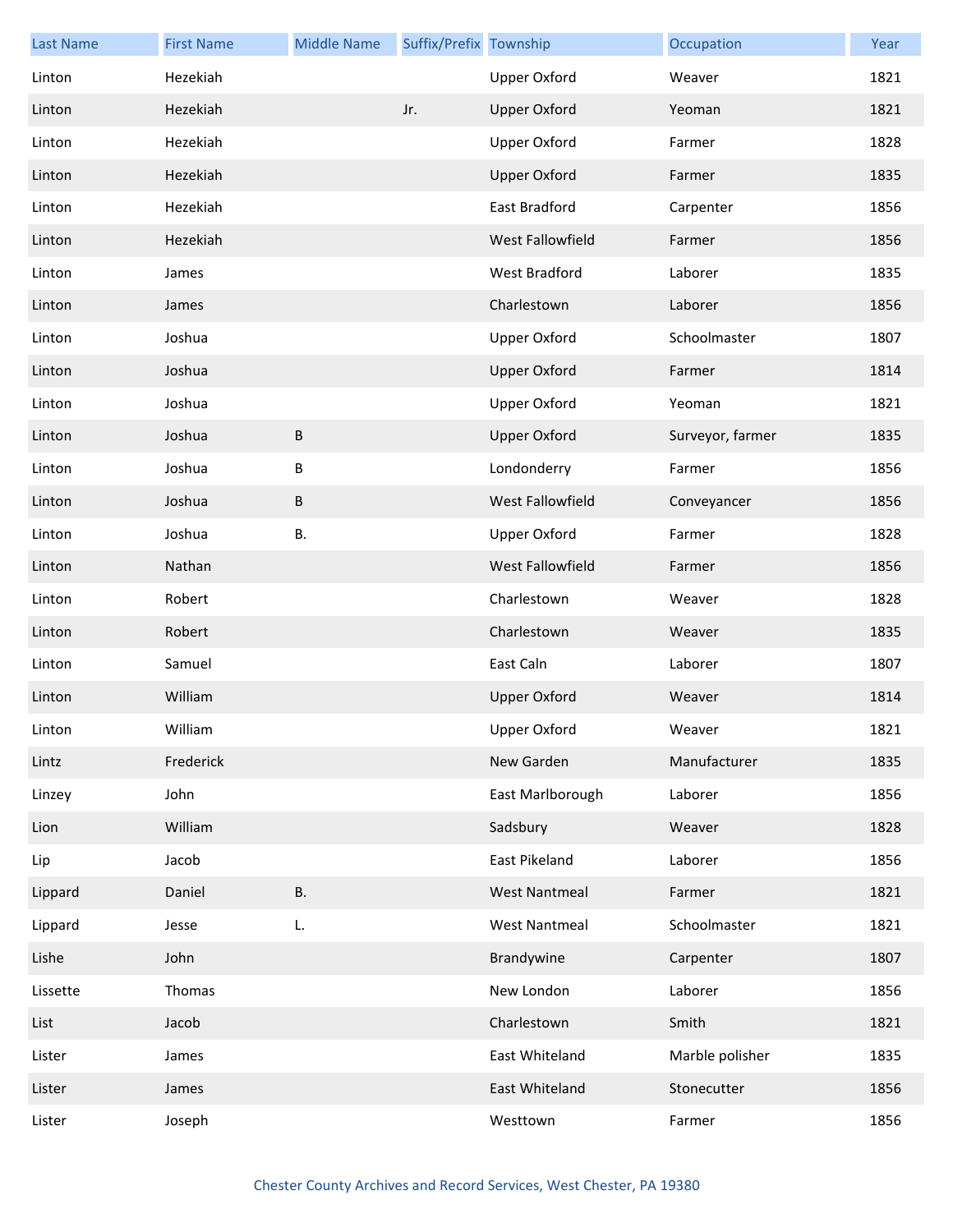| <b>Last Name</b> | <b>First Name</b> | <b>Middle Name</b> | Suffix/Prefix Township |                      | Occupation       | Year |
|------------------|-------------------|--------------------|------------------------|----------------------|------------------|------|
| Linton           | Hezekiah          |                    |                        | Upper Oxford         | Weaver           | 1821 |
| Linton           | Hezekiah          |                    | Jr.                    | <b>Upper Oxford</b>  | Yeoman           | 1821 |
| Linton           | Hezekiah          |                    |                        | <b>Upper Oxford</b>  | Farmer           | 1828 |
| Linton           | Hezekiah          |                    |                        | <b>Upper Oxford</b>  | Farmer           | 1835 |
| Linton           | Hezekiah          |                    |                        | East Bradford        | Carpenter        | 1856 |
| Linton           | Hezekiah          |                    |                        | West Fallowfield     | Farmer           | 1856 |
| Linton           | James             |                    |                        | West Bradford        | Laborer          | 1835 |
| Linton           | James             |                    |                        | Charlestown          | Laborer          | 1856 |
| Linton           | Joshua            |                    |                        | <b>Upper Oxford</b>  | Schoolmaster     | 1807 |
| Linton           | Joshua            |                    |                        | <b>Upper Oxford</b>  | Farmer           | 1814 |
| Linton           | Joshua            |                    |                        | <b>Upper Oxford</b>  | Yeoman           | 1821 |
| Linton           | Joshua            | $\sf B$            |                        | <b>Upper Oxford</b>  | Surveyor, farmer | 1835 |
| Linton           | Joshua            | $\sf B$            |                        | Londonderry          | Farmer           | 1856 |
| Linton           | Joshua            | B                  |                        | West Fallowfield     | Conveyancer      | 1856 |
| Linton           | Joshua            | <b>B.</b>          |                        | <b>Upper Oxford</b>  | Farmer           | 1828 |
| Linton           | Nathan            |                    |                        | West Fallowfield     | Farmer           | 1856 |
| Linton           | Robert            |                    |                        | Charlestown          | Weaver           | 1828 |
| Linton           | Robert            |                    |                        | Charlestown          | Weaver           | 1835 |
| Linton           | Samuel            |                    |                        | East Caln            | Laborer          | 1807 |
| Linton           | William           |                    |                        | <b>Upper Oxford</b>  | Weaver           | 1814 |
| Linton           | William           |                    |                        | Upper Oxford         | Weaver           | 1821 |
| Lintz            | Frederick         |                    |                        | New Garden           | Manufacturer     | 1835 |
| Linzey           | John              |                    |                        | East Marlborough     | Laborer          | 1856 |
| Lion             | William           |                    |                        | Sadsbury             | Weaver           | 1828 |
| Lip              | Jacob             |                    |                        | East Pikeland        | Laborer          | 1856 |
| Lippard          | Daniel            | <b>B.</b>          |                        | <b>West Nantmeal</b> | Farmer           | 1821 |
| Lippard          | Jesse             | L.                 |                        | <b>West Nantmeal</b> | Schoolmaster     | 1821 |
| Lishe            | John              |                    |                        | Brandywine           | Carpenter        | 1807 |
| Lissette         | Thomas            |                    |                        | New London           | Laborer          | 1856 |
| List             | Jacob             |                    |                        | Charlestown          | Smith            | 1821 |
| Lister           | James             |                    |                        | East Whiteland       | Marble polisher  | 1835 |
| Lister           | James             |                    |                        | East Whiteland       | Stonecutter      | 1856 |
| Lister           | Joseph            |                    |                        | Westtown             | Farmer           | 1856 |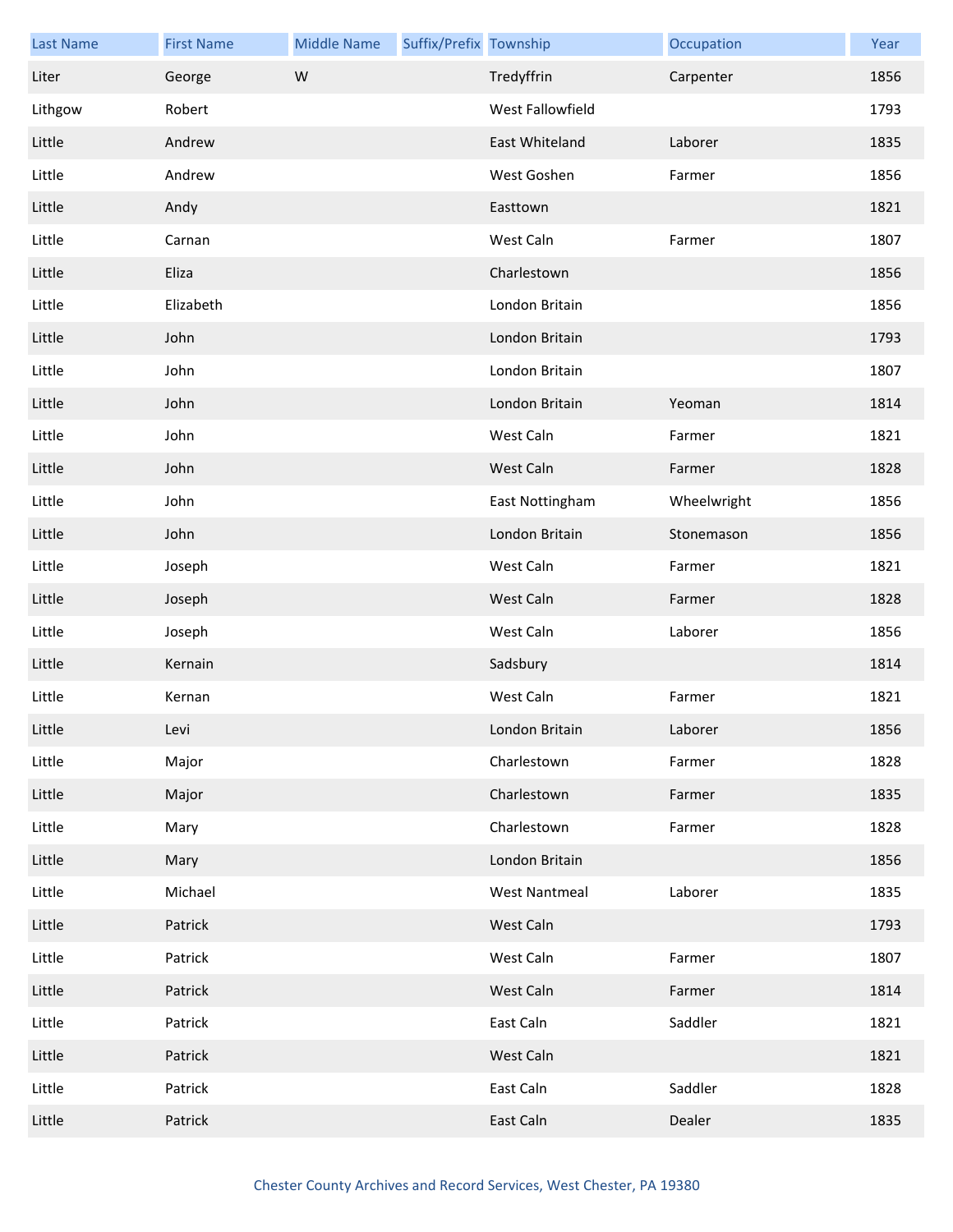| <b>Last Name</b> | <b>First Name</b> | <b>Middle Name</b> | Suffix/Prefix Township |                      | Occupation  | Year |
|------------------|-------------------|--------------------|------------------------|----------------------|-------------|------|
| Liter            | George            | W                  |                        | Tredyffrin           | Carpenter   | 1856 |
| Lithgow          | Robert            |                    |                        | West Fallowfield     |             | 1793 |
| Little           | Andrew            |                    |                        | East Whiteland       | Laborer     | 1835 |
| Little           | Andrew            |                    |                        | West Goshen          | Farmer      | 1856 |
| Little           | Andy              |                    |                        | Easttown             |             | 1821 |
| Little           | Carnan            |                    |                        | West Caln            | Farmer      | 1807 |
| Little           | Eliza             |                    |                        | Charlestown          |             | 1856 |
| Little           | Elizabeth         |                    |                        | London Britain       |             | 1856 |
| Little           | John              |                    |                        | London Britain       |             | 1793 |
| Little           | John              |                    |                        | London Britain       |             | 1807 |
| Little           | John              |                    |                        | London Britain       | Yeoman      | 1814 |
| Little           | John              |                    |                        | West Caln            | Farmer      | 1821 |
| Little           | John              |                    |                        | West Caln            | Farmer      | 1828 |
| Little           | John              |                    |                        | East Nottingham      | Wheelwright | 1856 |
| Little           | John              |                    |                        | London Britain       | Stonemason  | 1856 |
| Little           | Joseph            |                    |                        | West Caln            | Farmer      | 1821 |
| Little           | Joseph            |                    |                        | West Caln            | Farmer      | 1828 |
| Little           | Joseph            |                    |                        | West Caln            | Laborer     | 1856 |
| Little           | Kernain           |                    |                        | Sadsbury             |             | 1814 |
| Little           | Kernan            |                    |                        | West Caln            | Farmer      | 1821 |
| Little           | Levi              |                    |                        | London Britain       | Laborer     | 1856 |
| Little           | Major             |                    |                        | Charlestown          | Farmer      | 1828 |
| Little           | Major             |                    |                        | Charlestown          | Farmer      | 1835 |
| Little           | Mary              |                    |                        | Charlestown          | Farmer      | 1828 |
| Little           | Mary              |                    |                        | London Britain       |             | 1856 |
| Little           | Michael           |                    |                        | <b>West Nantmeal</b> | Laborer     | 1835 |
| Little           | Patrick           |                    |                        | West Caln            |             | 1793 |
| Little           | Patrick           |                    |                        | West Caln            | Farmer      | 1807 |
| Little           | Patrick           |                    |                        | West Caln            | Farmer      | 1814 |
| Little           | Patrick           |                    |                        | East Caln            | Saddler     | 1821 |
| Little           | Patrick           |                    |                        | West Caln            |             | 1821 |
| Little           | Patrick           |                    |                        | East Caln            | Saddler     | 1828 |
| Little           | Patrick           |                    |                        | East Caln            | Dealer      | 1835 |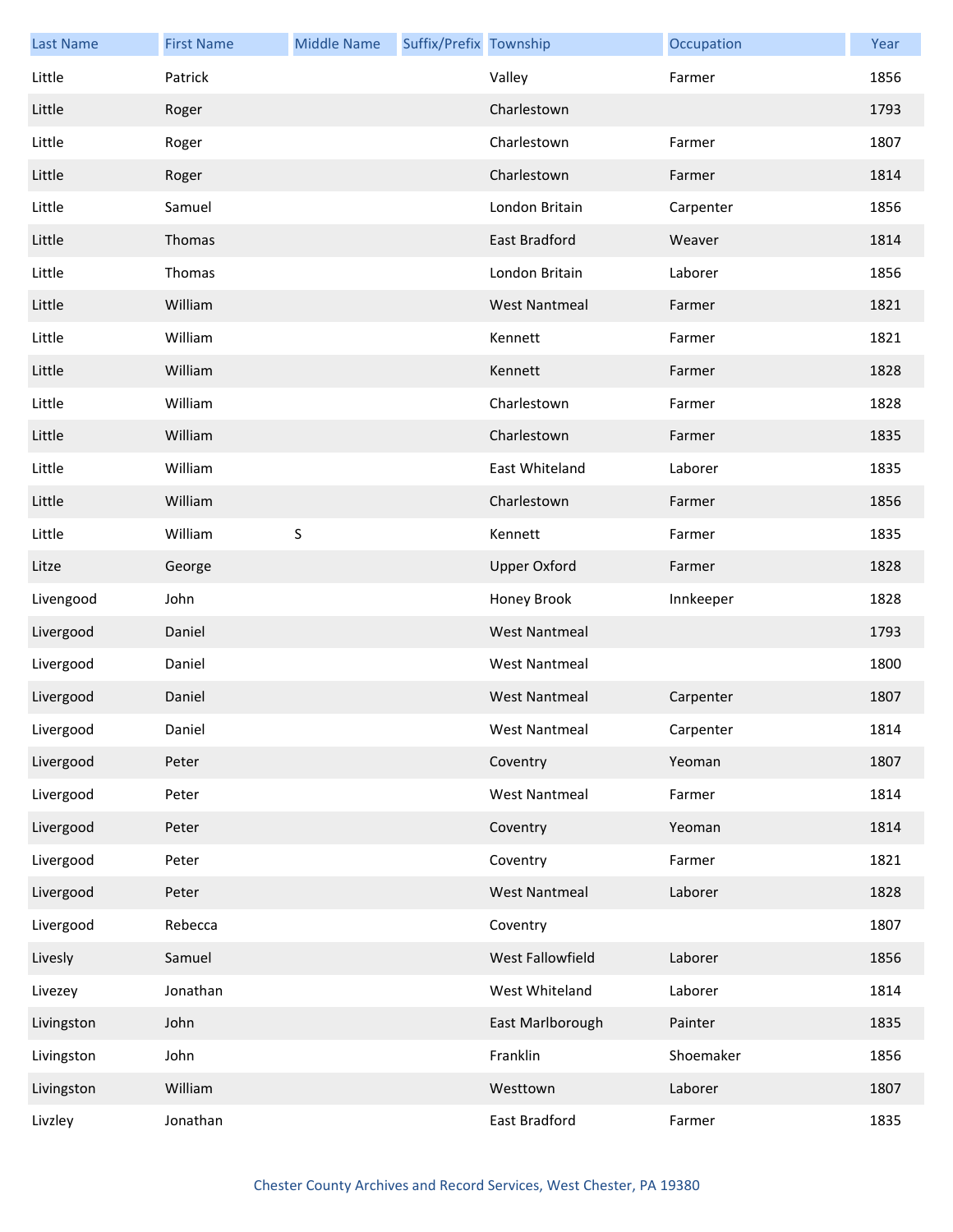| <b>Last Name</b> | <b>First Name</b> | <b>Middle Name</b> | Suffix/Prefix Township |                      | Occupation | Year |
|------------------|-------------------|--------------------|------------------------|----------------------|------------|------|
| Little           | Patrick           |                    |                        | Valley               | Farmer     | 1856 |
| Little           | Roger             |                    |                        | Charlestown          |            | 1793 |
| Little           | Roger             |                    |                        | Charlestown          | Farmer     | 1807 |
| Little           | Roger             |                    |                        | Charlestown          | Farmer     | 1814 |
| Little           | Samuel            |                    |                        | London Britain       | Carpenter  | 1856 |
| Little           | Thomas            |                    |                        | East Bradford        | Weaver     | 1814 |
| Little           | Thomas            |                    |                        | London Britain       | Laborer    | 1856 |
| Little           | William           |                    |                        | <b>West Nantmeal</b> | Farmer     | 1821 |
| Little           | William           |                    |                        | Kennett              | Farmer     | 1821 |
| Little           | William           |                    |                        | Kennett              | Farmer     | 1828 |
| Little           | William           |                    |                        | Charlestown          | Farmer     | 1828 |
| Little           | William           |                    |                        | Charlestown          | Farmer     | 1835 |
| Little           | William           |                    |                        | East Whiteland       | Laborer    | 1835 |
| Little           | William           |                    |                        | Charlestown          | Farmer     | 1856 |
| Little           | William           | $\sf S$            |                        | Kennett              | Farmer     | 1835 |
| Litze            | George            |                    |                        | <b>Upper Oxford</b>  | Farmer     | 1828 |
| Livengood        | John              |                    |                        | Honey Brook          | Innkeeper  | 1828 |
| Livergood        | Daniel            |                    |                        | <b>West Nantmeal</b> |            | 1793 |
| Livergood        | Daniel            |                    |                        | <b>West Nantmeal</b> |            | 1800 |
| Livergood        | Daniel            |                    |                        | <b>West Nantmeal</b> | Carpenter  | 1807 |
| Livergood        | Daniel            |                    |                        | West Nantmeal        | Carpenter  | 1814 |
| Livergood        | Peter             |                    |                        | Coventry             | Yeoman     | 1807 |
| Livergood        | Peter             |                    |                        | <b>West Nantmeal</b> | Farmer     | 1814 |
| Livergood        | Peter             |                    |                        | Coventry             | Yeoman     | 1814 |
| Livergood        | Peter             |                    |                        | Coventry             | Farmer     | 1821 |
| Livergood        | Peter             |                    |                        | <b>West Nantmeal</b> | Laborer    | 1828 |
| Livergood        | Rebecca           |                    |                        | Coventry             |            | 1807 |
| Livesly          | Samuel            |                    |                        | West Fallowfield     | Laborer    | 1856 |
| Livezey          | Jonathan          |                    |                        | West Whiteland       | Laborer    | 1814 |
| Livingston       | John              |                    |                        | East Marlborough     | Painter    | 1835 |
| Livingston       | John              |                    |                        | Franklin             | Shoemaker  | 1856 |
| Livingston       | William           |                    |                        | Westtown             | Laborer    | 1807 |
| Livzley          | Jonathan          |                    |                        | East Bradford        | Farmer     | 1835 |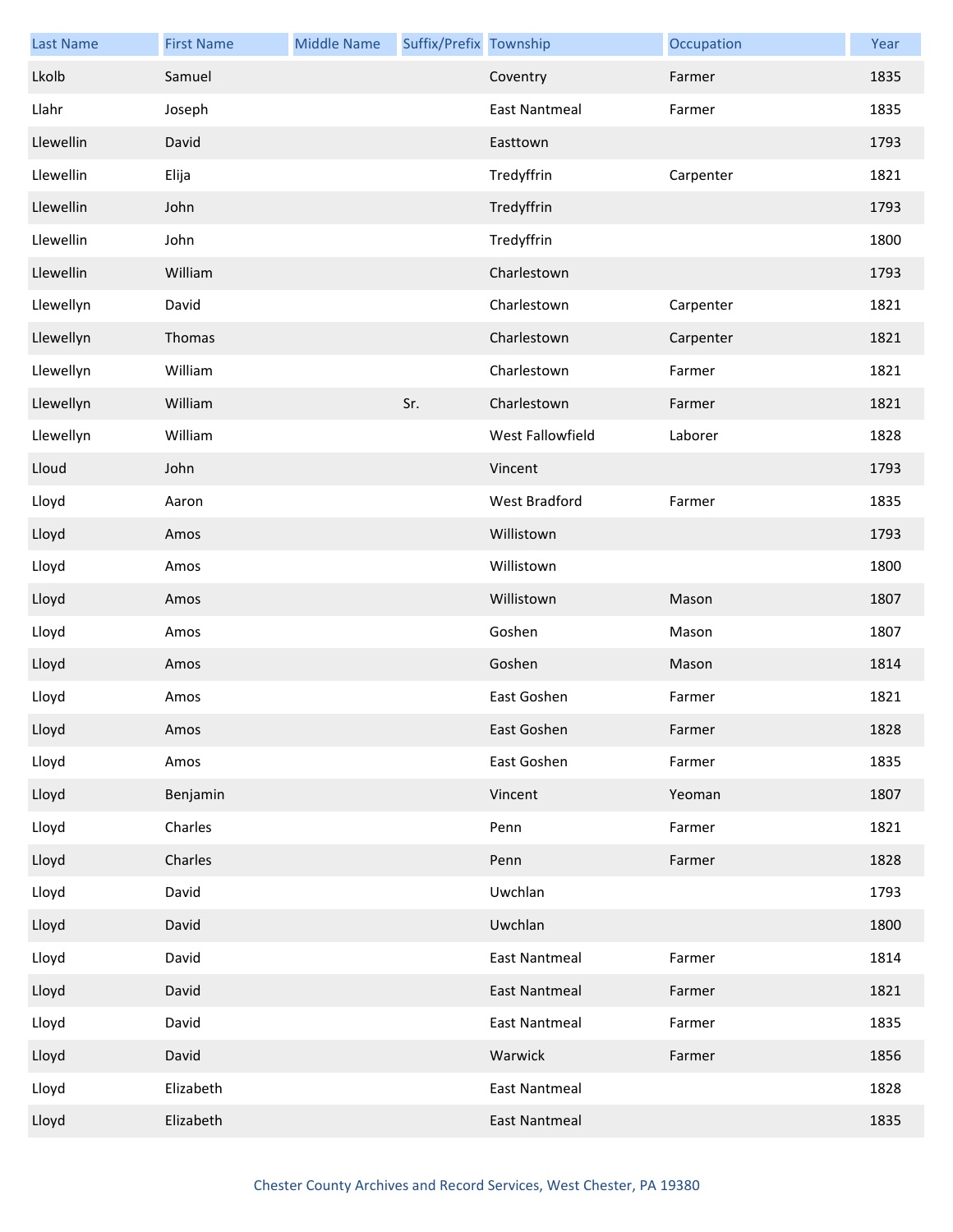| <b>Last Name</b> | <b>First Name</b> | <b>Middle Name</b> | Suffix/Prefix Township |                      | Occupation | Year |
|------------------|-------------------|--------------------|------------------------|----------------------|------------|------|
| Lkolb            | Samuel            |                    |                        | Coventry             | Farmer     | 1835 |
| Llahr            | Joseph            |                    |                        | <b>East Nantmeal</b> | Farmer     | 1835 |
| Llewellin        | David             |                    |                        | Easttown             |            | 1793 |
| Llewellin        | Elija             |                    |                        | Tredyffrin           | Carpenter  | 1821 |
| Llewellin        | John              |                    |                        | Tredyffrin           |            | 1793 |
| Llewellin        | John              |                    |                        | Tredyffrin           |            | 1800 |
| Llewellin        | William           |                    |                        | Charlestown          |            | 1793 |
| Llewellyn        | David             |                    |                        | Charlestown          | Carpenter  | 1821 |
| Llewellyn        | Thomas            |                    |                        | Charlestown          | Carpenter  | 1821 |
| Llewellyn        | William           |                    |                        | Charlestown          | Farmer     | 1821 |
| Llewellyn        | William           |                    | Sr.                    | Charlestown          | Farmer     | 1821 |
| Llewellyn        | William           |                    |                        | West Fallowfield     | Laborer    | 1828 |
| Lloud            | John              |                    |                        | Vincent              |            | 1793 |
| Lloyd            | Aaron             |                    |                        | West Bradford        | Farmer     | 1835 |
| Lloyd            | Amos              |                    |                        | Willistown           |            | 1793 |
| Lloyd            | Amos              |                    |                        | Willistown           |            | 1800 |
| Lloyd            | Amos              |                    |                        | Willistown           | Mason      | 1807 |
| Lloyd            | Amos              |                    |                        | Goshen               | Mason      | 1807 |
| Lloyd            | Amos              |                    |                        | Goshen               | Mason      | 1814 |
| Lloyd            | Amos              |                    |                        | East Goshen          | Farmer     | 1821 |
| Lloyd            | Amos              |                    |                        | East Goshen          | Farmer     | 1828 |
| Lloyd            | Amos              |                    |                        | East Goshen          | Farmer     | 1835 |
| Lloyd            | Benjamin          |                    |                        | Vincent              | Yeoman     | 1807 |
| Lloyd            | Charles           |                    |                        | Penn                 | Farmer     | 1821 |
| Lloyd            | Charles           |                    |                        | Penn                 | Farmer     | 1828 |
| Lloyd            | David             |                    |                        | Uwchlan              |            | 1793 |
| Lloyd            | David             |                    |                        | Uwchlan              |            | 1800 |
| Lloyd            | David             |                    |                        | <b>East Nantmeal</b> | Farmer     | 1814 |
| Lloyd            | David             |                    |                        | East Nantmeal        | Farmer     | 1821 |
| Lloyd            | David             |                    |                        | <b>East Nantmeal</b> | Farmer     | 1835 |
| Lloyd            | David             |                    |                        | Warwick              | Farmer     | 1856 |
| Lloyd            | Elizabeth         |                    |                        | <b>East Nantmeal</b> |            | 1828 |
| Lloyd            | Elizabeth         |                    |                        | <b>East Nantmeal</b> |            | 1835 |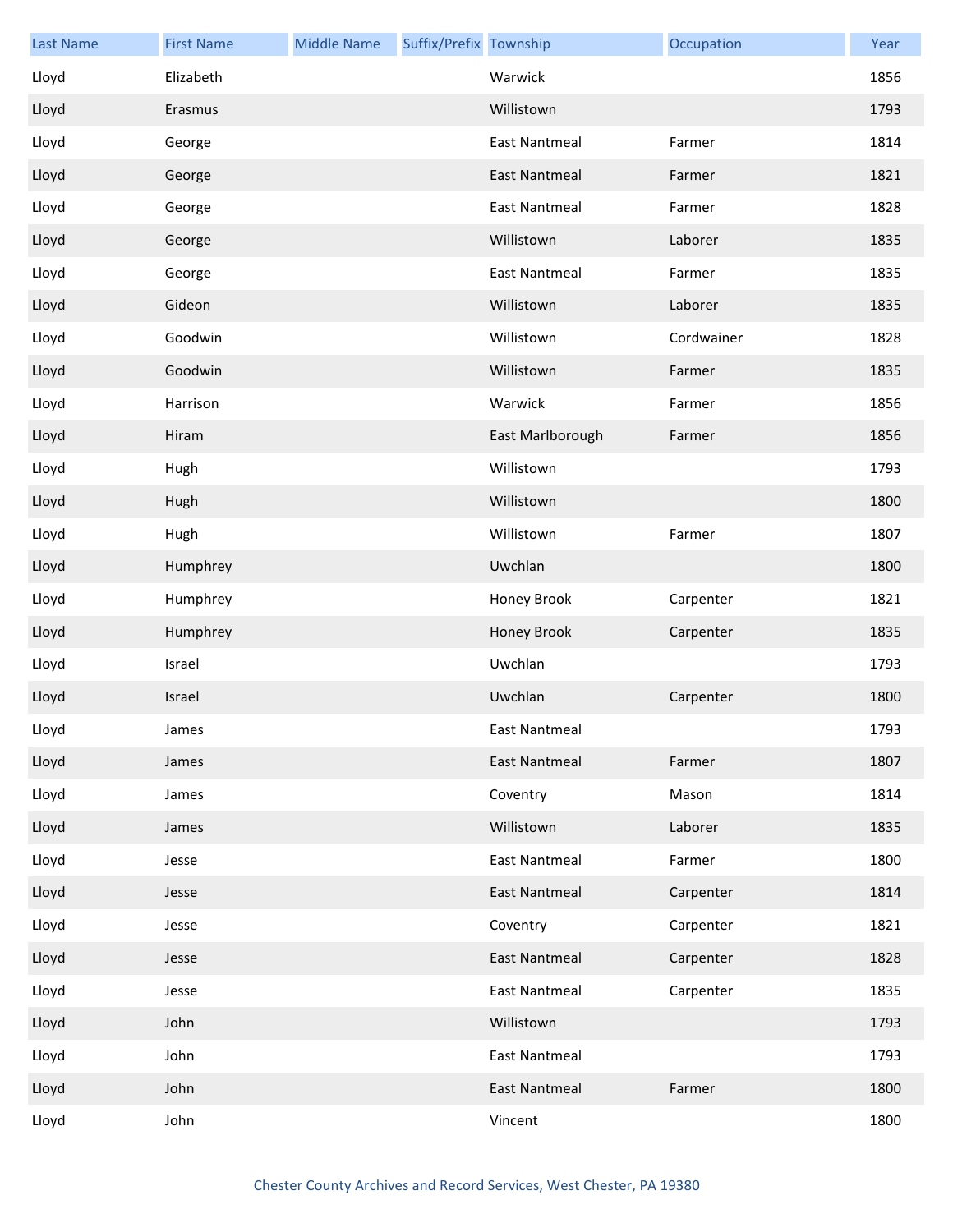| <b>Last Name</b> | <b>First Name</b> | <b>Middle Name</b> | Suffix/Prefix Township |                      | Occupation | Year |
|------------------|-------------------|--------------------|------------------------|----------------------|------------|------|
| Lloyd            | Elizabeth         |                    |                        | Warwick              |            | 1856 |
| Lloyd            | Erasmus           |                    |                        | Willistown           |            | 1793 |
| Lloyd            | George            |                    |                        | <b>East Nantmeal</b> | Farmer     | 1814 |
| Lloyd            | George            |                    |                        | <b>East Nantmeal</b> | Farmer     | 1821 |
| Lloyd            | George            |                    |                        | <b>East Nantmeal</b> | Farmer     | 1828 |
| Lloyd            | George            |                    |                        | Willistown           | Laborer    | 1835 |
| Lloyd            | George            |                    |                        | <b>East Nantmeal</b> | Farmer     | 1835 |
| Lloyd            | Gideon            |                    |                        | Willistown           | Laborer    | 1835 |
| Lloyd            | Goodwin           |                    |                        | Willistown           | Cordwainer | 1828 |
| Lloyd            | Goodwin           |                    |                        | Willistown           | Farmer     | 1835 |
| Lloyd            | Harrison          |                    |                        | Warwick              | Farmer     | 1856 |
| Lloyd            | Hiram             |                    |                        | East Marlborough     | Farmer     | 1856 |
| Lloyd            | Hugh              |                    |                        | Willistown           |            | 1793 |
| Lloyd            | Hugh              |                    |                        | Willistown           |            | 1800 |
| Lloyd            | Hugh              |                    |                        | Willistown           | Farmer     | 1807 |
| Lloyd            | Humphrey          |                    |                        | Uwchlan              |            | 1800 |
| Lloyd            | Humphrey          |                    |                        | Honey Brook          | Carpenter  | 1821 |
| Lloyd            | Humphrey          |                    |                        | Honey Brook          | Carpenter  | 1835 |
| Lloyd            | Israel            |                    |                        | Uwchlan              |            | 1793 |
| Lloyd            | Israel            |                    |                        | Uwchlan              | Carpenter  | 1800 |
| Lloyd            | James             |                    |                        | East Nantmeal        |            | 1793 |
| Lloyd            | James             |                    |                        | <b>East Nantmeal</b> | Farmer     | 1807 |
| Lloyd            | James             |                    |                        | Coventry             | Mason      | 1814 |
| Lloyd            | James             |                    |                        | Willistown           | Laborer    | 1835 |
| Lloyd            | Jesse             |                    |                        | <b>East Nantmeal</b> | Farmer     | 1800 |
| Lloyd            | Jesse             |                    |                        | <b>East Nantmeal</b> | Carpenter  | 1814 |
| Lloyd            | Jesse             |                    |                        | Coventry             | Carpenter  | 1821 |
| Lloyd            | Jesse             |                    |                        | <b>East Nantmeal</b> | Carpenter  | 1828 |
| Lloyd            | Jesse             |                    |                        | <b>East Nantmeal</b> | Carpenter  | 1835 |
| Lloyd            | John              |                    |                        | Willistown           |            | 1793 |
| Lloyd            | John              |                    |                        | East Nantmeal        |            | 1793 |
| Lloyd            | John              |                    |                        | East Nantmeal        | Farmer     | 1800 |
| Lloyd            | John              |                    |                        | Vincent              |            | 1800 |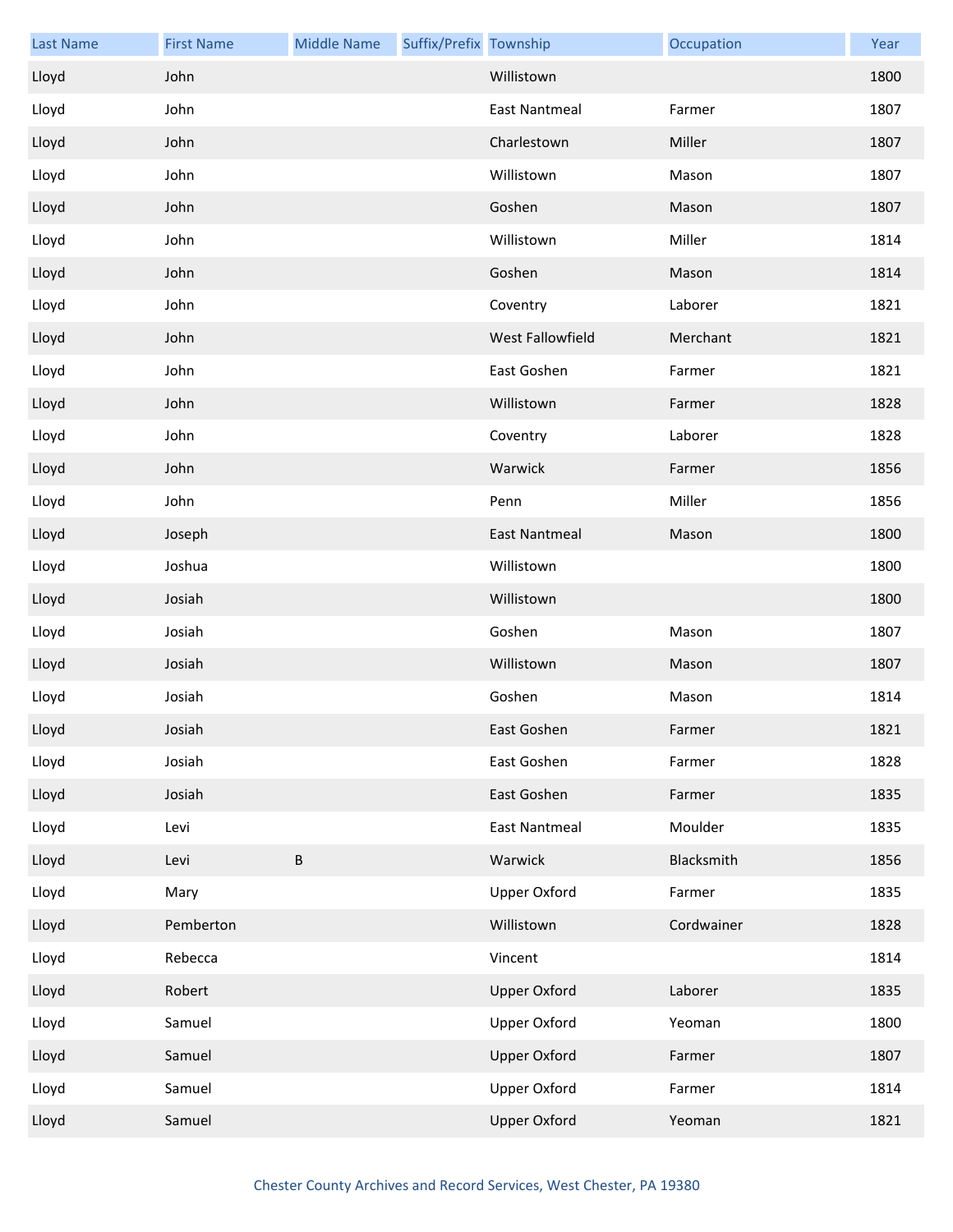| <b>Last Name</b> | <b>First Name</b> | <b>Middle Name</b> | Suffix/Prefix Township |                      | Occupation | Year |
|------------------|-------------------|--------------------|------------------------|----------------------|------------|------|
| Lloyd            | John              |                    |                        | Willistown           |            | 1800 |
| Lloyd            | John              |                    |                        | <b>East Nantmeal</b> | Farmer     | 1807 |
| Lloyd            | John              |                    |                        | Charlestown          | Miller     | 1807 |
| Lloyd            | John              |                    |                        | Willistown           | Mason      | 1807 |
| Lloyd            | John              |                    |                        | Goshen               | Mason      | 1807 |
| Lloyd            | John              |                    |                        | Willistown           | Miller     | 1814 |
| Lloyd            | John              |                    |                        | Goshen               | Mason      | 1814 |
| Lloyd            | John              |                    |                        | Coventry             | Laborer    | 1821 |
| Lloyd            | John              |                    |                        | West Fallowfield     | Merchant   | 1821 |
| Lloyd            | John              |                    |                        | East Goshen          | Farmer     | 1821 |
| Lloyd            | John              |                    |                        | Willistown           | Farmer     | 1828 |
| Lloyd            | John              |                    |                        | Coventry             | Laborer    | 1828 |
| Lloyd            | John              |                    |                        | Warwick              | Farmer     | 1856 |
| Lloyd            | John              |                    |                        | Penn                 | Miller     | 1856 |
| Lloyd            | Joseph            |                    |                        | <b>East Nantmeal</b> | Mason      | 1800 |
| Lloyd            | Joshua            |                    |                        | Willistown           |            | 1800 |
| Lloyd            | Josiah            |                    |                        | Willistown           |            | 1800 |
| Lloyd            | Josiah            |                    |                        | Goshen               | Mason      | 1807 |
| Lloyd            | Josiah            |                    |                        | Willistown           | Mason      | 1807 |
| Lloyd            | Josiah            |                    |                        | Goshen               | Mason      | 1814 |
| Lloyd            | Josiah            |                    |                        | East Goshen          | Farmer     | 1821 |
| Lloyd            | Josiah            |                    |                        | East Goshen          | Farmer     | 1828 |
| Lloyd            | Josiah            |                    |                        | East Goshen          | Farmer     | 1835 |
| Lloyd            | Levi              |                    |                        | <b>East Nantmeal</b> | Moulder    | 1835 |
| Lloyd            | Levi              | $\sf B$            |                        | Warwick              | Blacksmith | 1856 |
| Lloyd            | Mary              |                    |                        | <b>Upper Oxford</b>  | Farmer     | 1835 |
| Lloyd            | Pemberton         |                    |                        | Willistown           | Cordwainer | 1828 |
| Lloyd            | Rebecca           |                    |                        | Vincent              |            | 1814 |
| Lloyd            | Robert            |                    |                        | <b>Upper Oxford</b>  | Laborer    | 1835 |
| Lloyd            | Samuel            |                    |                        | <b>Upper Oxford</b>  | Yeoman     | 1800 |
| Lloyd            | Samuel            |                    |                        | <b>Upper Oxford</b>  | Farmer     | 1807 |
| Lloyd            | Samuel            |                    |                        | Upper Oxford         | Farmer     | 1814 |
| Lloyd            | Samuel            |                    |                        | <b>Upper Oxford</b>  | Yeoman     | 1821 |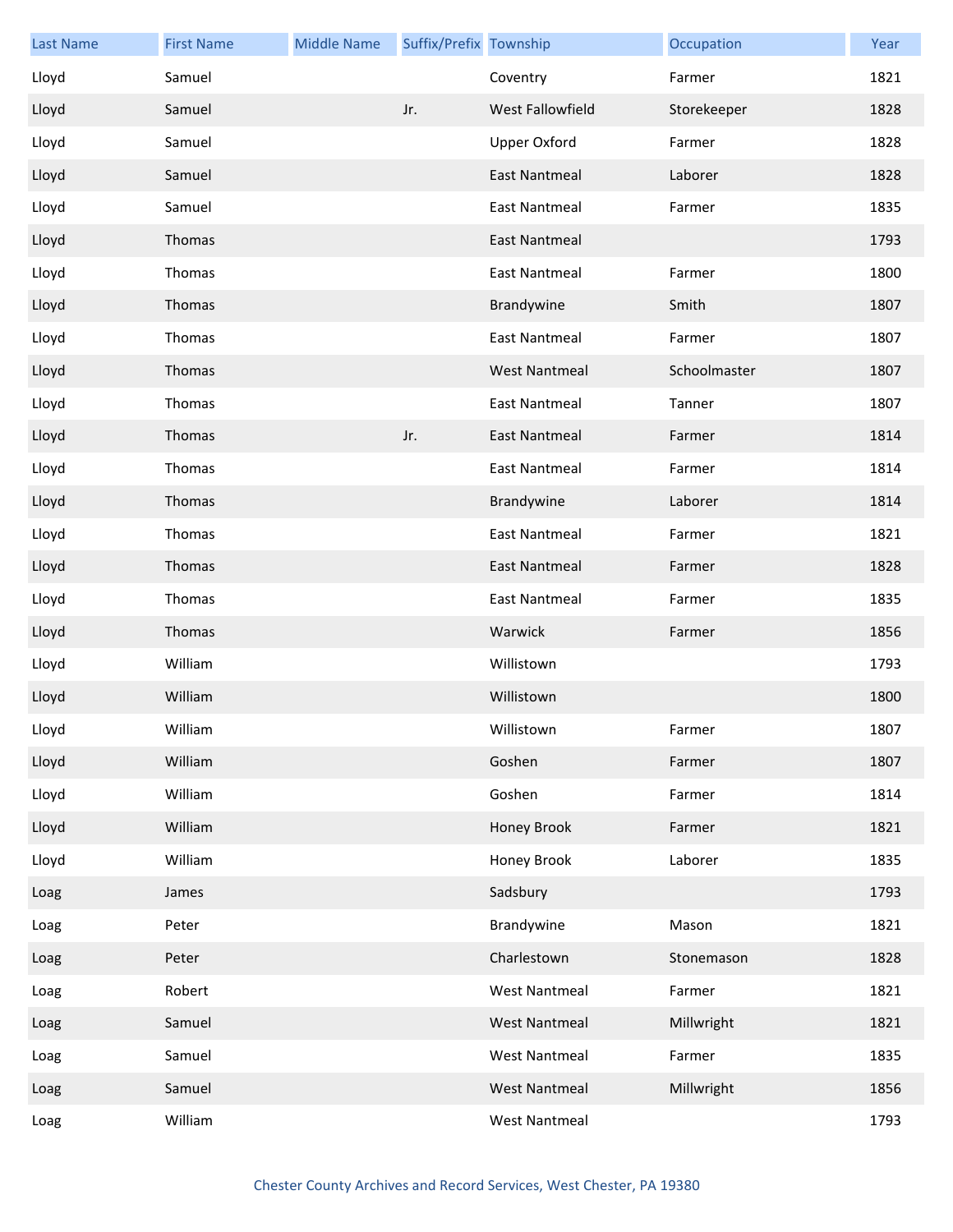| <b>Last Name</b> | <b>First Name</b> | <b>Middle Name</b> | Suffix/Prefix Township |                      | Occupation   | Year |
|------------------|-------------------|--------------------|------------------------|----------------------|--------------|------|
| Lloyd            | Samuel            |                    |                        | Coventry             | Farmer       | 1821 |
| Lloyd            | Samuel            |                    | Jr.                    | West Fallowfield     | Storekeeper  | 1828 |
| Lloyd            | Samuel            |                    |                        | <b>Upper Oxford</b>  | Farmer       | 1828 |
| Lloyd            | Samuel            |                    |                        | <b>East Nantmeal</b> | Laborer      | 1828 |
| Lloyd            | Samuel            |                    |                        | <b>East Nantmeal</b> | Farmer       | 1835 |
| Lloyd            | Thomas            |                    |                        | <b>East Nantmeal</b> |              | 1793 |
| Lloyd            | Thomas            |                    |                        | <b>East Nantmeal</b> | Farmer       | 1800 |
| Lloyd            | Thomas            |                    |                        | Brandywine           | Smith        | 1807 |
| Lloyd            | Thomas            |                    |                        | <b>East Nantmeal</b> | Farmer       | 1807 |
| Lloyd            | Thomas            |                    |                        | <b>West Nantmeal</b> | Schoolmaster | 1807 |
| Lloyd            | Thomas            |                    |                        | <b>East Nantmeal</b> | Tanner       | 1807 |
| Lloyd            | Thomas            |                    | Jr.                    | East Nantmeal        | Farmer       | 1814 |
| Lloyd            | Thomas            |                    |                        | <b>East Nantmeal</b> | Farmer       | 1814 |
| Lloyd            | Thomas            |                    |                        | Brandywine           | Laborer      | 1814 |
| Lloyd            | Thomas            |                    |                        | <b>East Nantmeal</b> | Farmer       | 1821 |
| Lloyd            | Thomas            |                    |                        | <b>East Nantmeal</b> | Farmer       | 1828 |
| Lloyd            | Thomas            |                    |                        | East Nantmeal        | Farmer       | 1835 |
| Lloyd            | Thomas            |                    |                        | Warwick              | Farmer       | 1856 |
| Lloyd            | William           |                    |                        | Willistown           |              | 1793 |
| Lloyd            | William           |                    |                        | Willistown           |              | 1800 |
| Lloyd            | William           |                    |                        | Willistown           | Farmer       | 1807 |
| Lloyd            | William           |                    |                        | Goshen               | Farmer       | 1807 |
| Lloyd            | William           |                    |                        | Goshen               | Farmer       | 1814 |
| Lloyd            | William           |                    |                        | Honey Brook          | Farmer       | 1821 |
| Lloyd            | William           |                    |                        | Honey Brook          | Laborer      | 1835 |
| Loag             | James             |                    |                        | Sadsbury             |              | 1793 |
| Loag             | Peter             |                    |                        | Brandywine           | Mason        | 1821 |
| Loag             | Peter             |                    |                        | Charlestown          | Stonemason   | 1828 |
| Loag             | Robert            |                    |                        | <b>West Nantmeal</b> | Farmer       | 1821 |
| Loag             | Samuel            |                    |                        | <b>West Nantmeal</b> | Millwright   | 1821 |
| Loag             | Samuel            |                    |                        | <b>West Nantmeal</b> | Farmer       | 1835 |
| Loag             | Samuel            |                    |                        | <b>West Nantmeal</b> | Millwright   | 1856 |
| Loag             | William           |                    |                        | <b>West Nantmeal</b> |              | 1793 |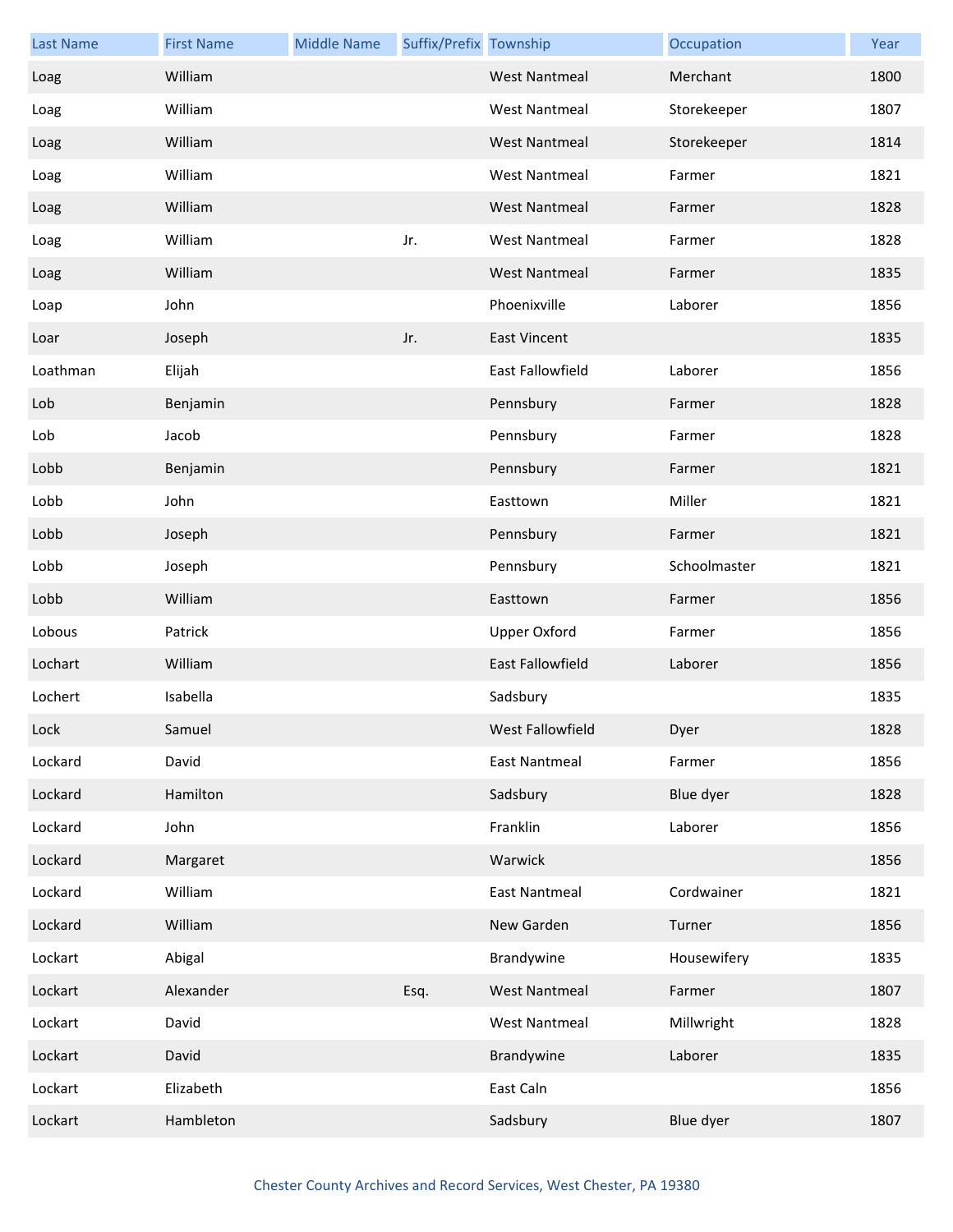| <b>Last Name</b> | <b>First Name</b> | <b>Middle Name</b> | Suffix/Prefix Township |                         | Occupation   | Year |
|------------------|-------------------|--------------------|------------------------|-------------------------|--------------|------|
| Loag             | William           |                    |                        | <b>West Nantmeal</b>    | Merchant     | 1800 |
| Loag             | William           |                    |                        | <b>West Nantmeal</b>    | Storekeeper  | 1807 |
| Loag             | William           |                    |                        | <b>West Nantmeal</b>    | Storekeeper  | 1814 |
| Loag             | William           |                    |                        | <b>West Nantmeal</b>    | Farmer       | 1821 |
| Loag             | William           |                    |                        | <b>West Nantmeal</b>    | Farmer       | 1828 |
| Loag             | William           |                    | Jr.                    | <b>West Nantmeal</b>    | Farmer       | 1828 |
| Loag             | William           |                    |                        | <b>West Nantmeal</b>    | Farmer       | 1835 |
| Loap             | John              |                    |                        | Phoenixville            | Laborer      | 1856 |
| Loar             | Joseph            |                    | Jr.                    | <b>East Vincent</b>     |              | 1835 |
| Loathman         | Elijah            |                    |                        | <b>East Fallowfield</b> | Laborer      | 1856 |
| Lob              | Benjamin          |                    |                        | Pennsbury               | Farmer       | 1828 |
| Lob              | Jacob             |                    |                        | Pennsbury               | Farmer       | 1828 |
| Lobb             | Benjamin          |                    |                        | Pennsbury               | Farmer       | 1821 |
| Lobb             | John              |                    |                        | Easttown                | Miller       | 1821 |
| Lobb             | Joseph            |                    |                        | Pennsbury               | Farmer       | 1821 |
| Lobb             | Joseph            |                    |                        | Pennsbury               | Schoolmaster | 1821 |
| Lobb             | William           |                    |                        | Easttown                | Farmer       | 1856 |
| Lobous           | Patrick           |                    |                        | <b>Upper Oxford</b>     | Farmer       | 1856 |
| Lochart          | William           |                    |                        | East Fallowfield        | Laborer      | 1856 |
| Lochert          | Isabella          |                    |                        | Sadsbury                |              | 1835 |
| Lock             | Samuel            |                    |                        | West Fallowfield        | Dyer         | 1828 |
| Lockard          | David             |                    |                        | <b>East Nantmeal</b>    | Farmer       | 1856 |
| Lockard          | Hamilton          |                    |                        | Sadsbury                | Blue dyer    | 1828 |
| Lockard          | John              |                    |                        | Franklin                | Laborer      | 1856 |
| Lockard          | Margaret          |                    |                        | Warwick                 |              | 1856 |
| Lockard          | William           |                    |                        | <b>East Nantmeal</b>    | Cordwainer   | 1821 |
| Lockard          | William           |                    |                        | New Garden              | Turner       | 1856 |
| Lockart          | Abigal            |                    |                        | Brandywine              | Housewifery  | 1835 |
| Lockart          | Alexander         |                    | Esq.                   | <b>West Nantmeal</b>    | Farmer       | 1807 |
| Lockart          | David             |                    |                        | <b>West Nantmeal</b>    | Millwright   | 1828 |
| Lockart          | David             |                    |                        | Brandywine              | Laborer      | 1835 |
| Lockart          | Elizabeth         |                    |                        | East Caln               |              | 1856 |
| Lockart          | Hambleton         |                    |                        | Sadsbury                | Blue dyer    | 1807 |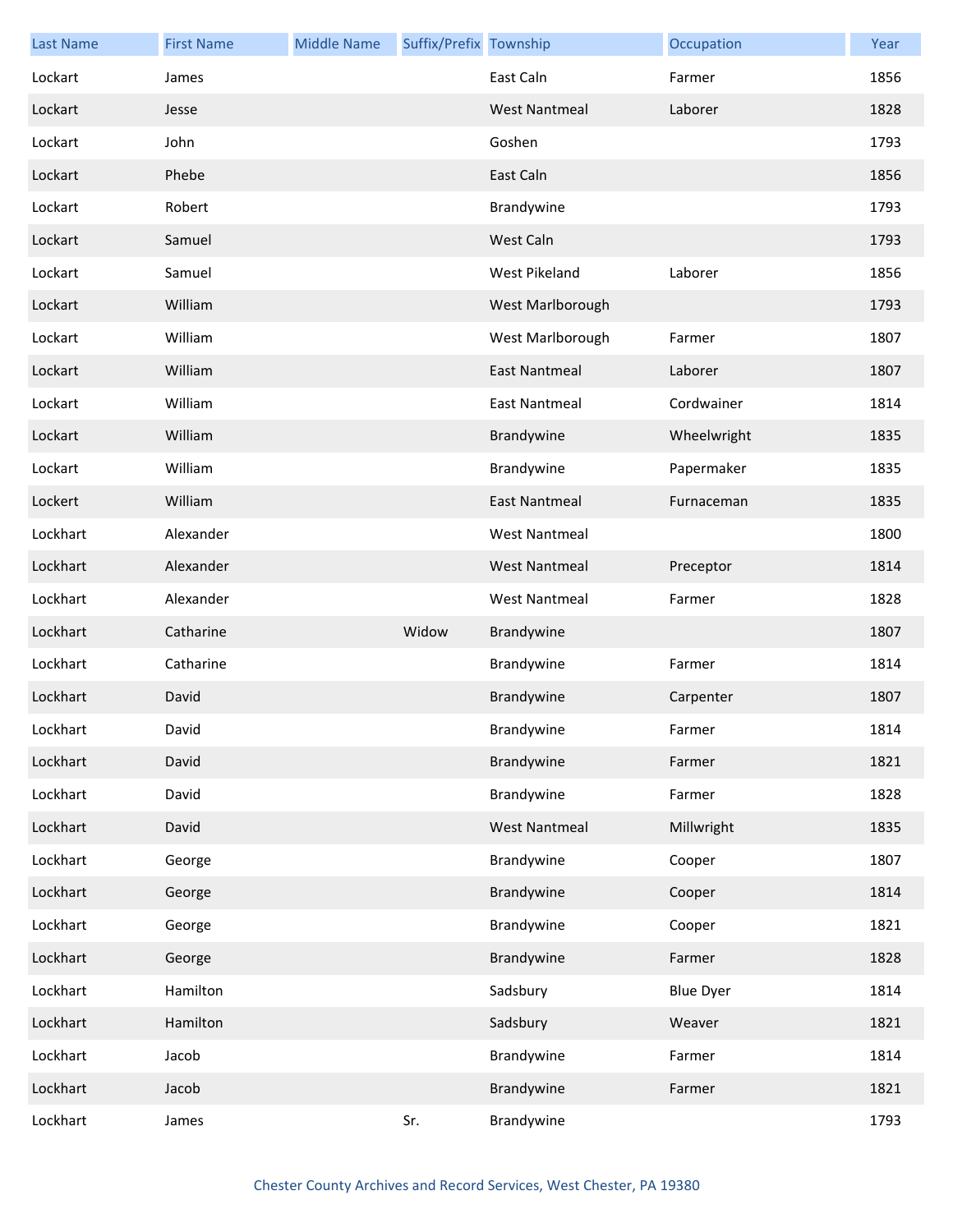| <b>Last Name</b> | <b>First Name</b> | <b>Middle Name</b> | Suffix/Prefix Township |                      | Occupation       | Year |
|------------------|-------------------|--------------------|------------------------|----------------------|------------------|------|
| Lockart          | James             |                    |                        | East Caln            | Farmer           | 1856 |
| Lockart          | Jesse             |                    |                        | <b>West Nantmeal</b> | Laborer          | 1828 |
| Lockart          | John              |                    |                        | Goshen               |                  | 1793 |
| Lockart          | Phebe             |                    |                        | East Caln            |                  | 1856 |
| Lockart          | Robert            |                    |                        | Brandywine           |                  | 1793 |
| Lockart          | Samuel            |                    |                        | West Caln            |                  | 1793 |
| Lockart          | Samuel            |                    |                        | West Pikeland        | Laborer          | 1856 |
| Lockart          | William           |                    |                        | West Marlborough     |                  | 1793 |
| Lockart          | William           |                    |                        | West Marlborough     | Farmer           | 1807 |
| Lockart          | William           |                    |                        | <b>East Nantmeal</b> | Laborer          | 1807 |
| Lockart          | William           |                    |                        | <b>East Nantmeal</b> | Cordwainer       | 1814 |
| Lockart          | William           |                    |                        | Brandywine           | Wheelwright      | 1835 |
| Lockart          | William           |                    |                        | Brandywine           | Papermaker       | 1835 |
| Lockert          | William           |                    |                        | <b>East Nantmeal</b> | Furnaceman       | 1835 |
| Lockhart         | Alexander         |                    |                        | <b>West Nantmeal</b> |                  | 1800 |
| Lockhart         | Alexander         |                    |                        | <b>West Nantmeal</b> | Preceptor        | 1814 |
| Lockhart         | Alexander         |                    |                        | <b>West Nantmeal</b> | Farmer           | 1828 |
| Lockhart         | Catharine         |                    | Widow                  | Brandywine           |                  | 1807 |
| Lockhart         | Catharine         |                    |                        | Brandywine           | Farmer           | 1814 |
| Lockhart         | David             |                    |                        | Brandywine           | Carpenter        | 1807 |
| Lockhart         | David             |                    |                        | Brandywine           | Farmer           | 1814 |
| Lockhart         | David             |                    |                        | Brandywine           | Farmer           | 1821 |
| Lockhart         | David             |                    |                        | Brandywine           | Farmer           | 1828 |
| Lockhart         | David             |                    |                        | <b>West Nantmeal</b> | Millwright       | 1835 |
| Lockhart         | George            |                    |                        | Brandywine           | Cooper           | 1807 |
| Lockhart         | George            |                    |                        | Brandywine           | Cooper           | 1814 |
| Lockhart         | George            |                    |                        | Brandywine           | Cooper           | 1821 |
| Lockhart         | George            |                    |                        | Brandywine           | Farmer           | 1828 |
| Lockhart         | Hamilton          |                    |                        | Sadsbury             | <b>Blue Dyer</b> | 1814 |
| Lockhart         | Hamilton          |                    |                        | Sadsbury             | Weaver           | 1821 |
| Lockhart         | Jacob             |                    |                        | Brandywine           | Farmer           | 1814 |
| Lockhart         | Jacob             |                    |                        | Brandywine           | Farmer           | 1821 |
| Lockhart         | James             |                    | Sr.                    | Brandywine           |                  | 1793 |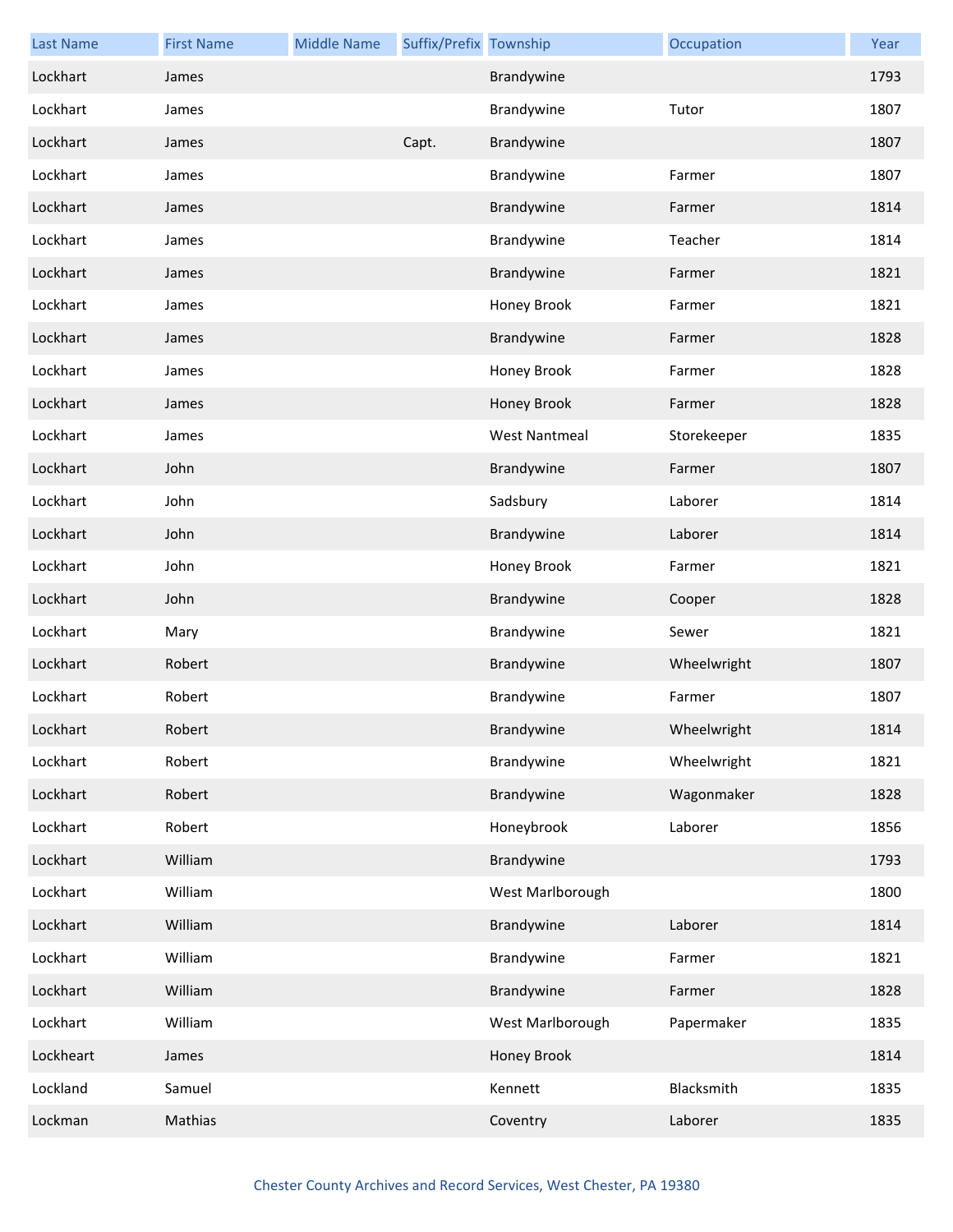| <b>Last Name</b> | <b>First Name</b> | <b>Middle Name</b> | Suffix/Prefix Township |                      | Occupation  | Year |
|------------------|-------------------|--------------------|------------------------|----------------------|-------------|------|
| Lockhart         | James             |                    |                        | Brandywine           |             | 1793 |
| Lockhart         | James             |                    |                        | Brandywine           | Tutor       | 1807 |
| Lockhart         | James             |                    | Capt.                  | Brandywine           |             | 1807 |
| Lockhart         | James             |                    |                        | Brandywine           | Farmer      | 1807 |
| Lockhart         | James             |                    |                        | Brandywine           | Farmer      | 1814 |
| Lockhart         | James             |                    |                        | Brandywine           | Teacher     | 1814 |
| Lockhart         | James             |                    |                        | Brandywine           | Farmer      | 1821 |
| Lockhart         | James             |                    |                        | Honey Brook          | Farmer      | 1821 |
| Lockhart         | James             |                    |                        | Brandywine           | Farmer      | 1828 |
| Lockhart         | James             |                    |                        | Honey Brook          | Farmer      | 1828 |
| Lockhart         | James             |                    |                        | Honey Brook          | Farmer      | 1828 |
| Lockhart         | James             |                    |                        | <b>West Nantmeal</b> | Storekeeper | 1835 |
| Lockhart         | John              |                    |                        | Brandywine           | Farmer      | 1807 |
| Lockhart         | John              |                    |                        | Sadsbury             | Laborer     | 1814 |
| Lockhart         | John              |                    |                        | Brandywine           | Laborer     | 1814 |
| Lockhart         | John              |                    |                        | Honey Brook          | Farmer      | 1821 |
| Lockhart         | John              |                    |                        | Brandywine           | Cooper      | 1828 |
| Lockhart         | Mary              |                    |                        | Brandywine           | Sewer       | 1821 |
| Lockhart         | Robert            |                    |                        | Brandywine           | Wheelwright | 1807 |
| Lockhart         | Robert            |                    |                        | Brandywine           | Farmer      | 1807 |
| Lockhart         | Robert            |                    |                        | Brandywine           | Wheelwright | 1814 |
| Lockhart         | Robert            |                    |                        | Brandywine           | Wheelwright | 1821 |
| Lockhart         | Robert            |                    |                        | Brandywine           | Wagonmaker  | 1828 |
| Lockhart         | Robert            |                    |                        | Honeybrook           | Laborer     | 1856 |
| Lockhart         | William           |                    |                        | Brandywine           |             | 1793 |
| Lockhart         | William           |                    |                        | West Marlborough     |             | 1800 |
| Lockhart         | William           |                    |                        | Brandywine           | Laborer     | 1814 |
| Lockhart         | William           |                    |                        | Brandywine           | Farmer      | 1821 |
| Lockhart         | William           |                    |                        | Brandywine           | Farmer      | 1828 |
| Lockhart         | William           |                    |                        | West Marlborough     | Papermaker  | 1835 |
| Lockheart        | James             |                    |                        | Honey Brook          |             | 1814 |
| Lockland         | Samuel            |                    |                        | Kennett              | Blacksmith  | 1835 |
| Lockman          | Mathias           |                    |                        | Coventry             | Laborer     | 1835 |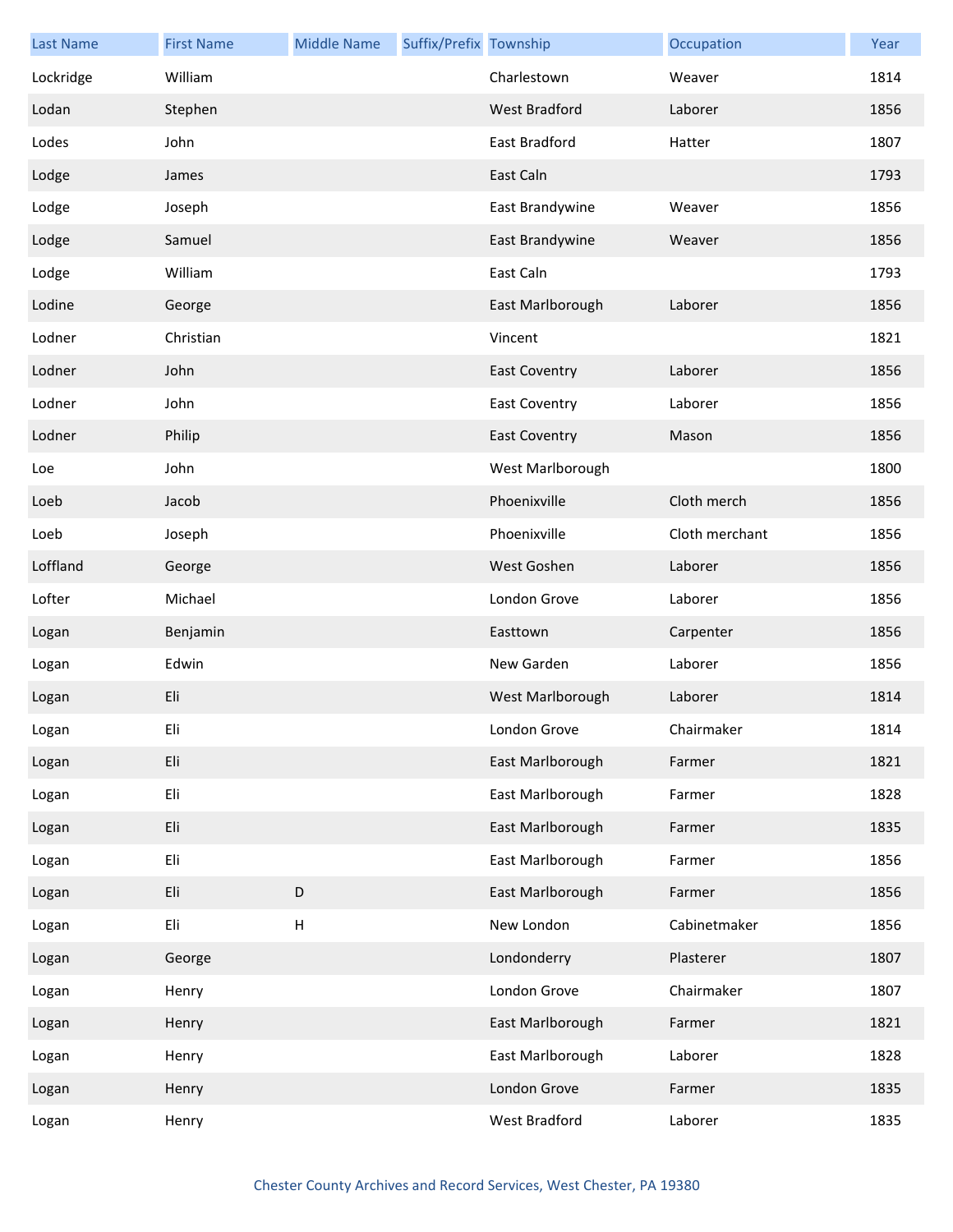| <b>Last Name</b> | <b>First Name</b> | <b>Middle Name</b>        | Suffix/Prefix Township |                      | Occupation     | Year |
|------------------|-------------------|---------------------------|------------------------|----------------------|----------------|------|
| Lockridge        | William           |                           |                        | Charlestown          | Weaver         | 1814 |
| Lodan            | Stephen           |                           |                        | <b>West Bradford</b> | Laborer        | 1856 |
| Lodes            | John              |                           |                        | East Bradford        | Hatter         | 1807 |
| Lodge            | James             |                           |                        | East Caln            |                | 1793 |
| Lodge            | Joseph            |                           |                        | East Brandywine      | Weaver         | 1856 |
| Lodge            | Samuel            |                           |                        | East Brandywine      | Weaver         | 1856 |
| Lodge            | William           |                           |                        | East Caln            |                | 1793 |
| Lodine           | George            |                           |                        | East Marlborough     | Laborer        | 1856 |
| Lodner           | Christian         |                           |                        | Vincent              |                | 1821 |
| Lodner           | John              |                           |                        | <b>East Coventry</b> | Laborer        | 1856 |
| Lodner           | John              |                           |                        | <b>East Coventry</b> | Laborer        | 1856 |
| Lodner           | Philip            |                           |                        | <b>East Coventry</b> | Mason          | 1856 |
| Loe              | John              |                           |                        | West Marlborough     |                | 1800 |
| Loeb             | Jacob             |                           |                        | Phoenixville         | Cloth merch    | 1856 |
| Loeb             | Joseph            |                           |                        | Phoenixville         | Cloth merchant | 1856 |
| Loffland         | George            |                           |                        | West Goshen          | Laborer        | 1856 |
| Lofter           | Michael           |                           |                        | London Grove         | Laborer        | 1856 |
| Logan            | Benjamin          |                           |                        | Easttown             | Carpenter      | 1856 |
| Logan            | Edwin             |                           |                        | New Garden           | Laborer        | 1856 |
| Logan            | Eli               |                           |                        | West Marlborough     | Laborer        | 1814 |
| Logan            | Eli               |                           |                        | London Grove         | Chairmaker     | 1814 |
| Logan            | Eli               |                           |                        | East Marlborough     | Farmer         | 1821 |
| Logan            | Eli               |                           |                        | East Marlborough     | Farmer         | 1828 |
| Logan            | Eli               |                           |                        | East Marlborough     | Farmer         | 1835 |
| Logan            | Eli               |                           |                        | East Marlborough     | Farmer         | 1856 |
| Logan            | Eli               | $\mathsf D$               |                        | East Marlborough     | Farmer         | 1856 |
| Logan            | Eli               | $\boldsymbol{\mathsf{H}}$ |                        | New London           | Cabinetmaker   | 1856 |
| Logan            | George            |                           |                        | Londonderry          | Plasterer      | 1807 |
| Logan            | Henry             |                           |                        | London Grove         | Chairmaker     | 1807 |
| Logan            | Henry             |                           |                        | East Marlborough     | Farmer         | 1821 |
| Logan            | Henry             |                           |                        | East Marlborough     | Laborer        | 1828 |
| Logan            | Henry             |                           |                        | London Grove         | Farmer         | 1835 |
| Logan            | Henry             |                           |                        | West Bradford        | Laborer        | 1835 |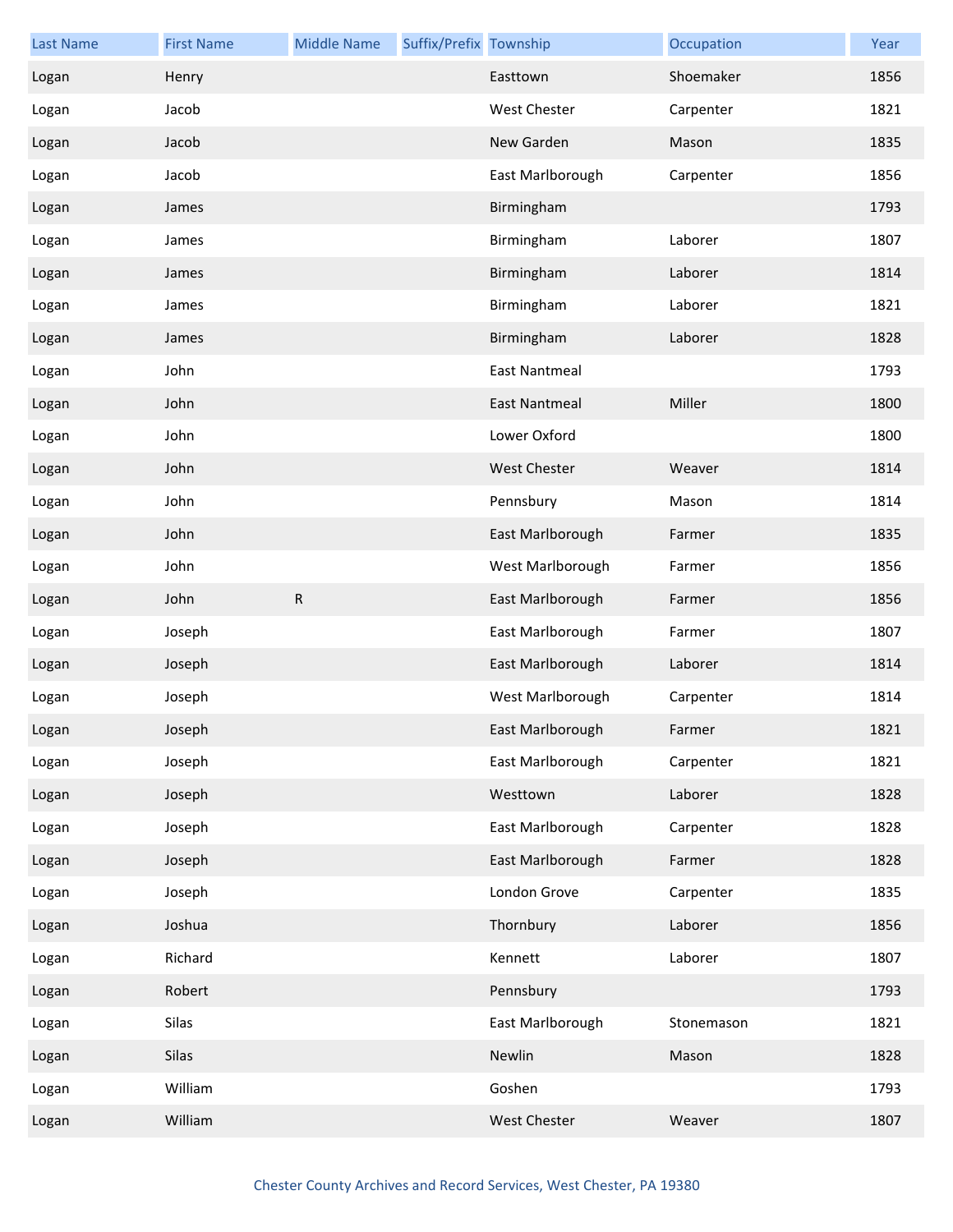| <b>Last Name</b> | <b>First Name</b> | <b>Middle Name</b> | Suffix/Prefix Township |                      | Occupation | Year |
|------------------|-------------------|--------------------|------------------------|----------------------|------------|------|
| Logan            | Henry             |                    |                        | Easttown             | Shoemaker  | 1856 |
| Logan            | Jacob             |                    |                        | <b>West Chester</b>  | Carpenter  | 1821 |
| Logan            | Jacob             |                    |                        | New Garden           | Mason      | 1835 |
| Logan            | Jacob             |                    |                        | East Marlborough     | Carpenter  | 1856 |
| Logan            | James             |                    |                        | Birmingham           |            | 1793 |
| Logan            | James             |                    |                        | Birmingham           | Laborer    | 1807 |
| Logan            | James             |                    |                        | Birmingham           | Laborer    | 1814 |
| Logan            | James             |                    |                        | Birmingham           | Laborer    | 1821 |
| Logan            | James             |                    |                        | Birmingham           | Laborer    | 1828 |
| Logan            | John              |                    |                        | East Nantmeal        |            | 1793 |
| Logan            | John              |                    |                        | <b>East Nantmeal</b> | Miller     | 1800 |
| Logan            | John              |                    |                        | Lower Oxford         |            | 1800 |
| Logan            | John              |                    |                        | <b>West Chester</b>  | Weaver     | 1814 |
| Logan            | John              |                    |                        | Pennsbury            | Mason      | 1814 |
| Logan            | John              |                    |                        | East Marlborough     | Farmer     | 1835 |
| Logan            | John              |                    |                        | West Marlborough     | Farmer     | 1856 |
| Logan            | John              | ${\sf R}$          |                        | East Marlborough     | Farmer     | 1856 |
| Logan            | Joseph            |                    |                        | East Marlborough     | Farmer     | 1807 |
| Logan            | Joseph            |                    |                        | East Marlborough     | Laborer    | 1814 |
| Logan            | Joseph            |                    |                        | West Marlborough     | Carpenter  | 1814 |
| Logan            | Joseph            |                    |                        | East Marlborough     | Farmer     | 1821 |
| Logan            | Joseph            |                    |                        | East Marlborough     | Carpenter  | 1821 |
| Logan            | Joseph            |                    |                        | Westtown             | Laborer    | 1828 |
| Logan            | Joseph            |                    |                        | East Marlborough     | Carpenter  | 1828 |
| Logan            | Joseph            |                    |                        | East Marlborough     | Farmer     | 1828 |
| Logan            | Joseph            |                    |                        | London Grove         | Carpenter  | 1835 |
| Logan            | Joshua            |                    |                        | Thornbury            | Laborer    | 1856 |
| Logan            | Richard           |                    |                        | Kennett              | Laborer    | 1807 |
| Logan            | Robert            |                    |                        | Pennsbury            |            | 1793 |
| Logan            | Silas             |                    |                        | East Marlborough     | Stonemason | 1821 |
| Logan            | Silas             |                    |                        | Newlin               | Mason      | 1828 |
| Logan            | William           |                    |                        | Goshen               |            | 1793 |
| Logan            | William           |                    |                        | <b>West Chester</b>  | Weaver     | 1807 |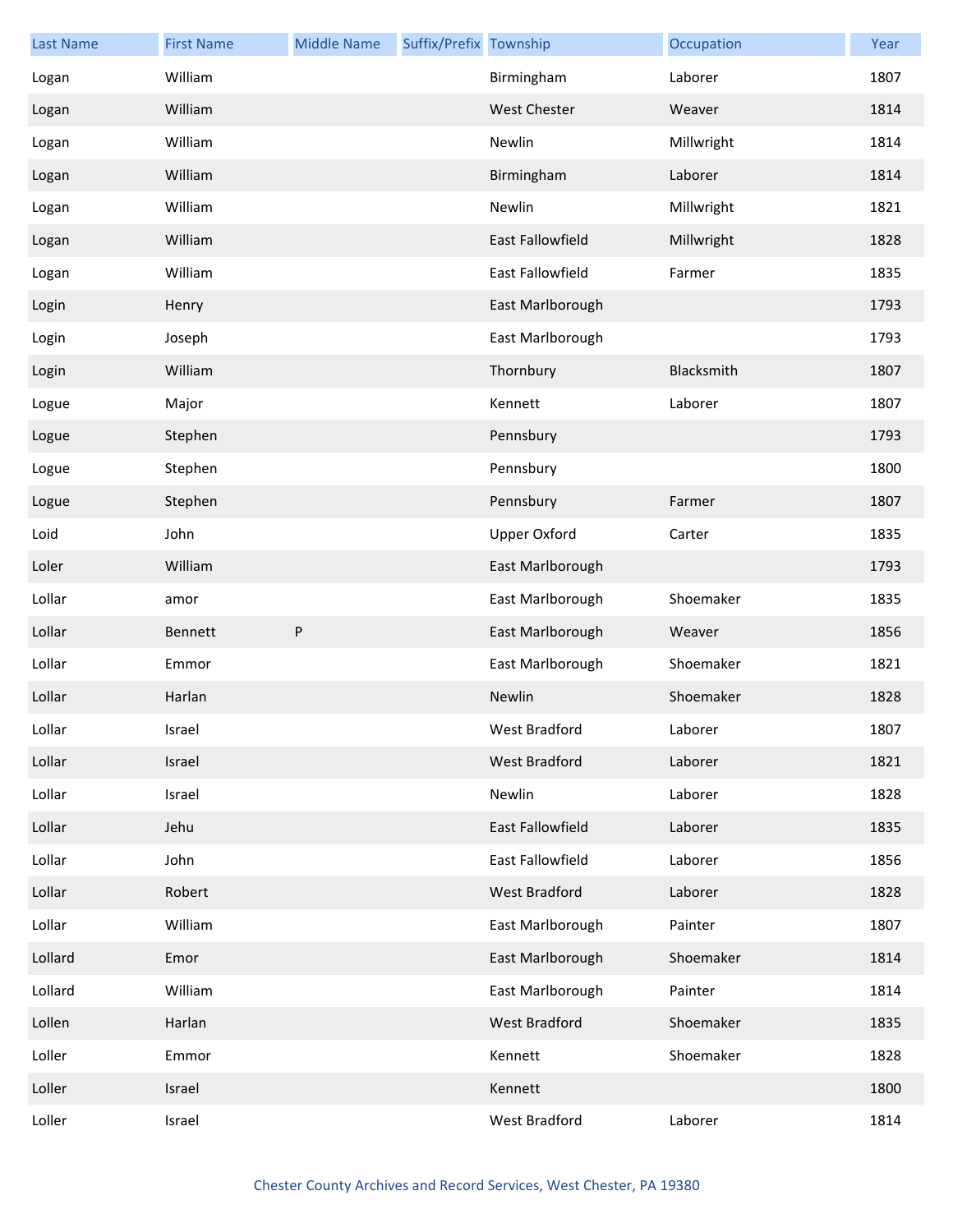| <b>Last Name</b> | <b>First Name</b> | <b>Middle Name</b> | Suffix/Prefix Township |                     | Occupation | Year |
|------------------|-------------------|--------------------|------------------------|---------------------|------------|------|
| Logan            | William           |                    |                        | Birmingham          | Laborer    | 1807 |
| Logan            | William           |                    |                        | <b>West Chester</b> | Weaver     | 1814 |
| Logan            | William           |                    |                        | Newlin              | Millwright | 1814 |
| Logan            | William           |                    |                        | Birmingham          | Laborer    | 1814 |
| Logan            | William           |                    |                        | Newlin              | Millwright | 1821 |
| Logan            | William           |                    |                        | East Fallowfield    | Millwright | 1828 |
| Logan            | William           |                    |                        | East Fallowfield    | Farmer     | 1835 |
| Login            | Henry             |                    |                        | East Marlborough    |            | 1793 |
| Login            | Joseph            |                    |                        | East Marlborough    |            | 1793 |
| Login            | William           |                    |                        | Thornbury           | Blacksmith | 1807 |
| Logue            | Major             |                    |                        | Kennett             | Laborer    | 1807 |
| Logue            | Stephen           |                    |                        | Pennsbury           |            | 1793 |
| Logue            | Stephen           |                    |                        | Pennsbury           |            | 1800 |
| Logue            | Stephen           |                    |                        | Pennsbury           | Farmer     | 1807 |
| Loid             | John              |                    |                        | <b>Upper Oxford</b> | Carter     | 1835 |
| Loler            | William           |                    |                        | East Marlborough    |            | 1793 |
| Lollar           | amor              |                    |                        | East Marlborough    | Shoemaker  | 1835 |
| Lollar           | Bennett           | $\sf P$            |                        | East Marlborough    | Weaver     | 1856 |
| Lollar           | Emmor             |                    |                        | East Marlborough    | Shoemaker  | 1821 |
| Lollar           | Harlan            |                    |                        | Newlin              | Shoemaker  | 1828 |
| Lollar           | Israel            |                    |                        | West Bradford       | Laborer    | 1807 |
| Lollar           | Israel            |                    |                        | West Bradford       | Laborer    | 1821 |
| Lollar           | Israel            |                    |                        | Newlin              | Laborer    | 1828 |
| Lollar           | Jehu              |                    |                        | East Fallowfield    | Laborer    | 1835 |
| Lollar           | John              |                    |                        | East Fallowfield    | Laborer    | 1856 |
| Lollar           | Robert            |                    |                        | West Bradford       | Laborer    | 1828 |
| Lollar           | William           |                    |                        | East Marlborough    | Painter    | 1807 |
| Lollard          | Emor              |                    |                        | East Marlborough    | Shoemaker  | 1814 |
| Lollard          | William           |                    |                        | East Marlborough    | Painter    | 1814 |
| Lollen           | Harlan            |                    |                        | West Bradford       | Shoemaker  | 1835 |
| Loller           | Emmor             |                    |                        | Kennett             | Shoemaker  | 1828 |
| Loller           | Israel            |                    |                        | Kennett             |            | 1800 |
| Loller           | Israel            |                    |                        | West Bradford       | Laborer    | 1814 |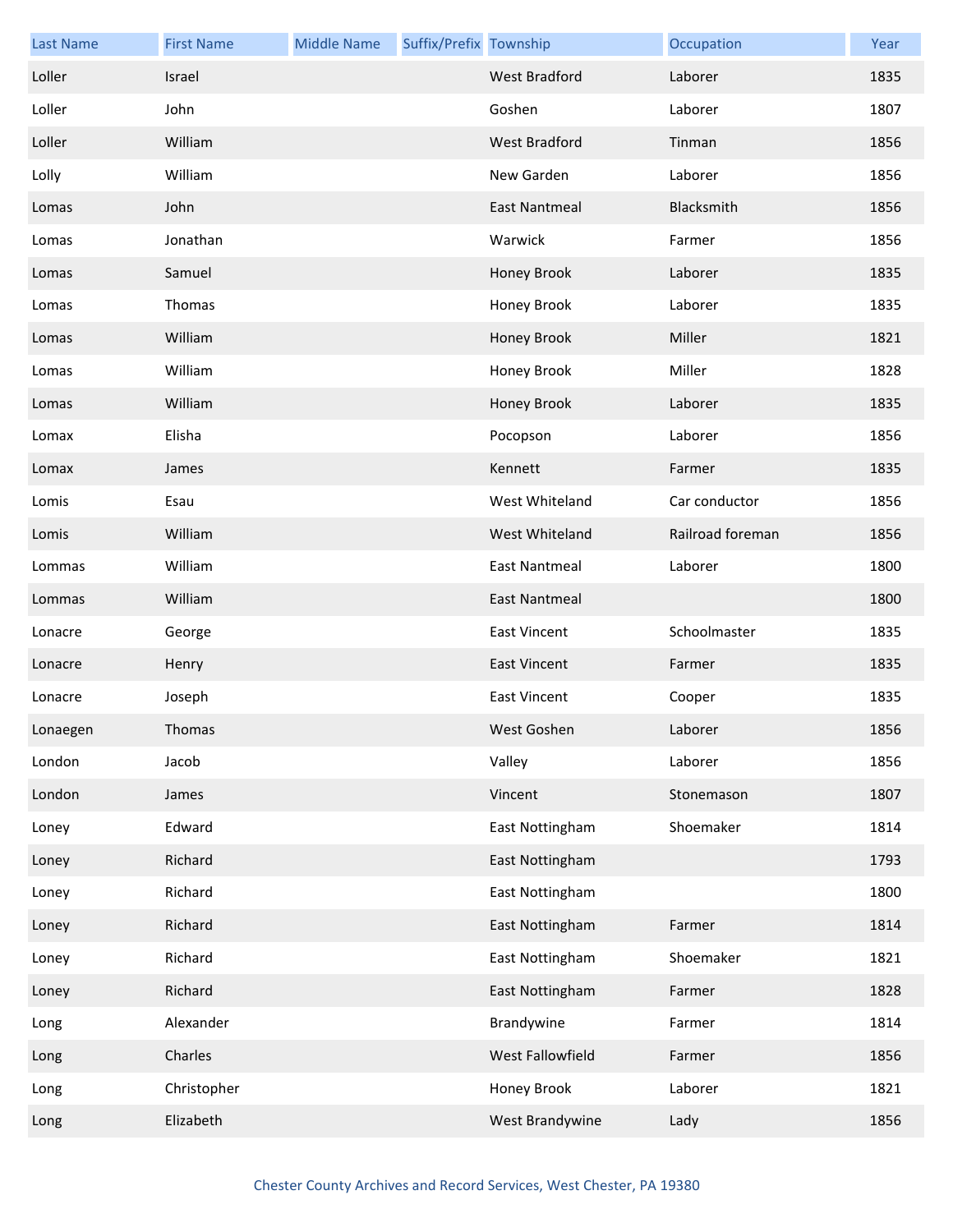| <b>Last Name</b> | <b>First Name</b> | <b>Middle Name</b> | Suffix/Prefix Township |                      | Occupation       | Year |
|------------------|-------------------|--------------------|------------------------|----------------------|------------------|------|
| Loller           | Israel            |                    |                        | <b>West Bradford</b> | Laborer          | 1835 |
| Loller           | John              |                    |                        | Goshen               | Laborer          | 1807 |
| Loller           | William           |                    |                        | <b>West Bradford</b> | Tinman           | 1856 |
| Lolly            | William           |                    |                        | New Garden           | Laborer          | 1856 |
| Lomas            | John              |                    |                        | East Nantmeal        | Blacksmith       | 1856 |
| Lomas            | Jonathan          |                    |                        | Warwick              | Farmer           | 1856 |
| Lomas            | Samuel            |                    |                        | Honey Brook          | Laborer          | 1835 |
| Lomas            | Thomas            |                    |                        | Honey Brook          | Laborer          | 1835 |
| Lomas            | William           |                    |                        | <b>Honey Brook</b>   | Miller           | 1821 |
| Lomas            | William           |                    |                        | Honey Brook          | Miller           | 1828 |
| Lomas            | William           |                    |                        | Honey Brook          | Laborer          | 1835 |
| Lomax            | Elisha            |                    |                        | Pocopson             | Laborer          | 1856 |
| Lomax            | James             |                    |                        | Kennett              | Farmer           | 1835 |
| Lomis            | Esau              |                    |                        | West Whiteland       | Car conductor    | 1856 |
| Lomis            | William           |                    |                        | West Whiteland       | Railroad foreman | 1856 |
| Lommas           | William           |                    |                        | <b>East Nantmeal</b> | Laborer          | 1800 |
| Lommas           | William           |                    |                        | East Nantmeal        |                  | 1800 |
| Lonacre          | George            |                    |                        | <b>East Vincent</b>  | Schoolmaster     | 1835 |
| Lonacre          | Henry             |                    |                        | <b>East Vincent</b>  | Farmer           | 1835 |
| Lonacre          | Joseph            |                    |                        | <b>East Vincent</b>  | Cooper           | 1835 |
| Lonaegen         | Thomas            |                    |                        | West Goshen          | Laborer          | 1856 |
| London           | Jacob             |                    |                        | Valley               | Laborer          | 1856 |
| London           | James             |                    |                        | Vincent              | Stonemason       | 1807 |
| Loney            | Edward            |                    |                        | East Nottingham      | Shoemaker        | 1814 |
| Loney            | Richard           |                    |                        | East Nottingham      |                  | 1793 |
| Loney            | Richard           |                    |                        | East Nottingham      |                  | 1800 |
| Loney            | Richard           |                    |                        | East Nottingham      | Farmer           | 1814 |
| Loney            | Richard           |                    |                        | East Nottingham      | Shoemaker        | 1821 |
| Loney            | Richard           |                    |                        | East Nottingham      | Farmer           | 1828 |
| Long             | Alexander         |                    |                        | Brandywine           | Farmer           | 1814 |
| Long             | Charles           |                    |                        | West Fallowfield     | Farmer           | 1856 |
| Long             | Christopher       |                    |                        | Honey Brook          | Laborer          | 1821 |
| Long             | Elizabeth         |                    |                        | West Brandywine      | Lady             | 1856 |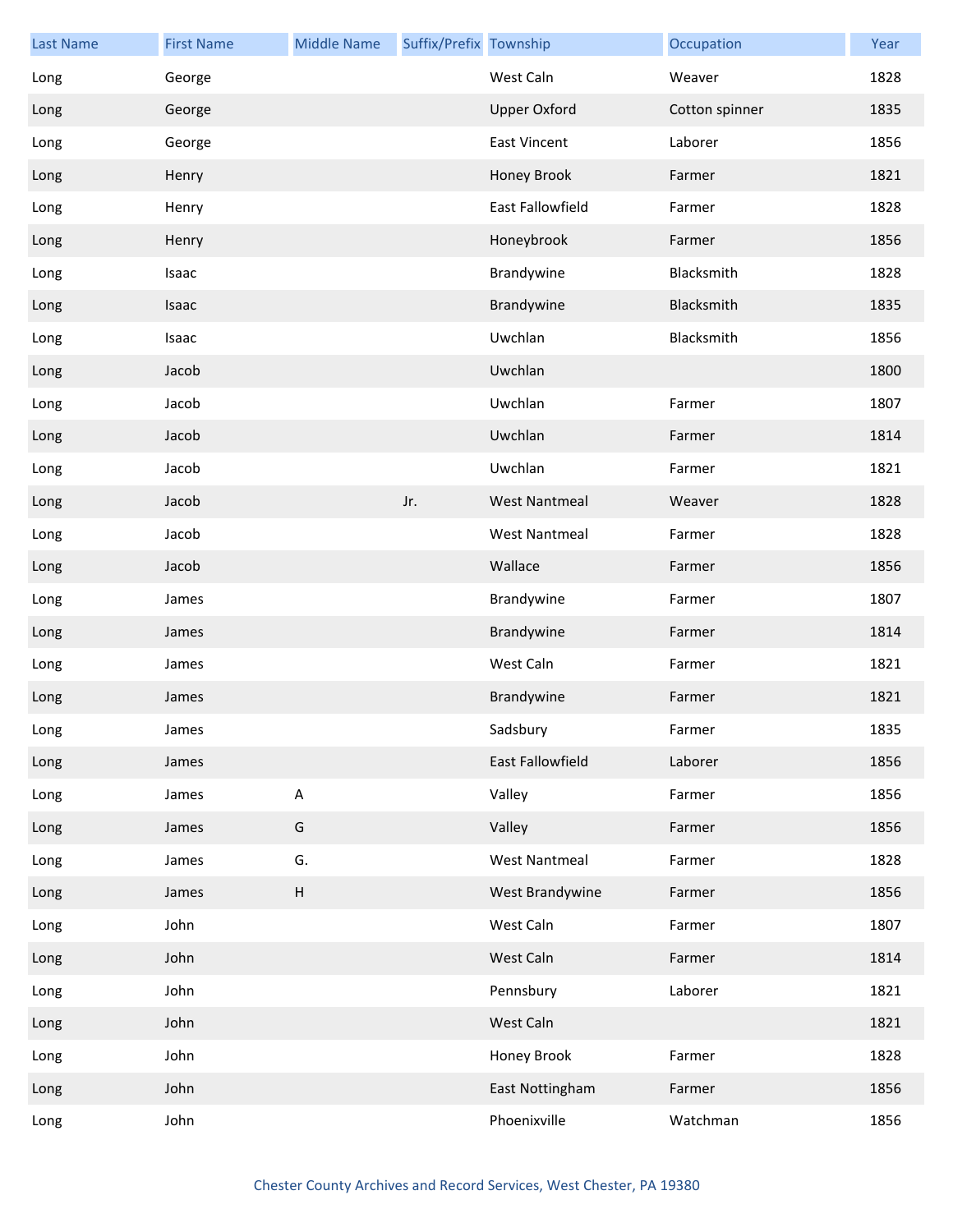| <b>Last Name</b> | <b>First Name</b> | <b>Middle Name</b> | Suffix/Prefix Township |                      | Occupation     | Year |
|------------------|-------------------|--------------------|------------------------|----------------------|----------------|------|
| Long             | George            |                    |                        | West Caln            | Weaver         | 1828 |
| Long             | George            |                    |                        | <b>Upper Oxford</b>  | Cotton spinner | 1835 |
| Long             | George            |                    |                        | <b>East Vincent</b>  | Laborer        | 1856 |
| Long             | Henry             |                    |                        | Honey Brook          | Farmer         | 1821 |
| Long             | Henry             |                    |                        | East Fallowfield     | Farmer         | 1828 |
| Long             | Henry             |                    |                        | Honeybrook           | Farmer         | 1856 |
| Long             | Isaac             |                    |                        | Brandywine           | Blacksmith     | 1828 |
| Long             | Isaac             |                    |                        | Brandywine           | Blacksmith     | 1835 |
| Long             | Isaac             |                    |                        | Uwchlan              | Blacksmith     | 1856 |
| Long             | Jacob             |                    |                        | Uwchlan              |                | 1800 |
| Long             | Jacob             |                    |                        | Uwchlan              | Farmer         | 1807 |
| Long             | Jacob             |                    |                        | Uwchlan              | Farmer         | 1814 |
| Long             | Jacob             |                    |                        | Uwchlan              | Farmer         | 1821 |
| Long             | Jacob             |                    | Jr.                    | <b>West Nantmeal</b> | Weaver         | 1828 |
| Long             | Jacob             |                    |                        | <b>West Nantmeal</b> | Farmer         | 1828 |
| Long             | Jacob             |                    |                        | Wallace              | Farmer         | 1856 |
| Long             | James             |                    |                        | Brandywine           | Farmer         | 1807 |
| Long             | James             |                    |                        | Brandywine           | Farmer         | 1814 |
| Long             | James             |                    |                        | West Caln            | Farmer         | 1821 |
| Long             | James             |                    |                        | Brandywine           | Farmer         | 1821 |
| Long             | James             |                    |                        | Sadsbury             | Farmer         | 1835 |
| Long             | James             |                    |                        | East Fallowfield     | Laborer        | 1856 |
| Long             | James             | $\sf A$            |                        | Valley               | Farmer         | 1856 |
| Long             | James             | G                  |                        | Valley               | Farmer         | 1856 |
| Long             | James             | G.                 |                        | <b>West Nantmeal</b> | Farmer         | 1828 |
| Long             | James             | $\sf H$            |                        | West Brandywine      | Farmer         | 1856 |
| Long             | John              |                    |                        | West Caln            | Farmer         | 1807 |
| Long             | John              |                    |                        | West Caln            | Farmer         | 1814 |
| Long             | John              |                    |                        | Pennsbury            | Laborer        | 1821 |
| Long             | John              |                    |                        | West Caln            |                | 1821 |
| Long             | John              |                    |                        | Honey Brook          | Farmer         | 1828 |
| Long             | John              |                    |                        | East Nottingham      | Farmer         | 1856 |
| Long             | John              |                    |                        | Phoenixville         | Watchman       | 1856 |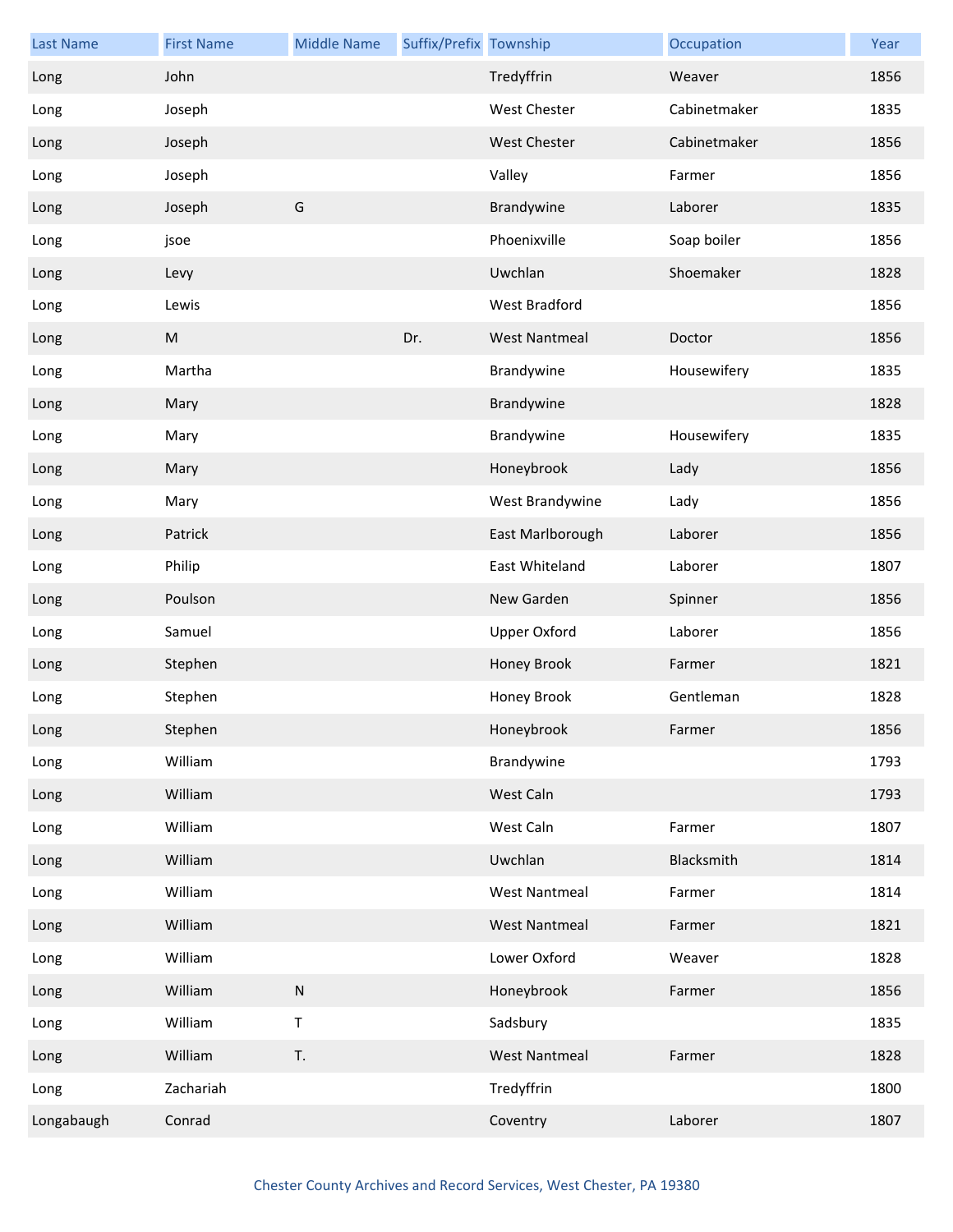| <b>Last Name</b> | <b>First Name</b> | <b>Middle Name</b> | Suffix/Prefix Township |                      | Occupation   | Year |
|------------------|-------------------|--------------------|------------------------|----------------------|--------------|------|
| Long             | John              |                    |                        | Tredyffrin           | Weaver       | 1856 |
| Long             | Joseph            |                    |                        | <b>West Chester</b>  | Cabinetmaker | 1835 |
| Long             | Joseph            |                    |                        | West Chester         | Cabinetmaker | 1856 |
| Long             | Joseph            |                    |                        | Valley               | Farmer       | 1856 |
| Long             | Joseph            | G                  |                        | Brandywine           | Laborer      | 1835 |
| Long             | jsoe              |                    |                        | Phoenixville         | Soap boiler  | 1856 |
| Long             | Levy              |                    |                        | Uwchlan              | Shoemaker    | 1828 |
| Long             | Lewis             |                    |                        | West Bradford        |              | 1856 |
| Long             | M                 |                    | Dr.                    | <b>West Nantmeal</b> | Doctor       | 1856 |
| Long             | Martha            |                    |                        | Brandywine           | Housewifery  | 1835 |
| Long             | Mary              |                    |                        | Brandywine           |              | 1828 |
| Long             | Mary              |                    |                        | Brandywine           | Housewifery  | 1835 |
| Long             | Mary              |                    |                        | Honeybrook           | Lady         | 1856 |
| Long             | Mary              |                    |                        | West Brandywine      | Lady         | 1856 |
| Long             | Patrick           |                    |                        | East Marlborough     | Laborer      | 1856 |
| Long             | Philip            |                    |                        | East Whiteland       | Laborer      | 1807 |
| Long             | Poulson           |                    |                        | New Garden           | Spinner      | 1856 |
| Long             | Samuel            |                    |                        | Upper Oxford         | Laborer      | 1856 |
| Long             | Stephen           |                    |                        | Honey Brook          | Farmer       | 1821 |
| Long             | Stephen           |                    |                        | Honey Brook          | Gentleman    | 1828 |
| Long             | Stephen           |                    |                        | Honeybrook           | Farmer       | 1856 |
| Long             | William           |                    |                        | Brandywine           |              | 1793 |
| Long             | William           |                    |                        | West Caln            |              | 1793 |
| Long             | William           |                    |                        | West Caln            | Farmer       | 1807 |
| Long             | William           |                    |                        | Uwchlan              | Blacksmith   | 1814 |
| Long             | William           |                    |                        | <b>West Nantmeal</b> | Farmer       | 1814 |
| Long             | William           |                    |                        | <b>West Nantmeal</b> | Farmer       | 1821 |
| Long             | William           |                    |                        | Lower Oxford         | Weaver       | 1828 |
| Long             | William           | ${\sf N}$          |                        | Honeybrook           | Farmer       | 1856 |
| Long             | William           | $\mathsf T$        |                        | Sadsbury             |              | 1835 |
| Long             | William           | T.                 |                        | <b>West Nantmeal</b> | Farmer       | 1828 |
| Long             | Zachariah         |                    |                        | Tredyffrin           |              | 1800 |
| Longabaugh       | Conrad            |                    |                        | Coventry             | Laborer      | 1807 |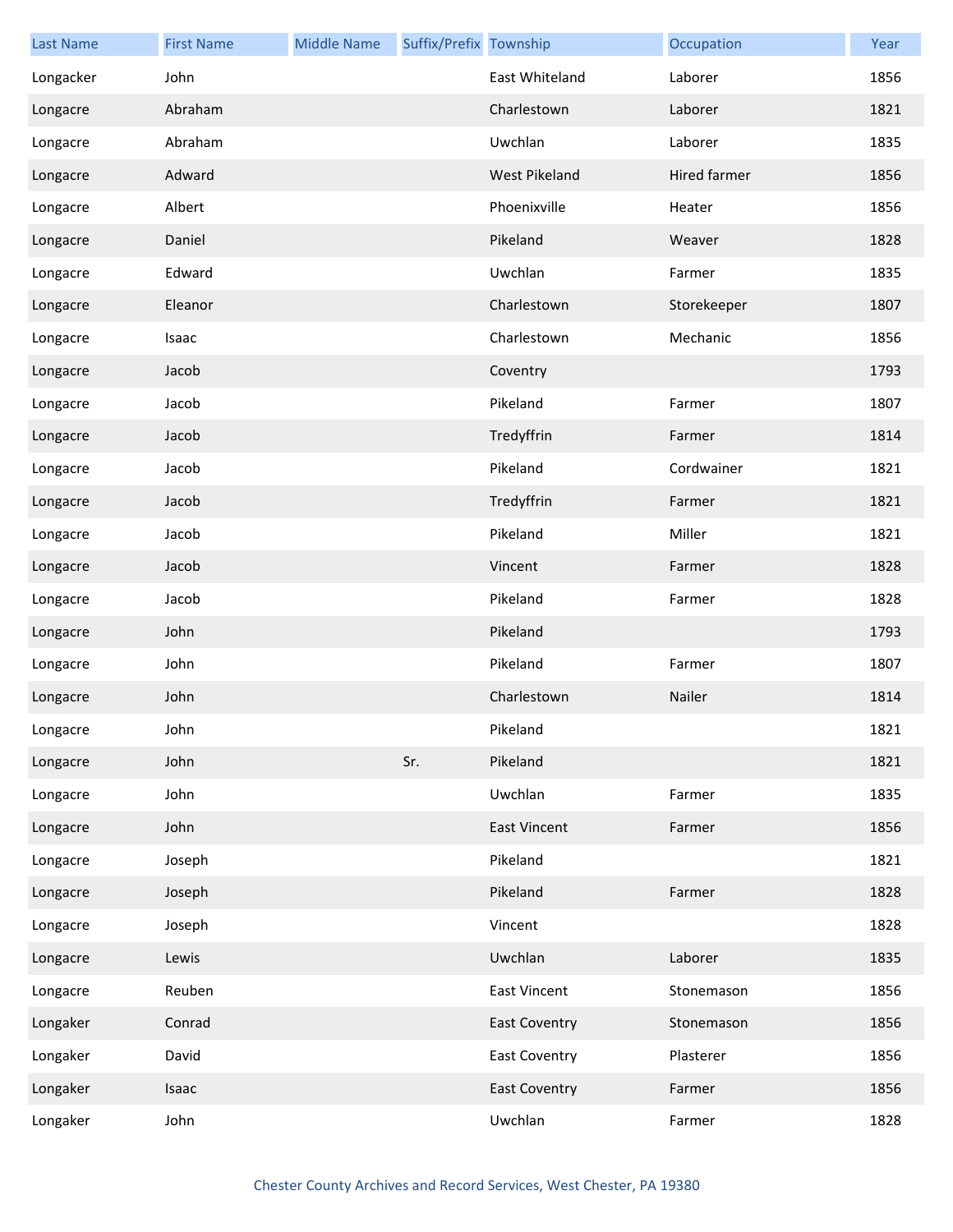| <b>Last Name</b> | <b>First Name</b> | <b>Middle Name</b> | Suffix/Prefix Township |                      | Occupation   | Year |
|------------------|-------------------|--------------------|------------------------|----------------------|--------------|------|
| Longacker        | John              |                    |                        | East Whiteland       | Laborer      | 1856 |
| Longacre         | Abraham           |                    |                        | Charlestown          | Laborer      | 1821 |
| Longacre         | Abraham           |                    |                        | Uwchlan              | Laborer      | 1835 |
| Longacre         | Adward            |                    |                        | West Pikeland        | Hired farmer | 1856 |
| Longacre         | Albert            |                    |                        | Phoenixville         | Heater       | 1856 |
| Longacre         | Daniel            |                    |                        | Pikeland             | Weaver       | 1828 |
| Longacre         | Edward            |                    |                        | Uwchlan              | Farmer       | 1835 |
| Longacre         | Eleanor           |                    |                        | Charlestown          | Storekeeper  | 1807 |
| Longacre         | Isaac             |                    |                        | Charlestown          | Mechanic     | 1856 |
| Longacre         | Jacob             |                    |                        | Coventry             |              | 1793 |
| Longacre         | Jacob             |                    |                        | Pikeland             | Farmer       | 1807 |
| Longacre         | Jacob             |                    |                        | Tredyffrin           | Farmer       | 1814 |
| Longacre         | Jacob             |                    |                        | Pikeland             | Cordwainer   | 1821 |
| Longacre         | Jacob             |                    |                        | Tredyffrin           | Farmer       | 1821 |
| Longacre         | Jacob             |                    |                        | Pikeland             | Miller       | 1821 |
| Longacre         | Jacob             |                    |                        | Vincent              | Farmer       | 1828 |
| Longacre         | Jacob             |                    |                        | Pikeland             | Farmer       | 1828 |
| Longacre         | John              |                    |                        | Pikeland             |              | 1793 |
| Longacre         | John              |                    |                        | Pikeland             | Farmer       | 1807 |
| Longacre         | John              |                    |                        | Charlestown          | Nailer       | 1814 |
| Longacre         | John              |                    |                        | Pikeland             |              | 1821 |
| Longacre         | John              |                    | Sr.                    | Pikeland             |              | 1821 |
| Longacre         | John              |                    |                        | Uwchlan              | Farmer       | 1835 |
| Longacre         | John              |                    |                        | <b>East Vincent</b>  | Farmer       | 1856 |
| Longacre         | Joseph            |                    |                        | Pikeland             |              | 1821 |
| Longacre         | Joseph            |                    |                        | Pikeland             | Farmer       | 1828 |
| Longacre         | Joseph            |                    |                        | Vincent              |              | 1828 |
| Longacre         | Lewis             |                    |                        | Uwchlan              | Laborer      | 1835 |
| Longacre         | Reuben            |                    |                        | <b>East Vincent</b>  | Stonemason   | 1856 |
| Longaker         | Conrad            |                    |                        | <b>East Coventry</b> | Stonemason   | 1856 |
| Longaker         | David             |                    |                        | <b>East Coventry</b> | Plasterer    | 1856 |
| Longaker         | Isaac             |                    |                        | <b>East Coventry</b> | Farmer       | 1856 |
| Longaker         | John              |                    |                        | Uwchlan              | Farmer       | 1828 |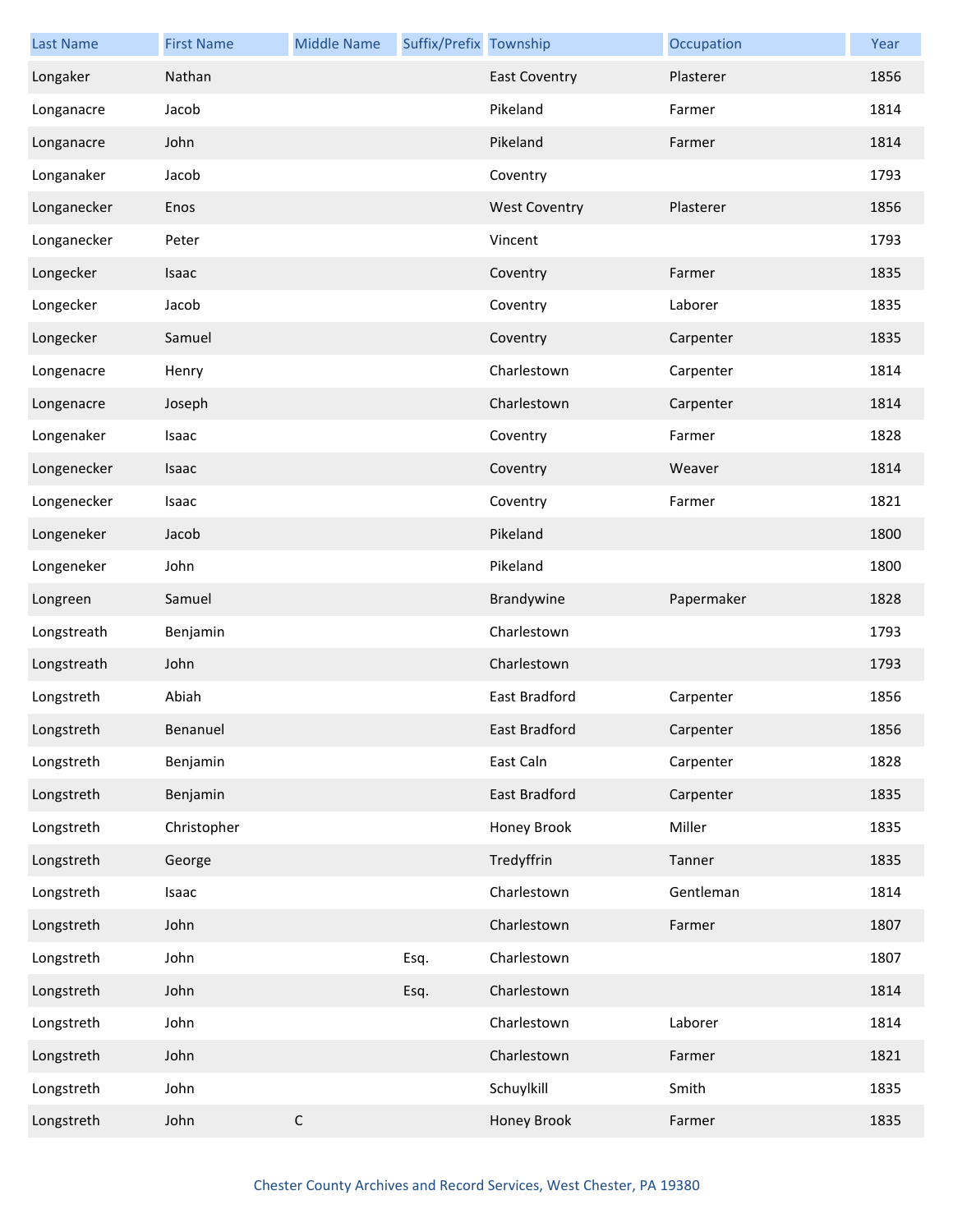| <b>Last Name</b> | <b>First Name</b> | <b>Middle Name</b> | Suffix/Prefix Township |                      | Occupation | Year |
|------------------|-------------------|--------------------|------------------------|----------------------|------------|------|
| Longaker         | Nathan            |                    |                        | <b>East Coventry</b> | Plasterer  | 1856 |
| Longanacre       | Jacob             |                    |                        | Pikeland             | Farmer     | 1814 |
| Longanacre       | John              |                    |                        | Pikeland             | Farmer     | 1814 |
| Longanaker       | Jacob             |                    |                        | Coventry             |            | 1793 |
| Longanecker      | Enos              |                    |                        | <b>West Coventry</b> | Plasterer  | 1856 |
| Longanecker      | Peter             |                    |                        | Vincent              |            | 1793 |
| Longecker        | Isaac             |                    |                        | Coventry             | Farmer     | 1835 |
| Longecker        | Jacob             |                    |                        | Coventry             | Laborer    | 1835 |
| Longecker        | Samuel            |                    |                        | Coventry             | Carpenter  | 1835 |
| Longenacre       | Henry             |                    |                        | Charlestown          | Carpenter  | 1814 |
| Longenacre       | Joseph            |                    |                        | Charlestown          | Carpenter  | 1814 |
| Longenaker       | Isaac             |                    |                        | Coventry             | Farmer     | 1828 |
| Longenecker      | Isaac             |                    |                        | Coventry             | Weaver     | 1814 |
| Longenecker      | Isaac             |                    |                        | Coventry             | Farmer     | 1821 |
| Longeneker       | Jacob             |                    |                        | Pikeland             |            | 1800 |
| Longeneker       | John              |                    |                        | Pikeland             |            | 1800 |
| Longreen         | Samuel            |                    |                        | Brandywine           | Papermaker | 1828 |
| Longstreath      | Benjamin          |                    |                        | Charlestown          |            | 1793 |
| Longstreath      | John              |                    |                        | Charlestown          |            | 1793 |
| Longstreth       | Abiah             |                    |                        | East Bradford        | Carpenter  | 1856 |
| Longstreth       | Benanuel          |                    |                        | East Bradford        | Carpenter  | 1856 |
| Longstreth       | Benjamin          |                    |                        | East Caln            | Carpenter  | 1828 |
| Longstreth       | Benjamin          |                    |                        | East Bradford        | Carpenter  | 1835 |
| Longstreth       | Christopher       |                    |                        | Honey Brook          | Miller     | 1835 |
| Longstreth       | George            |                    |                        | Tredyffrin           | Tanner     | 1835 |
| Longstreth       | Isaac             |                    |                        | Charlestown          | Gentleman  | 1814 |
| Longstreth       | John              |                    |                        | Charlestown          | Farmer     | 1807 |
| Longstreth       | John              |                    | Esq.                   | Charlestown          |            | 1807 |
| Longstreth       | John              |                    | Esq.                   | Charlestown          |            | 1814 |
| Longstreth       | John              |                    |                        | Charlestown          | Laborer    | 1814 |
| Longstreth       | John              |                    |                        | Charlestown          | Farmer     | 1821 |
| Longstreth       | John              |                    |                        | Schuylkill           | Smith      | 1835 |
| Longstreth       | John              | $\mathsf C$        |                        | Honey Brook          | Farmer     | 1835 |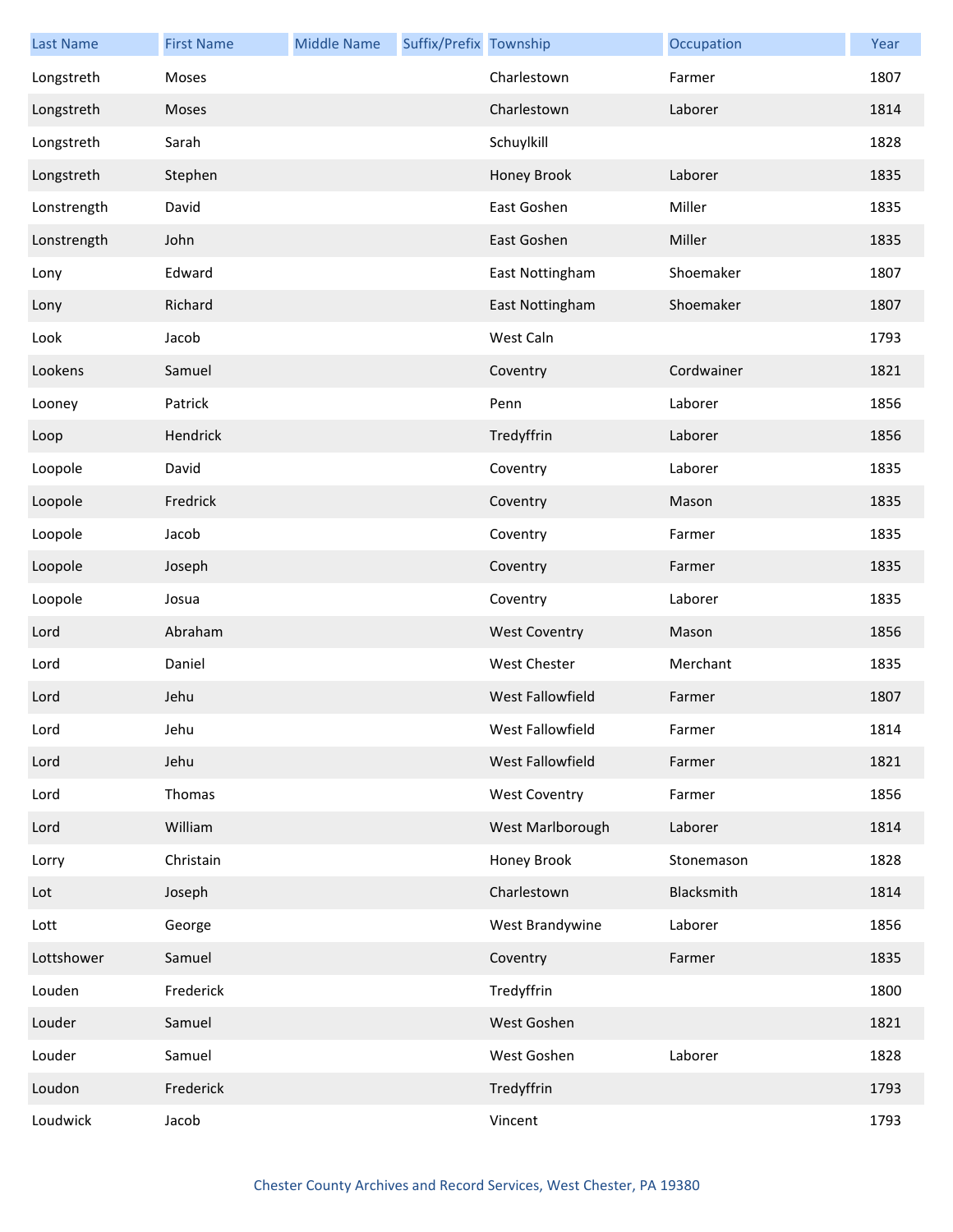| <b>Last Name</b> | <b>First Name</b> | <b>Middle Name</b> | Suffix/Prefix Township |                      | Occupation | Year |
|------------------|-------------------|--------------------|------------------------|----------------------|------------|------|
| Longstreth       | Moses             |                    |                        | Charlestown          | Farmer     | 1807 |
| Longstreth       | Moses             |                    |                        | Charlestown          | Laborer    | 1814 |
| Longstreth       | Sarah             |                    |                        | Schuylkill           |            | 1828 |
| Longstreth       | Stephen           |                    |                        | Honey Brook          | Laborer    | 1835 |
| Lonstrength      | David             |                    |                        | East Goshen          | Miller     | 1835 |
| Lonstrength      | John              |                    |                        | East Goshen          | Miller     | 1835 |
| Lony             | Edward            |                    |                        | East Nottingham      | Shoemaker  | 1807 |
| Lony             | Richard           |                    |                        | East Nottingham      | Shoemaker  | 1807 |
| Look             | Jacob             |                    |                        | West Caln            |            | 1793 |
| Lookens          | Samuel            |                    |                        | Coventry             | Cordwainer | 1821 |
| Looney           | Patrick           |                    |                        | Penn                 | Laborer    | 1856 |
| Loop             | Hendrick          |                    |                        | Tredyffrin           | Laborer    | 1856 |
| Loopole          | David             |                    |                        | Coventry             | Laborer    | 1835 |
| Loopole          | Fredrick          |                    |                        | Coventry             | Mason      | 1835 |
| Loopole          | Jacob             |                    |                        | Coventry             | Farmer     | 1835 |
| Loopole          | Joseph            |                    |                        | Coventry             | Farmer     | 1835 |
| Loopole          | Josua             |                    |                        | Coventry             | Laborer    | 1835 |
| Lord             | Abraham           |                    |                        | <b>West Coventry</b> | Mason      | 1856 |
| Lord             | Daniel            |                    |                        | West Chester         | Merchant   | 1835 |
| Lord             | Jehu              |                    |                        | West Fallowfield     | Farmer     | 1807 |
| Lord             | Jehu              |                    |                        | West Fallowfield     | Farmer     | 1814 |
| Lord             | Jehu              |                    |                        | West Fallowfield     | Farmer     | 1821 |
| Lord             | Thomas            |                    |                        | <b>West Coventry</b> | Farmer     | 1856 |
| Lord             | William           |                    |                        | West Marlborough     | Laborer    | 1814 |
| Lorry            | Christain         |                    |                        | Honey Brook          | Stonemason | 1828 |
| Lot              | Joseph            |                    |                        | Charlestown          | Blacksmith | 1814 |
| Lott             | George            |                    |                        | West Brandywine      | Laborer    | 1856 |
| Lottshower       | Samuel            |                    |                        | Coventry             | Farmer     | 1835 |
| Louden           | Frederick         |                    |                        | Tredyffrin           |            | 1800 |
| Louder           | Samuel            |                    |                        | West Goshen          |            | 1821 |
| Louder           | Samuel            |                    |                        | West Goshen          | Laborer    | 1828 |
| Loudon           | Frederick         |                    |                        | Tredyffrin           |            | 1793 |
| Loudwick         | Jacob             |                    |                        | Vincent              |            | 1793 |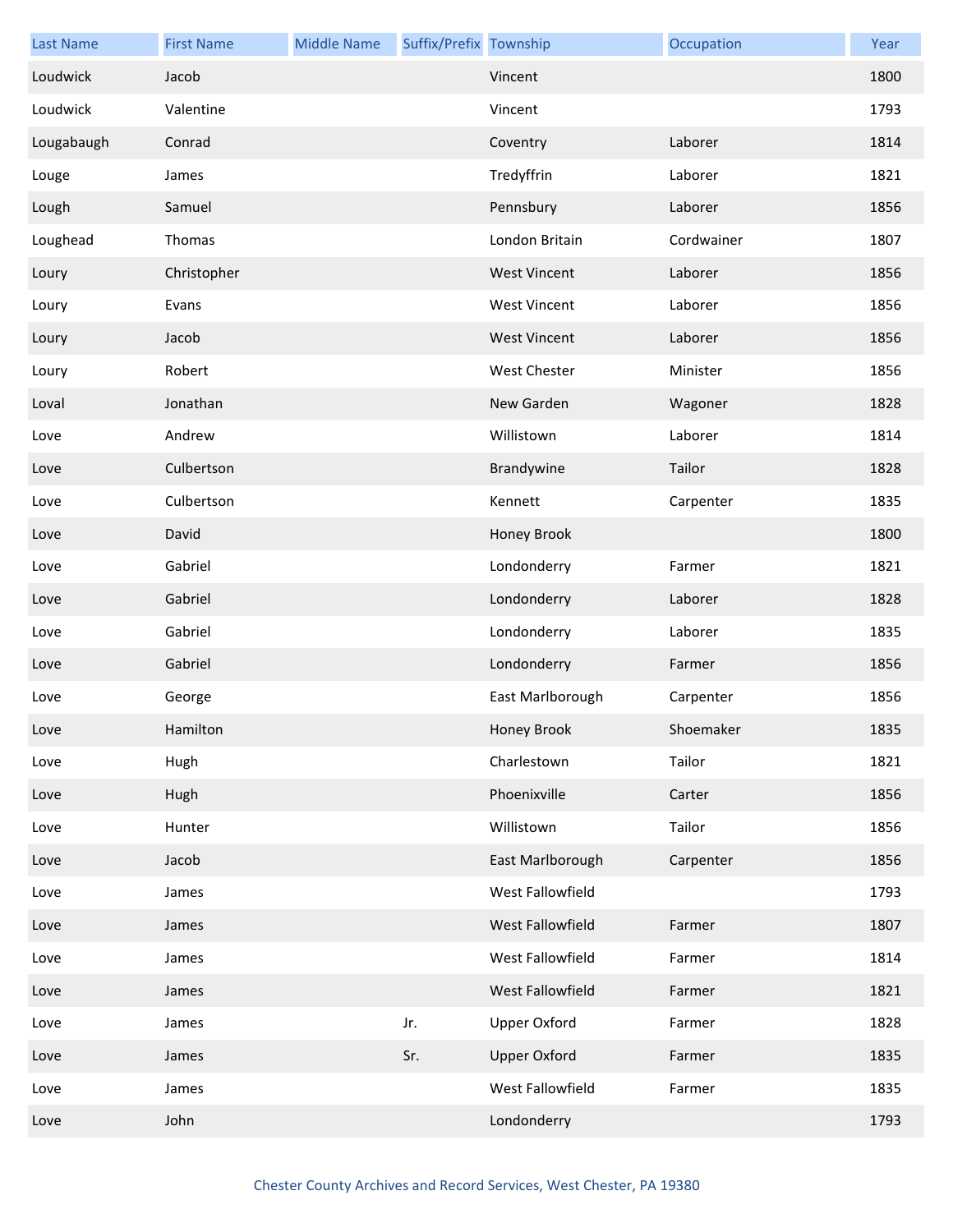| <b>Last Name</b> | <b>First Name</b> | <b>Middle Name</b> | Suffix/Prefix Township |                     | Occupation | Year |
|------------------|-------------------|--------------------|------------------------|---------------------|------------|------|
| Loudwick         | Jacob             |                    |                        | Vincent             |            | 1800 |
| Loudwick         | Valentine         |                    |                        | Vincent             |            | 1793 |
| Lougabaugh       | Conrad            |                    |                        | Coventry            | Laborer    | 1814 |
| Louge            | James             |                    |                        | Tredyffrin          | Laborer    | 1821 |
| Lough            | Samuel            |                    |                        | Pennsbury           | Laborer    | 1856 |
| Loughead         | Thomas            |                    |                        | London Britain      | Cordwainer | 1807 |
| Loury            | Christopher       |                    |                        | <b>West Vincent</b> | Laborer    | 1856 |
| Loury            | Evans             |                    |                        | <b>West Vincent</b> | Laborer    | 1856 |
| Loury            | Jacob             |                    |                        | <b>West Vincent</b> | Laborer    | 1856 |
| Loury            | Robert            |                    |                        | West Chester        | Minister   | 1856 |
| Loval            | Jonathan          |                    |                        | New Garden          | Wagoner    | 1828 |
| Love             | Andrew            |                    |                        | Willistown          | Laborer    | 1814 |
| Love             | Culbertson        |                    |                        | Brandywine          | Tailor     | 1828 |
| Love             | Culbertson        |                    |                        | Kennett             | Carpenter  | 1835 |
| Love             | David             |                    |                        | Honey Brook         |            | 1800 |
| Love             | Gabriel           |                    |                        | Londonderry         | Farmer     | 1821 |
| Love             | Gabriel           |                    |                        | Londonderry         | Laborer    | 1828 |
| Love             | Gabriel           |                    |                        | Londonderry         | Laborer    | 1835 |
| Love             | Gabriel           |                    |                        | Londonderry         | Farmer     | 1856 |
| Love             | George            |                    |                        | East Marlborough    | Carpenter  | 1856 |
| Love             | Hamilton          |                    |                        | Honey Brook         | Shoemaker  | 1835 |
| Love             | Hugh              |                    |                        | Charlestown         | Tailor     | 1821 |
| Love             | Hugh              |                    |                        | Phoenixville        | Carter     | 1856 |
| Love             | Hunter            |                    |                        | Willistown          | Tailor     | 1856 |
| Love             | Jacob             |                    |                        | East Marlborough    | Carpenter  | 1856 |
| Love             | James             |                    |                        | West Fallowfield    |            | 1793 |
| Love             | James             |                    |                        | West Fallowfield    | Farmer     | 1807 |
| Love             | James             |                    |                        | West Fallowfield    | Farmer     | 1814 |
| Love             | James             |                    |                        | West Fallowfield    | Farmer     | 1821 |
| Love             | James             |                    | Jr.                    | <b>Upper Oxford</b> | Farmer     | 1828 |
| Love             | James             |                    | Sr.                    | <b>Upper Oxford</b> | Farmer     | 1835 |
| Love             | James             |                    |                        | West Fallowfield    | Farmer     | 1835 |
| Love             | John              |                    |                        | Londonderry         |            | 1793 |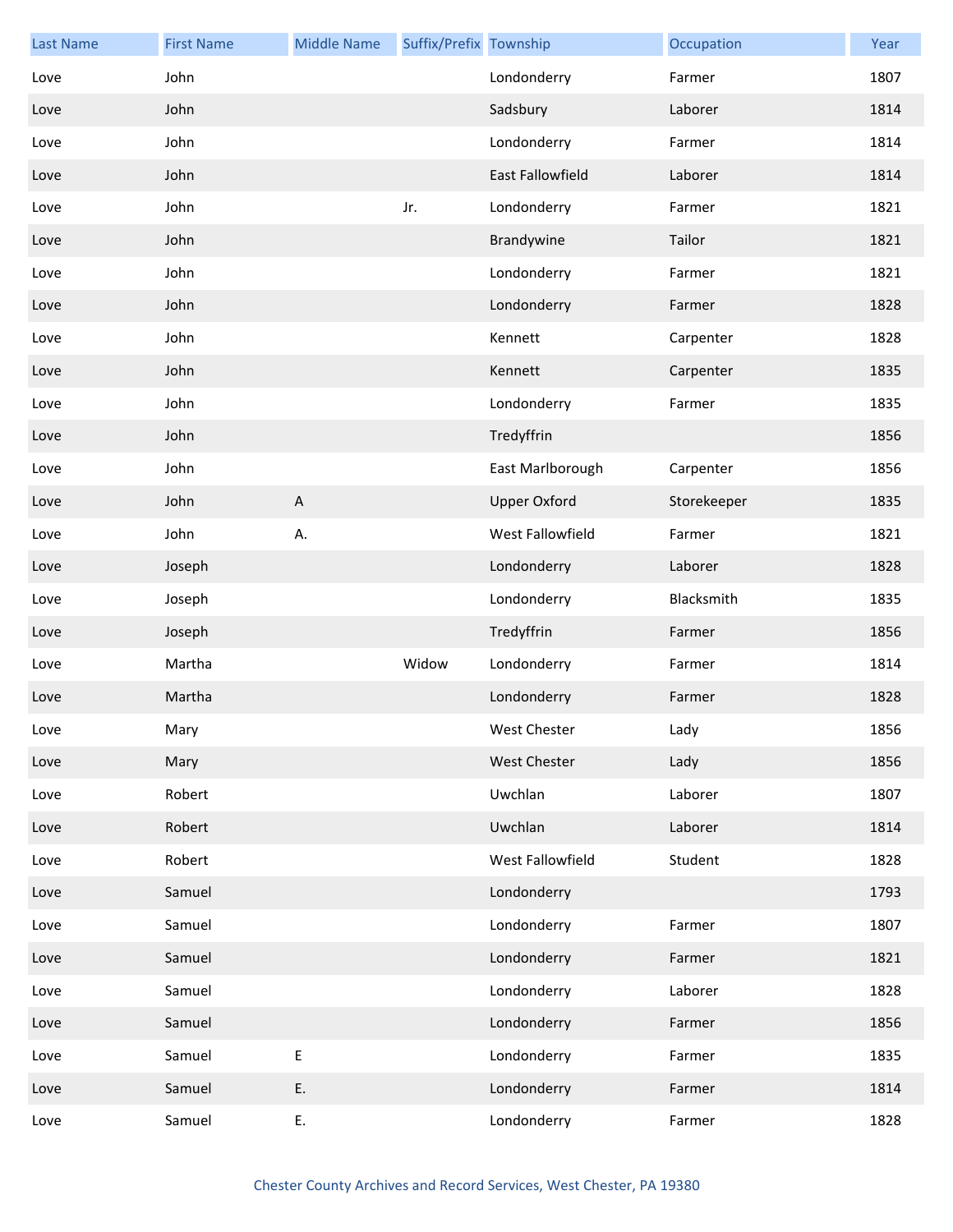| <b>Last Name</b> | <b>First Name</b> | <b>Middle Name</b>        | Suffix/Prefix Township |                     | Occupation  | Year |
|------------------|-------------------|---------------------------|------------------------|---------------------|-------------|------|
| Love             | John              |                           |                        | Londonderry         | Farmer      | 1807 |
| Love             | John              |                           |                        | Sadsbury            | Laborer     | 1814 |
| Love             | John              |                           |                        | Londonderry         | Farmer      | 1814 |
| Love             | John              |                           |                        | East Fallowfield    | Laborer     | 1814 |
| Love             | John              |                           | Jr.                    | Londonderry         | Farmer      | 1821 |
| Love             | John              |                           |                        | Brandywine          | Tailor      | 1821 |
| Love             | John              |                           |                        | Londonderry         | Farmer      | 1821 |
| Love             | John              |                           |                        | Londonderry         | Farmer      | 1828 |
| Love             | John              |                           |                        | Kennett             | Carpenter   | 1828 |
| Love             | John              |                           |                        | Kennett             | Carpenter   | 1835 |
| Love             | John              |                           |                        | Londonderry         | Farmer      | 1835 |
| Love             | John              |                           |                        | Tredyffrin          |             | 1856 |
| Love             | John              |                           |                        | East Marlborough    | Carpenter   | 1856 |
| Love             | John              | $\boldsymbol{\mathsf{A}}$ |                        | <b>Upper Oxford</b> | Storekeeper | 1835 |
| Love             | John              | А.                        |                        | West Fallowfield    | Farmer      | 1821 |
| Love             | Joseph            |                           |                        | Londonderry         | Laborer     | 1828 |
| Love             | Joseph            |                           |                        | Londonderry         | Blacksmith  | 1835 |
| Love             | Joseph            |                           |                        | Tredyffrin          | Farmer      | 1856 |
| Love             | Martha            |                           | Widow                  | Londonderry         | Farmer      | 1814 |
| Love             | Martha            |                           |                        | Londonderry         | Farmer      | 1828 |
| Love             | Mary              |                           |                        | West Chester        | Lady        | 1856 |
| Love             | Mary              |                           |                        | <b>West Chester</b> | Lady        | 1856 |
| Love             | Robert            |                           |                        | Uwchlan             | Laborer     | 1807 |
| Love             | Robert            |                           |                        | Uwchlan             | Laborer     | 1814 |
| Love             | Robert            |                           |                        | West Fallowfield    | Student     | 1828 |
| Love             | Samuel            |                           |                        | Londonderry         |             | 1793 |
| Love             | Samuel            |                           |                        | Londonderry         | Farmer      | 1807 |
| Love             | Samuel            |                           |                        | Londonderry         | Farmer      | 1821 |
| Love             | Samuel            |                           |                        | Londonderry         | Laborer     | 1828 |
| Love             | Samuel            |                           |                        | Londonderry         | Farmer      | 1856 |
| Love             | Samuel            | E                         |                        | Londonderry         | Farmer      | 1835 |
| Love             | Samuel            | E.                        |                        | Londonderry         | Farmer      | 1814 |
| Love             | Samuel            | Ε.                        |                        | Londonderry         | Farmer      | 1828 |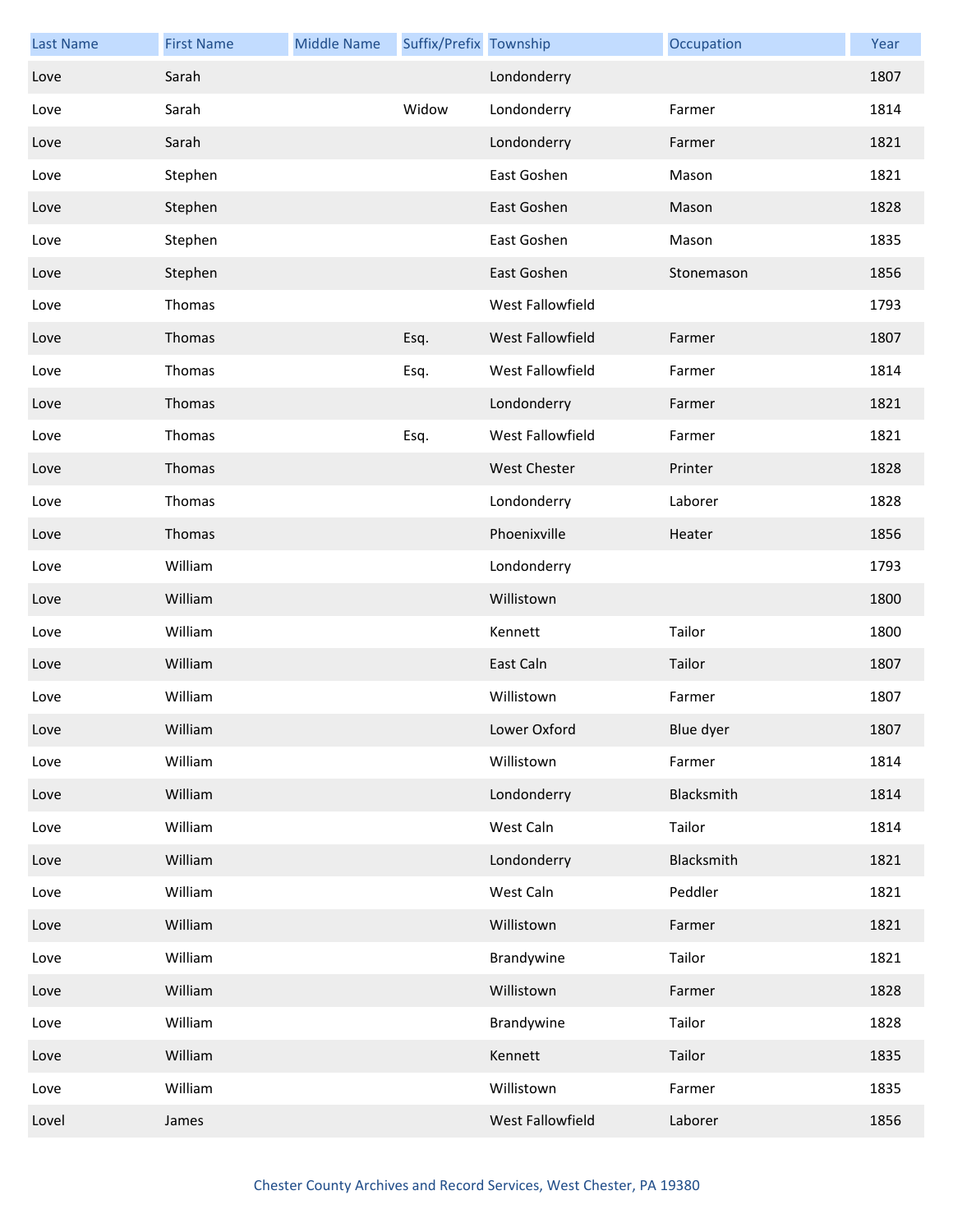| <b>Last Name</b> | <b>First Name</b> | <b>Middle Name</b> | Suffix/Prefix Township |                     | Occupation | Year |
|------------------|-------------------|--------------------|------------------------|---------------------|------------|------|
| Love             | Sarah             |                    |                        | Londonderry         |            | 1807 |
| Love             | Sarah             |                    | Widow                  | Londonderry         | Farmer     | 1814 |
| Love             | Sarah             |                    |                        | Londonderry         | Farmer     | 1821 |
| Love             | Stephen           |                    |                        | East Goshen         | Mason      | 1821 |
| Love             | Stephen           |                    |                        | East Goshen         | Mason      | 1828 |
| Love             | Stephen           |                    |                        | East Goshen         | Mason      | 1835 |
| Love             | Stephen           |                    |                        | East Goshen         | Stonemason | 1856 |
| Love             | Thomas            |                    |                        | West Fallowfield    |            | 1793 |
| Love             | Thomas            |                    | Esq.                   | West Fallowfield    | Farmer     | 1807 |
| Love             | Thomas            |                    | Esq.                   | West Fallowfield    | Farmer     | 1814 |
| Love             | Thomas            |                    |                        | Londonderry         | Farmer     | 1821 |
| Love             | Thomas            |                    | Esq.                   | West Fallowfield    | Farmer     | 1821 |
| Love             | Thomas            |                    |                        | <b>West Chester</b> | Printer    | 1828 |
| Love             | Thomas            |                    |                        | Londonderry         | Laborer    | 1828 |
| Love             | Thomas            |                    |                        | Phoenixville        | Heater     | 1856 |
| Love             | William           |                    |                        | Londonderry         |            | 1793 |
| Love             | William           |                    |                        | Willistown          |            | 1800 |
| Love             | William           |                    |                        | Kennett             | Tailor     | 1800 |
| Love             | William           |                    |                        | East Caln           | Tailor     | 1807 |
| Love             | William           |                    |                        | Willistown          | Farmer     | 1807 |
| Love             | William           |                    |                        | Lower Oxford        | Blue dyer  | 1807 |
| Love             | William           |                    |                        | Willistown          | Farmer     | 1814 |
| Love             | William           |                    |                        | Londonderry         | Blacksmith | 1814 |
| Love             | William           |                    |                        | West Caln           | Tailor     | 1814 |
| Love             | William           |                    |                        | Londonderry         | Blacksmith | 1821 |
| Love             | William           |                    |                        | West Caln           | Peddler    | 1821 |
| Love             | William           |                    |                        | Willistown          | Farmer     | 1821 |
| Love             | William           |                    |                        | Brandywine          | Tailor     | 1821 |
| Love             | William           |                    |                        | Willistown          | Farmer     | 1828 |
| Love             | William           |                    |                        | Brandywine          | Tailor     | 1828 |
| Love             | William           |                    |                        | Kennett             | Tailor     | 1835 |
| Love             | William           |                    |                        | Willistown          | Farmer     | 1835 |
| Lovel            | James             |                    |                        | West Fallowfield    | Laborer    | 1856 |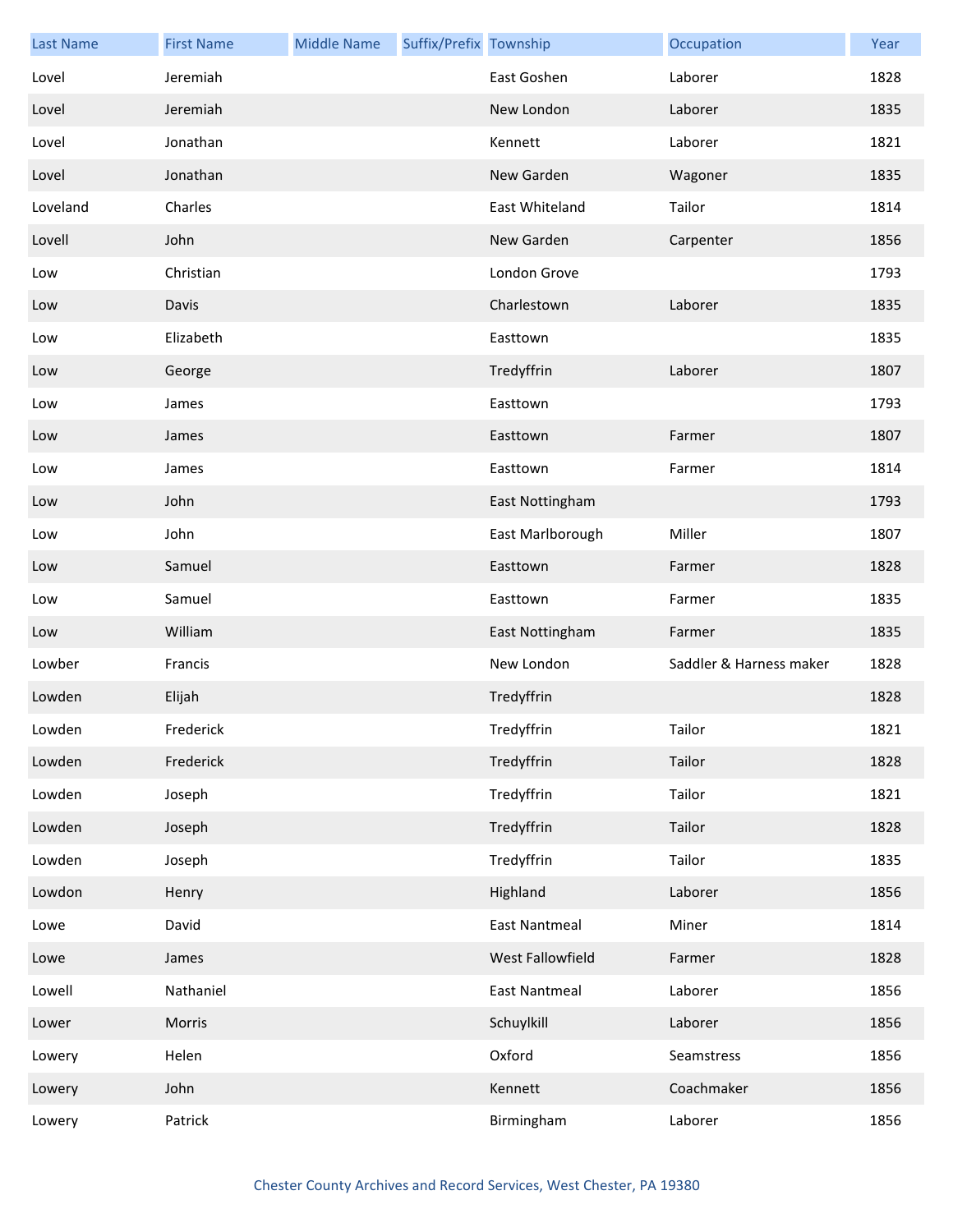| <b>Last Name</b> | <b>First Name</b> | <b>Middle Name</b> | Suffix/Prefix Township |                      | Occupation              | Year |
|------------------|-------------------|--------------------|------------------------|----------------------|-------------------------|------|
| Lovel            | Jeremiah          |                    |                        | East Goshen          | Laborer                 | 1828 |
| Lovel            | Jeremiah          |                    |                        | New London           | Laborer                 | 1835 |
| Lovel            | Jonathan          |                    |                        | Kennett              | Laborer                 | 1821 |
| Lovel            | Jonathan          |                    |                        | New Garden           | Wagoner                 | 1835 |
| Loveland         | Charles           |                    |                        | East Whiteland       | Tailor                  | 1814 |
| Lovell           | John              |                    |                        | New Garden           | Carpenter               | 1856 |
| Low              | Christian         |                    |                        | London Grove         |                         | 1793 |
| Low              | Davis             |                    |                        | Charlestown          | Laborer                 | 1835 |
| Low              | Elizabeth         |                    |                        | Easttown             |                         | 1835 |
| Low              | George            |                    |                        | Tredyffrin           | Laborer                 | 1807 |
| Low              | James             |                    |                        | Easttown             |                         | 1793 |
| Low              | James             |                    |                        | Easttown             | Farmer                  | 1807 |
| Low              | James             |                    |                        | Easttown             | Farmer                  | 1814 |
| Low              | John              |                    |                        | East Nottingham      |                         | 1793 |
| Low              | John              |                    |                        | East Marlborough     | Miller                  | 1807 |
| Low              | Samuel            |                    |                        | Easttown             | Farmer                  | 1828 |
| Low              | Samuel            |                    |                        | Easttown             | Farmer                  | 1835 |
| Low              | William           |                    |                        | East Nottingham      | Farmer                  | 1835 |
| Lowber           | Francis           |                    |                        | New London           | Saddler & Harness maker | 1828 |
| Lowden           | Elijah            |                    |                        | Tredyffrin           |                         | 1828 |
| Lowden           | Frederick         |                    |                        | Tredyffrin           | Tailor                  | 1821 |
| Lowden           | Frederick         |                    |                        | Tredyffrin           | Tailor                  | 1828 |
| Lowden           | Joseph            |                    |                        | Tredyffrin           | Tailor                  | 1821 |
| Lowden           | Joseph            |                    |                        | Tredyffrin           | Tailor                  | 1828 |
| Lowden           | Joseph            |                    |                        | Tredyffrin           | Tailor                  | 1835 |
| Lowdon           | Henry             |                    |                        | Highland             | Laborer                 | 1856 |
| Lowe             | David             |                    |                        | <b>East Nantmeal</b> | Miner                   | 1814 |
| Lowe             | James             |                    |                        | West Fallowfield     | Farmer                  | 1828 |
| Lowell           | Nathaniel         |                    |                        | <b>East Nantmeal</b> | Laborer                 | 1856 |
| Lower            | Morris            |                    |                        | Schuylkill           | Laborer                 | 1856 |
| Lowery           | Helen             |                    |                        | Oxford               | Seamstress              | 1856 |
| Lowery           | John              |                    |                        | Kennett              | Coachmaker              | 1856 |
| Lowery           | Patrick           |                    |                        | Birmingham           | Laborer                 | 1856 |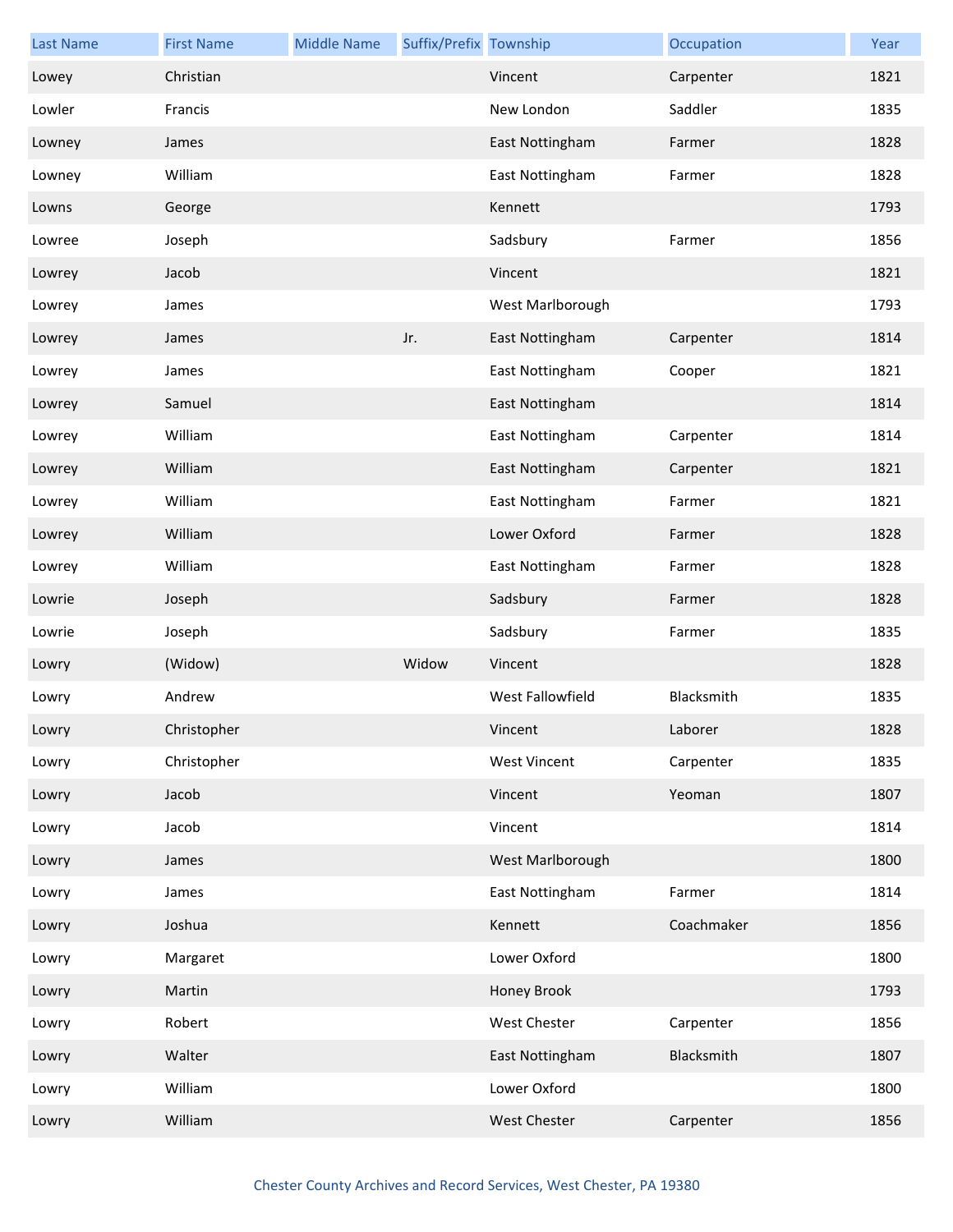| <b>Last Name</b> | <b>First Name</b> | <b>Middle Name</b> | Suffix/Prefix Township |                     | Occupation | Year |
|------------------|-------------------|--------------------|------------------------|---------------------|------------|------|
| Lowey            | Christian         |                    |                        | Vincent             | Carpenter  | 1821 |
| Lowler           | Francis           |                    |                        | New London          | Saddler    | 1835 |
| Lowney           | James             |                    |                        | East Nottingham     | Farmer     | 1828 |
| Lowney           | William           |                    |                        | East Nottingham     | Farmer     | 1828 |
| Lowns            | George            |                    |                        | Kennett             |            | 1793 |
| Lowree           | Joseph            |                    |                        | Sadsbury            | Farmer     | 1856 |
| Lowrey           | Jacob             |                    |                        | Vincent             |            | 1821 |
| Lowrey           | James             |                    |                        | West Marlborough    |            | 1793 |
| Lowrey           | James             |                    | Jr.                    | East Nottingham     | Carpenter  | 1814 |
| Lowrey           | James             |                    |                        | East Nottingham     | Cooper     | 1821 |
| Lowrey           | Samuel            |                    |                        | East Nottingham     |            | 1814 |
| Lowrey           | William           |                    |                        | East Nottingham     | Carpenter  | 1814 |
| Lowrey           | William           |                    |                        | East Nottingham     | Carpenter  | 1821 |
| Lowrey           | William           |                    |                        | East Nottingham     | Farmer     | 1821 |
| Lowrey           | William           |                    |                        | Lower Oxford        | Farmer     | 1828 |
| Lowrey           | William           |                    |                        | East Nottingham     | Farmer     | 1828 |
| Lowrie           | Joseph            |                    |                        | Sadsbury            | Farmer     | 1828 |
| Lowrie           | Joseph            |                    |                        | Sadsbury            | Farmer     | 1835 |
| Lowry            | (Widow)           |                    | Widow                  | Vincent             |            | 1828 |
| Lowry            | Andrew            |                    |                        | West Fallowfield    | Blacksmith | 1835 |
| Lowry            | Christopher       |                    |                        | Vincent             | Laborer    | 1828 |
| Lowry            | Christopher       |                    |                        | <b>West Vincent</b> | Carpenter  | 1835 |
| Lowry            | Jacob             |                    |                        | Vincent             | Yeoman     | 1807 |
| Lowry            | Jacob             |                    |                        | Vincent             |            | 1814 |
| Lowry            | James             |                    |                        | West Marlborough    |            | 1800 |
| Lowry            | James             |                    |                        | East Nottingham     | Farmer     | 1814 |
| Lowry            | Joshua            |                    |                        | Kennett             | Coachmaker | 1856 |
| Lowry            | Margaret          |                    |                        | Lower Oxford        |            | 1800 |
| Lowry            | Martin            |                    |                        | Honey Brook         |            | 1793 |
| Lowry            | Robert            |                    |                        | West Chester        | Carpenter  | 1856 |
| Lowry            | Walter            |                    |                        | East Nottingham     | Blacksmith | 1807 |
| Lowry            | William           |                    |                        | Lower Oxford        |            | 1800 |
| Lowry            | William           |                    |                        | West Chester        | Carpenter  | 1856 |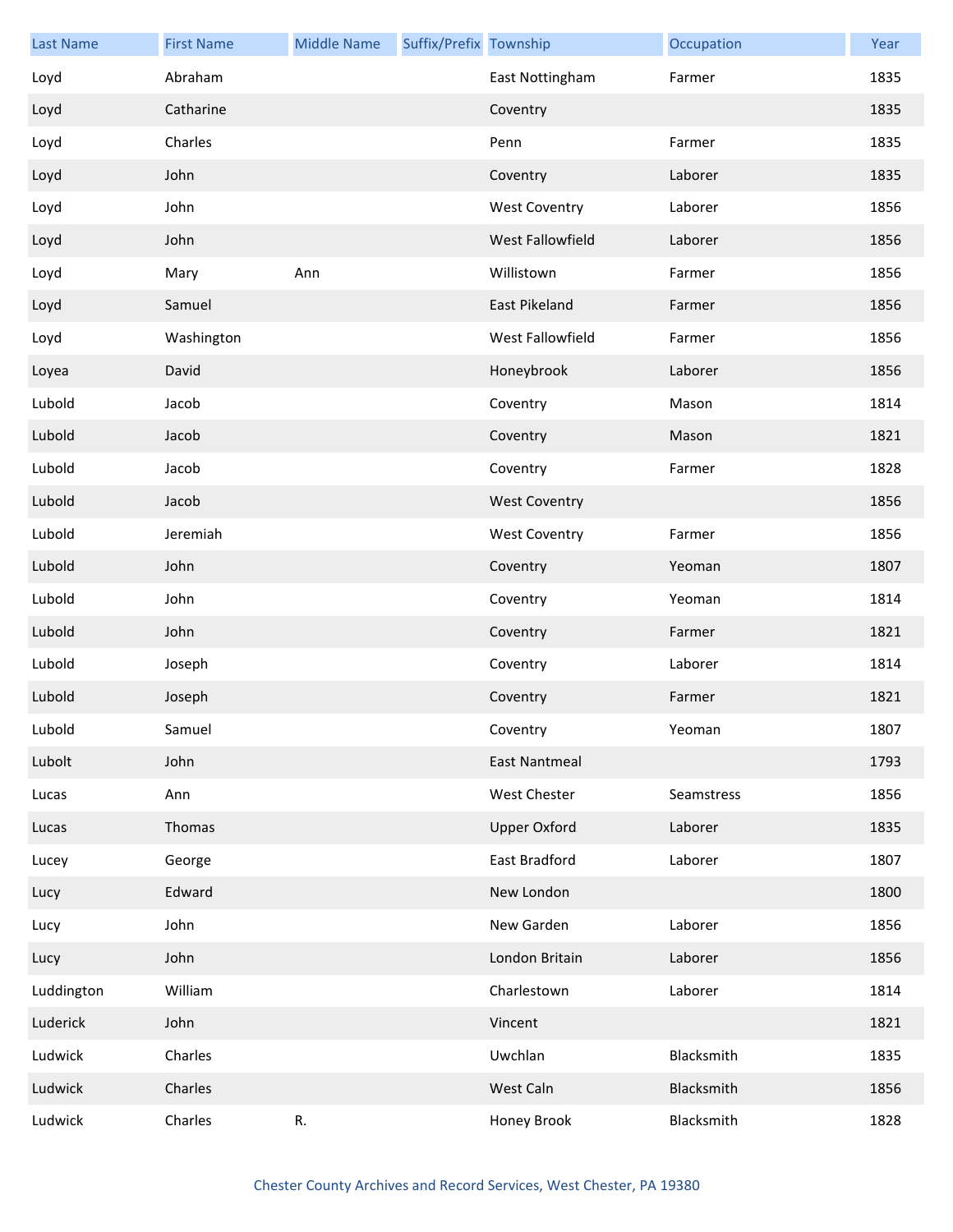| <b>Last Name</b> | <b>First Name</b> | <b>Middle Name</b> | Suffix/Prefix Township |                      | Occupation | Year |
|------------------|-------------------|--------------------|------------------------|----------------------|------------|------|
| Loyd             | Abraham           |                    |                        | East Nottingham      | Farmer     | 1835 |
| Loyd             | Catharine         |                    |                        | Coventry             |            | 1835 |
| Loyd             | Charles           |                    |                        | Penn                 | Farmer     | 1835 |
| Loyd             | John              |                    |                        | Coventry             | Laborer    | 1835 |
| Loyd             | John              |                    |                        | <b>West Coventry</b> | Laborer    | 1856 |
| Loyd             | John              |                    |                        | West Fallowfield     | Laborer    | 1856 |
| Loyd             | Mary              | Ann                |                        | Willistown           | Farmer     | 1856 |
| Loyd             | Samuel            |                    |                        | East Pikeland        | Farmer     | 1856 |
| Loyd             | Washington        |                    |                        | West Fallowfield     | Farmer     | 1856 |
| Loyea            | David             |                    |                        | Honeybrook           | Laborer    | 1856 |
| Lubold           | Jacob             |                    |                        | Coventry             | Mason      | 1814 |
| Lubold           | Jacob             |                    |                        | Coventry             | Mason      | 1821 |
| Lubold           | Jacob             |                    |                        | Coventry             | Farmer     | 1828 |
| Lubold           | Jacob             |                    |                        | <b>West Coventry</b> |            | 1856 |
| Lubold           | Jeremiah          |                    |                        | <b>West Coventry</b> | Farmer     | 1856 |
| Lubold           | John              |                    |                        | Coventry             | Yeoman     | 1807 |
| Lubold           | John              |                    |                        | Coventry             | Yeoman     | 1814 |
| Lubold           | John              |                    |                        | Coventry             | Farmer     | 1821 |
| Lubold           | Joseph            |                    |                        | Coventry             | Laborer    | 1814 |
| Lubold           | Joseph            |                    |                        | Coventry             | Farmer     | 1821 |
| Lubold           | Samuel            |                    |                        | Coventry             | Yeoman     | 1807 |
| Lubolt           | John              |                    |                        | <b>East Nantmeal</b> |            | 1793 |
| Lucas            | Ann               |                    |                        | West Chester         | Seamstress | 1856 |
| Lucas            | Thomas            |                    |                        | <b>Upper Oxford</b>  | Laborer    | 1835 |
| Lucey            | George            |                    |                        | East Bradford        | Laborer    | 1807 |
| Lucy             | Edward            |                    |                        | New London           |            | 1800 |
| Lucy             | John              |                    |                        | New Garden           | Laborer    | 1856 |
| Lucy             | John              |                    |                        | London Britain       | Laborer    | 1856 |
| Luddington       | William           |                    |                        | Charlestown          | Laborer    | 1814 |
| Luderick         | John              |                    |                        | Vincent              |            | 1821 |
| Ludwick          | Charles           |                    |                        | Uwchlan              | Blacksmith | 1835 |
| Ludwick          | Charles           |                    |                        | West Caln            | Blacksmith | 1856 |
| Ludwick          | Charles           | $\mathsf R.$       |                        | Honey Brook          | Blacksmith | 1828 |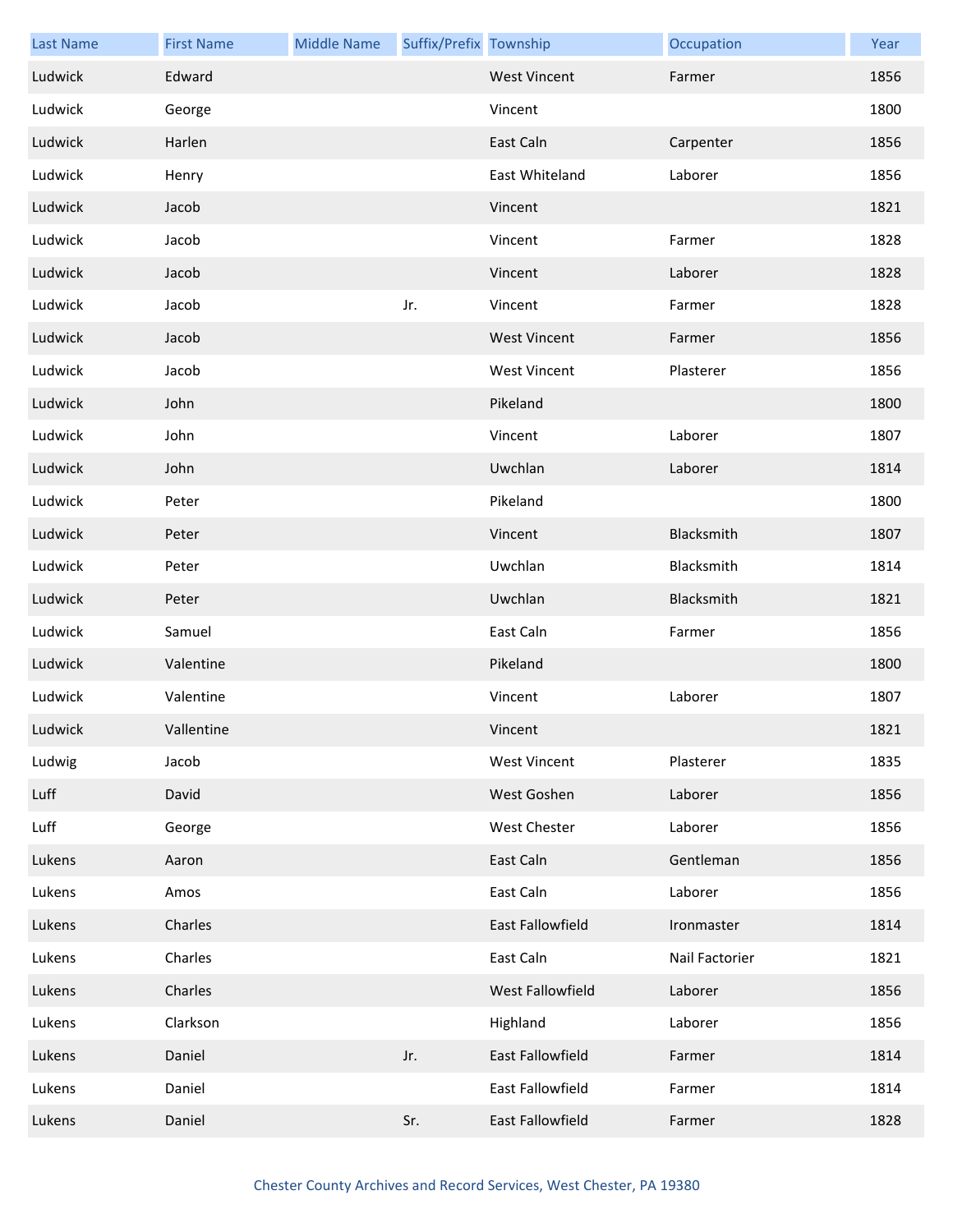| <b>Last Name</b> | <b>First Name</b> | <b>Middle Name</b> | Suffix/Prefix Township |                     | Occupation     | Year |
|------------------|-------------------|--------------------|------------------------|---------------------|----------------|------|
| Ludwick          | Edward            |                    |                        | <b>West Vincent</b> | Farmer         | 1856 |
| Ludwick          | George            |                    |                        | Vincent             |                | 1800 |
| Ludwick          | Harlen            |                    |                        | East Caln           | Carpenter      | 1856 |
| Ludwick          | Henry             |                    |                        | East Whiteland      | Laborer        | 1856 |
| Ludwick          | Jacob             |                    |                        | Vincent             |                | 1821 |
| Ludwick          | Jacob             |                    |                        | Vincent             | Farmer         | 1828 |
| Ludwick          | Jacob             |                    |                        | Vincent             | Laborer        | 1828 |
| Ludwick          | Jacob             |                    | Jr.                    | Vincent             | Farmer         | 1828 |
| Ludwick          | Jacob             |                    |                        | <b>West Vincent</b> | Farmer         | 1856 |
| Ludwick          | Jacob             |                    |                        | <b>West Vincent</b> | Plasterer      | 1856 |
| Ludwick          | John              |                    |                        | Pikeland            |                | 1800 |
| Ludwick          | John              |                    |                        | Vincent             | Laborer        | 1807 |
| Ludwick          | John              |                    |                        | Uwchlan             | Laborer        | 1814 |
| Ludwick          | Peter             |                    |                        | Pikeland            |                | 1800 |
| Ludwick          | Peter             |                    |                        | Vincent             | Blacksmith     | 1807 |
| Ludwick          | Peter             |                    |                        | Uwchlan             | Blacksmith     | 1814 |
| Ludwick          | Peter             |                    |                        | Uwchlan             | Blacksmith     | 1821 |
| Ludwick          | Samuel            |                    |                        | East Caln           | Farmer         | 1856 |
| Ludwick          | Valentine         |                    |                        | Pikeland            |                | 1800 |
| Ludwick          | Valentine         |                    |                        | Vincent             | Laborer        | 1807 |
| Ludwick          | Vallentine        |                    |                        | Vincent             |                | 1821 |
| Ludwig           | Jacob             |                    |                        | <b>West Vincent</b> | Plasterer      | 1835 |
| Luff             | David             |                    |                        | West Goshen         | Laborer        | 1856 |
| Luff             | George            |                    |                        | West Chester        | Laborer        | 1856 |
| Lukens           | Aaron             |                    |                        | East Caln           | Gentleman      | 1856 |
| Lukens           | Amos              |                    |                        | East Caln           | Laborer        | 1856 |
| Lukens           | Charles           |                    |                        | East Fallowfield    | Ironmaster     | 1814 |
| Lukens           | Charles           |                    |                        | East Caln           | Nail Factorier | 1821 |
| Lukens           | Charles           |                    |                        | West Fallowfield    | Laborer        | 1856 |
| Lukens           | Clarkson          |                    |                        | Highland            | Laborer        | 1856 |
| Lukens           | Daniel            |                    | Jr.                    | East Fallowfield    | Farmer         | 1814 |
| Lukens           | Daniel            |                    |                        | East Fallowfield    | Farmer         | 1814 |
| Lukens           | Daniel            |                    | Sr.                    | East Fallowfield    | Farmer         | 1828 |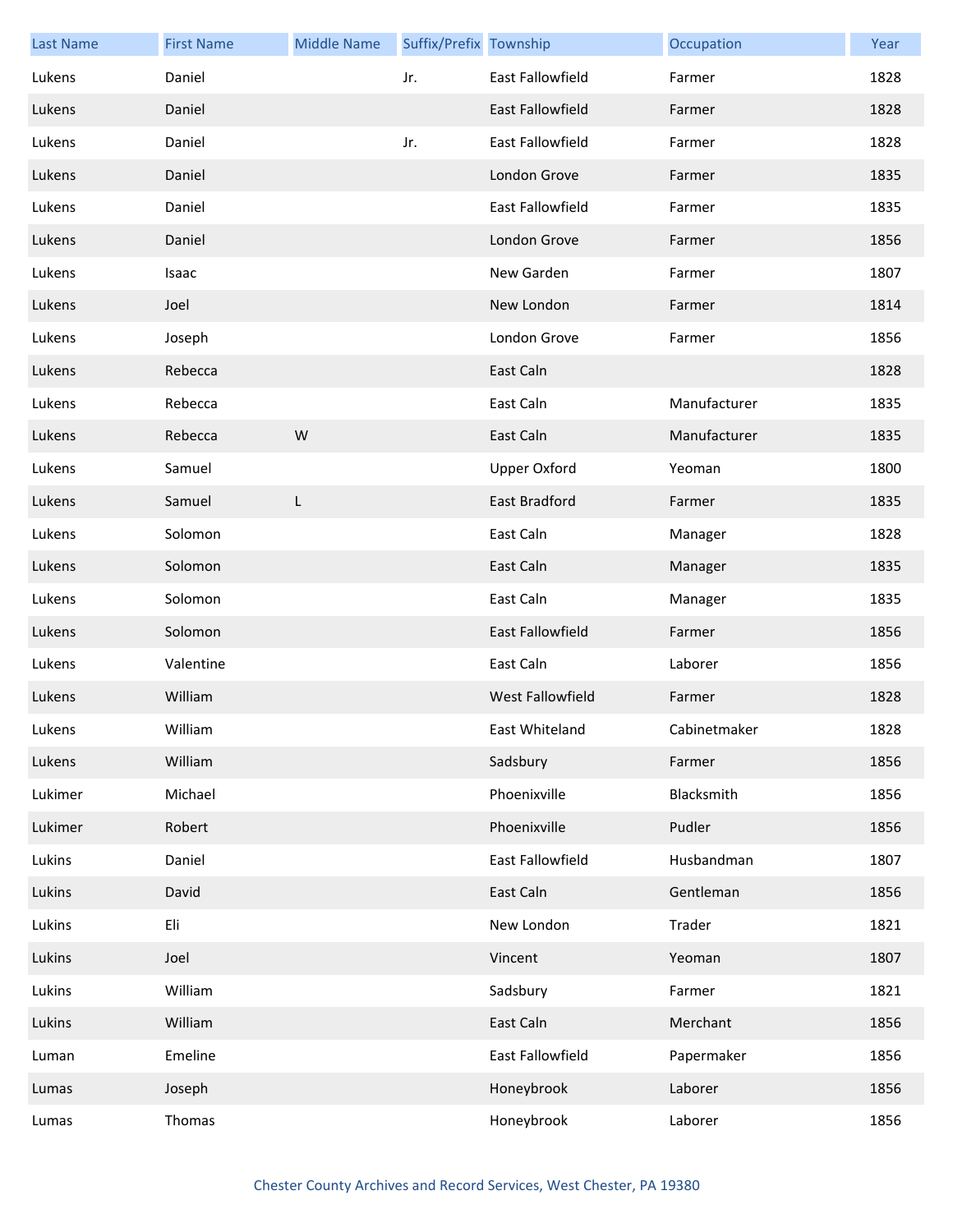| <b>Last Name</b> | <b>First Name</b> | <b>Middle Name</b> | Suffix/Prefix Township |                         | Occupation   | Year |
|------------------|-------------------|--------------------|------------------------|-------------------------|--------------|------|
| Lukens           | Daniel            |                    | Jr.                    | <b>East Fallowfield</b> | Farmer       | 1828 |
| Lukens           | Daniel            |                    |                        | <b>East Fallowfield</b> | Farmer       | 1828 |
| Lukens           | Daniel            |                    | Jr.                    | <b>East Fallowfield</b> | Farmer       | 1828 |
| Lukens           | Daniel            |                    |                        | London Grove            | Farmer       | 1835 |
| Lukens           | Daniel            |                    |                        | East Fallowfield        | Farmer       | 1835 |
| Lukens           | Daniel            |                    |                        | London Grove            | Farmer       | 1856 |
| Lukens           | Isaac             |                    |                        | New Garden              | Farmer       | 1807 |
| Lukens           | Joel              |                    |                        | New London              | Farmer       | 1814 |
| Lukens           | Joseph            |                    |                        | London Grove            | Farmer       | 1856 |
| Lukens           | Rebecca           |                    |                        | East Caln               |              | 1828 |
| Lukens           | Rebecca           |                    |                        | East Caln               | Manufacturer | 1835 |
| Lukens           | Rebecca           | W                  |                        | East Caln               | Manufacturer | 1835 |
| Lukens           | Samuel            |                    |                        | <b>Upper Oxford</b>     | Yeoman       | 1800 |
| Lukens           | Samuel            | L                  |                        | East Bradford           | Farmer       | 1835 |
| Lukens           | Solomon           |                    |                        | East Caln               | Manager      | 1828 |
| Lukens           | Solomon           |                    |                        | East Caln               | Manager      | 1835 |
| Lukens           | Solomon           |                    |                        | East Caln               | Manager      | 1835 |
| Lukens           | Solomon           |                    |                        | East Fallowfield        | Farmer       | 1856 |
| Lukens           | Valentine         |                    |                        | East Caln               | Laborer      | 1856 |
| Lukens           | William           |                    |                        | West Fallowfield        | Farmer       | 1828 |
| Lukens           | William           |                    |                        | East Whiteland          | Cabinetmaker | 1828 |
| Lukens           | William           |                    |                        | Sadsbury                | Farmer       | 1856 |
| Lukimer          | Michael           |                    |                        | Phoenixville            | Blacksmith   | 1856 |
| Lukimer          | Robert            |                    |                        | Phoenixville            | Pudler       | 1856 |
| Lukins           | Daniel            |                    |                        | East Fallowfield        | Husbandman   | 1807 |
| Lukins           | David             |                    |                        | East Caln               | Gentleman    | 1856 |
| Lukins           | Eli               |                    |                        | New London              | Trader       | 1821 |
| Lukins           | Joel              |                    |                        | Vincent                 | Yeoman       | 1807 |
| Lukins           | William           |                    |                        | Sadsbury                | Farmer       | 1821 |
| Lukins           | William           |                    |                        | East Caln               | Merchant     | 1856 |
| Luman            | Emeline           |                    |                        | East Fallowfield        | Papermaker   | 1856 |
| Lumas            | Joseph            |                    |                        | Honeybrook              | Laborer      | 1856 |
| Lumas            | Thomas            |                    |                        | Honeybrook              | Laborer      | 1856 |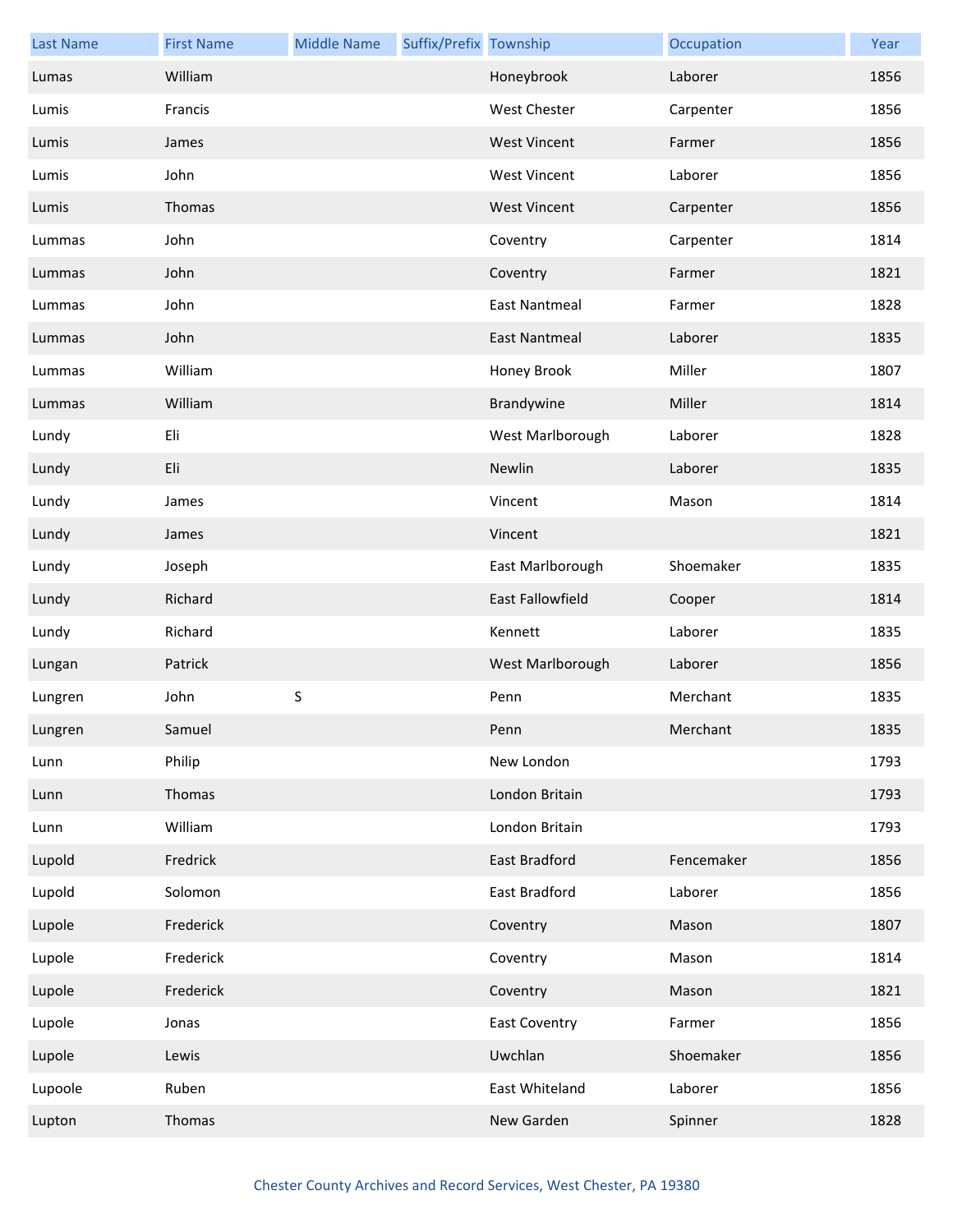| <b>Last Name</b> | <b>First Name</b> | <b>Middle Name</b> | Suffix/Prefix Township |                      | Occupation | Year |
|------------------|-------------------|--------------------|------------------------|----------------------|------------|------|
| Lumas            | William           |                    |                        | Honeybrook           | Laborer    | 1856 |
| Lumis            | Francis           |                    |                        | <b>West Chester</b>  | Carpenter  | 1856 |
| Lumis            | James             |                    |                        | <b>West Vincent</b>  | Farmer     | 1856 |
| Lumis            | John              |                    |                        | <b>West Vincent</b>  | Laborer    | 1856 |
| Lumis            | Thomas            |                    |                        | <b>West Vincent</b>  | Carpenter  | 1856 |
| Lummas           | John              |                    |                        | Coventry             | Carpenter  | 1814 |
| Lummas           | John              |                    |                        | Coventry             | Farmer     | 1821 |
| Lummas           | John              |                    |                        | <b>East Nantmeal</b> | Farmer     | 1828 |
| Lummas           | John              |                    |                        | <b>East Nantmeal</b> | Laborer    | 1835 |
| Lummas           | William           |                    |                        | Honey Brook          | Miller     | 1807 |
| Lummas           | William           |                    |                        | Brandywine           | Miller     | 1814 |
| Lundy            | Eli               |                    |                        | West Marlborough     | Laborer    | 1828 |
| Lundy            | Eli               |                    |                        | Newlin               | Laborer    | 1835 |
| Lundy            | James             |                    |                        | Vincent              | Mason      | 1814 |
| Lundy            | James             |                    |                        | Vincent              |            | 1821 |
| Lundy            | Joseph            |                    |                        | East Marlborough     | Shoemaker  | 1835 |
| Lundy            | Richard           |                    |                        | East Fallowfield     | Cooper     | 1814 |
| Lundy            | Richard           |                    |                        | Kennett              | Laborer    | 1835 |
| Lungan           | Patrick           |                    |                        | West Marlborough     | Laborer    | 1856 |
| Lungren          | John              | $\mathsf S$        |                        | Penn                 | Merchant   | 1835 |
| Lungren          | Samuel            |                    |                        | Penn                 | Merchant   | 1835 |
| Lunn             | Philip            |                    |                        | New London           |            | 1793 |
| Lunn             | Thomas            |                    |                        | London Britain       |            | 1793 |
| Lunn             | William           |                    |                        | London Britain       |            | 1793 |
| Lupold           | Fredrick          |                    |                        | East Bradford        | Fencemaker | 1856 |
| Lupold           | Solomon           |                    |                        | East Bradford        | Laborer    | 1856 |
| Lupole           | Frederick         |                    |                        | Coventry             | Mason      | 1807 |
| Lupole           | Frederick         |                    |                        | Coventry             | Mason      | 1814 |
| Lupole           | Frederick         |                    |                        | Coventry             | Mason      | 1821 |
| Lupole           | Jonas             |                    |                        | <b>East Coventry</b> | Farmer     | 1856 |
| Lupole           | Lewis             |                    |                        | Uwchlan              | Shoemaker  | 1856 |
| Lupoole          | Ruben             |                    |                        | East Whiteland       | Laborer    | 1856 |
| Lupton           | Thomas            |                    |                        | New Garden           | Spinner    | 1828 |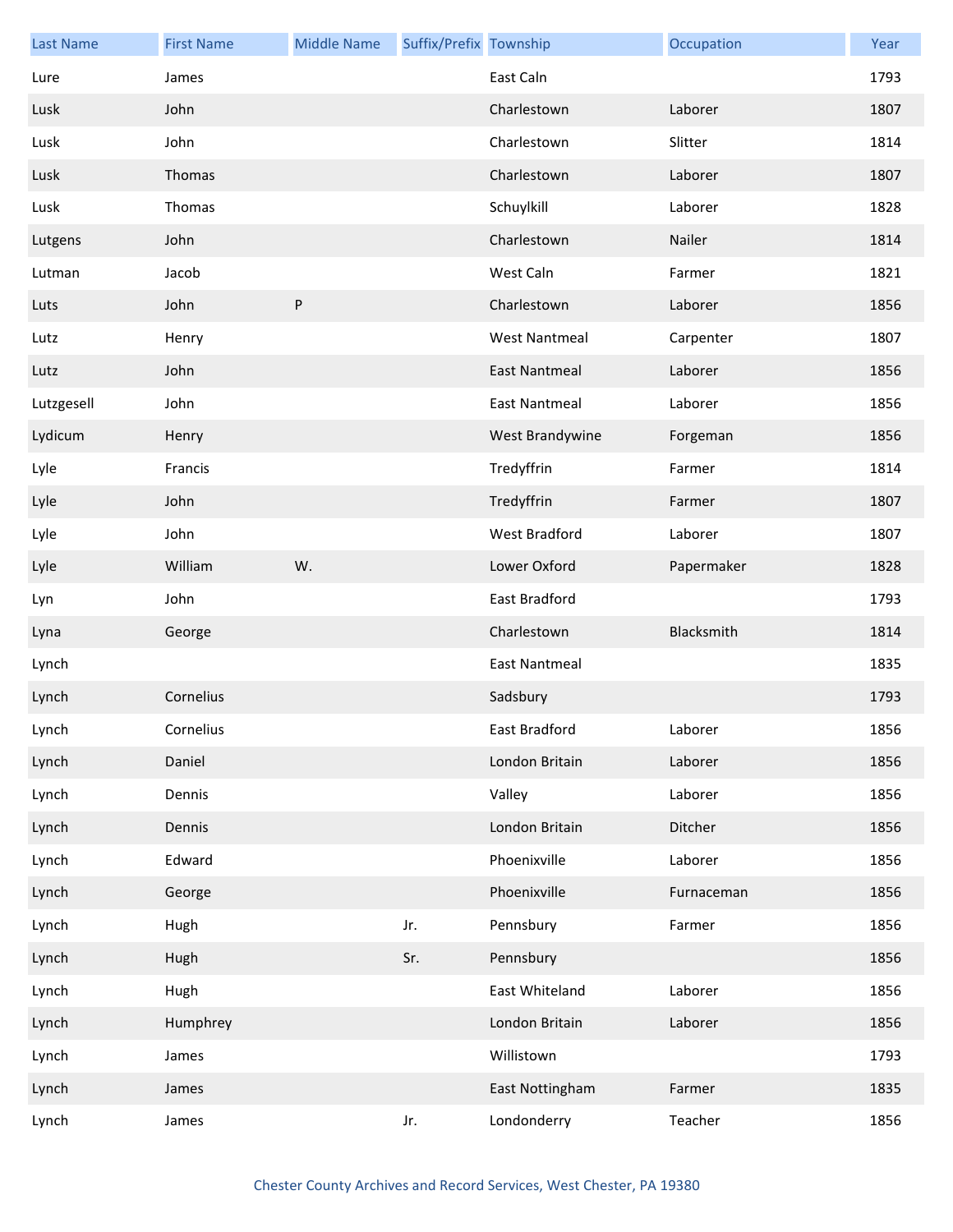| <b>Last Name</b> | <b>First Name</b> | <b>Middle Name</b> | Suffix/Prefix Township |                      | Occupation | Year |
|------------------|-------------------|--------------------|------------------------|----------------------|------------|------|
| Lure             | James             |                    |                        | East Caln            |            | 1793 |
| Lusk             | John              |                    |                        | Charlestown          | Laborer    | 1807 |
| Lusk             | John              |                    |                        | Charlestown          | Slitter    | 1814 |
| Lusk             | Thomas            |                    |                        | Charlestown          | Laborer    | 1807 |
| Lusk             | Thomas            |                    |                        | Schuylkill           | Laborer    | 1828 |
| Lutgens          | John              |                    |                        | Charlestown          | Nailer     | 1814 |
| Lutman           | Jacob             |                    |                        | West Caln            | Farmer     | 1821 |
| Luts             | John              | $\sf P$            |                        | Charlestown          | Laborer    | 1856 |
| Lutz             | Henry             |                    |                        | <b>West Nantmeal</b> | Carpenter  | 1807 |
| Lutz             | John              |                    |                        | <b>East Nantmeal</b> | Laborer    | 1856 |
| Lutzgesell       | John              |                    |                        | <b>East Nantmeal</b> | Laborer    | 1856 |
| Lydicum          | Henry             |                    |                        | West Brandywine      | Forgeman   | 1856 |
| Lyle             | Francis           |                    |                        | Tredyffrin           | Farmer     | 1814 |
| Lyle             | John              |                    |                        | Tredyffrin           | Farmer     | 1807 |
| Lyle             | John              |                    |                        | <b>West Bradford</b> | Laborer    | 1807 |
| Lyle             | William           | W.                 |                        | Lower Oxford         | Papermaker | 1828 |
| Lyn              | John              |                    |                        | East Bradford        |            | 1793 |
| Lyna             | George            |                    |                        | Charlestown          | Blacksmith | 1814 |
| Lynch            |                   |                    |                        | <b>East Nantmeal</b> |            | 1835 |
| Lynch            | Cornelius         |                    |                        | Sadsbury             |            | 1793 |
| Lynch            | Cornelius         |                    |                        | East Bradford        | Laborer    | 1856 |
| Lynch            | Daniel            |                    |                        | London Britain       | Laborer    | 1856 |
| Lynch            | Dennis            |                    |                        | Valley               | Laborer    | 1856 |
| Lynch            | Dennis            |                    |                        | London Britain       | Ditcher    | 1856 |
| Lynch            | Edward            |                    |                        | Phoenixville         | Laborer    | 1856 |
| Lynch            | George            |                    |                        | Phoenixville         | Furnaceman | 1856 |
| Lynch            | Hugh              |                    | Jr.                    | Pennsbury            | Farmer     | 1856 |
| Lynch            | Hugh              |                    | Sr.                    | Pennsbury            |            | 1856 |
| Lynch            | Hugh              |                    |                        | East Whiteland       | Laborer    | 1856 |
| Lynch            | Humphrey          |                    |                        | London Britain       | Laborer    | 1856 |
| Lynch            | James             |                    |                        | Willistown           |            | 1793 |
| Lynch            | James             |                    |                        | East Nottingham      | Farmer     | 1835 |
| Lynch            | James             |                    | Jr.                    | Londonderry          | Teacher    | 1856 |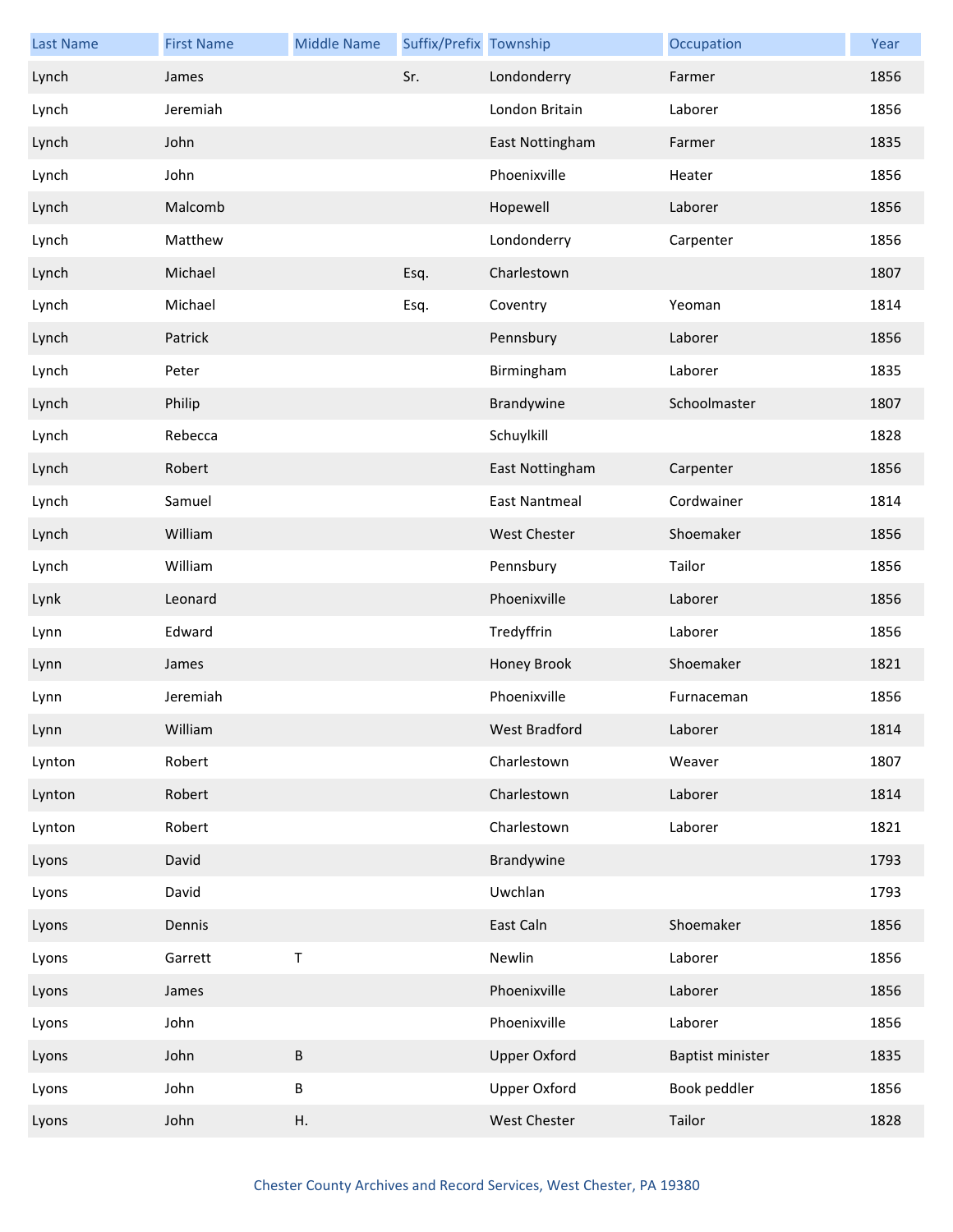| <b>Last Name</b> | <b>First Name</b> | <b>Middle Name</b> | Suffix/Prefix Township |                      | Occupation       | Year |
|------------------|-------------------|--------------------|------------------------|----------------------|------------------|------|
| Lynch            | James             |                    | Sr.                    | Londonderry          | Farmer           | 1856 |
| Lynch            | Jeremiah          |                    |                        | London Britain       | Laborer          | 1856 |
| Lynch            | John              |                    |                        | East Nottingham      | Farmer           | 1835 |
| Lynch            | John              |                    |                        | Phoenixville         | Heater           | 1856 |
| Lynch            | Malcomb           |                    |                        | Hopewell             | Laborer          | 1856 |
| Lynch            | Matthew           |                    |                        | Londonderry          | Carpenter        | 1856 |
| Lynch            | Michael           |                    | Esq.                   | Charlestown          |                  | 1807 |
| Lynch            | Michael           |                    | Esq.                   | Coventry             | Yeoman           | 1814 |
| Lynch            | Patrick           |                    |                        | Pennsbury            | Laborer          | 1856 |
| Lynch            | Peter             |                    |                        | Birmingham           | Laborer          | 1835 |
| Lynch            | Philip            |                    |                        | Brandywine           | Schoolmaster     | 1807 |
| Lynch            | Rebecca           |                    |                        | Schuylkill           |                  | 1828 |
| Lynch            | Robert            |                    |                        | East Nottingham      | Carpenter        | 1856 |
| Lynch            | Samuel            |                    |                        | <b>East Nantmeal</b> | Cordwainer       | 1814 |
| Lynch            | William           |                    |                        | West Chester         | Shoemaker        | 1856 |
| Lynch            | William           |                    |                        | Pennsbury            | Tailor           | 1856 |
| Lynk             | Leonard           |                    |                        | Phoenixville         | Laborer          | 1856 |
| Lynn             | Edward            |                    |                        | Tredyffrin           | Laborer          | 1856 |
| Lynn             | James             |                    |                        | Honey Brook          | Shoemaker        | 1821 |
| Lynn             | Jeremiah          |                    |                        | Phoenixville         | Furnaceman       | 1856 |
| Lynn             | William           |                    |                        | West Bradford        | Laborer          | 1814 |
| Lynton           | Robert            |                    |                        | Charlestown          | Weaver           | 1807 |
| Lynton           | Robert            |                    |                        | Charlestown          | Laborer          | 1814 |
| Lynton           | Robert            |                    |                        | Charlestown          | Laborer          | 1821 |
| Lyons            | David             |                    |                        | Brandywine           |                  | 1793 |
| Lyons            | David             |                    |                        | Uwchlan              |                  | 1793 |
| Lyons            | Dennis            |                    |                        | East Caln            | Shoemaker        | 1856 |
| Lyons            | Garrett           | $\sf T$            |                        | Newlin               | Laborer          | 1856 |
| Lyons            | James             |                    |                        | Phoenixville         | Laborer          | 1856 |
| Lyons            | John              |                    |                        | Phoenixville         | Laborer          | 1856 |
| Lyons            | John              | $\sf B$            |                        | <b>Upper Oxford</b>  | Baptist minister | 1835 |
| Lyons            | John              | $\sf B$            |                        | <b>Upper Oxford</b>  | Book peddler     | 1856 |
| Lyons            | John              | Η.                 |                        | West Chester         | Tailor           | 1828 |